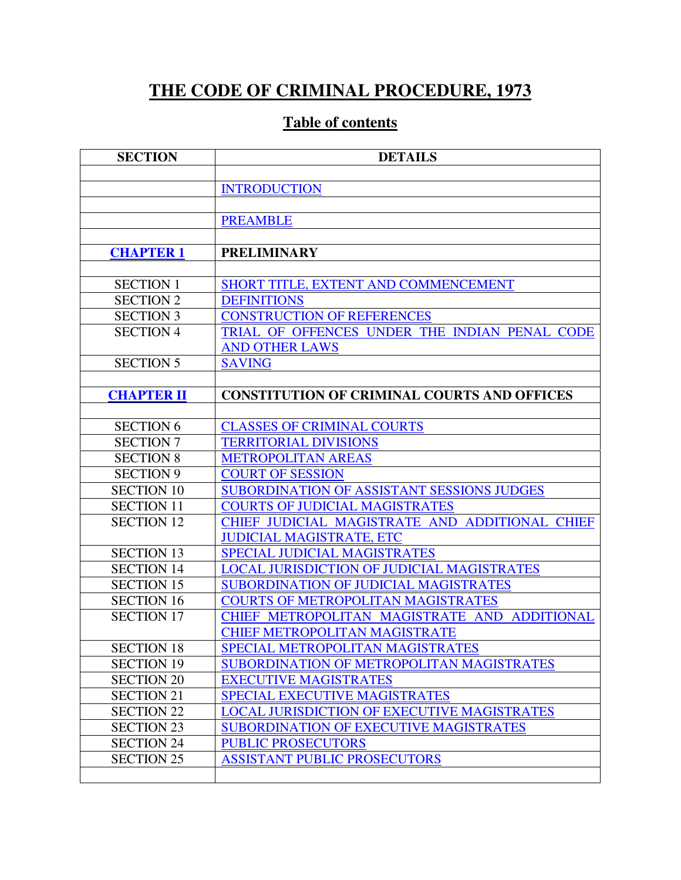# **THE CODE OF CRIMINAL PROCEDURE, 1973**

### **Table of contents**

| <b>SECTION</b>    | <b>DETAILS</b>                                                                    |
|-------------------|-----------------------------------------------------------------------------------|
|                   |                                                                                   |
|                   | <b>INTRODUCTION</b>                                                               |
|                   |                                                                                   |
|                   | <b>PREAMBLE</b>                                                                   |
| <b>CHAPTER 1</b>  | <b>PRELIMINARY</b>                                                                |
|                   |                                                                                   |
| <b>SECTION 1</b>  | SHORT TITLE, EXTENT AND COMMENCEMENT                                              |
| <b>SECTION 2</b>  | <b>DEFINITIONS</b>                                                                |
| <b>SECTION 3</b>  | <b>CONSTRUCTION OF REFERENCES</b>                                                 |
| <b>SECTION 4</b>  | TRIAL OF OFFENCES UNDER THE INDIAN PENAL CODE                                     |
|                   | <b>AND OTHER LAWS</b>                                                             |
| <b>SECTION 5</b>  | <b>SAVING</b>                                                                     |
|                   |                                                                                   |
| <b>CHAPTER II</b> | <b>CONSTITUTION OF CRIMINAL COURTS AND OFFICES</b>                                |
|                   |                                                                                   |
| <b>SECTION 6</b>  | <b>CLASSES OF CRIMINAL COURTS</b>                                                 |
| <b>SECTION 7</b>  | <b>TERRITORIAL DIVISIONS</b>                                                      |
| <b>SECTION 8</b>  | <b>METROPOLITAN AREAS</b>                                                         |
| <b>SECTION 9</b>  | <b>COURT OF SESSION</b>                                                           |
| <b>SECTION 10</b> | SUBORDINATION OF ASSISTANT SESSIONS JUDGES                                        |
| <b>SECTION 11</b> | <b>COURTS OF JUDICIAL MAGISTRATES</b>                                             |
| <b>SECTION 12</b> | CHIEF JUDICIAL MAGISTRATE AND ADDITIONAL CHIEF<br><b>JUDICIAL MAGISTRATE, ETC</b> |
| <b>SECTION 13</b> | SPECIAL JUDICIAL MAGISTRATES                                                      |
| <b>SECTION 14</b> | LOCAL JURISDICTION OF JUDICIAL MAGISTRATES                                        |
| <b>SECTION 15</b> | SUBORDINATION OF JUDICIAL MAGISTRATES                                             |
| <b>SECTION 16</b> | <b>COURTS OF METROPOLITAN MAGISTRATES</b>                                         |
| <b>SECTION 17</b> | CHIEF METROPOLITAN MAGISTRATE AND ADDITIONAL                                      |
|                   | <b>CHIEF METROPOLITAN MAGISTRATE</b>                                              |
| <b>SECTION 18</b> | SPECIAL METROPOLITAN MAGISTRATES                                                  |
| <b>SECTION 19</b> | SUBORDINATION OF METROPOLITAN MAGISTRATES                                         |
| <b>SECTION 20</b> | <b>EXECUTIVE MAGISTRATES</b>                                                      |
| <b>SECTION 21</b> | SPECIAL EXECUTIVE MAGISTRATES                                                     |
| <b>SECTION 22</b> | <b>LOCAL JURISDICTION OF EXECUTIVE MAGISTRATES</b>                                |
| <b>SECTION 23</b> | <b>SUBORDINATION OF EXECUTIVE MAGISTRATES</b>                                     |
| <b>SECTION 24</b> | <b>PUBLIC PROSECUTORS</b>                                                         |
| <b>SECTION 25</b> | <b>ASSISTANT PUBLIC PROSECUTORS</b>                                               |
|                   |                                                                                   |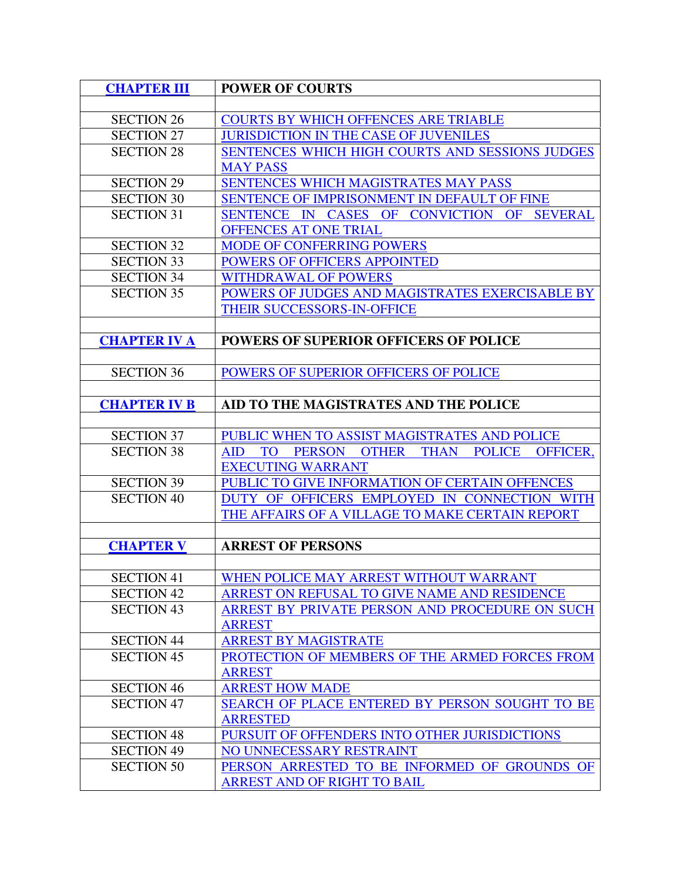| <b>CHAPTER III</b>  | <b>POWER OF COURTS</b>                                            |
|---------------------|-------------------------------------------------------------------|
|                     |                                                                   |
| <b>SECTION 26</b>   | <b>COURTS BY WHICH OFFENCES ARE TRIABLE</b>                       |
| <b>SECTION 27</b>   | <b>JURISDICTION IN THE CASE OF JUVENILES</b>                      |
| <b>SECTION 28</b>   | SENTENCES WHICH HIGH COURTS AND SESSIONS JUDGES                   |
|                     | <b>MAY PASS</b>                                                   |
| <b>SECTION 29</b>   | SENTENCES WHICH MAGISTRATES MAY PASS                              |
| <b>SECTION 30</b>   | SENTENCE OF IMPRISONMENT IN DEFAULT OF FINE                       |
| <b>SECTION 31</b>   | SENTENCE IN CASES OF CONVICTION OF<br><b>SEVERAL</b>              |
|                     | OFFENCES AT ONE TRIAL                                             |
| <b>SECTION 32</b>   | <b>MODE OF CONFERRING POWERS</b>                                  |
| <b>SECTION 33</b>   | <b>POWERS OF OFFICERS APPOINTED</b>                               |
| <b>SECTION 34</b>   | <b>WITHDRAWAL OF POWERS</b>                                       |
| <b>SECTION 35</b>   | POWERS OF JUDGES AND MAGISTRATES EXERCISABLE BY                   |
|                     | <b>THEIR SUCCESSORS-IN-OFFICE</b>                                 |
|                     |                                                                   |
| <b>CHAPTER IV A</b> | <b>POWERS OF SUPERIOR OFFICERS OF POLICE</b>                      |
|                     |                                                                   |
| <b>SECTION 36</b>   | POWERS OF SUPERIOR OFFICERS OF POLICE                             |
|                     |                                                                   |
| <b>CHAPTER IV B</b> | AID TO THE MAGISTRATES AND THE POLICE                             |
|                     |                                                                   |
| <b>SECTION 37</b>   | PUBLIC WHEN TO ASSIST MAGISTRATES AND POLICE                      |
| <b>SECTION 38</b>   | PERSON OTHER THAN POLICE<br><b>OFFICER,</b><br>TO T<br><b>AID</b> |
|                     | <b>EXECUTING WARRANT</b>                                          |
| <b>SECTION 39</b>   | PUBLIC TO GIVE INFORMATION OF CERTAIN OFFENCES                    |
| <b>SECTION 40</b>   | DUTY OF OFFICERS EMPLOYED IN CONNECTION WITH                      |
|                     | THE AFFAIRS OF A VILLAGE TO MAKE CERTAIN REPORT                   |
|                     |                                                                   |
| <b>CHAPTER V</b>    | <b>ARREST OF PERSONS</b>                                          |
|                     |                                                                   |
| <b>SECTION 41</b>   | WHEN POLICE MAY ARREST WITHOUT WARRANT                            |
| <b>SECTION 42</b>   | ARREST ON REFUSAL TO GIVE NAME AND RESIDENCE                      |
| <b>SECTION 43</b>   | ARREST BY PRIVATE PERSON AND PROCEDURE ON SUCH                    |
|                     | <b>ARREST</b>                                                     |
| <b>SECTION 44</b>   | <b>ARREST BY MAGISTRATE</b>                                       |
| <b>SECTION 45</b>   | PROTECTION OF MEMBERS OF THE ARMED FORCES FROM                    |
|                     | <b>ARREST</b>                                                     |
| <b>SECTION 46</b>   | <b>ARREST HOW MADE</b>                                            |
| <b>SECTION 47</b>   | SEARCH OF PLACE ENTERED BY PERSON SOUGHT TO BE                    |
|                     | <b>ARRESTED</b>                                                   |
| <b>SECTION 48</b>   | PURSUIT OF OFFENDERS INTO OTHER JURISDICTIONS                     |
| <b>SECTION 49</b>   | NO UNNECESSARY RESTRAINT                                          |
| <b>SECTION 50</b>   | PERSON ARRESTED TO BE INFORMED OF GROUNDS OF                      |
|                     | <b>ARREST AND OF RIGHT TO BAIL</b>                                |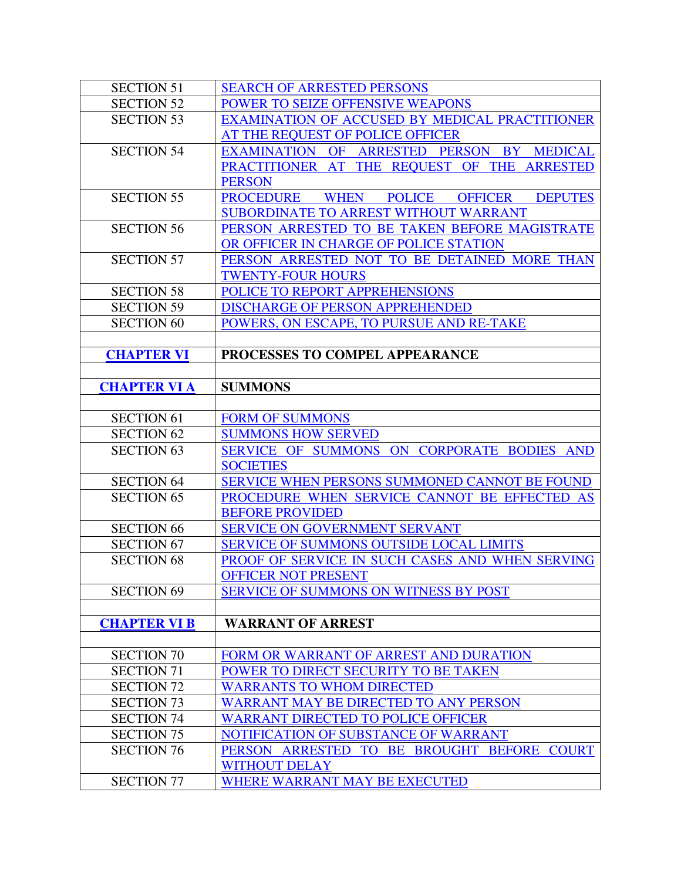| <b>SECTION 51</b>   | <b>SEARCH OF ARRESTED PERSONS</b>                     |
|---------------------|-------------------------------------------------------|
| <b>SECTION 52</b>   | POWER TO SEIZE OFFENSIVE WEAPONS                      |
| <b>SECTION 53</b>   | <b>EXAMINATION OF ACCUSED BY MEDICAL PRACTITIONER</b> |
|                     | AT THE REQUEST OF POLICE OFFICER                      |
| <b>SECTION 54</b>   | EXAMINATION OF ARRESTED PERSON BY MEDICAL             |
|                     | PRACTITIONER AT THE REQUEST OF THE ARRESTED           |
|                     | <b>PERSON</b>                                         |
| <b>SECTION 55</b>   | PROCEDURE WHEN POLICE OFFICER DEPUTES                 |
|                     | SUBORDINATE TO ARREST WITHOUT WARRANT                 |
| <b>SECTION 56</b>   | PERSON ARRESTED TO BE TAKEN BEFORE MAGISTRATE         |
|                     | OR OFFICER IN CHARGE OF POLICE STATION                |
| <b>SECTION 57</b>   | PERSON ARRESTED NOT TO BE DETAINED MORE THAN          |
|                     | <b>TWENTY-FOUR HOURS</b>                              |
| <b>SECTION 58</b>   | POLICE TO REPORT APPREHENSIONS                        |
| <b>SECTION 59</b>   | <b>DISCHARGE OF PERSON APPREHENDED</b>                |
| <b>SECTION 60</b>   | POWERS, ON ESCAPE, TO PURSUE AND RE-TAKE              |
|                     |                                                       |
| <b>CHAPTER VI</b>   | PROCESSES TO COMPEL APPEARANCE                        |
|                     |                                                       |
| <b>CHAPTER VI A</b> | <b>SUMMONS</b>                                        |
|                     |                                                       |
| <b>SECTION 61</b>   | <b>FORM OF SUMMONS</b>                                |
| <b>SECTION 62</b>   | <b>SUMMONS HOW SERVED</b>                             |
| <b>SECTION 63</b>   | SERVICE OF SUMMONS ON CORPORATE BODIES AND            |
|                     | <b>SOCIETIES</b>                                      |
| <b>SECTION 64</b>   | SERVICE WHEN PERSONS SUMMONED CANNOT BE FOUND         |
| <b>SECTION 65</b>   | PROCEDURE WHEN SERVICE CANNOT BE EFFECTED AS          |
|                     | <b>BEFORE PROVIDED</b>                                |
| <b>SECTION 66</b>   | <b>SERVICE ON GOVERNMENT SERVANT</b>                  |
| <b>SECTION 67</b>   | SERVICE OF SUMMONS OUTSIDE LOCAL LIMITS               |
| <b>SECTION 68</b>   | PROOF OF SERVICE IN SUCH CASES AND WHEN SERVING       |
|                     | <b>OFFICER NOT PRESENT</b>                            |
| <b>SECTION 69</b>   | SERVICE OF SUMMONS ON WITNESS BY POST                 |
|                     |                                                       |
| <b>CHAPTER VI B</b> | <b>WARRANT OF ARREST</b>                              |
|                     |                                                       |
| <b>SECTION 70</b>   | FORM OR WARRANT OF ARREST AND DURATION                |
| <b>SECTION 71</b>   | POWER TO DIRECT SECURITY TO BE TAKEN                  |
| <b>SECTION 72</b>   | <b>WARRANTS TO WHOM DIRECTED</b>                      |
| <b>SECTION 73</b>   | <b>WARRANT MAY BE DIRECTED TO ANY PERSON</b>          |
| <b>SECTION 74</b>   | <b>WARRANT DIRECTED TO POLICE OFFICER</b>             |
| <b>SECTION 75</b>   | NOTIFICATION OF SUBSTANCE OF WARRANT                  |
| <b>SECTION 76</b>   | PERSON ARRESTED TO BE BROUGHT BEFORE COURT            |
|                     |                                                       |
| <b>SECTION 77</b>   | <b>WITHOUT DELAY</b><br>WHERE WARRANT MAY BE EXECUTED |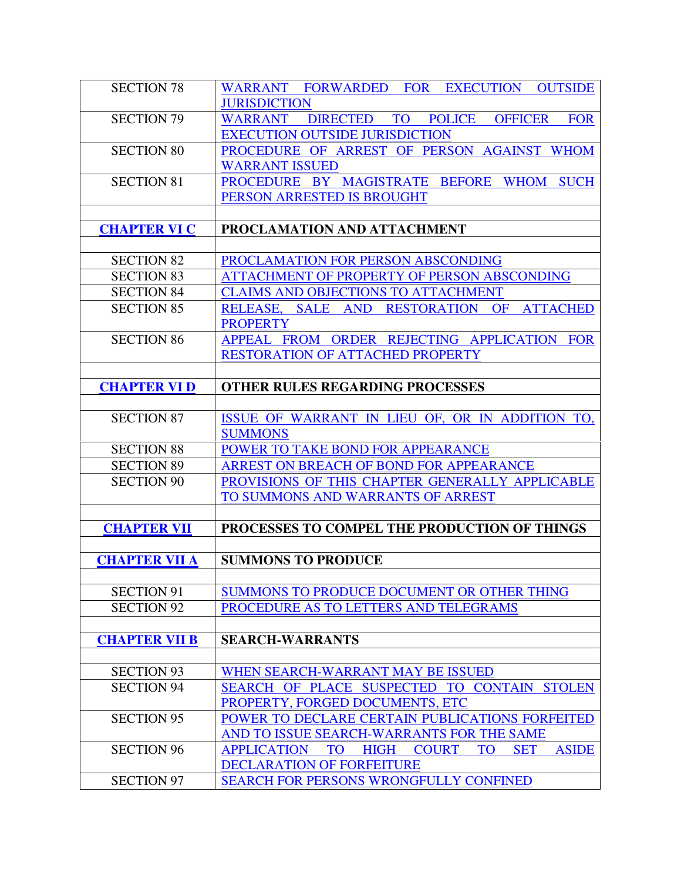| <b>SECTION 78</b>    | WARRANT FORWARDED FOR EXECUTION OUTSIDE                                                                   |
|----------------------|-----------------------------------------------------------------------------------------------------------|
|                      | <b>JURISDICTION</b>                                                                                       |
| <b>SECTION 79</b>    | WARRANT DIRECTED TO POLICE<br><b>OFFICER</b><br><b>FOR</b>                                                |
|                      | <b>EXECUTION OUTSIDE JURISDICTION</b>                                                                     |
| <b>SECTION 80</b>    | PROCEDURE OF ARREST OF PERSON AGAINST WHOM                                                                |
|                      | <b>WARRANT ISSUED</b>                                                                                     |
| <b>SECTION 81</b>    | PROCEDURE BY MAGISTRATE BEFORE WHOM SUCH                                                                  |
|                      | PERSON ARRESTED IS BROUGHT                                                                                |
|                      |                                                                                                           |
| <b>CHAPTER VI C</b>  | PROCLAMATION AND ATTACHMENT                                                                               |
|                      |                                                                                                           |
| <b>SECTION 82</b>    | PROCLAMATION FOR PERSON ABSCONDING                                                                        |
| <b>SECTION 83</b>    | ATTACHMENT OF PROPERTY OF PERSON ABSCONDING                                                               |
| <b>SECTION 84</b>    | <b>CLAIMS AND OBJECTIONS TO ATTACHMENT</b>                                                                |
| <b>SECTION 85</b>    | RELEASE, SALE AND RESTORATION OF ATTACHED                                                                 |
|                      | <b>PROPERTY</b>                                                                                           |
| <b>SECTION 86</b>    | APPEAL FROM ORDER REJECTING APPLICATION FOR                                                               |
|                      | <b>RESTORATION OF ATTACHED PROPERTY</b>                                                                   |
|                      |                                                                                                           |
| <b>CHAPTER VID</b>   | OTHER RULES REGARDING PROCESSES                                                                           |
|                      |                                                                                                           |
| <b>SECTION 87</b>    | ISSUE OF WARRANT IN LIEU OF, OR IN ADDITION TO,                                                           |
|                      | <b>SUMMONS</b>                                                                                            |
| <b>SECTION 88</b>    | POWER TO TAKE BOND FOR APPEARANCE                                                                         |
| <b>SECTION 89</b>    | ARREST ON BREACH OF BOND FOR APPEARANCE                                                                   |
| <b>SECTION 90</b>    | PROVISIONS OF THIS CHAPTER GENERALLY APPLICABLE                                                           |
|                      | TO SUMMONS AND WARRANTS OF ARREST                                                                         |
|                      |                                                                                                           |
| <b>CHAPTER VII</b>   | PROCESSES TO COMPEL THE PRODUCTION OF THINGS                                                              |
|                      |                                                                                                           |
| <b>CHAPTER VII A</b> | <b>SUMMONS TO PRODUCE</b>                                                                                 |
|                      |                                                                                                           |
| <b>SECTION 91</b>    | <b>SUMMONS TO PRODUCE DOCUMENT OR OTHER THING</b>                                                         |
| <b>SECTION 92</b>    | PROCEDURE AS TO LETTERS AND TELEGRAMS                                                                     |
|                      |                                                                                                           |
| <b>CHAPTER VII B</b> | <b>SEARCH-WARRANTS</b>                                                                                    |
| <b>SECTION 93</b>    | WHEN SEARCH-WARRANT MAY BE ISSUED                                                                         |
| <b>SECTION 94</b>    | SEARCH OF PLACE SUSPECTED TO CONTAIN STOLEN                                                               |
|                      | PROPERTY, FORGED DOCUMENTS, ETC                                                                           |
| <b>SECTION 95</b>    | POWER TO DECLARE CERTAIN PUBLICATIONS FORFEITED                                                           |
|                      | AND TO ISSUE SEARCH-WARRANTS FOR THE SAME                                                                 |
| <b>SECTION 96</b>    | <b>TO</b><br><b>HIGH</b><br><b>COURT</b><br><b>APPLICATION</b><br><b>TO</b><br><b>SET</b><br><b>ASIDE</b> |
|                      |                                                                                                           |
|                      |                                                                                                           |
| <b>SECTION 97</b>    | <b>DECLARATION OF FORFEITURE</b><br><b>SEARCH FOR PERSONS WRONGFULLY CONFINED</b>                         |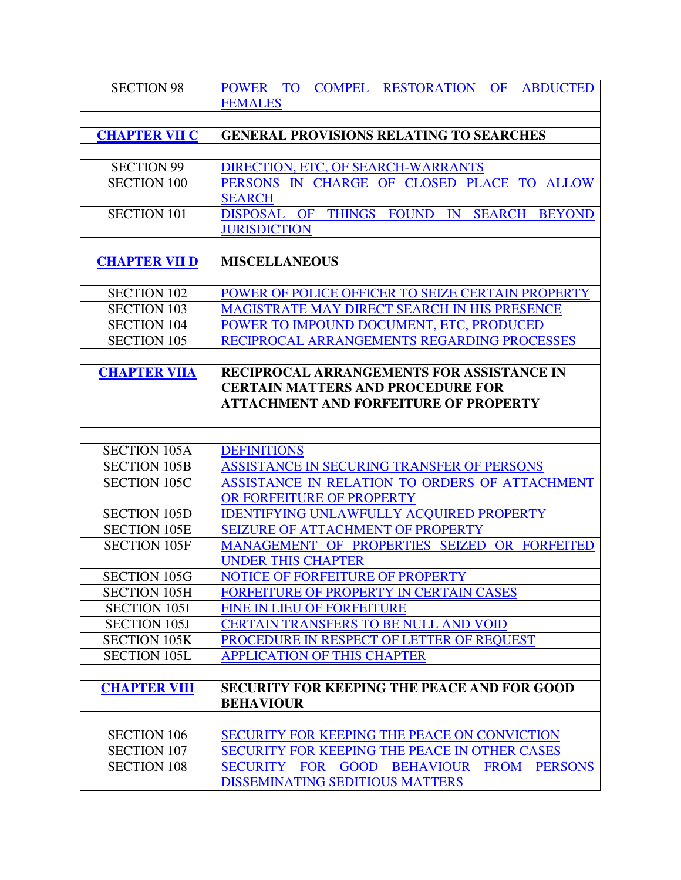| <b>SECTION 98</b>                        | POWER TO<br>COMPEL RESTORATION<br>OF ABDUCTED                                           |
|------------------------------------------|-----------------------------------------------------------------------------------------|
|                                          | <b>FEMALES</b>                                                                          |
|                                          |                                                                                         |
| <b>CHAPTER VII C</b>                     | <b>GENERAL PROVISIONS RELATING TO SEARCHES</b>                                          |
|                                          |                                                                                         |
| <b>SECTION 99</b>                        | DIRECTION, ETC, OF SEARCH-WARRANTS                                                      |
| <b>SECTION 100</b>                       | PERSONS IN CHARGE OF CLOSED PLACE TO ALLOW                                              |
|                                          | <b>SEARCH</b>                                                                           |
| <b>SECTION 101</b>                       | DISPOSAL OF THINGS FOUND IN SEARCH<br><b>BEYOND</b>                                     |
|                                          | <b>JURISDICTION</b>                                                                     |
|                                          |                                                                                         |
| <b>CHAPTER VII D</b>                     | <b>MISCELLANEOUS</b>                                                                    |
|                                          |                                                                                         |
| <b>SECTION 102</b><br><b>SECTION 103</b> | POWER OF POLICE OFFICER TO SEIZE CERTAIN PROPERTY                                       |
| <b>SECTION 104</b>                       | MAGISTRATE MAY DIRECT SEARCH IN HIS PRESENCE                                            |
| <b>SECTION 105</b>                       | POWER TO IMPOUND DOCUMENT, ETC, PRODUCED<br>RECIPROCAL ARRANGEMENTS REGARDING PROCESSES |
|                                          |                                                                                         |
| <b>CHAPTER VIIA</b>                      | RECIPROCAL ARRANGEMENTS FOR ASSISTANCE IN                                               |
|                                          | <b>CERTAIN MATTERS AND PROCEDURE FOR</b>                                                |
|                                          | <b>ATTACHMENT AND FORFEITURE OF PROPERTY</b>                                            |
|                                          |                                                                                         |
|                                          |                                                                                         |
| <b>SECTION 105A</b>                      | <b>DEFINITIONS</b>                                                                      |
| <b>SECTION 105B</b>                      | ASSISTANCE IN SECURING TRANSFER OF PERSONS                                              |
| <b>SECTION 105C</b>                      | ASSISTANCE IN RELATION TO ORDERS OF ATTACHMENT                                          |
|                                          | OR FORFEITURE OF PROPERTY                                                               |
| <b>SECTION 105D</b>                      | <b>IDENTIFYING UNLAWFULLY ACQUIRED PROPERTY</b>                                         |
| <b>SECTION 105E</b>                      | SEIZURE OF ATTACHMENT OF PROPERTY                                                       |
| <b>SECTION 105F</b>                      | MANAGEMENT OF PROPERTIES SEIZED OR FORFEITED                                            |
|                                          | <b>UNDER THIS CHAPTER</b>                                                               |
| <b>SECTION 105G</b>                      | NOTICE OF FORFEITURE OF PROPERTY                                                        |
| <b>SECTION 105H</b>                      | <b>FORFEITURE OF PROPERTY IN CERTAIN CASES</b>                                          |
| <b>SECTION 105I</b>                      | FINE IN LIEU OF FORFEITURE                                                              |
| <b>SECTION 105J</b>                      | <b>CERTAIN TRANSFERS TO BE NULL AND VOID</b>                                            |
| <b>SECTION 105K</b>                      | PROCEDURE IN RESPECT OF LETTER OF REOUEST                                               |
| <b>SECTION 105L</b>                      | <b>APPLICATION OF THIS CHAPTER</b>                                                      |
|                                          |                                                                                         |
| <b>CHAPTER VIII</b>                      | <b>SECURITY FOR KEEPING THE PEACE AND FOR GOOD</b>                                      |
|                                          | <b>BEHAVIOUR</b>                                                                        |
|                                          |                                                                                         |
| <b>SECTION 106</b>                       | SECURITY FOR KEEPING THE PEACE ON CONVICTION                                            |
| <b>SECTION 107</b>                       | SECURITY FOR KEEPING THE PEACE IN OTHER CASES                                           |
| <b>SECTION 108</b>                       | <b>SECURITY</b><br><b>FOR</b><br>GOOD<br>BEHAVIOUR FROM<br><b>PERSONS</b>               |
|                                          | <b>DISSEMINATING SEDITIOUS MATTERS</b>                                                  |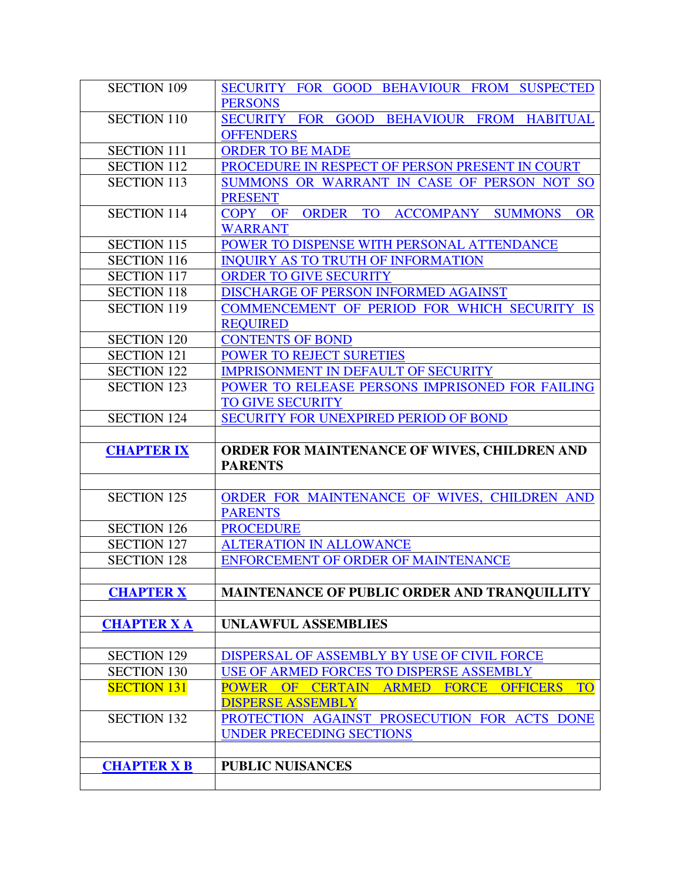| <b>SECTION 109</b> | SECURITY FOR GOOD BEHAVIOUR FROM SUSPECTED                                                        |
|--------------------|---------------------------------------------------------------------------------------------------|
|                    | <b>PERSONS</b>                                                                                    |
| <b>SECTION 110</b> | SECURITY FOR GOOD BEHAVIOUR FROM HABITUAL                                                         |
|                    | <b>OFFENDERS</b>                                                                                  |
| <b>SECTION 111</b> | <b>ORDER TO BE MADE</b>                                                                           |
| <b>SECTION 112</b> | PROCEDURE IN RESPECT OF PERSON PRESENT IN COURT                                                   |
| <b>SECTION 113</b> | SUMMONS OR WARRANT IN CASE OF PERSON NOT SO                                                       |
|                    | <b>PRESENT</b>                                                                                    |
| <b>SECTION 114</b> | <b>TO</b><br><b>ORDER</b><br><b>ACCOMPANY</b><br><b>SUMMONS</b><br><b>COPY</b><br><b>OR</b><br>OF |
|                    | <b>WARRANT</b>                                                                                    |
| <b>SECTION 115</b> | POWER TO DISPENSE WITH PERSONAL ATTENDANCE                                                        |
| <b>SECTION 116</b> | <b>INQUIRY AS TO TRUTH OF INFORMATION</b>                                                         |
| <b>SECTION 117</b> | <b>ORDER TO GIVE SECURITY</b>                                                                     |
| <b>SECTION 118</b> | DISCHARGE OF PERSON INFORMED AGAINST                                                              |
| <b>SECTION 119</b> | COMMENCEMENT OF PERIOD FOR WHICH SECURITY IS                                                      |
|                    | <b>REQUIRED</b>                                                                                   |
| <b>SECTION 120</b> | <b>CONTENTS OF BOND</b>                                                                           |
| <b>SECTION 121</b> | POWER TO REJECT SURETIES                                                                          |
| <b>SECTION 122</b> | <b>IMPRISONMENT IN DEFAULT OF SECURITY</b>                                                        |
| <b>SECTION 123</b> | POWER TO RELEASE PERSONS IMPRISONED FOR FAILING                                                   |
|                    | <b>TO GIVE SECURITY</b>                                                                           |
| <b>SECTION 124</b> | <b>SECURITY FOR UNEXPIRED PERIOD OF BOND</b>                                                      |
|                    |                                                                                                   |
|                    |                                                                                                   |
| <b>CHAPTER IX</b>  | ORDER FOR MAINTENANCE OF WIVES, CHILDREN AND                                                      |
|                    | <b>PARENTS</b>                                                                                    |
|                    |                                                                                                   |
| <b>SECTION 125</b> | ORDER FOR MAINTENANCE OF WIVES, CHILDREN AND                                                      |
|                    | <b>PARENTS</b>                                                                                    |
| <b>SECTION 126</b> | <b>PROCEDURE</b>                                                                                  |
| <b>SECTION 127</b> | <b>ALTERATION IN ALLOWANCE</b>                                                                    |
| <b>SECTION 128</b> | <b>ENFORCEMENT OF ORDER OF MAINTENANCE</b>                                                        |
|                    |                                                                                                   |
| <b>CHAPTER X</b>   | MAINTENANCE OF PUBLIC ORDER AND TRANQUILLITY                                                      |
|                    |                                                                                                   |
| <b>CHAPTER X A</b> | <b>UNLAWFUL ASSEMBLIES</b>                                                                        |
|                    |                                                                                                   |
| <b>SECTION 129</b> | DISPERSAL OF ASSEMBLY BY USE OF CIVIL FORCE                                                       |
| <b>SECTION 130</b> | USE OF ARMED FORCES TO DISPERSE ASSEMBLY                                                          |
| <b>SECTION 131</b> | <b>CERTAIN ARMED</b><br><b>FORCE</b><br><b>POWER</b><br>OF<br><b>OFFICERS TO</b>                  |
| <b>SECTION 132</b> | <b>DISPERSE ASSEMBLY</b>                                                                          |
|                    | PROTECTION AGAINST PROSECUTION FOR ACTS DONE<br><b>UNDER PRECEDING SECTIONS</b>                   |
|                    |                                                                                                   |
| <b>CHAPTER X B</b> | <b>PUBLIC NUISANCES</b>                                                                           |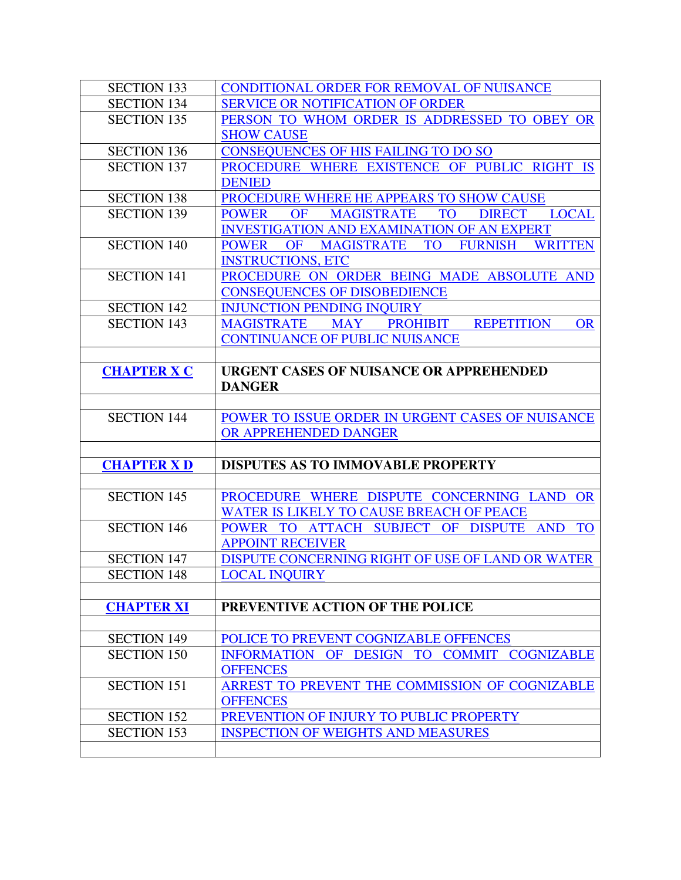| <b>SECTION 133</b> | CONDITIONAL ORDER FOR REMOVAL OF NUISANCE                                             |
|--------------------|---------------------------------------------------------------------------------------|
| <b>SECTION 134</b> | <b>SERVICE OR NOTIFICATION OF ORDER</b>                                               |
| <b>SECTION 135</b> | PERSON TO WHOM ORDER IS ADDRESSED TO OBEY OR                                          |
|                    | <b>SHOW CAUSE</b>                                                                     |
| <b>SECTION 136</b> | <b>CONSEQUENCES OF HIS FAILING TO DO SO</b>                                           |
| <b>SECTION 137</b> | PROCEDURE WHERE EXISTENCE OF PUBLIC RIGHT IS                                          |
|                    | <b>DENIED</b>                                                                         |
| <b>SECTION 138</b> | PROCEDURE WHERE HE APPEARS TO SHOW CAUSE                                              |
| <b>SECTION 139</b> | <b>LOCAL</b><br><b>POWER</b><br>OF<br><b>MAGISTRATE</b><br><b>TO</b><br><b>DIRECT</b> |
|                    | <b>INVESTIGATION AND EXAMINATION OF AN EXPERT</b>                                     |
| <b>SECTION 140</b> | POWER OF MAGISTRATE TO FURNISH WRITTEN                                                |
|                    | <b>INSTRUCTIONS, ETC</b>                                                              |
| <b>SECTION 141</b> | PROCEDURE ON ORDER BEING MADE ABSOLUTE AND                                            |
|                    | <b>CONSEQUENCES OF DISOBEDIENCE</b>                                                   |
| <b>SECTION 142</b> | <b>INJUNCTION PENDING INQUIRY</b>                                                     |
| <b>SECTION 143</b> | MAGISTRATE MAY PROHIBIT REPETITION<br><b>OR</b>                                       |
|                    | <b>CONTINUANCE OF PUBLIC NUISANCE</b>                                                 |
|                    |                                                                                       |
| <b>CHAPTER X C</b> | <b>URGENT CASES OF NUISANCE OR APPREHENDED</b>                                        |
|                    | <b>DANGER</b>                                                                         |
|                    |                                                                                       |
| <b>SECTION 144</b> | POWER TO ISSUE ORDER IN URGENT CASES OF NUISANCE                                      |
|                    | OR APPREHENDED DANGER                                                                 |
|                    |                                                                                       |
| <b>CHAPTER X D</b> | <b>DISPUTES AS TO IMMOVABLE PROPERTY</b>                                              |
|                    |                                                                                       |
| <b>SECTION 145</b> | PROCEDURE WHERE DISPUTE CONCERNING LAND<br><b>OR</b>                                  |
|                    | <b>WATER IS LIKELY TO CAUSE BREACH OF PEACE</b>                                       |
| <b>SECTION 146</b> | POWER TO ATTACH SUBJECT OF DISPUTE AND<br><b>TO</b>                                   |
|                    | <b>APPOINT RECEIVER</b>                                                               |
| <b>SECTION 147</b> |                                                                                       |
|                    | DISPUTE CONCERNING RIGHT OF USE OF LAND OR WATER                                      |
| <b>SECTION 148</b> | <b>LOCAL INQUIRY</b>                                                                  |
|                    |                                                                                       |
| <b>CHAPTER XI</b>  | PREVENTIVE ACTION OF THE POLICE                                                       |
|                    |                                                                                       |
| <b>SECTION 149</b> | POLICE TO PREVENT COGNIZABLE OFFENCES                                                 |
| <b>SECTION 150</b> | INFORMATION OF DESIGN TO COMMIT COGNIZABLE                                            |
|                    | <b>OFFENCES</b>                                                                       |
| <b>SECTION 151</b> | ARREST TO PREVENT THE COMMISSION OF COGNIZABLE                                        |
|                    | <b>OFFENCES</b>                                                                       |
| <b>SECTION 152</b> | PREVENTION OF INJURY TO PUBLIC PROPERTY                                               |
| <b>SECTION 153</b> | <b>INSPECTION OF WEIGHTS AND MEASURES</b>                                             |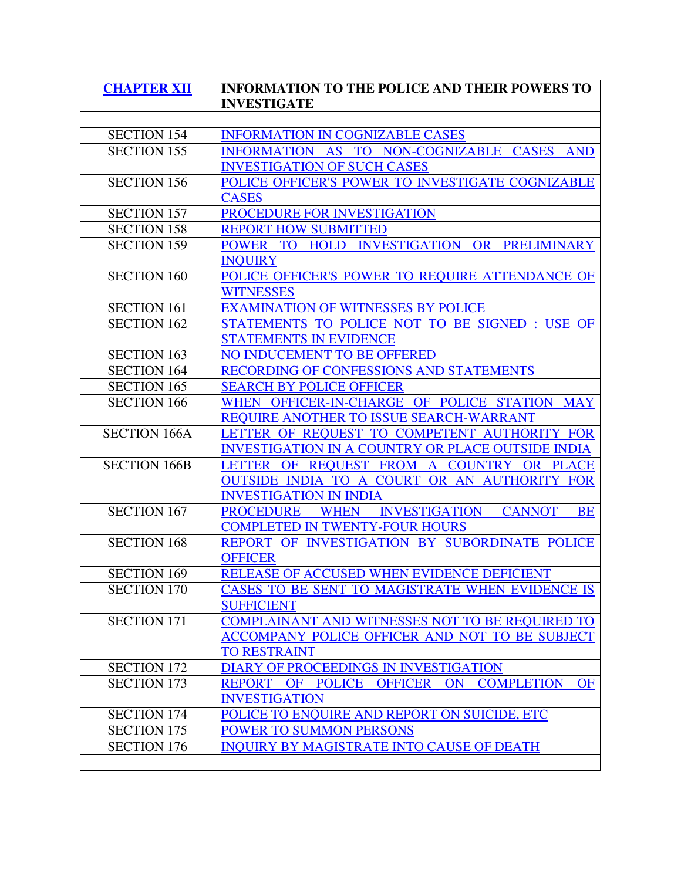| <b>CHAPTER XII</b>  | <b>INFORMATION TO THE POLICE AND THEIR POWERS TO</b>          |
|---------------------|---------------------------------------------------------------|
|                     | <b>INVESTIGATE</b>                                            |
|                     |                                                               |
| <b>SECTION 154</b>  | <b>INFORMATION IN COGNIZABLE CASES</b>                        |
| <b>SECTION 155</b>  | INFORMATION AS TO NON-COGNIZABLE CASES<br><b>AND</b>          |
|                     | <b>INVESTIGATION OF SUCH CASES</b>                            |
| <b>SECTION 156</b>  | POLICE OFFICER'S POWER TO INVESTIGATE COGNIZABLE              |
|                     | <b>CASES</b>                                                  |
| <b>SECTION 157</b>  | PROCEDURE FOR INVESTIGATION                                   |
| <b>SECTION 158</b>  | <b>REPORT HOW SUBMITTED</b>                                   |
| <b>SECTION 159</b>  | POWER TO HOLD INVESTIGATION OR PRELIMINARY                    |
|                     | <b>INQUIRY</b>                                                |
| <b>SECTION 160</b>  | POLICE OFFICER'S POWER TO REQUIRE ATTENDANCE OF               |
|                     | <b>WITNESSES</b>                                              |
| <b>SECTION 161</b>  | <b>EXAMINATION OF WITNESSES BY POLICE</b>                     |
| <b>SECTION 162</b>  | STATEMENTS TO POLICE NOT TO BE SIGNED: USE OF                 |
|                     | <b>STATEMENTS IN EVIDENCE</b>                                 |
| <b>SECTION 163</b>  | NO INDUCEMENT TO BE OFFERED                                   |
| <b>SECTION 164</b>  | RECORDING OF CONFESSIONS AND STATEMENTS                       |
| <b>SECTION 165</b>  | <b>SEARCH BY POLICE OFFICER</b>                               |
| <b>SECTION 166</b>  | WHEN OFFICER-IN-CHARGE OF POLICE STATION MAY                  |
|                     | REQUIRE ANOTHER TO ISSUE SEARCH-WARRANT                       |
| <b>SECTION 166A</b> | LETTER OF REQUEST TO COMPETENT AUTHORITY FOR                  |
|                     | <b>INVESTIGATION IN A COUNTRY OR PLACE OUTSIDE INDIA</b>      |
| <b>SECTION 166B</b> | LETTER OF REQUEST FROM A COUNTRY OR PLACE                     |
|                     | OUTSIDE INDIA TO A COURT OR AN AUTHORITY FOR                  |
|                     | <b>INVESTIGATION IN INDIA</b>                                 |
| <b>SECTION 167</b>  | WHEN INVESTIGATION<br><b>CANNOT</b><br>PROCEDURE<br><b>BE</b> |
|                     | <b>COMPLETED IN TWENTY-FOUR HOURS</b>                         |
| <b>SECTION 168</b>  | REPORT OF INVESTIGATION BY SUBORDINATE POLICE                 |
|                     | <b>OFFICER</b>                                                |
| <b>SECTION 169</b>  | RELEASE OF ACCUSED WHEN EVIDENCE DEFICIENT                    |
| <b>SECTION 170</b>  | CASES TO BE SENT TO MAGISTRATE WHEN EVIDENCE IS               |
|                     | <b>SUFFICIENT</b>                                             |
| <b>SECTION 171</b>  | <b>COMPLAINANT AND WITNESSES NOT TO BE REOUIRED TO</b>        |
|                     | ACCOMPANY POLICE OFFICER AND NOT TO BE SUBJECT                |
|                     | <b>TO RESTRAINT</b>                                           |
| <b>SECTION 172</b>  | <b>DIARY OF PROCEEDINGS IN INVESTIGATION</b>                  |
| <b>SECTION 173</b>  | REPORT OF POLICE OFFICER ON COMPLETION<br><b>OF</b>           |
|                     | <b>INVESTIGATION</b>                                          |
| <b>SECTION 174</b>  | POLICE TO ENQUIRE AND REPORT ON SUICIDE, ETC                  |
| <b>SECTION 175</b>  | POWER TO SUMMON PERSONS                                       |
| <b>SECTION 176</b>  | <b>INQUIRY BY MAGISTRATE INTO CAUSE OF DEATH</b>              |
|                     |                                                               |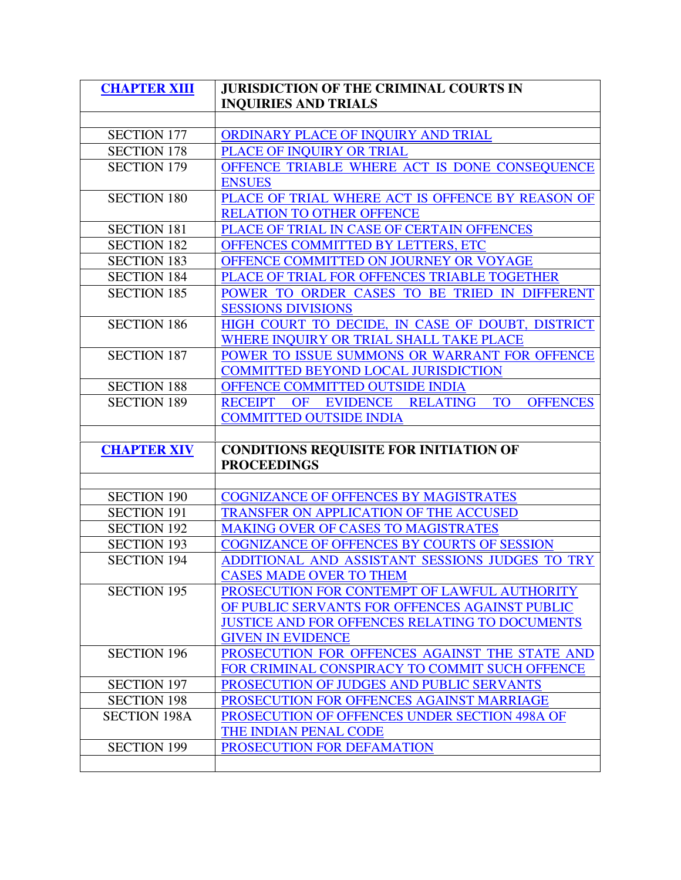| <b>CHAPTER XIII</b> | <b>JURISDICTION OF THE CRIMINAL COURTS IN</b><br><b>INQUIRIES AND TRIALS</b> |
|---------------------|------------------------------------------------------------------------------|
|                     |                                                                              |
| <b>SECTION 177</b>  | ORDINARY PLACE OF INQUIRY AND TRIAL                                          |
| <b>SECTION 178</b>  | PLACE OF INOUIRY OR TRIAL                                                    |
| <b>SECTION 179</b>  | OFFENCE TRIABLE WHERE ACT IS DONE CONSEQUENCE                                |
|                     | <b>ENSUES</b>                                                                |
| <b>SECTION 180</b>  | PLACE OF TRIAL WHERE ACT IS OFFENCE BY REASON OF                             |
|                     | <b>RELATION TO OTHER OFFENCE</b>                                             |
| <b>SECTION 181</b>  | PLACE OF TRIAL IN CASE OF CERTAIN OFFENCES                                   |
| <b>SECTION 182</b>  | OFFENCES COMMITTED BY LETTERS, ETC                                           |
| <b>SECTION 183</b>  | OFFENCE COMMITTED ON JOURNEY OR VOYAGE                                       |
| <b>SECTION 184</b>  | PLACE OF TRIAL FOR OFFENCES TRIABLE TOGETHER                                 |
| <b>SECTION 185</b>  | POWER TO ORDER CASES TO BE TRIED IN DIFFERENT                                |
|                     | <b>SESSIONS DIVISIONS</b>                                                    |
| <b>SECTION 186</b>  | HIGH COURT TO DECIDE, IN CASE OF DOUBT, DISTRICT                             |
|                     | WHERE INQUIRY OR TRIAL SHALL TAKE PLACE                                      |
| <b>SECTION 187</b>  | POWER TO ISSUE SUMMONS OR WARRANT FOR OFFENCE                                |
|                     | COMMITTED BEYOND LOCAL JURISDICTION                                          |
| <b>SECTION 188</b>  | OFFENCE COMMITTED OUTSIDE INDIA                                              |
| <b>SECTION 189</b>  | <b>TO</b><br><b>OFFENCES</b><br><b>RECEIPT</b><br>OF EVIDENCE RELATING       |
|                     | <b>COMMITTED OUTSIDE INDIA</b>                                               |
|                     |                                                                              |
|                     |                                                                              |
| <b>CHAPTER XIV</b>  | <b>CONDITIONS REQUISITE FOR INITIATION OF</b>                                |
|                     | <b>PROCEEDINGS</b>                                                           |
|                     |                                                                              |
| <b>SECTION 190</b>  | <b>COGNIZANCE OF OFFENCES BY MAGISTRATES</b>                                 |
| <b>SECTION 191</b>  | <b>TRANSFER ON APPLICATION OF THE ACCUSED</b>                                |
| <b>SECTION 192</b>  | <b>MAKING OVER OF CASES TO MAGISTRATES</b>                                   |
| <b>SECTION 193</b>  | <b>COGNIZANCE OF OFFENCES BY COURTS OF SESSION</b>                           |
| <b>SECTION 194</b>  | ADDITIONAL AND ASSISTANT SESSIONS JUDGES TO TRY                              |
|                     | <b>CASES MADE OVER TO THEM</b>                                               |
| <b>SECTION 195</b>  | PROSECUTION FOR CONTEMPT OF LAWFUL AUTHORITY                                 |
|                     | OF PUBLIC SERVANTS FOR OFFENCES AGAINST PUBLIC                               |
|                     | <b>JUSTICE AND FOR OFFENCES RELATING TO DOCUMENTS</b>                        |
|                     | <b>GIVEN IN EVIDENCE</b>                                                     |
| <b>SECTION 196</b>  | PROSECUTION FOR OFFENCES AGAINST THE STATE AND                               |
|                     | FOR CRIMINAL CONSPIRACY TO COMMIT SUCH OFFENCE                               |
| <b>SECTION 197</b>  | PROSECUTION OF JUDGES AND PUBLIC SERVANTS                                    |
| <b>SECTION 198</b>  | PROSECUTION FOR OFFENCES AGAINST MARRIAGE                                    |
| <b>SECTION 198A</b> | PROSECUTION OF OFFENCES UNDER SECTION 498A OF                                |
|                     | THE INDIAN PENAL CODE                                                        |
| <b>SECTION 199</b>  | PROSECUTION FOR DEFAMATION                                                   |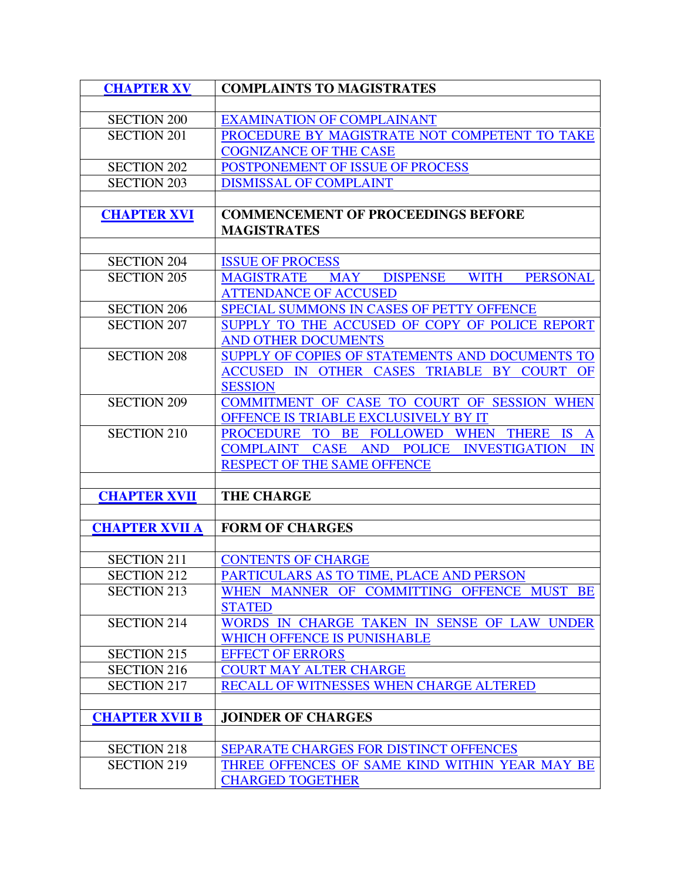| <b>CHAPTER XV</b>                        | <b>COMPLAINTS TO MAGISTRATES</b>                                                      |
|------------------------------------------|---------------------------------------------------------------------------------------|
|                                          |                                                                                       |
| <b>SECTION 200</b>                       | <b>EXAMINATION OF COMPLAINANT</b>                                                     |
| <b>SECTION 201</b>                       | PROCEDURE BY MAGISTRATE NOT COMPETENT TO TAKE                                         |
|                                          | <b>COGNIZANCE OF THE CASE</b>                                                         |
| <b>SECTION 202</b>                       | POSTPONEMENT OF ISSUE OF PROCESS                                                      |
| <b>SECTION 203</b>                       | <b>DISMISSAL OF COMPLAINT</b>                                                         |
|                                          |                                                                                       |
| <b>CHAPTER XVI</b>                       | <b>COMMENCEMENT OF PROCEEDINGS BEFORE</b>                                             |
|                                          | <b>MAGISTRATES</b>                                                                    |
|                                          |                                                                                       |
| <b>SECTION 204</b>                       | <b>ISSUE OF PROCESS</b><br><b>WITH</b>                                                |
| <b>SECTION 205</b>                       | MAGISTRATE MAY DISPENSE<br><b>PERSONAL</b><br><b>ATTENDANCE OF ACCUSED</b>            |
| <b>SECTION 206</b>                       | SPECIAL SUMMONS IN CASES OF PETTY OFFENCE                                             |
| <b>SECTION 207</b>                       | SUPPLY TO THE ACCUSED OF COPY OF POLICE REPORT                                        |
|                                          | <b>AND OTHER DOCUMENTS</b>                                                            |
| <b>SECTION 208</b>                       | SUPPLY OF COPIES OF STATEMENTS AND DOCUMENTS TO                                       |
|                                          | ACCUSED IN OTHER CASES TRIABLE BY COURT OF                                            |
|                                          | <b>SESSION</b>                                                                        |
| <b>SECTION 209</b>                       | COMMITMENT OF CASE TO COURT OF SESSION WHEN                                           |
|                                          | OFFENCE IS TRIABLE EXCLUSIVELY BY IT                                                  |
| <b>SECTION 210</b>                       | PROCEDURE TO BE FOLLOWED WHEN THERE IS<br>A                                           |
|                                          | COMPLAINT CASE AND POLICE INVESTIGATION<br>IN                                         |
|                                          | <b>RESPECT OF THE SAME OFFENCE</b>                                                    |
|                                          |                                                                                       |
| <b>CHAPTER XVII</b>                      | <b>THE CHARGE</b>                                                                     |
|                                          |                                                                                       |
| <b>CHAPTER XVII A</b>                    | <b>FORM OF CHARGES</b>                                                                |
|                                          | <b>CONTENTS OF CHARGE</b>                                                             |
| <b>SECTION 211</b><br><b>SECTION 212</b> |                                                                                       |
| <b>SECTION 213</b>                       | PARTICULARS AS TO TIME, PLACE AND PERSON<br>WHEN MANNER OF COMMITTING OFFENCE MUST BE |
|                                          | <b>STATED</b>                                                                         |
| <b>SECTION 214</b>                       | WORDS IN CHARGE TAKEN IN SENSE OF LAW UNDER                                           |
|                                          | <b>WHICH OFFENCE IS PUNISHABLE</b>                                                    |
| <b>SECTION 215</b>                       | <b>EFFECT OF ERRORS</b>                                                               |
| <b>SECTION 216</b>                       | <b>COURT MAY ALTER CHARGE</b>                                                         |
| <b>SECTION 217</b>                       | RECALL OF WITNESSES WHEN CHARGE ALTERED                                               |
|                                          |                                                                                       |
| <b>CHAPTER XVII B</b>                    | <b>JOINDER OF CHARGES</b>                                                             |
|                                          |                                                                                       |
| <b>SECTION 218</b>                       | SEPARATE CHARGES FOR DISTINCT OFFENCES                                                |
| <b>SECTION 219</b>                       | THREE OFFENCES OF SAME KIND WITHIN YEAR MAY BE                                        |
|                                          | <b>CHARGED TOGETHER</b>                                                               |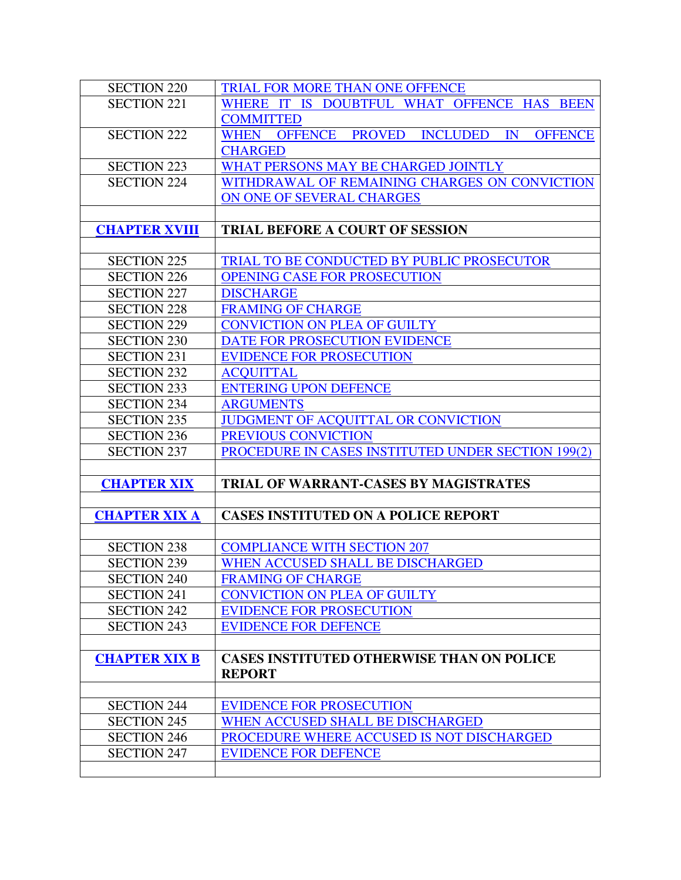| <b>SECTION 220</b>   | <b>TRIAL FOR MORE THAN ONE OFFENCE</b>                                   |
|----------------------|--------------------------------------------------------------------------|
| SECTION 221          | WHERE IT IS DOUBTFUL WHAT OFFENCE HAS BEEN                               |
|                      | <b>COMMITTED</b>                                                         |
| <b>SECTION 222</b>   | WHEN OFFENCE PROVED<br><b>INCLUDED</b><br><b>OFFENCE</b><br>$\mathbb{N}$ |
|                      | <b>CHARGED</b>                                                           |
| <b>SECTION 223</b>   | WHAT PERSONS MAY BE CHARGED JOINTLY                                      |
| <b>SECTION 224</b>   | WITHDRAWAL OF REMAINING CHARGES ON CONVICTION                            |
|                      | ON ONE OF SEVERAL CHARGES                                                |
|                      |                                                                          |
| <b>CHAPTER XVIII</b> | <b>TRIAL BEFORE A COURT OF SESSION</b>                                   |
|                      |                                                                          |
| <b>SECTION 225</b>   | TRIAL TO BE CONDUCTED BY PUBLIC PROSECUTOR                               |
| <b>SECTION 226</b>   | <b>OPENING CASE FOR PROSECUTION</b>                                      |
| <b>SECTION 227</b>   | <b>DISCHARGE</b>                                                         |
| <b>SECTION 228</b>   | <b>FRAMING OF CHARGE</b>                                                 |
| <b>SECTION 229</b>   | <b>CONVICTION ON PLEA OF GUILTY</b>                                      |
| <b>SECTION 230</b>   | DATE FOR PROSECUTION EVIDENCE                                            |
| <b>SECTION 231</b>   | <b>EVIDENCE FOR PROSECUTION</b>                                          |
| <b>SECTION 232</b>   | <b>ACQUITTAL</b>                                                         |
| <b>SECTION 233</b>   | <b>ENTERING UPON DEFENCE</b>                                             |
| <b>SECTION 234</b>   | <b>ARGUMENTS</b>                                                         |
| <b>SECTION 235</b>   | JUDGMENT OF ACQUITTAL OR CONVICTION                                      |
| <b>SECTION 236</b>   |                                                                          |
|                      | PREVIOUS CONVICTION                                                      |
| <b>SECTION 237</b>   | PROCEDURE IN CASES INSTITUTED UNDER SECTION 199(2)                       |
|                      |                                                                          |
| <b>CHAPTER XIX</b>   | <b>TRIAL OF WARRANT-CASES BY MAGISTRATES</b>                             |
|                      |                                                                          |
| <b>CHAPTER XIX A</b> | <b>CASES INSTITUTED ON A POLICE REPORT</b>                               |
|                      |                                                                          |
| <b>SECTION 238</b>   | <b>COMPLIANCE WITH SECTION 207</b>                                       |
| <b>SECTION 239</b>   | <b>WHEN ACCUSED SHALL BE DISCHARGED</b>                                  |
| <b>SECTION 240</b>   | <b>FRAMING OF CHARGE</b>                                                 |
| <b>SECTION 241</b>   | <b>CONVICTION ON PLEA OF GUILTY</b>                                      |
| <b>SECTION 242</b>   | <b>EVIDENCE FOR PROSECUTION</b>                                          |
| <b>SECTION 243</b>   | <b>EVIDENCE FOR DEFENCE</b>                                              |
|                      |                                                                          |
| <b>CHAPTER XIX B</b> | <b>CASES INSTITUTED OTHERWISE THAN ON POLICE</b>                         |
|                      | <b>REPORT</b>                                                            |
|                      |                                                                          |
| <b>SECTION 244</b>   | <b>EVIDENCE FOR PROSECUTION</b>                                          |
| <b>SECTION 245</b>   | WHEN ACCUSED SHALL BE DISCHARGED                                         |
| <b>SECTION 246</b>   | PROCEDURE WHERE ACCUSED IS NOT DISCHARGED                                |
| <b>SECTION 247</b>   | <b>EVIDENCE FOR DEFENCE</b>                                              |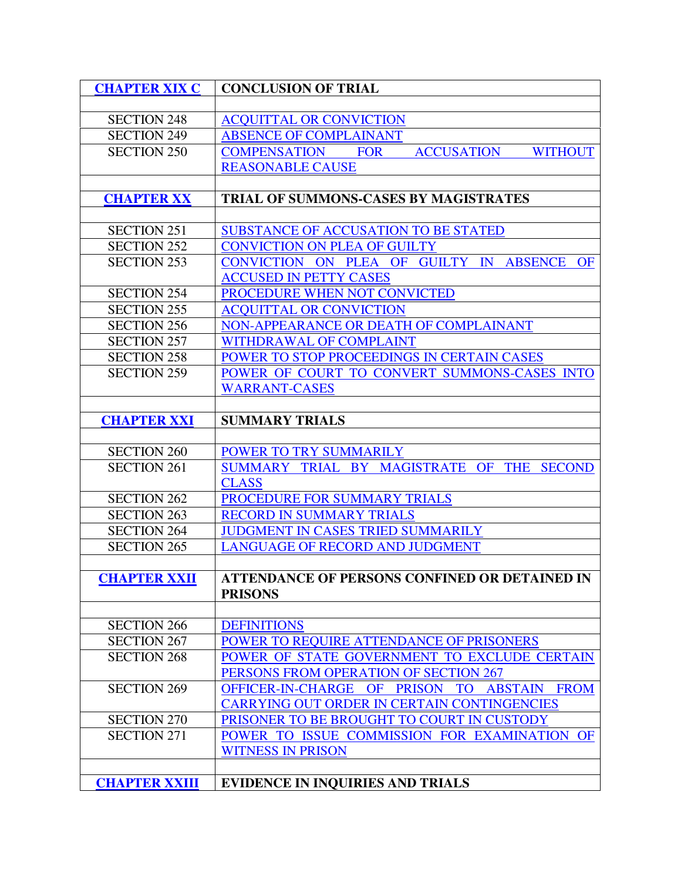| <b>CHAPTER XIX C</b>                     | <b>CONCLUSION OF TRIAL</b>                                                                   |
|------------------------------------------|----------------------------------------------------------------------------------------------|
|                                          |                                                                                              |
| <b>SECTION 248</b>                       | <b>ACQUITTAL OR CONVICTION</b>                                                               |
| <b>SECTION 249</b>                       | <b>ABSENCE OF COMPLAINANT</b>                                                                |
| <b>SECTION 250</b>                       | <b>COMPENSATION FOR</b><br><b>ACCUSATION</b><br><b>WITHOUT</b>                               |
|                                          | <b>REASONABLE CAUSE</b>                                                                      |
|                                          |                                                                                              |
| <b>CHAPTER XX</b>                        | <b>TRIAL OF SUMMONS-CASES BY MAGISTRATES</b>                                                 |
|                                          |                                                                                              |
| <b>SECTION 251</b>                       | <b>SUBSTANCE OF ACCUSATION TO BE STATED</b>                                                  |
| <b>SECTION 252</b>                       | <b>CONVICTION ON PLEA OF GUILTY</b>                                                          |
| <b>SECTION 253</b>                       | CONVICTION ON PLEA OF GUILTY IN ABSENCE<br>OF                                                |
|                                          | <b>ACCUSED IN PETTY CASES</b>                                                                |
| <b>SECTION 254</b>                       | PROCEDURE WHEN NOT CONVICTED                                                                 |
| <b>SECTION 255</b>                       | <b>ACQUITTAL OR CONVICTION</b>                                                               |
| <b>SECTION 256</b>                       | NON-APPEARANCE OR DEATH OF COMPLAINANT                                                       |
| <b>SECTION 257</b>                       | WITHDRAWAL OF COMPLAINT                                                                      |
| <b>SECTION 258</b>                       | POWER TO STOP PROCEEDINGS IN CERTAIN CASES                                                   |
| <b>SECTION 259</b>                       | POWER OF COURT TO CONVERT SUMMONS-CASES INTO                                                 |
|                                          | <b>WARRANT-CASES</b>                                                                         |
|                                          |                                                                                              |
| <b>CHAPTER XXI</b>                       | <b>SUMMARY TRIALS</b>                                                                        |
|                                          |                                                                                              |
| <b>SECTION 260</b>                       | POWER TO TRY SUMMARILY                                                                       |
| <b>SECTION 261</b>                       | SUMMARY TRIAL BY MAGISTRATE OF THE<br><b>SECOND</b>                                          |
|                                          | <b>CLASS</b>                                                                                 |
| <b>SECTION 262</b>                       | PROCEDURE FOR SUMMARY TRIALS                                                                 |
| <b>SECTION 263</b>                       | <b>RECORD IN SUMMARY TRIALS</b>                                                              |
| <b>SECTION 264</b>                       | <b>JUDGMENT IN CASES TRIED SUMMARILY</b>                                                     |
| <b>SECTION 265</b>                       | <b>LANGUAGE OF RECORD AND JUDGMENT</b>                                                       |
|                                          |                                                                                              |
| <b>CHAPTER XXII</b>                      | ATTENDANCE OF PERSONS CONFINED OR DETAINED IN                                                |
|                                          | <b>PRISONS</b>                                                                               |
|                                          | <b>DEFINITIONS</b>                                                                           |
| <b>SECTION 266</b><br><b>SECTION 267</b> |                                                                                              |
|                                          | POWER TO REQUIRE ATTENDANCE OF PRISONERS                                                     |
| <b>SECTION 268</b>                       | POWER OF STATE GOVERNMENT TO EXCLUDE CERTAIN                                                 |
|                                          | PERSONS FROM OPERATION OF SECTION 267<br><b>ABSTAIN</b>                                      |
| <b>SECTION 269</b>                       | OFFICER-IN-CHARGE OF PRISON TO<br><b>FROM</b><br>CARRYING OUT ORDER IN CERTAIN CONTINGENCIES |
| <b>SECTION 270</b>                       |                                                                                              |
| <b>SECTION 271</b>                       | PRISONER TO BE BROUGHT TO COURT IN CUSTODY<br>POWER TO ISSUE COMMISSION FOR EXAMINATION OF   |
|                                          | <b>WITNESS IN PRISON</b>                                                                     |
|                                          |                                                                                              |
| <b>CHAPTER XXIII</b>                     | <b>EVIDENCE IN INQUIRIES AND TRIALS</b>                                                      |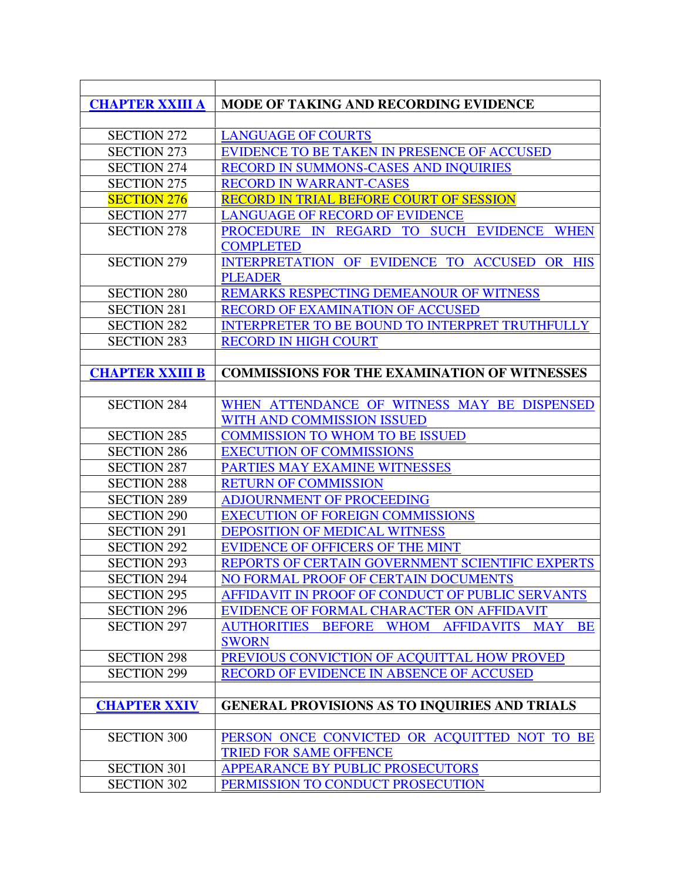| <b>CHAPTER XXIII A</b> | <b>MODE OF TAKING AND RECORDING EVIDENCE</b>           |
|------------------------|--------------------------------------------------------|
|                        |                                                        |
| <b>SECTION 272</b>     | <b>LANGUAGE OF COURTS</b>                              |
| <b>SECTION 273</b>     | EVIDENCE TO BE TAKEN IN PRESENCE OF ACCUSED            |
| <b>SECTION 274</b>     | RECORD IN SUMMONS-CASES AND INQUIRIES                  |
| <b>SECTION 275</b>     | <b>RECORD IN WARRANT-CASES</b>                         |
| <b>SECTION 276</b>     | RECORD IN TRIAL BEFORE COURT OF SESSION                |
| <b>SECTION 277</b>     | <b>LANGUAGE OF RECORD OF EVIDENCE</b>                  |
| <b>SECTION 278</b>     | PROCEDURE IN REGARD TO SUCH EVIDENCE WHEN              |
|                        | <b>COMPLETED</b>                                       |
| <b>SECTION 279</b>     | INTERPRETATION OF EVIDENCE TO ACCUSED OR HIS           |
|                        | <b>PLEADER</b>                                         |
| <b>SECTION 280</b>     | REMARKS RESPECTING DEMEANOUR OF WITNESS                |
| <b>SECTION 281</b>     | <b>RECORD OF EXAMINATION OF ACCUSED</b>                |
| <b>SECTION 282</b>     | <b>INTERPRETER TO BE BOUND TO INTERPRET TRUTHFULLY</b> |
| <b>SECTION 283</b>     | <b>RECORD IN HIGH COURT</b>                            |
|                        |                                                        |
| <b>CHAPTER XXIII B</b> | <b>COMMISSIONS FOR THE EXAMINATION OF WITNESSES</b>    |
|                        |                                                        |
| <b>SECTION 284</b>     | WHEN ATTENDANCE OF WITNESS MAY BE DISPENSED            |
|                        | WITH AND COMMISSION ISSUED                             |
| <b>SECTION 285</b>     | <b>COMMISSION TO WHOM TO BE ISSUED</b>                 |
| <b>SECTION 286</b>     | <b>EXECUTION OF COMMISSIONS</b>                        |
| <b>SECTION 287</b>     | PARTIES MAY EXAMINE WITNESSES                          |
| <b>SECTION 288</b>     | <b>RETURN OF COMMISSION</b>                            |
| <b>SECTION 289</b>     | <b>ADJOURNMENT OF PROCEEDING</b>                       |
| <b>SECTION 290</b>     | <b>EXECUTION OF FOREIGN COMMISSIONS</b>                |
| <b>SECTION 291</b>     | <b>DEPOSITION OF MEDICAL WITNESS</b>                   |
| <b>SECTION 292</b>     | <b>EVIDENCE OF OFFICERS OF THE MINT</b>                |
| <b>SECTION 293</b>     | REPORTS OF CERTAIN GOVERNMENT SCIENTIFIC EXPERTS       |
| <b>SECTION 294</b>     | NO FORMAL PROOF OF CERTAIN DOCUMENTS                   |
| <b>SECTION 295</b>     | AFFIDAVIT IN PROOF OF CONDUCT OF PUBLIC SERVANTS       |
| <b>SECTION 296</b>     | EVIDENCE OF FORMAL CHARACTER ON AFFIDAVIT              |
| <b>SECTION 297</b>     | AUTHORITIES BEFORE WHOM AFFIDAVITS MAY<br>BE           |
|                        | <b>SWORN</b>                                           |
| <b>SECTION 298</b>     | PREVIOUS CONVICTION OF ACQUITTAL HOW PROVED            |
| <b>SECTION 299</b>     | <b>RECORD OF EVIDENCE IN ABSENCE OF ACCUSED</b>        |
|                        |                                                        |
| <b>CHAPTER XXIV</b>    | <b>GENERAL PROVISIONS AS TO INQUIRIES AND TRIALS</b>   |
|                        |                                                        |
| <b>SECTION 300</b>     | PERSON ONCE CONVICTED OR ACQUITTED NOT TO BE           |
|                        | <b>TRIED FOR SAME OFFENCE</b>                          |
| <b>SECTION 301</b>     | <b>APPEARANCE BY PUBLIC PROSECUTORS</b>                |
| <b>SECTION 302</b>     | PERMISSION TO CONDUCT PROSECUTION                      |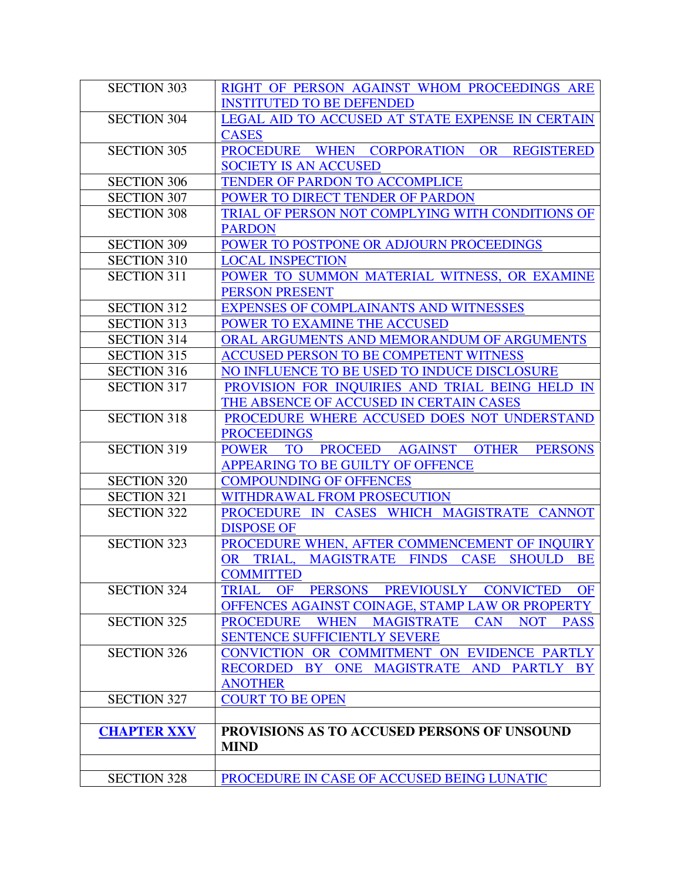| <b>SECTION 303</b> | RIGHT OF PERSON AGAINST WHOM PROCEEDINGS ARE                                                    |
|--------------------|-------------------------------------------------------------------------------------------------|
|                    | <b>INSTITUTED TO BE DEFENDED</b>                                                                |
| <b>SECTION 304</b> | LEGAL AID TO ACCUSED AT STATE EXPENSE IN CERTAIN                                                |
|                    | <b>CASES</b>                                                                                    |
| <b>SECTION 305</b> | PROCEDURE WHEN<br>CORPORATION OR REGISTERED                                                     |
|                    | <b>SOCIETY IS AN ACCUSED</b>                                                                    |
| <b>SECTION 306</b> | <b>TENDER OF PARDON TO ACCOMPLICE</b>                                                           |
| <b>SECTION 307</b> | POWER TO DIRECT TENDER OF PARDON                                                                |
| <b>SECTION 308</b> | TRIAL OF PERSON NOT COMPLYING WITH CONDITIONS OF                                                |
|                    | <b>PARDON</b>                                                                                   |
| <b>SECTION 309</b> | POWER TO POSTPONE OR ADJOURN PROCEEDINGS                                                        |
| <b>SECTION 310</b> | <b>LOCAL INSPECTION</b>                                                                         |
| <b>SECTION 311</b> | POWER TO SUMMON MATERIAL WITNESS, OR EXAMINE                                                    |
|                    | <b>PERSON PRESENT</b>                                                                           |
| <b>SECTION 312</b> | <b>EXPENSES OF COMPLAINANTS AND WITNESSES</b>                                                   |
| <b>SECTION 313</b> | <b>POWER TO EXAMINE THE ACCUSED</b>                                                             |
| <b>SECTION 314</b> | ORAL ARGUMENTS AND MEMORANDUM OF ARGUMENTS                                                      |
| <b>SECTION 315</b> | <b>ACCUSED PERSON TO BE COMPETENT WITNESS</b>                                                   |
| <b>SECTION 316</b> | NO INFLUENCE TO BE USED TO INDUCE DISCLOSURE                                                    |
| <b>SECTION 317</b> | PROVISION FOR INQUIRIES AND TRIAL BEING HELD IN                                                 |
|                    | THE ABSENCE OF ACCUSED IN CERTAIN CASES                                                         |
| <b>SECTION 318</b> | PROCEDURE WHERE ACCUSED DOES NOT UNDERSTAND                                                     |
|                    | <b>PROCEEDINGS</b>                                                                              |
| <b>SECTION 319</b> | POWER TO PROCEED AGAINST OTHER<br><b>PERSONS</b>                                                |
|                    | APPEARING TO BE GUILTY OF OFFENCE                                                               |
| <b>SECTION 320</b> | <b>COMPOUNDING OF OFFENCES</b>                                                                  |
| <b>SECTION 321</b> | WITHDRAWAL FROM PROSECUTION                                                                     |
| <b>SECTION 322</b> | PROCEDURE IN CASES WHICH MAGISTRATE CANNOT                                                      |
|                    | <b>DISPOSE OF</b>                                                                               |
| <b>SECTION 323</b> | PROCEDURE WHEN, AFTER COMMENCEMENT OF INQUIRY                                                   |
|                    | OR TRIAL,<br><b>MAGISTRATE FINDS</b><br><b>SHOULD</b><br><b>CASE</b><br><b>BE</b>               |
|                    | <b>COMMITTED</b>                                                                                |
| <b>SECTION 324</b> | OF PERSONS PREVIOUSLY<br><b>CONVICTED</b><br><b>OF</b><br>TRIAL                                 |
|                    | OFFENCES AGAINST COINAGE, STAMP LAW OR PROPERTY                                                 |
| <b>SECTION 325</b> | <b>WHEN</b><br><b>PROCEDURE</b><br><b>MAGISTRATE</b><br><b>CAN</b><br><b>NOT</b><br><b>PASS</b> |
|                    | <b>SENTENCE SUFFICIENTLY SEVERE</b>                                                             |
| <b>SECTION 326</b> | CONVICTION OR COMMITMENT ON EVIDENCE PARTLY                                                     |
|                    | BY ONE MAGISTRATE AND PARTLY BY<br><b>RECORDED</b>                                              |
|                    | <b>ANOTHER</b>                                                                                  |
| <b>SECTION 327</b> | <b>COURT TO BE OPEN</b>                                                                         |
|                    |                                                                                                 |
| <b>CHAPTER XXV</b> | PROVISIONS AS TO ACCUSED PERSONS OF UNSOUND                                                     |
|                    | <b>MIND</b>                                                                                     |
|                    |                                                                                                 |
| <b>SECTION 328</b> | PROCEDURE IN CASE OF ACCUSED BEING LUNATIC                                                      |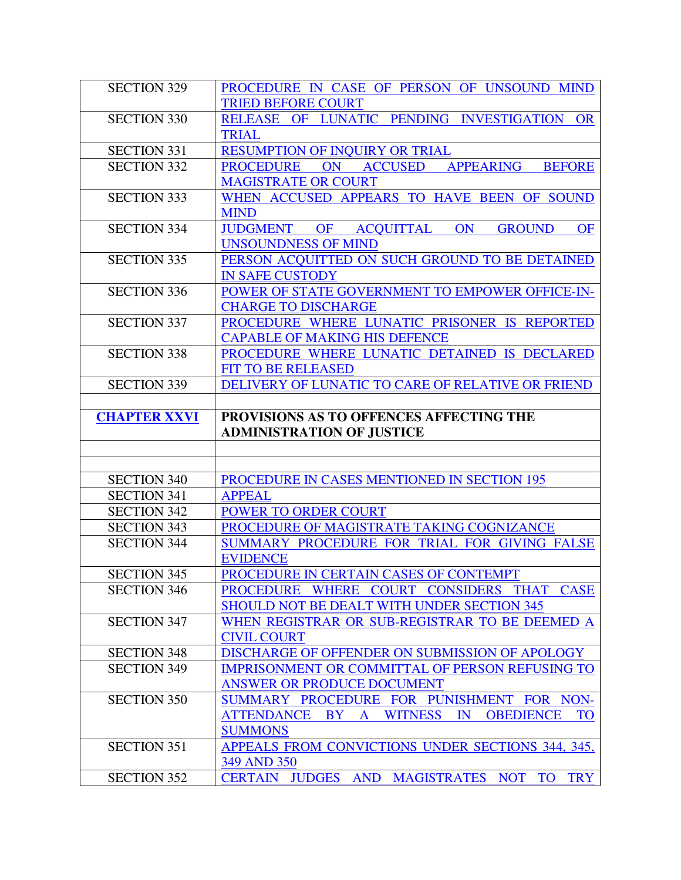| <b>SECTION 329</b>  | PROCEDURE IN CASE OF PERSON OF UNSOUND MIND                                        |
|---------------------|------------------------------------------------------------------------------------|
|                     | <b>TRIED BEFORE COURT</b>                                                          |
| <b>SECTION 330</b>  | RELEASE OF LUNATIC PENDING INVESTIGATION OR                                        |
|                     | <b>TRIAL</b>                                                                       |
| <b>SECTION 331</b>  | <b>RESUMPTION OF INQUIRY OR TRIAL</b>                                              |
| <b>SECTION 332</b>  | ON ACCUSED APPEARING<br>PROCEDURE<br><b>BEFORE</b>                                 |
|                     | <b>MAGISTRATE OR COURT</b>                                                         |
| <b>SECTION 333</b>  | WHEN ACCUSED APPEARS TO HAVE BEEN OF SOUND                                         |
|                     | <b>MIND</b>                                                                        |
| <b>SECTION 334</b>  | JUDGMENT OF ACOUITTAL<br>ON<br><b>GROUND</b><br><b>OF</b>                          |
|                     | <b>UNSOUNDNESS OF MIND</b>                                                         |
| <b>SECTION 335</b>  | PERSON ACQUITTED ON SUCH GROUND TO BE DETAINED                                     |
|                     | <b>IN SAFE CUSTODY</b>                                                             |
| <b>SECTION 336</b>  | POWER OF STATE GOVERNMENT TO EMPOWER OFFICE-IN-                                    |
|                     | <b>CHARGE TO DISCHARGE</b>                                                         |
| <b>SECTION 337</b>  | PROCEDURE WHERE LUNATIC PRISONER IS REPORTED                                       |
|                     | <b>CAPABLE OF MAKING HIS DEFENCE</b>                                               |
| <b>SECTION 338</b>  | PROCEDURE WHERE LUNATIC DETAINED IS DECLARED                                       |
|                     | <b>FIT TO BE RELEASED</b>                                                          |
| <b>SECTION 339</b>  | DELIVERY OF LUNATIC TO CARE OF RELATIVE OR FRIEND                                  |
|                     |                                                                                    |
| <b>CHAPTER XXVI</b> | PROVISIONS AS TO OFFENCES AFFECTING THE                                            |
|                     |                                                                                    |
|                     | <b>ADMINISTRATION OF JUSTICE</b>                                                   |
|                     |                                                                                    |
|                     |                                                                                    |
| <b>SECTION 340</b>  | PROCEDURE IN CASES MENTIONED IN SECTION 195                                        |
| <b>SECTION 341</b>  | <b>APPEAL</b>                                                                      |
| <b>SECTION 342</b>  | POWER TO ORDER COURT                                                               |
| <b>SECTION 343</b>  | PROCEDURE OF MAGISTRATE TAKING COGNIZANCE                                          |
| <b>SECTION 344</b>  | SUMMARY PROCEDURE FOR TRIAL FOR GIVING FALSE                                       |
|                     | <b>EVIDENCE</b>                                                                    |
| <b>SECTION 345</b>  | PROCEDURE IN CERTAIN CASES OF CONTEMPT                                             |
| <b>SECTION 346</b>  | PROCEDURE WHERE COURT CONSIDERS THAT CASE                                          |
|                     | <b>SHOULD NOT BE DEALT WITH UNDER SECTION 345</b>                                  |
| <b>SECTION 347</b>  | WHEN REGISTRAR OR SUB-REGISTRAR TO BE DEEMED A                                     |
|                     | <b>CIVIL COURT</b>                                                                 |
| <b>SECTION 348</b>  | DISCHARGE OF OFFENDER ON SUBMISSION OF APOLOGY                                     |
| <b>SECTION 349</b>  | <b>IMPRISONMENT OR COMMITTAL OF PERSON REFUSING TO</b>                             |
|                     | <b>ANSWER OR PRODUCE DOCUMENT</b>                                                  |
| <b>SECTION 350</b>  | SUMMARY PROCEDURE FOR PUNISHMENT FOR NON-                                          |
|                     | <b>WITNESS</b><br>ATTENDANCE BY A<br>$\mathbb{N}$<br><b>OBEDIENCE</b><br><b>TO</b> |
|                     | <b>SUMMONS</b>                                                                     |
| <b>SECTION 351</b>  | APPEALS FROM CONVICTIONS UNDER SECTIONS 344, 345,                                  |
| <b>SECTION 352</b>  | 349 AND 350<br>CERTAIN JUDGES AND MAGISTRATES NOT TO TRY                           |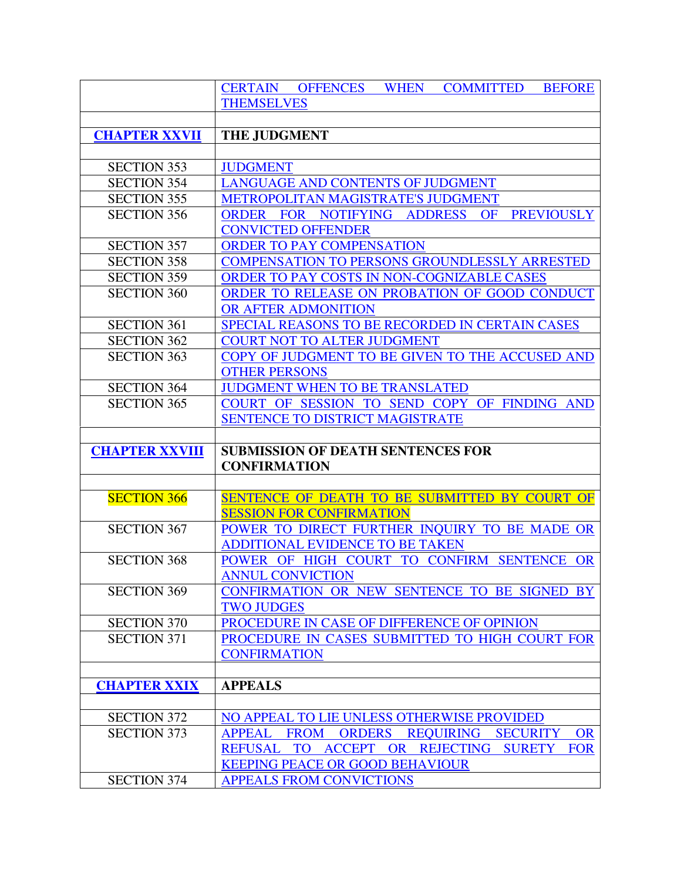|                       | <b>CERTAIN</b><br><b>OFFENCES</b><br><b>WHEN</b><br><b>COMMITTED</b><br><b>BEFORE</b> |
|-----------------------|---------------------------------------------------------------------------------------|
|                       | <b>THEMSELVES</b>                                                                     |
|                       |                                                                                       |
| <b>CHAPTER XXVII</b>  | <b>THE JUDGMENT</b>                                                                   |
|                       |                                                                                       |
| <b>SECTION 353</b>    | <b>JUDGMENT</b>                                                                       |
| <b>SECTION 354</b>    | <b>LANGUAGE AND CONTENTS OF JUDGMENT</b>                                              |
| <b>SECTION 355</b>    | METROPOLITAN MAGISTRATE'S JUDGMENT                                                    |
| <b>SECTION 356</b>    | <b>ADDRESS</b><br>ORDER FOR NOTIFYING<br><b>PREVIOUSLY</b><br>OF                      |
|                       | <b>CONVICTED OFFENDER</b>                                                             |
| <b>SECTION 357</b>    | <b>ORDER TO PAY COMPENSATION</b>                                                      |
| <b>SECTION 358</b>    | <b>COMPENSATION TO PERSONS GROUNDLESSLY ARRESTED</b>                                  |
| <b>SECTION 359</b>    | ORDER TO PAY COSTS IN NON-COGNIZABLE CASES                                            |
| <b>SECTION 360</b>    | ORDER TO RELEASE ON PROBATION OF GOOD CONDUCT                                         |
|                       | OR AFTER ADMONITION                                                                   |
| <b>SECTION 361</b>    | SPECIAL REASONS TO BE RECORDED IN CERTAIN CASES                                       |
| <b>SECTION 362</b>    | <b>COURT NOT TO ALTER JUDGMENT</b>                                                    |
| <b>SECTION 363</b>    | COPY OF JUDGMENT TO BE GIVEN TO THE ACCUSED AND                                       |
|                       | <b>OTHER PERSONS</b>                                                                  |
| <b>SECTION 364</b>    | <b>JUDGMENT WHEN TO BE TRANSLATED</b>                                                 |
| <b>SECTION 365</b>    | COURT OF SESSION TO SEND COPY OF FINDING AND                                          |
|                       | SENTENCE TO DISTRICT MAGISTRATE                                                       |
|                       |                                                                                       |
|                       |                                                                                       |
| <b>CHAPTER XXVIII</b> | <b>SUBMISSION OF DEATH SENTENCES FOR</b>                                              |
|                       | <b>CONFIRMATION</b>                                                                   |
|                       |                                                                                       |
| <b>SECTION 366</b>    | SENTENCE OF DEATH TO BE SUBMITTED BY COURT OF                                         |
|                       | <b>SESSION FOR CONFIRMATION</b>                                                       |
| <b>SECTION 367</b>    | POWER TO DIRECT FURTHER INQUIRY TO BE MADE OR                                         |
|                       | <b>ADDITIONAL EVIDENCE TO BE TAKEN</b>                                                |
| <b>SECTION 368</b>    | POWER OF HIGH COURT TO CONFIRM SENTENCE OR                                            |
|                       | <b>ANNUL CONVICTION</b>                                                               |
| <b>SECTION 369</b>    | CONFIRMATION OR NEW SENTENCE TO BE SIGNED BY                                          |
|                       | <b>TWO JUDGES</b>                                                                     |
| <b>SECTION 370</b>    | PROCEDURE IN CASE OF DIFFERENCE OF OPINION                                            |
| <b>SECTION 371</b>    | PROCEDURE IN CASES SUBMITTED TO HIGH COURT FOR                                        |
|                       | <b>CONFIRMATION</b>                                                                   |
|                       |                                                                                       |
| <b>CHAPTER XXIX</b>   | <b>APPEALS</b>                                                                        |
|                       |                                                                                       |
| <b>SECTION 372</b>    | NO APPEAL TO LIE UNLESS OTHERWISE PROVIDED                                            |
| <b>SECTION 373</b>    | APPEAL FROM ORDERS REQUIRING SECURITY<br><b>OR</b>                                    |
|                       | <b>TO</b><br>ACCEPT OR REJECTING<br><b>SURETY</b><br><b>FOR</b><br>REFUSAL            |
| <b>SECTION 374</b>    | <b>KEEPING PEACE OR GOOD BEHAVIOUR</b><br><b>APPEALS FROM CONVICTIONS</b>             |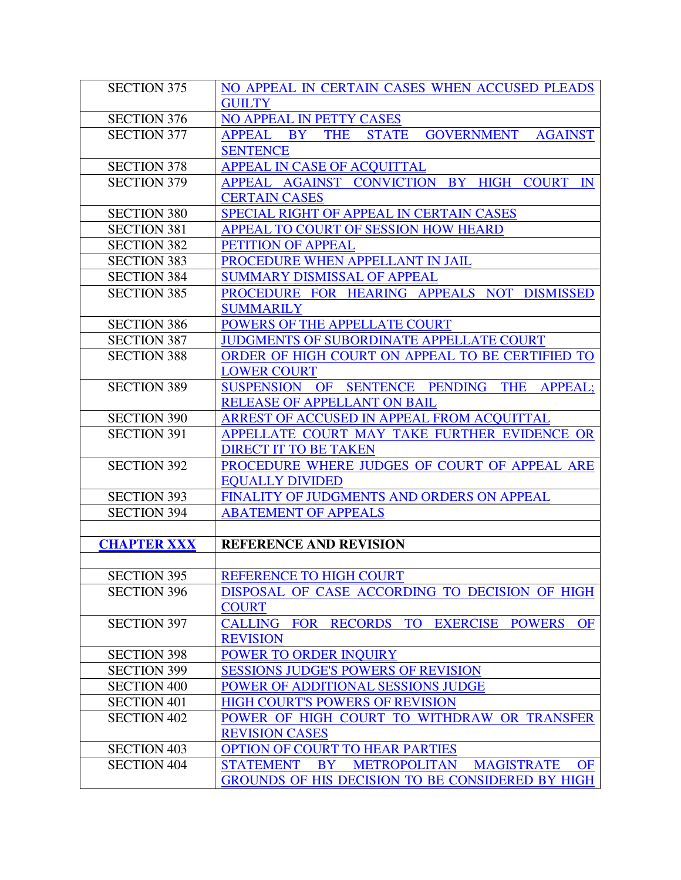| <b>SECTION 375</b> | NO APPEAL IN CERTAIN CASES WHEN ACCUSED PLEADS              |
|--------------------|-------------------------------------------------------------|
|                    | <b>GUILTY</b>                                               |
| <b>SECTION 376</b> | <b>NO APPEAL IN PETTY CASES</b>                             |
| <b>SECTION 377</b> | GOVERNMENT AGAINST<br>APPEAL BY THE STATE                   |
|                    | <b>SENTENCE</b>                                             |
| <b>SECTION 378</b> | <b>APPEAL IN CASE OF ACQUITTAL</b>                          |
| <b>SECTION 379</b> | APPEAL AGAINST CONVICTION BY HIGH COURT IN                  |
|                    | <b>CERTAIN CASES</b>                                        |
| <b>SECTION 380</b> | SPECIAL RIGHT OF APPEAL IN CERTAIN CASES                    |
| <b>SECTION 381</b> | APPEAL TO COURT OF SESSION HOW HEARD                        |
| <b>SECTION 382</b> | PETITION OF APPEAL                                          |
| <b>SECTION 383</b> | PROCEDURE WHEN APPELLANT IN JAIL                            |
| <b>SECTION 384</b> | <b>SUMMARY DISMISSAL OF APPEAL</b>                          |
| <b>SECTION 385</b> | PROCEDURE FOR HEARING APPEALS NOT DISMISSED                 |
|                    | <b>SUMMARILY</b>                                            |
| <b>SECTION 386</b> | POWERS OF THE APPELLATE COURT                               |
| <b>SECTION 387</b> | <b>JUDGMENTS OF SUBORDINATE APPELLATE COURT</b>             |
| <b>SECTION 388</b> | ORDER OF HIGH COURT ON APPEAL TO BE CERTIFIED TO            |
|                    | <b>LOWER COURT</b>                                          |
| <b>SECTION 389</b> | SUSPENSION OF SENTENCE PENDING THE<br><b>APPEAL;</b>        |
|                    | RELEASE OF APPELLANT ON BAIL                                |
| <b>SECTION 390</b> | <b>ARREST OF ACCUSED IN APPEAL FROM ACQUITTAL</b>           |
| <b>SECTION 391</b> | APPELLATE COURT MAY TAKE FURTHER EVIDENCE OR                |
|                    | <b>DIRECT IT TO BE TAKEN</b>                                |
| <b>SECTION 392</b> | PROCEDURE WHERE JUDGES OF COURT OF APPEAL ARE               |
|                    | <b>EQUALLY DIVIDED</b>                                      |
| <b>SECTION 393</b> | FINALITY OF JUDGMENTS AND ORDERS ON APPEAL                  |
| <b>SECTION 394</b> | <b>ABATEMENT OF APPEALS</b>                                 |
|                    |                                                             |
| <b>CHAPTER XXX</b> | <b>REFERENCE AND REVISION</b>                               |
|                    |                                                             |
| <b>SECTION 395</b> | REFERENCE TO HIGH COURT                                     |
| <b>SECTION 396</b> | DISPOSAL OF CASE ACCORDING TO DECISION OF HIGH              |
|                    | <b>COURT</b>                                                |
| <b>SECTION 397</b> | CALLING FOR RECORDS TO EXERCISE POWERS<br>OF                |
|                    | <b>REVISION</b>                                             |
| <b>SECTION 398</b> | <b>POWER TO ORDER INQUIRY</b>                               |
| <b>SECTION 399</b> | <b>SESSIONS JUDGE'S POWERS OF REVISION</b>                  |
| <b>SECTION 400</b> | POWER OF ADDITIONAL SESSIONS JUDGE                          |
| <b>SECTION 401</b> | <b>HIGH COURT'S POWERS OF REVISION</b>                      |
| <b>SECTION 402</b> | POWER OF HIGH COURT TO WITHDRAW OR TRANSFER                 |
|                    | <b>REVISION CASES</b>                                       |
| <b>SECTION 403</b> | <b>OPTION OF COURT TO HEAR PARTIES</b>                      |
| <b>SECTION 404</b> | <b>MAGISTRATE</b><br><b>OF</b><br>STATEMENT BY METROPOLITAN |
|                    | GROUNDS OF HIS DECISION TO BE CONSIDERED BY HIGH            |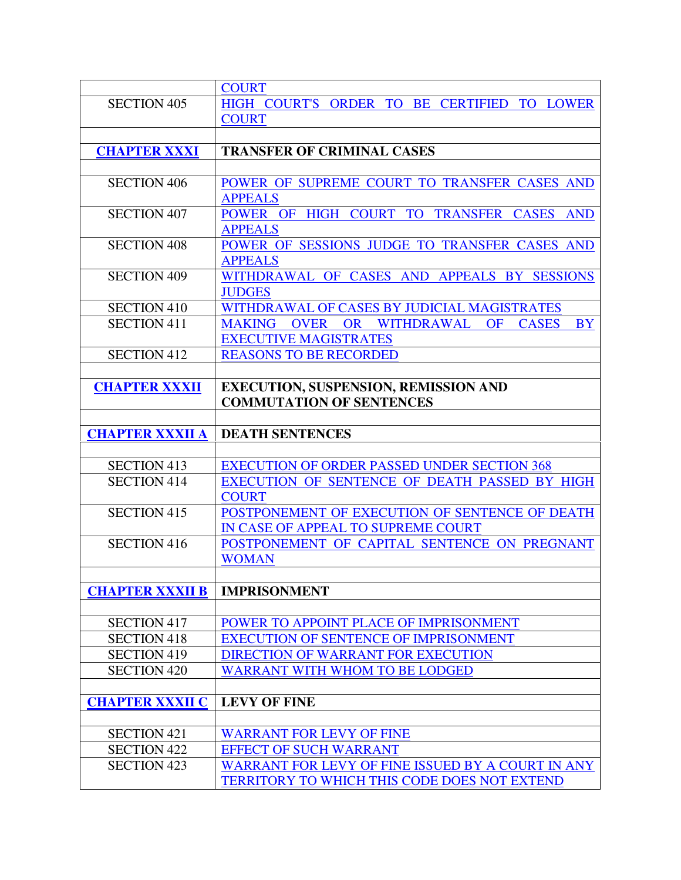|                        | <b>COURT</b>                                                                                             |
|------------------------|----------------------------------------------------------------------------------------------------------|
| <b>SECTION 405</b>     | HIGH COURT'S ORDER TO BE CERTIFIED TO LOWER                                                              |
|                        | <b>COURT</b>                                                                                             |
|                        |                                                                                                          |
| <b>CHAPTER XXXI</b>    | <b>TRANSFER OF CRIMINAL CASES</b>                                                                        |
|                        |                                                                                                          |
| <b>SECTION 406</b>     | POWER OF SUPREME COURT TO TRANSFER CASES AND                                                             |
|                        | <b>APPEALS</b>                                                                                           |
| <b>SECTION 407</b>     | POWER OF HIGH COURT TO<br>TRANSFER CASES AND                                                             |
|                        | <b>APPEALS</b>                                                                                           |
| <b>SECTION 408</b>     | POWER OF SESSIONS JUDGE TO TRANSFER CASES AND                                                            |
|                        | <b>APPEALS</b>                                                                                           |
| <b>SECTION 409</b>     | WITHDRAWAL OF CASES AND APPEALS BY SESSIONS                                                              |
|                        | <b>JUDGES</b>                                                                                            |
| <b>SECTION 410</b>     | WITHDRAWAL OF CASES BY JUDICIAL MAGISTRATES                                                              |
| <b>SECTION 411</b>     | <b>MAKING</b><br>OR WITHDRAWAL OF<br><b>OVER</b><br><b>CASES</b><br><b>BY</b>                            |
|                        | <b>EXECUTIVE MAGISTRATES</b>                                                                             |
| <b>SECTION 412</b>     | <b>REASONS TO BE RECORDED</b>                                                                            |
|                        |                                                                                                          |
| <b>CHAPTER XXXII</b>   | <b>EXECUTION, SUSPENSION, REMISSION AND</b>                                                              |
|                        | <b>COMMUTATION OF SENTENCES</b>                                                                          |
|                        |                                                                                                          |
| <b>CHAPTER XXXII A</b> | <b>DEATH SENTENCES</b>                                                                                   |
|                        |                                                                                                          |
| <b>SECTION 413</b>     | <b>EXECUTION OF ORDER PASSED UNDER SECTION 368</b>                                                       |
| <b>SECTION 414</b>     | EXECUTION OF SENTENCE OF DEATH PASSED BY HIGH                                                            |
|                        |                                                                                                          |
|                        | <b>COURT</b>                                                                                             |
| <b>SECTION 415</b>     | POSTPONEMENT OF EXECUTION OF SENTENCE OF DEATH                                                           |
|                        | IN CASE OF APPEAL TO SUPREME COURT                                                                       |
| <b>SECTION 416</b>     | POSTPONEMENT OF CAPITAL SENTENCE ON PREGNANT                                                             |
|                        | <b>WOMAN</b>                                                                                             |
|                        |                                                                                                          |
| <b>CHAPTER XXXII B</b> | <b>IMPRISONMENT</b>                                                                                      |
|                        |                                                                                                          |
| <b>SECTION 417</b>     | POWER TO APPOINT PLACE OF IMPRISONMENT                                                                   |
| <b>SECTION 418</b>     | <b>EXECUTION OF SENTENCE OF IMPRISONMENT</b>                                                             |
| <b>SECTION 419</b>     | <b>DIRECTION OF WARRANT FOR EXECUTION</b>                                                                |
| <b>SECTION 420</b>     | <b>WARRANT WITH WHOM TO BE LODGED</b>                                                                    |
|                        |                                                                                                          |
| <b>CHAPTER XXXII C</b> | <b>LEVY OF FINE</b>                                                                                      |
|                        |                                                                                                          |
| <b>SECTION 421</b>     | <b>WARRANT FOR LEVY OF FINE</b>                                                                          |
| <b>SECTION 422</b>     | <b>EFFECT OF SUCH WARRANT</b>                                                                            |
| <b>SECTION 423</b>     | WARRANT FOR LEVY OF FINE ISSUED BY A COURT IN ANY<br><b>TERRITORY TO WHICH THIS CODE DOES NOT EXTEND</b> |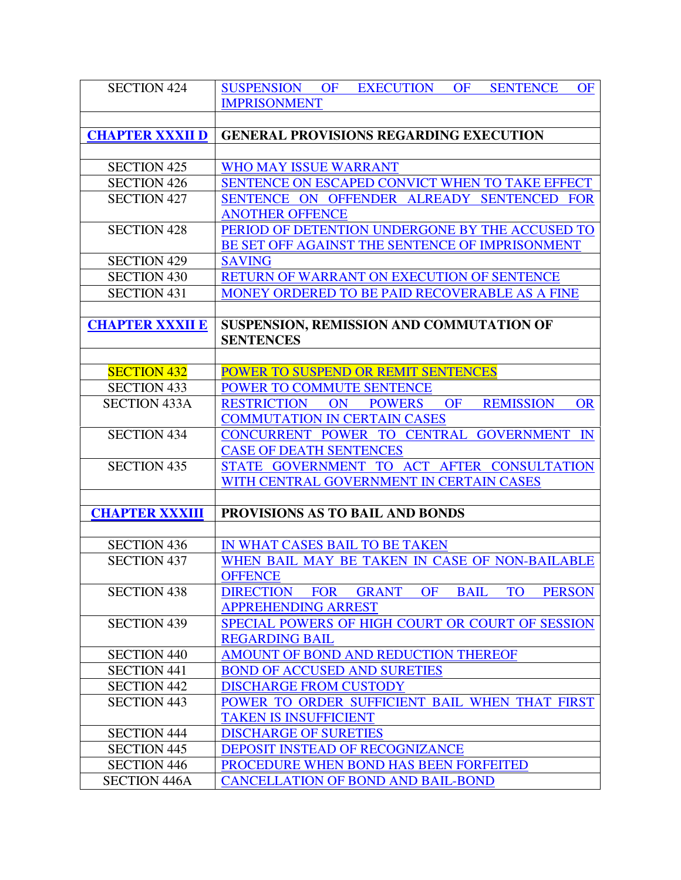| <b>SECTION 424</b>     | SUSPENSION OF EXECUTION OF SENTENCE<br><b>OF</b>             |
|------------------------|--------------------------------------------------------------|
|                        | <b>IMPRISONMENT</b>                                          |
|                        |                                                              |
| <b>CHAPTER XXXII D</b> | <b>GENERAL PROVISIONS REGARDING EXECUTION</b>                |
|                        |                                                              |
| <b>SECTION 425</b>     | <b>WHO MAY ISSUE WARRANT</b>                                 |
| <b>SECTION 426</b>     | SENTENCE ON ESCAPED CONVICT WHEN TO TAKE EFFECT              |
| <b>SECTION 427</b>     | SENTENCE ON OFFENDER ALREADY SENTENCED FOR                   |
|                        | <b>ANOTHER OFFENCE</b>                                       |
| <b>SECTION 428</b>     | PERIOD OF DETENTION UNDERGONE BY THE ACCUSED TO              |
|                        | BE SET OFF AGAINST THE SENTENCE OF IMPRISONMENT              |
| <b>SECTION 429</b>     | <b>SAVING</b>                                                |
| <b>SECTION 430</b>     | RETURN OF WARRANT ON EXECUTION OF SENTENCE                   |
| <b>SECTION 431</b>     | MONEY ORDERED TO BE PAID RECOVERABLE AS A FINE               |
|                        |                                                              |
| <b>CHAPTER XXXII E</b> | SUSPENSION, REMISSION AND COMMUTATION OF                     |
|                        | <b>SENTENCES</b>                                             |
|                        |                                                              |
| <b>SECTION 432</b>     | POWER TO SUSPEND OR REMIT SENTENCES                          |
| <b>SECTION 433</b>     | POWER TO COMMUTE SENTENCE                                    |
| <b>SECTION 433A</b>    | <b>REMISSION</b><br>RESTRICTION ON POWERS OF<br><b>OR</b>    |
|                        | <b>COMMUTATION IN CERTAIN CASES</b>                          |
| <b>SECTION 434</b>     | CONCURRENT POWER TO CENTRAL GOVERNMENT IN                    |
|                        | <b>CASE OF DEATH SENTENCES</b>                               |
| <b>SECTION 435</b>     | STATE GOVERNMENT TO ACT AFTER CONSULTATION                   |
|                        | WITH CENTRAL GOVERNMENT IN CERTAIN CASES                     |
|                        |                                                              |
| <b>CHAPTER XXXIII</b>  | PROVISIONS AS TO BAIL AND BONDS                              |
|                        |                                                              |
| <b>SECTION 436</b>     | IN WHAT CASES BAIL TO BE TAKEN                               |
| <b>SECTION 437</b>     | WHEN BAIL MAY BE TAKEN IN CASE OF NON-BAILABLE               |
|                        | <b>OFFENCE</b>                                               |
| <b>SECTION 438</b>     | DIRECTION FOR GRANT<br>OF BAIL<br><b>TO</b><br><b>PERSON</b> |
|                        | <b>APPREHENDING ARREST</b>                                   |
| <b>SECTION 439</b>     | SPECIAL POWERS OF HIGH COURT OR COURT OF SESSION             |
|                        | <b>REGARDING BAIL</b>                                        |
| <b>SECTION 440</b>     | AMOUNT OF BOND AND REDUCTION THEREOF                         |
| <b>SECTION 441</b>     | <b>BOND OF ACCUSED AND SURETIES</b>                          |
| <b>SECTION 442</b>     | <b>DISCHARGE FROM CUSTODY</b>                                |
| <b>SECTION 443</b>     | POWER TO ORDER SUFFICIENT BAIL WHEN THAT FIRST               |
|                        | <b>TAKEN IS INSUFFICIENT</b>                                 |
| <b>SECTION 444</b>     | <b>DISCHARGE OF SURETIES</b>                                 |
| <b>SECTION 445</b>     | DEPOSIT INSTEAD OF RECOGNIZANCE                              |
| <b>SECTION 446</b>     | PROCEDURE WHEN BOND HAS BEEN FORFEITED                       |
| <b>SECTION 446A</b>    | <b>CANCELLATION OF BOND AND BAIL-BOND</b>                    |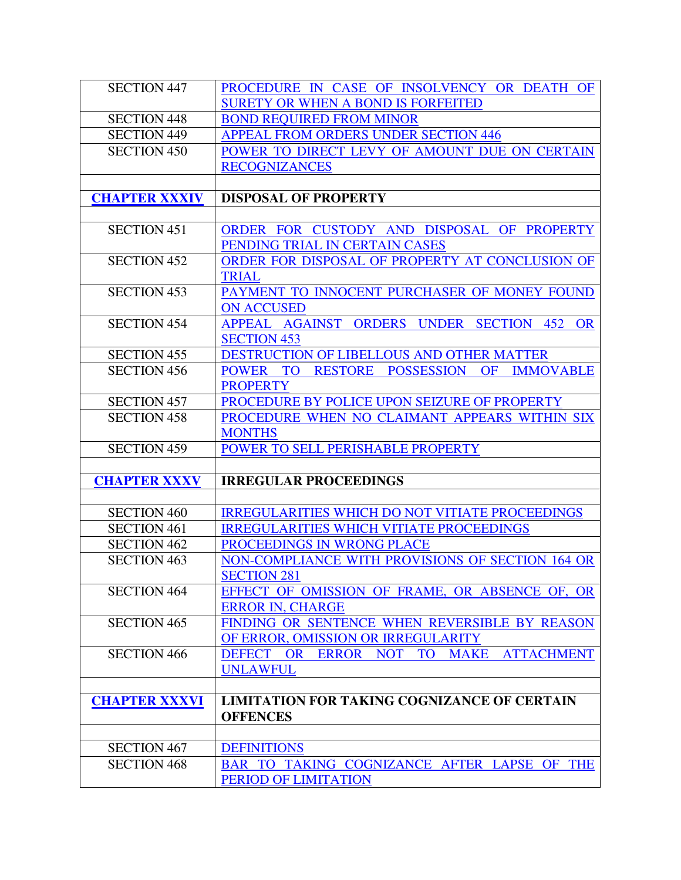| <b>SECTION 447</b>   | PROCEDURE IN CASE OF INSOLVENCY OR DEATH OF                         |
|----------------------|---------------------------------------------------------------------|
|                      | <b>SURETY OR WHEN A BOND IS FORFEITED</b>                           |
| <b>SECTION 448</b>   | <b>BOND REQUIRED FROM MINOR</b>                                     |
| <b>SECTION 449</b>   | <b>APPEAL FROM ORDERS UNDER SECTION 446</b>                         |
| <b>SECTION 450</b>   | POWER TO DIRECT LEVY OF AMOUNT DUE ON CERTAIN                       |
|                      | <b>RECOGNIZANCES</b>                                                |
|                      |                                                                     |
| <b>CHAPTER XXXIV</b> | <b>DISPOSAL OF PROPERTY</b>                                         |
|                      |                                                                     |
| <b>SECTION 451</b>   | ORDER FOR CUSTODY AND DISPOSAL OF PROPERTY                          |
|                      | PENDING TRIAL IN CERTAIN CASES                                      |
| <b>SECTION 452</b>   | ORDER FOR DISPOSAL OF PROPERTY AT CONCLUSION OF                     |
|                      | <b>TRIAL</b>                                                        |
| <b>SECTION 453</b>   | PAYMENT TO INNOCENT PURCHASER OF MONEY FOUND                        |
|                      | <b>ON ACCUSED</b>                                                   |
| <b>SECTION 454</b>   | APPEAL AGAINST ORDERS UNDER SECTION 452 OR                          |
|                      | <b>SECTION 453</b>                                                  |
| <b>SECTION 455</b>   | DESTRUCTION OF LIBELLOUS AND OTHER MATTER                           |
| <b>SECTION 456</b>   | POWER TO RESTORE POSSESSION<br>OF<br><b>IMMOVABLE</b>               |
|                      | <b>PROPERTY</b>                                                     |
| <b>SECTION 457</b>   | PROCEDURE BY POLICE UPON SEIZURE OF PROPERTY                        |
| <b>SECTION 458</b>   | PROCEDURE WHEN NO CLAIMANT APPEARS WITHIN SIX                       |
|                      | <b>MONTHS</b>                                                       |
| <b>SECTION 459</b>   | POWER TO SELL PERISHABLE PROPERTY                                   |
|                      |                                                                     |
| <b>CHAPTER XXXV</b>  | <b>IRREGULAR PROCEEDINGS</b>                                        |
|                      |                                                                     |
| <b>SECTION 460</b>   | <b>IRREGULARITIES WHICH DO NOT VITIATE PROCEEDINGS</b>              |
| <b>SECTION 461</b>   | <b>IRREGULARITIES WHICH VITIATE PROCEEDINGS</b>                     |
| <b>SECTION 462</b>   | PROCEEDINGS IN WRONG PLACE                                          |
| <b>SECTION 463</b>   | NON-COMPLIANCE WITH PROVISIONS OF SECTION 164 OR                    |
|                      | <b>SECTION 281</b>                                                  |
| <b>SECTION 464</b>   | EFFECT OF OMISSION OF FRAME, OR ABSENCE OF, OR                      |
|                      | <b>ERROR IN, CHARGE</b>                                             |
| <b>SECTION 465</b>   | FINDING OR SENTENCE WHEN REVERSIBLE BY REASON                       |
|                      | OF ERROR, OMISSION OR IRREGULARITY                                  |
| <b>SECTION 466</b>   | DEFECT OR ERROR NOT TO MAKE ATTACHMENT                              |
|                      | <b>UNLAWFUL</b>                                                     |
|                      |                                                                     |
| <b>CHAPTER XXXVI</b> | <b>LIMITATION FOR TAKING COGNIZANCE OF CERTAIN</b>                  |
|                      | <b>OFFENCES</b>                                                     |
|                      |                                                                     |
| <b>SECTION 467</b>   | <b>DEFINITIONS</b>                                                  |
|                      |                                                                     |
| <b>SECTION 468</b>   | BAR TO TAKING COGNIZANCE AFTER LAPSE OF THE<br>PERIOD OF LIMITATION |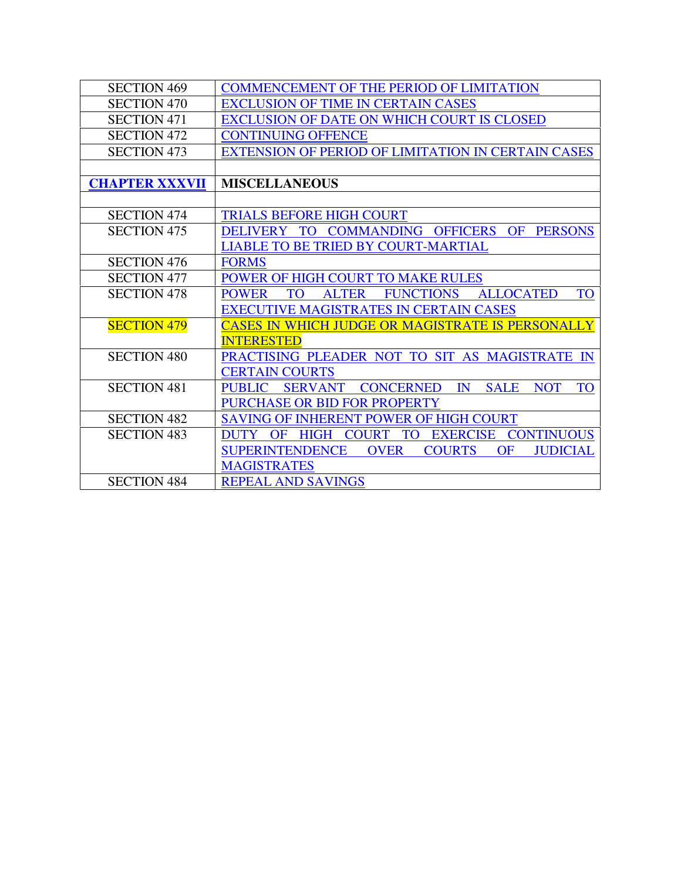| <b>SECTION 469</b>    | <b>COMMENCEMENT OF THE PERIOD OF LIMITATION</b>                                                               |
|-----------------------|---------------------------------------------------------------------------------------------------------------|
| <b>SECTION 470</b>    | <b>EXCLUSION OF TIME IN CERTAIN CASES</b>                                                                     |
| <b>SECTION 471</b>    | <b>EXCLUSION OF DATE ON WHICH COURT IS CLOSED</b>                                                             |
| <b>SECTION 472</b>    | <b>CONTINUING OFFENCE</b>                                                                                     |
| <b>SECTION 473</b>    | <b>EXTENSION OF PERIOD OF LIMITATION IN CERTAIN CASES</b>                                                     |
|                       |                                                                                                               |
| <b>CHAPTER XXXVII</b> | <b>MISCELLANEOUS</b>                                                                                          |
|                       |                                                                                                               |
| <b>SECTION 474</b>    | <b>TRIALS BEFORE HIGH COURT</b>                                                                               |
| <b>SECTION 475</b>    | TO COMMANDING OFFICERS OF PERSONS<br><b>DELIVERY</b>                                                          |
|                       | <b>LIABLE TO BE TRIED BY COURT-MARTIAL</b>                                                                    |
| <b>SECTION 476</b>    | <b>FORMS</b>                                                                                                  |
| <b>SECTION 477</b>    | POWER OF HIGH COURT TO MAKE RULES                                                                             |
| <b>SECTION 478</b>    | <b>TO</b><br><b>POWER</b><br><b>ALTER</b><br><b>FUNCTIONS</b><br><b>ALLOCATED</b><br>TO <sup>1</sup>          |
|                       | <b>EXECUTIVE MAGISTRATES IN CERTAIN CASES</b>                                                                 |
| <b>SECTION 479</b>    | CASES IN WHICH JUDGE OR MAGISTRATE IS PERSONALLY                                                              |
|                       | <b>INTERESTED</b>                                                                                             |
| <b>SECTION 480</b>    | PRACTISING PLEADER NOT TO SIT AS MAGISTRATE IN                                                                |
|                       | <b>CERTAIN COURTS</b>                                                                                         |
| <b>SECTION 481</b>    | <b>CONCERNED</b><br><b>PUBLIC</b><br><b>SERVANT</b><br>$\mathbb{N}$<br><b>SALE</b><br><b>NOT</b><br><b>TO</b> |
|                       | PURCHASE OR BID FOR PROPERTY                                                                                  |
| <b>SECTION 482</b>    | <b>SAVING OF INHERENT POWER OF HIGH COURT</b>                                                                 |
| <b>SECTION 483</b>    | HIGH COURT TO EXERCISE CONTINUOUS<br><b>OF</b><br><b>DUTY</b>                                                 |
|                       | <b>COURTS</b><br><b>JUDICIAL</b><br><b>SUPERINTENDENCE</b><br><b>OVER</b><br><b>OF</b>                        |
|                       | <b>MAGISTRATES</b>                                                                                            |
| <b>SECTION 484</b>    | <b>REPEAL AND SAVINGS</b>                                                                                     |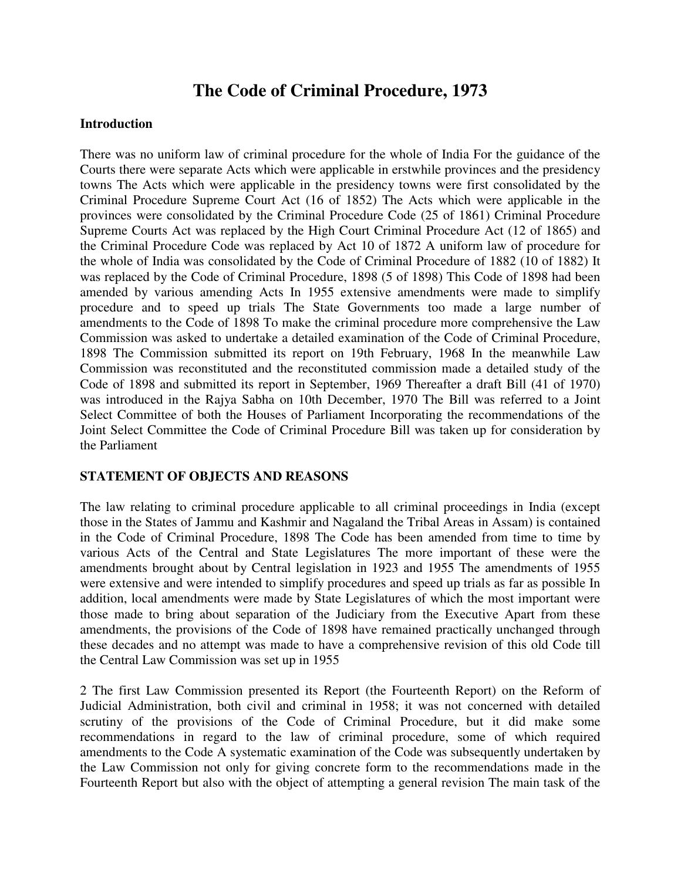## **The Code of Criminal Procedure, 1973**

#### **Introduction**

There was no uniform law of criminal procedure for the whole of India For the guidance of the Courts there were separate Acts which were applicable in erstwhile provinces and the presidency towns The Acts which were applicable in the presidency towns were first consolidated by the Criminal Procedure Supreme Court Act (16 of 1852) The Acts which were applicable in the provinces were consolidated by the Criminal Procedure Code (25 of 1861) Criminal Procedure Supreme Courts Act was replaced by the High Court Criminal Procedure Act (12 of 1865) and the Criminal Procedure Code was replaced by Act 10 of 1872 A uniform law of procedure for the whole of India was consolidated by the Code of Criminal Procedure of 1882 (10 of 1882) It was replaced by the Code of Criminal Procedure, 1898 (5 of 1898) This Code of 1898 had been amended by various amending Acts In 1955 extensive amendments were made to simplify procedure and to speed up trials The State Governments too made a large number of amendments to the Code of 1898 To make the criminal procedure more comprehensive the Law Commission was asked to undertake a detailed examination of the Code of Criminal Procedure, 1898 The Commission submitted its report on 19th February, 1968 In the meanwhile Law Commission was reconstituted and the reconstituted commission made a detailed study of the Code of 1898 and submitted its report in September, 1969 Thereafter a draft Bill (41 of 1970) was introduced in the Rajya Sabha on 10th December, 1970 The Bill was referred to a Joint Select Committee of both the Houses of Parliament Incorporating the recommendations of the Joint Select Committee the Code of Criminal Procedure Bill was taken up for consideration by the Parliament

### **STATEMENT OF OBJECTS AND REASONS**

The law relating to criminal procedure applicable to all criminal proceedings in India (except those in the States of Jammu and Kashmir and Nagaland the Tribal Areas in Assam) is contained in the Code of Criminal Procedure, 1898 The Code has been amended from time to time by various Acts of the Central and State Legislatures The more important of these were the amendments brought about by Central legislation in 1923 and 1955 The amendments of 1955 were extensive and were intended to simplify procedures and speed up trials as far as possible In addition, local amendments were made by State Legislatures of which the most important were those made to bring about separation of the Judiciary from the Executive Apart from these amendments, the provisions of the Code of 1898 have remained practically unchanged through these decades and no attempt was made to have a comprehensive revision of this old Code till the Central Law Commission was set up in 1955

2 The first Law Commission presented its Report (the Fourteenth Report) on the Reform of Judicial Administration, both civil and criminal in 1958; it was not concerned with detailed scrutiny of the provisions of the Code of Criminal Procedure, but it did make some recommendations in regard to the law of criminal procedure, some of which required amendments to the Code A systematic examination of the Code was subsequently undertaken by the Law Commission not only for giving concrete form to the recommendations made in the Fourteenth Report but also with the object of attempting a general revision The main task of the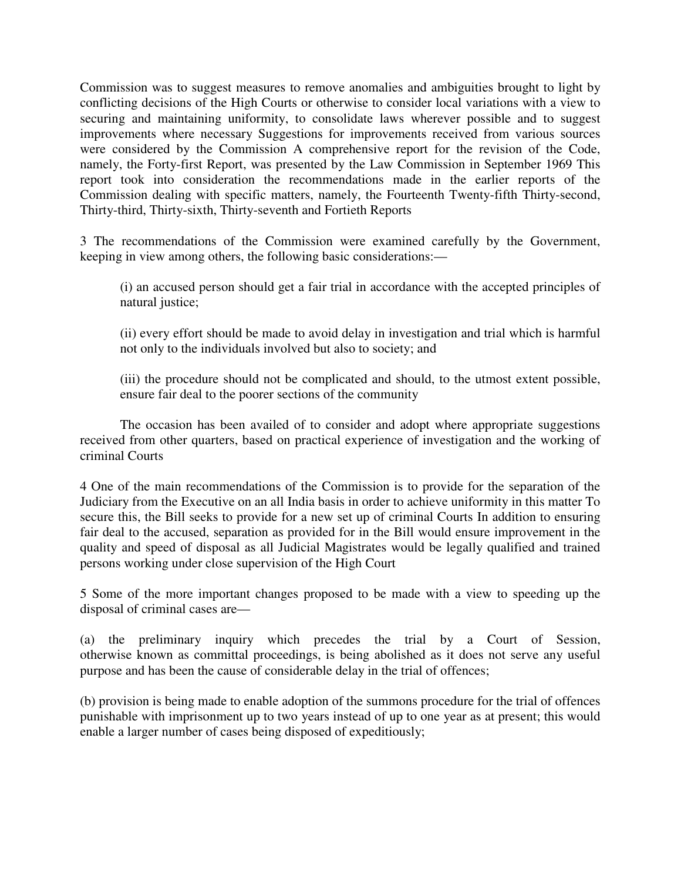Commission was to suggest measures to remove anomalies and ambiguities brought to light by conflicting decisions of the High Courts or otherwise to consider local variations with a view to securing and maintaining uniformity, to consolidate laws wherever possible and to suggest improvements where necessary Suggestions for improvements received from various sources were considered by the Commission A comprehensive report for the revision of the Code, namely, the Forty-first Report, was presented by the Law Commission in September 1969 This report took into consideration the recommendations made in the earlier reports of the Commission dealing with specific matters, namely, the Fourteenth Twenty-fifth Thirty-second, Thirty-third, Thirty-sixth, Thirty-seventh and Fortieth Reports

3 The recommendations of the Commission were examined carefully by the Government, keeping in view among others, the following basic considerations:—

(i) an accused person should get a fair trial in accordance with the accepted principles of natural justice;

(ii) every effort should be made to avoid delay in investigation and trial which is harmful not only to the individuals involved but also to society; and

(iii) the procedure should not be complicated and should, to the utmost extent possible, ensure fair deal to the poorer sections of the community

The occasion has been availed of to consider and adopt where appropriate suggestions received from other quarters, based on practical experience of investigation and the working of criminal Courts

4 One of the main recommendations of the Commission is to provide for the separation of the Judiciary from the Executive on an all India basis in order to achieve uniformity in this matter To secure this, the Bill seeks to provide for a new set up of criminal Courts In addition to ensuring fair deal to the accused, separation as provided for in the Bill would ensure improvement in the quality and speed of disposal as all Judicial Magistrates would be legally qualified and trained persons working under close supervision of the High Court

5 Some of the more important changes proposed to be made with a view to speeding up the disposal of criminal cases are—

(a) the preliminary inquiry which precedes the trial by a Court of Session, otherwise known as committal proceedings, is being abolished as it does not serve any useful purpose and has been the cause of considerable delay in the trial of offences;

(b) provision is being made to enable adoption of the summons procedure for the trial of offences punishable with imprisonment up to two years instead of up to one year as at present; this would enable a larger number of cases being disposed of expeditiously;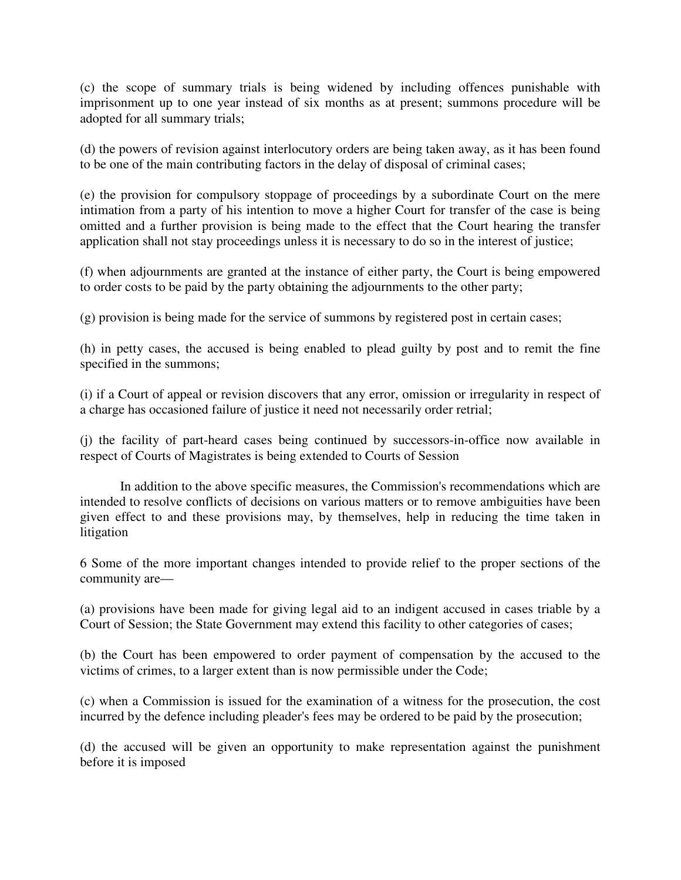(c) the scope of summary trials is being widened by including offences punishable with imprisonment up to one year instead of six months as at present; summons procedure will be adopted for all summary trials;

(d) the powers of revision against interlocutory orders are being taken away, as it has been found to be one of the main contributing factors in the delay of disposal of criminal cases;

(e) the provision for compulsory stoppage of proceedings by a subordinate Court on the mere intimation from a party of his intention to move a higher Court for transfer of the case is being omitted and a further provision is being made to the effect that the Court hearing the transfer application shall not stay proceedings unless it is necessary to do so in the interest of justice;

(f) when adjournments are granted at the instance of either party, the Court is being empowered to order costs to be paid by the party obtaining the adjournments to the other party;

(g) provision is being made for the service of summons by registered post in certain cases;

(h) in petty cases, the accused is being enabled to plead guilty by post and to remit the fine specified in the summons;

(i) if a Court of appeal or revision discovers that any error, omission or irregularity in respect of a charge has occasioned failure of justice it need not necessarily order retrial;

(j) the facility of part-heard cases being continued by successors-in-office now available in respect of Courts of Magistrates is being extended to Courts of Session

In addition to the above specific measures, the Commission's recommendations which are intended to resolve conflicts of decisions on various matters or to remove ambiguities have been given effect to and these provisions may, by themselves, help in reducing the time taken in litigation

6 Some of the more important changes intended to provide relief to the proper sections of the community are—

(a) provisions have been made for giving legal aid to an indigent accused in cases triable by a Court of Session; the State Government may extend this facility to other categories of cases;

(b) the Court has been empowered to order payment of compensation by the accused to the victims of crimes, to a larger extent than is now permissible under the Code;

(c) when a Commission is issued for the examination of a witness for the prosecution, the cost incurred by the defence including pleader's fees may be ordered to be paid by the prosecution;

(d) the accused will be given an opportunity to make representation against the punishment before it is imposed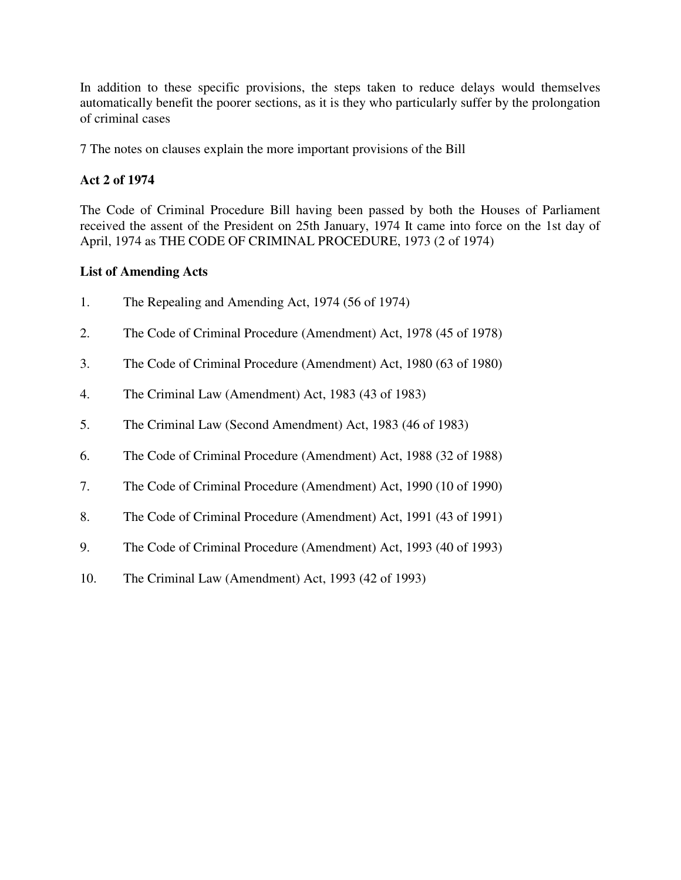In addition to these specific provisions, the steps taken to reduce delays would themselves automatically benefit the poorer sections, as it is they who particularly suffer by the prolongation of criminal cases

7 The notes on clauses explain the more important provisions of the Bill

### **Act 2 of 1974**

The Code of Criminal Procedure Bill having been passed by both the Houses of Parliament received the assent of the President on 25th January, 1974 It came into force on the 1st day of April, 1974 as THE CODE OF CRIMINAL PROCEDURE, 1973 (2 of 1974)

### **List of Amending Acts**

- 1. The Repealing and Amending Act, 1974 (56 of 1974)
- 2. The Code of Criminal Procedure (Amendment) Act, 1978 (45 of 1978)
- 3. The Code of Criminal Procedure (Amendment) Act, 1980 (63 of 1980)
- 4. The Criminal Law (Amendment) Act, 1983 (43 of 1983)
- 5. The Criminal Law (Second Amendment) Act, 1983 (46 of 1983)
- 6. The Code of Criminal Procedure (Amendment) Act, 1988 (32 of 1988)
- 7. The Code of Criminal Procedure (Amendment) Act, 1990 (10 of 1990)
- 8. The Code of Criminal Procedure (Amendment) Act, 1991 (43 of 1991)
- 9. The Code of Criminal Procedure (Amendment) Act, 1993 (40 of 1993)
- 10. The Criminal Law (Amendment) Act, 1993 (42 of 1993)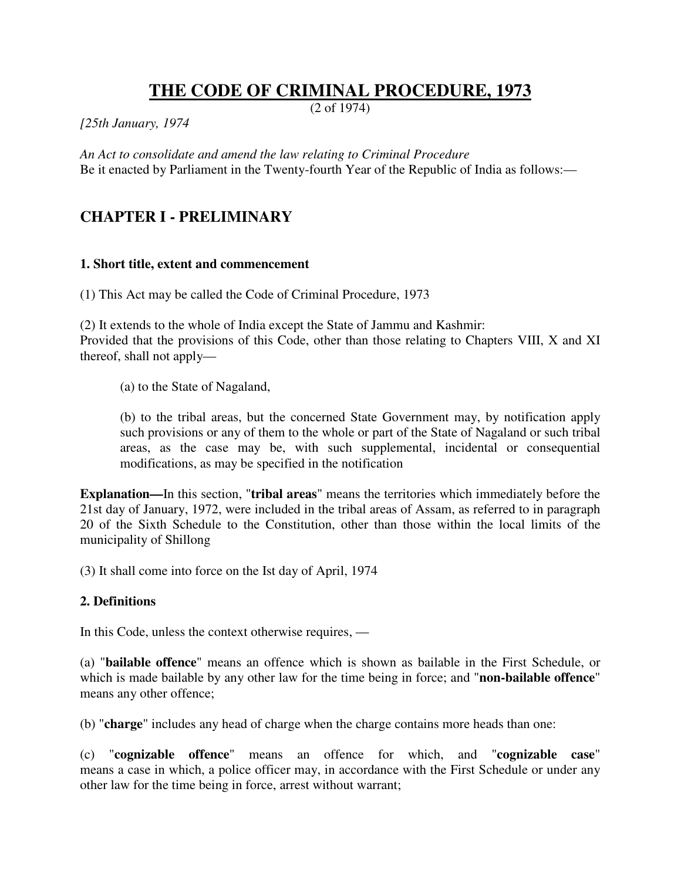## **THE CODE OF CRIMINAL PROCEDURE, 1973**

(2 of 1974)

*[25th January, 1974*

*An Act to consolidate and amend the law relating to Criminal Procedure*  Be it enacted by Parliament in the Twenty-fourth Year of the Republic of India as follows:—

### **CHAPTER I - PRELIMINARY**

### **1. Short title, extent and commencement**

(1) This Act may be called the Code of Criminal Procedure, 1973

(2) It extends to the whole of India except the State of Jammu and Kashmir: Provided that the provisions of this Code, other than those relating to Chapters VIII, X and XI thereof, shall not apply—

(a) to the State of Nagaland,

(b) to the tribal areas, but the concerned State Government may, by notification apply such provisions or any of them to the whole or part of the State of Nagaland or such tribal areas, as the case may be, with such supplemental, incidental or consequential modifications, as may be specified in the notification

**Explanation—**In this section, "**tribal areas**" means the territories which immediately before the 21st day of January, 1972, were included in the tribal areas of Assam, as referred to in paragraph 20 of the Sixth Schedule to the Constitution, other than those within the local limits of the municipality of Shillong

(3) It shall come into force on the Ist day of April, 1974

#### **2. Definitions**

In this Code, unless the context otherwise requires, —

(a) "**bailable offence**" means an offence which is shown as bailable in the First Schedule, or which is made bailable by any other law for the time being in force; and "**non-bailable offence**" means any other offence;

(b) "**charge**" includes any head of charge when the charge contains more heads than one:

(c) "**cognizable offence**" means an offence for which, and "**cognizable case**" means a case in which, a police officer may, in accordance with the First Schedule or under any other law for the time being in force, arrest without warrant;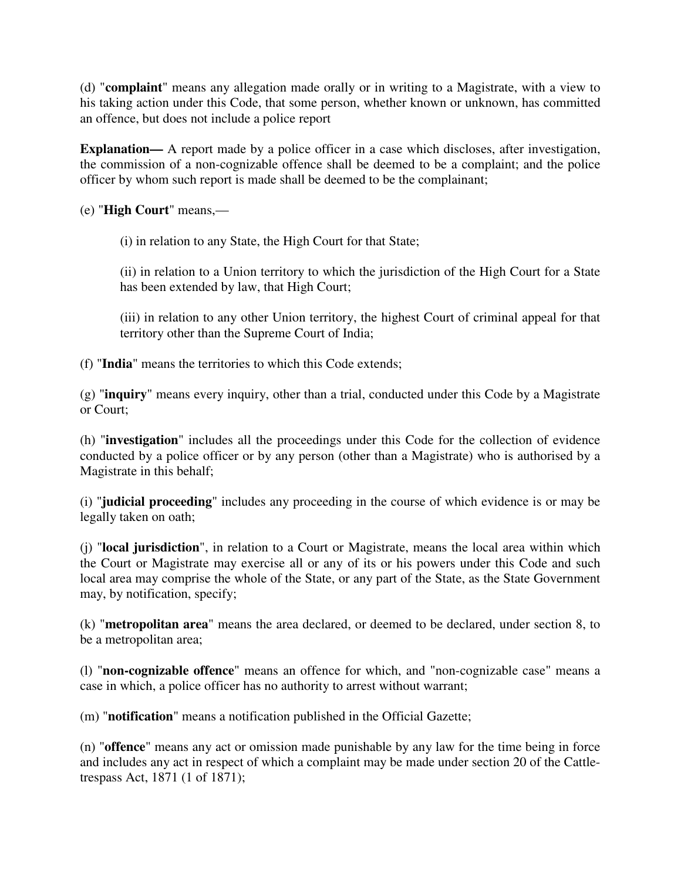(d) "**complaint**" means any allegation made orally or in writing to a Magistrate, with a view to his taking action under this Code, that some person, whether known or unknown, has committed an offence, but does not include a police report

**Explanation—** A report made by a police officer in a case which discloses, after investigation, the commission of a non-cognizable offence shall be deemed to be a complaint; and the police officer by whom such report is made shall be deemed to be the complainant;

(e) "**High Court**" means,—

(i) in relation to any State, the High Court for that State;

(ii) in relation to a Union territory to which the jurisdiction of the High Court for a State has been extended by law, that High Court;

(iii) in relation to any other Union territory, the highest Court of criminal appeal for that territory other than the Supreme Court of India;

(f) "**India**" means the territories to which this Code extends;

(g) "**inquiry**" means every inquiry, other than a trial, conducted under this Code by a Magistrate or Court;

(h) "**investigation**" includes all the proceedings under this Code for the collection of evidence conducted by a police officer or by any person (other than a Magistrate) who is authorised by a Magistrate in this behalf;

(i) "**judicial proceeding**" includes any proceeding in the course of which evidence is or may be legally taken on oath;

(j) "**local jurisdiction**", in relation to a Court or Magistrate, means the local area within which the Court or Magistrate may exercise all or any of its or his powers under this Code and such local area may comprise the whole of the State, or any part of the State, as the State Government may, by notification, specify;

(k) "**metropolitan area**" means the area declared, or deemed to be declared, under section 8, to be a metropolitan area;

(l) "**non-cognizable offence**" means an offence for which, and "non-cognizable case" means a case in which, a police officer has no authority to arrest without warrant;

(m) "**notification**" means a notification published in the Official Gazette;

(n) "**offence**" means any act or omission made punishable by any law for the time being in force and includes any act in respect of which a complaint may be made under section 20 of the Cattletrespass Act, 1871 (1 of 1871);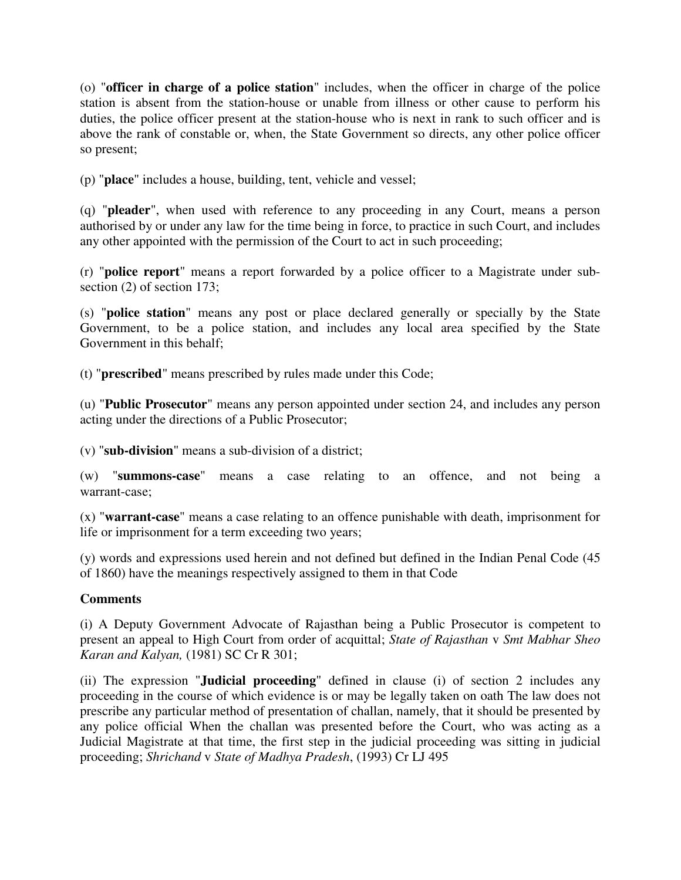(o) "**officer in charge of a police station**" includes, when the officer in charge of the police station is absent from the station-house or unable from illness or other cause to perform his duties, the police officer present at the station-house who is next in rank to such officer and is above the rank of constable or, when, the State Government so directs, any other police officer so present;

(p) "**place**" includes a house, building, tent, vehicle and vessel;

(q) "**pleader**", when used with reference to any proceeding in any Court, means a person authorised by or under any law for the time being in force, to practice in such Court, and includes any other appointed with the permission of the Court to act in such proceeding;

(r) "**police report**" means a report forwarded by a police officer to a Magistrate under subsection (2) of section 173;

(s) "**police station**" means any post or place declared generally or specially by the State Government, to be a police station, and includes any local area specified by the State Government in this behalf;

(t) "**prescribed**" means prescribed by rules made under this Code;

(u) "**Public Prosecutor**" means any person appointed under section 24, and includes any person acting under the directions of a Public Prosecutor;

(v) "**sub-division**" means a sub-division of a district;

(w) "**summons-case**" means a case relating to an offence, and not being a warrant-case;

(x) "**warrant-case**" means a case relating to an offence punishable with death, imprisonment for life or imprisonment for a term exceeding two years;

(y) words and expressions used herein and not defined but defined in the Indian Penal Code (45 of 1860) have the meanings respectively assigned to them in that Code

### **Comments**

(i) A Deputy Government Advocate of Rajasthan being a Public Prosecutor is competent to present an appeal to High Court from order of acquittal; *State of Rajasthan* v *Smt Mabhar Sheo Karan and Kalyan,* (1981) SC Cr R 301;

(ii) The expression "**Judicial proceeding**" defined in clause (i) of section 2 includes any proceeding in the course of which evidence is or may be legally taken on oath The law does not prescribe any particular method of presentation of challan, namely, that it should be presented by any police official When the challan was presented before the Court, who was acting as a Judicial Magistrate at that time, the first step in the judicial proceeding was sitting in judicial proceeding; *Shrichand* v *State of Madhya Pradesh*, (1993) Cr LJ 495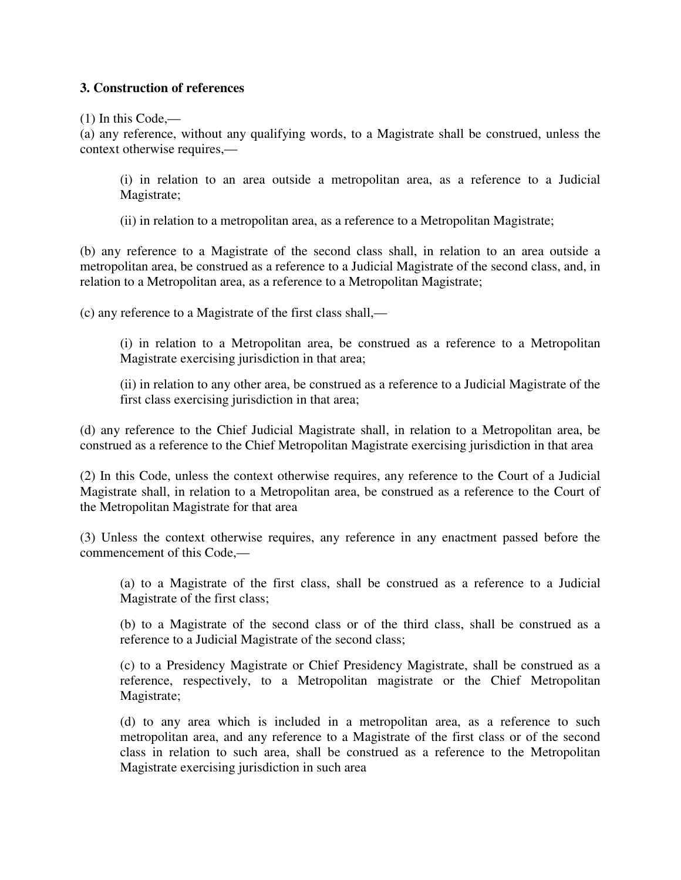### **3. Construction of references**

(1) In this Code,—

(a) any reference, without any qualifying words, to a Magistrate shall be construed, unless the context otherwise requires,—

(i) in relation to an area outside a metropolitan area, as a reference to a Judicial Magistrate;

(ii) in relation to a metropolitan area, as a reference to a Metropolitan Magistrate;

(b) any reference to a Magistrate of the second class shall, in relation to an area outside a metropolitan area, be construed as a reference to a Judicial Magistrate of the second class, and, in relation to a Metropolitan area, as a reference to a Metropolitan Magistrate;

(c) any reference to a Magistrate of the first class shall,—

(i) in relation to a Metropolitan area, be construed as a reference to a Metropolitan Magistrate exercising jurisdiction in that area;

(ii) in relation to any other area, be construed as a reference to a Judicial Magistrate of the first class exercising jurisdiction in that area;

(d) any reference to the Chief Judicial Magistrate shall, in relation to a Metropolitan area, be construed as a reference to the Chief Metropolitan Magistrate exercising jurisdiction in that area

(2) In this Code, unless the context otherwise requires, any reference to the Court of a Judicial Magistrate shall, in relation to a Metropolitan area, be construed as a reference to the Court of the Metropolitan Magistrate for that area

(3) Unless the context otherwise requires, any reference in any enactment passed before the commencement of this Code,—

(a) to a Magistrate of the first class, shall be construed as a reference to a Judicial Magistrate of the first class;

(b) to a Magistrate of the second class or of the third class, shall be construed as a reference to a Judicial Magistrate of the second class;

(c) to a Presidency Magistrate or Chief Presidency Magistrate, shall be construed as a reference, respectively, to a Metropolitan magistrate or the Chief Metropolitan Magistrate;

(d) to any area which is included in a metropolitan area, as a reference to such metropolitan area, and any reference to a Magistrate of the first class or of the second class in relation to such area, shall be construed as a reference to the Metropolitan Magistrate exercising jurisdiction in such area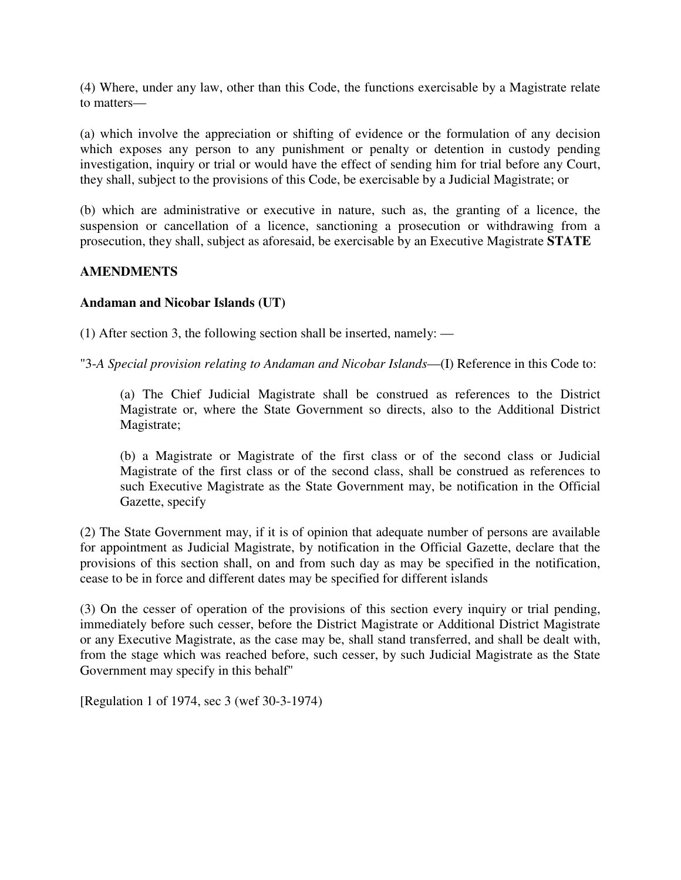(4) Where, under any law, other than this Code, the functions exercisable by a Magistrate relate to matters—

(a) which involve the appreciation or shifting of evidence or the formulation of any decision which exposes any person to any punishment or penalty or detention in custody pending investigation, inquiry or trial or would have the effect of sending him for trial before any Court, they shall, subject to the provisions of this Code, be exercisable by a Judicial Magistrate; or

(b) which are administrative or executive in nature, such as, the granting of a licence, the suspension or cancellation of a licence, sanctioning a prosecution or withdrawing from a prosecution, they shall, subject as aforesaid, be exercisable by an Executive Magistrate **STATE** 

### **AMENDMENTS**

### **Andaman and Nicobar Islands (UT)**

(1) After section 3, the following section shall be inserted, namely: —

"3-*A Special provision relating to Andaman and Nicobar Islands*—(I) Reference in this Code to:

(a) The Chief Judicial Magistrate shall be construed as references to the District Magistrate or, where the State Government so directs, also to the Additional District Magistrate;

(b) a Magistrate or Magistrate of the first class or of the second class or Judicial Magistrate of the first class or of the second class, shall be construed as references to such Executive Magistrate as the State Government may, be notification in the Official Gazette, specify

(2) The State Government may, if it is of opinion that adequate number of persons are available for appointment as Judicial Magistrate, by notification in the Official Gazette, declare that the provisions of this section shall, on and from such day as may be specified in the notification, cease to be in force and different dates may be specified for different islands

(3) On the cesser of operation of the provisions of this section every inquiry or trial pending, immediately before such cesser, before the District Magistrate or Additional District Magistrate or any Executive Magistrate, as the case may be, shall stand transferred, and shall be dealt with, from the stage which was reached before, such cesser, by such Judicial Magistrate as the State Government may specify in this behalf"

[Regulation 1 of 1974, sec 3 (wef 30-3-1974)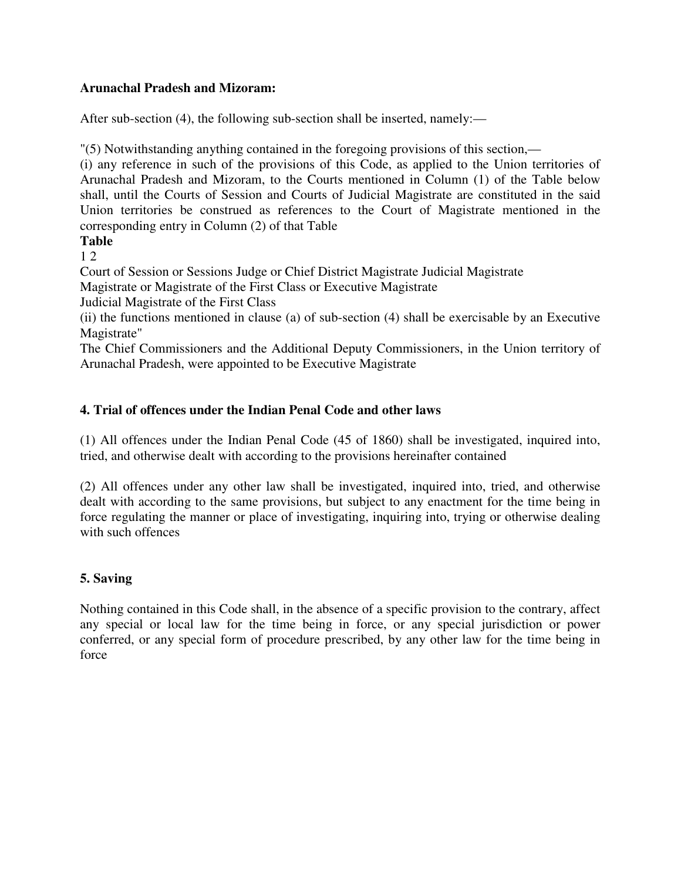### **Arunachal Pradesh and Mizoram:**

After sub-section (4), the following sub-section shall be inserted, namely:—

"(5) Notwithstanding anything contained in the foregoing provisions of this section,—

(i) any reference in such of the provisions of this Code, as applied to the Union territories of Arunachal Pradesh and Mizoram, to the Courts mentioned in Column (1) of the Table below shall, until the Courts of Session and Courts of Judicial Magistrate are constituted in the said Union territories be construed as references to the Court of Magistrate mentioned in the corresponding entry in Column (2) of that Table

### **Table**

1 2

Court of Session or Sessions Judge or Chief District Magistrate Judicial Magistrate

Magistrate or Magistrate of the First Class or Executive Magistrate

Judicial Magistrate of the First Class

(ii) the functions mentioned in clause (a) of sub-section (4) shall be exercisable by an Executive Magistrate"

The Chief Commissioners and the Additional Deputy Commissioners, in the Union territory of Arunachal Pradesh, were appointed to be Executive Magistrate

### **4. Trial of offences under the Indian Penal Code and other laws**

(1) All offences under the Indian Penal Code (45 of 1860) shall be investigated, inquired into, tried, and otherwise dealt with according to the provisions hereinafter contained

(2) All offences under any other law shall be investigated, inquired into, tried, and otherwise dealt with according to the same provisions, but subject to any enactment for the time being in force regulating the manner or place of investigating, inquiring into, trying or otherwise dealing with such offences

### **5. Saving**

Nothing contained in this Code shall, in the absence of a specific provision to the contrary, affect any special or local law for the time being in force, or any special jurisdiction or power conferred, or any special form of procedure prescribed, by any other law for the time being in force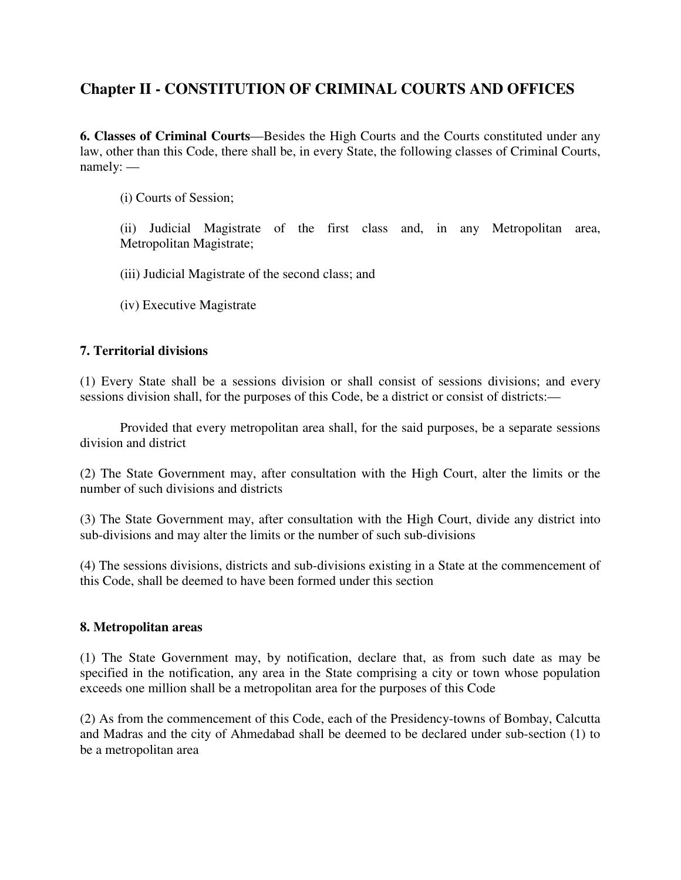### **Chapter II - CONSTITUTION OF CRIMINAL COURTS AND OFFICES**

**6. Classes of Criminal Courts**—Besides the High Courts and the Courts constituted under any law, other than this Code, there shall be, in every State, the following classes of Criminal Courts, namely: —

(i) Courts of Session;

(ii) Judicial Magistrate of the first class and, in any Metropolitan area, Metropolitan Magistrate;

(iii) Judicial Magistrate of the second class; and

(iv) Executive Magistrate

### **7. Territorial divisions**

(1) Every State shall be a sessions division or shall consist of sessions divisions; and every sessions division shall, for the purposes of this Code, be a district or consist of districts:—

Provided that every metropolitan area shall, for the said purposes, be a separate sessions division and district

(2) The State Government may, after consultation with the High Court, alter the limits or the number of such divisions and districts

(3) The State Government may, after consultation with the High Court, divide any district into sub-divisions and may alter the limits or the number of such sub-divisions

(4) The sessions divisions, districts and sub-divisions existing in a State at the commencement of this Code, shall be deemed to have been formed under this section

### **8. Metropolitan areas**

(1) The State Government may, by notification, declare that, as from such date as may be specified in the notification, any area in the State comprising a city or town whose population exceeds one million shall be a metropolitan area for the purposes of this Code

(2) As from the commencement of this Code, each of the Presidency-towns of Bombay, Calcutta and Madras and the city of Ahmedabad shall be deemed to be declared under sub-section (1) to be a metropolitan area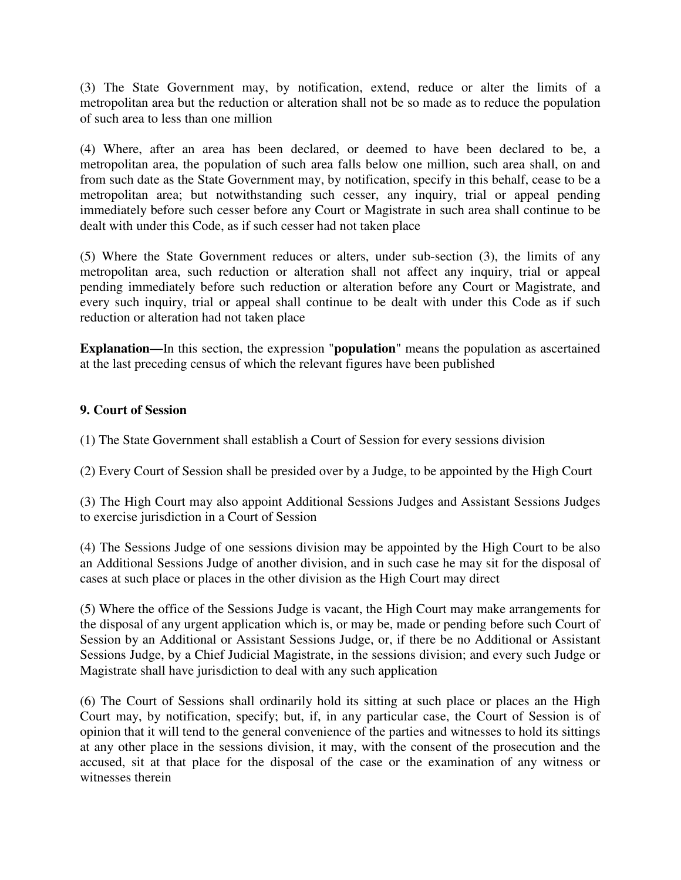(3) The State Government may, by notification, extend, reduce or alter the limits of a metropolitan area but the reduction or alteration shall not be so made as to reduce the population of such area to less than one million

(4) Where, after an area has been declared, or deemed to have been declared to be, a metropolitan area, the population of such area falls below one million, such area shall, on and from such date as the State Government may, by notification, specify in this behalf, cease to be a metropolitan area; but notwithstanding such cesser, any inquiry, trial or appeal pending immediately before such cesser before any Court or Magistrate in such area shall continue to be dealt with under this Code, as if such cesser had not taken place

(5) Where the State Government reduces or alters, under sub-section (3), the limits of any metropolitan area, such reduction or alteration shall not affect any inquiry, trial or appeal pending immediately before such reduction or alteration before any Court or Magistrate, and every such inquiry, trial or appeal shall continue to be dealt with under this Code as if such reduction or alteration had not taken place

**Explanation—**In this section, the expression "**population**" means the population as ascertained at the last preceding census of which the relevant figures have been published

### **9. Court of Session**

(1) The State Government shall establish a Court of Session for every sessions division

(2) Every Court of Session shall be presided over by a Judge, to be appointed by the High Court

(3) The High Court may also appoint Additional Sessions Judges and Assistant Sessions Judges to exercise jurisdiction in a Court of Session

(4) The Sessions Judge of one sessions division may be appointed by the High Court to be also an Additional Sessions Judge of another division, and in such case he may sit for the disposal of cases at such place or places in the other division as the High Court may direct

(5) Where the office of the Sessions Judge is vacant, the High Court may make arrangements for the disposal of any urgent application which is, or may be, made or pending before such Court of Session by an Additional or Assistant Sessions Judge, or, if there be no Additional or Assistant Sessions Judge, by a Chief Judicial Magistrate, in the sessions division; and every such Judge or Magistrate shall have jurisdiction to deal with any such application

(6) The Court of Sessions shall ordinarily hold its sitting at such place or places an the High Court may, by notification, specify; but, if, in any particular case, the Court of Session is of opinion that it will tend to the general convenience of the parties and witnesses to hold its sittings at any other place in the sessions division, it may, with the consent of the prosecution and the accused, sit at that place for the disposal of the case or the examination of any witness or witnesses therein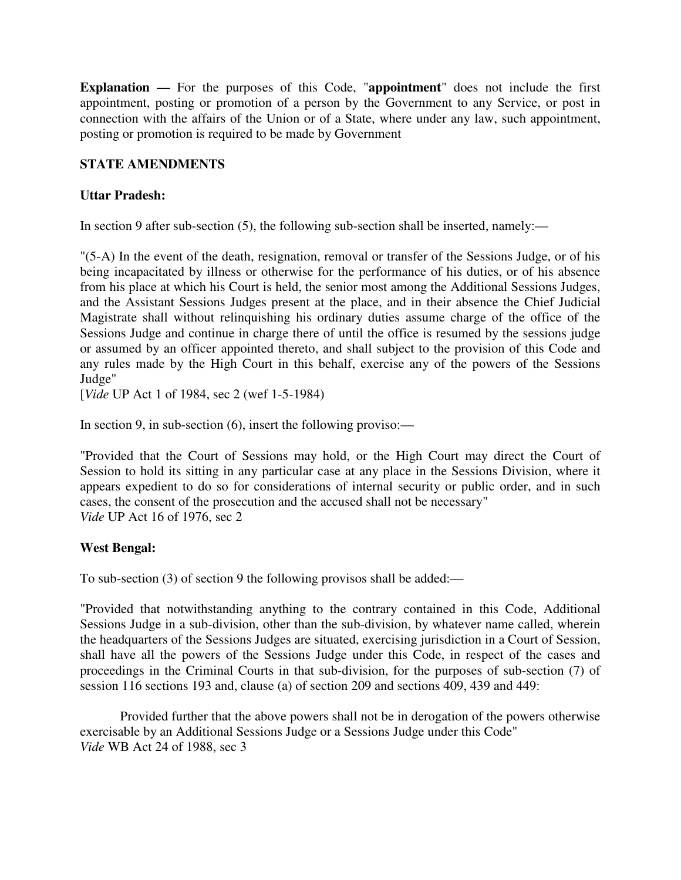**Explanation —** For the purposes of this Code, "**appointment**" does not include the first appointment, posting or promotion of a person by the Government to any Service, or post in connection with the affairs of the Union or of a State, where under any law, such appointment, posting or promotion is required to be made by Government

### **STATE AMENDMENTS**

### **Uttar Pradesh:**

In section 9 after sub-section (5), the following sub-section shall be inserted, namely:—

"(5-A) In the event of the death, resignation, removal or transfer of the Sessions Judge, or of his being incapacitated by illness or otherwise for the performance of his duties, or of his absence from his place at which his Court is held, the senior most among the Additional Sessions Judges, and the Assistant Sessions Judges present at the place, and in their absence the Chief Judicial Magistrate shall without relinquishing his ordinary duties assume charge of the office of the Sessions Judge and continue in charge there of until the office is resumed by the sessions judge or assumed by an officer appointed thereto, and shall subject to the provision of this Code and any rules made by the High Court in this behalf, exercise any of the powers of the Sessions Judge"

[*Vide* UP Act 1 of 1984, sec 2 (wef 1-5-1984)

In section 9, in sub-section (6), insert the following proviso:—

"Provided that the Court of Sessions may hold, or the High Court may direct the Court of Session to hold its sitting in any particular case at any place in the Sessions Division, where it appears expedient to do so for considerations of internal security or public order, and in such cases, the consent of the prosecution and the accused shall not be necessary" *Vide* UP Act 16 of 1976, sec 2

### **West Bengal:**

To sub-section (3) of section 9 the following provisos shall be added:—

"Provided that notwithstanding anything to the contrary contained in this Code, Additional Sessions Judge in a sub-division, other than the sub-division, by whatever name called, wherein the headquarters of the Sessions Judges are situated, exercising jurisdiction in a Court of Session, shall have all the powers of the Sessions Judge under this Code, in respect of the cases and proceedings in the Criminal Courts in that sub-division, for the purposes of sub-section (7) of session 116 sections 193 and, clause (a) of section 209 and sections 409, 439 and 449:

Provided further that the above powers shall not be in derogation of the powers otherwise exercisable by an Additional Sessions Judge or a Sessions Judge under this Code" *Vide* WB Act 24 of 1988, sec 3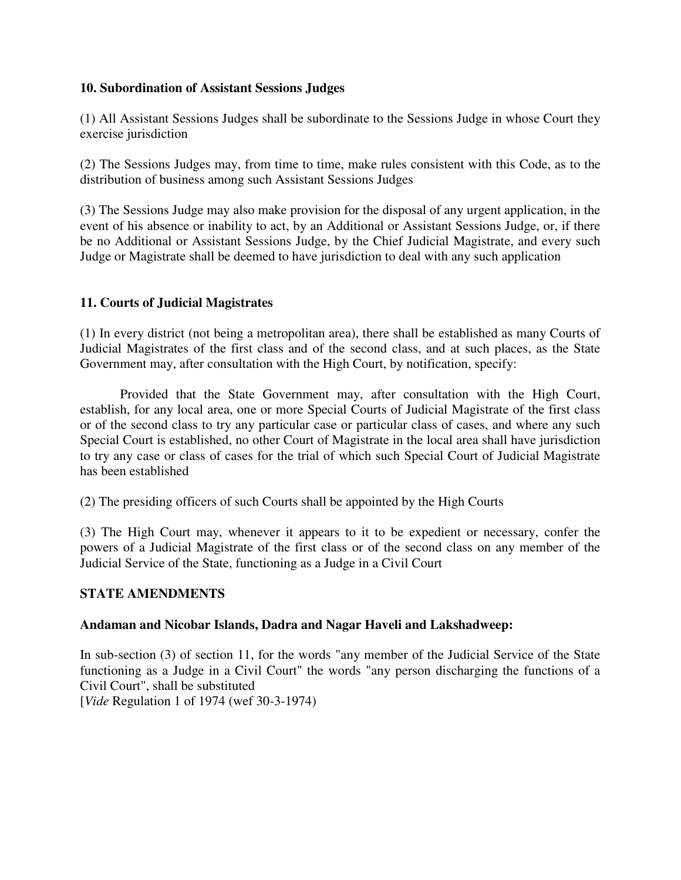### **10. Subordination of Assistant Sessions Judges**

(1) All Assistant Sessions Judges shall be subordinate to the Sessions Judge in whose Court they exercise jurisdiction

(2) The Sessions Judges may, from time to time, make rules consistent with this Code, as to the distribution of business among such Assistant Sessions Judges

(3) The Sessions Judge may also make provision for the disposal of any urgent application, in the event of his absence or inability to act, by an Additional or Assistant Sessions Judge, or, if there be no Additional or Assistant Sessions Judge, by the Chief Judicial Magistrate, and every such Judge or Magistrate shall be deemed to have jurisdiction to deal with any such application

### **11. Courts of Judicial Magistrates**

(1) In every district (not being a metropolitan area), there shall be established as many Courts of Judicial Magistrates of the first class and of the second class, and at such places, as the State Government may, after consultation with the High Court, by notification, specify:

Provided that the State Government may, after consultation with the High Court, establish, for any local area, one or more Special Courts of Judicial Magistrate of the first class or of the second class to try any particular case or particular class of cases, and where any such Special Court is established, no other Court of Magistrate in the local area shall have jurisdiction to try any case or class of cases for the trial of which such Special Court of Judicial Magistrate has been established

(2) The presiding officers of such Courts shall be appointed by the High Courts

(3) The High Court may, whenever it appears to it to be expedient or necessary, confer the powers of a Judicial Magistrate of the first class or of the second class on any member of the Judicial Service of the State, functioning as a Judge in a Civil Court

### **STATE AMENDMENTS**

### **Andaman and Nicobar Islands, Dadra and Nagar Haveli and Lakshadweep:**

In sub-section (3) of section 11, for the words "any member of the Judicial Service of the State functioning as a Judge in a Civil Court" the words "any person discharging the functions of a Civil Court", shall be substituted [*Vide* Regulation 1 of 1974 (wef 30-3-1974)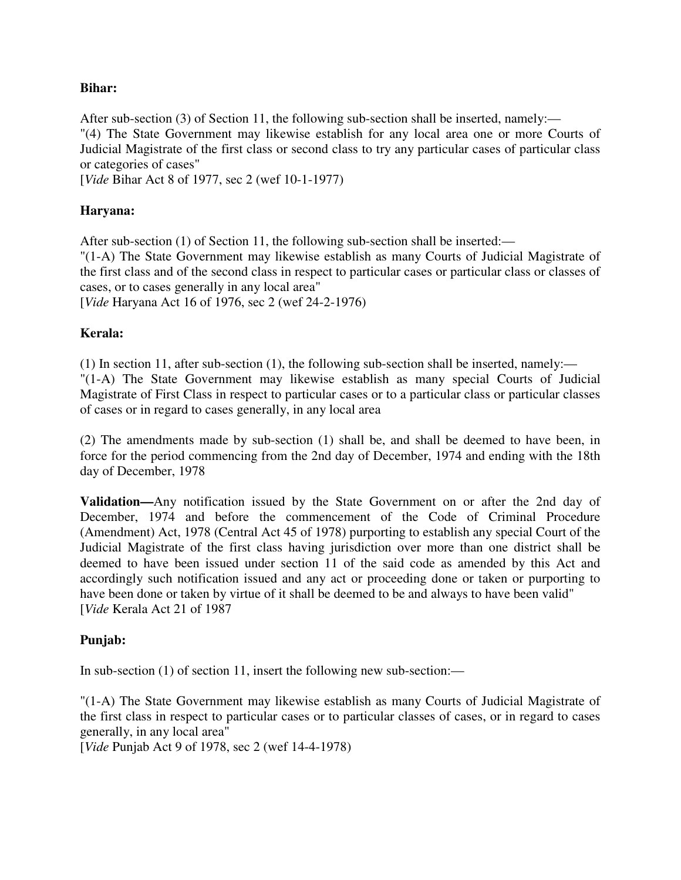### **Bihar:**

After sub-section (3) of Section 11, the following sub-section shall be inserted, namely:—

"(4) The State Government may likewise establish for any local area one or more Courts of Judicial Magistrate of the first class or second class to try any particular cases of particular class or categories of cases"

[*Vide* Bihar Act 8 of 1977, sec 2 (wef 10-1-1977)

### **Haryana:**

After sub-section (1) of Section 11, the following sub-section shall be inserted:—

"(1-A) The State Government may likewise establish as many Courts of Judicial Magistrate of the first class and of the second class in respect to particular cases or particular class or classes of cases, or to cases generally in any local area"

[*Vide* Haryana Act 16 of 1976, sec 2 (wef 24-2-1976)

### **Kerala:**

(1) In section 11, after sub-section (1), the following sub-section shall be inserted, namely:— "(1-A) The State Government may likewise establish as many special Courts of Judicial Magistrate of First Class in respect to particular cases or to a particular class or particular classes of cases or in regard to cases generally, in any local area

(2) The amendments made by sub-section (1) shall be, and shall be deemed to have been, in force for the period commencing from the 2nd day of December, 1974 and ending with the 18th day of December, 1978

**Validation—**Any notification issued by the State Government on or after the 2nd day of December, 1974 and before the commencement of the Code of Criminal Procedure (Amendment) Act, 1978 (Central Act 45 of 1978) purporting to establish any special Court of the Judicial Magistrate of the first class having jurisdiction over more than one district shall be deemed to have been issued under section 11 of the said code as amended by this Act and accordingly such notification issued and any act or proceeding done or taken or purporting to have been done or taken by virtue of it shall be deemed to be and always to have been valid" [*Vide* Kerala Act 21 of 1987

### **Punjab:**

In sub-section (1) of section 11, insert the following new sub-section:—

"(1-A) The State Government may likewise establish as many Courts of Judicial Magistrate of the first class in respect to particular cases or to particular classes of cases, or in regard to cases generally, in any local area"

[*Vide* Punjab Act 9 of 1978, sec 2 (wef 14-4-1978)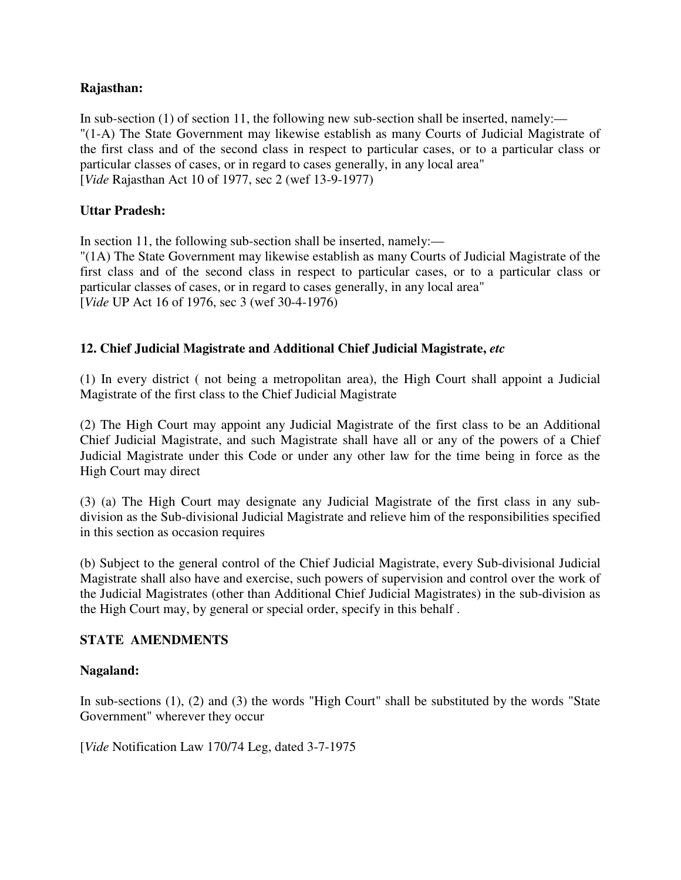# **Rajasthan:**

In sub-section (1) of section 11, the following new sub-section shall be inserted, namely:— "(1-A) The State Government may likewise establish as many Courts of Judicial Magistrate of the first class and of the second class in respect to particular cases, or to a particular class or particular classes of cases, or in regard to cases generally, in any local area" [*Vide* Rajasthan Act 10 of 1977, sec 2 (wef 13-9-1977)

#### **Uttar Pradesh:**

In section 11, the following sub-section shall be inserted, namely:—

"(1A) The State Government may likewise establish as many Courts of Judicial Magistrate of the first class and of the second class in respect to particular cases, or to a particular class or particular classes of cases, or in regard to cases generally, in any local area" [*Vide* UP Act 16 of 1976, sec 3 (wef 30-4-1976)

#### **12. Chief Judicial Magistrate and Additional Chief Judicial Magistrate,** *etc*

(1) In every district ( not being a metropolitan area), the High Court shall appoint a Judicial Magistrate of the first class to the Chief Judicial Magistrate

(2) The High Court may appoint any Judicial Magistrate of the first class to be an Additional Chief Judicial Magistrate, and such Magistrate shall have all or any of the powers of a Chief Judicial Magistrate under this Code or under any other law for the time being in force as the High Court may direct

(3) (a) The High Court may designate any Judicial Magistrate of the first class in any subdivision as the Sub-divisional Judicial Magistrate and relieve him of the responsibilities specified in this section as occasion requires

(b) Subject to the general control of the Chief Judicial Magistrate, every Sub-divisional Judicial Magistrate shall also have and exercise, such powers of supervision and control over the work of the Judicial Magistrates (other than Additional Chief Judicial Magistrates) in the sub-division as the High Court may, by general or special order, specify in this behalf .

#### **STATE AMENDMENTS**

#### **Nagaland:**

In sub-sections (1), (2) and (3) the words "High Court" shall be substituted by the words "State Government" wherever they occur

[*Vide* Notification Law 170/74 Leg, dated 3-7-1975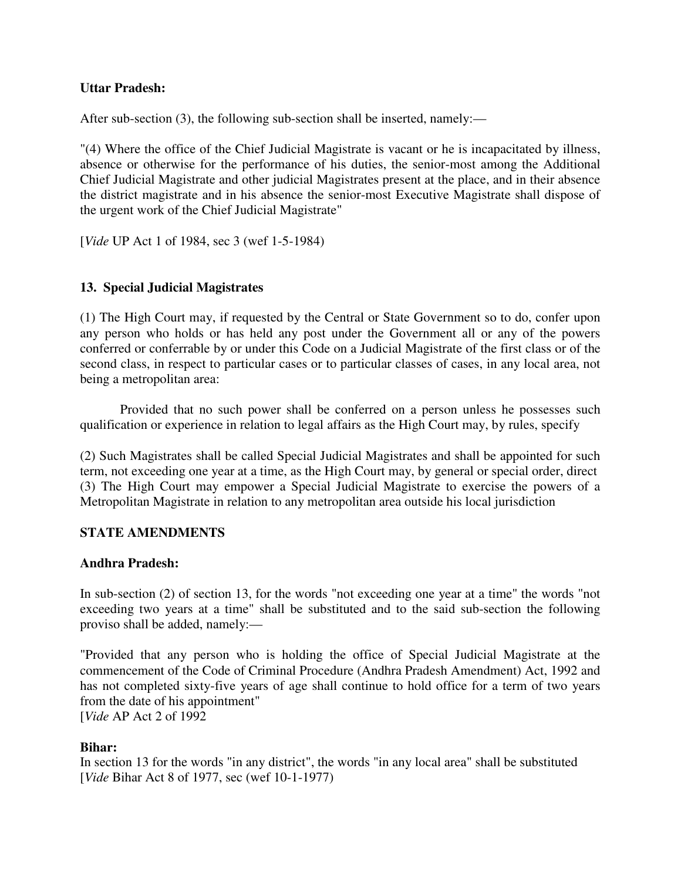#### **Uttar Pradesh:**

After sub-section (3), the following sub-section shall be inserted, namely:—

"(4) Where the office of the Chief Judicial Magistrate is vacant or he is incapacitated by illness, absence or otherwise for the performance of his duties, the senior-most among the Additional Chief Judicial Magistrate and other judicial Magistrates present at the place, and in their absence the district magistrate and in his absence the senior-most Executive Magistrate shall dispose of the urgent work of the Chief Judicial Magistrate"

[*Vide* UP Act 1 of 1984, sec 3 (wef 1-5-1984)

#### **13. Special Judicial Magistrates**

(1) The High Court may, if requested by the Central or State Government so to do, confer upon any person who holds or has held any post under the Government all or any of the powers conferred or conferrable by or under this Code on a Judicial Magistrate of the first class or of the second class, in respect to particular cases or to particular classes of cases, in any local area, not being a metropolitan area:

Provided that no such power shall be conferred on a person unless he possesses such qualification or experience in relation to legal affairs as the High Court may, by rules, specify

(2) Such Magistrates shall be called Special Judicial Magistrates and shall be appointed for such term, not exceeding one year at a time, as the High Court may, by general or special order, direct (3) The High Court may empower a Special Judicial Magistrate to exercise the powers of a Metropolitan Magistrate in relation to any metropolitan area outside his local jurisdiction

#### **STATE AMENDMENTS**

#### **Andhra Pradesh:**

In sub-section (2) of section 13, for the words "not exceeding one year at a time" the words "not exceeding two years at a time" shall be substituted and to the said sub-section the following proviso shall be added, namely:—

"Provided that any person who is holding the office of Special Judicial Magistrate at the commencement of the Code of Criminal Procedure (Andhra Pradesh Amendment) Act, 1992 and has not completed sixty-five years of age shall continue to hold office for a term of two years from the date of his appointment" [*Vide* AP Act 2 of 1992

#### **Bihar:**

In section 13 for the words "in any district", the words "in any local area" shall be substituted [*Vide* Bihar Act 8 of 1977, sec (wef 10-1-1977)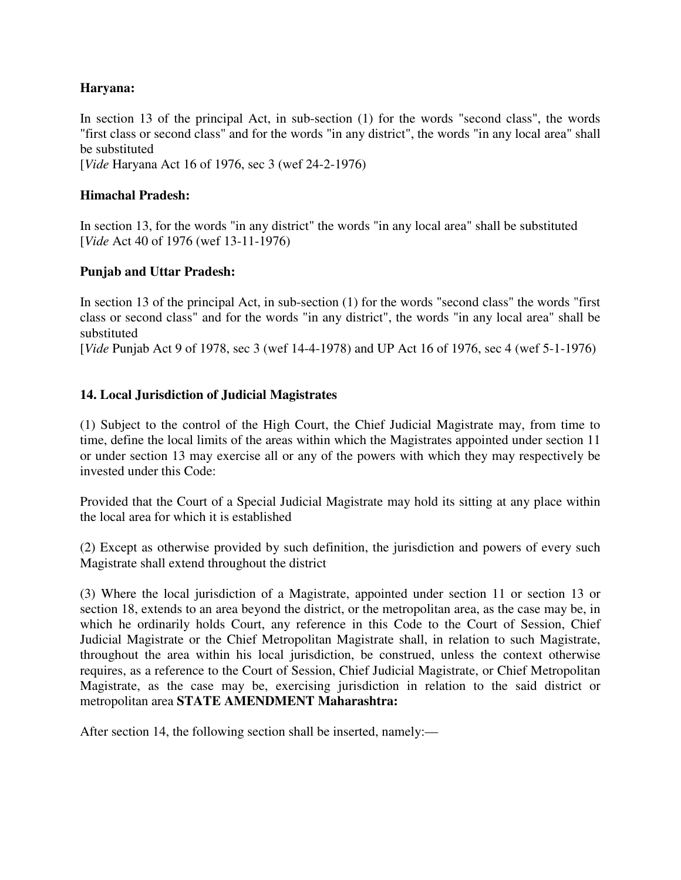# **Haryana:**

In section 13 of the principal Act, in sub-section (1) for the words "second class", the words "first class or second class" and for the words "in any district", the words "in any local area" shall be substituted

[*Vide* Haryana Act 16 of 1976, sec 3 (wef 24-2-1976)

# **Himachal Pradesh:**

In section 13, for the words "in any district" the words "in any local area" shall be substituted [*Vide* Act 40 of 1976 (wef 13-11-1976)

# **Punjab and Uttar Pradesh:**

In section 13 of the principal Act, in sub-section (1) for the words "second class" the words "first class or second class" and for the words "in any district", the words "in any local area" shall be substituted

[*Vide* Punjab Act 9 of 1978, sec 3 (wef 14-4-1978) and UP Act 16 of 1976, sec 4 (wef 5-1-1976)

#### **14. Local Jurisdiction of Judicial Magistrates**

(1) Subject to the control of the High Court, the Chief Judicial Magistrate may, from time to time, define the local limits of the areas within which the Magistrates appointed under section 11 or under section 13 may exercise all or any of the powers with which they may respectively be invested under this Code:

Provided that the Court of a Special Judicial Magistrate may hold its sitting at any place within the local area for which it is established

(2) Except as otherwise provided by such definition, the jurisdiction and powers of every such Magistrate shall extend throughout the district

(3) Where the local jurisdiction of a Magistrate, appointed under section 11 or section 13 or section 18, extends to an area beyond the district, or the metropolitan area, as the case may be, in which he ordinarily holds Court, any reference in this Code to the Court of Session, Chief Judicial Magistrate or the Chief Metropolitan Magistrate shall, in relation to such Magistrate, throughout the area within his local jurisdiction, be construed, unless the context otherwise requires, as a reference to the Court of Session, Chief Judicial Magistrate, or Chief Metropolitan Magistrate, as the case may be, exercising jurisdiction in relation to the said district or metropolitan area **STATE AMENDMENT Maharashtra:** 

After section 14, the following section shall be inserted, namely:—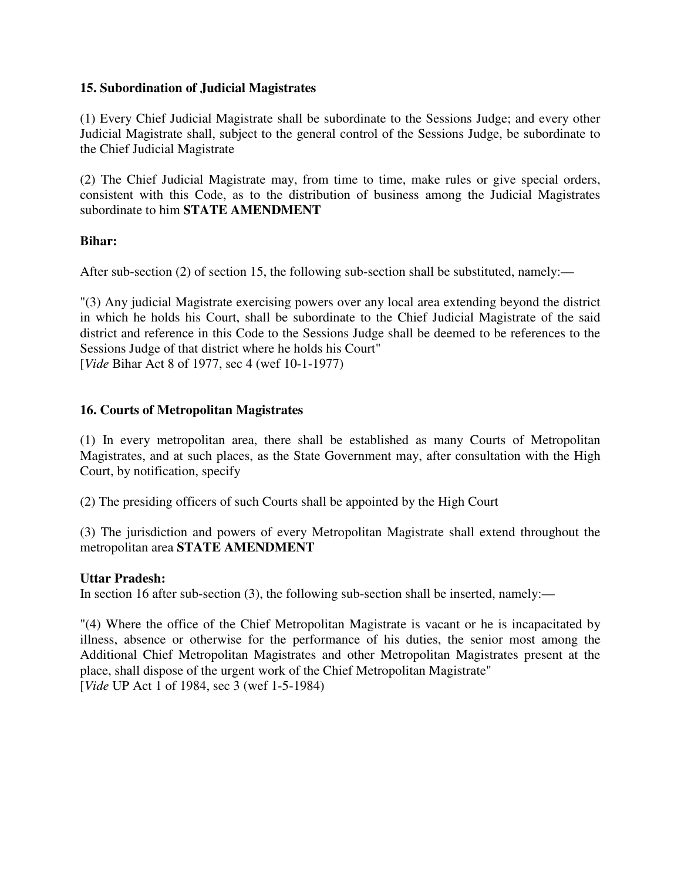#### **15. Subordination of Judicial Magistrates**

(1) Every Chief Judicial Magistrate shall be subordinate to the Sessions Judge; and every other Judicial Magistrate shall, subject to the general control of the Sessions Judge, be subordinate to the Chief Judicial Magistrate

(2) The Chief Judicial Magistrate may, from time to time, make rules or give special orders, consistent with this Code, as to the distribution of business among the Judicial Magistrates subordinate to him **STATE AMENDMENT** 

#### **Bihar:**

After sub-section (2) of section 15, the following sub-section shall be substituted, namely:—

"(3) Any judicial Magistrate exercising powers over any local area extending beyond the district in which he holds his Court, shall be subordinate to the Chief Judicial Magistrate of the said district and reference in this Code to the Sessions Judge shall be deemed to be references to the Sessions Judge of that district where he holds his Court" [*Vide* Bihar Act 8 of 1977, sec 4 (wef 10-1-1977)

#### **16. Courts of Metropolitan Magistrates**

(1) In every metropolitan area, there shall be established as many Courts of Metropolitan Magistrates, and at such places, as the State Government may, after consultation with the High Court, by notification, specify

(2) The presiding officers of such Courts shall be appointed by the High Court

(3) The jurisdiction and powers of every Metropolitan Magistrate shall extend throughout the metropolitan area **STATE AMENDMENT** 

#### **Uttar Pradesh:**

In section 16 after sub-section (3), the following sub-section shall be inserted, namely:—

"(4) Where the office of the Chief Metropolitan Magistrate is vacant or he is incapacitated by illness, absence or otherwise for the performance of his duties, the senior most among the Additional Chief Metropolitan Magistrates and other Metropolitan Magistrates present at the place, shall dispose of the urgent work of the Chief Metropolitan Magistrate" [*Vide* UP Act 1 of 1984, sec 3 (wef 1-5-1984)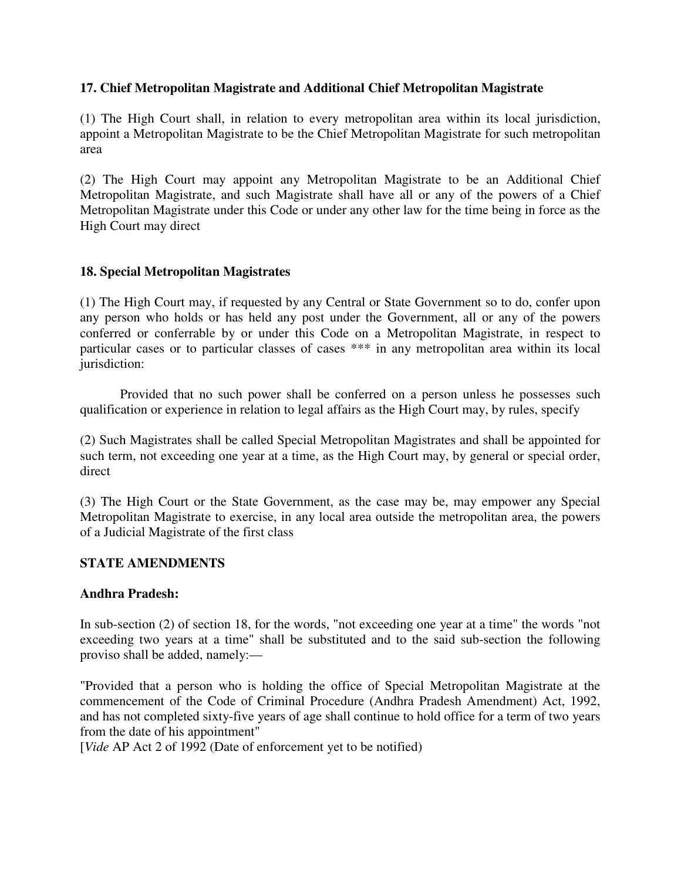#### **17. Chief Metropolitan Magistrate and Additional Chief Metropolitan Magistrate**

(1) The High Court shall, in relation to every metropolitan area within its local jurisdiction, appoint a Metropolitan Magistrate to be the Chief Metropolitan Magistrate for such metropolitan area

(2) The High Court may appoint any Metropolitan Magistrate to be an Additional Chief Metropolitan Magistrate, and such Magistrate shall have all or any of the powers of a Chief Metropolitan Magistrate under this Code or under any other law for the time being in force as the High Court may direct

#### **18. Special Metropolitan Magistrates**

(1) The High Court may, if requested by any Central or State Government so to do, confer upon any person who holds or has held any post under the Government, all or any of the powers conferred or conferrable by or under this Code on a Metropolitan Magistrate, in respect to particular cases or to particular classes of cases \*\*\* in any metropolitan area within its local jurisdiction:

Provided that no such power shall be conferred on a person unless he possesses such qualification or experience in relation to legal affairs as the High Court may, by rules, specify

(2) Such Magistrates shall be called Special Metropolitan Magistrates and shall be appointed for such term, not exceeding one year at a time, as the High Court may, by general or special order, direct

(3) The High Court or the State Government, as the case may be, may empower any Special Metropolitan Magistrate to exercise, in any local area outside the metropolitan area, the powers of a Judicial Magistrate of the first class

#### **STATE AMENDMENTS**

#### **Andhra Pradesh:**

In sub-section (2) of section 18, for the words, "not exceeding one year at a time" the words "not exceeding two years at a time" shall be substituted and to the said sub-section the following proviso shall be added, namely:—

"Provided that a person who is holding the office of Special Metropolitan Magistrate at the commencement of the Code of Criminal Procedure (Andhra Pradesh Amendment) Act, 1992, and has not completed sixty-five years of age shall continue to hold office for a term of two years from the date of his appointment"

[*Vide* AP Act 2 of 1992 (Date of enforcement yet to be notified)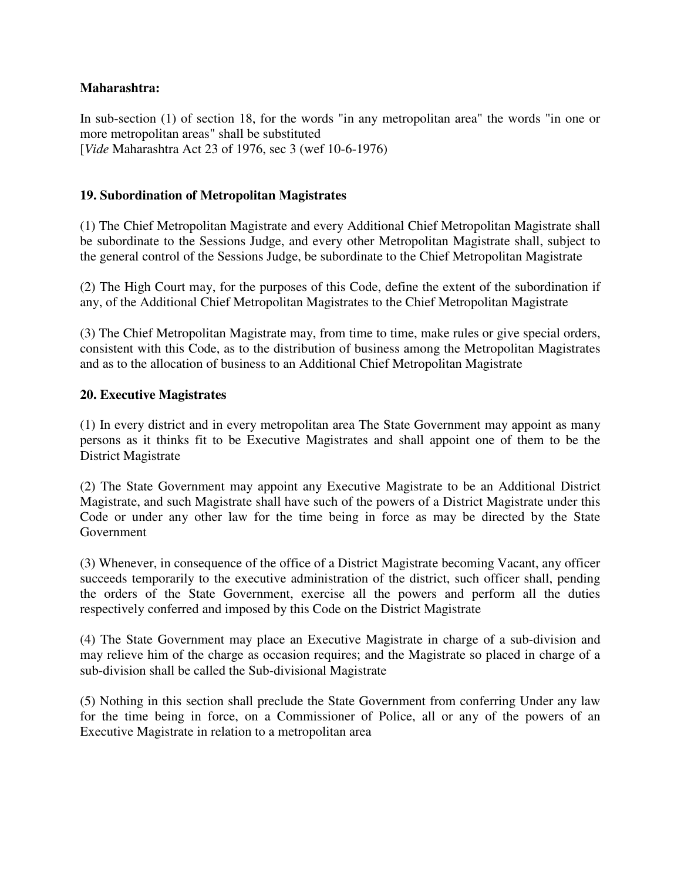#### **Maharashtra:**

In sub-section (1) of section 18, for the words "in any metropolitan area" the words "in one or more metropolitan areas" shall be substituted [*Vide* Maharashtra Act 23 of 1976, sec 3 (wef 10-6-1976)

#### **19. Subordination of Metropolitan Magistrates**

(1) The Chief Metropolitan Magistrate and every Additional Chief Metropolitan Magistrate shall be subordinate to the Sessions Judge, and every other Metropolitan Magistrate shall, subject to the general control of the Sessions Judge, be subordinate to the Chief Metropolitan Magistrate

(2) The High Court may, for the purposes of this Code, define the extent of the subordination if any, of the Additional Chief Metropolitan Magistrates to the Chief Metropolitan Magistrate

(3) The Chief Metropolitan Magistrate may, from time to time, make rules or give special orders, consistent with this Code, as to the distribution of business among the Metropolitan Magistrates and as to the allocation of business to an Additional Chief Metropolitan Magistrate

#### **20. Executive Magistrates**

(1) In every district and in every metropolitan area The State Government may appoint as many persons as it thinks fit to be Executive Magistrates and shall appoint one of them to be the District Magistrate

(2) The State Government may appoint any Executive Magistrate to be an Additional District Magistrate, and such Magistrate shall have such of the powers of a District Magistrate under this Code or under any other law for the time being in force as may be directed by the State Government

(3) Whenever, in consequence of the office of a District Magistrate becoming Vacant, any officer succeeds temporarily to the executive administration of the district, such officer shall, pending the orders of the State Government, exercise all the powers and perform all the duties respectively conferred and imposed by this Code on the District Magistrate

(4) The State Government may place an Executive Magistrate in charge of a sub-division and may relieve him of the charge as occasion requires; and the Magistrate so placed in charge of a sub-division shall be called the Sub-divisional Magistrate

(5) Nothing in this section shall preclude the State Government from conferring Under any law for the time being in force, on a Commissioner of Police, all or any of the powers of an Executive Magistrate in relation to a metropolitan area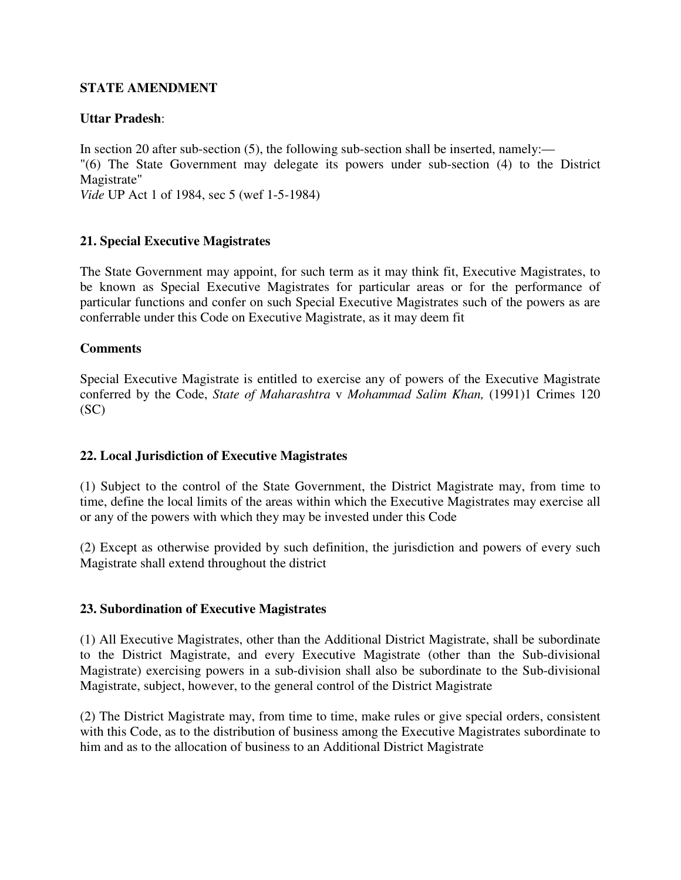# **STATE AMENDMENT**

# **Uttar Pradesh**:

In section 20 after sub-section (5), the following sub-section shall be inserted, namely:— "(6) The State Government may delegate its powers under sub-section (4) to the District Magistrate" *Vide* UP Act 1 of 1984, sec 5 (wef 1-5-1984)

**21. Special Executive Magistrates**

The State Government may appoint, for such term as it may think fit, Executive Magistrates, to be known as Special Executive Magistrates for particular areas or for the performance of particular functions and confer on such Special Executive Magistrates such of the powers as are conferrable under this Code on Executive Magistrate, as it may deem fit

#### **Comments**

Special Executive Magistrate is entitled to exercise any of powers of the Executive Magistrate conferred by the Code, *State of Maharashtra* v *Mohammad Salim Khan,* (1991)1 Crimes 120 (SC)

#### **22. Local Jurisdiction of Executive Magistrates**

(1) Subject to the control of the State Government, the District Magistrate may, from time to time, define the local limits of the areas within which the Executive Magistrates may exercise all or any of the powers with which they may be invested under this Code

(2) Except as otherwise provided by such definition, the jurisdiction and powers of every such Magistrate shall extend throughout the district

#### **23. Subordination of Executive Magistrates**

(1) All Executive Magistrates, other than the Additional District Magistrate, shall be subordinate to the District Magistrate, and every Executive Magistrate (other than the Sub-divisional Magistrate) exercising powers in a sub-division shall also be subordinate to the Sub-divisional Magistrate, subject, however, to the general control of the District Magistrate

(2) The District Magistrate may, from time to time, make rules or give special orders, consistent with this Code, as to the distribution of business among the Executive Magistrates subordinate to him and as to the allocation of business to an Additional District Magistrate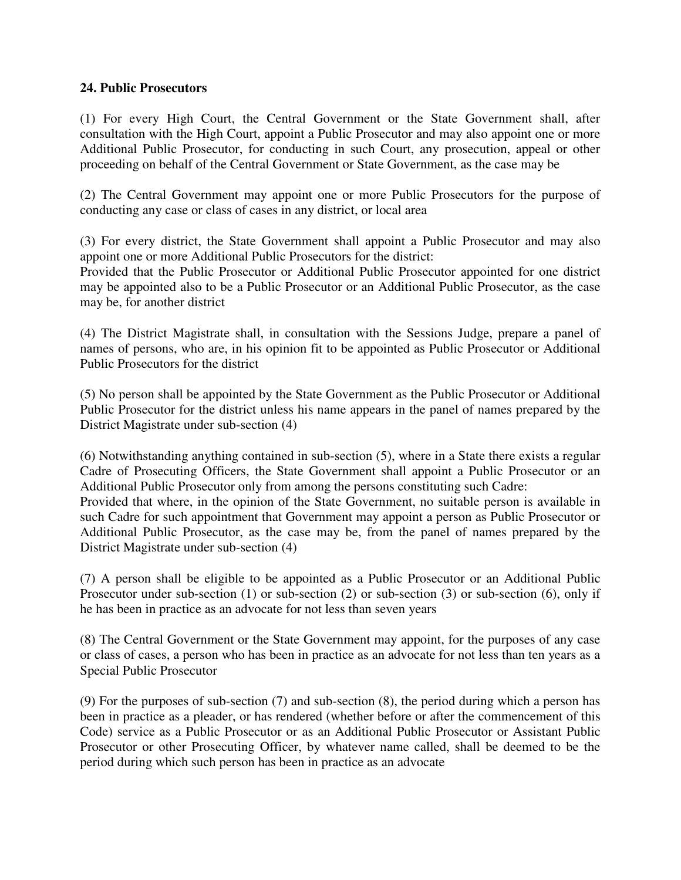#### **24. Public Prosecutors**

(1) For every High Court, the Central Government or the State Government shall, after consultation with the High Court, appoint a Public Prosecutor and may also appoint one or more Additional Public Prosecutor, for conducting in such Court, any prosecution, appeal or other proceeding on behalf of the Central Government or State Government, as the case may be

(2) The Central Government may appoint one or more Public Prosecutors for the purpose of conducting any case or class of cases in any district, or local area

(3) For every district, the State Government shall appoint a Public Prosecutor and may also appoint one or more Additional Public Prosecutors for the district:

Provided that the Public Prosecutor or Additional Public Prosecutor appointed for one district may be appointed also to be a Public Prosecutor or an Additional Public Prosecutor, as the case may be, for another district

(4) The District Magistrate shall, in consultation with the Sessions Judge, prepare a panel of names of persons, who are, in his opinion fit to be appointed as Public Prosecutor or Additional Public Prosecutors for the district

(5) No person shall be appointed by the State Government as the Public Prosecutor or Additional Public Prosecutor for the district unless his name appears in the panel of names prepared by the District Magistrate under sub-section (4)

(6) Notwithstanding anything contained in sub-section (5), where in a State there exists a regular Cadre of Prosecuting Officers, the State Government shall appoint a Public Prosecutor or an Additional Public Prosecutor only from among the persons constituting such Cadre:

Provided that where, in the opinion of the State Government, no suitable person is available in such Cadre for such appointment that Government may appoint a person as Public Prosecutor or Additional Public Prosecutor, as the case may be, from the panel of names prepared by the District Magistrate under sub-section (4)

(7) A person shall be eligible to be appointed as a Public Prosecutor or an Additional Public Prosecutor under sub-section (1) or sub-section (2) or sub-section (3) or sub-section (6), only if he has been in practice as an advocate for not less than seven years

(8) The Central Government or the State Government may appoint, for the purposes of any case or class of cases, a person who has been in practice as an advocate for not less than ten years as a Special Public Prosecutor

(9) For the purposes of sub-section (7) and sub-section (8), the period during which a person has been in practice as a pleader, or has rendered (whether before or after the commencement of this Code) service as a Public Prosecutor or as an Additional Public Prosecutor or Assistant Public Prosecutor or other Prosecuting Officer, by whatever name called, shall be deemed to be the period during which such person has been in practice as an advocate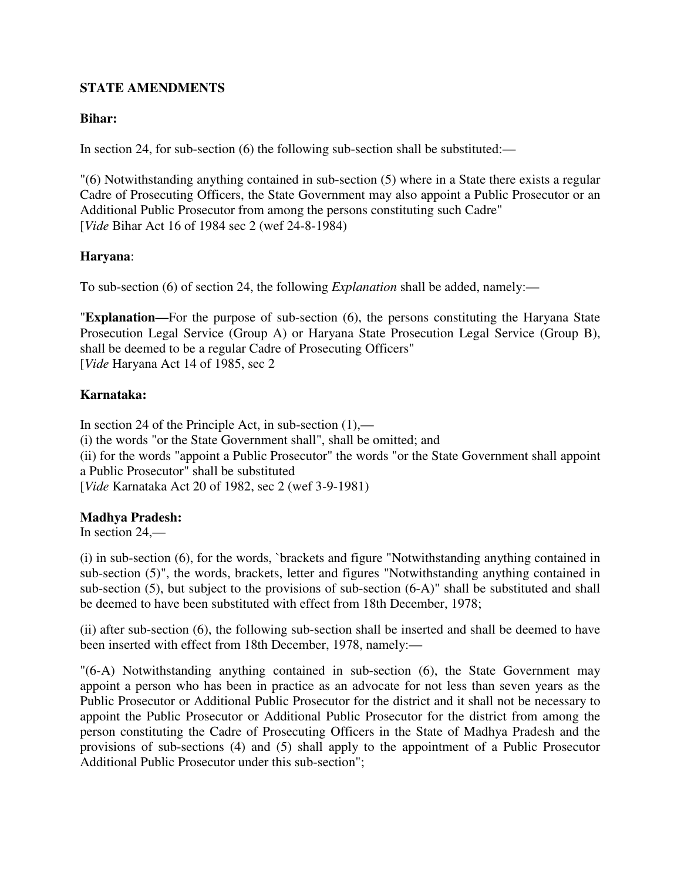# **STATE AMENDMENTS**

# **Bihar:**

In section 24, for sub-section (6) the following sub-section shall be substituted:—

"(6) Notwithstanding anything contained in sub-section (5) where in a State there exists a regular Cadre of Prosecuting Officers, the State Government may also appoint a Public Prosecutor or an Additional Public Prosecutor from among the persons constituting such Cadre" [*Vide* Bihar Act 16 of 1984 sec 2 (wef 24-8-1984)

# **Haryana**:

To sub-section (6) of section 24, the following *Explanation* shall be added, namely:—

"**Explanation—**For the purpose of sub-section (6), the persons constituting the Haryana State Prosecution Legal Service (Group A) or Haryana State Prosecution Legal Service (Group B), shall be deemed to be a regular Cadre of Prosecuting Officers" [*Vide* Haryana Act 14 of 1985, sec 2

# **Karnataka:**

In section 24 of the Principle Act, in sub-section  $(1)$ ,— (i) the words "or the State Government shall", shall be omitted; and (ii) for the words "appoint a Public Prosecutor" the words "or the State Government shall appoint a Public Prosecutor" shall be substituted [*Vide* Karnataka Act 20 of 1982, sec 2 (wef 3-9-1981)

# **Madhya Pradesh:**

In section 24,—

(i) in sub-section (6), for the words, `brackets and figure "Notwithstanding anything contained in sub-section (5)", the words, brackets, letter and figures "Notwithstanding anything contained in sub-section (5), but subject to the provisions of sub-section (6-A)" shall be substituted and shall be deemed to have been substituted with effect from 18th December, 1978;

(ii) after sub-section (6), the following sub-section shall be inserted and shall be deemed to have been inserted with effect from 18th December, 1978, namely:—

"(6-A) Notwithstanding anything contained in sub-section (6), the State Government may appoint a person who has been in practice as an advocate for not less than seven years as the Public Prosecutor or Additional Public Prosecutor for the district and it shall not be necessary to appoint the Public Prosecutor or Additional Public Prosecutor for the district from among the person constituting the Cadre of Prosecuting Officers in the State of Madhya Pradesh and the provisions of sub-sections (4) and (5) shall apply to the appointment of a Public Prosecutor Additional Public Prosecutor under this sub-section";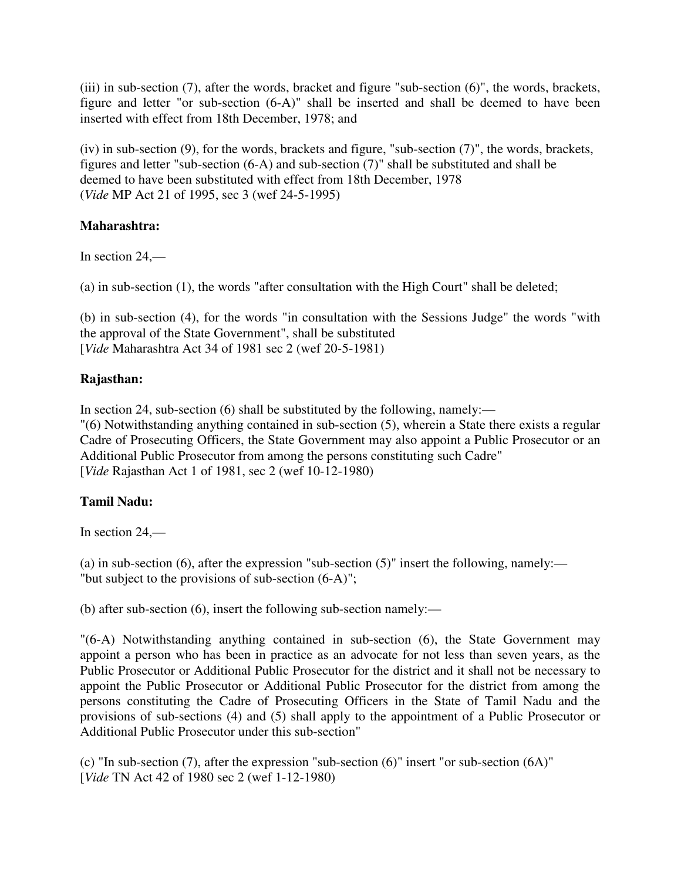(iii) in sub-section (7), after the words, bracket and figure "sub-section (6)", the words, brackets, figure and letter "or sub-section (6-A)" shall be inserted and shall be deemed to have been inserted with effect from 18th December, 1978; and

(iv) in sub-section (9), for the words, brackets and figure, "sub-section (7)", the words, brackets, figures and letter "sub-section (6-A) and sub-section (7)" shall be substituted and shall be deemed to have been substituted with effect from 18th December, 1978 (*Vide* MP Act 21 of 1995, sec 3 (wef 24-5-1995)

# **Maharashtra:**

In section 24,—

(a) in sub-section (1), the words "after consultation with the High Court" shall be deleted;

(b) in sub-section (4), for the words "in consultation with the Sessions Judge" the words "with the approval of the State Government", shall be substituted [*Vide* Maharashtra Act 34 of 1981 sec 2 (wef 20-5-1981)

# **Rajasthan:**

In section 24, sub-section  $(6)$  shall be substituted by the following, namely:— "(6) Notwithstanding anything contained in sub-section (5), wherein a State there exists a regular Cadre of Prosecuting Officers, the State Government may also appoint a Public Prosecutor or an Additional Public Prosecutor from among the persons constituting such Cadre" [*Vide* Rajasthan Act 1 of 1981, sec 2 (wef 10-12-1980)

# **Tamil Nadu:**

In section 24,—

(a) in sub-section (6), after the expression "sub-section  $(5)$ " insert the following, namely:— "but subject to the provisions of sub-section (6-A)";

(b) after sub-section (6), insert the following sub-section namely:—

"(6-A) Notwithstanding anything contained in sub-section (6), the State Government may appoint a person who has been in practice as an advocate for not less than seven years, as the Public Prosecutor or Additional Public Prosecutor for the district and it shall not be necessary to appoint the Public Prosecutor or Additional Public Prosecutor for the district from among the persons constituting the Cadre of Prosecuting Officers in the State of Tamil Nadu and the provisions of sub-sections (4) and (5) shall apply to the appointment of a Public Prosecutor or Additional Public Prosecutor under this sub-section"

(c) "In sub-section (7), after the expression "sub-section (6)" insert "or sub-section (6A)" [*Vide* TN Act 42 of 1980 sec 2 (wef 1-12-1980)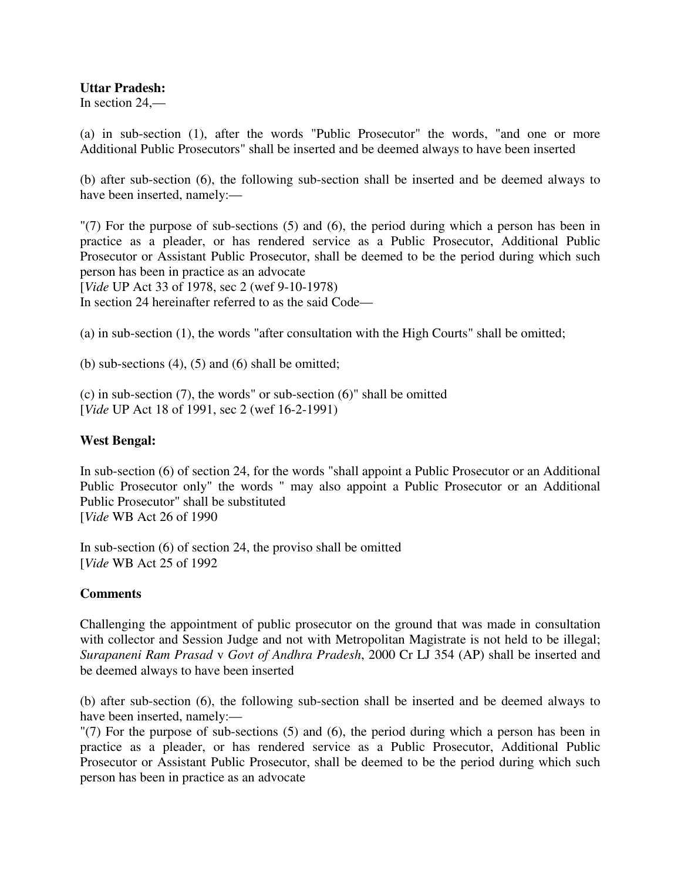#### **Uttar Pradesh:**

In section 24,—

(a) in sub-section (1), after the words "Public Prosecutor" the words, "and one or more Additional Public Prosecutors" shall be inserted and be deemed always to have been inserted

(b) after sub-section (6), the following sub-section shall be inserted and be deemed always to have been inserted, namely:—

"(7) For the purpose of sub-sections (5) and (6), the period during which a person has been in practice as a pleader, or has rendered service as a Public Prosecutor, Additional Public Prosecutor or Assistant Public Prosecutor, shall be deemed to be the period during which such person has been in practice as an advocate

[*Vide* UP Act 33 of 1978, sec 2 (wef 9-10-1978) In section 24 hereinafter referred to as the said Code—

(a) in sub-section (1), the words "after consultation with the High Courts" shall be omitted;

(b) sub-sections  $(4)$ ,  $(5)$  and  $(6)$  shall be omitted;

(c) in sub-section (7), the words" or sub-section (6)" shall be omitted [*Vide* UP Act 18 of 1991, sec 2 (wef 16-2-1991)

#### **West Bengal:**

In sub-section (6) of section 24, for the words "shall appoint a Public Prosecutor or an Additional Public Prosecutor only" the words " may also appoint a Public Prosecutor or an Additional Public Prosecutor" shall be substituted [*Vide* WB Act 26 of 1990

In sub-section (6) of section 24, the proviso shall be omitted [*Vide* WB Act 25 of 1992

#### **Comments**

Challenging the appointment of public prosecutor on the ground that was made in consultation with collector and Session Judge and not with Metropolitan Magistrate is not held to be illegal; *Surapaneni Ram Prasad* v *Govt of Andhra Pradesh*, 2000 Cr LJ 354 (AP) shall be inserted and be deemed always to have been inserted

(b) after sub-section (6), the following sub-section shall be inserted and be deemed always to have been inserted, namely:—

"(7) For the purpose of sub-sections (5) and (6), the period during which a person has been in practice as a pleader, or has rendered service as a Public Prosecutor, Additional Public Prosecutor or Assistant Public Prosecutor, shall be deemed to be the period during which such person has been in practice as an advocate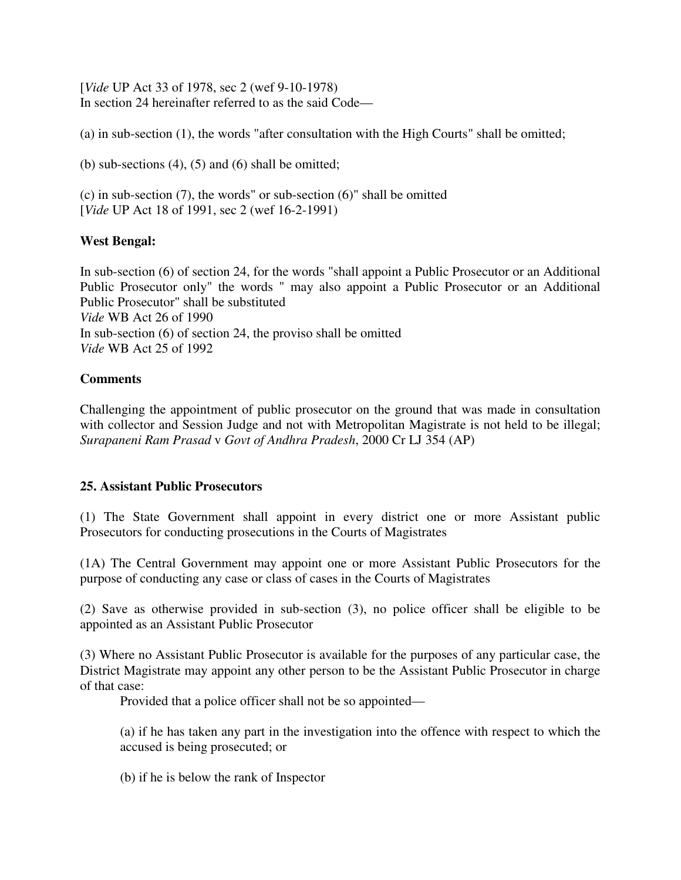[*Vide* UP Act 33 of 1978, sec 2 (wef 9-10-1978) In section 24 hereinafter referred to as the said Code—

(a) in sub-section (1), the words "after consultation with the High Courts" shall be omitted;

(b) sub-sections  $(4)$ ,  $(5)$  and  $(6)$  shall be omitted;

(c) in sub-section (7), the words" or sub-section (6)" shall be omitted [*Vide* UP Act 18 of 1991, sec 2 (wef 16-2-1991)

# **West Bengal:**

In sub-section (6) of section 24, for the words "shall appoint a Public Prosecutor or an Additional Public Prosecutor only" the words " may also appoint a Public Prosecutor or an Additional Public Prosecutor" shall be substituted *Vide* WB Act 26 of 1990 In sub-section (6) of section 24, the proviso shall be omitted *Vide* WB Act 25 of 1992

# **Comments**

Challenging the appointment of public prosecutor on the ground that was made in consultation with collector and Session Judge and not with Metropolitan Magistrate is not held to be illegal; *Surapaneni Ram Prasad* v *Govt of Andhra Pradesh*, 2000 Cr LJ 354 (AP)

# **25. Assistant Public Prosecutors**

(1) The State Government shall appoint in every district one or more Assistant public Prosecutors for conducting prosecutions in the Courts of Magistrates

(1A) The Central Government may appoint one or more Assistant Public Prosecutors for the purpose of conducting any case or class of cases in the Courts of Magistrates

(2) Save as otherwise provided in sub-section (3), no police officer shall be eligible to be appointed as an Assistant Public Prosecutor

(3) Where no Assistant Public Prosecutor is available for the purposes of any particular case, the District Magistrate may appoint any other person to be the Assistant Public Prosecutor in charge of that case:

Provided that a police officer shall not be so appointed—

(a) if he has taken any part in the investigation into the offence with respect to which the accused is being prosecuted; or

(b) if he is below the rank of Inspector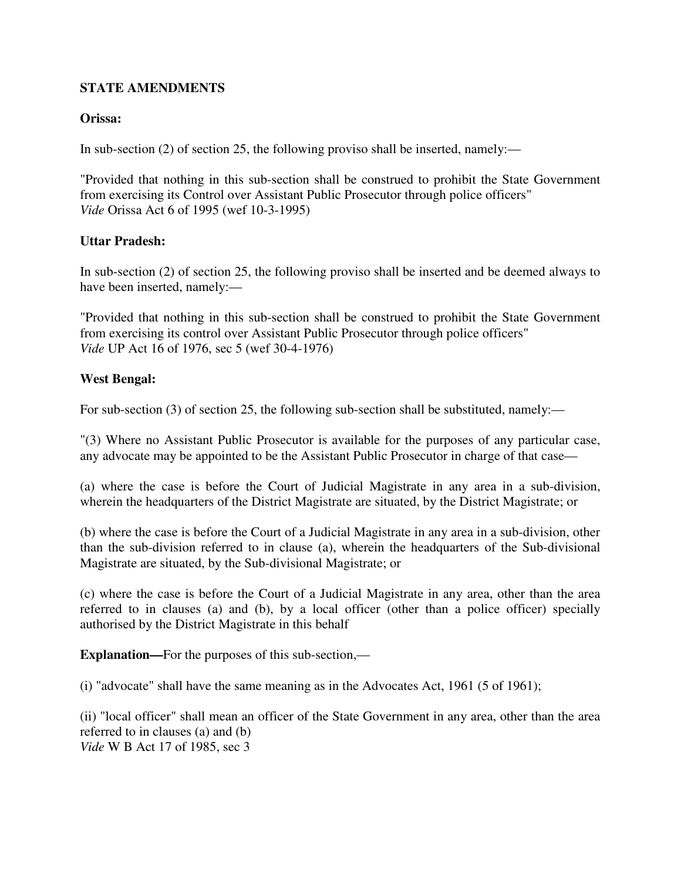# **STATE AMENDMENTS**

# **Orissa:**

In sub-section  $(2)$  of section 25, the following proviso shall be inserted, namely:—

"Provided that nothing in this sub-section shall be construed to prohibit the State Government from exercising its Control over Assistant Public Prosecutor through police officers" *Vide* Orissa Act 6 of 1995 (wef 10-3-1995)

# **Uttar Pradesh:**

In sub-section (2) of section 25, the following proviso shall be inserted and be deemed always to have been inserted, namely:—

"Provided that nothing in this sub-section shall be construed to prohibit the State Government from exercising its control over Assistant Public Prosecutor through police officers" *Vide* UP Act 16 of 1976, sec 5 (wef 30-4-1976)

#### **West Bengal:**

For sub-section (3) of section 25, the following sub-section shall be substituted, namely:—

"(3) Where no Assistant Public Prosecutor is available for the purposes of any particular case, any advocate may be appointed to be the Assistant Public Prosecutor in charge of that case—

(a) where the case is before the Court of Judicial Magistrate in any area in a sub-division, wherein the headquarters of the District Magistrate are situated, by the District Magistrate; or

(b) where the case is before the Court of a Judicial Magistrate in any area in a sub-division, other than the sub-division referred to in clause (a), wherein the headquarters of the Sub-divisional Magistrate are situated, by the Sub-divisional Magistrate; or

(c) where the case is before the Court of a Judicial Magistrate in any area, other than the area referred to in clauses (a) and (b), by a local officer (other than a police officer) specially authorised by the District Magistrate in this behalf

**Explanation—**For the purposes of this sub-section,—

(i) "advocate" shall have the same meaning as in the Advocates Act, 1961 (5 of 1961);

(ii) "local officer" shall mean an officer of the State Government in any area, other than the area referred to in clauses (a) and (b) *Vide* W B Act 17 of 1985, sec 3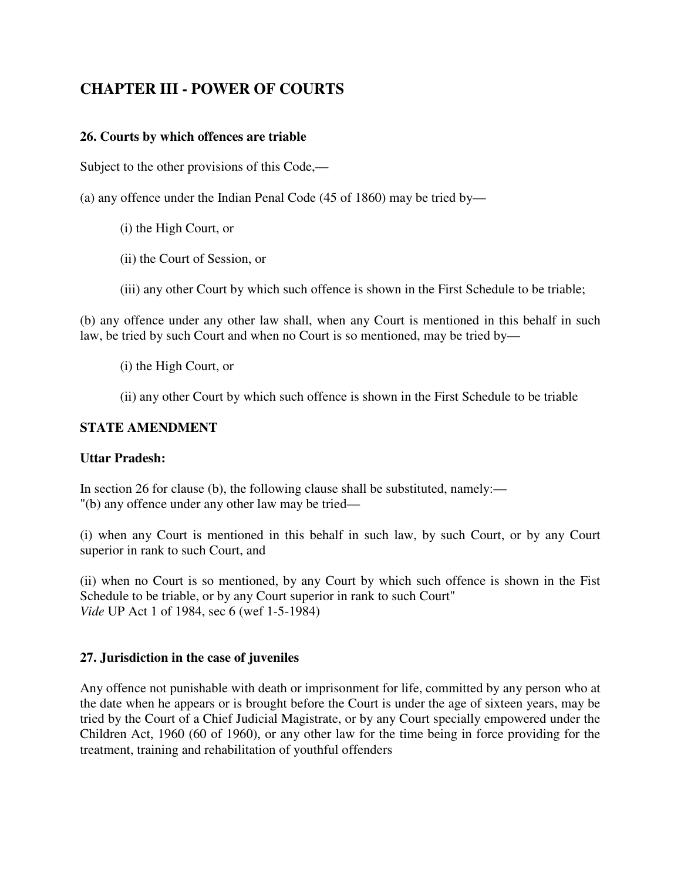# **CHAPTER III - POWER OF COURTS**

#### **26. Courts by which offences are triable**

Subject to the other provisions of this Code,—

(a) any offence under the Indian Penal Code (45 of 1860) may be tried by—

- (i) the High Court, or
- (ii) the Court of Session, or
- (iii) any other Court by which such offence is shown in the First Schedule to be triable;

(b) any offence under any other law shall, when any Court is mentioned in this behalf in such law, be tried by such Court and when no Court is so mentioned, may be tried by—

(i) the High Court, or

(ii) any other Court by which such offence is shown in the First Schedule to be triable

#### **STATE AMENDMENT**

#### **Uttar Pradesh:**

In section 26 for clause (b), the following clause shall be substituted, namely:— "(b) any offence under any other law may be tried—

(i) when any Court is mentioned in this behalf in such law, by such Court, or by any Court superior in rank to such Court, and

(ii) when no Court is so mentioned, by any Court by which such offence is shown in the Fist Schedule to be triable, or by any Court superior in rank to such Court" *Vide* UP Act 1 of 1984, sec 6 (wef 1-5-1984)

#### **27. Jurisdiction in the case of juveniles**

Any offence not punishable with death or imprisonment for life, committed by any person who at the date when he appears or is brought before the Court is under the age of sixteen years, may be tried by the Court of a Chief Judicial Magistrate, or by any Court specially empowered under the Children Act, 1960 (60 of 1960), or any other law for the time being in force providing for the treatment, training and rehabilitation of youthful offenders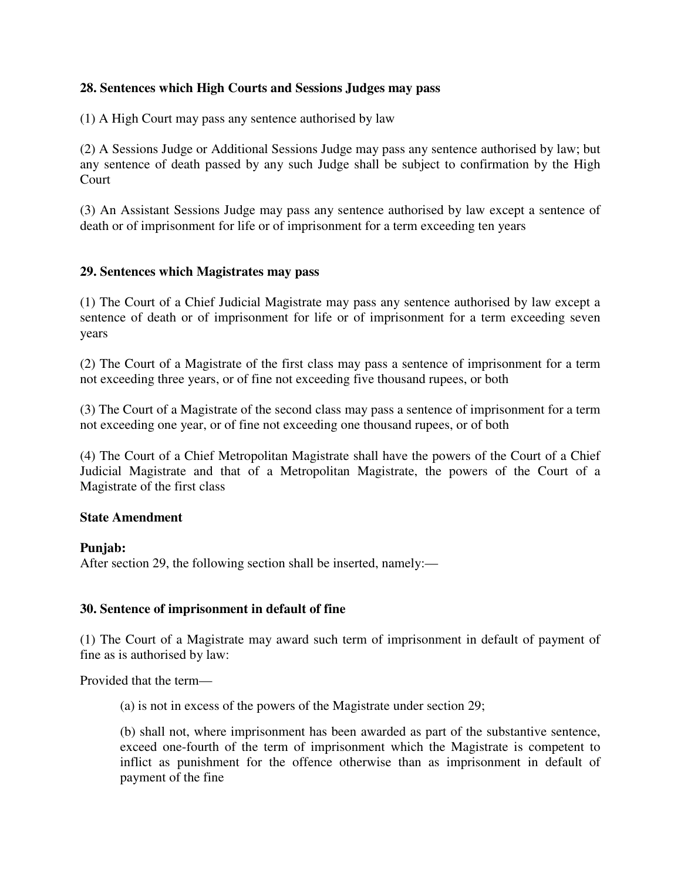#### **28. Sentences which High Courts and Sessions Judges may pass**

(1) A High Court may pass any sentence authorised by law

(2) A Sessions Judge or Additional Sessions Judge may pass any sentence authorised by law; but any sentence of death passed by any such Judge shall be subject to confirmation by the High **Court** 

(3) An Assistant Sessions Judge may pass any sentence authorised by law except a sentence of death or of imprisonment for life or of imprisonment for a term exceeding ten years

#### **29. Sentences which Magistrates may pass**

(1) The Court of a Chief Judicial Magistrate may pass any sentence authorised by law except a sentence of death or of imprisonment for life or of imprisonment for a term exceeding seven years

(2) The Court of a Magistrate of the first class may pass a sentence of imprisonment for a term not exceeding three years, or of fine not exceeding five thousand rupees, or both

(3) The Court of a Magistrate of the second class may pass a sentence of imprisonment for a term not exceeding one year, or of fine not exceeding one thousand rupees, or of both

(4) The Court of a Chief Metropolitan Magistrate shall have the powers of the Court of a Chief Judicial Magistrate and that of a Metropolitan Magistrate, the powers of the Court of a Magistrate of the first class

#### **State Amendment**

#### **Punjab:**

After section 29, the following section shall be inserted, namely:—

#### **30. Sentence of imprisonment in default of fine**

(1) The Court of a Magistrate may award such term of imprisonment in default of payment of fine as is authorised by law:

Provided that the term—

(a) is not in excess of the powers of the Magistrate under section 29;

(b) shall not, where imprisonment has been awarded as part of the substantive sentence, exceed one-fourth of the term of imprisonment which the Magistrate is competent to inflict as punishment for the offence otherwise than as imprisonment in default of payment of the fine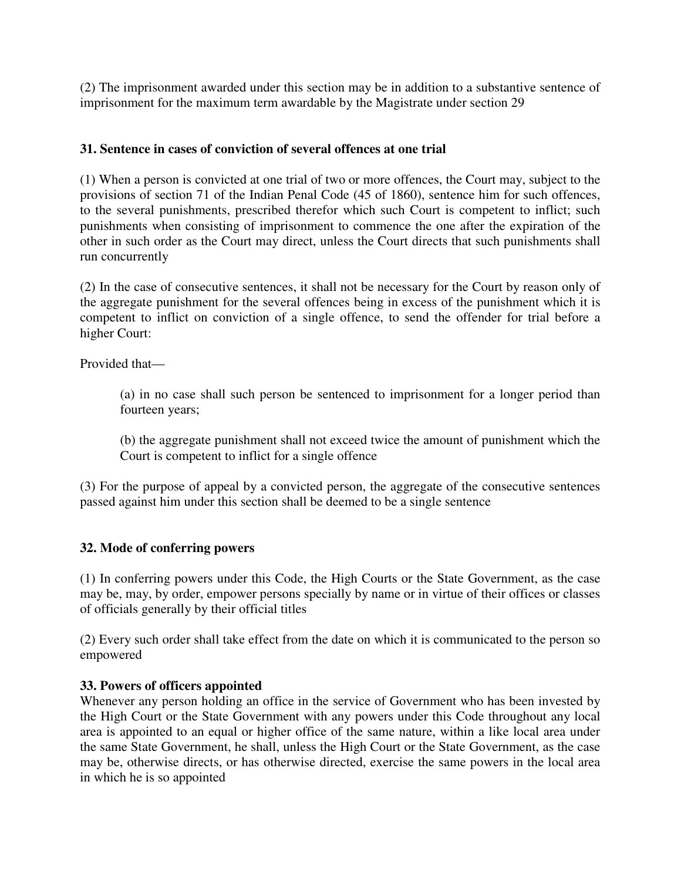(2) The imprisonment awarded under this section may be in addition to a substantive sentence of imprisonment for the maximum term awardable by the Magistrate under section 29

#### **31. Sentence in cases of conviction of several offences at one trial**

(1) When a person is convicted at one trial of two or more offences, the Court may, subject to the provisions of section 71 of the Indian Penal Code (45 of 1860), sentence him for such offences, to the several punishments, prescribed therefor which such Court is competent to inflict; such punishments when consisting of imprisonment to commence the one after the expiration of the other in such order as the Court may direct, unless the Court directs that such punishments shall run concurrently

(2) In the case of consecutive sentences, it shall not be necessary for the Court by reason only of the aggregate punishment for the several offences being in excess of the punishment which it is competent to inflict on conviction of a single offence, to send the offender for trial before a higher Court:

Provided that—

(a) in no case shall such person be sentenced to imprisonment for a longer period than fourteen years;

(b) the aggregate punishment shall not exceed twice the amount of punishment which the Court is competent to inflict for a single offence

(3) For the purpose of appeal by a convicted person, the aggregate of the consecutive sentences passed against him under this section shall be deemed to be a single sentence

#### **32. Mode of conferring powers**

(1) In conferring powers under this Code, the High Courts or the State Government, as the case may be, may, by order, empower persons specially by name or in virtue of their offices or classes of officials generally by their official titles

(2) Every such order shall take effect from the date on which it is communicated to the person so empowered

#### **33. Powers of officers appointed**

Whenever any person holding an office in the service of Government who has been invested by the High Court or the State Government with any powers under this Code throughout any local area is appointed to an equal or higher office of the same nature, within a like local area under the same State Government, he shall, unless the High Court or the State Government, as the case may be, otherwise directs, or has otherwise directed, exercise the same powers in the local area in which he is so appointed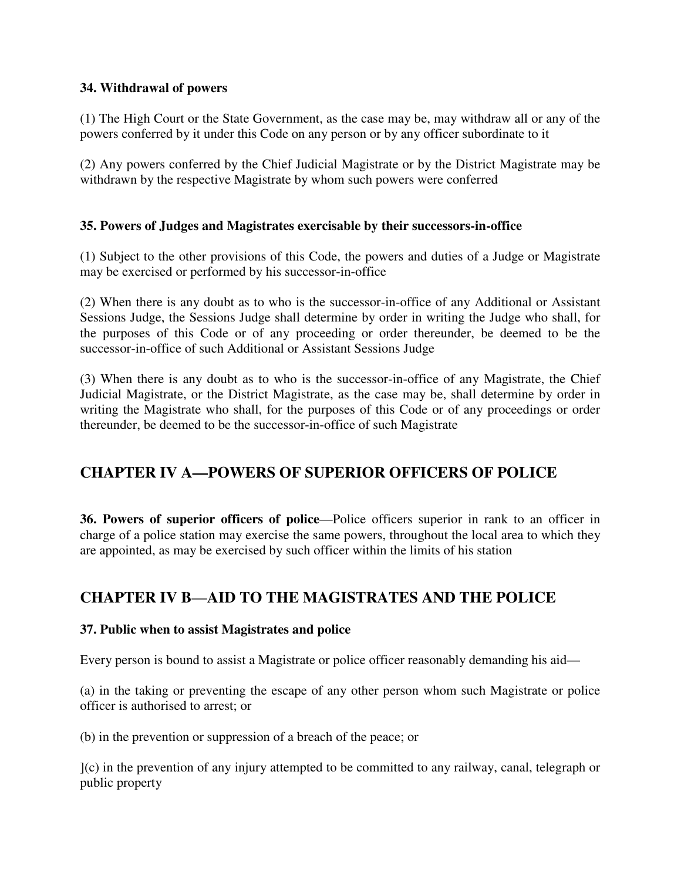#### **34. Withdrawal of powers**

(1) The High Court or the State Government, as the case may be, may withdraw all or any of the powers conferred by it under this Code on any person or by any officer subordinate to it

(2) Any powers conferred by the Chief Judicial Magistrate or by the District Magistrate may be withdrawn by the respective Magistrate by whom such powers were conferred

# **35. Powers of Judges and Magistrates exercisable by their successors-in-office**

(1) Subject to the other provisions of this Code, the powers and duties of a Judge or Magistrate may be exercised or performed by his successor-in-office

(2) When there is any doubt as to who is the successor-in-office of any Additional or Assistant Sessions Judge, the Sessions Judge shall determine by order in writing the Judge who shall, for the purposes of this Code or of any proceeding or order thereunder, be deemed to be the successor-in-office of such Additional or Assistant Sessions Judge

(3) When there is any doubt as to who is the successor-in-office of any Magistrate, the Chief Judicial Magistrate, or the District Magistrate, as the case may be, shall determine by order in writing the Magistrate who shall, for the purposes of this Code or of any proceedings or order thereunder, be deemed to be the successor-in-office of such Magistrate

# **CHAPTER IV A—POWERS OF SUPERIOR OFFICERS OF POLICE**

**36. Powers of superior officers of police**—Police officers superior in rank to an officer in charge of a police station may exercise the same powers, throughout the local area to which they are appointed, as may be exercised by such officer within the limits of his station

# **CHAPTER IV B**—**AID TO THE MAGISTRATES AND THE POLICE**

#### **37. Public when to assist Magistrates and police**

Every person is bound to assist a Magistrate or police officer reasonably demanding his aid—

(a) in the taking or preventing the escape of any other person whom such Magistrate or police officer is authorised to arrest; or

(b) in the prevention or suppression of a breach of the peace; or

](c) in the prevention of any injury attempted to be committed to any railway, canal, telegraph or public property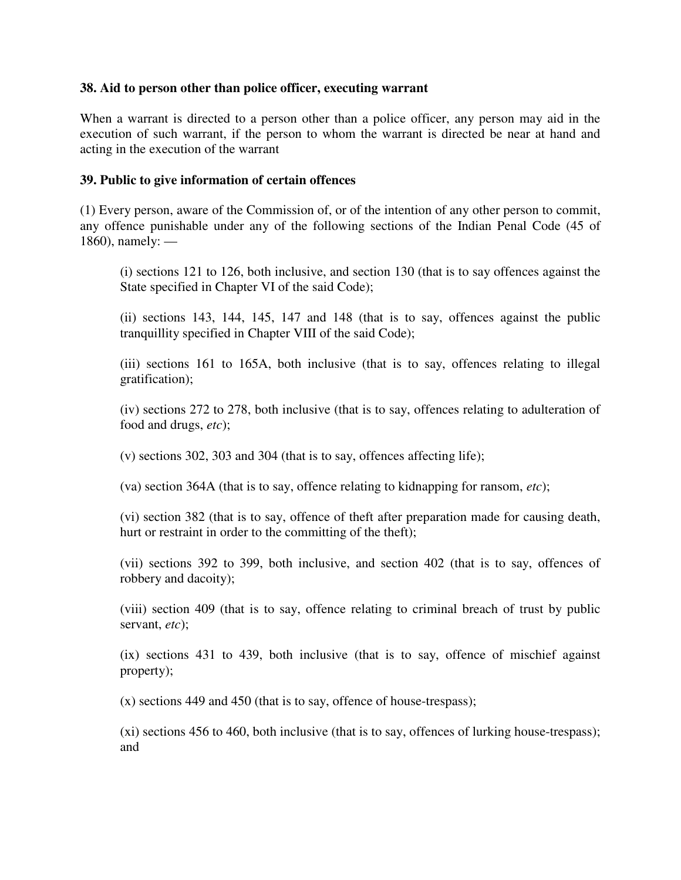#### **38. Aid to person other than police officer, executing warrant**

When a warrant is directed to a person other than a police officer, any person may aid in the execution of such warrant, if the person to whom the warrant is directed be near at hand and acting in the execution of the warrant

#### **39. Public to give information of certain offences**

(1) Every person, aware of the Commission of, or of the intention of any other person to commit, any offence punishable under any of the following sections of the Indian Penal Code (45 of 1860), namely: —

(i) sections 121 to 126, both inclusive, and section 130 (that is to say offences against the State specified in Chapter VI of the said Code);

(ii) sections 143, 144, 145, 147 and 148 (that is to say, offences against the public tranquillity specified in Chapter VIII of the said Code);

(iii) sections 161 to 165A, both inclusive (that is to say, offences relating to illegal gratification);

(iv) sections 272 to 278, both inclusive (that is to say, offences relating to adulteration of food and drugs, *etc*);

(v) sections 302, 303 and 304 (that is to say, offences affecting life);

(va) section 364A (that is to say, offence relating to kidnapping for ransom, *etc*);

(vi) section 382 (that is to say, offence of theft after preparation made for causing death, hurt or restraint in order to the committing of the theft);

(vii) sections 392 to 399, both inclusive, and section 402 (that is to say, offences of robbery and dacoity);

(viii) section 409 (that is to say, offence relating to criminal breach of trust by public servant, *etc*);

(ix) sections 431 to 439, both inclusive (that is to say, offence of mischief against property);

(x) sections 449 and 450 (that is to say, offence of house-trespass);

(xi) sections 456 to 460, both inclusive (that is to say, offences of lurking house-trespass); and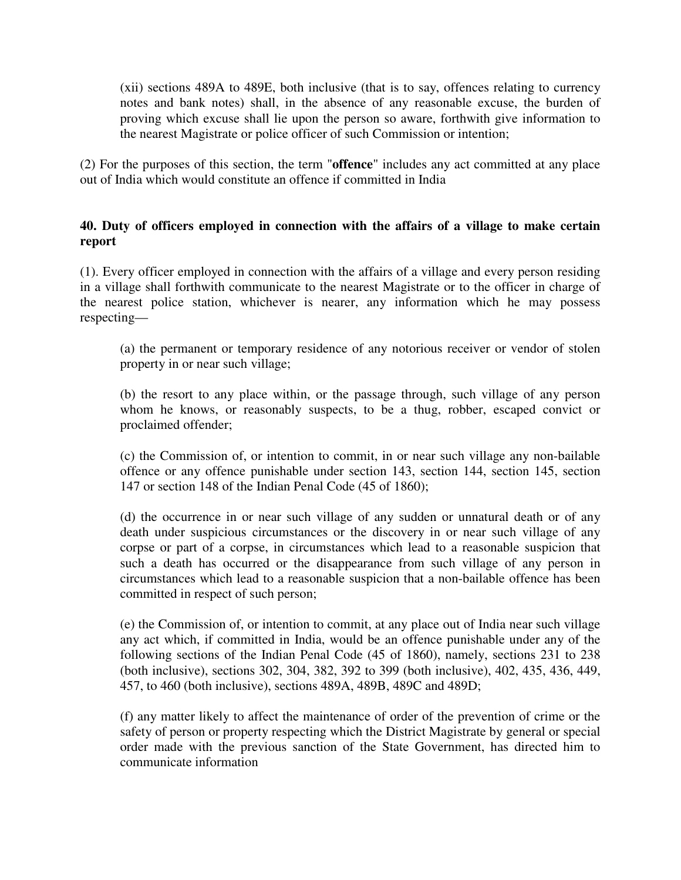(xii) sections 489A to 489E, both inclusive (that is to say, offences relating to currency notes and bank notes) shall, in the absence of any reasonable excuse, the burden of proving which excuse shall lie upon the person so aware, forthwith give information to the nearest Magistrate or police officer of such Commission or intention;

(2) For the purposes of this section, the term "**offence**" includes any act committed at any place out of India which would constitute an offence if committed in India

# **40. Duty of officers employed in connection with the affairs of a village to make certain report**

(1). Every officer employed in connection with the affairs of a village and every person residing in a village shall forthwith communicate to the nearest Magistrate or to the officer in charge of the nearest police station, whichever is nearer, any information which he may possess respecting—

(a) the permanent or temporary residence of any notorious receiver or vendor of stolen property in or near such village;

(b) the resort to any place within, or the passage through, such village of any person whom he knows, or reasonably suspects, to be a thug, robber, escaped convict or proclaimed offender;

(c) the Commission of, or intention to commit, in or near such village any non-bailable offence or any offence punishable under section 143, section 144, section 145, section 147 or section 148 of the Indian Penal Code (45 of 1860);

(d) the occurrence in or near such village of any sudden or unnatural death or of any death under suspicious circumstances or the discovery in or near such village of any corpse or part of a corpse, in circumstances which lead to a reasonable suspicion that such a death has occurred or the disappearance from such village of any person in circumstances which lead to a reasonable suspicion that a non-bailable offence has been committed in respect of such person;

(e) the Commission of, or intention to commit, at any place out of India near such village any act which, if committed in India, would be an offence punishable under any of the following sections of the Indian Penal Code (45 of 1860), namely, sections 231 to 238 (both inclusive), sections 302, 304, 382, 392 to 399 (both inclusive), 402, 435, 436, 449, 457, to 460 (both inclusive), sections 489A, 489B, 489C and 489D;

(f) any matter likely to affect the maintenance of order of the prevention of crime or the safety of person or property respecting which the District Magistrate by general or special order made with the previous sanction of the State Government, has directed him to communicate information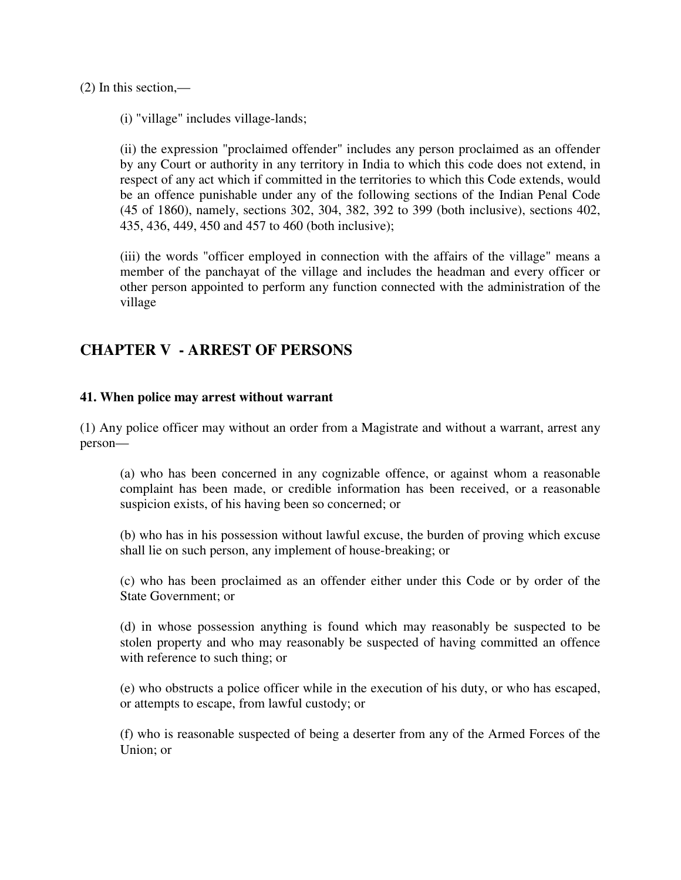(2) In this section,—

(i) "village" includes village-lands;

(ii) the expression "proclaimed offender" includes any person proclaimed as an offender by any Court or authority in any territory in India to which this code does not extend, in respect of any act which if committed in the territories to which this Code extends, would be an offence punishable under any of the following sections of the Indian Penal Code (45 of 1860), namely, sections 302, 304, 382, 392 to 399 (both inclusive), sections 402, 435, 436, 449, 450 and 457 to 460 (both inclusive);

(iii) the words "officer employed in connection with the affairs of the village" means a member of the panchayat of the village and includes the headman and every officer or other person appointed to perform any function connected with the administration of the village

# **CHAPTER V - ARREST OF PERSONS**

#### **41. When police may arrest without warrant**

(1) Any police officer may without an order from a Magistrate and without a warrant, arrest any person—

(a) who has been concerned in any cognizable offence, or against whom a reasonable complaint has been made, or credible information has been received, or a reasonable suspicion exists, of his having been so concerned; or

(b) who has in his possession without lawful excuse, the burden of proving which excuse shall lie on such person, any implement of house-breaking; or

(c) who has been proclaimed as an offender either under this Code or by order of the State Government; or

(d) in whose possession anything is found which may reasonably be suspected to be stolen property and who may reasonably be suspected of having committed an offence with reference to such thing; or

(e) who obstructs a police officer while in the execution of his duty, or who has escaped, or attempts to escape, from lawful custody; or

(f) who is reasonable suspected of being a deserter from any of the Armed Forces of the Union; or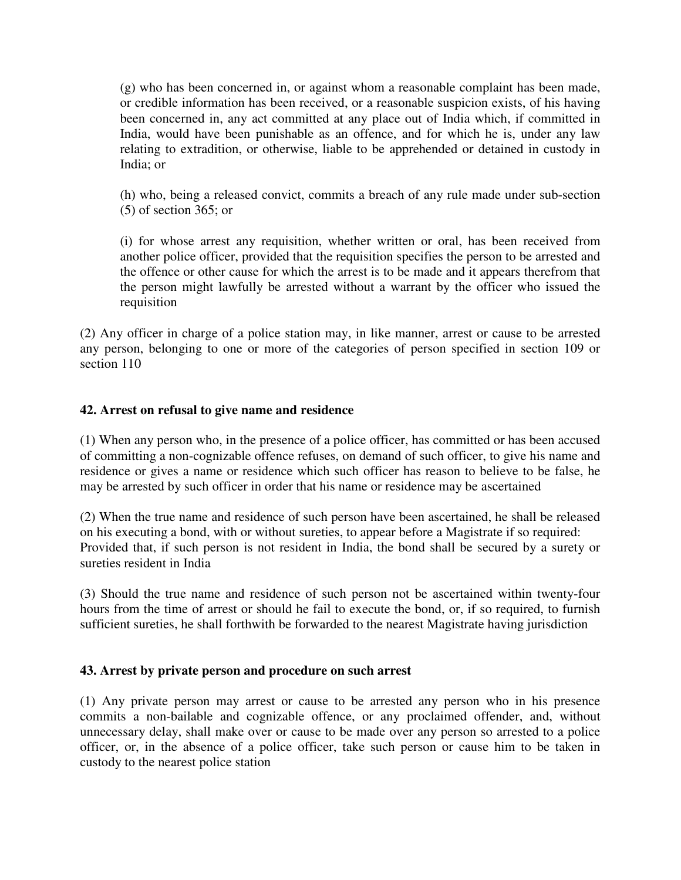(g) who has been concerned in, or against whom a reasonable complaint has been made, or credible information has been received, or a reasonable suspicion exists, of his having been concerned in, any act committed at any place out of India which, if committed in India, would have been punishable as an offence, and for which he is, under any law relating to extradition, or otherwise, liable to be apprehended or detained in custody in India; or

(h) who, being a released convict, commits a breach of any rule made under sub-section (5) of section 365; or

(i) for whose arrest any requisition, whether written or oral, has been received from another police officer, provided that the requisition specifies the person to be arrested and the offence or other cause for which the arrest is to be made and it appears therefrom that the person might lawfully be arrested without a warrant by the officer who issued the requisition

(2) Any officer in charge of a police station may, in like manner, arrest or cause to be arrested any person, belonging to one or more of the categories of person specified in section 109 or section 110

#### **42. Arrest on refusal to give name and residence**

(1) When any person who, in the presence of a police officer, has committed or has been accused of committing a non-cognizable offence refuses, on demand of such officer, to give his name and residence or gives a name or residence which such officer has reason to believe to be false, he may be arrested by such officer in order that his name or residence may be ascertained

(2) When the true name and residence of such person have been ascertained, he shall be released on his executing a bond, with or without sureties, to appear before a Magistrate if so required: Provided that, if such person is not resident in India, the bond shall be secured by a surety or sureties resident in India

(3) Should the true name and residence of such person not be ascertained within twenty-four hours from the time of arrest or should he fail to execute the bond, or, if so required, to furnish sufficient sureties, he shall forthwith be forwarded to the nearest Magistrate having jurisdiction

#### **43. Arrest by private person and procedure on such arrest**

(1) Any private person may arrest or cause to be arrested any person who in his presence commits a non-bailable and cognizable offence, or any proclaimed offender, and, without unnecessary delay, shall make over or cause to be made over any person so arrested to a police officer, or, in the absence of a police officer, take such person or cause him to be taken in custody to the nearest police station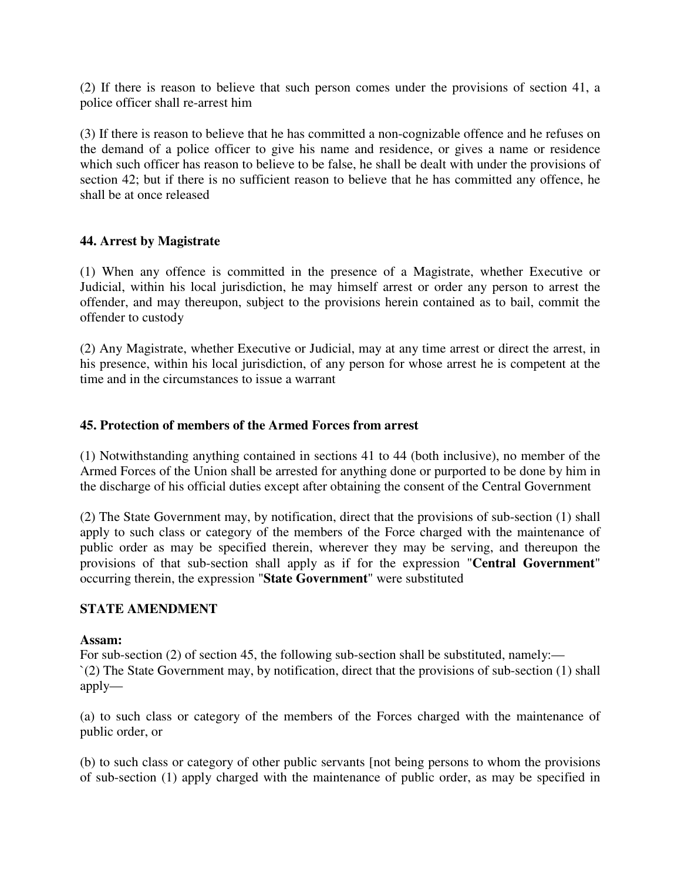(2) If there is reason to believe that such person comes under the provisions of section 41, a police officer shall re-arrest him

(3) If there is reason to believe that he has committed a non-cognizable offence and he refuses on the demand of a police officer to give his name and residence, or gives a name or residence which such officer has reason to believe to be false, he shall be dealt with under the provisions of section 42; but if there is no sufficient reason to believe that he has committed any offence, he shall be at once released

#### **44. Arrest by Magistrate**

(1) When any offence is committed in the presence of a Magistrate, whether Executive or Judicial, within his local jurisdiction, he may himself arrest or order any person to arrest the offender, and may thereupon, subject to the provisions herein contained as to bail, commit the offender to custody

(2) Any Magistrate, whether Executive or Judicial, may at any time arrest or direct the arrest, in his presence, within his local jurisdiction, of any person for whose arrest he is competent at the time and in the circumstances to issue a warrant

#### **45. Protection of members of the Armed Forces from arrest**

(1) Notwithstanding anything contained in sections 41 to 44 (both inclusive), no member of the Armed Forces of the Union shall be arrested for anything done or purported to be done by him in the discharge of his official duties except after obtaining the consent of the Central Government

(2) The State Government may, by notification, direct that the provisions of sub-section (1) shall apply to such class or category of the members of the Force charged with the maintenance of public order as may be specified therein, wherever they may be serving, and thereupon the provisions of that sub-section shall apply as if for the expression "**Central Government**" occurring therein, the expression "**State Government**" were substituted

#### **STATE AMENDMENT**

#### **Assam:**

For sub-section (2) of section 45, the following sub-section shall be substituted, namely:— `(2) The State Government may, by notification, direct that the provisions of sub-section (1) shall apply—

(a) to such class or category of the members of the Forces charged with the maintenance of public order, or

(b) to such class or category of other public servants [not being persons to whom the provisions of sub-section (1) apply charged with the maintenance of public order, as may be specified in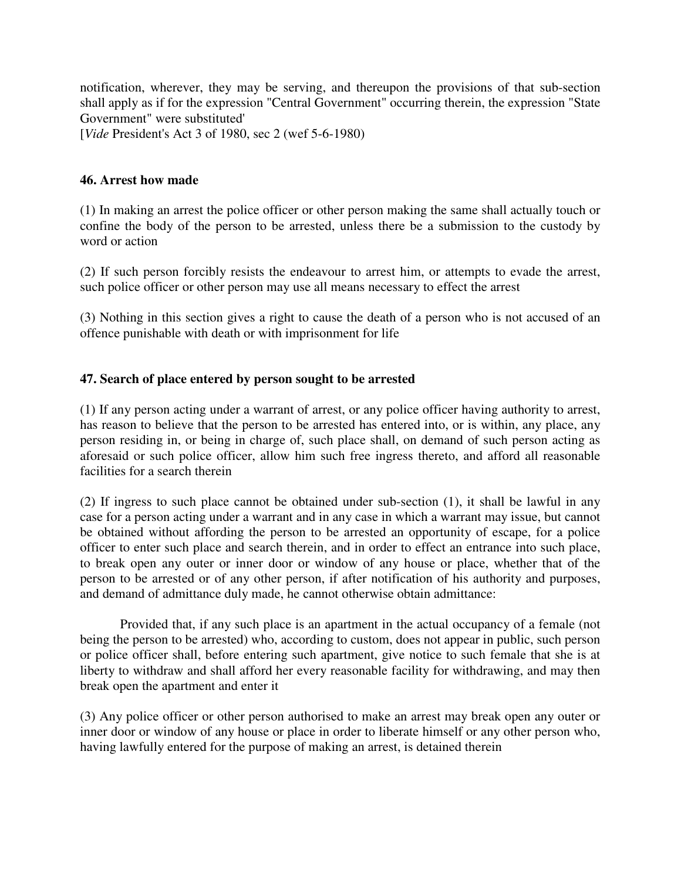notification, wherever, they may be serving, and thereupon the provisions of that sub-section shall apply as if for the expression "Central Government" occurring therein, the expression "State Government" were substituted'

[*Vide* President's Act 3 of 1980, sec 2 (wef 5-6-1980)

#### **46. Arrest how made**

(1) In making an arrest the police officer or other person making the same shall actually touch or confine the body of the person to be arrested, unless there be a submission to the custody by word or action

(2) If such person forcibly resists the endeavour to arrest him, or attempts to evade the arrest, such police officer or other person may use all means necessary to effect the arrest

(3) Nothing in this section gives a right to cause the death of a person who is not accused of an offence punishable with death or with imprisonment for life

#### **47. Search of place entered by person sought to be arrested**

(1) If any person acting under a warrant of arrest, or any police officer having authority to arrest, has reason to believe that the person to be arrested has entered into, or is within, any place, any person residing in, or being in charge of, such place shall, on demand of such person acting as aforesaid or such police officer, allow him such free ingress thereto, and afford all reasonable facilities for a search therein

(2) If ingress to such place cannot be obtained under sub-section (1), it shall be lawful in any case for a person acting under a warrant and in any case in which a warrant may issue, but cannot be obtained without affording the person to be arrested an opportunity of escape, for a police officer to enter such place and search therein, and in order to effect an entrance into such place, to break open any outer or inner door or window of any house or place, whether that of the person to be arrested or of any other person, if after notification of his authority and purposes, and demand of admittance duly made, he cannot otherwise obtain admittance:

Provided that, if any such place is an apartment in the actual occupancy of a female (not being the person to be arrested) who, according to custom, does not appear in public, such person or police officer shall, before entering such apartment, give notice to such female that she is at liberty to withdraw and shall afford her every reasonable facility for withdrawing, and may then break open the apartment and enter it

(3) Any police officer or other person authorised to make an arrest may break open any outer or inner door or window of any house or place in order to liberate himself or any other person who, having lawfully entered for the purpose of making an arrest, is detained therein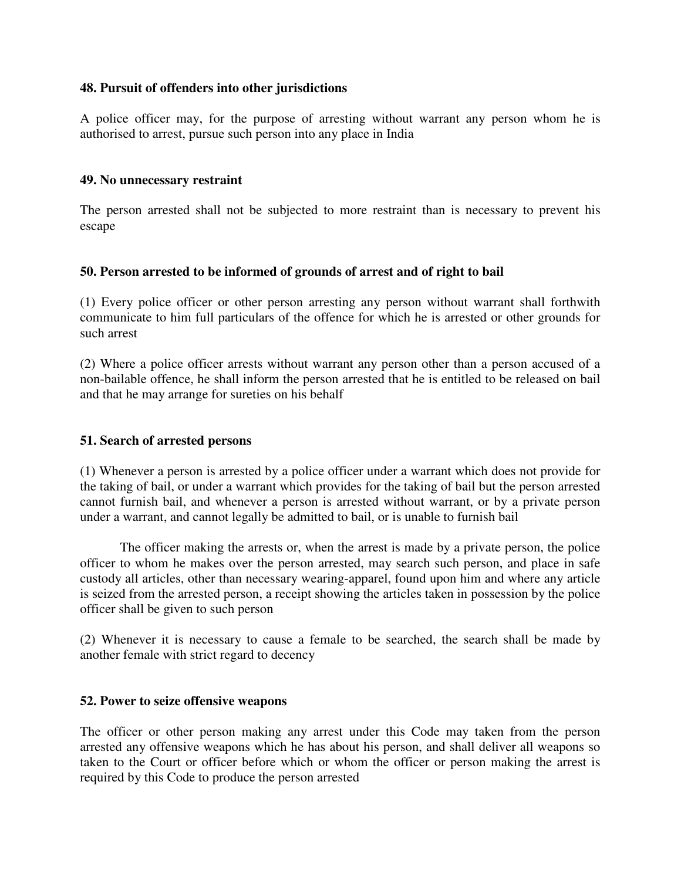#### **48. Pursuit of offenders into other jurisdictions**

A police officer may, for the purpose of arresting without warrant any person whom he is authorised to arrest, pursue such person into any place in India

#### **49. No unnecessary restraint**

The person arrested shall not be subjected to more restraint than is necessary to prevent his escape

#### **50. Person arrested to be informed of grounds of arrest and of right to bail**

(1) Every police officer or other person arresting any person without warrant shall forthwith communicate to him full particulars of the offence for which he is arrested or other grounds for such arrest

(2) Where a police officer arrests without warrant any person other than a person accused of a non-bailable offence, he shall inform the person arrested that he is entitled to be released on bail and that he may arrange for sureties on his behalf

#### **51. Search of arrested persons**

(1) Whenever a person is arrested by a police officer under a warrant which does not provide for the taking of bail, or under a warrant which provides for the taking of bail but the person arrested cannot furnish bail, and whenever a person is arrested without warrant, or by a private person under a warrant, and cannot legally be admitted to bail, or is unable to furnish bail

The officer making the arrests or, when the arrest is made by a private person, the police officer to whom he makes over the person arrested, may search such person, and place in safe custody all articles, other than necessary wearing-apparel, found upon him and where any article is seized from the arrested person, a receipt showing the articles taken in possession by the police officer shall be given to such person

(2) Whenever it is necessary to cause a female to be searched, the search shall be made by another female with strict regard to decency

#### **52. Power to seize offensive weapons**

The officer or other person making any arrest under this Code may taken from the person arrested any offensive weapons which he has about his person, and shall deliver all weapons so taken to the Court or officer before which or whom the officer or person making the arrest is required by this Code to produce the person arrested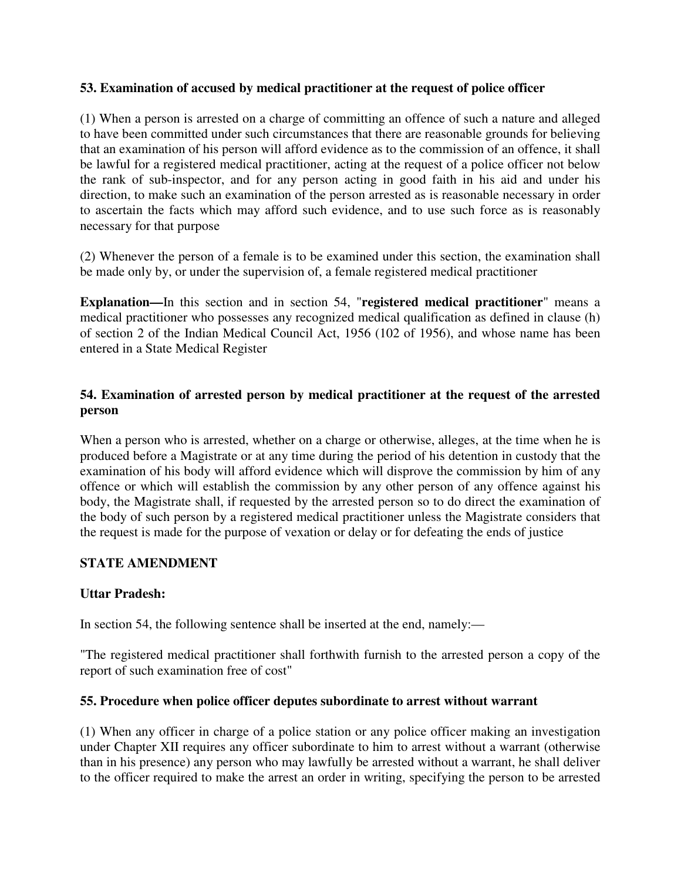#### **53. Examination of accused by medical practitioner at the request of police officer**

(1) When a person is arrested on a charge of committing an offence of such a nature and alleged to have been committed under such circumstances that there are reasonable grounds for believing that an examination of his person will afford evidence as to the commission of an offence, it shall be lawful for a registered medical practitioner, acting at the request of a police officer not below the rank of sub-inspector, and for any person acting in good faith in his aid and under his direction, to make such an examination of the person arrested as is reasonable necessary in order to ascertain the facts which may afford such evidence, and to use such force as is reasonably necessary for that purpose

(2) Whenever the person of a female is to be examined under this section, the examination shall be made only by, or under the supervision of, a female registered medical practitioner

**Explanation—**In this section and in section 54, "**registered medical practitioner**" means a medical practitioner who possesses any recognized medical qualification as defined in clause (h) of section 2 of the Indian Medical Council Act, 1956 (102 of 1956), and whose name has been entered in a State Medical Register

# **54. Examination of arrested person by medical practitioner at the request of the arrested person**

When a person who is arrested, whether on a charge or otherwise, alleges, at the time when he is produced before a Magistrate or at any time during the period of his detention in custody that the examination of his body will afford evidence which will disprove the commission by him of any offence or which will establish the commission by any other person of any offence against his body, the Magistrate shall, if requested by the arrested person so to do direct the examination of the body of such person by a registered medical practitioner unless the Magistrate considers that the request is made for the purpose of vexation or delay or for defeating the ends of justice

# **STATE AMENDMENT**

#### **Uttar Pradesh:**

In section 54, the following sentence shall be inserted at the end, namely:—

"The registered medical practitioner shall forthwith furnish to the arrested person a copy of the report of such examination free of cost"

#### **55. Procedure when police officer deputes subordinate to arrest without warrant**

(1) When any officer in charge of a police station or any police officer making an investigation under Chapter XII requires any officer subordinate to him to arrest without a warrant (otherwise than in his presence) any person who may lawfully be arrested without a warrant, he shall deliver to the officer required to make the arrest an order in writing, specifying the person to be arrested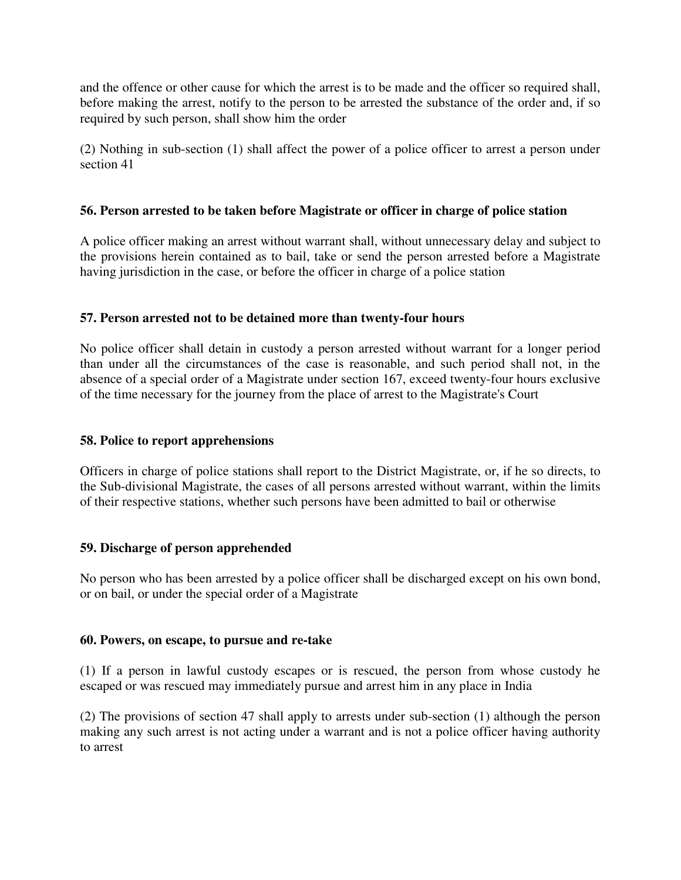and the offence or other cause for which the arrest is to be made and the officer so required shall, before making the arrest, notify to the person to be arrested the substance of the order and, if so required by such person, shall show him the order

(2) Nothing in sub-section (1) shall affect the power of a police officer to arrest a person under section 41

# **56. Person arrested to be taken before Magistrate or officer in charge of police station**

A police officer making an arrest without warrant shall, without unnecessary delay and subject to the provisions herein contained as to bail, take or send the person arrested before a Magistrate having jurisdiction in the case, or before the officer in charge of a police station

# **57. Person arrested not to be detained more than twenty-four hours**

No police officer shall detain in custody a person arrested without warrant for a longer period than under all the circumstances of the case is reasonable, and such period shall not, in the absence of a special order of a Magistrate under section 167, exceed twenty-four hours exclusive of the time necessary for the journey from the place of arrest to the Magistrate's Court

# **58. Police to report apprehensions**

Officers in charge of police stations shall report to the District Magistrate, or, if he so directs, to the Sub-divisional Magistrate, the cases of all persons arrested without warrant, within the limits of their respective stations, whether such persons have been admitted to bail or otherwise

# **59. Discharge of person apprehended**

No person who has been arrested by a police officer shall be discharged except on his own bond, or on bail, or under the special order of a Magistrate

# **60. Powers, on escape, to pursue and re-take**

(1) If a person in lawful custody escapes or is rescued, the person from whose custody he escaped or was rescued may immediately pursue and arrest him in any place in India

(2) The provisions of section 47 shall apply to arrests under sub-section (1) although the person making any such arrest is not acting under a warrant and is not a police officer having authority to arrest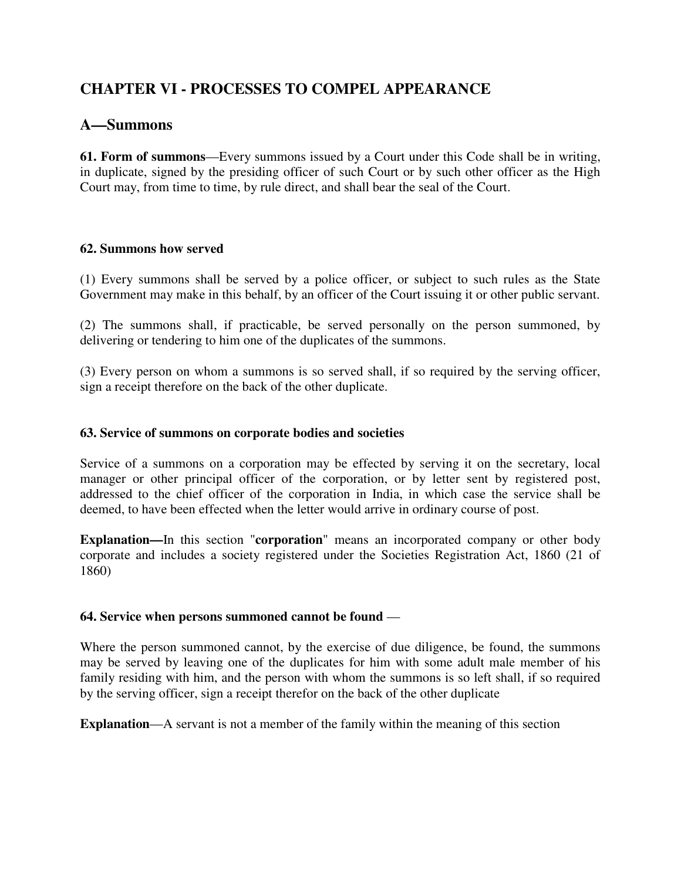# **CHAPTER VI - PROCESSES TO COMPEL APPEARANCE**

# **A—Summons**

**61. Form of summons**—Every summons issued by a Court under this Code shall be in writing, in duplicate, signed by the presiding officer of such Court or by such other officer as the High Court may, from time to time, by rule direct, and shall bear the seal of the Court.

#### **62. Summons how served**

(1) Every summons shall be served by a police officer, or subject to such rules as the State Government may make in this behalf, by an officer of the Court issuing it or other public servant.

(2) The summons shall, if practicable, be served personally on the person summoned, by delivering or tendering to him one of the duplicates of the summons.

(3) Every person on whom a summons is so served shall, if so required by the serving officer, sign a receipt therefore on the back of the other duplicate.

#### **63. Service of summons on corporate bodies and societies**

Service of a summons on a corporation may be effected by serving it on the secretary, local manager or other principal officer of the corporation, or by letter sent by registered post, addressed to the chief officer of the corporation in India, in which case the service shall be deemed, to have been effected when the letter would arrive in ordinary course of post.

**Explanation—**In this section "**corporation**" means an incorporated company or other body corporate and includes a society registered under the Societies Registration Act, 1860 (21 of 1860)

#### **64. Service when persons summoned cannot be found** —

Where the person summoned cannot, by the exercise of due diligence, be found, the summons may be served by leaving one of the duplicates for him with some adult male member of his family residing with him, and the person with whom the summons is so left shall, if so required by the serving officer, sign a receipt therefor on the back of the other duplicate

**Explanation**—A servant is not a member of the family within the meaning of this section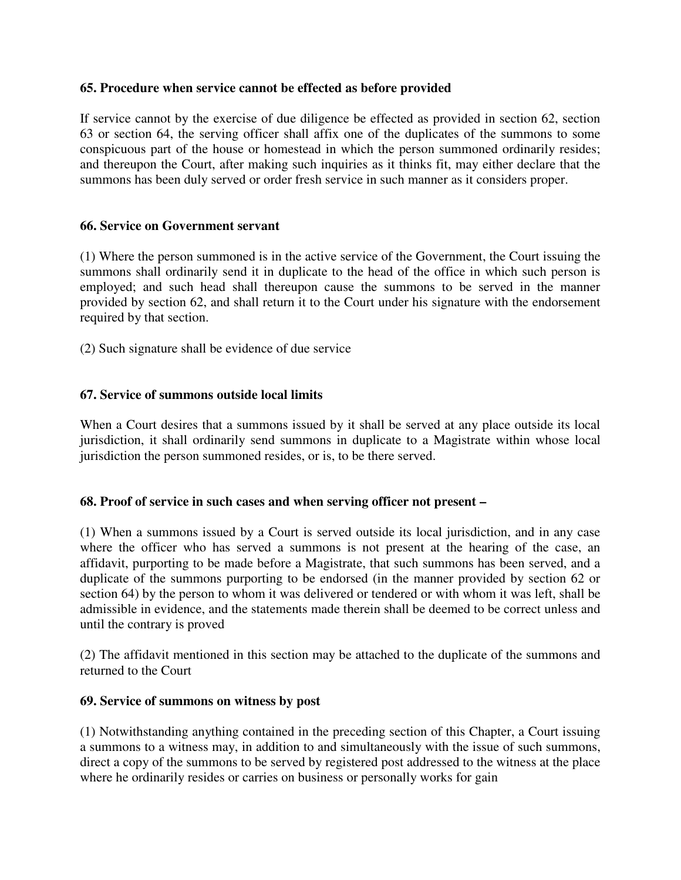#### **65. Procedure when service cannot be effected as before provided**

If service cannot by the exercise of due diligence be effected as provided in section 62, section 63 or section 64, the serving officer shall affix one of the duplicates of the summons to some conspicuous part of the house or homestead in which the person summoned ordinarily resides; and thereupon the Court, after making such inquiries as it thinks fit, may either declare that the summons has been duly served or order fresh service in such manner as it considers proper.

#### **66. Service on Government servant**

(1) Where the person summoned is in the active service of the Government, the Court issuing the summons shall ordinarily send it in duplicate to the head of the office in which such person is employed; and such head shall thereupon cause the summons to be served in the manner provided by section 62, and shall return it to the Court under his signature with the endorsement required by that section.

(2) Such signature shall be evidence of due service

#### **67. Service of summons outside local limits**

When a Court desires that a summons issued by it shall be served at any place outside its local jurisdiction, it shall ordinarily send summons in duplicate to a Magistrate within whose local jurisdiction the person summoned resides, or is, to be there served.

#### **68. Proof of service in such cases and when serving officer not present –**

(1) When a summons issued by a Court is served outside its local jurisdiction, and in any case where the officer who has served a summons is not present at the hearing of the case, an affidavit, purporting to be made before a Magistrate, that such summons has been served, and a duplicate of the summons purporting to be endorsed (in the manner provided by section 62 or section 64) by the person to whom it was delivered or tendered or with whom it was left, shall be admissible in evidence, and the statements made therein shall be deemed to be correct unless and until the contrary is proved

(2) The affidavit mentioned in this section may be attached to the duplicate of the summons and returned to the Court

#### **69. Service of summons on witness by post**

(1) Notwithstanding anything contained in the preceding section of this Chapter, a Court issuing a summons to a witness may, in addition to and simultaneously with the issue of such summons, direct a copy of the summons to be served by registered post addressed to the witness at the place where he ordinarily resides or carries on business or personally works for gain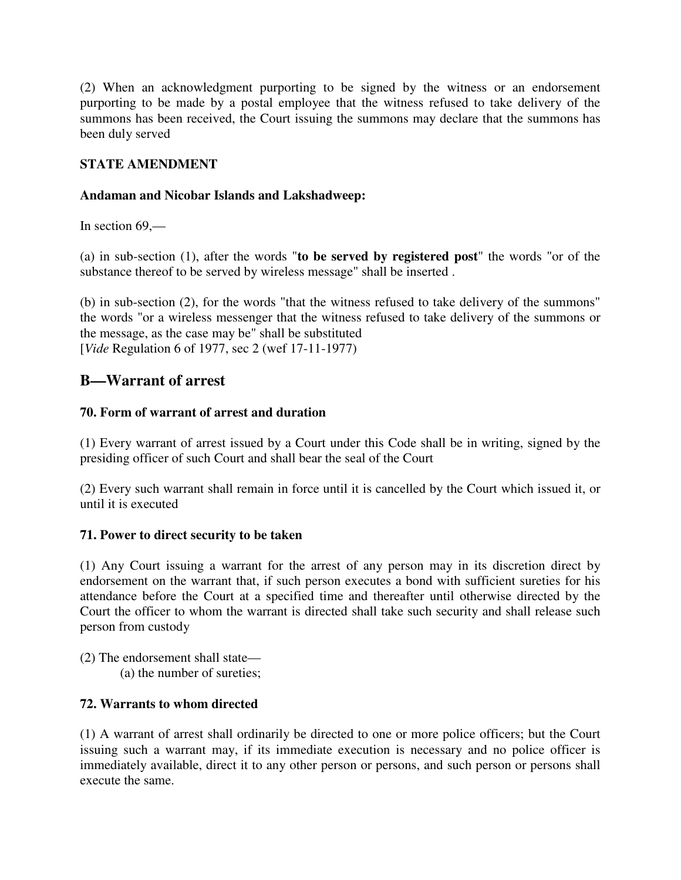(2) When an acknowledgment purporting to be signed by the witness or an endorsement purporting to be made by a postal employee that the witness refused to take delivery of the summons has been received, the Court issuing the summons may declare that the summons has been duly served

# **STATE AMENDMENT**

# **Andaman and Nicobar Islands and Lakshadweep:**

In section 69,—

(a) in sub-section (1), after the words "**to be served by registered post**" the words "or of the substance thereof to be served by wireless message" shall be inserted .

(b) in sub-section (2), for the words "that the witness refused to take delivery of the summons" the words "or a wireless messenger that the witness refused to take delivery of the summons or the message, as the case may be" shall be substituted [*Vide* Regulation 6 of 1977, sec 2 (wef 17-11-1977)

# **B—Warrant of arrest**

# **70. Form of warrant of arrest and duration**

(1) Every warrant of arrest issued by a Court under this Code shall be in writing, signed by the presiding officer of such Court and shall bear the seal of the Court

(2) Every such warrant shall remain in force until it is cancelled by the Court which issued it, or until it is executed

# **71. Power to direct security to be taken**

(1) Any Court issuing a warrant for the arrest of any person may in its discretion direct by endorsement on the warrant that, if such person executes a bond with sufficient sureties for his attendance before the Court at a specified time and thereafter until otherwise directed by the Court the officer to whom the warrant is directed shall take such security and shall release such person from custody

(2) The endorsement shall state— (a) the number of sureties;

# **72. Warrants to whom directed**

(1) A warrant of arrest shall ordinarily be directed to one or more police officers; but the Court issuing such a warrant may, if its immediate execution is necessary and no police officer is immediately available, direct it to any other person or persons, and such person or persons shall execute the same.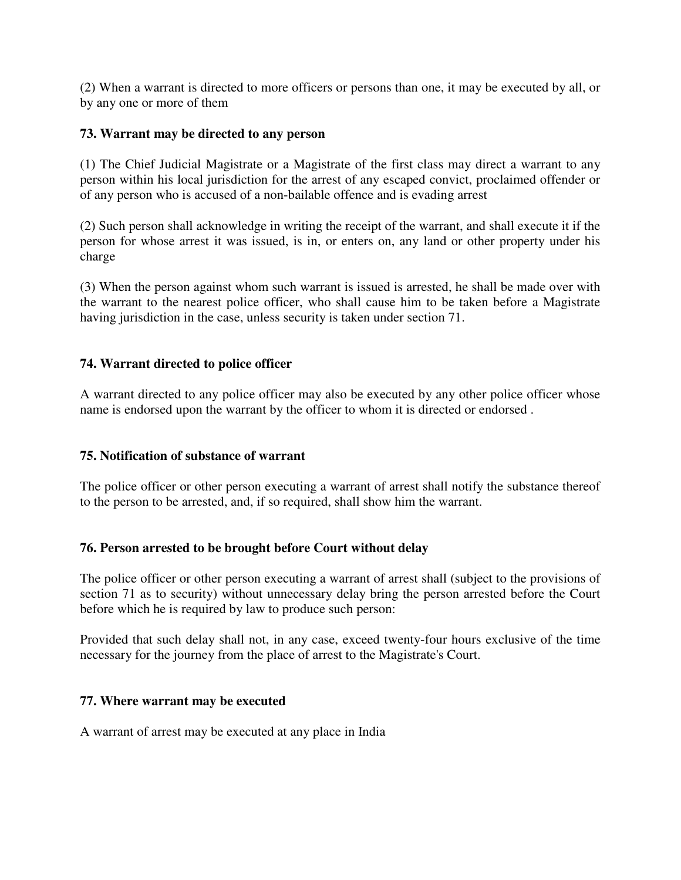(2) When a warrant is directed to more officers or persons than one, it may be executed by all, or by any one or more of them

#### **73. Warrant may be directed to any person**

(1) The Chief Judicial Magistrate or a Magistrate of the first class may direct a warrant to any person within his local jurisdiction for the arrest of any escaped convict, proclaimed offender or of any person who is accused of a non-bailable offence and is evading arrest

(2) Such person shall acknowledge in writing the receipt of the warrant, and shall execute it if the person for whose arrest it was issued, is in, or enters on, any land or other property under his charge

(3) When the person against whom such warrant is issued is arrested, he shall be made over with the warrant to the nearest police officer, who shall cause him to be taken before a Magistrate having jurisdiction in the case, unless security is taken under section 71.

# **74. Warrant directed to police officer**

A warrant directed to any police officer may also be executed by any other police officer whose name is endorsed upon the warrant by the officer to whom it is directed or endorsed .

#### **75. Notification of substance of warrant**

The police officer or other person executing a warrant of arrest shall notify the substance thereof to the person to be arrested, and, if so required, shall show him the warrant.

#### **76. Person arrested to be brought before Court without delay**

The police officer or other person executing a warrant of arrest shall (subject to the provisions of section 71 as to security) without unnecessary delay bring the person arrested before the Court before which he is required by law to produce such person:

Provided that such delay shall not, in any case, exceed twenty-four hours exclusive of the time necessary for the journey from the place of arrest to the Magistrate's Court.

#### **77. Where warrant may be executed**

A warrant of arrest may be executed at any place in India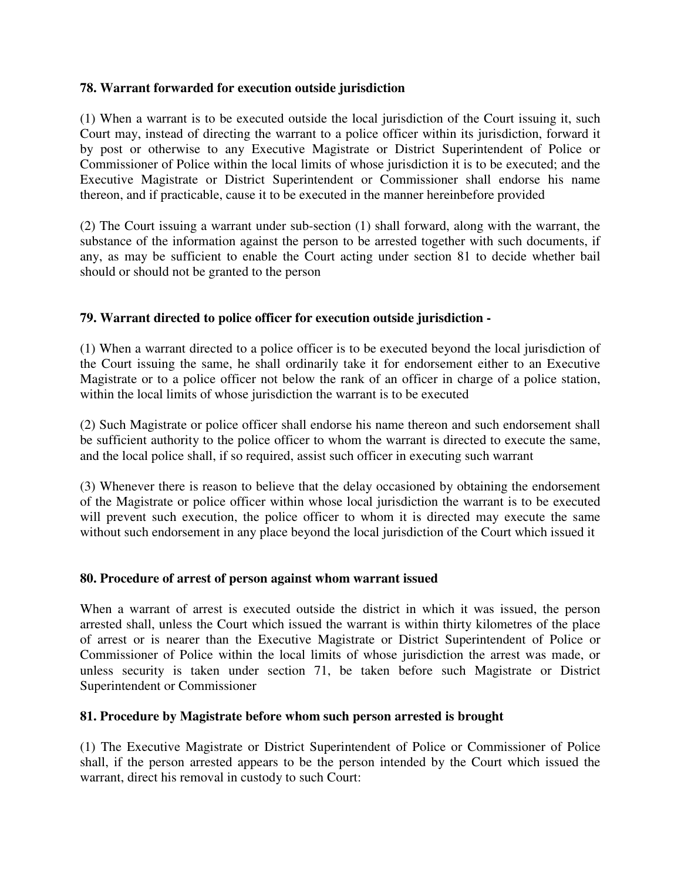#### **78. Warrant forwarded for execution outside jurisdiction**

(1) When a warrant is to be executed outside the local jurisdiction of the Court issuing it, such Court may, instead of directing the warrant to a police officer within its jurisdiction, forward it by post or otherwise to any Executive Magistrate or District Superintendent of Police or Commissioner of Police within the local limits of whose jurisdiction it is to be executed; and the Executive Magistrate or District Superintendent or Commissioner shall endorse his name thereon, and if practicable, cause it to be executed in the manner hereinbefore provided

(2) The Court issuing a warrant under sub-section (1) shall forward, along with the warrant, the substance of the information against the person to be arrested together with such documents, if any, as may be sufficient to enable the Court acting under section 81 to decide whether bail should or should not be granted to the person

# **79. Warrant directed to police officer for execution outside jurisdiction -**

(1) When a warrant directed to a police officer is to be executed beyond the local jurisdiction of the Court issuing the same, he shall ordinarily take it for endorsement either to an Executive Magistrate or to a police officer not below the rank of an officer in charge of a police station, within the local limits of whose jurisdiction the warrant is to be executed

(2) Such Magistrate or police officer shall endorse his name thereon and such endorsement shall be sufficient authority to the police officer to whom the warrant is directed to execute the same, and the local police shall, if so required, assist such officer in executing such warrant

(3) Whenever there is reason to believe that the delay occasioned by obtaining the endorsement of the Magistrate or police officer within whose local jurisdiction the warrant is to be executed will prevent such execution, the police officer to whom it is directed may execute the same without such endorsement in any place beyond the local jurisdiction of the Court which issued it

#### **80. Procedure of arrest of person against whom warrant issued**

When a warrant of arrest is executed outside the district in which it was issued, the person arrested shall, unless the Court which issued the warrant is within thirty kilometres of the place of arrest or is nearer than the Executive Magistrate or District Superintendent of Police or Commissioner of Police within the local limits of whose jurisdiction the arrest was made, or unless security is taken under section 71, be taken before such Magistrate or District Superintendent or Commissioner

#### **81. Procedure by Magistrate before whom such person arrested is brought**

(1) The Executive Magistrate or District Superintendent of Police or Commissioner of Police shall, if the person arrested appears to be the person intended by the Court which issued the warrant, direct his removal in custody to such Court: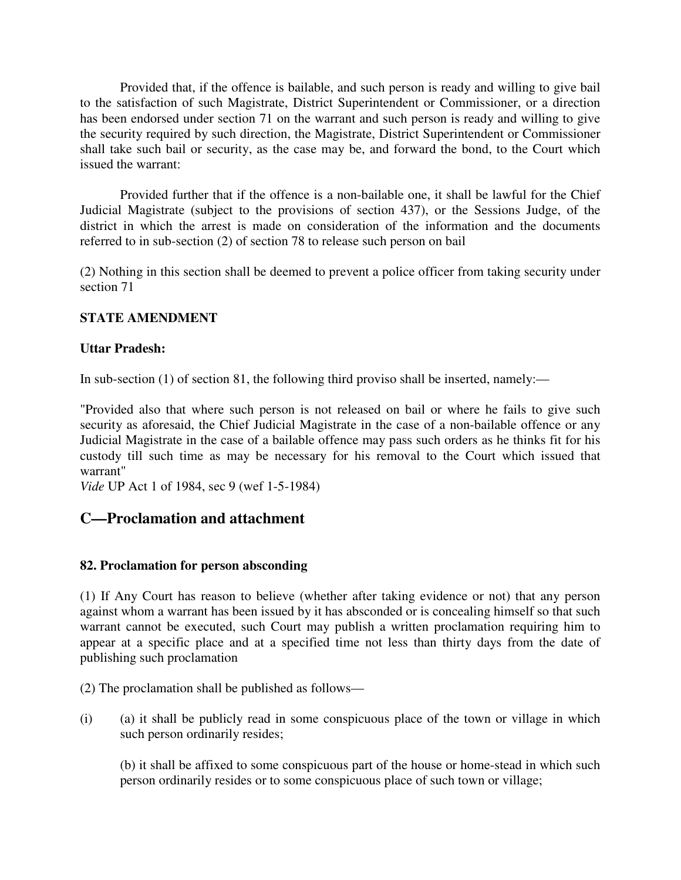Provided that, if the offence is bailable, and such person is ready and willing to give bail to the satisfaction of such Magistrate, District Superintendent or Commissioner, or a direction has been endorsed under section 71 on the warrant and such person is ready and willing to give the security required by such direction, the Magistrate, District Superintendent or Commissioner shall take such bail or security, as the case may be, and forward the bond, to the Court which issued the warrant:

Provided further that if the offence is a non-bailable one, it shall be lawful for the Chief Judicial Magistrate (subject to the provisions of section 437), or the Sessions Judge, of the district in which the arrest is made on consideration of the information and the documents referred to in sub-section (2) of section 78 to release such person on bail

(2) Nothing in this section shall be deemed to prevent a police officer from taking security under section 71

# **STATE AMENDMENT**

# **Uttar Pradesh:**

In sub-section (1) of section 81, the following third proviso shall be inserted, namely:—

"Provided also that where such person is not released on bail or where he fails to give such security as aforesaid, the Chief Judicial Magistrate in the case of a non-bailable offence or any Judicial Magistrate in the case of a bailable offence may pass such orders as he thinks fit for his custody till such time as may be necessary for his removal to the Court which issued that warrant"

*Vide* UP Act 1 of 1984, sec 9 (wef 1-5-1984)

# **C—Proclamation and attachment**

# **82. Proclamation for person absconding**

(1) If Any Court has reason to believe (whether after taking evidence or not) that any person against whom a warrant has been issued by it has absconded or is concealing himself so that such warrant cannot be executed, such Court may publish a written proclamation requiring him to appear at a specific place and at a specified time not less than thirty days from the date of publishing such proclamation

(2) The proclamation shall be published as follows—

(i) (a) it shall be publicly read in some conspicuous place of the town or village in which such person ordinarily resides;

(b) it shall be affixed to some conspicuous part of the house or home-stead in which such person ordinarily resides or to some conspicuous place of such town or village;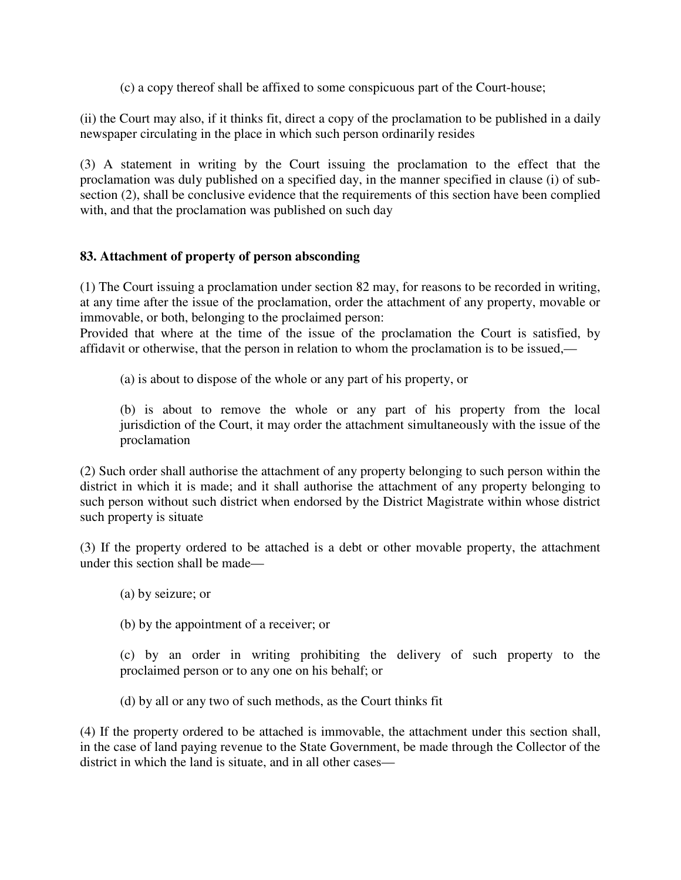(c) a copy thereof shall be affixed to some conspicuous part of the Court-house;

(ii) the Court may also, if it thinks fit, direct a copy of the proclamation to be published in a daily newspaper circulating in the place in which such person ordinarily resides

(3) A statement in writing by the Court issuing the proclamation to the effect that the proclamation was duly published on a specified day, in the manner specified in clause (i) of subsection (2), shall be conclusive evidence that the requirements of this section have been complied with, and that the proclamation was published on such day

# **83. Attachment of property of person absconding**

(1) The Court issuing a proclamation under section 82 may, for reasons to be recorded in writing, at any time after the issue of the proclamation, order the attachment of any property, movable or immovable, or both, belonging to the proclaimed person:

Provided that where at the time of the issue of the proclamation the Court is satisfied, by affidavit or otherwise, that the person in relation to whom the proclamation is to be issued,—

(a) is about to dispose of the whole or any part of his property, or

(b) is about to remove the whole or any part of his property from the local jurisdiction of the Court, it may order the attachment simultaneously with the issue of the proclamation

(2) Such order shall authorise the attachment of any property belonging to such person within the district in which it is made; and it shall authorise the attachment of any property belonging to such person without such district when endorsed by the District Magistrate within whose district such property is situate

(3) If the property ordered to be attached is a debt or other movable property, the attachment under this section shall be made—

(a) by seizure; or

(b) by the appointment of a receiver; or

(c) by an order in writing prohibiting the delivery of such property to the proclaimed person or to any one on his behalf; or

(d) by all or any two of such methods, as the Court thinks fit

(4) If the property ordered to be attached is immovable, the attachment under this section shall, in the case of land paying revenue to the State Government, be made through the Collector of the district in which the land is situate, and in all other cases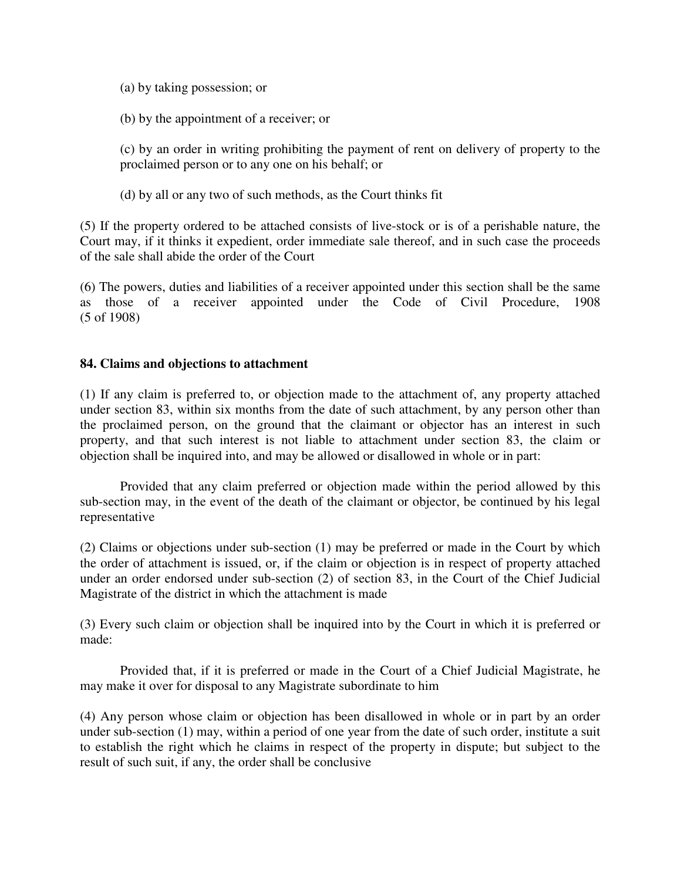(a) by taking possession; or

(b) by the appointment of a receiver; or

(c) by an order in writing prohibiting the payment of rent on delivery of property to the proclaimed person or to any one on his behalf; or

(d) by all or any two of such methods, as the Court thinks fit

(5) If the property ordered to be attached consists of live-stock or is of a perishable nature, the Court may, if it thinks it expedient, order immediate sale thereof, and in such case the proceeds of the sale shall abide the order of the Court

(6) The powers, duties and liabilities of a receiver appointed under this section shall be the same as those of a receiver appointed under the Code of Civil Procedure, 1908 (5 of 1908)

#### **84. Claims and objections to attachment**

(1) If any claim is preferred to, or objection made to the attachment of, any property attached under section 83, within six months from the date of such attachment, by any person other than the proclaimed person, on the ground that the claimant or objector has an interest in such property, and that such interest is not liable to attachment under section 83, the claim or objection shall be inquired into, and may be allowed or disallowed in whole or in part:

Provided that any claim preferred or objection made within the period allowed by this sub-section may, in the event of the death of the claimant or objector, be continued by his legal representative

(2) Claims or objections under sub-section (1) may be preferred or made in the Court by which the order of attachment is issued, or, if the claim or objection is in respect of property attached under an order endorsed under sub-section (2) of section 83, in the Court of the Chief Judicial Magistrate of the district in which the attachment is made

(3) Every such claim or objection shall be inquired into by the Court in which it is preferred or made:

Provided that, if it is preferred or made in the Court of a Chief Judicial Magistrate, he may make it over for disposal to any Magistrate subordinate to him

(4) Any person whose claim or objection has been disallowed in whole or in part by an order under sub-section (1) may, within a period of one year from the date of such order, institute a suit to establish the right which he claims in respect of the property in dispute; but subject to the result of such suit, if any, the order shall be conclusive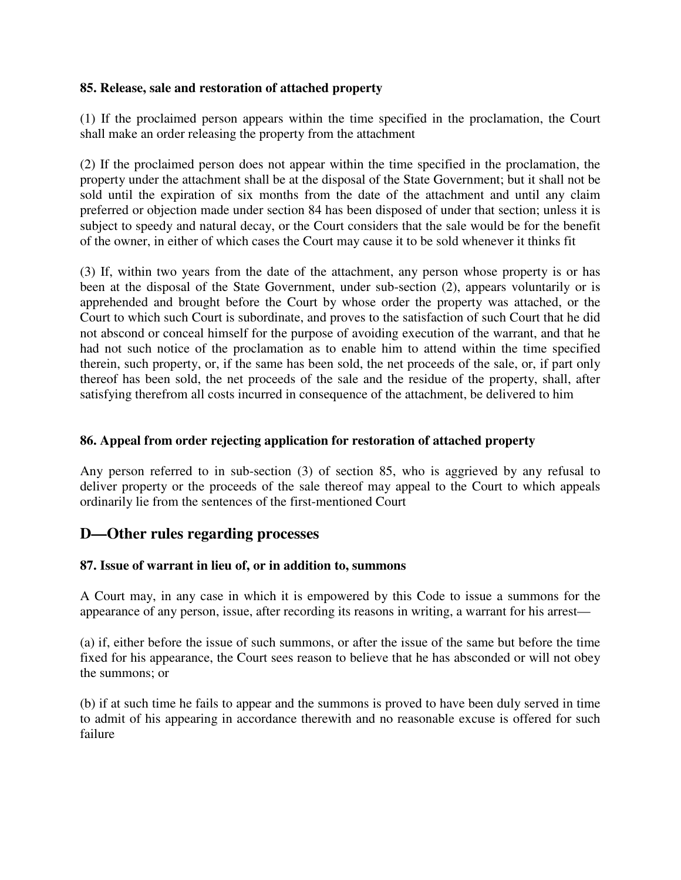#### **85. Release, sale and restoration of attached property**

(1) If the proclaimed person appears within the time specified in the proclamation, the Court shall make an order releasing the property from the attachment

(2) If the proclaimed person does not appear within the time specified in the proclamation, the property under the attachment shall be at the disposal of the State Government; but it shall not be sold until the expiration of six months from the date of the attachment and until any claim preferred or objection made under section 84 has been disposed of under that section; unless it is subject to speedy and natural decay, or the Court considers that the sale would be for the benefit of the owner, in either of which cases the Court may cause it to be sold whenever it thinks fit

(3) If, within two years from the date of the attachment, any person whose property is or has been at the disposal of the State Government, under sub-section (2), appears voluntarily or is apprehended and brought before the Court by whose order the property was attached, or the Court to which such Court is subordinate, and proves to the satisfaction of such Court that he did not abscond or conceal himself for the purpose of avoiding execution of the warrant, and that he had not such notice of the proclamation as to enable him to attend within the time specified therein, such property, or, if the same has been sold, the net proceeds of the sale, or, if part only thereof has been sold, the net proceeds of the sale and the residue of the property, shall, after satisfying therefrom all costs incurred in consequence of the attachment, be delivered to him

# **86. Appeal from order rejecting application for restoration of attached property**

Any person referred to in sub-section (3) of section 85, who is aggrieved by any refusal to deliver property or the proceeds of the sale thereof may appeal to the Court to which appeals ordinarily lie from the sentences of the first-mentioned Court

# **D—Other rules regarding processes**

# **87. Issue of warrant in lieu of, or in addition to, summons**

A Court may, in any case in which it is empowered by this Code to issue a summons for the appearance of any person, issue, after recording its reasons in writing, a warrant for his arrest—

(a) if, either before the issue of such summons, or after the issue of the same but before the time fixed for his appearance, the Court sees reason to believe that he has absconded or will not obey the summons; or

(b) if at such time he fails to appear and the summons is proved to have been duly served in time to admit of his appearing in accordance therewith and no reasonable excuse is offered for such failure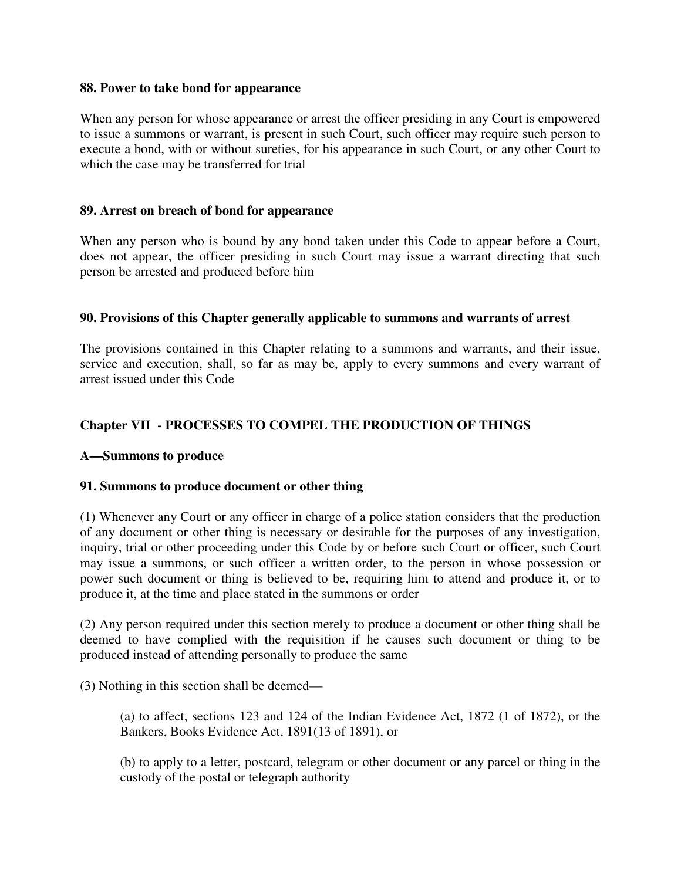#### **88. Power to take bond for appearance**

When any person for whose appearance or arrest the officer presiding in any Court is empowered to issue a summons or warrant, is present in such Court, such officer may require such person to execute a bond, with or without sureties, for his appearance in such Court, or any other Court to which the case may be transferred for trial

#### **89. Arrest on breach of bond for appearance**

When any person who is bound by any bond taken under this Code to appear before a Court, does not appear, the officer presiding in such Court may issue a warrant directing that such person be arrested and produced before him

#### **90. Provisions of this Chapter generally applicable to summons and warrants of arrest**

The provisions contained in this Chapter relating to a summons and warrants, and their issue, service and execution, shall, so far as may be, apply to every summons and every warrant of arrest issued under this Code

# **Chapter VII - PROCESSES TO COMPEL THE PRODUCTION OF THINGS**

#### **A—Summons to produce**

#### **91. Summons to produce document or other thing**

(1) Whenever any Court or any officer in charge of a police station considers that the production of any document or other thing is necessary or desirable for the purposes of any investigation, inquiry, trial or other proceeding under this Code by or before such Court or officer, such Court may issue a summons, or such officer a written order, to the person in whose possession or power such document or thing is believed to be, requiring him to attend and produce it, or to produce it, at the time and place stated in the summons or order

(2) Any person required under this section merely to produce a document or other thing shall be deemed to have complied with the requisition if he causes such document or thing to be produced instead of attending personally to produce the same

(3) Nothing in this section shall be deemed—

(a) to affect, sections 123 and 124 of the Indian Evidence Act, 1872 (1 of 1872), or the Bankers, Books Evidence Act, 1891(13 of 1891), or

(b) to apply to a letter, postcard, telegram or other document or any parcel or thing in the custody of the postal or telegraph authority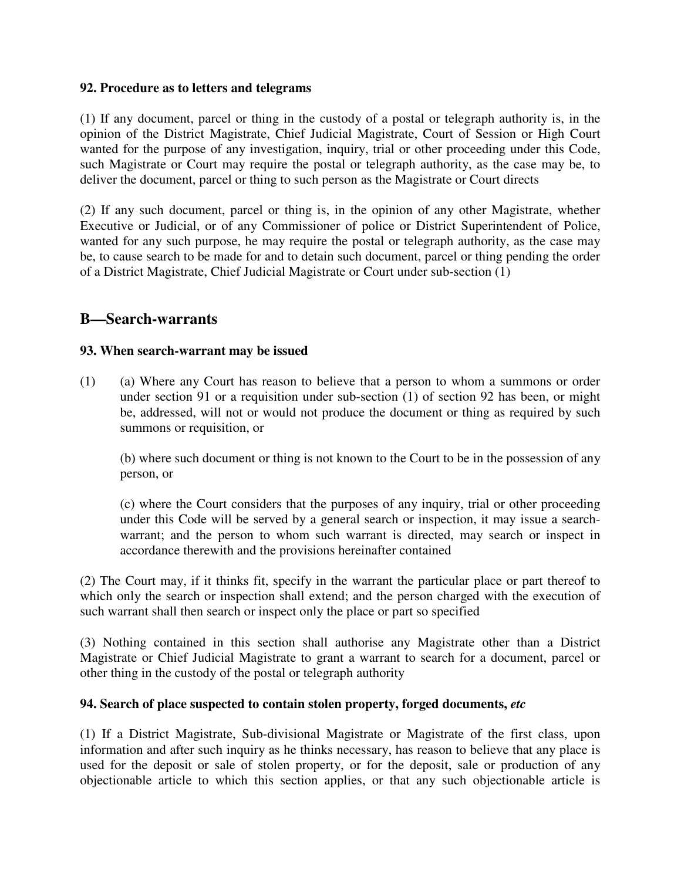#### **92. Procedure as to letters and telegrams**

(1) If any document, parcel or thing in the custody of a postal or telegraph authority is, in the opinion of the District Magistrate, Chief Judicial Magistrate, Court of Session or High Court wanted for the purpose of any investigation, inquiry, trial or other proceeding under this Code, such Magistrate or Court may require the postal or telegraph authority, as the case may be, to deliver the document, parcel or thing to such person as the Magistrate or Court directs

(2) If any such document, parcel or thing is, in the opinion of any other Magistrate, whether Executive or Judicial, or of any Commissioner of police or District Superintendent of Police, wanted for any such purpose, he may require the postal or telegraph authority, as the case may be, to cause search to be made for and to detain such document, parcel or thing pending the order of a District Magistrate, Chief Judicial Magistrate or Court under sub-section (1)

# **B—Search-warrants**

### **93. When search-warrant may be issued**

(1) (a) Where any Court has reason to believe that a person to whom a summons or order under section 91 or a requisition under sub-section (1) of section 92 has been, or might be, addressed, will not or would not produce the document or thing as required by such summons or requisition, or

(b) where such document or thing is not known to the Court to be in the possession of any person, or

(c) where the Court considers that the purposes of any inquiry, trial or other proceeding under this Code will be served by a general search or inspection, it may issue a searchwarrant; and the person to whom such warrant is directed, may search or inspect in accordance therewith and the provisions hereinafter contained

(2) The Court may, if it thinks fit, specify in the warrant the particular place or part thereof to which only the search or inspection shall extend; and the person charged with the execution of such warrant shall then search or inspect only the place or part so specified

(3) Nothing contained in this section shall authorise any Magistrate other than a District Magistrate or Chief Judicial Magistrate to grant a warrant to search for a document, parcel or other thing in the custody of the postal or telegraph authority

#### **94. Search of place suspected to contain stolen property, forged documents,** *etc*

(1) If a District Magistrate, Sub-divisional Magistrate or Magistrate of the first class, upon information and after such inquiry as he thinks necessary, has reason to believe that any place is used for the deposit or sale of stolen property, or for the deposit, sale or production of any objectionable article to which this section applies, or that any such objectionable article is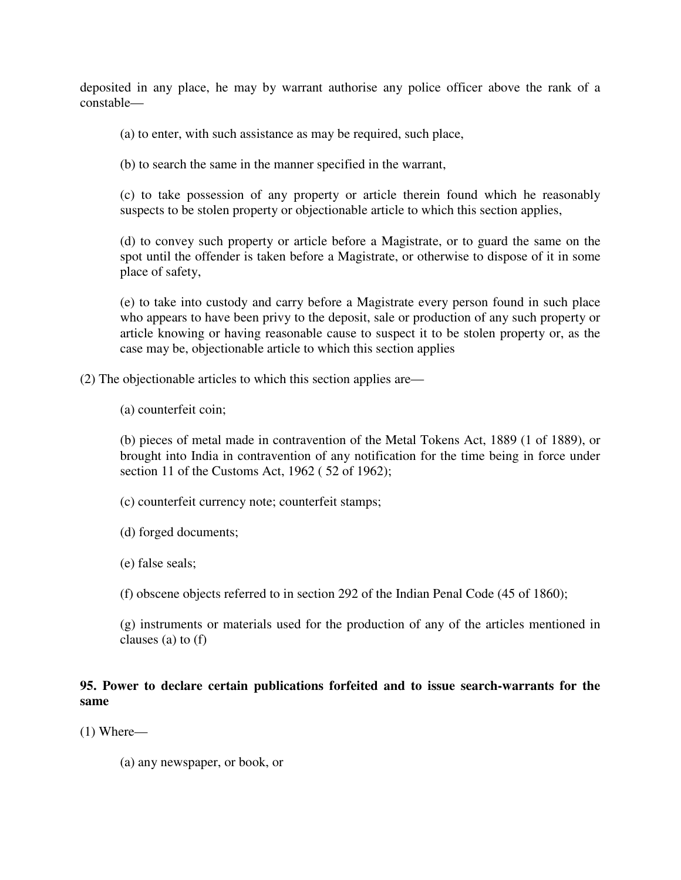deposited in any place, he may by warrant authorise any police officer above the rank of a constable—

(a) to enter, with such assistance as may be required, such place,

(b) to search the same in the manner specified in the warrant,

(c) to take possession of any property or article therein found which he reasonably suspects to be stolen property or objectionable article to which this section applies,

(d) to convey such property or article before a Magistrate, or to guard the same on the spot until the offender is taken before a Magistrate, or otherwise to dispose of it in some place of safety,

(e) to take into custody and carry before a Magistrate every person found in such place who appears to have been privy to the deposit, sale or production of any such property or article knowing or having reasonable cause to suspect it to be stolen property or, as the case may be, objectionable article to which this section applies

(2) The objectionable articles to which this section applies are—

(a) counterfeit coin;

(b) pieces of metal made in contravention of the Metal Tokens Act, 1889 (1 of 1889), or brought into India in contravention of any notification for the time being in force under section 11 of the Customs Act, 1962 ( 52 of 1962);

(c) counterfeit currency note; counterfeit stamps;

(d) forged documents;

(e) false seals;

(f) obscene objects referred to in section 292 of the Indian Penal Code (45 of 1860);

(g) instruments or materials used for the production of any of the articles mentioned in clauses (a) to (f)

### **95. Power to declare certain publications forfeited and to issue search-warrants for the same**

(1) Where—

(a) any newspaper, or book, or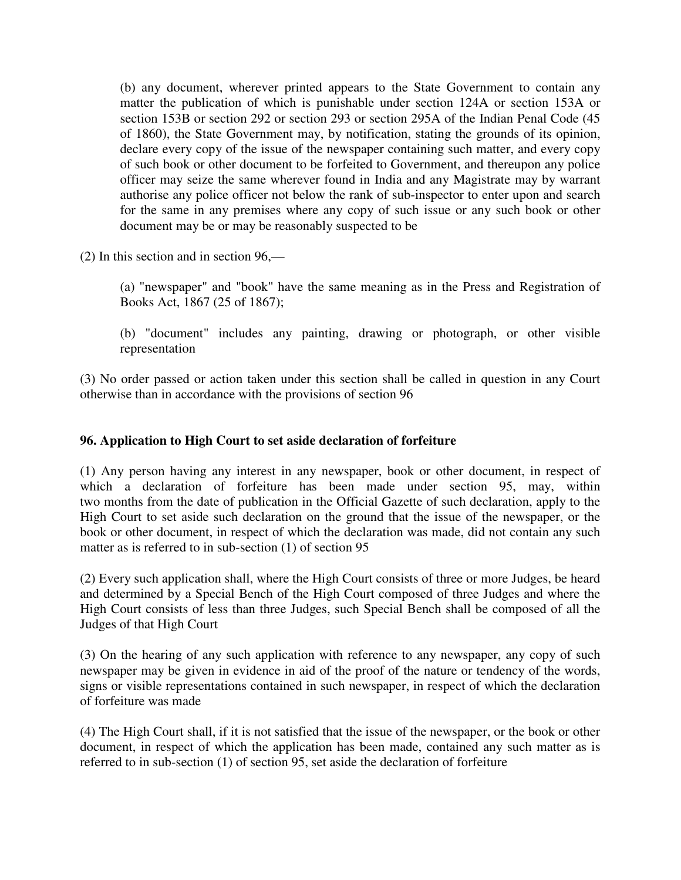(b) any document, wherever printed appears to the State Government to contain any matter the publication of which is punishable under section 124A or section 153A or section 153B or section 292 or section 293 or section 295A of the Indian Penal Code (45 of 1860), the State Government may, by notification, stating the grounds of its opinion, declare every copy of the issue of the newspaper containing such matter, and every copy of such book or other document to be forfeited to Government, and thereupon any police officer may seize the same wherever found in India and any Magistrate may by warrant authorise any police officer not below the rank of sub-inspector to enter upon and search for the same in any premises where any copy of such issue or any such book or other document may be or may be reasonably suspected to be

(2) In this section and in section 96,—

(a) "newspaper" and "book" have the same meaning as in the Press and Registration of Books Act, 1867 (25 of 1867);

(b) "document" includes any painting, drawing or photograph, or other visible representation

(3) No order passed or action taken under this section shall be called in question in any Court otherwise than in accordance with the provisions of section 96

### **96. Application to High Court to set aside declaration of forfeiture**

(1) Any person having any interest in any newspaper, book or other document, in respect of which a declaration of forfeiture has been made under section 95, may, within two months from the date of publication in the Official Gazette of such declaration, apply to the High Court to set aside such declaration on the ground that the issue of the newspaper, or the book or other document, in respect of which the declaration was made, did not contain any such matter as is referred to in sub-section (1) of section 95

(2) Every such application shall, where the High Court consists of three or more Judges, be heard and determined by a Special Bench of the High Court composed of three Judges and where the High Court consists of less than three Judges, such Special Bench shall be composed of all the Judges of that High Court

(3) On the hearing of any such application with reference to any newspaper, any copy of such newspaper may be given in evidence in aid of the proof of the nature or tendency of the words, signs or visible representations contained in such newspaper, in respect of which the declaration of forfeiture was made

(4) The High Court shall, if it is not satisfied that the issue of the newspaper, or the book or other document, in respect of which the application has been made, contained any such matter as is referred to in sub-section (1) of section 95, set aside the declaration of forfeiture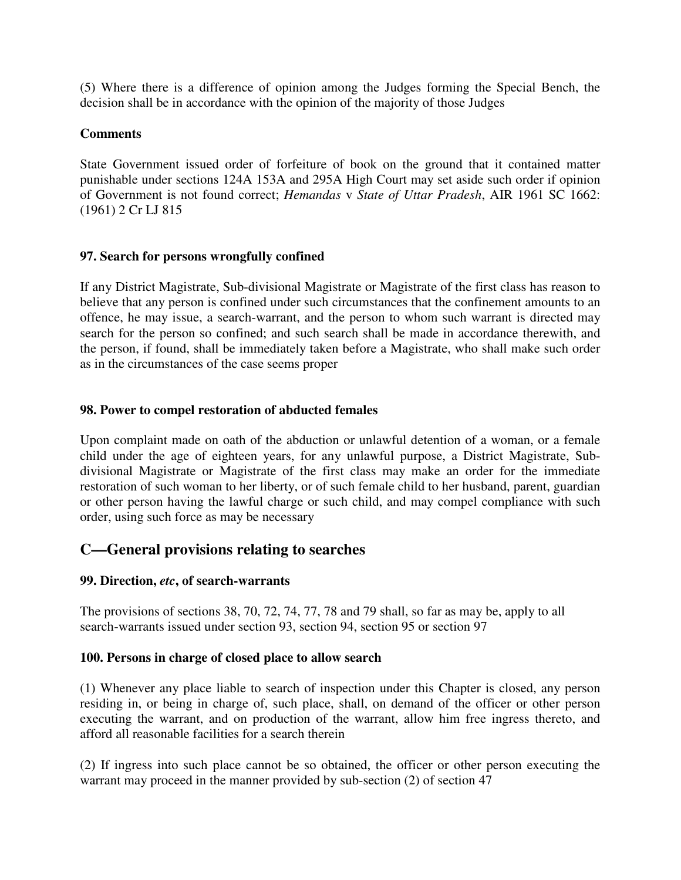(5) Where there is a difference of opinion among the Judges forming the Special Bench, the decision shall be in accordance with the opinion of the majority of those Judges

### **Comments**

State Government issued order of forfeiture of book on the ground that it contained matter punishable under sections 124A 153A and 295A High Court may set aside such order if opinion of Government is not found correct; *Hemandas* v *State of Uttar Pradesh*, AIR 1961 SC 1662: (1961) 2 Cr LJ 815

### **97. Search for persons wrongfully confined**

If any District Magistrate, Sub-divisional Magistrate or Magistrate of the first class has reason to believe that any person is confined under such circumstances that the confinement amounts to an offence, he may issue, a search-warrant, and the person to whom such warrant is directed may search for the person so confined; and such search shall be made in accordance therewith, and the person, if found, shall be immediately taken before a Magistrate, who shall make such order as in the circumstances of the case seems proper

#### **98. Power to compel restoration of abducted females**

Upon complaint made on oath of the abduction or unlawful detention of a woman, or a female child under the age of eighteen years, for any unlawful purpose, a District Magistrate, Subdivisional Magistrate or Magistrate of the first class may make an order for the immediate restoration of such woman to her liberty, or of such female child to her husband, parent, guardian or other person having the lawful charge or such child, and may compel compliance with such order, using such force as may be necessary

# **C—General provisions relating to searches**

#### **99. Direction,** *etc***, of search-warrants**

The provisions of sections 38, 70, 72, 74, 77, 78 and 79 shall, so far as may be, apply to all search-warrants issued under section 93, section 94, section 95 or section 97

#### **100. Persons in charge of closed place to allow search**

(1) Whenever any place liable to search of inspection under this Chapter is closed, any person residing in, or being in charge of, such place, shall, on demand of the officer or other person executing the warrant, and on production of the warrant, allow him free ingress thereto, and afford all reasonable facilities for a search therein

(2) If ingress into such place cannot be so obtained, the officer or other person executing the warrant may proceed in the manner provided by sub-section (2) of section 47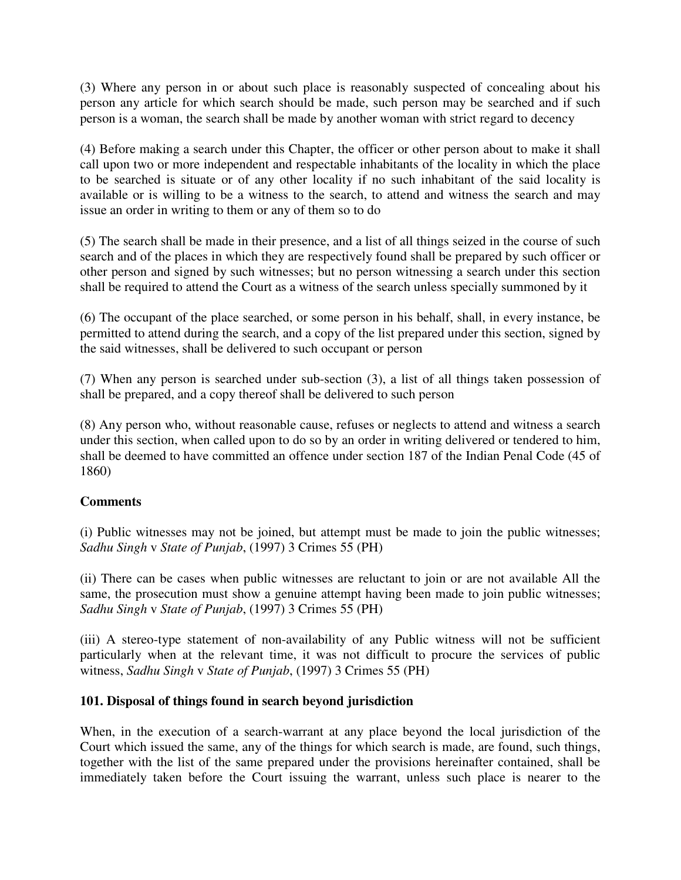(3) Where any person in or about such place is reasonably suspected of concealing about his person any article for which search should be made, such person may be searched and if such person is a woman, the search shall be made by another woman with strict regard to decency

(4) Before making a search under this Chapter, the officer or other person about to make it shall call upon two or more independent and respectable inhabitants of the locality in which the place to be searched is situate or of any other locality if no such inhabitant of the said locality is available or is willing to be a witness to the search, to attend and witness the search and may issue an order in writing to them or any of them so to do

(5) The search shall be made in their presence, and a list of all things seized in the course of such search and of the places in which they are respectively found shall be prepared by such officer or other person and signed by such witnesses; but no person witnessing a search under this section shall be required to attend the Court as a witness of the search unless specially summoned by it

(6) The occupant of the place searched, or some person in his behalf, shall, in every instance, be permitted to attend during the search, and a copy of the list prepared under this section, signed by the said witnesses, shall be delivered to such occupant or person

(7) When any person is searched under sub-section (3), a list of all things taken possession of shall be prepared, and a copy thereof shall be delivered to such person

(8) Any person who, without reasonable cause, refuses or neglects to attend and witness a search under this section, when called upon to do so by an order in writing delivered or tendered to him, shall be deemed to have committed an offence under section 187 of the Indian Penal Code (45 of 1860)

### **Comments**

(i) Public witnesses may not be joined, but attempt must be made to join the public witnesses; *Sadhu Singh* v *State of Punjab*, (1997) 3 Crimes 55 (PH)

(ii) There can be cases when public witnesses are reluctant to join or are not available All the same, the prosecution must show a genuine attempt having been made to join public witnesses; *Sadhu Singh* v *State of Punjab*, (1997) 3 Crimes 55 (PH)

(iii) A stereo-type statement of non-availability of any Public witness will not be sufficient particularly when at the relevant time, it was not difficult to procure the services of public witness, *Sadhu Singh* v *State of Punjab*, (1997) 3 Crimes 55 (PH)

### **101. Disposal of things found in search beyond jurisdiction**

When, in the execution of a search-warrant at any place beyond the local jurisdiction of the Court which issued the same, any of the things for which search is made, are found, such things, together with the list of the same prepared under the provisions hereinafter contained, shall be immediately taken before the Court issuing the warrant, unless such place is nearer to the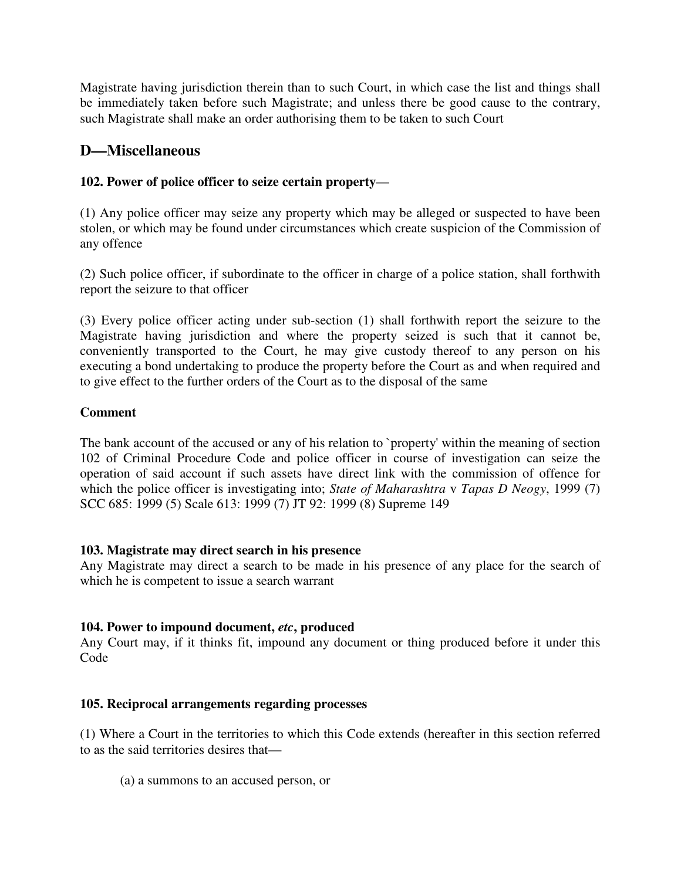Magistrate having jurisdiction therein than to such Court, in which case the list and things shall be immediately taken before such Magistrate; and unless there be good cause to the contrary, such Magistrate shall make an order authorising them to be taken to such Court

# **D—Miscellaneous**

### **102. Power of police officer to seize certain property**—

(1) Any police officer may seize any property which may be alleged or suspected to have been stolen, or which may be found under circumstances which create suspicion of the Commission of any offence

(2) Such police officer, if subordinate to the officer in charge of a police station, shall forthwith report the seizure to that officer

(3) Every police officer acting under sub-section (1) shall forthwith report the seizure to the Magistrate having jurisdiction and where the property seized is such that it cannot be, conveniently transported to the Court, he may give custody thereof to any person on his executing a bond undertaking to produce the property before the Court as and when required and to give effect to the further orders of the Court as to the disposal of the same

### **Comment**

The bank account of the accused or any of his relation to `property' within the meaning of section 102 of Criminal Procedure Code and police officer in course of investigation can seize the operation of said account if such assets have direct link with the commission of offence for which the police officer is investigating into; *State of Maharashtra* v *Tapas D Neogy*, 1999 (7) SCC 685: 1999 (5) Scale 613: 1999 (7) JT 92: 1999 (8) Supreme 149

### **103. Magistrate may direct search in his presence**

Any Magistrate may direct a search to be made in his presence of any place for the search of which he is competent to issue a search warrant

### **104. Power to impound document,** *etc***, produced**

Any Court may, if it thinks fit, impound any document or thing produced before it under this Code

### **105. Reciprocal arrangements regarding processes**

(1) Where a Court in the territories to which this Code extends (hereafter in this section referred to as the said territories desires that—

(a) a summons to an accused person, or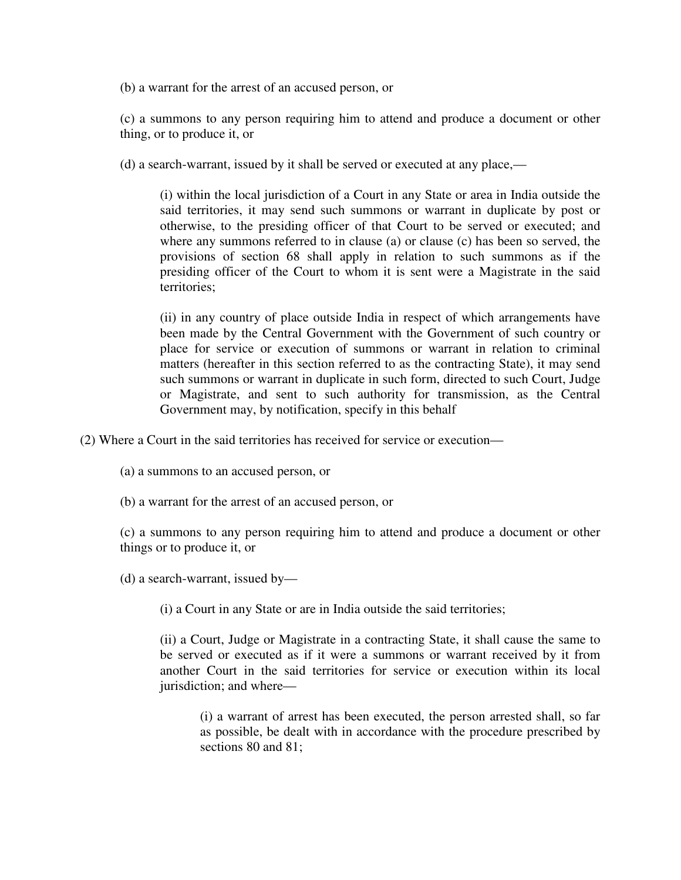(b) a warrant for the arrest of an accused person, or

(c) a summons to any person requiring him to attend and produce a document or other thing, or to produce it, or

(d) a search-warrant, issued by it shall be served or executed at any place,—

(i) within the local jurisdiction of a Court in any State or area in India outside the said territories, it may send such summons or warrant in duplicate by post or otherwise, to the presiding officer of that Court to be served or executed; and where any summons referred to in clause (a) or clause (c) has been so served, the provisions of section 68 shall apply in relation to such summons as if the presiding officer of the Court to whom it is sent were a Magistrate in the said territories;

(ii) in any country of place outside India in respect of which arrangements have been made by the Central Government with the Government of such country or place for service or execution of summons or warrant in relation to criminal matters (hereafter in this section referred to as the contracting State), it may send such summons or warrant in duplicate in such form, directed to such Court, Judge or Magistrate, and sent to such authority for transmission, as the Central Government may, by notification, specify in this behalf

(2) Where a Court in the said territories has received for service or execution—

(a) a summons to an accused person, or

(b) a warrant for the arrest of an accused person, or

(c) a summons to any person requiring him to attend and produce a document or other things or to produce it, or

(d) a search-warrant, issued by—

(i) a Court in any State or are in India outside the said territories;

(ii) a Court, Judge or Magistrate in a contracting State, it shall cause the same to be served or executed as if it were a summons or warrant received by it from another Court in the said territories for service or execution within its local jurisdiction; and where—

(i) a warrant of arrest has been executed, the person arrested shall, so far as possible, be dealt with in accordance with the procedure prescribed by sections 80 and 81;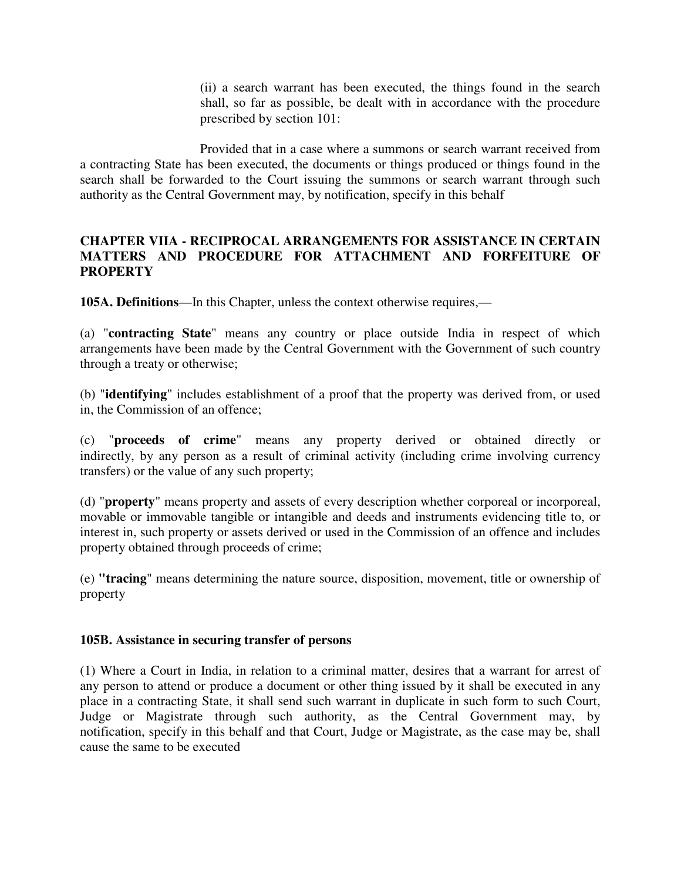(ii) a search warrant has been executed, the things found in the search shall, so far as possible, be dealt with in accordance with the procedure prescribed by section 101:

Provided that in a case where a summons or search warrant received from a contracting State has been executed, the documents or things produced or things found in the search shall be forwarded to the Court issuing the summons or search warrant through such authority as the Central Government may, by notification, specify in this behalf

### **CHAPTER VIIA - RECIPROCAL ARRANGEMENTS FOR ASSISTANCE IN CERTAIN MATTERS AND PROCEDURE FOR ATTACHMENT AND FORFEITURE OF PROPERTY**

**105A. Definitions**—In this Chapter, unless the context otherwise requires,—

(a) "**contracting State**" means any country or place outside India in respect of which arrangements have been made by the Central Government with the Government of such country through a treaty or otherwise;

(b) "**identifying**" includes establishment of a proof that the property was derived from, or used in, the Commission of an offence;

(c) "**proceeds of crime**" means any property derived or obtained directly or indirectly, by any person as a result of criminal activity (including crime involving currency transfers) or the value of any such property;

(d) "**property**" means property and assets of every description whether corporeal or incorporeal, movable or immovable tangible or intangible and deeds and instruments evidencing title to, or interest in, such property or assets derived or used in the Commission of an offence and includes property obtained through proceeds of crime;

(e) **"tracing**" means determining the nature source, disposition, movement, title or ownership of property

### **105B. Assistance in securing transfer of persons**

(1) Where a Court in India, in relation to a criminal matter, desires that a warrant for arrest of any person to attend or produce a document or other thing issued by it shall be executed in any place in a contracting State, it shall send such warrant in duplicate in such form to such Court, Judge or Magistrate through such authority, as the Central Government may, by notification, specify in this behalf and that Court, Judge or Magistrate, as the case may be, shall cause the same to be executed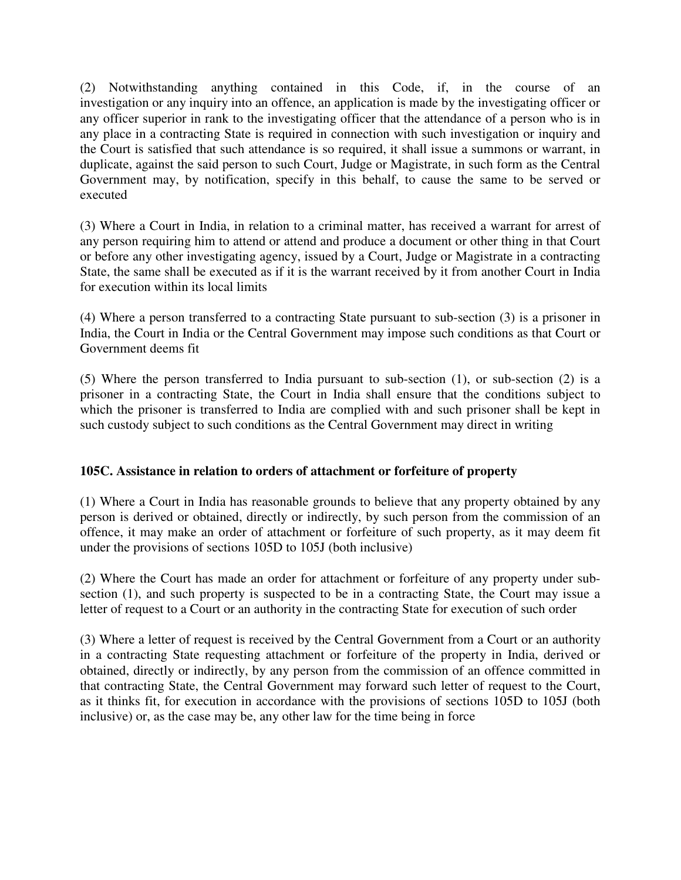(2) Notwithstanding anything contained in this Code, if, in the course of an investigation or any inquiry into an offence, an application is made by the investigating officer or any officer superior in rank to the investigating officer that the attendance of a person who is in any place in a contracting State is required in connection with such investigation or inquiry and the Court is satisfied that such attendance is so required, it shall issue a summons or warrant, in duplicate, against the said person to such Court, Judge or Magistrate, in such form as the Central Government may, by notification, specify in this behalf, to cause the same to be served or executed

(3) Where a Court in India, in relation to a criminal matter, has received a warrant for arrest of any person requiring him to attend or attend and produce a document or other thing in that Court or before any other investigating agency, issued by a Court, Judge or Magistrate in a contracting State, the same shall be executed as if it is the warrant received by it from another Court in India for execution within its local limits

(4) Where a person transferred to a contracting State pursuant to sub-section (3) is a prisoner in India, the Court in India or the Central Government may impose such conditions as that Court or Government deems fit

(5) Where the person transferred to India pursuant to sub-section (1), or sub-section (2) is a prisoner in a contracting State, the Court in India shall ensure that the conditions subject to which the prisoner is transferred to India are complied with and such prisoner shall be kept in such custody subject to such conditions as the Central Government may direct in writing

### **105C. Assistance in relation to orders of attachment or forfeiture of property**

(1) Where a Court in India has reasonable grounds to believe that any property obtained by any person is derived or obtained, directly or indirectly, by such person from the commission of an offence, it may make an order of attachment or forfeiture of such property, as it may deem fit under the provisions of sections 105D to 105J (both inclusive)

(2) Where the Court has made an order for attachment or forfeiture of any property under subsection (1), and such property is suspected to be in a contracting State, the Court may issue a letter of request to a Court or an authority in the contracting State for execution of such order

(3) Where a letter of request is received by the Central Government from a Court or an authority in a contracting State requesting attachment or forfeiture of the property in India, derived or obtained, directly or indirectly, by any person from the commission of an offence committed in that contracting State, the Central Government may forward such letter of request to the Court, as it thinks fit, for execution in accordance with the provisions of sections 105D to 105J (both inclusive) or, as the case may be, any other law for the time being in force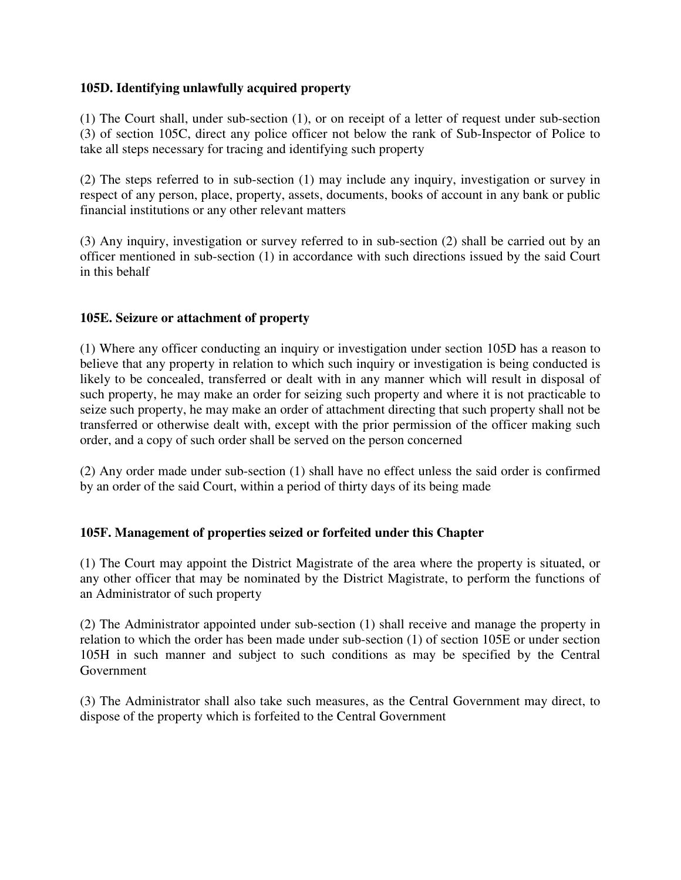### **105D. Identifying unlawfully acquired property**

(1) The Court shall, under sub-section (1), or on receipt of a letter of request under sub-section (3) of section 105C, direct any police officer not below the rank of Sub-Inspector of Police to take all steps necessary for tracing and identifying such property

(2) The steps referred to in sub-section (1) may include any inquiry, investigation or survey in respect of any person, place, property, assets, documents, books of account in any bank or public financial institutions or any other relevant matters

(3) Any inquiry, investigation or survey referred to in sub-section (2) shall be carried out by an officer mentioned in sub-section (1) in accordance with such directions issued by the said Court in this behalf

### **105E. Seizure or attachment of property**

(1) Where any officer conducting an inquiry or investigation under section 105D has a reason to believe that any property in relation to which such inquiry or investigation is being conducted is likely to be concealed, transferred or dealt with in any manner which will result in disposal of such property, he may make an order for seizing such property and where it is not practicable to seize such property, he may make an order of attachment directing that such property shall not be transferred or otherwise dealt with, except with the prior permission of the officer making such order, and a copy of such order shall be served on the person concerned

(2) Any order made under sub-section (1) shall have no effect unless the said order is confirmed by an order of the said Court, within a period of thirty days of its being made

### **105F. Management of properties seized or forfeited under this Chapter**

(1) The Court may appoint the District Magistrate of the area where the property is situated, or any other officer that may be nominated by the District Magistrate, to perform the functions of an Administrator of such property

(2) The Administrator appointed under sub-section (1) shall receive and manage the property in relation to which the order has been made under sub-section (1) of section 105E or under section 105H in such manner and subject to such conditions as may be specified by the Central Government

(3) The Administrator shall also take such measures, as the Central Government may direct, to dispose of the property which is forfeited to the Central Government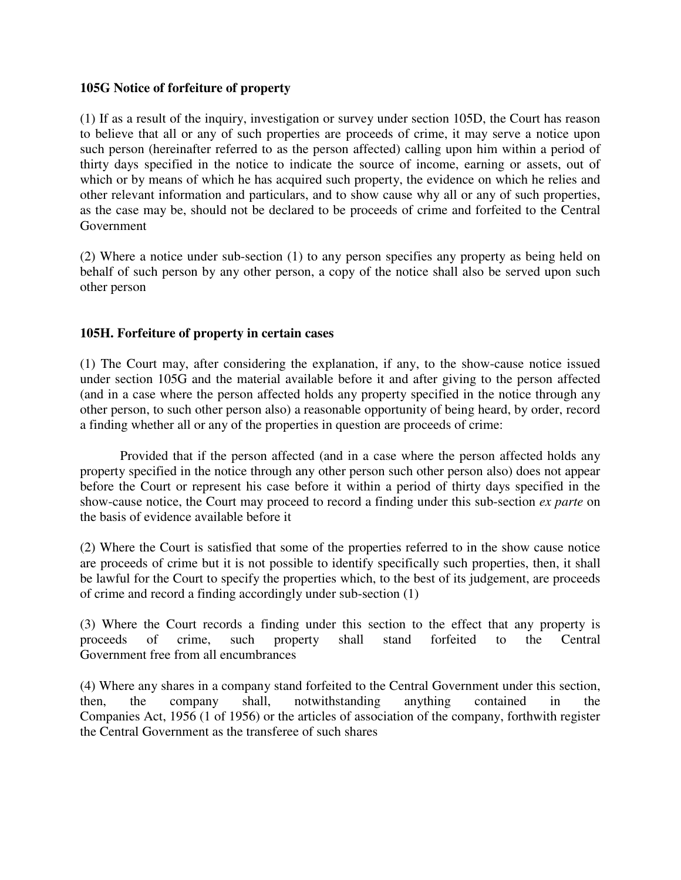#### **105G Notice of forfeiture of property**

(1) If as a result of the inquiry, investigation or survey under section 105D, the Court has reason to believe that all or any of such properties are proceeds of crime, it may serve a notice upon such person (hereinafter referred to as the person affected) calling upon him within a period of thirty days specified in the notice to indicate the source of income, earning or assets, out of which or by means of which he has acquired such property, the evidence on which he relies and other relevant information and particulars, and to show cause why all or any of such properties, as the case may be, should not be declared to be proceeds of crime and forfeited to the Central Government

(2) Where a notice under sub-section (1) to any person specifies any property as being held on behalf of such person by any other person, a copy of the notice shall also be served upon such other person

### **105H. Forfeiture of property in certain cases**

(1) The Court may, after considering the explanation, if any, to the show-cause notice issued under section 105G and the material available before it and after giving to the person affected (and in a case where the person affected holds any property specified in the notice through any other person, to such other person also) a reasonable opportunity of being heard, by order, record a finding whether all or any of the properties in question are proceeds of crime:

Provided that if the person affected (and in a case where the person affected holds any property specified in the notice through any other person such other person also) does not appear before the Court or represent his case before it within a period of thirty days specified in the show-cause notice, the Court may proceed to record a finding under this sub-section *ex parte* on the basis of evidence available before it

(2) Where the Court is satisfied that some of the properties referred to in the show cause notice are proceeds of crime but it is not possible to identify specifically such properties, then, it shall be lawful for the Court to specify the properties which, to the best of its judgement, are proceeds of crime and record a finding accordingly under sub-section (1)

(3) Where the Court records a finding under this section to the effect that any property is proceeds of crime, such property shall stand forfeited to the Central Government free from all encumbrances

(4) Where any shares in a company stand forfeited to the Central Government under this section, then, the company shall, notwithstanding anything contained in the Companies Act, 1956 (1 of 1956) or the articles of association of the company, forthwith register the Central Government as the transferee of such shares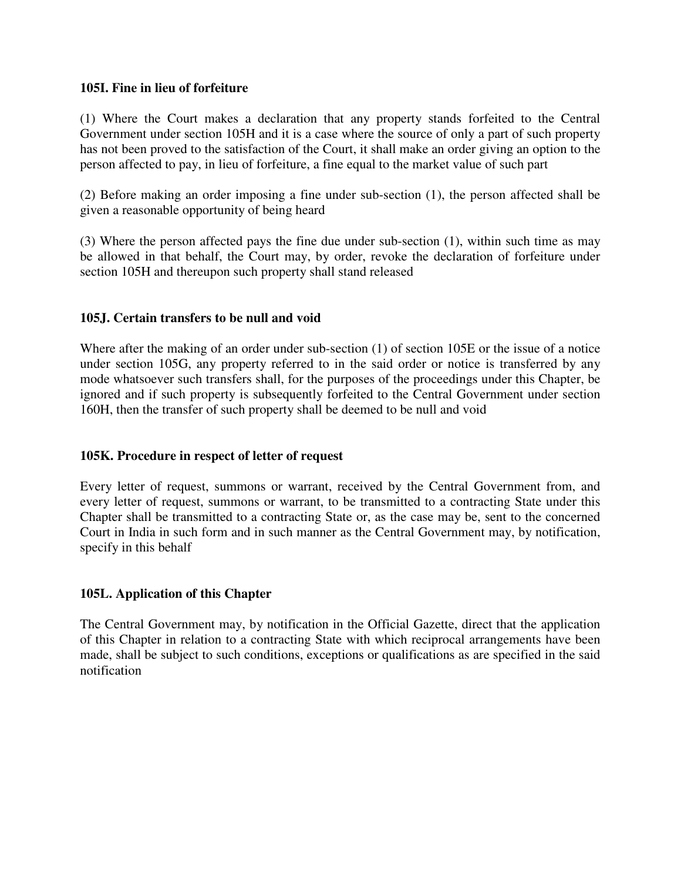#### **105I. Fine in lieu of forfeiture**

(1) Where the Court makes a declaration that any property stands forfeited to the Central Government under section 105H and it is a case where the source of only a part of such property has not been proved to the satisfaction of the Court, it shall make an order giving an option to the person affected to pay, in lieu of forfeiture, a fine equal to the market value of such part

(2) Before making an order imposing a fine under sub-section (1), the person affected shall be given a reasonable opportunity of being heard

(3) Where the person affected pays the fine due under sub-section (1), within such time as may be allowed in that behalf, the Court may, by order, revoke the declaration of forfeiture under section 105H and thereupon such property shall stand released

### **105J. Certain transfers to be null and void**

Where after the making of an order under sub-section (1) of section 105E or the issue of a notice under section 105G, any property referred to in the said order or notice is transferred by any mode whatsoever such transfers shall, for the purposes of the proceedings under this Chapter, be ignored and if such property is subsequently forfeited to the Central Government under section 160H, then the transfer of such property shall be deemed to be null and void

### **105K. Procedure in respect of letter of request**

Every letter of request, summons or warrant, received by the Central Government from, and every letter of request, summons or warrant, to be transmitted to a contracting State under this Chapter shall be transmitted to a contracting State or, as the case may be, sent to the concerned Court in India in such form and in such manner as the Central Government may, by notification, specify in this behalf

#### **105L. Application of this Chapter**

The Central Government may, by notification in the Official Gazette, direct that the application of this Chapter in relation to a contracting State with which reciprocal arrangements have been made, shall be subject to such conditions, exceptions or qualifications as are specified in the said notification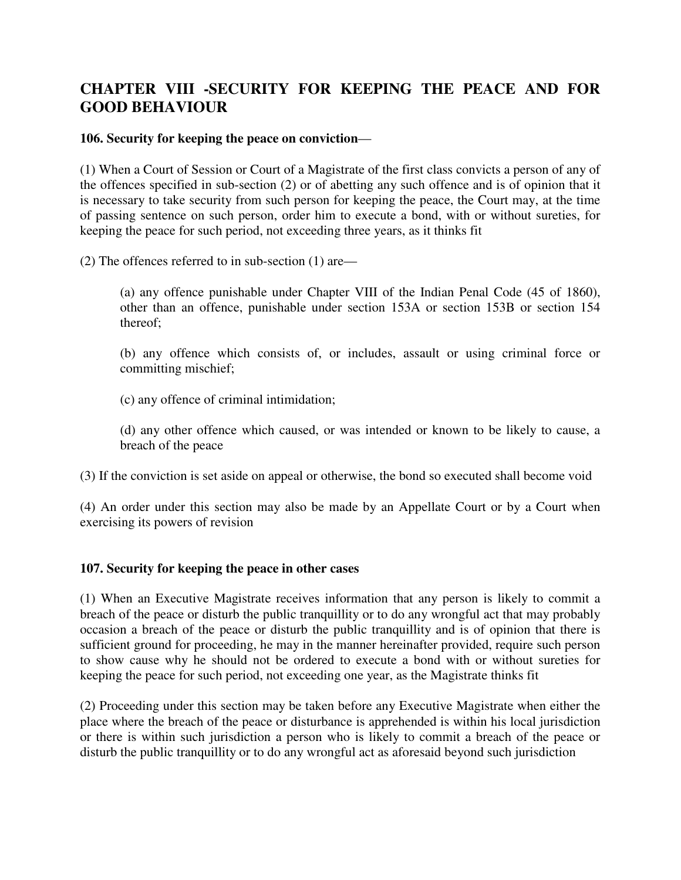# **CHAPTER VIII -SECURITY FOR KEEPING THE PEACE AND FOR GOOD BEHAVIOUR**

#### **106. Security for keeping the peace on conviction**—

(1) When a Court of Session or Court of a Magistrate of the first class convicts a person of any of the offences specified in sub-section (2) or of abetting any such offence and is of opinion that it is necessary to take security from such person for keeping the peace, the Court may, at the time of passing sentence on such person, order him to execute a bond, with or without sureties, for keeping the peace for such period, not exceeding three years, as it thinks fit

(2) The offences referred to in sub-section (1) are—

(a) any offence punishable under Chapter VIII of the Indian Penal Code (45 of 1860), other than an offence, punishable under section 153A or section 153B or section 154 thereof;

(b) any offence which consists of, or includes, assault or using criminal force or committing mischief;

(c) any offence of criminal intimidation;

(d) any other offence which caused, or was intended or known to be likely to cause, a breach of the peace

(3) If the conviction is set aside on appeal or otherwise, the bond so executed shall become void

(4) An order under this section may also be made by an Appellate Court or by a Court when exercising its powers of revision

### **107. Security for keeping the peace in other cases**

(1) When an Executive Magistrate receives information that any person is likely to commit a breach of the peace or disturb the public tranquillity or to do any wrongful act that may probably occasion a breach of the peace or disturb the public tranquillity and is of opinion that there is sufficient ground for proceeding, he may in the manner hereinafter provided, require such person to show cause why he should not be ordered to execute a bond with or without sureties for keeping the peace for such period, not exceeding one year, as the Magistrate thinks fit

(2) Proceeding under this section may be taken before any Executive Magistrate when either the place where the breach of the peace or disturbance is apprehended is within his local jurisdiction or there is within such jurisdiction a person who is likely to commit a breach of the peace or disturb the public tranquillity or to do any wrongful act as aforesaid beyond such jurisdiction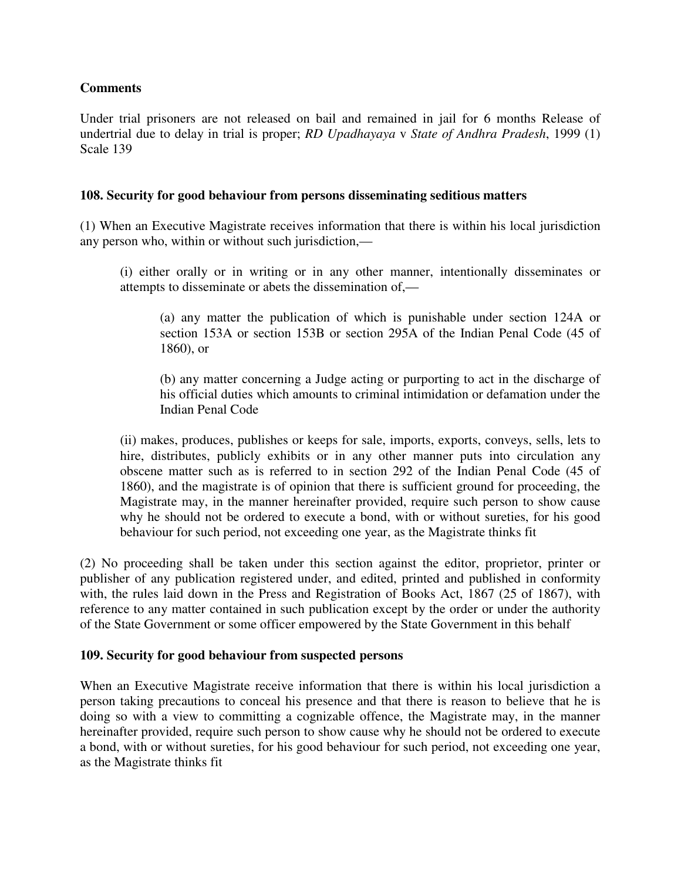### **Comments**

Under trial prisoners are not released on bail and remained in jail for 6 months Release of undertrial due to delay in trial is proper; *RD Upadhayaya* v *State of Andhra Pradesh*, 1999 (1) Scale 139

#### **108. Security for good behaviour from persons disseminating seditious matters**

(1) When an Executive Magistrate receives information that there is within his local jurisdiction any person who, within or without such jurisdiction,—

(i) either orally or in writing or in any other manner, intentionally disseminates or attempts to disseminate or abets the dissemination of,—

(a) any matter the publication of which is punishable under section 124A or section 153A or section 153B or section 295A of the Indian Penal Code (45 of 1860), or

(b) any matter concerning a Judge acting or purporting to act in the discharge of his official duties which amounts to criminal intimidation or defamation under the Indian Penal Code

(ii) makes, produces, publishes or keeps for sale, imports, exports, conveys, sells, lets to hire, distributes, publicly exhibits or in any other manner puts into circulation any obscene matter such as is referred to in section 292 of the Indian Penal Code (45 of 1860), and the magistrate is of opinion that there is sufficient ground for proceeding, the Magistrate may, in the manner hereinafter provided, require such person to show cause why he should not be ordered to execute a bond, with or without sureties, for his good behaviour for such period, not exceeding one year, as the Magistrate thinks fit

(2) No proceeding shall be taken under this section against the editor, proprietor, printer or publisher of any publication registered under, and edited, printed and published in conformity with, the rules laid down in the Press and Registration of Books Act, 1867 (25 of 1867), with reference to any matter contained in such publication except by the order or under the authority of the State Government or some officer empowered by the State Government in this behalf

#### **109. Security for good behaviour from suspected persons**

When an Executive Magistrate receive information that there is within his local jurisdiction a person taking precautions to conceal his presence and that there is reason to believe that he is doing so with a view to committing a cognizable offence, the Magistrate may, in the manner hereinafter provided, require such person to show cause why he should not be ordered to execute a bond, with or without sureties, for his good behaviour for such period, not exceeding one year, as the Magistrate thinks fit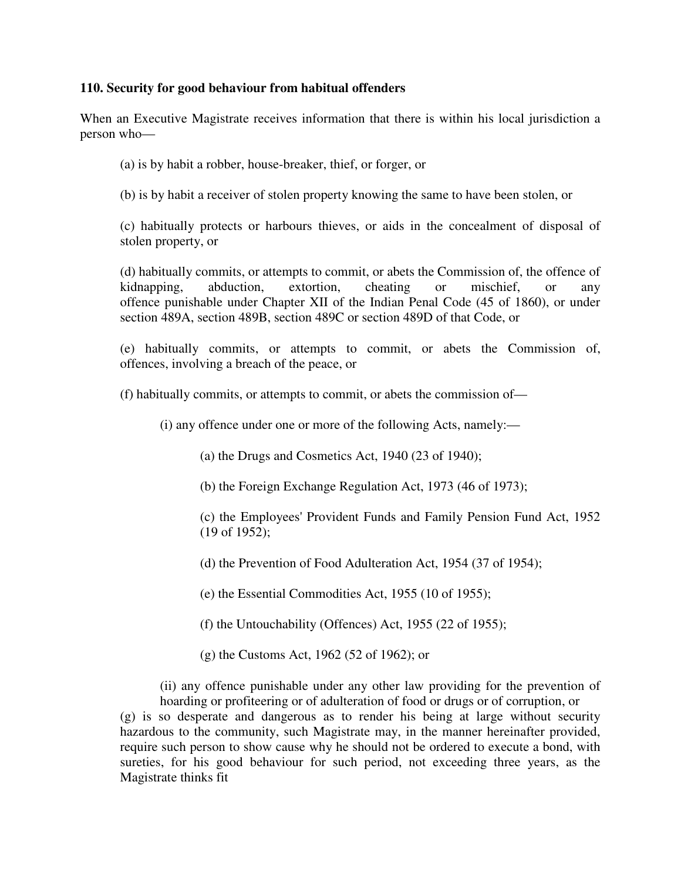#### **110. Security for good behaviour from habitual offenders**

When an Executive Magistrate receives information that there is within his local jurisdiction a person who—

(a) is by habit a robber, house-breaker, thief, or forger, or

(b) is by habit a receiver of stolen property knowing the same to have been stolen, or

(c) habitually protects or harbours thieves, or aids in the concealment of disposal of stolen property, or

(d) habitually commits, or attempts to commit, or abets the Commission of, the offence of kidnapping, abduction, extortion, cheating or mischief, or any offence punishable under Chapter XII of the Indian Penal Code (45 of 1860), or under section 489A, section 489B, section 489C or section 489D of that Code, or

(e) habitually commits, or attempts to commit, or abets the Commission of, offences, involving a breach of the peace, or

(f) habitually commits, or attempts to commit, or abets the commission of—

(i) any offence under one or more of the following Acts, namely:—

(a) the Drugs and Cosmetics Act, 1940 (23 of 1940);

(b) the Foreign Exchange Regulation Act, 1973 (46 of 1973);

(c) the Employees' Provident Funds and Family Pension Fund Act, 1952 (19 of 1952);

(d) the Prevention of Food Adulteration Act, 1954 (37 of 1954);

(e) the Essential Commodities Act, 1955 (10 of 1955);

(f) the Untouchability (Offences) Act, 1955 (22 of 1955);

(g) the Customs Act, 1962 (52 of 1962); or

(ii) any offence punishable under any other law providing for the prevention of hoarding or profiteering or of adulteration of food or drugs or of corruption, or (g) is so desperate and dangerous as to render his being at large without security

hazardous to the community, such Magistrate may, in the manner hereinafter provided, require such person to show cause why he should not be ordered to execute a bond, with sureties, for his good behaviour for such period, not exceeding three years, as the Magistrate thinks fit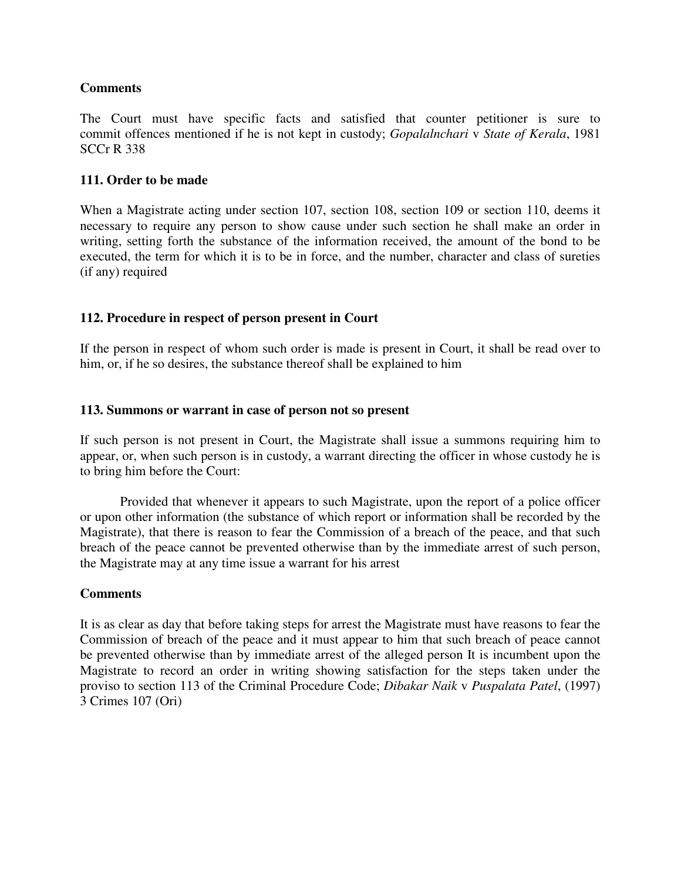#### **Comments**

The Court must have specific facts and satisfied that counter petitioner is sure to commit offences mentioned if he is not kept in custody; *Gopalalnchari* v *State of Kerala*, 1981 SCCr R 338

#### **111. Order to be made**

When a Magistrate acting under section 107, section 108, section 109 or section 110, deems it necessary to require any person to show cause under such section he shall make an order in writing, setting forth the substance of the information received, the amount of the bond to be executed, the term for which it is to be in force, and the number, character and class of sureties (if any) required

### **112. Procedure in respect of person present in Court**

If the person in respect of whom such order is made is present in Court, it shall be read over to him, or, if he so desires, the substance thereof shall be explained to him

#### **113. Summons or warrant in case of person not so present**

If such person is not present in Court, the Magistrate shall issue a summons requiring him to appear, or, when such person is in custody, a warrant directing the officer in whose custody he is to bring him before the Court:

Provided that whenever it appears to such Magistrate, upon the report of a police officer or upon other information (the substance of which report or information shall be recorded by the Magistrate), that there is reason to fear the Commission of a breach of the peace, and that such breach of the peace cannot be prevented otherwise than by the immediate arrest of such person, the Magistrate may at any time issue a warrant for his arrest

#### **Comments**

It is as clear as day that before taking steps for arrest the Magistrate must have reasons to fear the Commission of breach of the peace and it must appear to him that such breach of peace cannot be prevented otherwise than by immediate arrest of the alleged person It is incumbent upon the Magistrate to record an order in writing showing satisfaction for the steps taken under the proviso to section 113 of the Criminal Procedure Code; *Dibakar Naik* v *Puspalata Patel*, (1997) 3 Crimes 107 (Ori)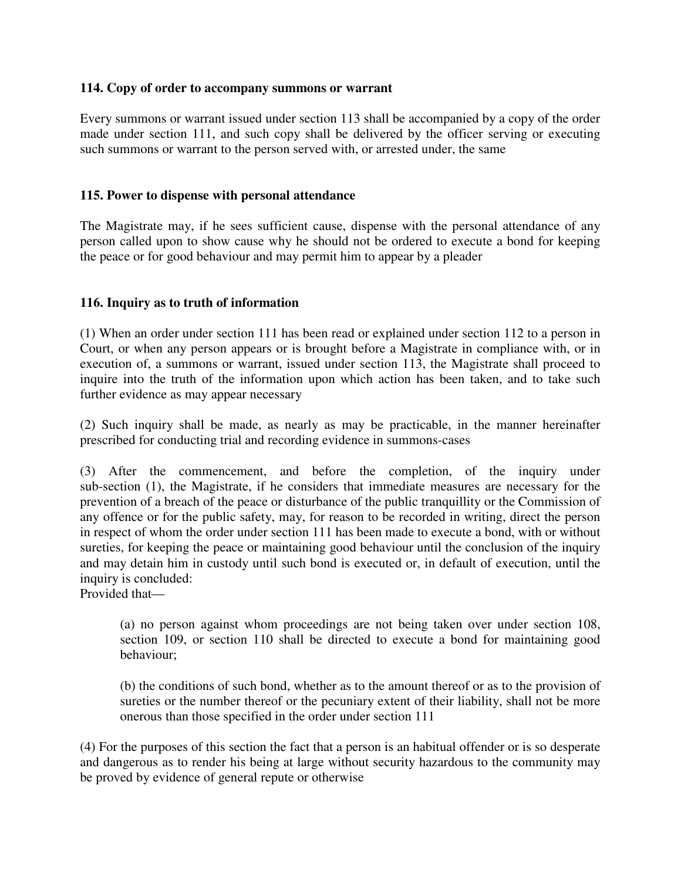#### **114. Copy of order to accompany summons or warrant**

Every summons or warrant issued under section 113 shall be accompanied by a copy of the order made under section 111, and such copy shall be delivered by the officer serving or executing such summons or warrant to the person served with, or arrested under, the same

### **115. Power to dispense with personal attendance**

The Magistrate may, if he sees sufficient cause, dispense with the personal attendance of any person called upon to show cause why he should not be ordered to execute a bond for keeping the peace or for good behaviour and may permit him to appear by a pleader

### **116. Inquiry as to truth of information**

(1) When an order under section 111 has been read or explained under section 112 to a person in Court, or when any person appears or is brought before a Magistrate in compliance with, or in execution of, a summons or warrant, issued under section 113, the Magistrate shall proceed to inquire into the truth of the information upon which action has been taken, and to take such further evidence as may appear necessary

(2) Such inquiry shall be made, as nearly as may be practicable, in the manner hereinafter prescribed for conducting trial and recording evidence in summons-cases

(3) After the commencement, and before the completion, of the inquiry under sub-section (1), the Magistrate, if he considers that immediate measures are necessary for the prevention of a breach of the peace or disturbance of the public tranquillity or the Commission of any offence or for the public safety, may, for reason to be recorded in writing, direct the person in respect of whom the order under section 111 has been made to execute a bond, with or without sureties, for keeping the peace or maintaining good behaviour until the conclusion of the inquiry and may detain him in custody until such bond is executed or, in default of execution, until the inquiry is concluded:

Provided that—

(a) no person against whom proceedings are not being taken over under section 108, section 109, or section 110 shall be directed to execute a bond for maintaining good behaviour;

(b) the conditions of such bond, whether as to the amount thereof or as to the provision of sureties or the number thereof or the pecuniary extent of their liability, shall not be more onerous than those specified in the order under section 111

(4) For the purposes of this section the fact that a person is an habitual offender or is so desperate and dangerous as to render his being at large without security hazardous to the community may be proved by evidence of general repute or otherwise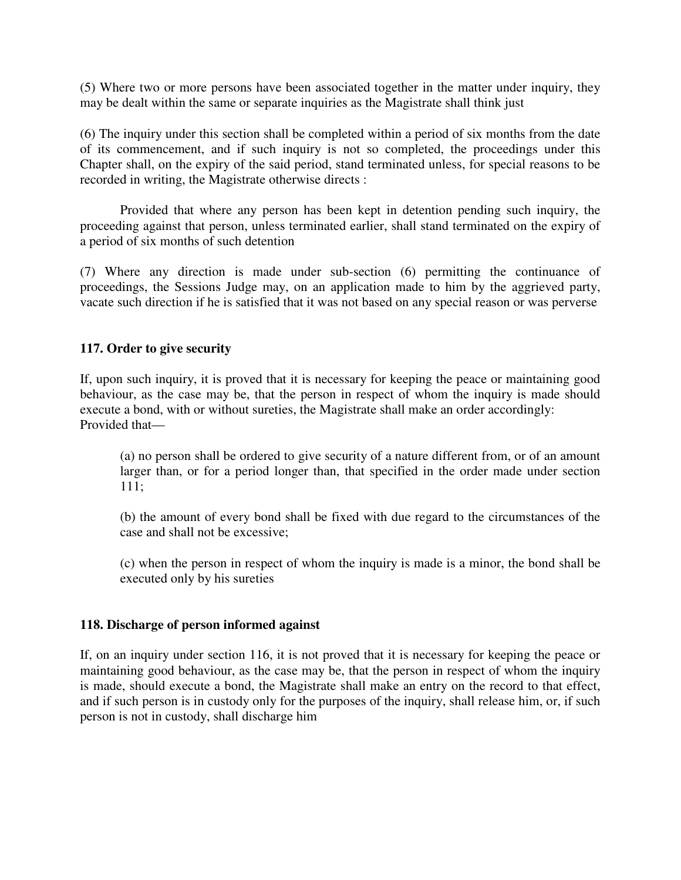(5) Where two or more persons have been associated together in the matter under inquiry, they may be dealt within the same or separate inquiries as the Magistrate shall think just

(6) The inquiry under this section shall be completed within a period of six months from the date of its commencement, and if such inquiry is not so completed, the proceedings under this Chapter shall, on the expiry of the said period, stand terminated unless, for special reasons to be recorded in writing, the Magistrate otherwise directs :

Provided that where any person has been kept in detention pending such inquiry, the proceeding against that person, unless terminated earlier, shall stand terminated on the expiry of a period of six months of such detention

(7) Where any direction is made under sub-section (6) permitting the continuance of proceedings, the Sessions Judge may, on an application made to him by the aggrieved party, vacate such direction if he is satisfied that it was not based on any special reason or was perverse

### **117. Order to give security**

If, upon such inquiry, it is proved that it is necessary for keeping the peace or maintaining good behaviour, as the case may be, that the person in respect of whom the inquiry is made should execute a bond, with or without sureties, the Magistrate shall make an order accordingly: Provided that—

(a) no person shall be ordered to give security of a nature different from, or of an amount larger than, or for a period longer than, that specified in the order made under section 111;

(b) the amount of every bond shall be fixed with due regard to the circumstances of the case and shall not be excessive;

(c) when the person in respect of whom the inquiry is made is a minor, the bond shall be executed only by his sureties

#### **118. Discharge of person informed against**

If, on an inquiry under section 116, it is not proved that it is necessary for keeping the peace or maintaining good behaviour, as the case may be, that the person in respect of whom the inquiry is made, should execute a bond, the Magistrate shall make an entry on the record to that effect, and if such person is in custody only for the purposes of the inquiry, shall release him, or, if such person is not in custody, shall discharge him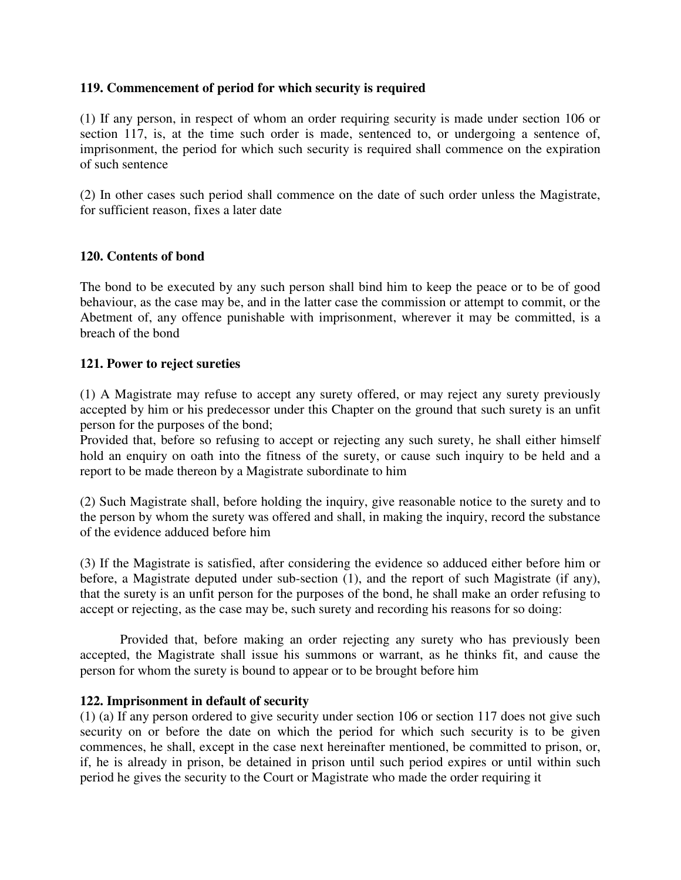#### **119. Commencement of period for which security is required**

(1) If any person, in respect of whom an order requiring security is made under section 106 or section 117, is, at the time such order is made, sentenced to, or undergoing a sentence of, imprisonment, the period for which such security is required shall commence on the expiration of such sentence

(2) In other cases such period shall commence on the date of such order unless the Magistrate, for sufficient reason, fixes a later date

### **120. Contents of bond**

The bond to be executed by any such person shall bind him to keep the peace or to be of good behaviour, as the case may be, and in the latter case the commission or attempt to commit, or the Abetment of, any offence punishable with imprisonment, wherever it may be committed, is a breach of the bond

#### **121. Power to reject sureties**

(1) A Magistrate may refuse to accept any surety offered, or may reject any surety previously accepted by him or his predecessor under this Chapter on the ground that such surety is an unfit person for the purposes of the bond;

Provided that, before so refusing to accept or rejecting any such surety, he shall either himself hold an enquiry on oath into the fitness of the surety, or cause such inquiry to be held and a report to be made thereon by a Magistrate subordinate to him

(2) Such Magistrate shall, before holding the inquiry, give reasonable notice to the surety and to the person by whom the surety was offered and shall, in making the inquiry, record the substance of the evidence adduced before him

(3) If the Magistrate is satisfied, after considering the evidence so adduced either before him or before, a Magistrate deputed under sub-section (1), and the report of such Magistrate (if any), that the surety is an unfit person for the purposes of the bond, he shall make an order refusing to accept or rejecting, as the case may be, such surety and recording his reasons for so doing:

Provided that, before making an order rejecting any surety who has previously been accepted, the Magistrate shall issue his summons or warrant, as he thinks fit, and cause the person for whom the surety is bound to appear or to be brought before him

#### **122. Imprisonment in default of security**

(1) (a) If any person ordered to give security under section 106 or section 117 does not give such security on or before the date on which the period for which such security is to be given commences, he shall, except in the case next hereinafter mentioned, be committed to prison, or, if, he is already in prison, be detained in prison until such period expires or until within such period he gives the security to the Court or Magistrate who made the order requiring it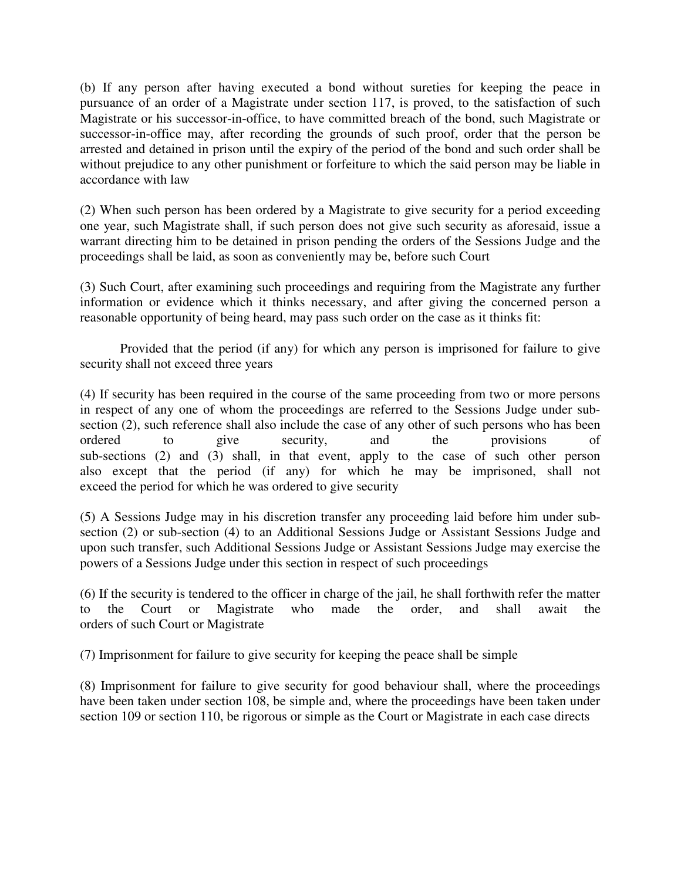(b) If any person after having executed a bond without sureties for keeping the peace in pursuance of an order of a Magistrate under section 117, is proved, to the satisfaction of such Magistrate or his successor-in-office, to have committed breach of the bond, such Magistrate or successor-in-office may, after recording the grounds of such proof, order that the person be arrested and detained in prison until the expiry of the period of the bond and such order shall be without prejudice to any other punishment or forfeiture to which the said person may be liable in accordance with law

(2) When such person has been ordered by a Magistrate to give security for a period exceeding one year, such Magistrate shall, if such person does not give such security as aforesaid, issue a warrant directing him to be detained in prison pending the orders of the Sessions Judge and the proceedings shall be laid, as soon as conveniently may be, before such Court

(3) Such Court, after examining such proceedings and requiring from the Magistrate any further information or evidence which it thinks necessary, and after giving the concerned person a reasonable opportunity of being heard, may pass such order on the case as it thinks fit:

Provided that the period (if any) for which any person is imprisoned for failure to give security shall not exceed three years

(4) If security has been required in the course of the same proceeding from two or more persons in respect of any one of whom the proceedings are referred to the Sessions Judge under subsection (2), such reference shall also include the case of any other of such persons who has been ordered to give security, and the provisions of sub-sections (2) and (3) shall, in that event, apply to the case of such other person also except that the period (if any) for which he may be imprisoned, shall not exceed the period for which he was ordered to give security

(5) A Sessions Judge may in his discretion transfer any proceeding laid before him under subsection (2) or sub-section (4) to an Additional Sessions Judge or Assistant Sessions Judge and upon such transfer, such Additional Sessions Judge or Assistant Sessions Judge may exercise the powers of a Sessions Judge under this section in respect of such proceedings

(6) If the security is tendered to the officer in charge of the jail, he shall forthwith refer the matter to the Court or Magistrate who made the order, and shall await the orders of such Court or Magistrate

(7) Imprisonment for failure to give security for keeping the peace shall be simple

(8) Imprisonment for failure to give security for good behaviour shall, where the proceedings have been taken under section 108, be simple and, where the proceedings have been taken under section 109 or section 110, be rigorous or simple as the Court or Magistrate in each case directs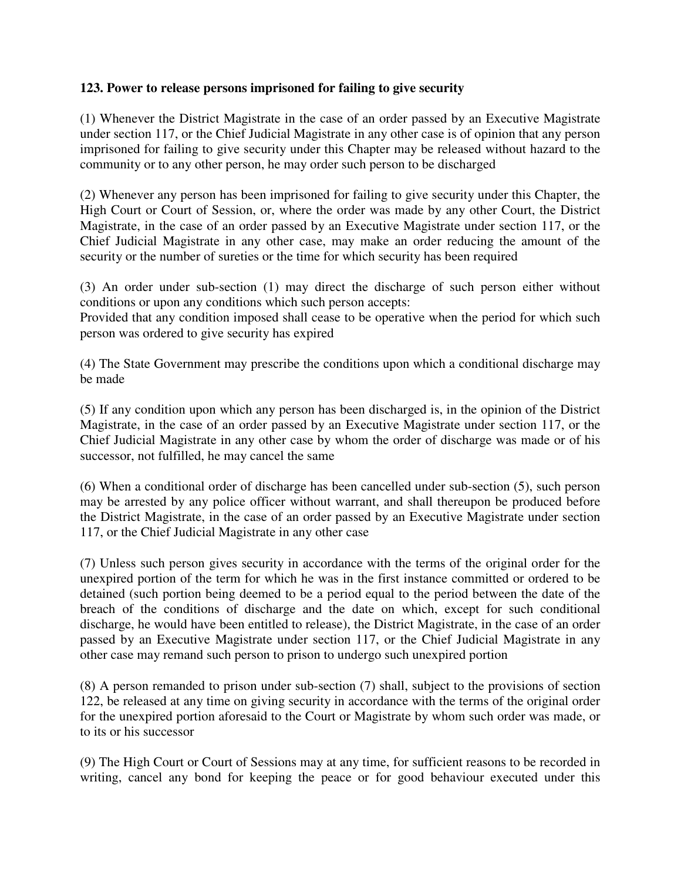#### **123. Power to release persons imprisoned for failing to give security**

(1) Whenever the District Magistrate in the case of an order passed by an Executive Magistrate under section 117, or the Chief Judicial Magistrate in any other case is of opinion that any person imprisoned for failing to give security under this Chapter may be released without hazard to the community or to any other person, he may order such person to be discharged

(2) Whenever any person has been imprisoned for failing to give security under this Chapter, the High Court or Court of Session, or, where the order was made by any other Court, the District Magistrate, in the case of an order passed by an Executive Magistrate under section 117, or the Chief Judicial Magistrate in any other case, may make an order reducing the amount of the security or the number of sureties or the time for which security has been required

(3) An order under sub-section (1) may direct the discharge of such person either without conditions or upon any conditions which such person accepts:

Provided that any condition imposed shall cease to be operative when the period for which such person was ordered to give security has expired

(4) The State Government may prescribe the conditions upon which a conditional discharge may be made

(5) If any condition upon which any person has been discharged is, in the opinion of the District Magistrate, in the case of an order passed by an Executive Magistrate under section 117, or the Chief Judicial Magistrate in any other case by whom the order of discharge was made or of his successor, not fulfilled, he may cancel the same

(6) When a conditional order of discharge has been cancelled under sub-section (5), such person may be arrested by any police officer without warrant, and shall thereupon be produced before the District Magistrate, in the case of an order passed by an Executive Magistrate under section 117, or the Chief Judicial Magistrate in any other case

(7) Unless such person gives security in accordance with the terms of the original order for the unexpired portion of the term for which he was in the first instance committed or ordered to be detained (such portion being deemed to be a period equal to the period between the date of the breach of the conditions of discharge and the date on which, except for such conditional discharge, he would have been entitled to release), the District Magistrate, in the case of an order passed by an Executive Magistrate under section 117, or the Chief Judicial Magistrate in any other case may remand such person to prison to undergo such unexpired portion

(8) A person remanded to prison under sub-section (7) shall, subject to the provisions of section 122, be released at any time on giving security in accordance with the terms of the original order for the unexpired portion aforesaid to the Court or Magistrate by whom such order was made, or to its or his successor

(9) The High Court or Court of Sessions may at any time, for sufficient reasons to be recorded in writing, cancel any bond for keeping the peace or for good behaviour executed under this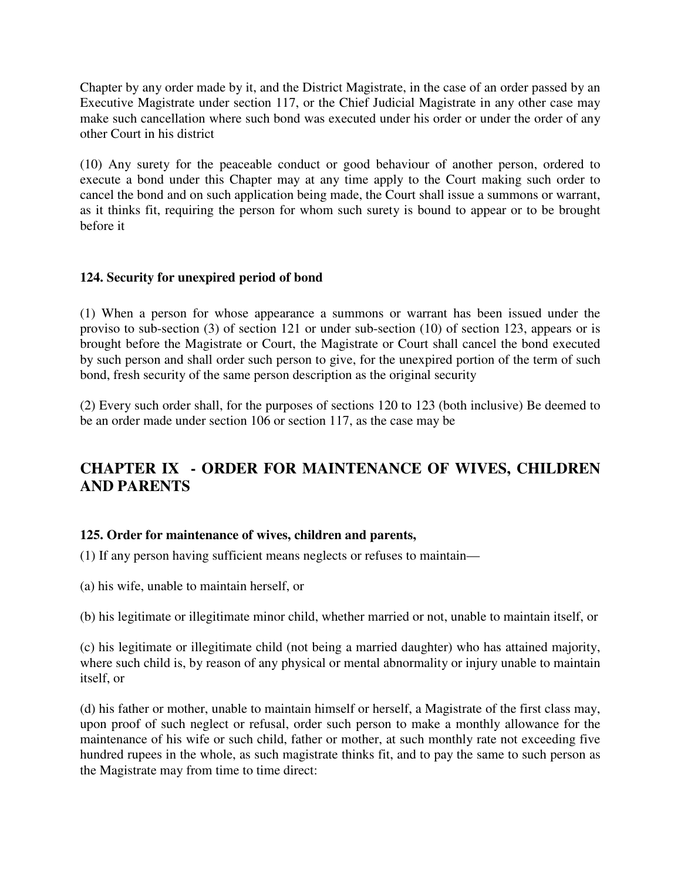Chapter by any order made by it, and the District Magistrate, in the case of an order passed by an Executive Magistrate under section 117, or the Chief Judicial Magistrate in any other case may make such cancellation where such bond was executed under his order or under the order of any other Court in his district

(10) Any surety for the peaceable conduct or good behaviour of another person, ordered to execute a bond under this Chapter may at any time apply to the Court making such order to cancel the bond and on such application being made, the Court shall issue a summons or warrant, as it thinks fit, requiring the person for whom such surety is bound to appear or to be brought before it

### **124. Security for unexpired period of bond**

(1) When a person for whose appearance a summons or warrant has been issued under the proviso to sub-section (3) of section 121 or under sub-section (10) of section 123, appears or is brought before the Magistrate or Court, the Magistrate or Court shall cancel the bond executed by such person and shall order such person to give, for the unexpired portion of the term of such bond, fresh security of the same person description as the original security

(2) Every such order shall, for the purposes of sections 120 to 123 (both inclusive) Be deemed to be an order made under section 106 or section 117, as the case may be

# **CHAPTER IX - ORDER FOR MAINTENANCE OF WIVES, CHILDREN AND PARENTS**

# **125. Order for maintenance of wives, children and parents,**

(1) If any person having sufficient means neglects or refuses to maintain—

(a) his wife, unable to maintain herself, or

(b) his legitimate or illegitimate minor child, whether married or not, unable to maintain itself, or

(c) his legitimate or illegitimate child (not being a married daughter) who has attained majority, where such child is, by reason of any physical or mental abnormality or injury unable to maintain itself, or

(d) his father or mother, unable to maintain himself or herself, a Magistrate of the first class may, upon proof of such neglect or refusal, order such person to make a monthly allowance for the maintenance of his wife or such child, father or mother, at such monthly rate not exceeding five hundred rupees in the whole, as such magistrate thinks fit, and to pay the same to such person as the Magistrate may from time to time direct: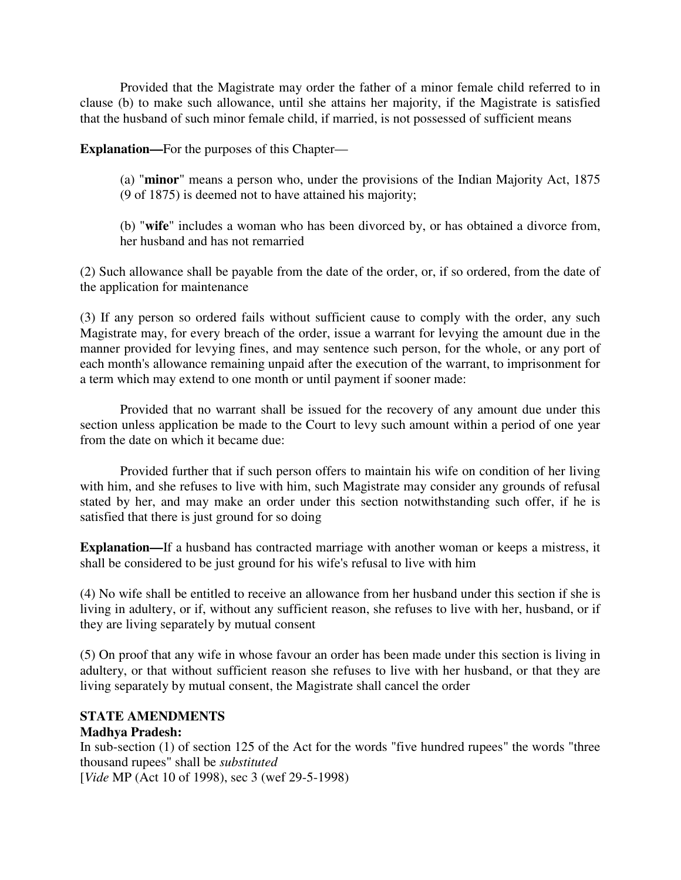Provided that the Magistrate may order the father of a minor female child referred to in clause (b) to make such allowance, until she attains her majority, if the Magistrate is satisfied that the husband of such minor female child, if married, is not possessed of sufficient means

**Explanation—**For the purposes of this Chapter—

(a) "**minor**" means a person who, under the provisions of the Indian Majority Act, 1875 (9 of 1875) is deemed not to have attained his majority;

(b) "**wife**" includes a woman who has been divorced by, or has obtained a divorce from, her husband and has not remarried

(2) Such allowance shall be payable from the date of the order, or, if so ordered, from the date of the application for maintenance

(3) If any person so ordered fails without sufficient cause to comply with the order, any such Magistrate may, for every breach of the order, issue a warrant for levying the amount due in the manner provided for levying fines, and may sentence such person, for the whole, or any port of each month's allowance remaining unpaid after the execution of the warrant, to imprisonment for a term which may extend to one month or until payment if sooner made:

Provided that no warrant shall be issued for the recovery of any amount due under this section unless application be made to the Court to levy such amount within a period of one year from the date on which it became due:

Provided further that if such person offers to maintain his wife on condition of her living with him, and she refuses to live with him, such Magistrate may consider any grounds of refusal stated by her, and may make an order under this section notwithstanding such offer, if he is satisfied that there is just ground for so doing

**Explanation—**If a husband has contracted marriage with another woman or keeps a mistress, it shall be considered to be just ground for his wife's refusal to live with him

(4) No wife shall be entitled to receive an allowance from her husband under this section if she is living in adultery, or if, without any sufficient reason, she refuses to live with her, husband, or if they are living separately by mutual consent

(5) On proof that any wife in whose favour an order has been made under this section is living in adultery, or that without sufficient reason she refuses to live with her husband, or that they are living separately by mutual consent, the Magistrate shall cancel the order

### **STATE AMENDMENTS**

#### **Madhya Pradesh:**

In sub-section (1) of section 125 of the Act for the words "five hundred rupees" the words "three thousand rupees" shall be *substituted*

[*Vide* MP (Act 10 of 1998), sec 3 (wef 29-5-1998)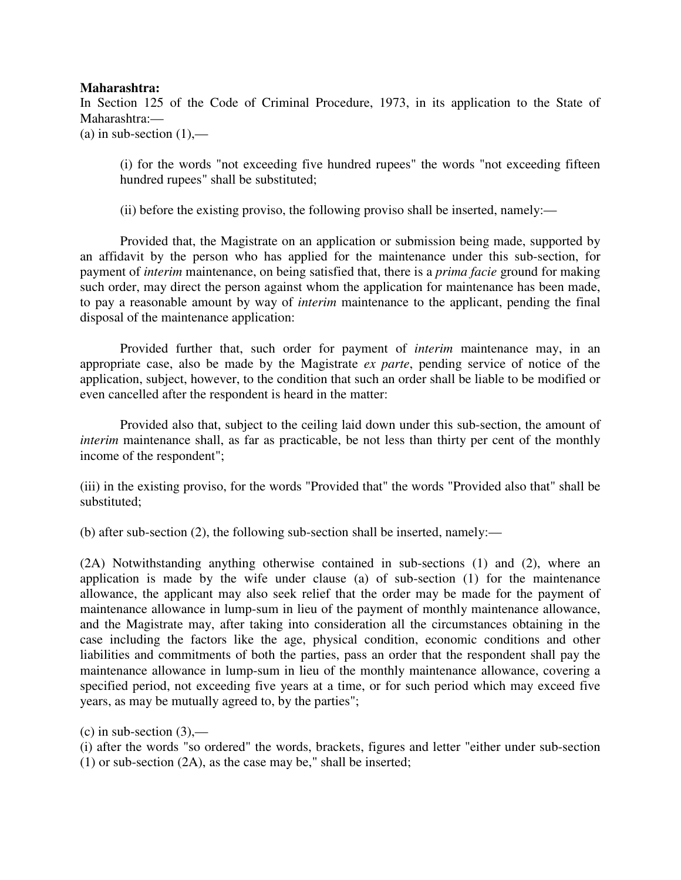#### **Maharashtra:**

In Section 125 of the Code of Criminal Procedure, 1973, in its application to the State of Maharashtra:—

(a) in sub-section  $(1)$ ,—

(i) for the words "not exceeding five hundred rupees" the words "not exceeding fifteen hundred rupees" shall be substituted;

(ii) before the existing proviso, the following proviso shall be inserted, namely:—

Provided that, the Magistrate on an application or submission being made, supported by an affidavit by the person who has applied for the maintenance under this sub-section, for payment of *interim* maintenance, on being satisfied that, there is a *prima facie* ground for making such order, may direct the person against whom the application for maintenance has been made, to pay a reasonable amount by way of *interim* maintenance to the applicant, pending the final disposal of the maintenance application:

Provided further that, such order for payment of *interim* maintenance may, in an appropriate case, also be made by the Magistrate *ex parte*, pending service of notice of the application, subject, however, to the condition that such an order shall be liable to be modified or even cancelled after the respondent is heard in the matter:

Provided also that, subject to the ceiling laid down under this sub-section, the amount of *interim* maintenance shall, as far as practicable, be not less than thirty per cent of the monthly income of the respondent";

(iii) in the existing proviso, for the words "Provided that" the words "Provided also that" shall be substituted;

(b) after sub-section (2), the following sub-section shall be inserted, namely:—

(2A) Notwithstanding anything otherwise contained in sub-sections (1) and (2), where an application is made by the wife under clause (a) of sub-section (1) for the maintenance allowance, the applicant may also seek relief that the order may be made for the payment of maintenance allowance in lump-sum in lieu of the payment of monthly maintenance allowance, and the Magistrate may, after taking into consideration all the circumstances obtaining in the case including the factors like the age, physical condition, economic conditions and other liabilities and commitments of both the parties, pass an order that the respondent shall pay the maintenance allowance in lump-sum in lieu of the monthly maintenance allowance, covering a specified period, not exceeding five years at a time, or for such period which may exceed five years, as may be mutually agreed to, by the parties";

 $(c)$  in sub-section  $(3)$ ,—

(i) after the words "so ordered" the words, brackets, figures and letter "either under sub-section (1) or sub-section (2A), as the case may be," shall be inserted;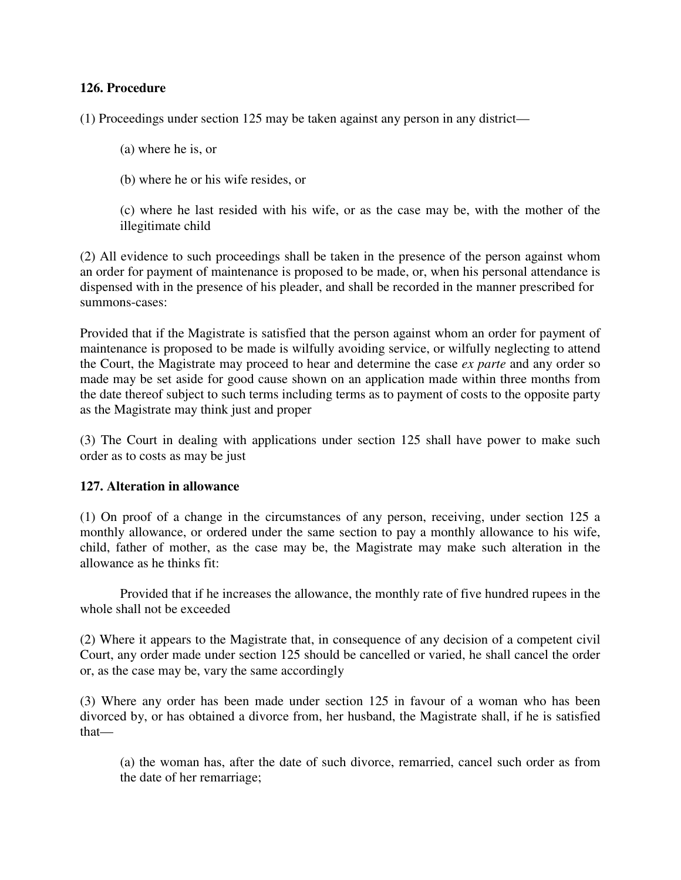#### **126. Procedure**

(1) Proceedings under section 125 may be taken against any person in any district—

- (a) where he is, or
- (b) where he or his wife resides, or
- (c) where he last resided with his wife, or as the case may be, with the mother of the illegitimate child

(2) All evidence to such proceedings shall be taken in the presence of the person against whom an order for payment of maintenance is proposed to be made, or, when his personal attendance is dispensed with in the presence of his pleader, and shall be recorded in the manner prescribed for summons-cases:

Provided that if the Magistrate is satisfied that the person against whom an order for payment of maintenance is proposed to be made is wilfully avoiding service, or wilfully neglecting to attend the Court, the Magistrate may proceed to hear and determine the case *ex parte* and any order so made may be set aside for good cause shown on an application made within three months from the date thereof subject to such terms including terms as to payment of costs to the opposite party as the Magistrate may think just and proper

(3) The Court in dealing with applications under section 125 shall have power to make such order as to costs as may be just

#### **127. Alteration in allowance**

(1) On proof of a change in the circumstances of any person, receiving, under section 125 a monthly allowance, or ordered under the same section to pay a monthly allowance to his wife, child, father of mother, as the case may be, the Magistrate may make such alteration in the allowance as he thinks fit:

Provided that if he increases the allowance, the monthly rate of five hundred rupees in the whole shall not be exceeded

(2) Where it appears to the Magistrate that, in consequence of any decision of a competent civil Court, any order made under section 125 should be cancelled or varied, he shall cancel the order or, as the case may be, vary the same accordingly

(3) Where any order has been made under section 125 in favour of a woman who has been divorced by, or has obtained a divorce from, her husband, the Magistrate shall, if he is satisfied that—

(a) the woman has, after the date of such divorce, remarried, cancel such order as from the date of her remarriage;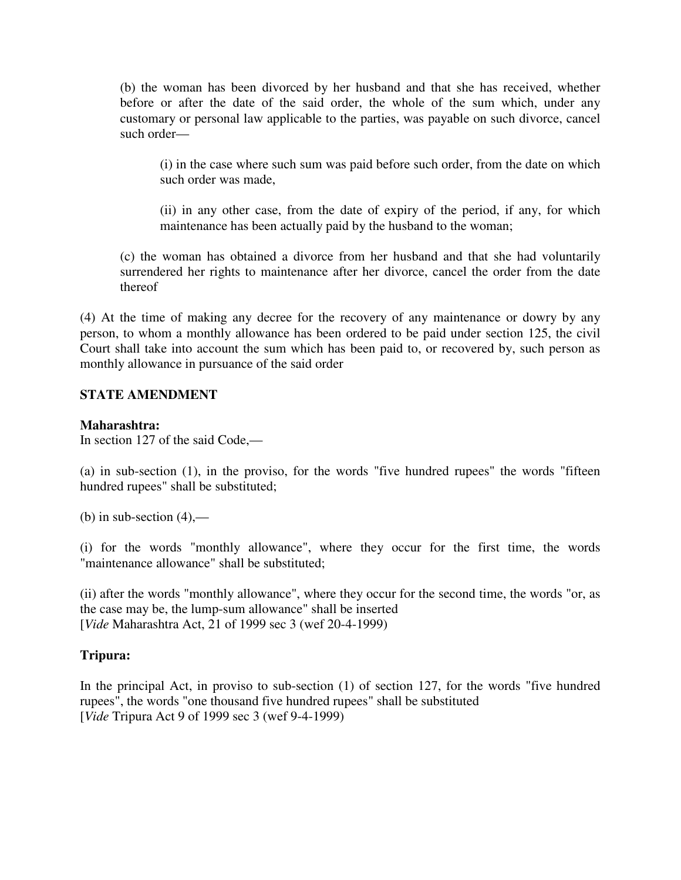(b) the woman has been divorced by her husband and that she has received, whether before or after the date of the said order, the whole of the sum which, under any customary or personal law applicable to the parties, was payable on such divorce, cancel such order—

(i) in the case where such sum was paid before such order, from the date on which such order was made,

(ii) in any other case, from the date of expiry of the period, if any, for which maintenance has been actually paid by the husband to the woman;

(c) the woman has obtained a divorce from her husband and that she had voluntarily surrendered her rights to maintenance after her divorce, cancel the order from the date thereof

(4) At the time of making any decree for the recovery of any maintenance or dowry by any person, to whom a monthly allowance has been ordered to be paid under section 125, the civil Court shall take into account the sum which has been paid to, or recovered by, such person as monthly allowance in pursuance of the said order

### **STATE AMENDMENT**

#### **Maharashtra:**

In section 127 of the said Code,—

(a) in sub-section (1), in the proviso, for the words "five hundred rupees" the words "fifteen hundred rupees" shall be substituted;

(b) in sub-section  $(4)$ ,—

(i) for the words "monthly allowance", where they occur for the first time, the words "maintenance allowance" shall be substituted;

(ii) after the words "monthly allowance", where they occur for the second time, the words "or, as the case may be, the lump-sum allowance" shall be inserted [*Vide* Maharashtra Act, 21 of 1999 sec 3 (wef 20-4-1999)

### **Tripura:**

In the principal Act, in proviso to sub-section (1) of section 127, for the words "five hundred rupees", the words "one thousand five hundred rupees" shall be substituted [*Vide* Tripura Act 9 of 1999 sec 3 (wef 9-4-1999)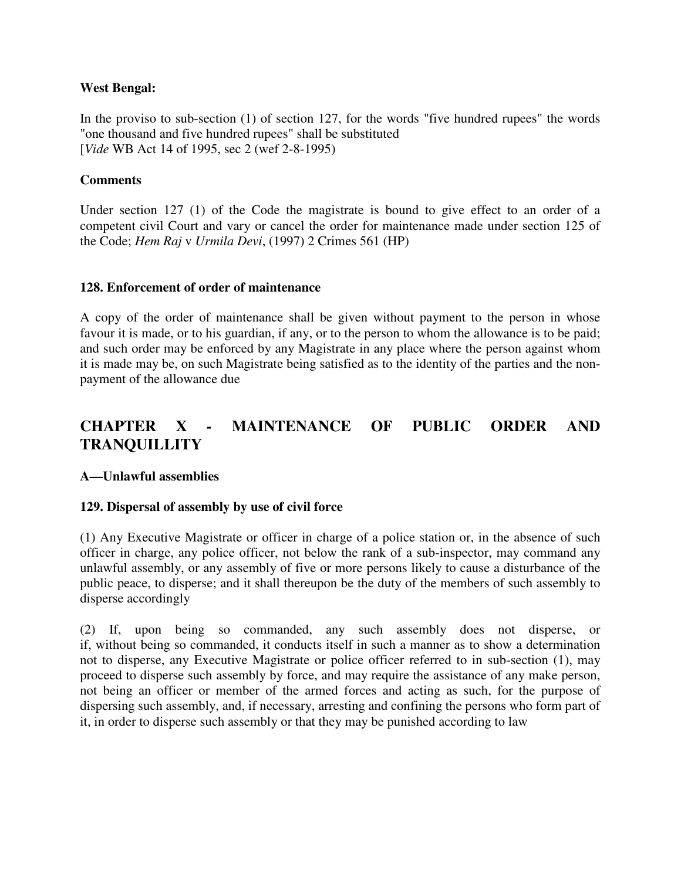#### **West Bengal:**

In the proviso to sub-section (1) of section 127, for the words "five hundred rupees" the words "one thousand and five hundred rupees" shall be substituted [*Vide* WB Act 14 of 1995, sec 2 (wef 2-8-1995)

### **Comments**

Under section 127 (1) of the Code the magistrate is bound to give effect to an order of a competent civil Court and vary or cancel the order for maintenance made under section 125 of the Code; *Hem Raj* v *Urmila Devi*, (1997) 2 Crimes 561 (HP)

#### **128. Enforcement of order of maintenance**

A copy of the order of maintenance shall be given without payment to the person in whose favour it is made, or to his guardian, if any, or to the person to whom the allowance is to be paid; and such order may be enforced by any Magistrate in any place where the person against whom it is made may be, on such Magistrate being satisfied as to the identity of the parties and the nonpayment of the allowance due

# **CHAPTER X** *-* **MAINTENANCE OF PUBLIC ORDER AND TRANQUILLITY**

#### **A—Unlawful assemblies**

#### **129. Dispersal of assembly by use of civil force**

(1) Any Executive Magistrate or officer in charge of a police station or, in the absence of such officer in charge, any police officer, not below the rank of a sub-inspector, may command any unlawful assembly, or any assembly of five or more persons likely to cause a disturbance of the public peace, to disperse; and it shall thereupon be the duty of the members of such assembly to disperse accordingly

(2) If, upon being so commanded, any such assembly does not disperse, or if, without being so commanded, it conducts itself in such a manner as to show a determination not to disperse, any Executive Magistrate or police officer referred to in sub-section (1), may proceed to disperse such assembly by force, and may require the assistance of any make person, not being an officer or member of the armed forces and acting as such, for the purpose of dispersing such assembly, and, if necessary, arresting and confining the persons who form part of it, in order to disperse such assembly or that they may be punished according to law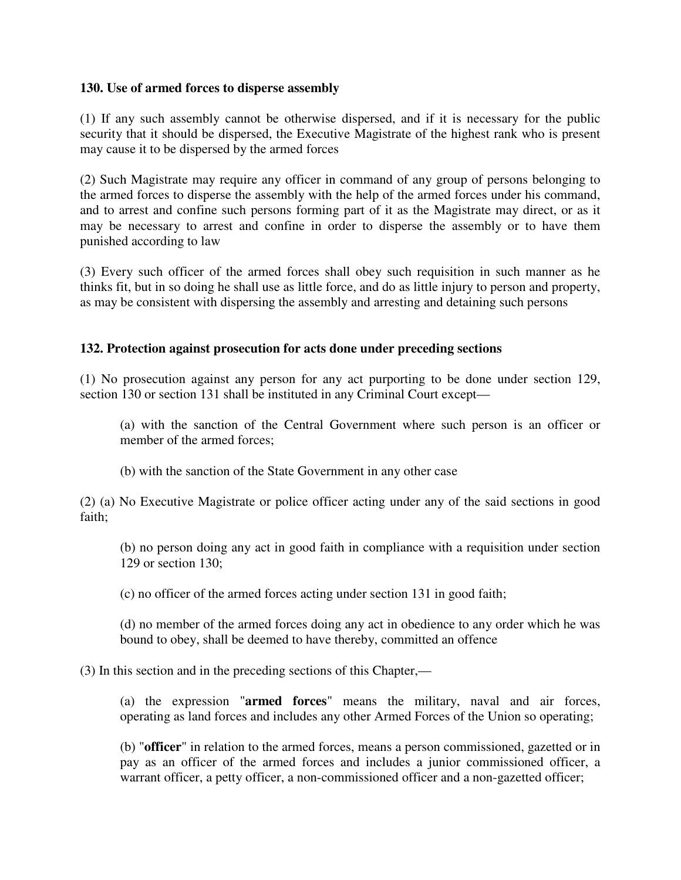#### **130. Use of armed forces to disperse assembly**

(1) If any such assembly cannot be otherwise dispersed, and if it is necessary for the public security that it should be dispersed, the Executive Magistrate of the highest rank who is present may cause it to be dispersed by the armed forces

(2) Such Magistrate may require any officer in command of any group of persons belonging to the armed forces to disperse the assembly with the help of the armed forces under his command, and to arrest and confine such persons forming part of it as the Magistrate may direct, or as it may be necessary to arrest and confine in order to disperse the assembly or to have them punished according to law

(3) Every such officer of the armed forces shall obey such requisition in such manner as he thinks fit, but in so doing he shall use as little force, and do as little injury to person and property, as may be consistent with dispersing the assembly and arresting and detaining such persons

#### **132. Protection against prosecution for acts done under preceding sections**

(1) No prosecution against any person for any act purporting to be done under section 129, section 130 or section 131 shall be instituted in any Criminal Court except—

(a) with the sanction of the Central Government where such person is an officer or member of the armed forces;

(b) with the sanction of the State Government in any other case

(2) (a) No Executive Magistrate or police officer acting under any of the said sections in good faith;

(b) no person doing any act in good faith in compliance with a requisition under section 129 or section 130;

(c) no officer of the armed forces acting under section 131 in good faith;

(d) no member of the armed forces doing any act in obedience to any order which he was bound to obey, shall be deemed to have thereby, committed an offence

(3) In this section and in the preceding sections of this Chapter,—

(a) the expression "**armed forces**" means the military, naval and air forces, operating as land forces and includes any other Armed Forces of the Union so operating;

(b) "**officer**" in relation to the armed forces, means a person commissioned, gazetted or in pay as an officer of the armed forces and includes a junior commissioned officer, a warrant officer, a petty officer, a non-commissioned officer and a non-gazetted officer;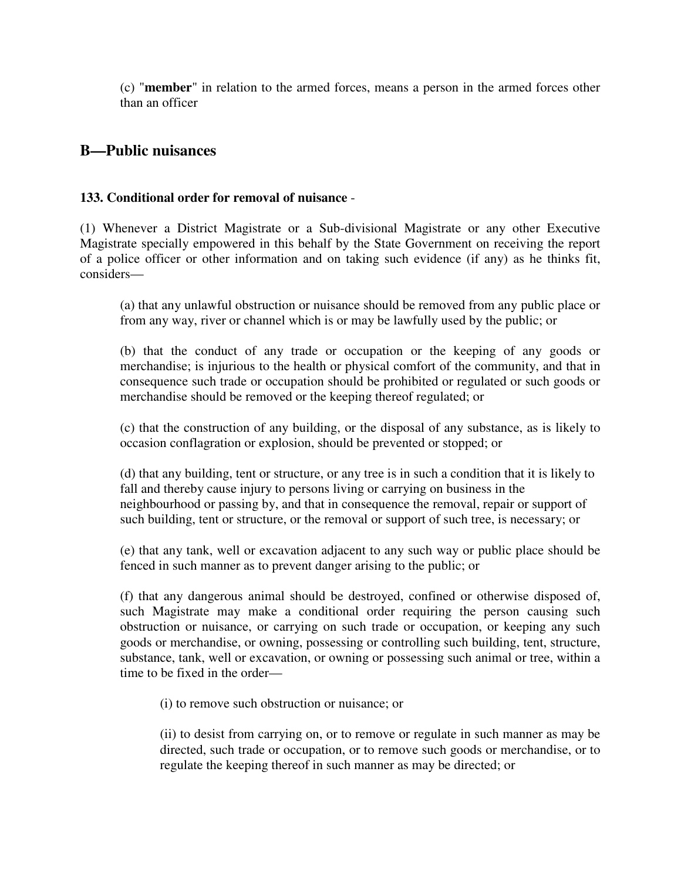(c) "**member**" in relation to the armed forces, means a person in the armed forces other than an officer

# **B—Public nuisances**

### **133. Conditional order for removal of nuisance** -

(1) Whenever a District Magistrate or a Sub-divisional Magistrate or any other Executive Magistrate specially empowered in this behalf by the State Government on receiving the report of a police officer or other information and on taking such evidence (if any) as he thinks fit, considers—

(a) that any unlawful obstruction or nuisance should be removed from any public place or from any way, river or channel which is or may be lawfully used by the public; or

(b) that the conduct of any trade or occupation or the keeping of any goods or merchandise; is injurious to the health or physical comfort of the community, and that in consequence such trade or occupation should be prohibited or regulated or such goods or merchandise should be removed or the keeping thereof regulated; or

(c) that the construction of any building, or the disposal of any substance, as is likely to occasion conflagration or explosion, should be prevented or stopped; or

(d) that any building, tent or structure, or any tree is in such a condition that it is likely to fall and thereby cause injury to persons living or carrying on business in the neighbourhood or passing by, and that in consequence the removal, repair or support of such building, tent or structure, or the removal or support of such tree, is necessary; or

(e) that any tank, well or excavation adjacent to any such way or public place should be fenced in such manner as to prevent danger arising to the public; or

(f) that any dangerous animal should be destroyed, confined or otherwise disposed of, such Magistrate may make a conditional order requiring the person causing such obstruction or nuisance, or carrying on such trade or occupation, or keeping any such goods or merchandise, or owning, possessing or controlling such building, tent, structure, substance, tank, well or excavation, or owning or possessing such animal or tree, within a time to be fixed in the order—

(i) to remove such obstruction or nuisance; or

(ii) to desist from carrying on, or to remove or regulate in such manner as may be directed, such trade or occupation, or to remove such goods or merchandise, or to regulate the keeping thereof in such manner as may be directed; or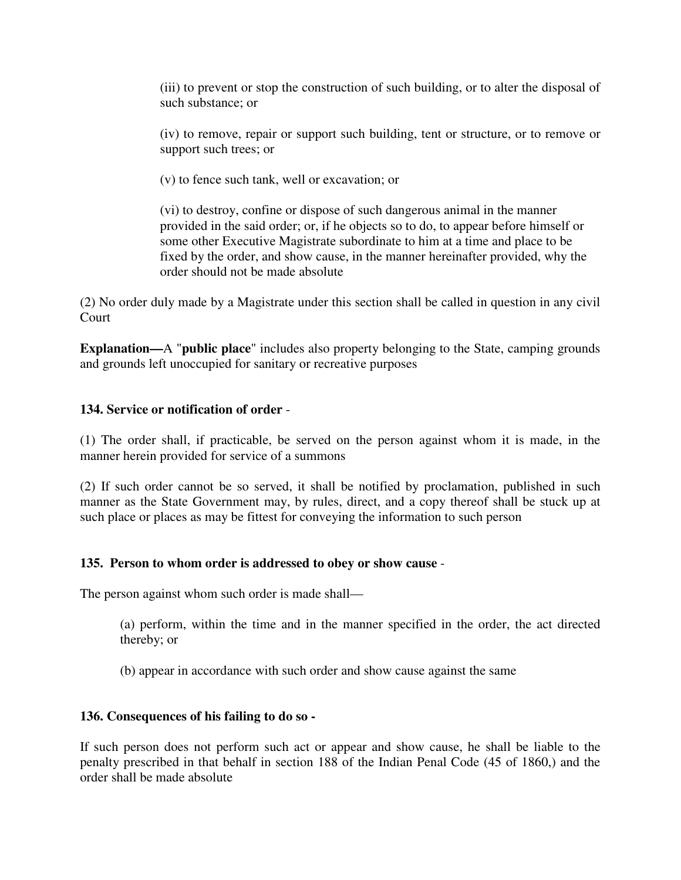(iii) to prevent or stop the construction of such building, or to alter the disposal of such substance; or

(iv) to remove, repair or support such building, tent or structure, or to remove or support such trees; or

(v) to fence such tank, well or excavation; or

(vi) to destroy, confine or dispose of such dangerous animal in the manner provided in the said order; or, if he objects so to do, to appear before himself or some other Executive Magistrate subordinate to him at a time and place to be fixed by the order, and show cause, in the manner hereinafter provided, why the order should not be made absolute

(2) No order duly made by a Magistrate under this section shall be called in question in any civil **Court** 

**Explanation—**A "**public place**" includes also property belonging to the State, camping grounds and grounds left unoccupied for sanitary or recreative purposes

### **134. Service or notification of order** -

(1) The order shall, if practicable, be served on the person against whom it is made, in the manner herein provided for service of a summons

(2) If such order cannot be so served, it shall be notified by proclamation, published in such manner as the State Government may, by rules, direct, and a copy thereof shall be stuck up at such place or places as may be fittest for conveying the information to such person

#### **135. Person to whom order is addressed to obey or show cause** -

The person against whom such order is made shall—

(a) perform, within the time and in the manner specified in the order, the act directed thereby; or

(b) appear in accordance with such order and show cause against the same

#### **136. Consequences of his failing to do so -**

If such person does not perform such act or appear and show cause, he shall be liable to the penalty prescribed in that behalf in section 188 of the Indian Penal Code (45 of 1860,) and the order shall be made absolute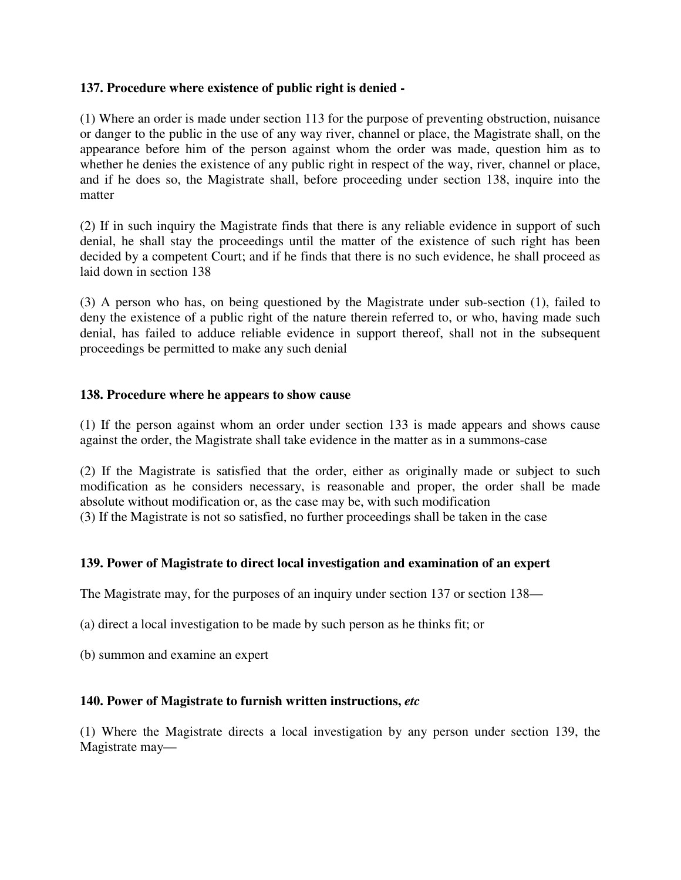### **137. Procedure where existence of public right is denied -**

(1) Where an order is made under section 113 for the purpose of preventing obstruction, nuisance or danger to the public in the use of any way river, channel or place, the Magistrate shall, on the appearance before him of the person against whom the order was made, question him as to whether he denies the existence of any public right in respect of the way, river, channel or place, and if he does so, the Magistrate shall, before proceeding under section 138, inquire into the matter

(2) If in such inquiry the Magistrate finds that there is any reliable evidence in support of such denial, he shall stay the proceedings until the matter of the existence of such right has been decided by a competent Court; and if he finds that there is no such evidence, he shall proceed as laid down in section 138

(3) A person who has, on being questioned by the Magistrate under sub-section (1), failed to deny the existence of a public right of the nature therein referred to, or who, having made such denial, has failed to adduce reliable evidence in support thereof, shall not in the subsequent proceedings be permitted to make any such denial

#### **138. Procedure where he appears to show cause**

(1) If the person against whom an order under section 133 is made appears and shows cause against the order, the Magistrate shall take evidence in the matter as in a summons-case

(2) If the Magistrate is satisfied that the order, either as originally made or subject to such modification as he considers necessary, is reasonable and proper, the order shall be made absolute without modification or, as the case may be, with such modification (3) If the Magistrate is not so satisfied, no further proceedings shall be taken in the case

### **139. Power of Magistrate to direct local investigation and examination of an expert**

The Magistrate may, for the purposes of an inquiry under section 137 or section 138—

(a) direct a local investigation to be made by such person as he thinks fit; or

(b) summon and examine an expert

#### **140. Power of Magistrate to furnish written instructions,** *etc*

(1) Where the Magistrate directs a local investigation by any person under section 139, the Magistrate may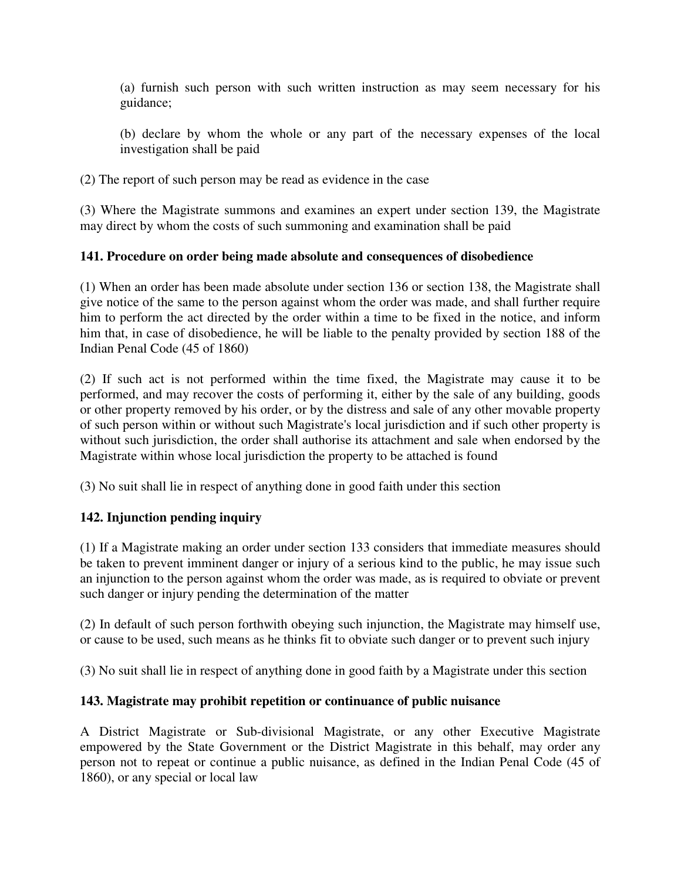(a) furnish such person with such written instruction as may seem necessary for his guidance;

(b) declare by whom the whole or any part of the necessary expenses of the local investigation shall be paid

(2) The report of such person may be read as evidence in the case

(3) Where the Magistrate summons and examines an expert under section 139, the Magistrate may direct by whom the costs of such summoning and examination shall be paid

### **141. Procedure on order being made absolute and consequences of disobedience**

(1) When an order has been made absolute under section 136 or section 138, the Magistrate shall give notice of the same to the person against whom the order was made, and shall further require him to perform the act directed by the order within a time to be fixed in the notice, and inform him that, in case of disobedience, he will be liable to the penalty provided by section 188 of the Indian Penal Code (45 of 1860)

(2) If such act is not performed within the time fixed, the Magistrate may cause it to be performed, and may recover the costs of performing it, either by the sale of any building, goods or other property removed by his order, or by the distress and sale of any other movable property of such person within or without such Magistrate's local jurisdiction and if such other property is without such jurisdiction, the order shall authorise its attachment and sale when endorsed by the Magistrate within whose local jurisdiction the property to be attached is found

(3) No suit shall lie in respect of anything done in good faith under this section

# **142. Injunction pending inquiry**

(1) If a Magistrate making an order under section 133 considers that immediate measures should be taken to prevent imminent danger or injury of a serious kind to the public, he may issue such an injunction to the person against whom the order was made, as is required to obviate or prevent such danger or injury pending the determination of the matter

(2) In default of such person forthwith obeying such injunction, the Magistrate may himself use, or cause to be used, such means as he thinks fit to obviate such danger or to prevent such injury

(3) No suit shall lie in respect of anything done in good faith by a Magistrate under this section

# **143. Magistrate may prohibit repetition or continuance of public nuisance**

A District Magistrate or Sub-divisional Magistrate, or any other Executive Magistrate empowered by the State Government or the District Magistrate in this behalf, may order any person not to repeat or continue a public nuisance, as defined in the Indian Penal Code (45 of 1860), or any special or local law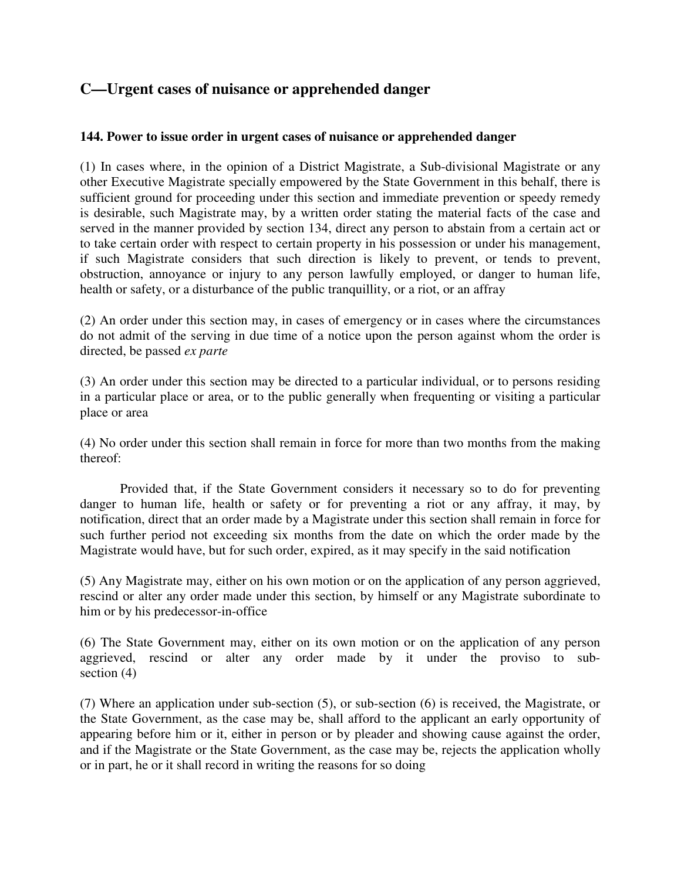# **C—Urgent cases of nuisance or apprehended danger**

#### **144. Power to issue order in urgent cases of nuisance or apprehended danger**

(1) In cases where, in the opinion of a District Magistrate, a Sub-divisional Magistrate or any other Executive Magistrate specially empowered by the State Government in this behalf, there is sufficient ground for proceeding under this section and immediate prevention or speedy remedy is desirable, such Magistrate may, by a written order stating the material facts of the case and served in the manner provided by section 134, direct any person to abstain from a certain act or to take certain order with respect to certain property in his possession or under his management, if such Magistrate considers that such direction is likely to prevent, or tends to prevent, obstruction, annoyance or injury to any person lawfully employed, or danger to human life, health or safety, or a disturbance of the public tranquillity, or a riot, or an affray

(2) An order under this section may, in cases of emergency or in cases where the circumstances do not admit of the serving in due time of a notice upon the person against whom the order is directed, be passed *ex parte*

(3) An order under this section may be directed to a particular individual, or to persons residing in a particular place or area, or to the public generally when frequenting or visiting a particular place or area

(4) No order under this section shall remain in force for more than two months from the making thereof:

Provided that, if the State Government considers it necessary so to do for preventing danger to human life, health or safety or for preventing a riot or any affray, it may, by notification, direct that an order made by a Magistrate under this section shall remain in force for such further period not exceeding six months from the date on which the order made by the Magistrate would have, but for such order, expired, as it may specify in the said notification

(5) Any Magistrate may, either on his own motion or on the application of any person aggrieved, rescind or alter any order made under this section, by himself or any Magistrate subordinate to him or by his predecessor-in-office

(6) The State Government may, either on its own motion or on the application of any person aggrieved, rescind or alter any order made by it under the proviso to subsection (4)

(7) Where an application under sub-section (5), or sub-section (6) is received, the Magistrate, or the State Government, as the case may be, shall afford to the applicant an early opportunity of appearing before him or it, either in person or by pleader and showing cause against the order, and if the Magistrate or the State Government, as the case may be, rejects the application wholly or in part, he or it shall record in writing the reasons for so doing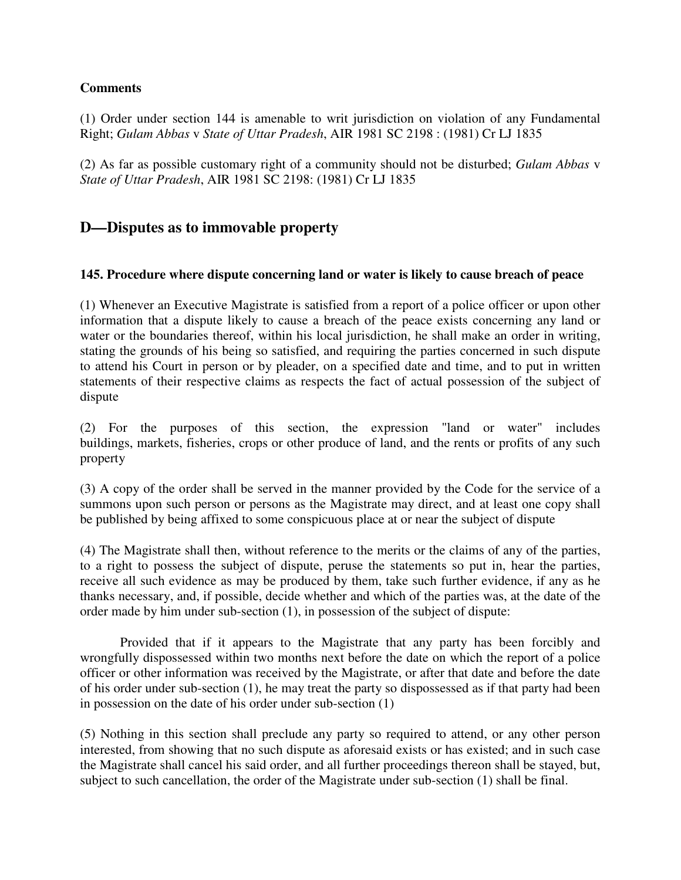### **Comments**

(1) Order under section 144 is amenable to writ jurisdiction on violation of any Fundamental Right; *Gulam Abbas* v *State of Uttar Pradesh*, AIR 1981 SC 2198 : (1981) Cr LJ 1835

(2) As far as possible customary right of a community should not be disturbed; *Gulam Abbas* v *State of Uttar Pradesh*, AIR 1981 SC 2198: (1981) Cr LJ 1835

# **D—Disputes as to immovable property**

### **145. Procedure where dispute concerning land or water is likely to cause breach of peace**

(1) Whenever an Executive Magistrate is satisfied from a report of a police officer or upon other information that a dispute likely to cause a breach of the peace exists concerning any land or water or the boundaries thereof, within his local jurisdiction, he shall make an order in writing, stating the grounds of his being so satisfied, and requiring the parties concerned in such dispute to attend his Court in person or by pleader, on a specified date and time, and to put in written statements of their respective claims as respects the fact of actual possession of the subject of dispute

(2) For the purposes of this section, the expression "land or water" includes buildings, markets, fisheries, crops or other produce of land, and the rents or profits of any such property

(3) A copy of the order shall be served in the manner provided by the Code for the service of a summons upon such person or persons as the Magistrate may direct, and at least one copy shall be published by being affixed to some conspicuous place at or near the subject of dispute

(4) The Magistrate shall then, without reference to the merits or the claims of any of the parties, to a right to possess the subject of dispute, peruse the statements so put in, hear the parties, receive all such evidence as may be produced by them, take such further evidence, if any as he thanks necessary, and, if possible, decide whether and which of the parties was, at the date of the order made by him under sub-section (1), in possession of the subject of dispute:

Provided that if it appears to the Magistrate that any party has been forcibly and wrongfully dispossessed within two months next before the date on which the report of a police officer or other information was received by the Magistrate, or after that date and before the date of his order under sub-section (1), he may treat the party so dispossessed as if that party had been in possession on the date of his order under sub-section (1)

(5) Nothing in this section shall preclude any party so required to attend, or any other person interested, from showing that no such dispute as aforesaid exists or has existed; and in such case the Magistrate shall cancel his said order, and all further proceedings thereon shall be stayed, but, subject to such cancellation, the order of the Magistrate under sub-section (1) shall be final.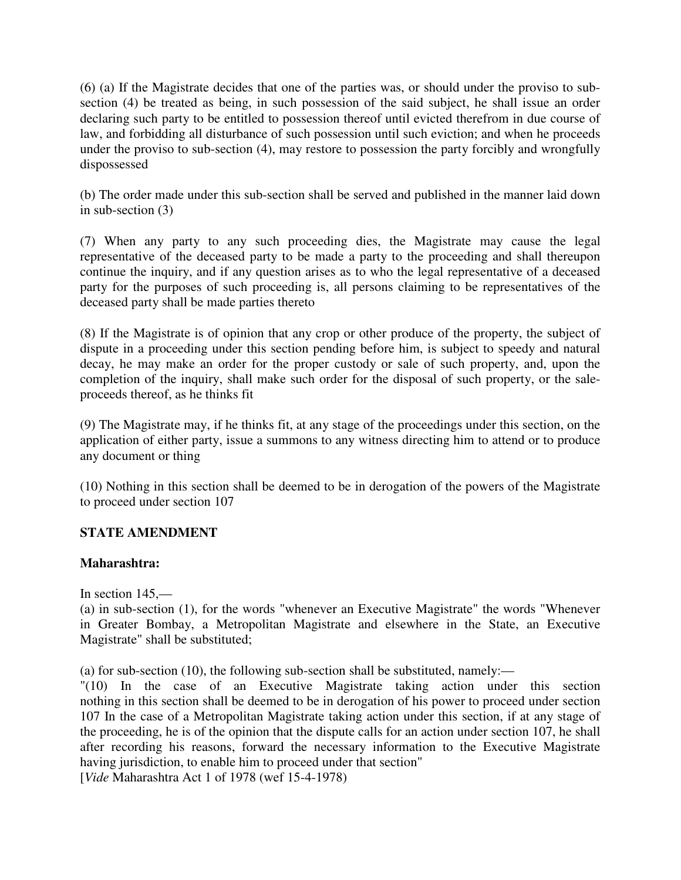(6) (a) If the Magistrate decides that one of the parties was, or should under the proviso to subsection (4) be treated as being, in such possession of the said subject, he shall issue an order declaring such party to be entitled to possession thereof until evicted therefrom in due course of law, and forbidding all disturbance of such possession until such eviction; and when he proceeds under the proviso to sub-section (4), may restore to possession the party forcibly and wrongfully dispossessed

(b) The order made under this sub-section shall be served and published in the manner laid down in sub-section (3)

(7) When any party to any such proceeding dies, the Magistrate may cause the legal representative of the deceased party to be made a party to the proceeding and shall thereupon continue the inquiry, and if any question arises as to who the legal representative of a deceased party for the purposes of such proceeding is, all persons claiming to be representatives of the deceased party shall be made parties thereto

(8) If the Magistrate is of opinion that any crop or other produce of the property, the subject of dispute in a proceeding under this section pending before him, is subject to speedy and natural decay, he may make an order for the proper custody or sale of such property, and, upon the completion of the inquiry, shall make such order for the disposal of such property, or the saleproceeds thereof, as he thinks fit

(9) The Magistrate may, if he thinks fit, at any stage of the proceedings under this section, on the application of either party, issue a summons to any witness directing him to attend or to produce any document or thing

(10) Nothing in this section shall be deemed to be in derogation of the powers of the Magistrate to proceed under section 107

### **STATE AMENDMENT**

#### **Maharashtra:**

In section 145,—

(a) in sub-section (1), for the words "whenever an Executive Magistrate" the words "Whenever in Greater Bombay, a Metropolitan Magistrate and elsewhere in the State, an Executive Magistrate" shall be substituted;

(a) for sub-section (10), the following sub-section shall be substituted, namely:—

"(10) In the case of an Executive Magistrate taking action under this section nothing in this section shall be deemed to be in derogation of his power to proceed under section 107 In the case of a Metropolitan Magistrate taking action under this section, if at any stage of the proceeding, he is of the opinion that the dispute calls for an action under section 107, he shall after recording his reasons, forward the necessary information to the Executive Magistrate having jurisdiction, to enable him to proceed under that section"

[*Vide* Maharashtra Act 1 of 1978 (wef 15-4-1978)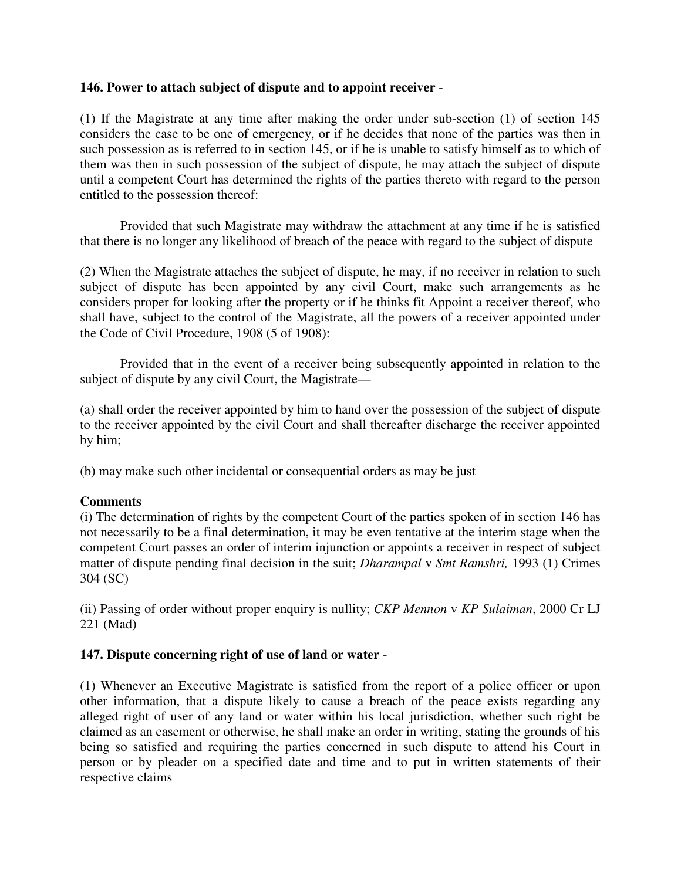#### **146. Power to attach subject of dispute and to appoint receiver** -

(1) If the Magistrate at any time after making the order under sub-section (1) of section 145 considers the case to be one of emergency, or if he decides that none of the parties was then in such possession as is referred to in section 145, or if he is unable to satisfy himself as to which of them was then in such possession of the subject of dispute, he may attach the subject of dispute until a competent Court has determined the rights of the parties thereto with regard to the person entitled to the possession thereof:

Provided that such Magistrate may withdraw the attachment at any time if he is satisfied that there is no longer any likelihood of breach of the peace with regard to the subject of dispute

(2) When the Magistrate attaches the subject of dispute, he may, if no receiver in relation to such subject of dispute has been appointed by any civil Court, make such arrangements as he considers proper for looking after the property or if he thinks fit Appoint a receiver thereof, who shall have, subject to the control of the Magistrate, all the powers of a receiver appointed under the Code of Civil Procedure, 1908 (5 of 1908):

Provided that in the event of a receiver being subsequently appointed in relation to the subject of dispute by any civil Court, the Magistrate—

(a) shall order the receiver appointed by him to hand over the possession of the subject of dispute to the receiver appointed by the civil Court and shall thereafter discharge the receiver appointed by him;

(b) may make such other incidental or consequential orders as may be just

#### **Comments**

(i) The determination of rights by the competent Court of the parties spoken of in section 146 has not necessarily to be a final determination, it may be even tentative at the interim stage when the competent Court passes an order of interim injunction or appoints a receiver in respect of subject matter of dispute pending final decision in the suit; *Dharampal* v *Smt Ramshri,* 1993 (1) Crimes 304 (SC)

(ii) Passing of order without proper enquiry is nullity; *CKP Mennon* v *KP Sulaiman*, 2000 Cr LJ 221 (Mad)

#### **147. Dispute concerning right of use of land or water** -

(1) Whenever an Executive Magistrate is satisfied from the report of a police officer or upon other information, that a dispute likely to cause a breach of the peace exists regarding any alleged right of user of any land or water within his local jurisdiction, whether such right be claimed as an easement or otherwise, he shall make an order in writing, stating the grounds of his being so satisfied and requiring the parties concerned in such dispute to attend his Court in person or by pleader on a specified date and time and to put in written statements of their respective claims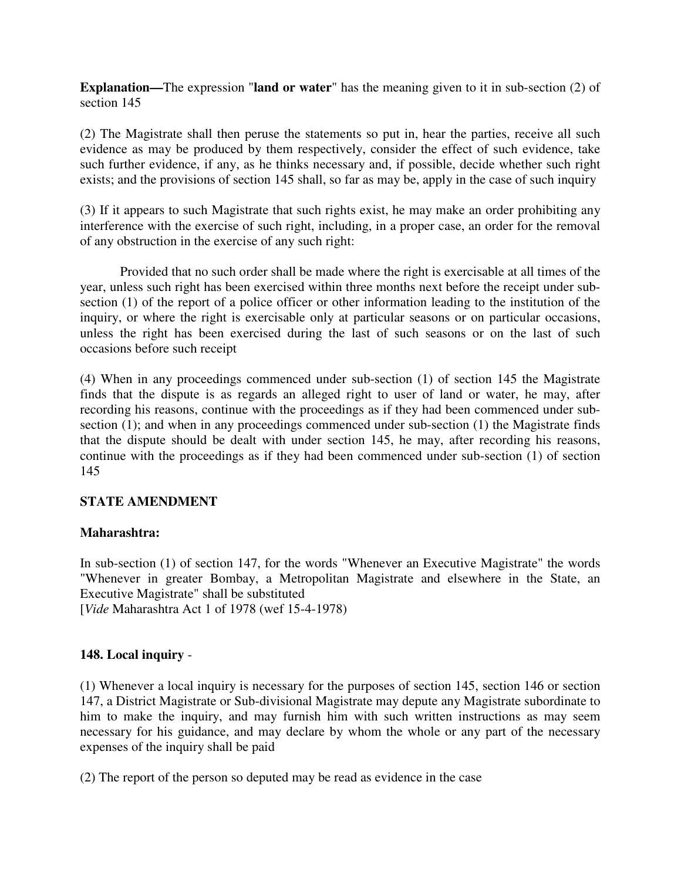**Explanation—**The expression "**land or water**" has the meaning given to it in sub-section (2) of section 145

(2) The Magistrate shall then peruse the statements so put in, hear the parties, receive all such evidence as may be produced by them respectively, consider the effect of such evidence, take such further evidence, if any, as he thinks necessary and, if possible, decide whether such right exists; and the provisions of section 145 shall, so far as may be, apply in the case of such inquiry

(3) If it appears to such Magistrate that such rights exist, he may make an order prohibiting any interference with the exercise of such right, including, in a proper case, an order for the removal of any obstruction in the exercise of any such right:

Provided that no such order shall be made where the right is exercisable at all times of the year, unless such right has been exercised within three months next before the receipt under subsection (1) of the report of a police officer or other information leading to the institution of the inquiry, or where the right is exercisable only at particular seasons or on particular occasions, unless the right has been exercised during the last of such seasons or on the last of such occasions before such receipt

(4) When in any proceedings commenced under sub-section (1) of section 145 the Magistrate finds that the dispute is as regards an alleged right to user of land or water, he may, after recording his reasons, continue with the proceedings as if they had been commenced under subsection (1); and when in any proceedings commenced under sub-section (1) the Magistrate finds that the dispute should be dealt with under section 145, he may, after recording his reasons, continue with the proceedings as if they had been commenced under sub-section (1) of section 145

# **STATE AMENDMENT**

# **Maharashtra:**

In sub-section (1) of section 147, for the words "Whenever an Executive Magistrate" the words "Whenever in greater Bombay, a Metropolitan Magistrate and elsewhere in the State, an Executive Magistrate" shall be substituted

[*Vide* Maharashtra Act 1 of 1978 (wef 15-4-1978)

# **148. Local inquiry** -

(1) Whenever a local inquiry is necessary for the purposes of section 145, section 146 or section 147, a District Magistrate or Sub-divisional Magistrate may depute any Magistrate subordinate to him to make the inquiry, and may furnish him with such written instructions as may seem necessary for his guidance, and may declare by whom the whole or any part of the necessary expenses of the inquiry shall be paid

(2) The report of the person so deputed may be read as evidence in the case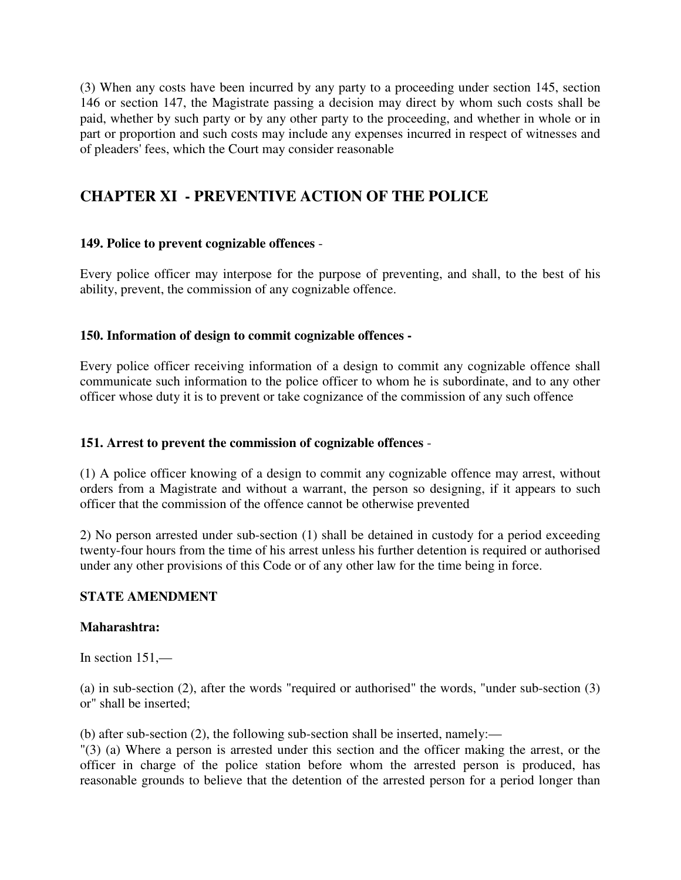(3) When any costs have been incurred by any party to a proceeding under section 145, section 146 or section 147, the Magistrate passing a decision may direct by whom such costs shall be paid, whether by such party or by any other party to the proceeding, and whether in whole or in part or proportion and such costs may include any expenses incurred in respect of witnesses and of pleaders' fees, which the Court may consider reasonable

# **CHAPTER XI - PREVENTIVE ACTION OF THE POLICE**

### **149. Police to prevent cognizable offences** -

Every police officer may interpose for the purpose of preventing, and shall, to the best of his ability, prevent, the commission of any cognizable offence.

# **150. Information of design to commit cognizable offences -**

Every police officer receiving information of a design to commit any cognizable offence shall communicate such information to the police officer to whom he is subordinate, and to any other officer whose duty it is to prevent or take cognizance of the commission of any such offence

### **151. Arrest to prevent the commission of cognizable offences** -

(1) A police officer knowing of a design to commit any cognizable offence may arrest, without orders from a Magistrate and without a warrant, the person so designing, if it appears to such officer that the commission of the offence cannot be otherwise prevented

2) No person arrested under sub-section (1) shall be detained in custody for a period exceeding twenty-four hours from the time of his arrest unless his further detention is required or authorised under any other provisions of this Code or of any other law for the time being in force.

#### **STATE AMENDMENT**

#### **Maharashtra:**

In section  $151$ ,—

(a) in sub-section (2), after the words "required or authorised" the words, "under sub-section (3) or" shall be inserted;

(b) after sub-section (2), the following sub-section shall be inserted, namely:—

"(3) (a) Where a person is arrested under this section and the officer making the arrest, or the officer in charge of the police station before whom the arrested person is produced, has reasonable grounds to believe that the detention of the arrested person for a period longer than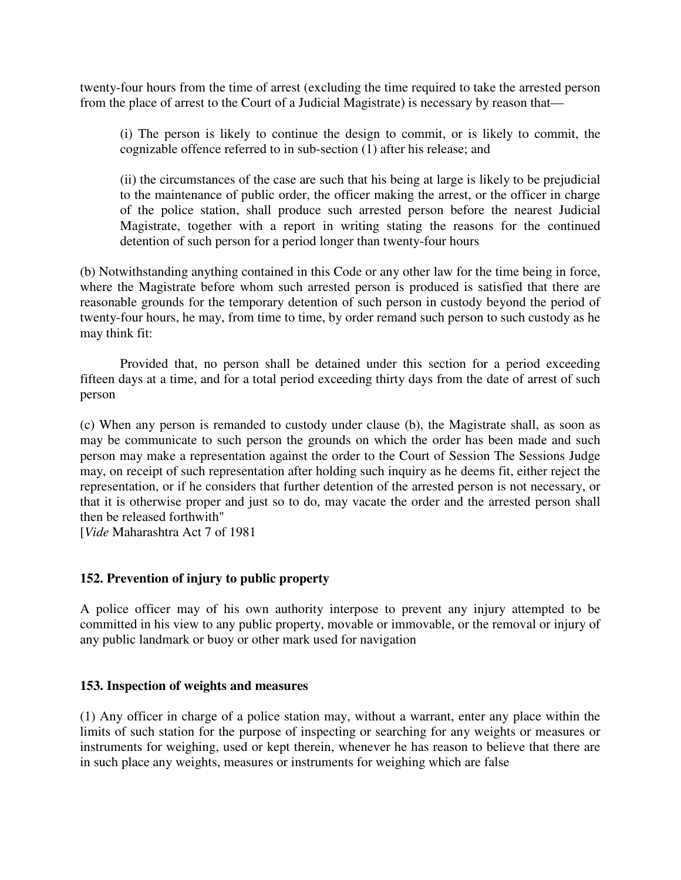twenty-four hours from the time of arrest (excluding the time required to take the arrested person from the place of arrest to the Court of a Judicial Magistrate) is necessary by reason that—

(i) The person is likely to continue the design to commit, or is likely to commit, the cognizable offence referred to in sub-section (1) after his release; and

(ii) the circumstances of the case are such that his being at large is likely to be prejudicial to the maintenance of public order, the officer making the arrest, or the officer in charge of the police station, shall produce such arrested person before the nearest Judicial Magistrate, together with a report in writing stating the reasons for the continued detention of such person for a period longer than twenty-four hours

(b) Notwithstanding anything contained in this Code or any other law for the time being in force, where the Magistrate before whom such arrested person is produced is satisfied that there are reasonable grounds for the temporary detention of such person in custody beyond the period of twenty-four hours, he may, from time to time, by order remand such person to such custody as he may think fit:

Provided that, no person shall be detained under this section for a period exceeding fifteen days at a time, and for a total period exceeding thirty days from the date of arrest of such person

(c) When any person is remanded to custody under clause (b), the Magistrate shall, as soon as may be communicate to such person the grounds on which the order has been made and such person may make a representation against the order to the Court of Session The Sessions Judge may, on receipt of such representation after holding such inquiry as he deems fit, either reject the representation, or if he considers that further detention of the arrested person is not necessary, or that it is otherwise proper and just so to do, may vacate the order and the arrested person shall then be released forthwith"

[*Vide* Maharashtra Act 7 of 1981

#### **152. Prevention of injury to public property**

A police officer may of his own authority interpose to prevent any injury attempted to be committed in his view to any public property, movable or immovable, or the removal or injury of any public landmark or buoy or other mark used for navigation

#### **153. Inspection of weights and measures**

(1) Any officer in charge of a police station may, without a warrant, enter any place within the limits of such station for the purpose of inspecting or searching for any weights or measures or instruments for weighing, used or kept therein, whenever he has reason to believe that there are in such place any weights, measures or instruments for weighing which are false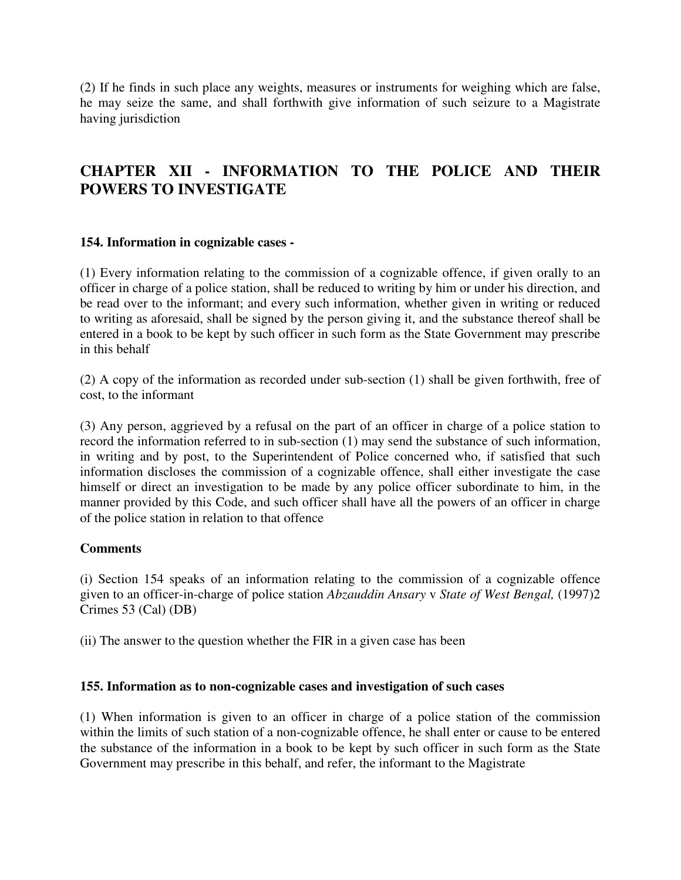(2) If he finds in such place any weights, measures or instruments for weighing which are false, he may seize the same, and shall forthwith give information of such seizure to a Magistrate having jurisdiction

# **CHAPTER XII - INFORMATION TO THE POLICE AND THEIR POWERS TO INVESTIGATE**

### **154. Information in cognizable cases -**

(1) Every information relating to the commission of a cognizable offence, if given orally to an officer in charge of a police station, shall be reduced to writing by him or under his direction, and be read over to the informant; and every such information, whether given in writing or reduced to writing as aforesaid, shall be signed by the person giving it, and the substance thereof shall be entered in a book to be kept by such officer in such form as the State Government may prescribe in this behalf

(2) A copy of the information as recorded under sub-section (1) shall be given forthwith, free of cost, to the informant

(3) Any person, aggrieved by a refusal on the part of an officer in charge of a police station to record the information referred to in sub-section (1) may send the substance of such information, in writing and by post, to the Superintendent of Police concerned who, if satisfied that such information discloses the commission of a cognizable offence, shall either investigate the case himself or direct an investigation to be made by any police officer subordinate to him, in the manner provided by this Code, and such officer shall have all the powers of an officer in charge of the police station in relation to that offence

# **Comments**

(i) Section 154 speaks of an information relating to the commission of a cognizable offence given to an officer-in-charge of police station *Abzauddin Ansary* v *State of West Bengal,* (1997)2 Crimes 53 (Cal) (DB)

(ii) The answer to the question whether the FIR in a given case has been

#### **155. Information as to non-cognizable cases and investigation of such cases**

(1) When information is given to an officer in charge of a police station of the commission within the limits of such station of a non-cognizable offence, he shall enter or cause to be entered the substance of the information in a book to be kept by such officer in such form as the State Government may prescribe in this behalf, and refer, the informant to the Magistrate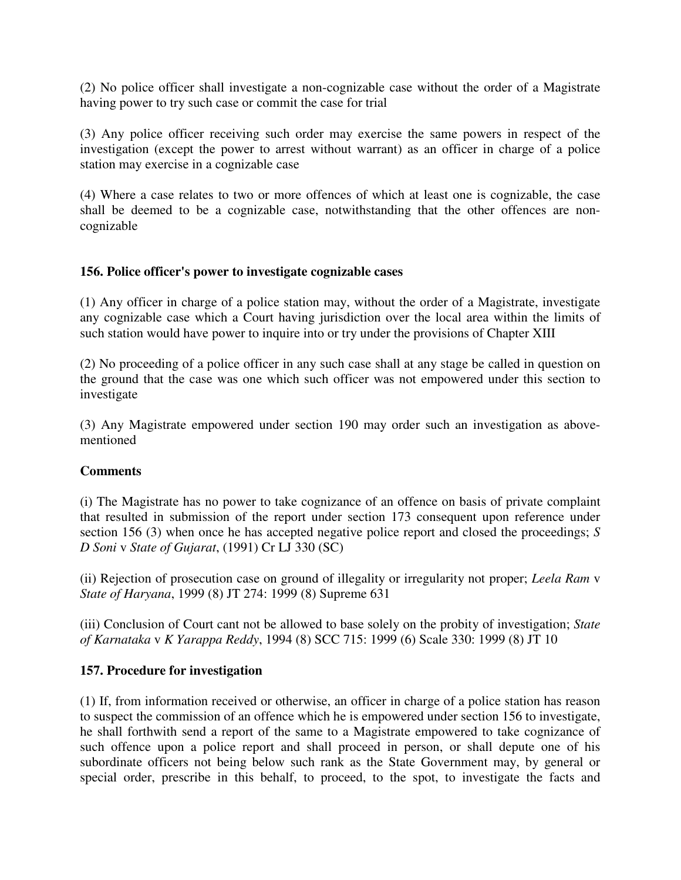(2) No police officer shall investigate a non-cognizable case without the order of a Magistrate having power to try such case or commit the case for trial

(3) Any police officer receiving such order may exercise the same powers in respect of the investigation (except the power to arrest without warrant) as an officer in charge of a police station may exercise in a cognizable case

(4) Where a case relates to two or more offences of which at least one is cognizable, the case shall be deemed to be a cognizable case, notwithstanding that the other offences are noncognizable

### **156. Police officer's power to investigate cognizable cases**

(1) Any officer in charge of a police station may, without the order of a Magistrate, investigate any cognizable case which a Court having jurisdiction over the local area within the limits of such station would have power to inquire into or try under the provisions of Chapter XIII

(2) No proceeding of a police officer in any such case shall at any stage be called in question on the ground that the case was one which such officer was not empowered under this section to investigate

(3) Any Magistrate empowered under section 190 may order such an investigation as abovementioned

# **Comments**

(i) The Magistrate has no power to take cognizance of an offence on basis of private complaint that resulted in submission of the report under section 173 consequent upon reference under section 156 (3) when once he has accepted negative police report and closed the proceedings; *S D Soni* v *State of Gujarat*, (1991) Cr LJ 330 (SC)

(ii) Rejection of prosecution case on ground of illegality or irregularity not proper; *Leela Ram* v *State of Haryana*, 1999 (8) JT 274: 1999 (8) Supreme 631

(iii) Conclusion of Court cant not be allowed to base solely on the probity of investigation; *State of Karnataka* v *K Yarappa Reddy*, 1994 (8) SCC 715: 1999 (6) Scale 330: 1999 (8) JT 10

#### **157. Procedure for investigation**

(1) If, from information received or otherwise, an officer in charge of a police station has reason to suspect the commission of an offence which he is empowered under section 156 to investigate, he shall forthwith send a report of the same to a Magistrate empowered to take cognizance of such offence upon a police report and shall proceed in person, or shall depute one of his subordinate officers not being below such rank as the State Government may, by general or special order, prescribe in this behalf, to proceed, to the spot, to investigate the facts and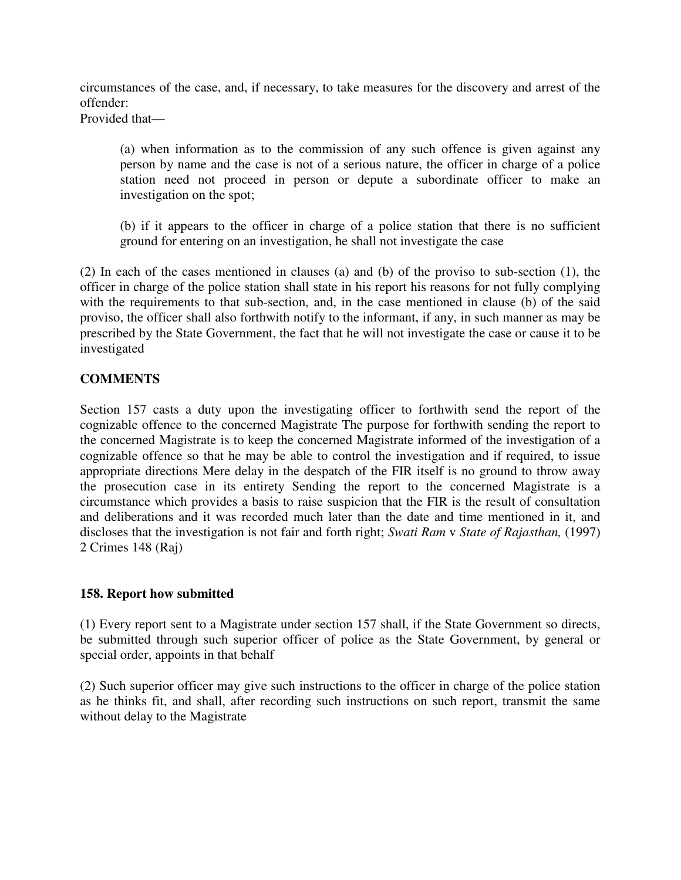circumstances of the case, and, if necessary, to take measures for the discovery and arrest of the offender:

Provided that—

(a) when information as to the commission of any such offence is given against any person by name and the case is not of a serious nature, the officer in charge of a police station need not proceed in person or depute a subordinate officer to make an investigation on the spot;

(b) if it appears to the officer in charge of a police station that there is no sufficient ground for entering on an investigation, he shall not investigate the case

(2) In each of the cases mentioned in clauses (a) and (b) of the proviso to sub-section (1), the officer in charge of the police station shall state in his report his reasons for not fully complying with the requirements to that sub-section, and, in the case mentioned in clause (b) of the said proviso, the officer shall also forthwith notify to the informant, if any, in such manner as may be prescribed by the State Government, the fact that he will not investigate the case or cause it to be investigated

# **COMMENTS**

Section 157 casts a duty upon the investigating officer to forthwith send the report of the cognizable offence to the concerned Magistrate The purpose for forthwith sending the report to the concerned Magistrate is to keep the concerned Magistrate informed of the investigation of a cognizable offence so that he may be able to control the investigation and if required, to issue appropriate directions Mere delay in the despatch of the FIR itself is no ground to throw away the prosecution case in its entirety Sending the report to the concerned Magistrate is a circumstance which provides a basis to raise suspicion that the FIR is the result of consultation and deliberations and it was recorded much later than the date and time mentioned in it, and discloses that the investigation is not fair and forth right; *Swati Ram* v *State of Rajasthan,* (1997) 2 Crimes 148 (Raj)

#### **158. Report how submitted**

(1) Every report sent to a Magistrate under section 157 shall, if the State Government so directs, be submitted through such superior officer of police as the State Government, by general or special order, appoints in that behalf

(2) Such superior officer may give such instructions to the officer in charge of the police station as he thinks fit, and shall, after recording such instructions on such report, transmit the same without delay to the Magistrate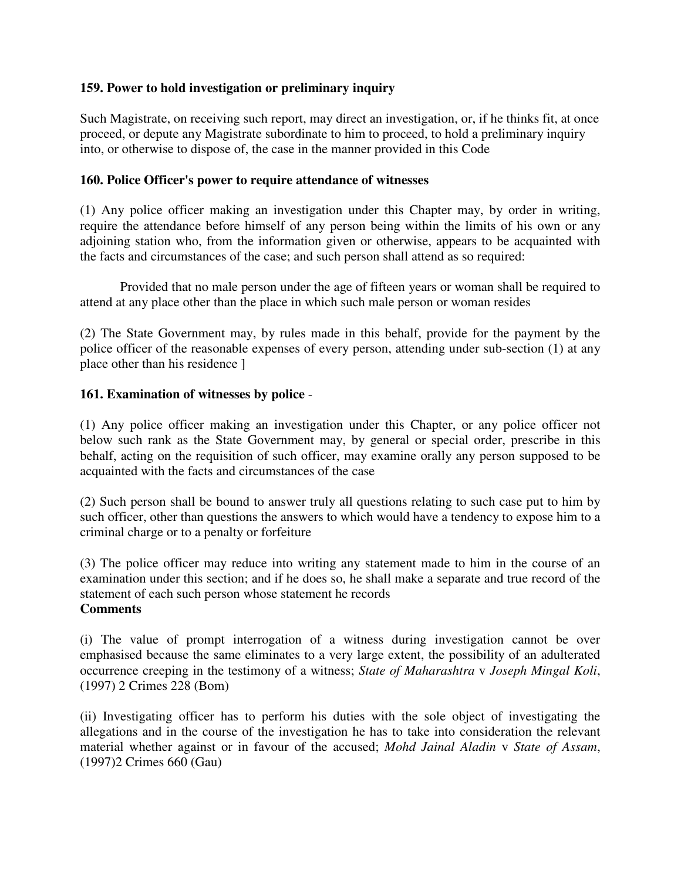### **159. Power to hold investigation or preliminary inquiry**

Such Magistrate, on receiving such report, may direct an investigation, or, if he thinks fit, at once proceed, or depute any Magistrate subordinate to him to proceed, to hold a preliminary inquiry into, or otherwise to dispose of, the case in the manner provided in this Code

### **160. Police Officer's power to require attendance of witnesses**

(1) Any police officer making an investigation under this Chapter may, by order in writing, require the attendance before himself of any person being within the limits of his own or any adjoining station who, from the information given or otherwise, appears to be acquainted with the facts and circumstances of the case; and such person shall attend as so required:

Provided that no male person under the age of fifteen years or woman shall be required to attend at any place other than the place in which such male person or woman resides

(2) The State Government may, by rules made in this behalf, provide for the payment by the police officer of the reasonable expenses of every person, attending under sub-section (1) at any place other than his residence ]

### **161. Examination of witnesses by police** -

(1) Any police officer making an investigation under this Chapter, or any police officer not below such rank as the State Government may, by general or special order, prescribe in this behalf, acting on the requisition of such officer, may examine orally any person supposed to be acquainted with the facts and circumstances of the case

(2) Such person shall be bound to answer truly all questions relating to such case put to him by such officer, other than questions the answers to which would have a tendency to expose him to a criminal charge or to a penalty or forfeiture

(3) The police officer may reduce into writing any statement made to him in the course of an examination under this section; and if he does so, he shall make a separate and true record of the statement of each such person whose statement he records **Comments**

(i) The value of prompt interrogation of a witness during investigation cannot be over emphasised because the same eliminates to a very large extent, the possibility of an adulterated occurrence creeping in the testimony of a witness; *State of Maharashtra* v *Joseph Mingal Koli*, (1997) 2 Crimes 228 (Bom)

(ii) Investigating officer has to perform his duties with the sole object of investigating the allegations and in the course of the investigation he has to take into consideration the relevant material whether against or in favour of the accused; *Mohd Jainal Aladin* v *State of Assam*, (1997)2 Crimes 660 (Gau)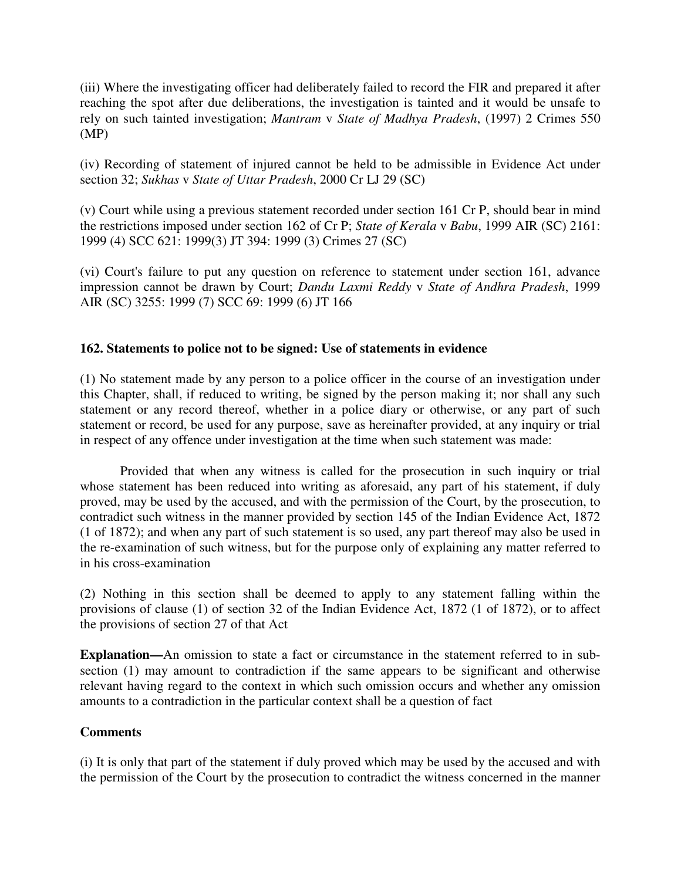(iii) Where the investigating officer had deliberately failed to record the FIR and prepared it after reaching the spot after due deliberations, the investigation is tainted and it would be unsafe to rely on such tainted investigation; *Mantram* v *State of Madhya Pradesh*, (1997) 2 Crimes 550 (MP)

(iv) Recording of statement of injured cannot be held to be admissible in Evidence Act under section 32; *Sukhas* v *State of Uttar Pradesh*, 2000 Cr LJ 29 (SC)

(v) Court while using a previous statement recorded under section 161 Cr P, should bear in mind the restrictions imposed under section 162 of Cr P; *State of Kerala* v *Babu*, 1999 AIR (SC) 2161: 1999 (4) SCC 621: 1999(3) JT 394: 1999 (3) Crimes 27 (SC)

(vi) Court's failure to put any question on reference to statement under section 161, advance impression cannot be drawn by Court; *Dandu Laxmi Reddy* v *State of Andhra Pradesh*, 1999 AIR (SC) 3255: 1999 (7) SCC 69: 1999 (6) JT 166

# **162. Statements to police not to be signed: Use of statements in evidence**

(1) No statement made by any person to a police officer in the course of an investigation under this Chapter, shall, if reduced to writing, be signed by the person making it; nor shall any such statement or any record thereof, whether in a police diary or otherwise, or any part of such statement or record, be used for any purpose, save as hereinafter provided, at any inquiry or trial in respect of any offence under investigation at the time when such statement was made:

Provided that when any witness is called for the prosecution in such inquiry or trial whose statement has been reduced into writing as aforesaid, any part of his statement, if duly proved, may be used by the accused, and with the permission of the Court, by the prosecution, to contradict such witness in the manner provided by section 145 of the Indian Evidence Act, 1872 (1 of 1872); and when any part of such statement is so used, any part thereof may also be used in the re-examination of such witness, but for the purpose only of explaining any matter referred to in his cross-examination

(2) Nothing in this section shall be deemed to apply to any statement falling within the provisions of clause (1) of section 32 of the Indian Evidence Act, 1872 (1 of 1872), or to affect the provisions of section 27 of that Act

**Explanation—**An omission to state a fact or circumstance in the statement referred to in subsection (1) may amount to contradiction if the same appears to be significant and otherwise relevant having regard to the context in which such omission occurs and whether any omission amounts to a contradiction in the particular context shall be a question of fact

# **Comments**

(i) It is only that part of the statement if duly proved which may be used by the accused and with the permission of the Court by the prosecution to contradict the witness concerned in the manner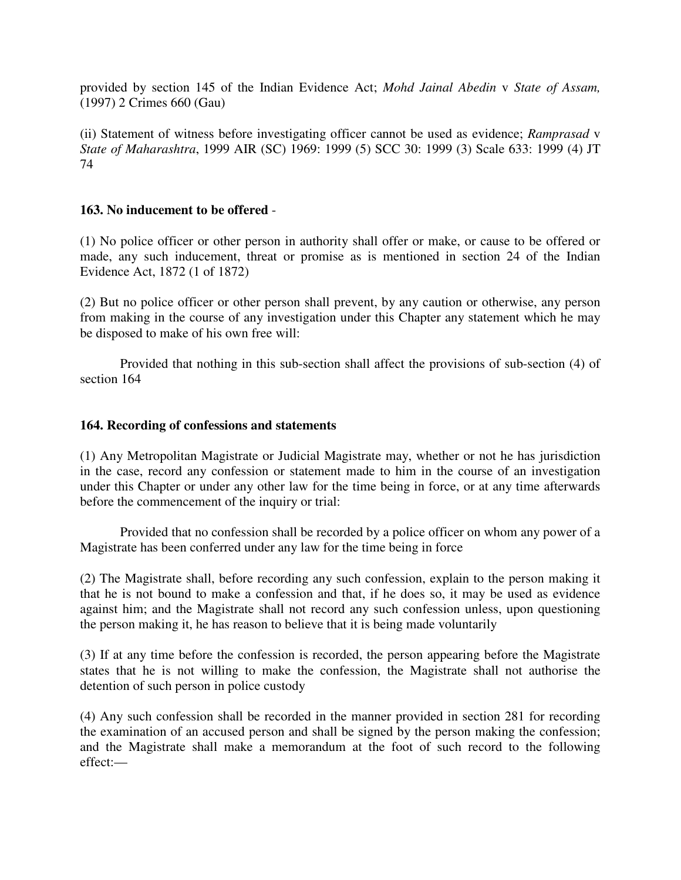provided by section 145 of the Indian Evidence Act; *Mohd Jainal Abedin* v *State of Assam,* (1997) 2 Crimes 660 (Gau)

(ii) Statement of witness before investigating officer cannot be used as evidence; *Ramprasad* v *State of Maharashtra*, 1999 AIR (SC) 1969: 1999 (5) SCC 30: 1999 (3) Scale 633: 1999 (4) JT 74

#### **163. No inducement to be offered** -

(1) No police officer or other person in authority shall offer or make, or cause to be offered or made, any such inducement, threat or promise as is mentioned in section 24 of the Indian Evidence Act, 1872 (1 of 1872)

(2) But no police officer or other person shall prevent, by any caution or otherwise, any person from making in the course of any investigation under this Chapter any statement which he may be disposed to make of his own free will:

Provided that nothing in this sub-section shall affect the provisions of sub-section (4) of section 164

#### **164. Recording of confessions and statements**

(1) Any Metropolitan Magistrate or Judicial Magistrate may, whether or not he has jurisdiction in the case, record any confession or statement made to him in the course of an investigation under this Chapter or under any other law for the time being in force, or at any time afterwards before the commencement of the inquiry or trial:

Provided that no confession shall be recorded by a police officer on whom any power of a Magistrate has been conferred under any law for the time being in force

(2) The Magistrate shall, before recording any such confession, explain to the person making it that he is not bound to make a confession and that, if he does so, it may be used as evidence against him; and the Magistrate shall not record any such confession unless, upon questioning the person making it, he has reason to believe that it is being made voluntarily

(3) If at any time before the confession is recorded, the person appearing before the Magistrate states that he is not willing to make the confession, the Magistrate shall not authorise the detention of such person in police custody

(4) Any such confession shall be recorded in the manner provided in section 281 for recording the examination of an accused person and shall be signed by the person making the confession; and the Magistrate shall make a memorandum at the foot of such record to the following effect:—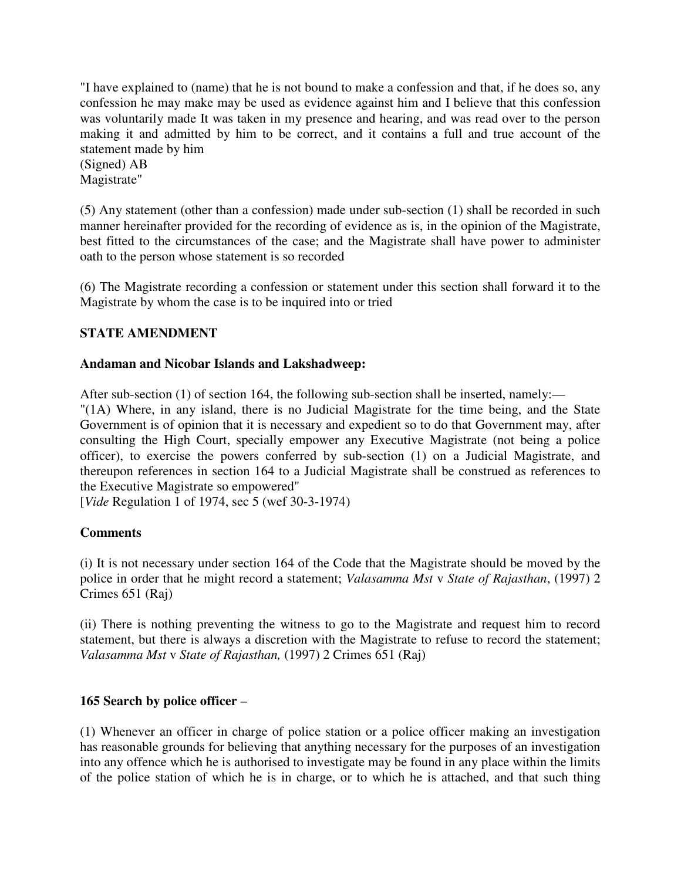"I have explained to (name) that he is not bound to make a confession and that, if he does so, any confession he may make may be used as evidence against him and I believe that this confession was voluntarily made It was taken in my presence and hearing, and was read over to the person making it and admitted by him to be correct, and it contains a full and true account of the statement made by him

(Signed) AB Magistrate"

(5) Any statement (other than a confession) made under sub-section (1) shall be recorded in such manner hereinafter provided for the recording of evidence as is, in the opinion of the Magistrate, best fitted to the circumstances of the case; and the Magistrate shall have power to administer oath to the person whose statement is so recorded

(6) The Magistrate recording a confession or statement under this section shall forward it to the Magistrate by whom the case is to be inquired into or tried

# **STATE AMENDMENT**

### **Andaman and Nicobar Islands and Lakshadweep:**

After sub-section (1) of section 164, the following sub-section shall be inserted, namely:— "(1A) Where, in any island, there is no Judicial Magistrate for the time being, and the State Government is of opinion that it is necessary and expedient so to do that Government may, after consulting the High Court, specially empower any Executive Magistrate (not being a police officer), to exercise the powers conferred by sub-section (1) on a Judicial Magistrate, and thereupon references in section 164 to a Judicial Magistrate shall be construed as references to the Executive Magistrate so empowered"

[*Vide* Regulation 1 of 1974, sec 5 (wef 30-3-1974)

# **Comments**

(i) It is not necessary under section 164 of the Code that the Magistrate should be moved by the police in order that he might record a statement; *Valasamma Mst* v *State of Rajasthan*, (1997) 2 Crimes 651 (Raj)

(ii) There is nothing preventing the witness to go to the Magistrate and request him to record statement, but there is always a discretion with the Magistrate to refuse to record the statement; *Valasamma Mst* v *State of Rajasthan,* (1997) 2 Crimes 651 (Raj)

#### **165 Search by police officer** –

(1) Whenever an officer in charge of police station or a police officer making an investigation has reasonable grounds for believing that anything necessary for the purposes of an investigation into any offence which he is authorised to investigate may be found in any place within the limits of the police station of which he is in charge, or to which he is attached, and that such thing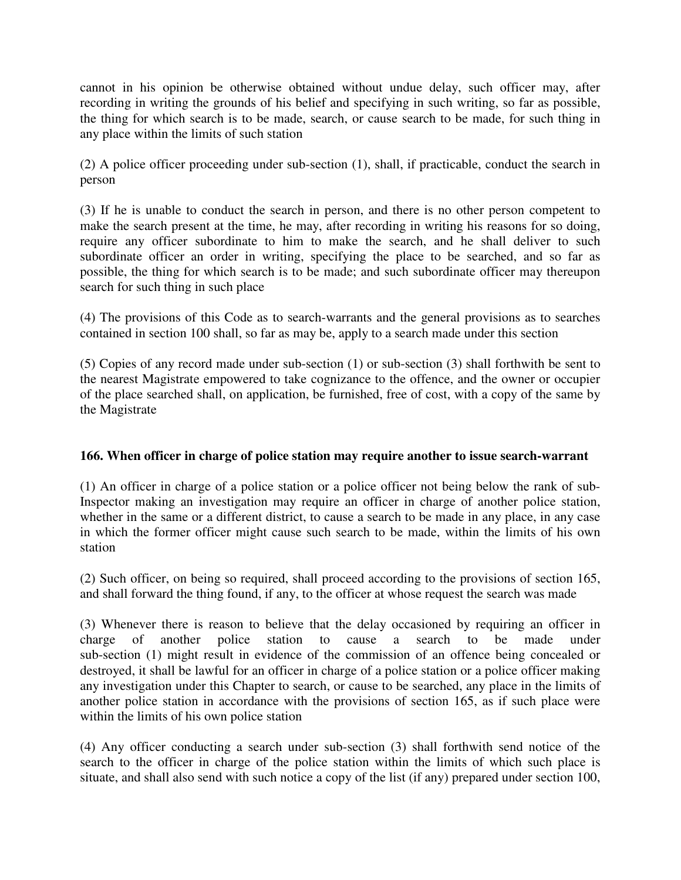cannot in his opinion be otherwise obtained without undue delay, such officer may, after recording in writing the grounds of his belief and specifying in such writing, so far as possible, the thing for which search is to be made, search, or cause search to be made, for such thing in any place within the limits of such station

(2) A police officer proceeding under sub-section (1), shall, if practicable, conduct the search in person

(3) If he is unable to conduct the search in person, and there is no other person competent to make the search present at the time, he may, after recording in writing his reasons for so doing, require any officer subordinate to him to make the search, and he shall deliver to such subordinate officer an order in writing, specifying the place to be searched, and so far as possible, the thing for which search is to be made; and such subordinate officer may thereupon search for such thing in such place

(4) The provisions of this Code as to search-warrants and the general provisions as to searches contained in section 100 shall, so far as may be, apply to a search made under this section

(5) Copies of any record made under sub-section (1) or sub-section (3) shall forthwith be sent to the nearest Magistrate empowered to take cognizance to the offence, and the owner or occupier of the place searched shall, on application, be furnished, free of cost, with a copy of the same by the Magistrate

# **166. When officer in charge of police station may require another to issue search-warrant**

(1) An officer in charge of a police station or a police officer not being below the rank of sub-Inspector making an investigation may require an officer in charge of another police station, whether in the same or a different district, to cause a search to be made in any place, in any case in which the former officer might cause such search to be made, within the limits of his own station

(2) Such officer, on being so required, shall proceed according to the provisions of section 165, and shall forward the thing found, if any, to the officer at whose request the search was made

(3) Whenever there is reason to believe that the delay occasioned by requiring an officer in charge of another police station to cause a search to be made under sub-section (1) might result in evidence of the commission of an offence being concealed or destroyed, it shall be lawful for an officer in charge of a police station or a police officer making any investigation under this Chapter to search, or cause to be searched, any place in the limits of another police station in accordance with the provisions of section 165, as if such place were within the limits of his own police station

(4) Any officer conducting a search under sub-section (3) shall forthwith send notice of the search to the officer in charge of the police station within the limits of which such place is situate, and shall also send with such notice a copy of the list (if any) prepared under section 100,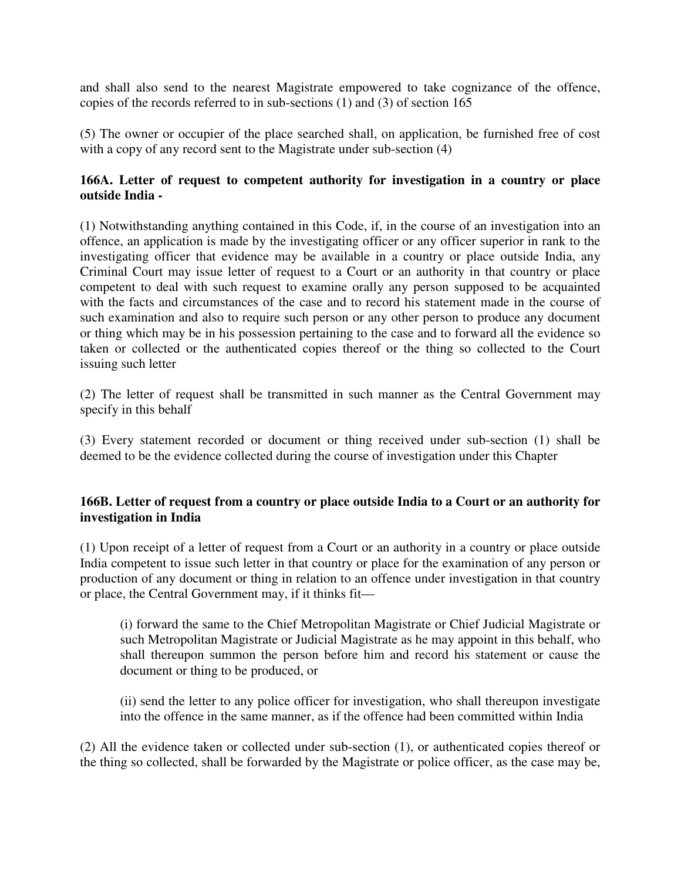and shall also send to the nearest Magistrate empowered to take cognizance of the offence, copies of the records referred to in sub-sections (1) and (3) of section 165

(5) The owner or occupier of the place searched shall, on application, be furnished free of cost with a copy of any record sent to the Magistrate under sub-section  $(4)$ 

# **166A. Letter of request to competent authority for investigation in a country or place outside India -**

(1) Notwithstanding anything contained in this Code, if, in the course of an investigation into an offence, an application is made by the investigating officer or any officer superior in rank to the investigating officer that evidence may be available in a country or place outside India, any Criminal Court may issue letter of request to a Court or an authority in that country or place competent to deal with such request to examine orally any person supposed to be acquainted with the facts and circumstances of the case and to record his statement made in the course of such examination and also to require such person or any other person to produce any document or thing which may be in his possession pertaining to the case and to forward all the evidence so taken or collected or the authenticated copies thereof or the thing so collected to the Court issuing such letter

(2) The letter of request shall be transmitted in such manner as the Central Government may specify in this behalf

(3) Every statement recorded or document or thing received under sub-section (1) shall be deemed to be the evidence collected during the course of investigation under this Chapter

### **166B. Letter of request from a country or place outside India to a Court or an authority for investigation in India**

(1) Upon receipt of a letter of request from a Court or an authority in a country or place outside India competent to issue such letter in that country or place for the examination of any person or production of any document or thing in relation to an offence under investigation in that country or place, the Central Government may, if it thinks fit—

(i) forward the same to the Chief Metropolitan Magistrate or Chief Judicial Magistrate or such Metropolitan Magistrate or Judicial Magistrate as he may appoint in this behalf, who shall thereupon summon the person before him and record his statement or cause the document or thing to be produced, or

(ii) send the letter to any police officer for investigation, who shall thereupon investigate into the offence in the same manner, as if the offence had been committed within India

(2) All the evidence taken or collected under sub-section (1), or authenticated copies thereof or the thing so collected, shall be forwarded by the Magistrate or police officer, as the case may be,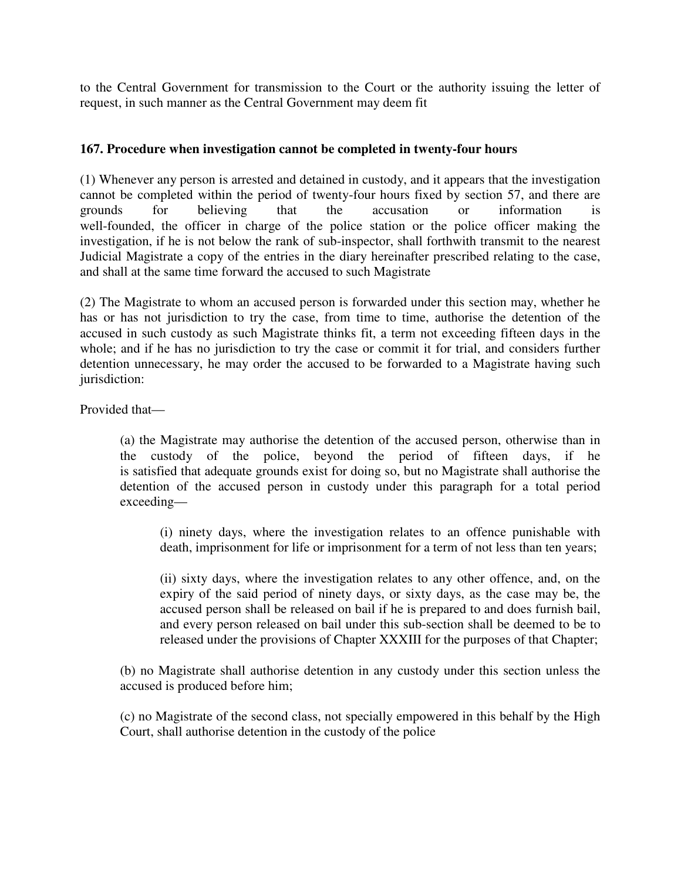to the Central Government for transmission to the Court or the authority issuing the letter of request, in such manner as the Central Government may deem fit

# **167. Procedure when investigation cannot be completed in twenty-four hours**

(1) Whenever any person is arrested and detained in custody, and it appears that the investigation cannot be completed within the period of twenty-four hours fixed by section 57, and there are grounds for believing that the accusation or information is well-founded, the officer in charge of the police station or the police officer making the investigation, if he is not below the rank of sub-inspector, shall forthwith transmit to the nearest Judicial Magistrate a copy of the entries in the diary hereinafter prescribed relating to the case, and shall at the same time forward the accused to such Magistrate

(2) The Magistrate to whom an accused person is forwarded under this section may, whether he has or has not jurisdiction to try the case, from time to time, authorise the detention of the accused in such custody as such Magistrate thinks fit, a term not exceeding fifteen days in the whole; and if he has no jurisdiction to try the case or commit it for trial, and considers further detention unnecessary, he may order the accused to be forwarded to a Magistrate having such jurisdiction:

Provided that—

(a) the Magistrate may authorise the detention of the accused person, otherwise than in the custody of the police, beyond the period of fifteen days, if he is satisfied that adequate grounds exist for doing so, but no Magistrate shall authorise the detention of the accused person in custody under this paragraph for a total period exceeding—

(i) ninety days, where the investigation relates to an offence punishable with death, imprisonment for life or imprisonment for a term of not less than ten years;

(ii) sixty days, where the investigation relates to any other offence, and, on the expiry of the said period of ninety days, or sixty days, as the case may be, the accused person shall be released on bail if he is prepared to and does furnish bail, and every person released on bail under this sub-section shall be deemed to be to released under the provisions of Chapter XXXIII for the purposes of that Chapter;

(b) no Magistrate shall authorise detention in any custody under this section unless the accused is produced before him;

(c) no Magistrate of the second class, not specially empowered in this behalf by the High Court, shall authorise detention in the custody of the police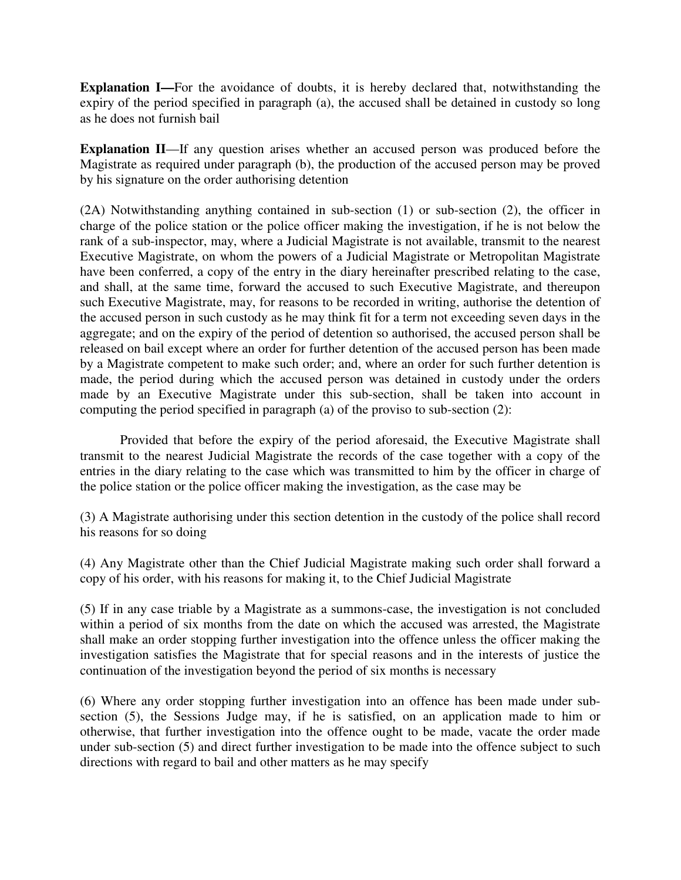**Explanation I—**For the avoidance of doubts, it is hereby declared that, notwithstanding the expiry of the period specified in paragraph (a), the accused shall be detained in custody so long as he does not furnish bail

**Explanation II**—If any question arises whether an accused person was produced before the Magistrate as required under paragraph (b), the production of the accused person may be proved by his signature on the order authorising detention

(2A) Notwithstanding anything contained in sub-section (1) or sub-section (2), the officer in charge of the police station or the police officer making the investigation, if he is not below the rank of a sub-inspector, may, where a Judicial Magistrate is not available, transmit to the nearest Executive Magistrate, on whom the powers of a Judicial Magistrate or Metropolitan Magistrate have been conferred, a copy of the entry in the diary hereinafter prescribed relating to the case, and shall, at the same time, forward the accused to such Executive Magistrate, and thereupon such Executive Magistrate, may, for reasons to be recorded in writing, authorise the detention of the accused person in such custody as he may think fit for a term not exceeding seven days in the aggregate; and on the expiry of the period of detention so authorised, the accused person shall be released on bail except where an order for further detention of the accused person has been made by a Magistrate competent to make such order; and, where an order for such further detention is made, the period during which the accused person was detained in custody under the orders made by an Executive Magistrate under this sub-section, shall be taken into account in computing the period specified in paragraph (a) of the proviso to sub-section (2):

Provided that before the expiry of the period aforesaid, the Executive Magistrate shall transmit to the nearest Judicial Magistrate the records of the case together with a copy of the entries in the diary relating to the case which was transmitted to him by the officer in charge of the police station or the police officer making the investigation, as the case may be

(3) A Magistrate authorising under this section detention in the custody of the police shall record his reasons for so doing

(4) Any Magistrate other than the Chief Judicial Magistrate making such order shall forward a copy of his order, with his reasons for making it, to the Chief Judicial Magistrate

(5) If in any case triable by a Magistrate as a summons-case, the investigation is not concluded within a period of six months from the date on which the accused was arrested, the Magistrate shall make an order stopping further investigation into the offence unless the officer making the investigation satisfies the Magistrate that for special reasons and in the interests of justice the continuation of the investigation beyond the period of six months is necessary

(6) Where any order stopping further investigation into an offence has been made under subsection (5), the Sessions Judge may, if he is satisfied, on an application made to him or otherwise, that further investigation into the offence ought to be made, vacate the order made under sub-section (5) and direct further investigation to be made into the offence subject to such directions with regard to bail and other matters as he may specify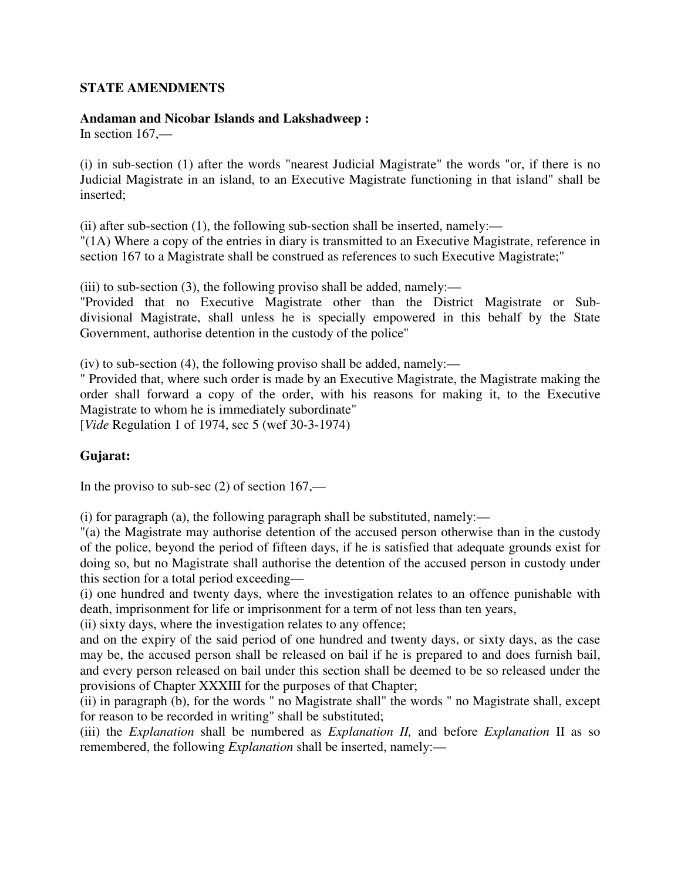# **STATE AMENDMENTS**

### **Andaman and Nicobar Islands and Lakshadweep :**

In section 167,—

(i) in sub-section (1) after the words "nearest Judicial Magistrate" the words "or, if there is no Judicial Magistrate in an island, to an Executive Magistrate functioning in that island" shall be inserted;

(ii) after sub-section (1), the following sub-section shall be inserted, namely:—

"(1A) Where a copy of the entries in diary is transmitted to an Executive Magistrate, reference in section 167 to a Magistrate shall be construed as references to such Executive Magistrate;"

(iii) to sub-section (3), the following proviso shall be added, namely:—

"Provided that no Executive Magistrate other than the District Magistrate or Subdivisional Magistrate, shall unless he is specially empowered in this behalf by the State Government, authorise detention in the custody of the police"

(iv) to sub-section (4), the following proviso shall be added, namely:—

" Provided that, where such order is made by an Executive Magistrate, the Magistrate making the order shall forward a copy of the order, with his reasons for making it, to the Executive Magistrate to whom he is immediately subordinate"

[*Vide* Regulation 1 of 1974, sec 5 (wef 30-3-1974)

# **Gujarat:**

In the proviso to sub-sec  $(2)$  of section 167,—

(i) for paragraph (a), the following paragraph shall be substituted, namely:—

"(a) the Magistrate may authorise detention of the accused person otherwise than in the custody of the police, beyond the period of fifteen days, if he is satisfied that adequate grounds exist for doing so, but no Magistrate shall authorise the detention of the accused person in custody under this section for a total period exceeding—

(i) one hundred and twenty days, where the investigation relates to an offence punishable with death, imprisonment for life or imprisonment for a term of not less than ten years,

(ii) sixty days, where the investigation relates to any offence;

and on the expiry of the said period of one hundred and twenty days, or sixty days, as the case may be, the accused person shall be released on bail if he is prepared to and does furnish bail, and every person released on bail under this section shall be deemed to be so released under the provisions of Chapter XXXIII for the purposes of that Chapter;

(ii) in paragraph (b), for the words " no Magistrate shall" the words " no Magistrate shall, except for reason to be recorded in writing" shall be substituted;

(iii) the *Explanation* shall be numbered as *Explanation II,* and before *Explanation* II as so remembered, the following *Explanation* shall be inserted, namely:—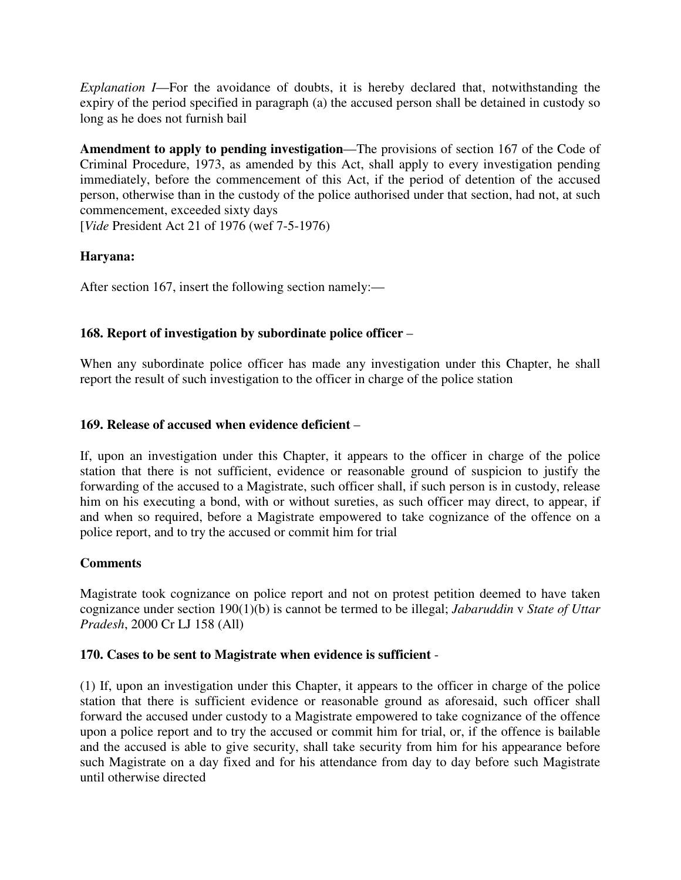*Explanation I*—For the avoidance of doubts, it is hereby declared that, notwithstanding the expiry of the period specified in paragraph (a) the accused person shall be detained in custody so long as he does not furnish bail

**Amendment to apply to pending investigation**—The provisions of section 167 of the Code of Criminal Procedure, 1973, as amended by this Act, shall apply to every investigation pending immediately, before the commencement of this Act, if the period of detention of the accused person, otherwise than in the custody of the police authorised under that section, had not, at such commencement, exceeded sixty days

[*Vide* President Act 21 of 1976 (wef 7-5-1976)

# **Haryana:**

After section 167, insert the following section namely:—

# **168. Report of investigation by subordinate police officer** –

When any subordinate police officer has made any investigation under this Chapter, he shall report the result of such investigation to the officer in charge of the police station

# **169. Release of accused when evidence deficient** –

If, upon an investigation under this Chapter, it appears to the officer in charge of the police station that there is not sufficient, evidence or reasonable ground of suspicion to justify the forwarding of the accused to a Magistrate, such officer shall, if such person is in custody, release him on his executing a bond, with or without sureties, as such officer may direct, to appear, if and when so required, before a Magistrate empowered to take cognizance of the offence on a police report, and to try the accused or commit him for trial

# **Comments**

Magistrate took cognizance on police report and not on protest petition deemed to have taken cognizance under section 190(1)(b) is cannot be termed to be illegal; *Jabaruddin* v *State of Uttar Pradesh*, 2000 Cr LJ 158 (All)

# **170. Cases to be sent to Magistrate when evidence is sufficient** -

(1) If, upon an investigation under this Chapter, it appears to the officer in charge of the police station that there is sufficient evidence or reasonable ground as aforesaid, such officer shall forward the accused under custody to a Magistrate empowered to take cognizance of the offence upon a police report and to try the accused or commit him for trial, or, if the offence is bailable and the accused is able to give security, shall take security from him for his appearance before such Magistrate on a day fixed and for his attendance from day to day before such Magistrate until otherwise directed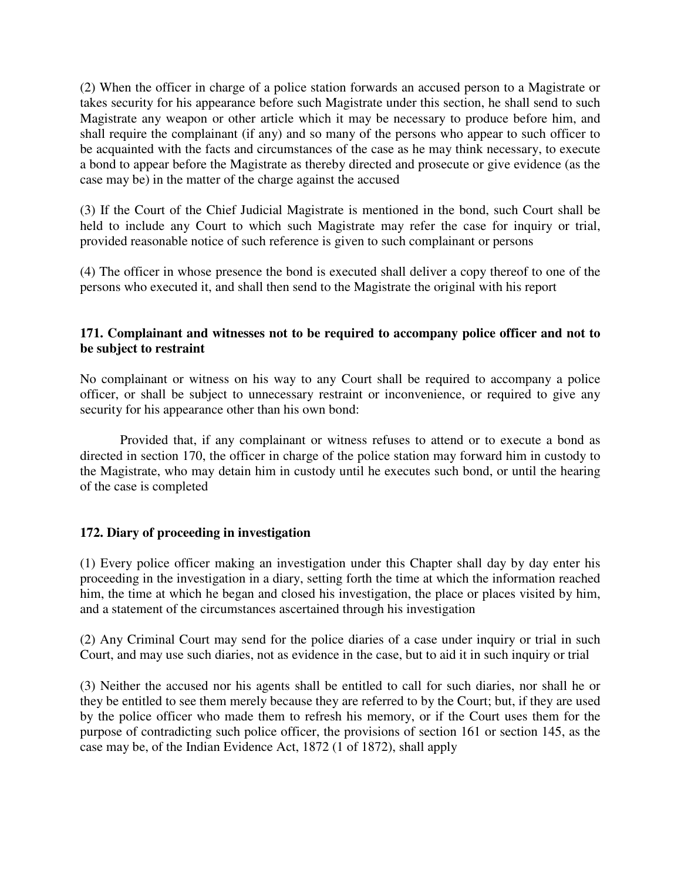(2) When the officer in charge of a police station forwards an accused person to a Magistrate or takes security for his appearance before such Magistrate under this section, he shall send to such Magistrate any weapon or other article which it may be necessary to produce before him, and shall require the complainant (if any) and so many of the persons who appear to such officer to be acquainted with the facts and circumstances of the case as he may think necessary, to execute a bond to appear before the Magistrate as thereby directed and prosecute or give evidence (as the case may be) in the matter of the charge against the accused

(3) If the Court of the Chief Judicial Magistrate is mentioned in the bond, such Court shall be held to include any Court to which such Magistrate may refer the case for inquiry or trial, provided reasonable notice of such reference is given to such complainant or persons

(4) The officer in whose presence the bond is executed shall deliver a copy thereof to one of the persons who executed it, and shall then send to the Magistrate the original with his report

### **171. Complainant and witnesses not to be required to accompany police officer and not to be subject to restraint**

No complainant or witness on his way to any Court shall be required to accompany a police officer, or shall be subject to unnecessary restraint or inconvenience, or required to give any security for his appearance other than his own bond:

Provided that, if any complainant or witness refuses to attend or to execute a bond as directed in section 170, the officer in charge of the police station may forward him in custody to the Magistrate, who may detain him in custody until he executes such bond, or until the hearing of the case is completed

#### **172. Diary of proceeding in investigation**

(1) Every police officer making an investigation under this Chapter shall day by day enter his proceeding in the investigation in a diary, setting forth the time at which the information reached him, the time at which he began and closed his investigation, the place or places visited by him, and a statement of the circumstances ascertained through his investigation

(2) Any Criminal Court may send for the police diaries of a case under inquiry or trial in such Court, and may use such diaries, not as evidence in the case, but to aid it in such inquiry or trial

(3) Neither the accused nor his agents shall be entitled to call for such diaries, nor shall he or they be entitled to see them merely because they are referred to by the Court; but, if they are used by the police officer who made them to refresh his memory, or if the Court uses them for the purpose of contradicting such police officer, the provisions of section 161 or section 145, as the case may be, of the Indian Evidence Act, 1872 (1 of 1872), shall apply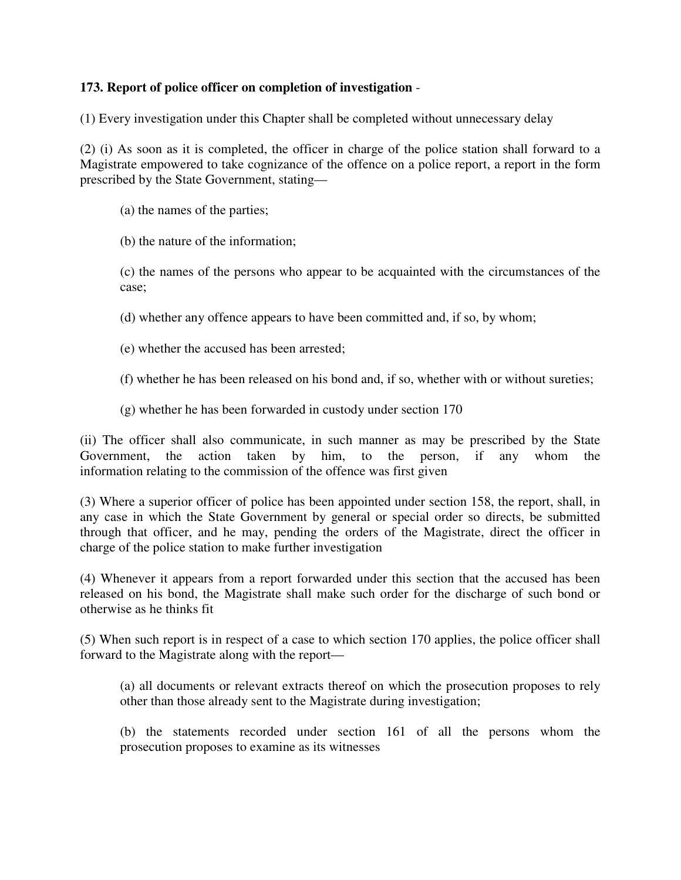### **173. Report of police officer on completion of investigation** -

(1) Every investigation under this Chapter shall be completed without unnecessary delay

(2) (i) As soon as it is completed, the officer in charge of the police station shall forward to a Magistrate empowered to take cognizance of the offence on a police report, a report in the form prescribed by the State Government, stating—

- (a) the names of the parties;
- (b) the nature of the information;

(c) the names of the persons who appear to be acquainted with the circumstances of the case;

- (d) whether any offence appears to have been committed and, if so, by whom;
- (e) whether the accused has been arrested;
- (f) whether he has been released on his bond and, if so, whether with or without sureties;
- (g) whether he has been forwarded in custody under section 170

(ii) The officer shall also communicate, in such manner as may be prescribed by the State Government, the action taken by him, to the person, if any whom the information relating to the commission of the offence was first given

(3) Where a superior officer of police has been appointed under section 158, the report, shall, in any case in which the State Government by general or special order so directs, be submitted through that officer, and he may, pending the orders of the Magistrate, direct the officer in charge of the police station to make further investigation

(4) Whenever it appears from a report forwarded under this section that the accused has been released on his bond, the Magistrate shall make such order for the discharge of such bond or otherwise as he thinks fit

(5) When such report is in respect of a case to which section 170 applies, the police officer shall forward to the Magistrate along with the report—

(a) all documents or relevant extracts thereof on which the prosecution proposes to rely other than those already sent to the Magistrate during investigation;

(b) the statements recorded under section 161 of all the persons whom the prosecution proposes to examine as its witnesses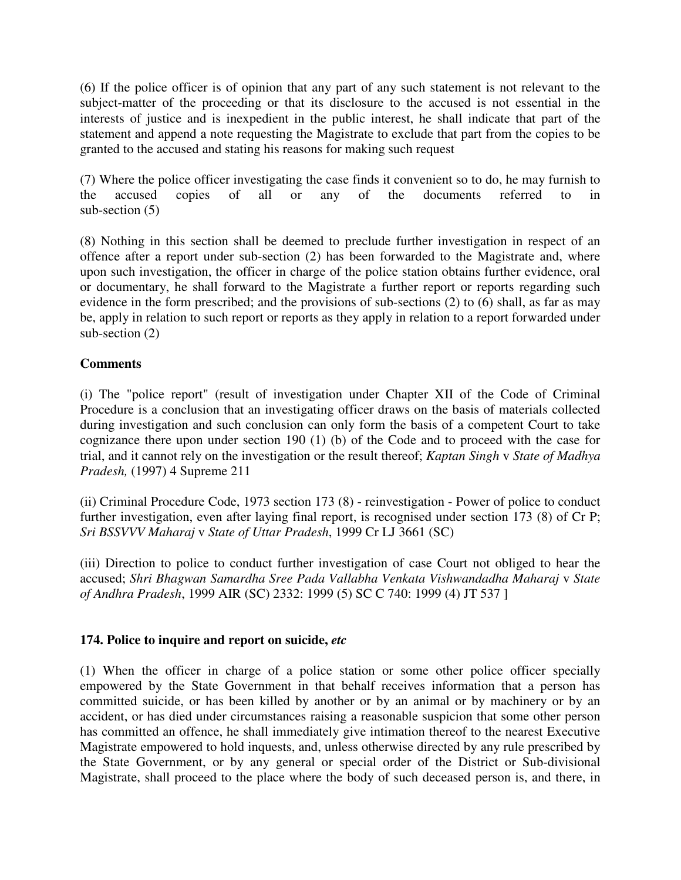(6) If the police officer is of opinion that any part of any such statement is not relevant to the subject-matter of the proceeding or that its disclosure to the accused is not essential in the interests of justice and is inexpedient in the public interest, he shall indicate that part of the statement and append a note requesting the Magistrate to exclude that part from the copies to be granted to the accused and stating his reasons for making such request

(7) Where the police officer investigating the case finds it convenient so to do, he may furnish to the accused copies of all or any of the documents referred to in sub-section (5)

(8) Nothing in this section shall be deemed to preclude further investigation in respect of an offence after a report under sub-section (2) has been forwarded to the Magistrate and, where upon such investigation, the officer in charge of the police station obtains further evidence, oral or documentary, he shall forward to the Magistrate a further report or reports regarding such evidence in the form prescribed; and the provisions of sub-sections (2) to (6) shall, as far as may be, apply in relation to such report or reports as they apply in relation to a report forwarded under sub-section (2)

# **Comments**

(i) The "police report" (result of investigation under Chapter XII of the Code of Criminal Procedure is a conclusion that an investigating officer draws on the basis of materials collected during investigation and such conclusion can only form the basis of a competent Court to take cognizance there upon under section 190 (1) (b) of the Code and to proceed with the case for trial, and it cannot rely on the investigation or the result thereof; *Kaptan Singh* v *State of Madhya Pradesh,* (1997) 4 Supreme 211

(ii) Criminal Procedure Code, 1973 section 173 (8) - reinvestigation - Power of police to conduct further investigation, even after laying final report, is recognised under section 173 (8) of Cr P; *Sri BSSVVV Maharaj* v *State of Uttar Pradesh*, 1999 Cr LJ 3661 (SC)

(iii) Direction to police to conduct further investigation of case Court not obliged to hear the accused; *Shri Bhagwan Samardha Sree Pada Vallabha Venkata Vishwandadha Maharaj* v *State of Andhra Pradesh*, 1999 AIR (SC) 2332: 1999 (5) SC C 740: 1999 (4) JT 537 ]

# **174. Police to inquire and report on suicide,** *etc*

(1) When the officer in charge of a police station or some other police officer specially empowered by the State Government in that behalf receives information that a person has committed suicide, or has been killed by another or by an animal or by machinery or by an accident, or has died under circumstances raising a reasonable suspicion that some other person has committed an offence, he shall immediately give intimation thereof to the nearest Executive Magistrate empowered to hold inquests, and, unless otherwise directed by any rule prescribed by the State Government, or by any general or special order of the District or Sub-divisional Magistrate, shall proceed to the place where the body of such deceased person is, and there, in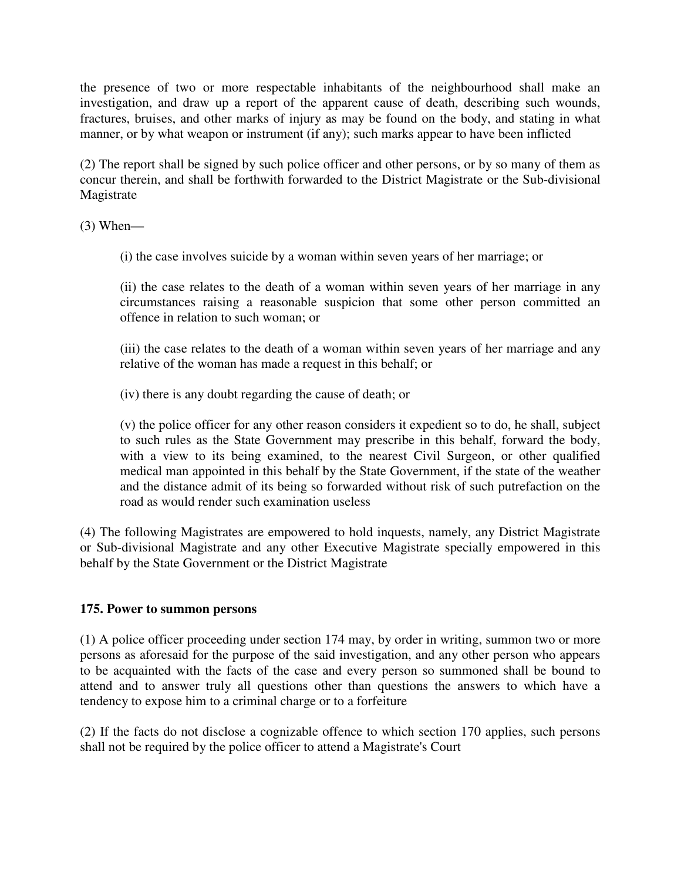the presence of two or more respectable inhabitants of the neighbourhood shall make an investigation, and draw up a report of the apparent cause of death, describing such wounds, fractures, bruises, and other marks of injury as may be found on the body, and stating in what manner, or by what weapon or instrument (if any); such marks appear to have been inflicted

(2) The report shall be signed by such police officer and other persons, or by so many of them as concur therein, and shall be forthwith forwarded to the District Magistrate or the Sub-divisional Magistrate

 $(3)$  When—

(i) the case involves suicide by a woman within seven years of her marriage; or

(ii) the case relates to the death of a woman within seven years of her marriage in any circumstances raising a reasonable suspicion that some other person committed an offence in relation to such woman; or

(iii) the case relates to the death of a woman within seven years of her marriage and any relative of the woman has made a request in this behalf; or

(iv) there is any doubt regarding the cause of death; or

(v) the police officer for any other reason considers it expedient so to do, he shall, subject to such rules as the State Government may prescribe in this behalf, forward the body, with a view to its being examined, to the nearest Civil Surgeon, or other qualified medical man appointed in this behalf by the State Government, if the state of the weather and the distance admit of its being so forwarded without risk of such putrefaction on the road as would render such examination useless

(4) The following Magistrates are empowered to hold inquests, namely, any District Magistrate or Sub-divisional Magistrate and any other Executive Magistrate specially empowered in this behalf by the State Government or the District Magistrate

#### **175. Power to summon persons**

(1) A police officer proceeding under section 174 may, by order in writing, summon two or more persons as aforesaid for the purpose of the said investigation, and any other person who appears to be acquainted with the facts of the case and every person so summoned shall be bound to attend and to answer truly all questions other than questions the answers to which have a tendency to expose him to a criminal charge or to a forfeiture

(2) If the facts do not disclose a cognizable offence to which section 170 applies, such persons shall not be required by the police officer to attend a Magistrate's Court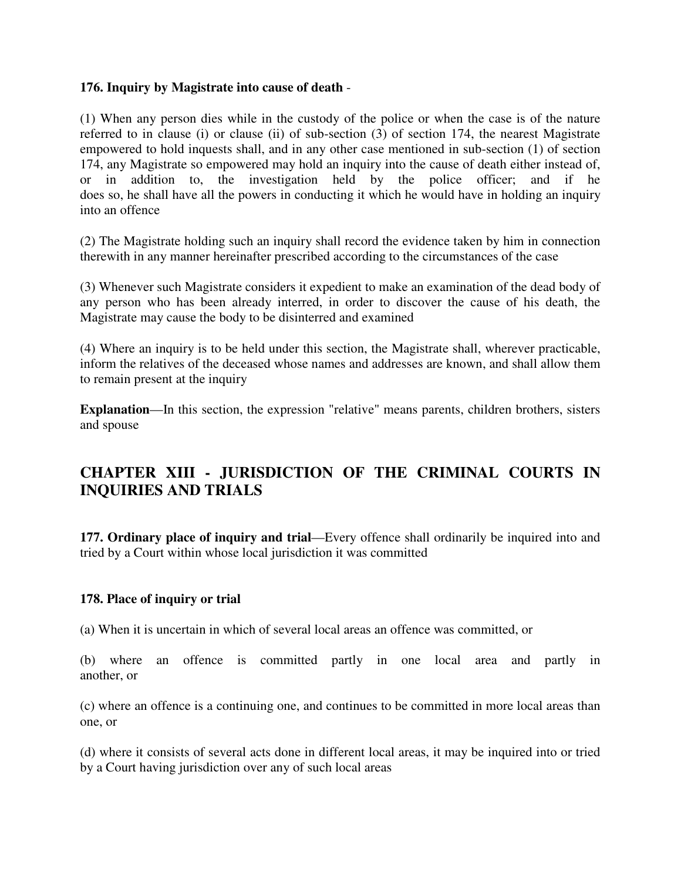#### **176. Inquiry by Magistrate into cause of death** -

(1) When any person dies while in the custody of the police or when the case is of the nature referred to in clause (i) or clause (ii) of sub-section (3) of section 174, the nearest Magistrate empowered to hold inquests shall, and in any other case mentioned in sub-section (1) of section 174, any Magistrate so empowered may hold an inquiry into the cause of death either instead of, or in addition to, the investigation held by the police officer; and if he does so, he shall have all the powers in conducting it which he would have in holding an inquiry into an offence

(2) The Magistrate holding such an inquiry shall record the evidence taken by him in connection therewith in any manner hereinafter prescribed according to the circumstances of the case

(3) Whenever such Magistrate considers it expedient to make an examination of the dead body of any person who has been already interred, in order to discover the cause of his death, the Magistrate may cause the body to be disinterred and examined

(4) Where an inquiry is to be held under this section, the Magistrate shall, wherever practicable, inform the relatives of the deceased whose names and addresses are known, and shall allow them to remain present at the inquiry

**Explanation**—In this section, the expression "relative" means parents, children brothers, sisters and spouse

# **CHAPTER XIII - JURISDICTION OF THE CRIMINAL COURTS IN INQUIRIES AND TRIALS**

**177. Ordinary place of inquiry and trial**—Every offence shall ordinarily be inquired into and tried by a Court within whose local jurisdiction it was committed

# **178. Place of inquiry or trial**

(a) When it is uncertain in which of several local areas an offence was committed, or

(b) where an offence is committed partly in one local area and partly in another, or

(c) where an offence is a continuing one, and continues to be committed in more local areas than one, or

(d) where it consists of several acts done in different local areas, it may be inquired into or tried by a Court having jurisdiction over any of such local areas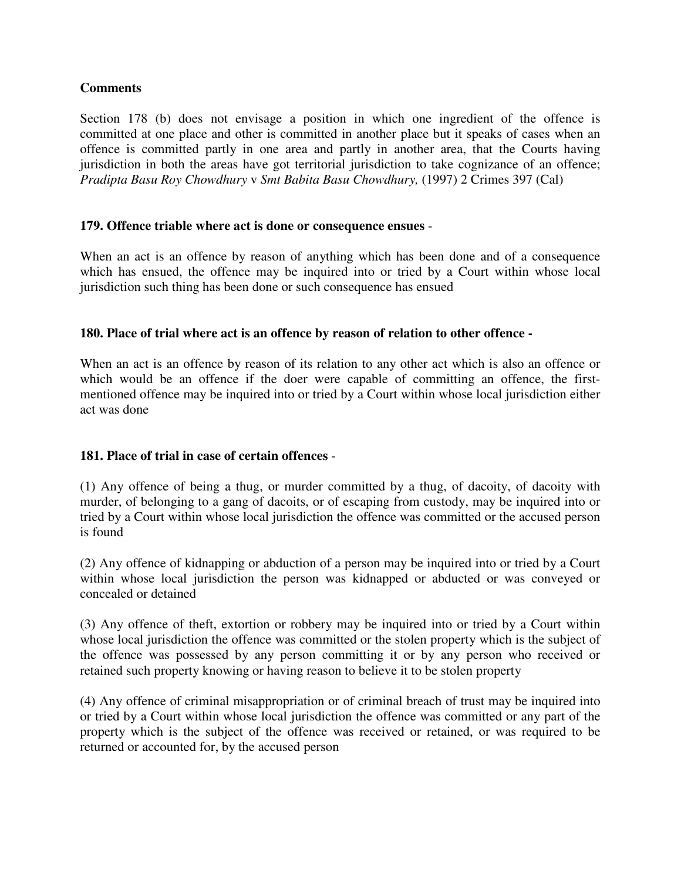### **Comments**

Section 178 (b) does not envisage a position in which one ingredient of the offence is committed at one place and other is committed in another place but it speaks of cases when an offence is committed partly in one area and partly in another area, that the Courts having jurisdiction in both the areas have got territorial jurisdiction to take cognizance of an offence; *Pradipta Basu Roy Chowdhury* v *Smt Babita Basu Chowdhury,* (1997) 2 Crimes 397 (Cal)

#### **179. Offence triable where act is done or consequence ensues** -

When an act is an offence by reason of anything which has been done and of a consequence which has ensued, the offence may be inquired into or tried by a Court within whose local jurisdiction such thing has been done or such consequence has ensued

### **180. Place of trial where act is an offence by reason of relation to other offence -**

When an act is an offence by reason of its relation to any other act which is also an offence or which would be an offence if the doer were capable of committing an offence, the firstmentioned offence may be inquired into or tried by a Court within whose local jurisdiction either act was done

#### **181. Place of trial in case of certain offences** -

(1) Any offence of being a thug, or murder committed by a thug, of dacoity, of dacoity with murder, of belonging to a gang of dacoits, or of escaping from custody, may be inquired into or tried by a Court within whose local jurisdiction the offence was committed or the accused person is found

(2) Any offence of kidnapping or abduction of a person may be inquired into or tried by a Court within whose local jurisdiction the person was kidnapped or abducted or was conveyed or concealed or detained

(3) Any offence of theft, extortion or robbery may be inquired into or tried by a Court within whose local jurisdiction the offence was committed or the stolen property which is the subject of the offence was possessed by any person committing it or by any person who received or retained such property knowing or having reason to believe it to be stolen property

(4) Any offence of criminal misappropriation or of criminal breach of trust may be inquired into or tried by a Court within whose local jurisdiction the offence was committed or any part of the property which is the subject of the offence was received or retained, or was required to be returned or accounted for, by the accused person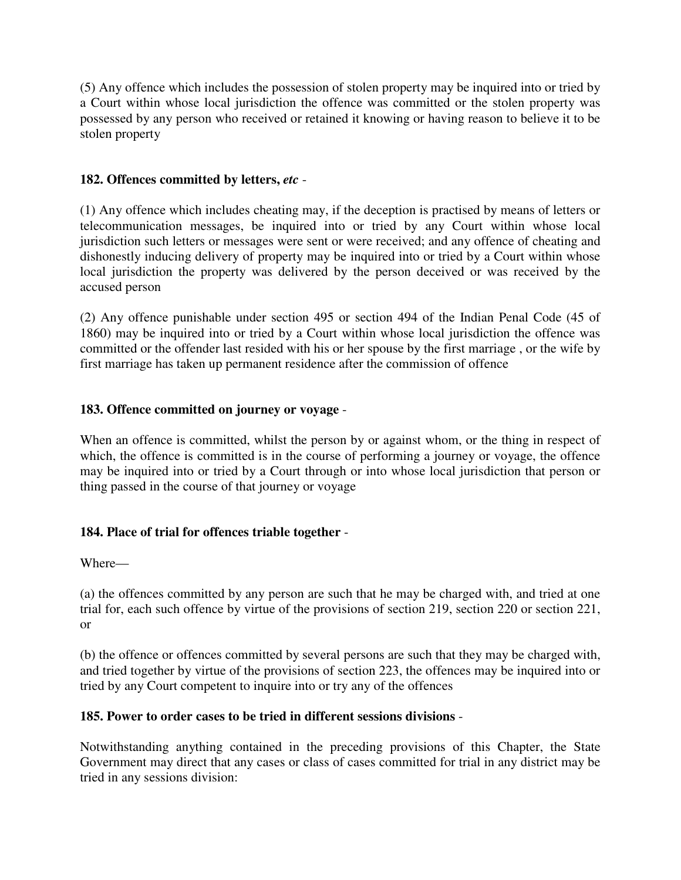(5) Any offence which includes the possession of stolen property may be inquired into or tried by a Court within whose local jurisdiction the offence was committed or the stolen property was possessed by any person who received or retained it knowing or having reason to believe it to be stolen property

# **182. Offences committed by letters,** *etc* -

(1) Any offence which includes cheating may, if the deception is practised by means of letters or telecommunication messages, be inquired into or tried by any Court within whose local jurisdiction such letters or messages were sent or were received; and any offence of cheating and dishonestly inducing delivery of property may be inquired into or tried by a Court within whose local jurisdiction the property was delivered by the person deceived or was received by the accused person

(2) Any offence punishable under section 495 or section 494 of the Indian Penal Code (45 of 1860) may be inquired into or tried by a Court within whose local jurisdiction the offence was committed or the offender last resided with his or her spouse by the first marriage , or the wife by first marriage has taken up permanent residence after the commission of offence

# **183. Offence committed on journey or voyage** -

When an offence is committed, whilst the person by or against whom, or the thing in respect of which, the offence is committed is in the course of performing a journey or voyage, the offence may be inquired into or tried by a Court through or into whose local jurisdiction that person or thing passed in the course of that journey or voyage

# **184. Place of trial for offences triable together** -

# Where—

(a) the offences committed by any person are such that he may be charged with, and tried at one trial for, each such offence by virtue of the provisions of section 219, section 220 or section 221, or

(b) the offence or offences committed by several persons are such that they may be charged with, and tried together by virtue of the provisions of section 223, the offences may be inquired into or tried by any Court competent to inquire into or try any of the offences

# **185. Power to order cases to be tried in different sessions divisions** -

Notwithstanding anything contained in the preceding provisions of this Chapter, the State Government may direct that any cases or class of cases committed for trial in any district may be tried in any sessions division: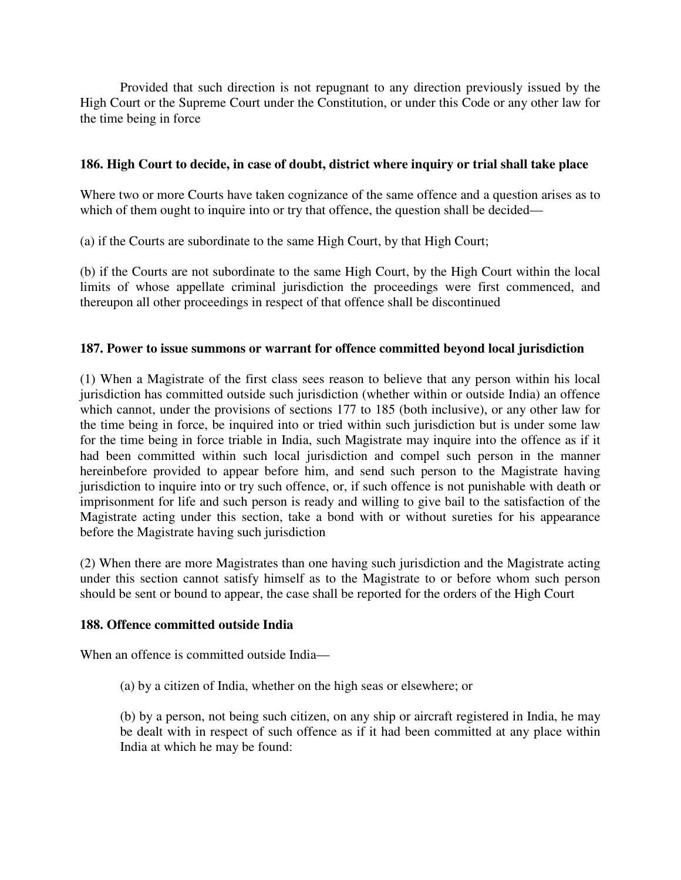Provided that such direction is not repugnant to any direction previously issued by the High Court or the Supreme Court under the Constitution, or under this Code or any other law for the time being in force

### **186. High Court to decide, in case of doubt, district where inquiry or trial shall take place**

Where two or more Courts have taken cognizance of the same offence and a question arises as to which of them ought to inquire into or try that offence, the question shall be decided—

(a) if the Courts are subordinate to the same High Court, by that High Court;

(b) if the Courts are not subordinate to the same High Court, by the High Court within the local limits of whose appellate criminal jurisdiction the proceedings were first commenced, and thereupon all other proceedings in respect of that offence shall be discontinued

### **187. Power to issue summons or warrant for offence committed beyond local jurisdiction**

(1) When a Magistrate of the first class sees reason to believe that any person within his local jurisdiction has committed outside such jurisdiction (whether within or outside India) an offence which cannot, under the provisions of sections 177 to 185 (both inclusive), or any other law for the time being in force, be inquired into or tried within such jurisdiction but is under some law for the time being in force triable in India, such Magistrate may inquire into the offence as if it had been committed within such local jurisdiction and compel such person in the manner hereinbefore provided to appear before him, and send such person to the Magistrate having jurisdiction to inquire into or try such offence, or, if such offence is not punishable with death or imprisonment for life and such person is ready and willing to give bail to the satisfaction of the Magistrate acting under this section, take a bond with or without sureties for his appearance before the Magistrate having such jurisdiction

(2) When there are more Magistrates than one having such jurisdiction and the Magistrate acting under this section cannot satisfy himself as to the Magistrate to or before whom such person should be sent or bound to appear, the case shall be reported for the orders of the High Court

#### **188. Offence committed outside India**

When an offence is committed outside India—

(a) by a citizen of India, whether on the high seas or elsewhere; or

(b) by a person, not being such citizen, on any ship or aircraft registered in India, he may be dealt with in respect of such offence as if it had been committed at any place within India at which he may be found: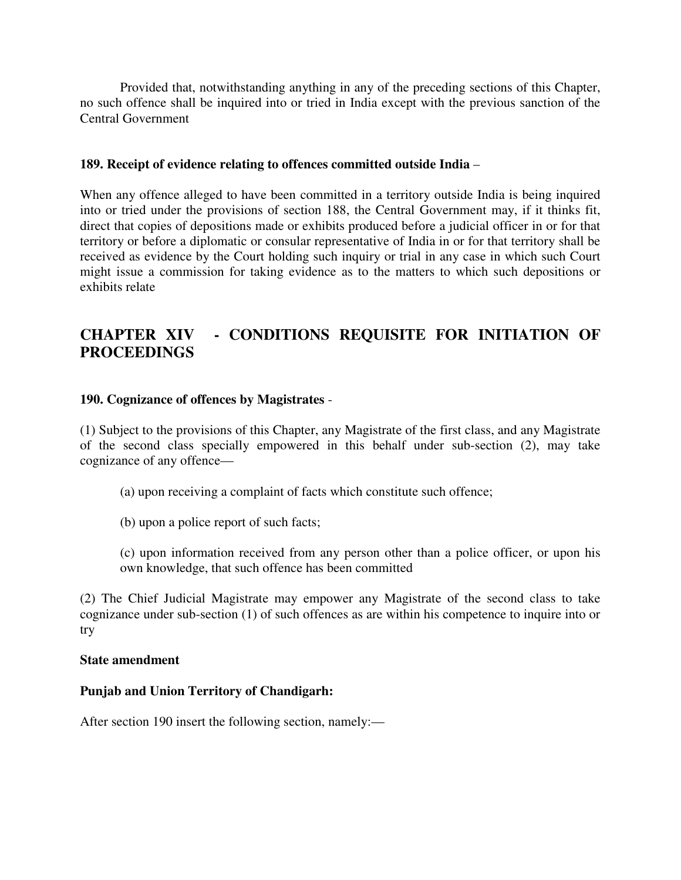Provided that, notwithstanding anything in any of the preceding sections of this Chapter, no such offence shall be inquired into or tried in India except with the previous sanction of the Central Government

#### **189. Receipt of evidence relating to offences committed outside India** –

When any offence alleged to have been committed in a territory outside India is being inquired into or tried under the provisions of section 188, the Central Government may, if it thinks fit, direct that copies of depositions made or exhibits produced before a judicial officer in or for that territory or before a diplomatic or consular representative of India in or for that territory shall be received as evidence by the Court holding such inquiry or trial in any case in which such Court might issue a commission for taking evidence as to the matters to which such depositions or exhibits relate

# **CHAPTER XIV - CONDITIONS REQUISITE FOR INITIATION OF PROCEEDINGS**

### **190. Cognizance of offences by Magistrates** -

(1) Subject to the provisions of this Chapter, any Magistrate of the first class, and any Magistrate of the second class specially empowered in this behalf under sub-section (2), may take cognizance of any offence—

- (a) upon receiving a complaint of facts which constitute such offence;
- (b) upon a police report of such facts;

(c) upon information received from any person other than a police officer, or upon his own knowledge, that such offence has been committed

(2) The Chief Judicial Magistrate may empower any Magistrate of the second class to take cognizance under sub-section (1) of such offences as are within his competence to inquire into or try

#### **State amendment**

#### **Punjab and Union Territory of Chandigarh:**

After section 190 insert the following section, namely:—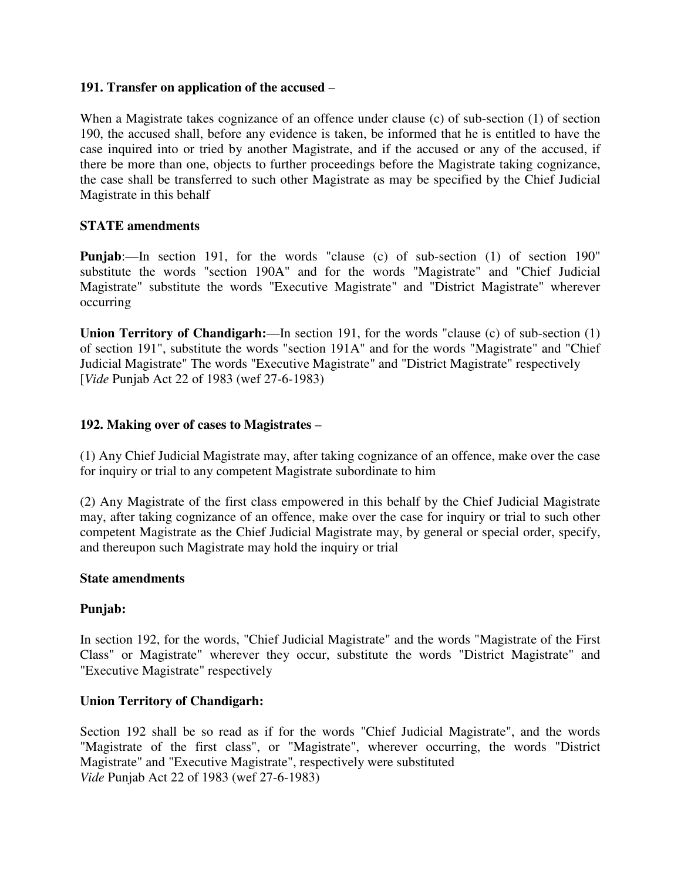#### **191. Transfer on application of the accused** –

When a Magistrate takes cognizance of an offence under clause (c) of sub-section (1) of section 190, the accused shall, before any evidence is taken, be informed that he is entitled to have the case inquired into or tried by another Magistrate, and if the accused or any of the accused, if there be more than one, objects to further proceedings before the Magistrate taking cognizance, the case shall be transferred to such other Magistrate as may be specified by the Chief Judicial Magistrate in this behalf

#### **STATE amendments**

**Punjab**:—In section 191, for the words "clause (c) of sub-section (1) of section 190" substitute the words "section 190A" and for the words "Magistrate" and "Chief Judicial Magistrate" substitute the words "Executive Magistrate" and "District Magistrate" wherever occurring

**Union Territory of Chandigarh:**—In section 191, for the words "clause (c) of sub-section (1) of section 191", substitute the words "section 191A" and for the words "Magistrate" and "Chief Judicial Magistrate" The words "Executive Magistrate" and "District Magistrate" respectively [*Vide* Punjab Act 22 of 1983 (wef 27-6-1983)

#### **192. Making over of cases to Magistrates** –

(1) Any Chief Judicial Magistrate may, after taking cognizance of an offence, make over the case for inquiry or trial to any competent Magistrate subordinate to him

(2) Any Magistrate of the first class empowered in this behalf by the Chief Judicial Magistrate may, after taking cognizance of an offence, make over the case for inquiry or trial to such other competent Magistrate as the Chief Judicial Magistrate may, by general or special order, specify, and thereupon such Magistrate may hold the inquiry or trial

#### **State amendments**

#### **Punjab:**

In section 192, for the words, "Chief Judicial Magistrate" and the words "Magistrate of the First Class" or Magistrate" wherever they occur, substitute the words "District Magistrate" and "Executive Magistrate" respectively

#### **Union Territory of Chandigarh:**

Section 192 shall be so read as if for the words "Chief Judicial Magistrate", and the words "Magistrate of the first class", or "Magistrate", wherever occurring, the words "District Magistrate" and "Executive Magistrate", respectively were substituted *Vide* Punjab Act 22 of 1983 (wef 27-6-1983)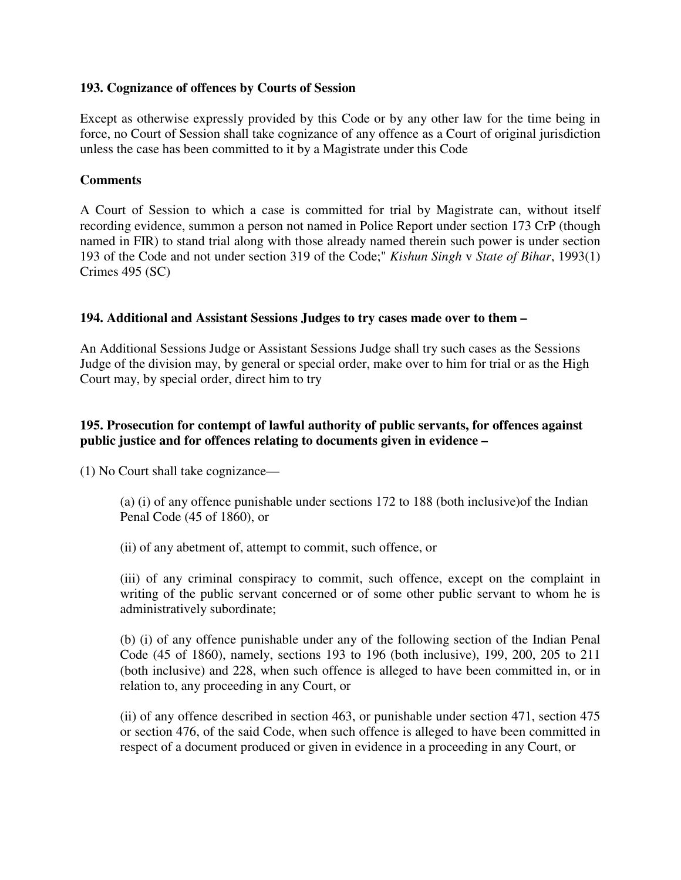#### **193. Cognizance of offences by Courts of Session**

Except as otherwise expressly provided by this Code or by any other law for the time being in force, no Court of Session shall take cognizance of any offence as a Court of original jurisdiction unless the case has been committed to it by a Magistrate under this Code

### **Comments**

A Court of Session to which a case is committed for trial by Magistrate can, without itself recording evidence, summon a person not named in Police Report under section 173 CrP (though named in FIR) to stand trial along with those already named therein such power is under section 193 of the Code and not under section 319 of the Code;" *Kishun Singh* v *State of Bihar*, 1993(1) Crimes 495 (SC)

### **194. Additional and Assistant Sessions Judges to try cases made over to them –**

An Additional Sessions Judge or Assistant Sessions Judge shall try such cases as the Sessions Judge of the division may, by general or special order, make over to him for trial or as the High Court may, by special order, direct him to try

### **195. Prosecution for contempt of lawful authority of public servants, for offences against public justice and for offences relating to documents given in evidence –**

(1) No Court shall take cognizance—

(a) (i) of any offence punishable under sections 172 to 188 (both inclusive)of the Indian Penal Code (45 of 1860), or

(ii) of any abetment of, attempt to commit, such offence, or

(iii) of any criminal conspiracy to commit, such offence, except on the complaint in writing of the public servant concerned or of some other public servant to whom he is administratively subordinate;

(b) (i) of any offence punishable under any of the following section of the Indian Penal Code (45 of 1860), namely, sections 193 to 196 (both inclusive), 199, 200, 205 to 211 (both inclusive) and 228, when such offence is alleged to have been committed in, or in relation to, any proceeding in any Court, or

(ii) of any offence described in section 463, or punishable under section 471, section 475 or section 476, of the said Code, when such offence is alleged to have been committed in respect of a document produced or given in evidence in a proceeding in any Court, or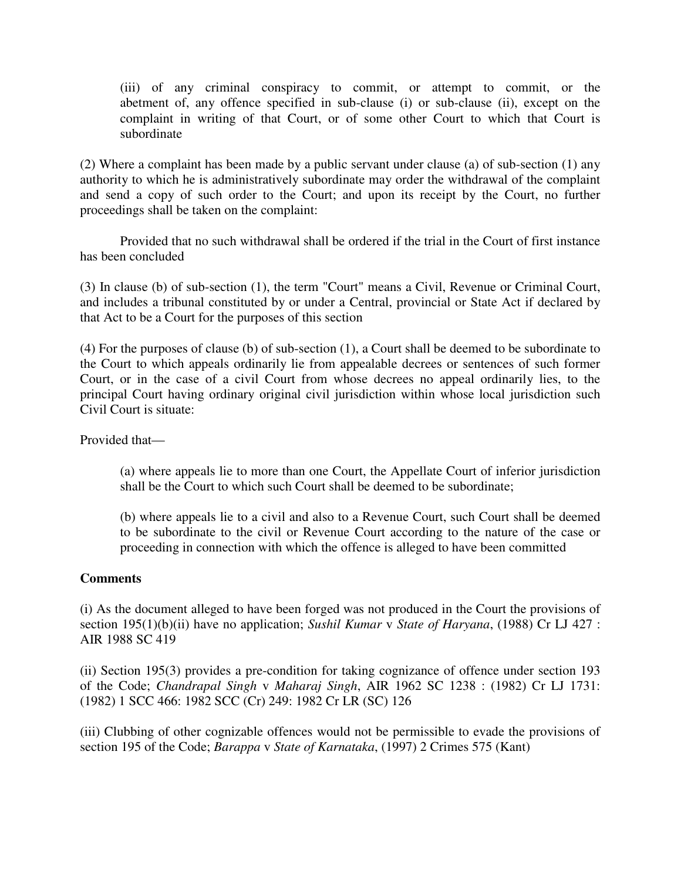(iii) of any criminal conspiracy to commit, or attempt to commit, or the abetment of, any offence specified in sub-clause (i) or sub-clause (ii), except on the complaint in writing of that Court, or of some other Court to which that Court is subordinate

(2) Where a complaint has been made by a public servant under clause (a) of sub-section (1) any authority to which he is administratively subordinate may order the withdrawal of the complaint and send a copy of such order to the Court; and upon its receipt by the Court, no further proceedings shall be taken on the complaint:

Provided that no such withdrawal shall be ordered if the trial in the Court of first instance has been concluded

(3) In clause (b) of sub-section (1), the term "Court" means a Civil, Revenue or Criminal Court, and includes a tribunal constituted by or under a Central, provincial or State Act if declared by that Act to be a Court for the purposes of this section

(4) For the purposes of clause (b) of sub-section (1), a Court shall be deemed to be subordinate to the Court to which appeals ordinarily lie from appealable decrees or sentences of such former Court, or in the case of a civil Court from whose decrees no appeal ordinarily lies, to the principal Court having ordinary original civil jurisdiction within whose local jurisdiction such Civil Court is situate:

Provided that—

(a) where appeals lie to more than one Court, the Appellate Court of inferior jurisdiction shall be the Court to which such Court shall be deemed to be subordinate;

(b) where appeals lie to a civil and also to a Revenue Court, such Court shall be deemed to be subordinate to the civil or Revenue Court according to the nature of the case or proceeding in connection with which the offence is alleged to have been committed

# **Comments**

(i) As the document alleged to have been forged was not produced in the Court the provisions of section 195(1)(b)(ii) have no application; *Sushil Kumar* v *State of Haryana*, (1988) Cr LJ 427 : AIR 1988 SC 419

(ii) Section 195(3) provides a pre-condition for taking cognizance of offence under section 193 of the Code; *Chandrapal Singh* v *Maharaj Singh*, AIR 1962 SC 1238 : (1982) Cr LJ 1731: (1982) 1 SCC 466: 1982 SCC (Cr) 249: 1982 Cr LR (SC) 126

(iii) Clubbing of other cognizable offences would not be permissible to evade the provisions of section 195 of the Code; *Barappa* v *State of Karnataka*, (1997) 2 Crimes 575 (Kant)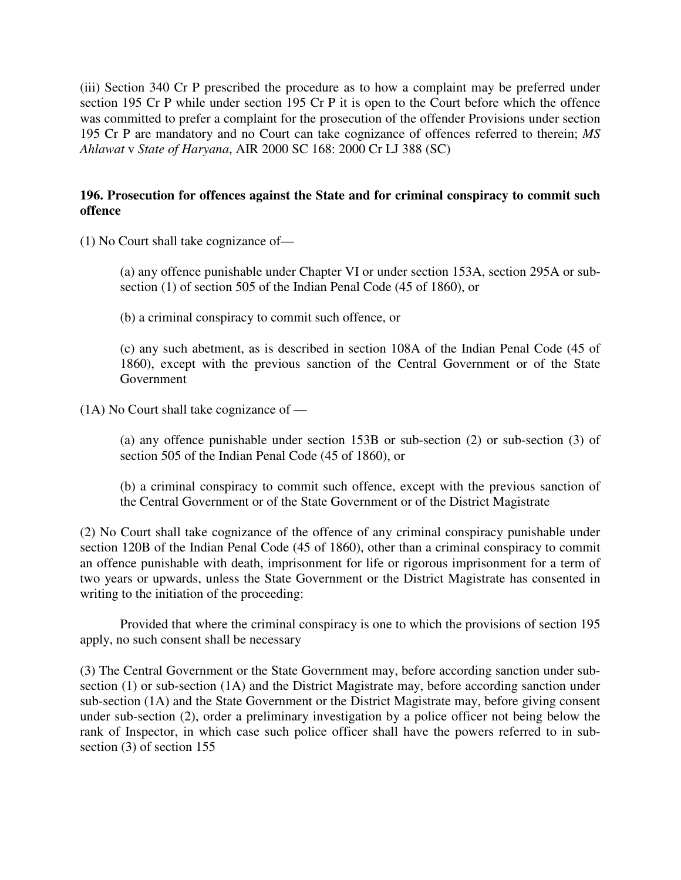(iii) Section 340 Cr P prescribed the procedure as to how a complaint may be preferred under section 195 Cr P while under section 195 Cr P it is open to the Court before which the offence was committed to prefer a complaint for the prosecution of the offender Provisions under section 195 Cr P are mandatory and no Court can take cognizance of offences referred to therein; *MS Ahlawat* v *State of Haryana*, AIR 2000 SC 168: 2000 Cr LJ 388 (SC)

#### **196. Prosecution for offences against the State and for criminal conspiracy to commit such offence**

(1) No Court shall take cognizance of—

(a) any offence punishable under Chapter VI or under section 153A, section 295A or subsection (1) of section 505 of the Indian Penal Code (45 of 1860), or

(b) a criminal conspiracy to commit such offence, or

(c) any such abetment, as is described in section 108A of the Indian Penal Code (45 of 1860), except with the previous sanction of the Central Government or of the State Government

(1A) No Court shall take cognizance of —

(a) any offence punishable under section 153B or sub-section (2) or sub-section (3) of section 505 of the Indian Penal Code (45 of 1860), or

(b) a criminal conspiracy to commit such offence, except with the previous sanction of the Central Government or of the State Government or of the District Magistrate

(2) No Court shall take cognizance of the offence of any criminal conspiracy punishable under section 120B of the Indian Penal Code (45 of 1860), other than a criminal conspiracy to commit an offence punishable with death, imprisonment for life or rigorous imprisonment for a term of two years or upwards, unless the State Government or the District Magistrate has consented in writing to the initiation of the proceeding:

Provided that where the criminal conspiracy is one to which the provisions of section 195 apply, no such consent shall be necessary

(3) The Central Government or the State Government may, before according sanction under subsection (1) or sub-section (1A) and the District Magistrate may, before according sanction under sub-section (1A) and the State Government or the District Magistrate may, before giving consent under sub-section (2), order a preliminary investigation by a police officer not being below the rank of Inspector, in which case such police officer shall have the powers referred to in subsection (3) of section 155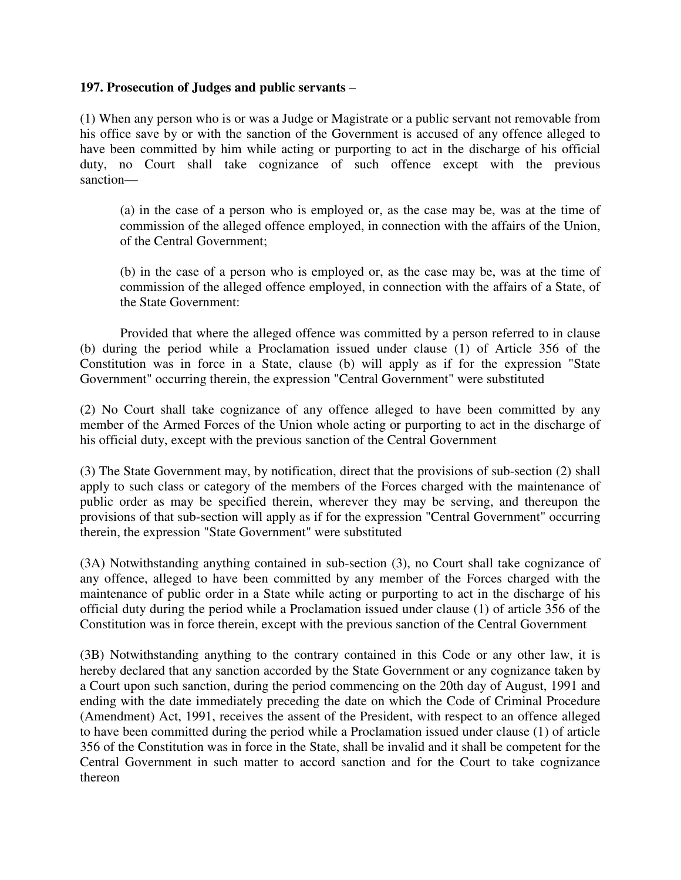#### **197. Prosecution of Judges and public servants** –

(1) When any person who is or was a Judge or Magistrate or a public servant not removable from his office save by or with the sanction of the Government is accused of any offence alleged to have been committed by him while acting or purporting to act in the discharge of his official duty, no Court shall take cognizance of such offence except with the previous sanction—

(a) in the case of a person who is employed or, as the case may be, was at the time of commission of the alleged offence employed, in connection with the affairs of the Union, of the Central Government;

(b) in the case of a person who is employed or, as the case may be, was at the time of commission of the alleged offence employed, in connection with the affairs of a State, of the State Government:

Provided that where the alleged offence was committed by a person referred to in clause (b) during the period while a Proclamation issued under clause (1) of Article 356 of the Constitution was in force in a State, clause (b) will apply as if for the expression "State Government" occurring therein, the expression "Central Government" were substituted

(2) No Court shall take cognizance of any offence alleged to have been committed by any member of the Armed Forces of the Union whole acting or purporting to act in the discharge of his official duty, except with the previous sanction of the Central Government

(3) The State Government may, by notification, direct that the provisions of sub-section (2) shall apply to such class or category of the members of the Forces charged with the maintenance of public order as may be specified therein, wherever they may be serving, and thereupon the provisions of that sub-section will apply as if for the expression "Central Government" occurring therein, the expression "State Government" were substituted

(3A) Notwithstanding anything contained in sub-section (3), no Court shall take cognizance of any offence, alleged to have been committed by any member of the Forces charged with the maintenance of public order in a State while acting or purporting to act in the discharge of his official duty during the period while a Proclamation issued under clause (1) of article 356 of the Constitution was in force therein, except with the previous sanction of the Central Government

(3B) Notwithstanding anything to the contrary contained in this Code or any other law, it is hereby declared that any sanction accorded by the State Government or any cognizance taken by a Court upon such sanction, during the period commencing on the 20th day of August, 1991 and ending with the date immediately preceding the date on which the Code of Criminal Procedure (Amendment) Act, 1991, receives the assent of the President, with respect to an offence alleged to have been committed during the period while a Proclamation issued under clause (1) of article 356 of the Constitution was in force in the State, shall be invalid and it shall be competent for the Central Government in such matter to accord sanction and for the Court to take cognizance thereon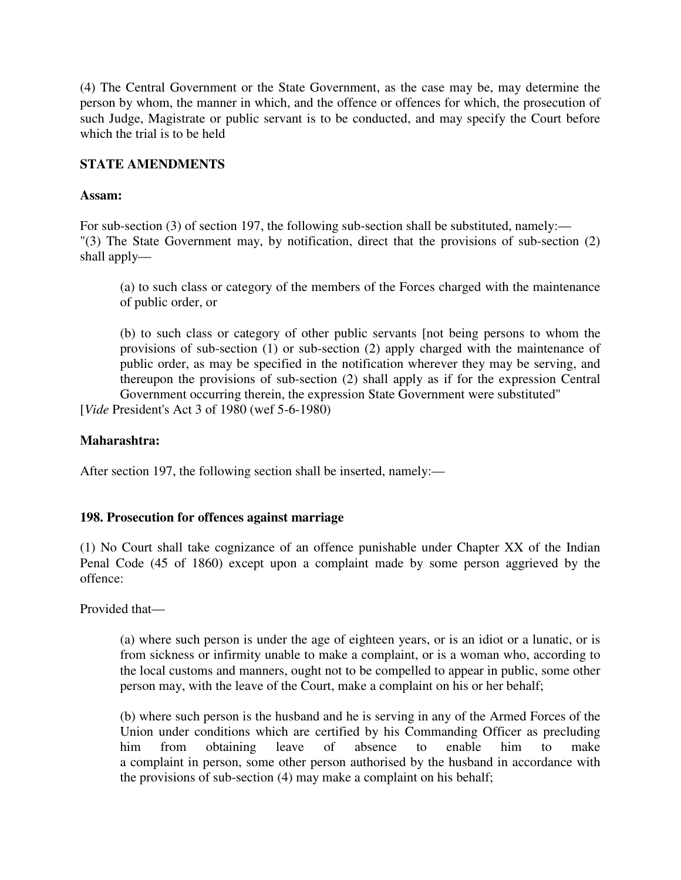(4) The Central Government or the State Government, as the case may be, may determine the person by whom, the manner in which, and the offence or offences for which, the prosecution of such Judge, Magistrate or public servant is to be conducted, and may specify the Court before which the trial is to be held

### **STATE AMENDMENTS**

#### **Assam:**

For sub-section (3) of section 197, the following sub-section shall be substituted, namely:— "(3) The State Government may, by notification, direct that the provisions of sub-section (2) shall apply—

(a) to such class or category of the members of the Forces charged with the maintenance of public order, or

(b) to such class or category of other public servants [not being persons to whom the provisions of sub-section (1) or sub-section (2) apply charged with the maintenance of public order, as may be specified in the notification wherever they may be serving, and thereupon the provisions of sub-section (2) shall apply as if for the expression Central Government occurring therein, the expression State Government were substituted"

[*Vide* President's Act 3 of 1980 (wef 5-6-1980)

#### **Maharashtra:**

After section 197, the following section shall be inserted, namely:—

# **198. Prosecution for offences against marriage**

(1) No Court shall take cognizance of an offence punishable under Chapter XX of the Indian Penal Code (45 of 1860) except upon a complaint made by some person aggrieved by the offence:

Provided that—

(a) where such person is under the age of eighteen years, or is an idiot or a lunatic, or is from sickness or infirmity unable to make a complaint, or is a woman who, according to the local customs and manners, ought not to be compelled to appear in public, some other person may, with the leave of the Court, make a complaint on his or her behalf;

(b) where such person is the husband and he is serving in any of the Armed Forces of the Union under conditions which are certified by his Commanding Officer as precluding him from obtaining leave of absence to enable him to make a complaint in person, some other person authorised by the husband in accordance with the provisions of sub-section (4) may make a complaint on his behalf;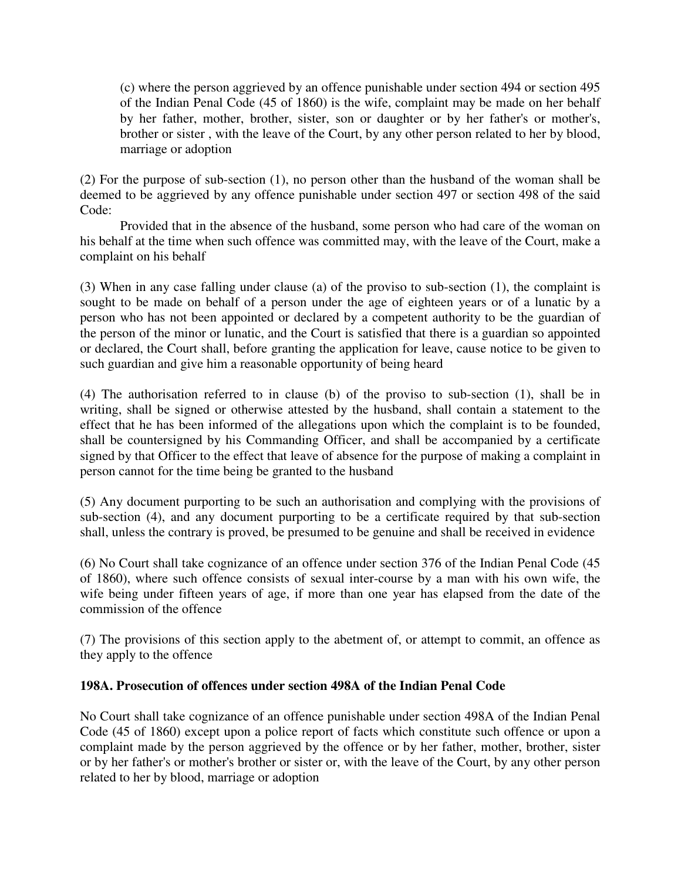(c) where the person aggrieved by an offence punishable under section 494 or section 495 of the Indian Penal Code (45 of 1860) is the wife, complaint may be made on her behalf by her father, mother, brother, sister, son or daughter or by her father's or mother's, brother or sister , with the leave of the Court, by any other person related to her by blood, marriage or adoption

(2) For the purpose of sub-section (1), no person other than the husband of the woman shall be deemed to be aggrieved by any offence punishable under section 497 or section 498 of the said Code:

Provided that in the absence of the husband, some person who had care of the woman on his behalf at the time when such offence was committed may, with the leave of the Court, make a complaint on his behalf

(3) When in any case falling under clause (a) of the proviso to sub-section (1), the complaint is sought to be made on behalf of a person under the age of eighteen years or of a lunatic by a person who has not been appointed or declared by a competent authority to be the guardian of the person of the minor or lunatic, and the Court is satisfied that there is a guardian so appointed or declared, the Court shall, before granting the application for leave, cause notice to be given to such guardian and give him a reasonable opportunity of being heard

(4) The authorisation referred to in clause (b) of the proviso to sub-section (1), shall be in writing, shall be signed or otherwise attested by the husband, shall contain a statement to the effect that he has been informed of the allegations upon which the complaint is to be founded, shall be countersigned by his Commanding Officer, and shall be accompanied by a certificate signed by that Officer to the effect that leave of absence for the purpose of making a complaint in person cannot for the time being be granted to the husband

(5) Any document purporting to be such an authorisation and complying with the provisions of sub-section (4), and any document purporting to be a certificate required by that sub-section shall, unless the contrary is proved, be presumed to be genuine and shall be received in evidence

(6) No Court shall take cognizance of an offence under section 376 of the Indian Penal Code (45 of 1860), where such offence consists of sexual inter-course by a man with his own wife, the wife being under fifteen years of age, if more than one year has elapsed from the date of the commission of the offence

(7) The provisions of this section apply to the abetment of, or attempt to commit, an offence as they apply to the offence

# **198A. Prosecution of offences under section 498A of the Indian Penal Code**

No Court shall take cognizance of an offence punishable under section 498A of the Indian Penal Code (45 of 1860) except upon a police report of facts which constitute such offence or upon a complaint made by the person aggrieved by the offence or by her father, mother, brother, sister or by her father's or mother's brother or sister or, with the leave of the Court, by any other person related to her by blood, marriage or adoption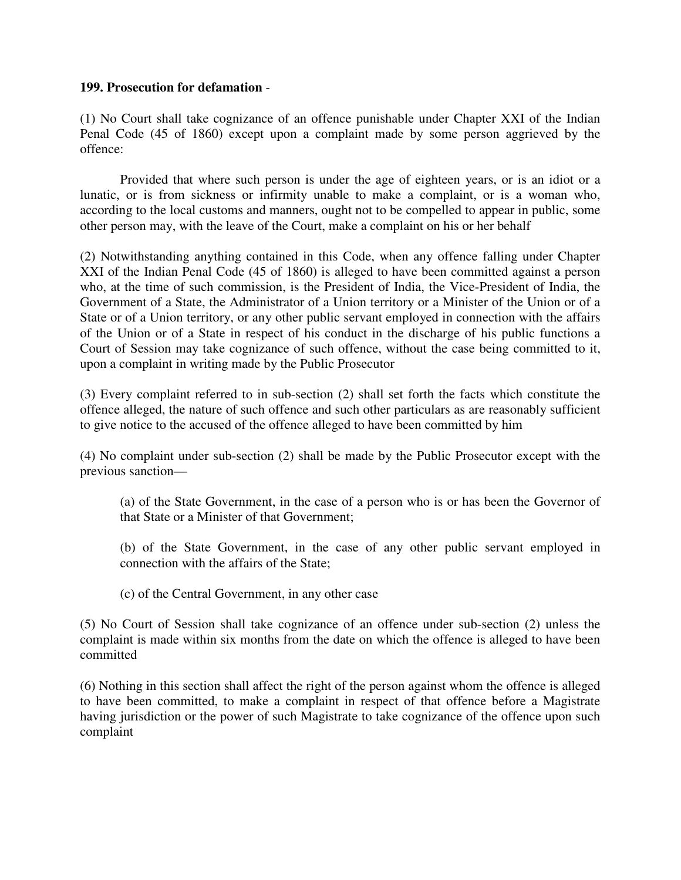#### **199. Prosecution for defamation** -

(1) No Court shall take cognizance of an offence punishable under Chapter XXI of the Indian Penal Code (45 of 1860) except upon a complaint made by some person aggrieved by the offence:

Provided that where such person is under the age of eighteen years, or is an idiot or a lunatic, or is from sickness or infirmity unable to make a complaint, or is a woman who, according to the local customs and manners, ought not to be compelled to appear in public, some other person may, with the leave of the Court, make a complaint on his or her behalf

(2) Notwithstanding anything contained in this Code, when any offence falling under Chapter XXI of the Indian Penal Code (45 of 1860) is alleged to have been committed against a person who, at the time of such commission, is the President of India, the Vice-President of India, the Government of a State, the Administrator of a Union territory or a Minister of the Union or of a State or of a Union territory, or any other public servant employed in connection with the affairs of the Union or of a State in respect of his conduct in the discharge of his public functions a Court of Session may take cognizance of such offence, without the case being committed to it, upon a complaint in writing made by the Public Prosecutor

(3) Every complaint referred to in sub-section (2) shall set forth the facts which constitute the offence alleged, the nature of such offence and such other particulars as are reasonably sufficient to give notice to the accused of the offence alleged to have been committed by him

(4) No complaint under sub-section (2) shall be made by the Public Prosecutor except with the previous sanction—

(a) of the State Government, in the case of a person who is or has been the Governor of that State or a Minister of that Government;

(b) of the State Government, in the case of any other public servant employed in connection with the affairs of the State;

(c) of the Central Government, in any other case

(5) No Court of Session shall take cognizance of an offence under sub-section (2) unless the complaint is made within six months from the date on which the offence is alleged to have been committed

(6) Nothing in this section shall affect the right of the person against whom the offence is alleged to have been committed, to make a complaint in respect of that offence before a Magistrate having jurisdiction or the power of such Magistrate to take cognizance of the offence upon such complaint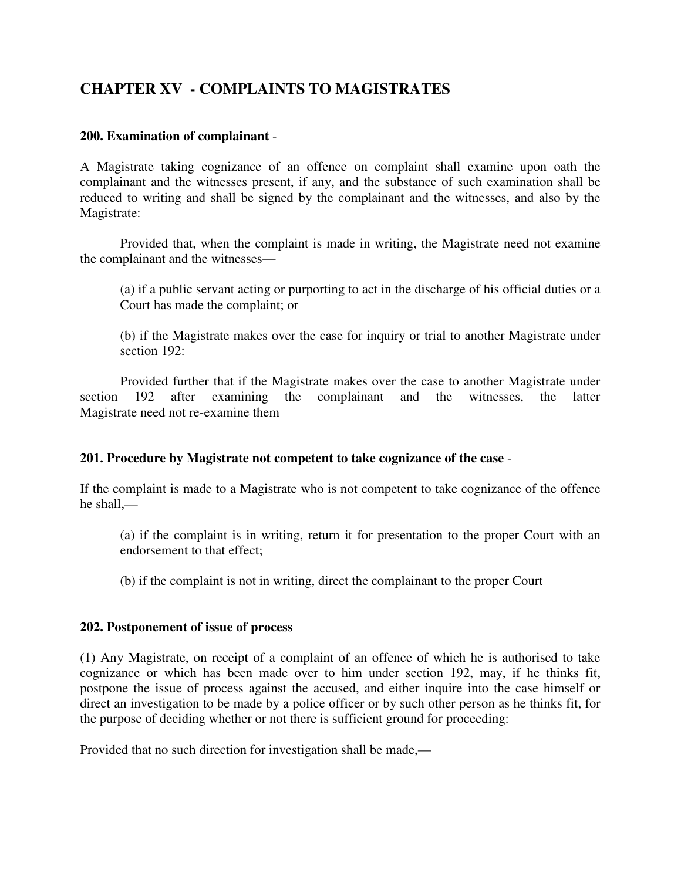# **CHAPTER XV - COMPLAINTS TO MAGISTRATES**

#### **200. Examination of complainant** -

A Magistrate taking cognizance of an offence on complaint shall examine upon oath the complainant and the witnesses present, if any, and the substance of such examination shall be reduced to writing and shall be signed by the complainant and the witnesses, and also by the Magistrate:

Provided that, when the complaint is made in writing, the Magistrate need not examine the complainant and the witnesses—

(a) if a public servant acting or purporting to act in the discharge of his official duties or a Court has made the complaint; or

(b) if the Magistrate makes over the case for inquiry or trial to another Magistrate under section 192:

Provided further that if the Magistrate makes over the case to another Magistrate under section 192 after examining the complainant and the witnesses, the latter Magistrate need not re-examine them

#### **201. Procedure by Magistrate not competent to take cognizance of the case** -

If the complaint is made to a Magistrate who is not competent to take cognizance of the offence he shall,—

(a) if the complaint is in writing, return it for presentation to the proper Court with an endorsement to that effect;

(b) if the complaint is not in writing, direct the complainant to the proper Court

#### **202. Postponement of issue of process**

(1) Any Magistrate, on receipt of a complaint of an offence of which he is authorised to take cognizance or which has been made over to him under section 192, may, if he thinks fit, postpone the issue of process against the accused, and either inquire into the case himself or direct an investigation to be made by a police officer or by such other person as he thinks fit, for the purpose of deciding whether or not there is sufficient ground for proceeding:

Provided that no such direction for investigation shall be made,—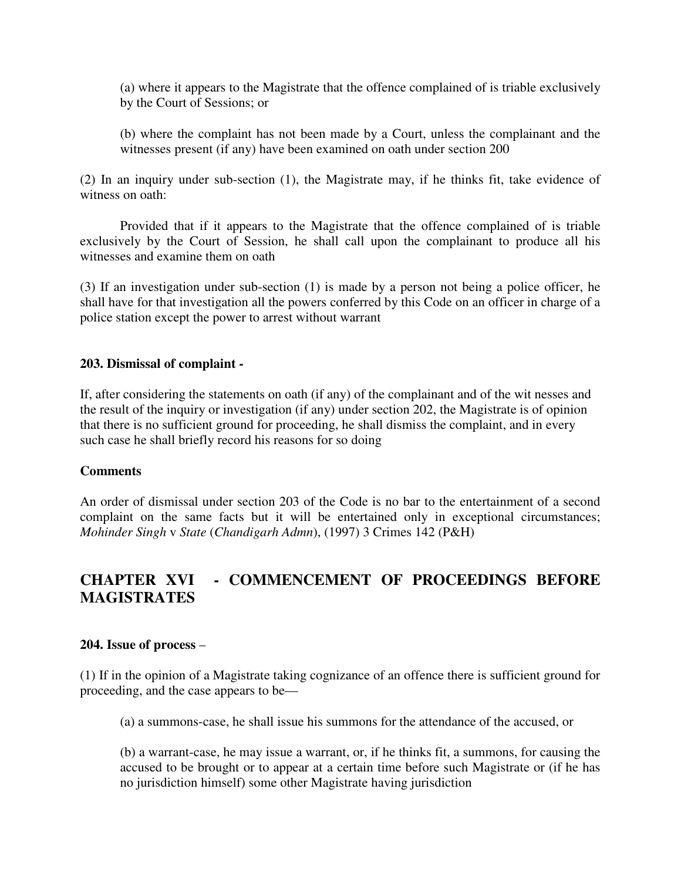(a) where it appears to the Magistrate that the offence complained of is triable exclusively by the Court of Sessions; or

(b) where the complaint has not been made by a Court, unless the complainant and the witnesses present (if any) have been examined on oath under section 200

(2) In an inquiry under sub-section (1), the Magistrate may, if he thinks fit, take evidence of witness on oath:

Provided that if it appears to the Magistrate that the offence complained of is triable exclusively by the Court of Session, he shall call upon the complainant to produce all his witnesses and examine them on oath

(3) If an investigation under sub-section (1) is made by a person not being a police officer, he shall have for that investigation all the powers conferred by this Code on an officer in charge of a police station except the power to arrest without warrant

#### **203. Dismissal of complaint -**

If, after considering the statements on oath (if any) of the complainant and of the wit nesses and the result of the inquiry or investigation (if any) under section 202, the Magistrate is of opinion that there is no sufficient ground for proceeding, he shall dismiss the complaint, and in every such case he shall briefly record his reasons for so doing

#### **Comments**

An order of dismissal under section 203 of the Code is no bar to the entertainment of a second complaint on the same facts but it will be entertained only in exceptional circumstances; *Mohinder Singh* v *State* (*Chandigarh Admn*), (1997) 3 Crimes 142 (P&H)

# **CHAPTER XVI - COMMENCEMENT OF PROCEEDINGS BEFORE MAGISTRATES**

#### **204. Issue of process** –

(1) If in the opinion of a Magistrate taking cognizance of an offence there is sufficient ground for proceeding, and the case appears to be—

(a) a summons-case, he shall issue his summons for the attendance of the accused, or

(b) a warrant-case, he may issue a warrant, or, if he thinks fit, a summons, for causing the accused to be brought or to appear at a certain time before such Magistrate or (if he has no jurisdiction himself) some other Magistrate having jurisdiction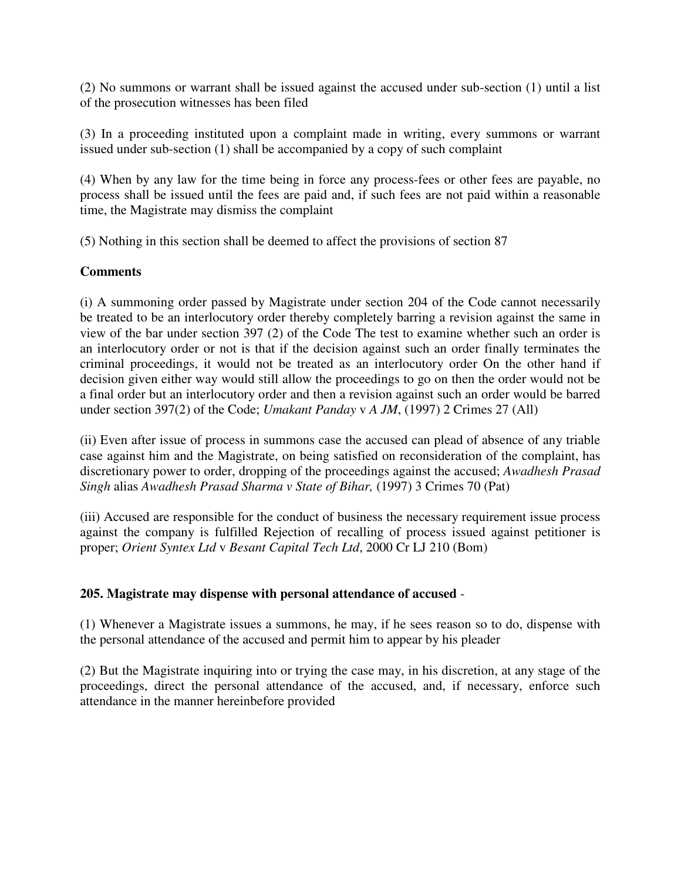(2) No summons or warrant shall be issued against the accused under sub-section (1) until a list of the prosecution witnesses has been filed

(3) In a proceeding instituted upon a complaint made in writing, every summons or warrant issued under sub-section (1) shall be accompanied by a copy of such complaint

(4) When by any law for the time being in force any process-fees or other fees are payable, no process shall be issued until the fees are paid and, if such fees are not paid within a reasonable time, the Magistrate may dismiss the complaint

(5) Nothing in this section shall be deemed to affect the provisions of section 87

### **Comments**

(i) A summoning order passed by Magistrate under section 204 of the Code cannot necessarily be treated to be an interlocutory order thereby completely barring a revision against the same in view of the bar under section 397 (2) of the Code The test to examine whether such an order is an interlocutory order or not is that if the decision against such an order finally terminates the criminal proceedings, it would not be treated as an interlocutory order On the other hand if decision given either way would still allow the proceedings to go on then the order would not be a final order but an interlocutory order and then a revision against such an order would be barred under section 397(2) of the Code; *Umakant Panday* v *A JM*, (1997) 2 Crimes 27 (All)

(ii) Even after issue of process in summons case the accused can plead of absence of any triable case against him and the Magistrate, on being satisfied on reconsideration of the complaint, has discretionary power to order, dropping of the proceedings against the accused; *Awadhesh Prasad Singh* alias *Awadhesh Prasad Sharma v State of Bihar,* (1997) 3 Crimes 70 (Pat)

(iii) Accused are responsible for the conduct of business the necessary requirement issue process against the company is fulfilled Rejection of recalling of process issued against petitioner is proper; *Orient Syntex Ltd* v *Besant Capital Tech Ltd*, 2000 Cr LJ 210 (Bom)

#### **205. Magistrate may dispense with personal attendance of accused** -

(1) Whenever a Magistrate issues a summons, he may, if he sees reason so to do, dispense with the personal attendance of the accused and permit him to appear by his pleader

(2) But the Magistrate inquiring into or trying the case may, in his discretion, at any stage of the proceedings, direct the personal attendance of the accused, and, if necessary, enforce such attendance in the manner hereinbefore provided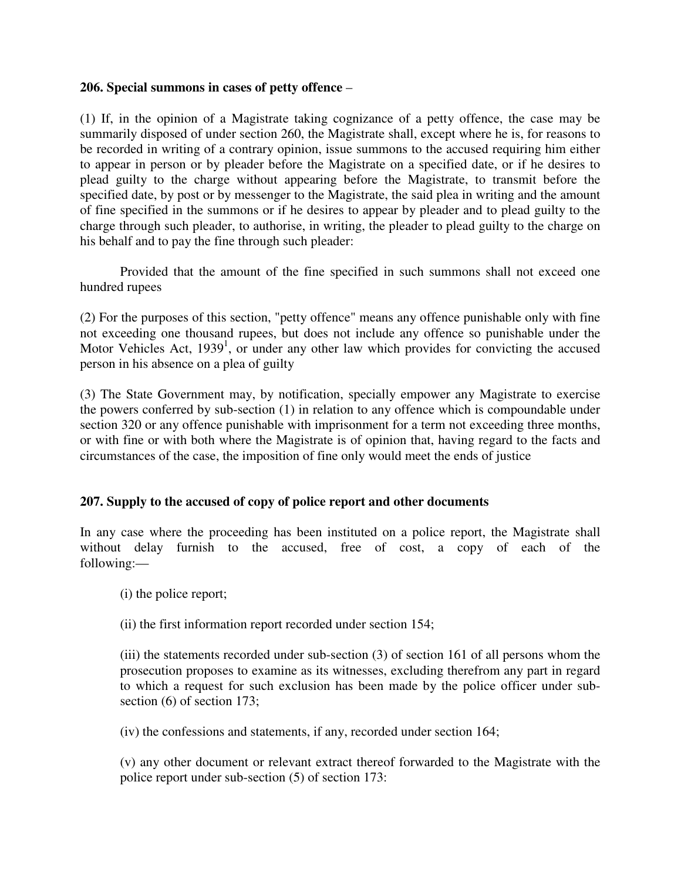#### **206. Special summons in cases of petty offence** –

(1) If, in the opinion of a Magistrate taking cognizance of a petty offence, the case may be summarily disposed of under section 260, the Magistrate shall, except where he is, for reasons to be recorded in writing of a contrary opinion, issue summons to the accused requiring him either to appear in person or by pleader before the Magistrate on a specified date, or if he desires to plead guilty to the charge without appearing before the Magistrate, to transmit before the specified date, by post or by messenger to the Magistrate, the said plea in writing and the amount of fine specified in the summons or if he desires to appear by pleader and to plead guilty to the charge through such pleader, to authorise, in writing, the pleader to plead guilty to the charge on his behalf and to pay the fine through such pleader:

Provided that the amount of the fine specified in such summons shall not exceed one hundred rupees

(2) For the purposes of this section, "petty offence" means any offence punishable only with fine not exceeding one thousand rupees, but does not include any offence so punishable under the Motor Vehicles Act, 1939<sup>1</sup>, or under any other law which provides for convicting the accused person in his absence on a plea of guilty

(3) The State Government may, by notification, specially empower any Magistrate to exercise the powers conferred by sub-section (1) in relation to any offence which is compoundable under section 320 or any offence punishable with imprisonment for a term not exceeding three months, or with fine or with both where the Magistrate is of opinion that, having regard to the facts and circumstances of the case, the imposition of fine only would meet the ends of justice

#### **207. Supply to the accused of copy of police report and other documents**

In any case where the proceeding has been instituted on a police report, the Magistrate shall without delay furnish to the accused, free of cost, a copy of each of the following:—

(i) the police report;

(ii) the first information report recorded under section 154;

(iii) the statements recorded under sub-section (3) of section 161 of all persons whom the prosecution proposes to examine as its witnesses, excluding therefrom any part in regard to which a request for such exclusion has been made by the police officer under subsection (6) of section 173;

(iv) the confessions and statements, if any, recorded under section 164;

(v) any other document or relevant extract thereof forwarded to the Magistrate with the police report under sub-section (5) of section 173: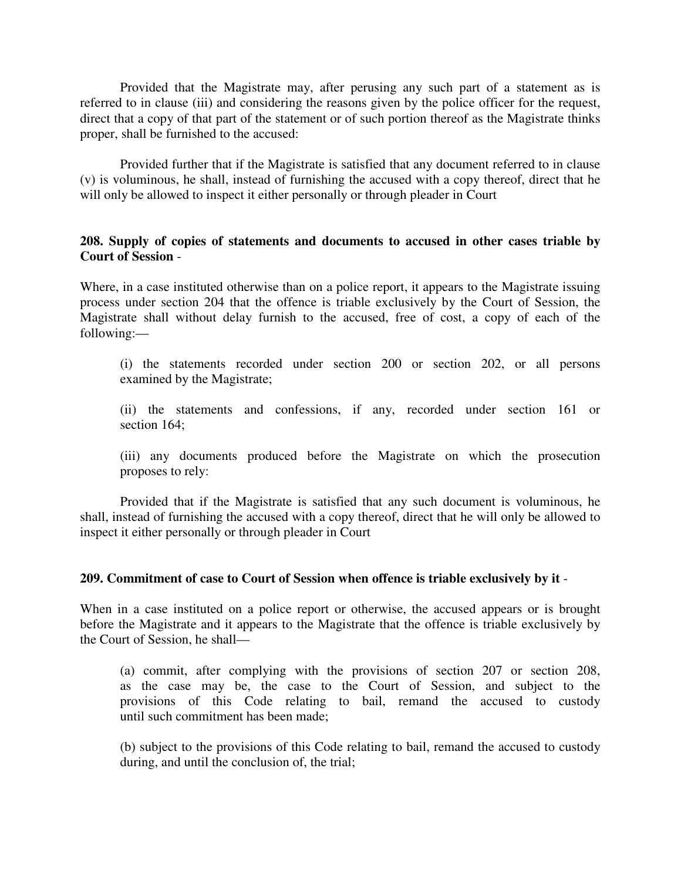Provided that the Magistrate may, after perusing any such part of a statement as is referred to in clause (iii) and considering the reasons given by the police officer for the request, direct that a copy of that part of the statement or of such portion thereof as the Magistrate thinks proper, shall be furnished to the accused:

Provided further that if the Magistrate is satisfied that any document referred to in clause (v) is voluminous, he shall, instead of furnishing the accused with a copy thereof, direct that he will only be allowed to inspect it either personally or through pleader in Court

#### **208. Supply of copies of statements and documents to accused in other cases triable by Court of Session** -

Where, in a case instituted otherwise than on a police report, it appears to the Magistrate issuing process under section 204 that the offence is triable exclusively by the Court of Session, the Magistrate shall without delay furnish to the accused, free of cost, a copy of each of the following:—

(i) the statements recorded under section 200 or section 202, or all persons examined by the Magistrate;

(ii) the statements and confessions, if any, recorded under section 161 or section 164;

(iii) any documents produced before the Magistrate on which the prosecution proposes to rely:

Provided that if the Magistrate is satisfied that any such document is voluminous, he shall, instead of furnishing the accused with a copy thereof, direct that he will only be allowed to inspect it either personally or through pleader in Court

#### **209. Commitment of case to Court of Session when offence is triable exclusively by it** -

When in a case instituted on a police report or otherwise, the accused appears or is brought before the Magistrate and it appears to the Magistrate that the offence is triable exclusively by the Court of Session, he shall—

(a) commit, after complying with the provisions of section 207 or section 208, as the case may be, the case to the Court of Session, and subject to the provisions of this Code relating to bail, remand the accused to custody until such commitment has been made;

(b) subject to the provisions of this Code relating to bail, remand the accused to custody during, and until the conclusion of, the trial;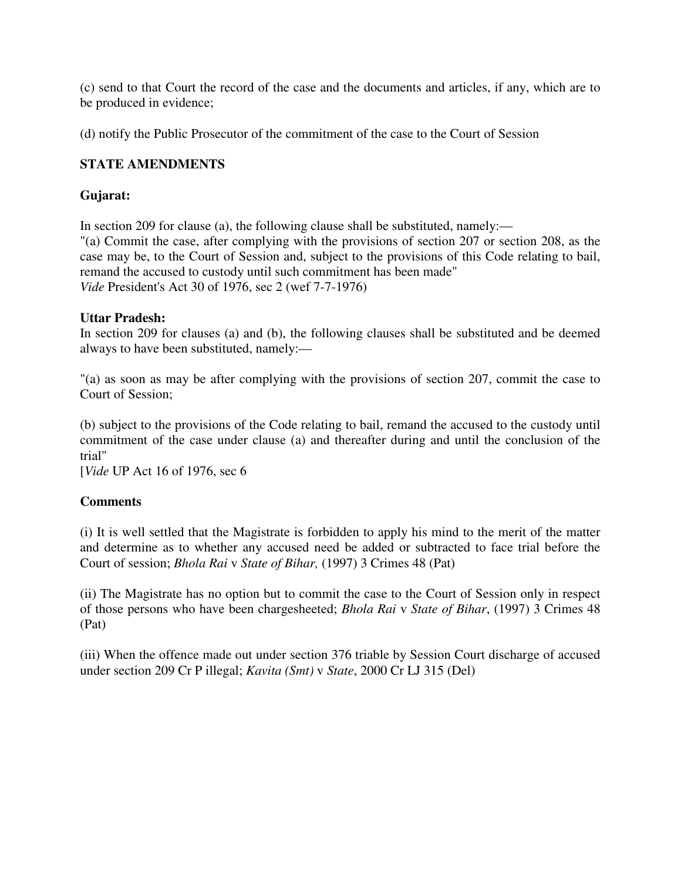(c) send to that Court the record of the case and the documents and articles, if any, which are to be produced in evidence;

(d) notify the Public Prosecutor of the commitment of the case to the Court of Session

# **STATE AMENDMENTS**

## **Gujarat:**

In section 209 for clause (a), the following clause shall be substituted, namely:— "(a) Commit the case, after complying with the provisions of section 207 or section 208, as the case may be, to the Court of Session and, subject to the provisions of this Code relating to bail, remand the accused to custody until such commitment has been made" *Vide* President's Act 30 of 1976, sec 2 (wef 7-7-1976)

#### **Uttar Pradesh:**

In section 209 for clauses (a) and (b), the following clauses shall be substituted and be deemed always to have been substituted, namely:—

"(a) as soon as may be after complying with the provisions of section 207, commit the case to Court of Session;

(b) subject to the provisions of the Code relating to bail, remand the accused to the custody until commitment of the case under clause (a) and thereafter during and until the conclusion of the trial"

[*Vide* UP Act 16 of 1976, sec 6

# **Comments**

(i) It is well settled that the Magistrate is forbidden to apply his mind to the merit of the matter and determine as to whether any accused need be added or subtracted to face trial before the Court of session; *Bhola Rai* v *State of Bihar,* (1997) 3 Crimes 48 (Pat)

(ii) The Magistrate has no option but to commit the case to the Court of Session only in respect of those persons who have been chargesheeted; *Bhola Rai* v *State of Bihar*, (1997) 3 Crimes 48 (Pat)

(iii) When the offence made out under section 376 triable by Session Court discharge of accused under section 209 Cr P illegal; *Kavita (Smt)* v *State*, 2000 Cr LJ 315 (Del)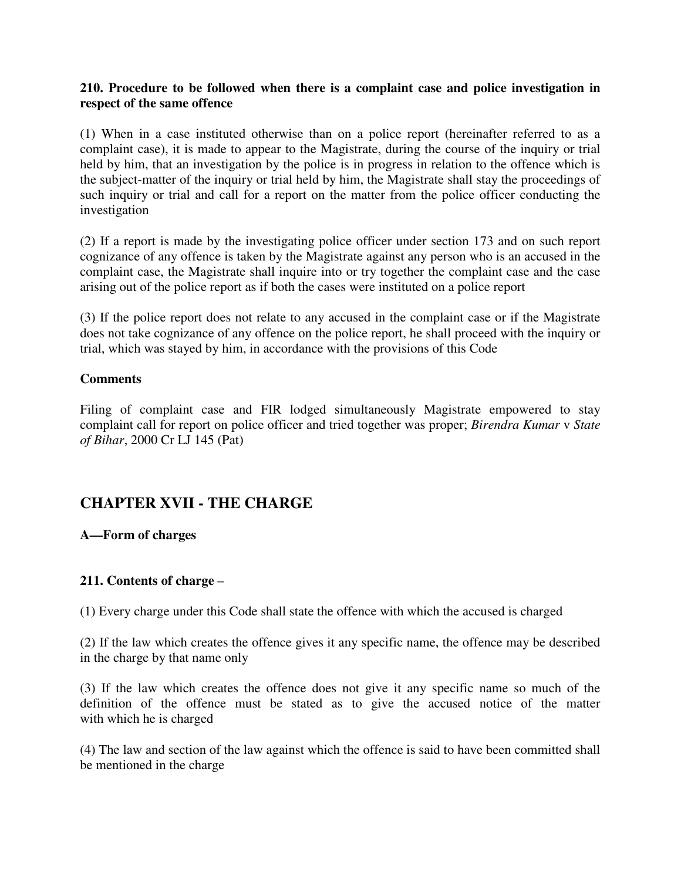### **210. Procedure to be followed when there is a complaint case and police investigation in respect of the same offence**

(1) When in a case instituted otherwise than on a police report (hereinafter referred to as a complaint case), it is made to appear to the Magistrate, during the course of the inquiry or trial held by him, that an investigation by the police is in progress in relation to the offence which is the subject-matter of the inquiry or trial held by him, the Magistrate shall stay the proceedings of such inquiry or trial and call for a report on the matter from the police officer conducting the investigation

(2) If a report is made by the investigating police officer under section 173 and on such report cognizance of any offence is taken by the Magistrate against any person who is an accused in the complaint case, the Magistrate shall inquire into or try together the complaint case and the case arising out of the police report as if both the cases were instituted on a police report

(3) If the police report does not relate to any accused in the complaint case or if the Magistrate does not take cognizance of any offence on the police report, he shall proceed with the inquiry or trial, which was stayed by him, in accordance with the provisions of this Code

## **Comments**

Filing of complaint case and FIR lodged simultaneously Magistrate empowered to stay complaint call for report on police officer and tried together was proper; *Birendra Kumar* v *State of Bihar*, 2000 Cr LJ 145 (Pat)

# **CHAPTER XVII - THE CHARGE**

**A—Form of charges** 

#### **211. Contents of charge** –

(1) Every charge under this Code shall state the offence with which the accused is charged

(2) If the law which creates the offence gives it any specific name, the offence may be described in the charge by that name only

(3) If the law which creates the offence does not give it any specific name so much of the definition of the offence must be stated as to give the accused notice of the matter with which he is charged

(4) The law and section of the law against which the offence is said to have been committed shall be mentioned in the charge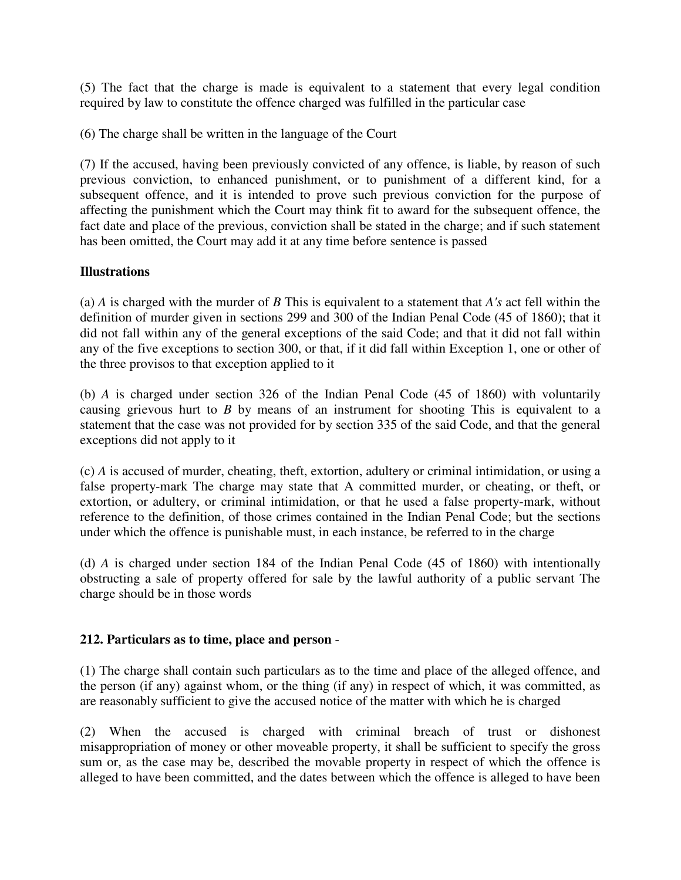(5) The fact that the charge is made is equivalent to a statement that every legal condition required by law to constitute the offence charged was fulfilled in the particular case

(6) The charge shall be written in the language of the Court

(7) If the accused, having been previously convicted of any offence, is liable, by reason of such previous conviction, to enhanced punishment, or to punishment of a different kind, for a subsequent offence, and it is intended to prove such previous conviction for the purpose of affecting the punishment which the Court may think fit to award for the subsequent offence, the fact date and place of the previous, conviction shall be stated in the charge; and if such statement has been omitted, the Court may add it at any time before sentence is passed

## **Illustrations**

(a) *A* is charged with the murder of *B* This is equivalent to a statement that *A's* act fell within the definition of murder given in sections 299 and 300 of the Indian Penal Code (45 of 1860); that it did not fall within any of the general exceptions of the said Code; and that it did not fall within any of the five exceptions to section 300, or that, if it did fall within Exception 1, one or other of the three provisos to that exception applied to it

(b) *A* is charged under section 326 of the Indian Penal Code (45 of 1860) with voluntarily causing grievous hurt to *B* by means of an instrument for shooting This is equivalent to a statement that the case was not provided for by section 335 of the said Code, and that the general exceptions did not apply to it

(c) *A* is accused of murder, cheating, theft, extortion, adultery or criminal intimidation, or using a false property-mark The charge may state that A committed murder, or cheating, or theft, or extortion, or adultery, or criminal intimidation, or that he used a false property-mark, without reference to the definition, of those crimes contained in the Indian Penal Code; but the sections under which the offence is punishable must, in each instance, be referred to in the charge

(d) *A* is charged under section 184 of the Indian Penal Code (45 of 1860) with intentionally obstructing a sale of property offered for sale by the lawful authority of a public servant The charge should be in those words

#### **212. Particulars as to time, place and person** -

(1) The charge shall contain such particulars as to the time and place of the alleged offence, and the person (if any) against whom, or the thing (if any) in respect of which, it was committed, as are reasonably sufficient to give the accused notice of the matter with which he is charged

(2) When the accused is charged with criminal breach of trust or dishonest misappropriation of money or other moveable property, it shall be sufficient to specify the gross sum or, as the case may be, described the movable property in respect of which the offence is alleged to have been committed, and the dates between which the offence is alleged to have been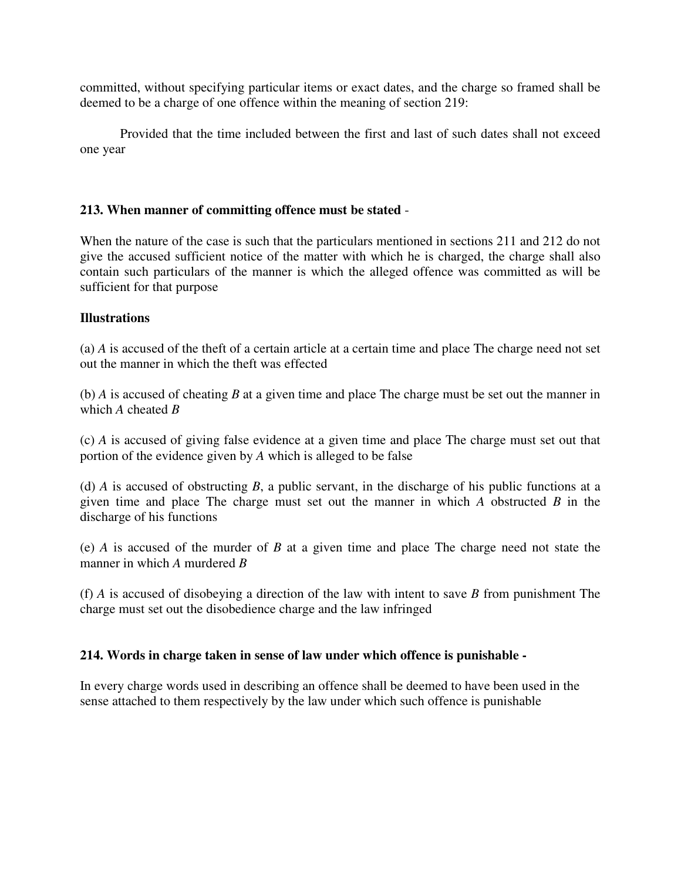committed, without specifying particular items or exact dates, and the charge so framed shall be deemed to be a charge of one offence within the meaning of section 219:

Provided that the time included between the first and last of such dates shall not exceed one year

## **213. When manner of committing offence must be stated** -

When the nature of the case is such that the particulars mentioned in sections 211 and 212 do not give the accused sufficient notice of the matter with which he is charged, the charge shall also contain such particulars of the manner is which the alleged offence was committed as will be sufficient for that purpose

#### **Illustrations**

(a) *A* is accused of the theft of a certain article at a certain time and place The charge need not set out the manner in which the theft was effected

(b) *A* is accused of cheating *B* at a given time and place The charge must be set out the manner in which *A* cheated *B*

(c) *A* is accused of giving false evidence at a given time and place The charge must set out that portion of the evidence given by *A* which is alleged to be false

(d) *A* is accused of obstructing *B*, a public servant, in the discharge of his public functions at a given time and place The charge must set out the manner in which *A* obstructed *B* in the discharge of his functions

(e) *A* is accused of the murder of *B* at a given time and place The charge need not state the manner in which *A* murdered *B*

(f) *A* is accused of disobeying a direction of the law with intent to save *B* from punishment The charge must set out the disobedience charge and the law infringed

#### **214. Words in charge taken in sense of law under which offence is punishable -**

In every charge words used in describing an offence shall be deemed to have been used in the sense attached to them respectively by the law under which such offence is punishable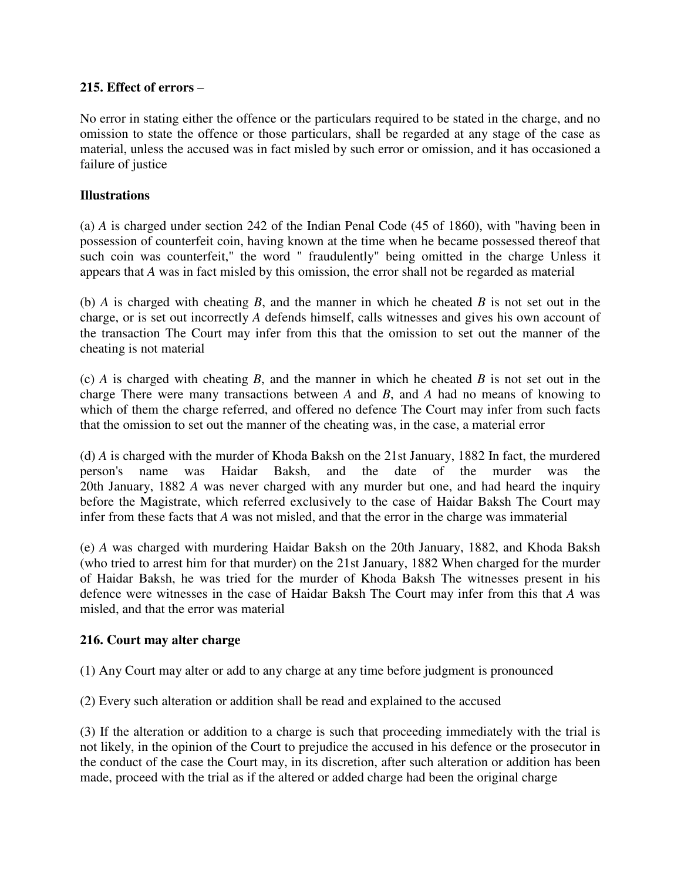## **215. Effect of errors** –

No error in stating either the offence or the particulars required to be stated in the charge, and no omission to state the offence or those particulars, shall be regarded at any stage of the case as material, unless the accused was in fact misled by such error or omission, and it has occasioned a failure of justice

## **Illustrations**

(a) *A* is charged under section 242 of the Indian Penal Code (45 of 1860), with "having been in possession of counterfeit coin, having known at the time when he became possessed thereof that such coin was counterfeit," the word " fraudulently" being omitted in the charge Unless it appears that *A* was in fact misled by this omission, the error shall not be regarded as material

(b) *A* is charged with cheating *B*, and the manner in which he cheated *B* is not set out in the charge, or is set out incorrectly *A* defends himself, calls witnesses and gives his own account of the transaction The Court may infer from this that the omission to set out the manner of the cheating is not material

(c) *A* is charged with cheating *B*, and the manner in which he cheated *B* is not set out in the charge There were many transactions between *A* and *B*, and *A* had no means of knowing to which of them the charge referred, and offered no defence The Court may infer from such facts that the omission to set out the manner of the cheating was, in the case, a material error

(d) *A* is charged with the murder of Khoda Baksh on the 21st January, 1882 In fact, the murdered person's name was Haidar Baksh, and the date of the murder was the 20th January, 1882 *A* was never charged with any murder but one, and had heard the inquiry before the Magistrate, which referred exclusively to the case of Haidar Baksh The Court may infer from these facts that *A* was not misled, and that the error in the charge was immaterial

(e) *A* was charged with murdering Haidar Baksh on the 20th January, 1882, and Khoda Baksh (who tried to arrest him for that murder) on the 21st January, 1882 When charged for the murder of Haidar Baksh, he was tried for the murder of Khoda Baksh The witnesses present in his defence were witnesses in the case of Haidar Baksh The Court may infer from this that *A* was misled, and that the error was material

# **216. Court may alter charge**

(1) Any Court may alter or add to any charge at any time before judgment is pronounced

(2) Every such alteration or addition shall be read and explained to the accused

(3) If the alteration or addition to a charge is such that proceeding immediately with the trial is not likely, in the opinion of the Court to prejudice the accused in his defence or the prosecutor in the conduct of the case the Court may, in its discretion, after such alteration or addition has been made, proceed with the trial as if the altered or added charge had been the original charge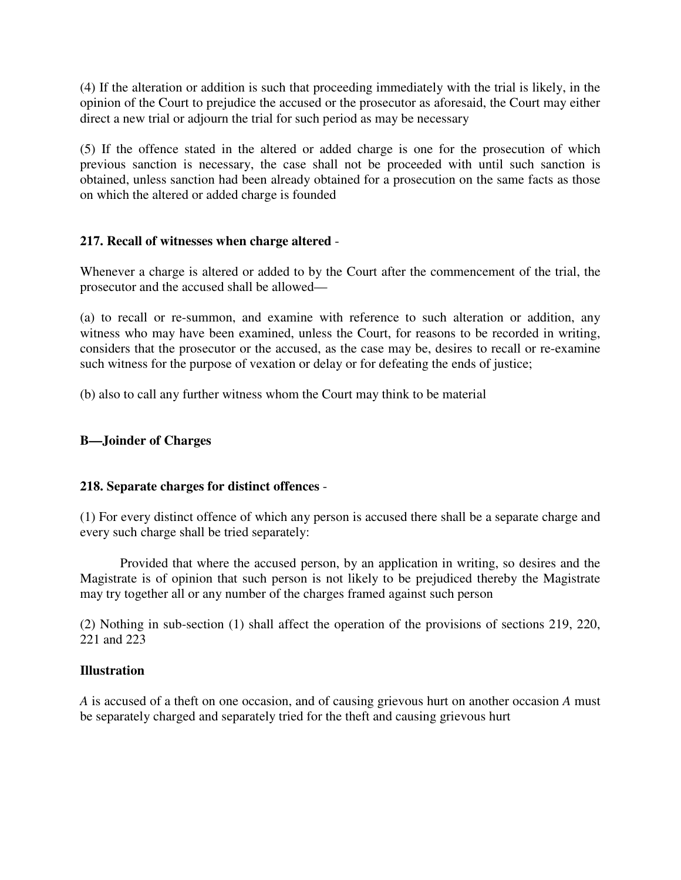(4) If the alteration or addition is such that proceeding immediately with the trial is likely, in the opinion of the Court to prejudice the accused or the prosecutor as aforesaid, the Court may either direct a new trial or adjourn the trial for such period as may be necessary

(5) If the offence stated in the altered or added charge is one for the prosecution of which previous sanction is necessary, the case shall not be proceeded with until such sanction is obtained, unless sanction had been already obtained for a prosecution on the same facts as those on which the altered or added charge is founded

# **217. Recall of witnesses when charge altered** -

Whenever a charge is altered or added to by the Court after the commencement of the trial, the prosecutor and the accused shall be allowed—

(a) to recall or re-summon, and examine with reference to such alteration or addition, any witness who may have been examined, unless the Court, for reasons to be recorded in writing, considers that the prosecutor or the accused, as the case may be, desires to recall or re-examine such witness for the purpose of vexation or delay or for defeating the ends of justice;

(b) also to call any further witness whom the Court may think to be material

## **B—Joinder of Charges**

#### **218. Separate charges for distinct offences** -

(1) For every distinct offence of which any person is accused there shall be a separate charge and every such charge shall be tried separately:

Provided that where the accused person, by an application in writing, so desires and the Magistrate is of opinion that such person is not likely to be prejudiced thereby the Magistrate may try together all or any number of the charges framed against such person

(2) Nothing in sub-section (1) shall affect the operation of the provisions of sections 219, 220, 221 and 223

#### **Illustration**

*A* is accused of a theft on one occasion, and of causing grievous hurt on another occasion *A* must be separately charged and separately tried for the theft and causing grievous hurt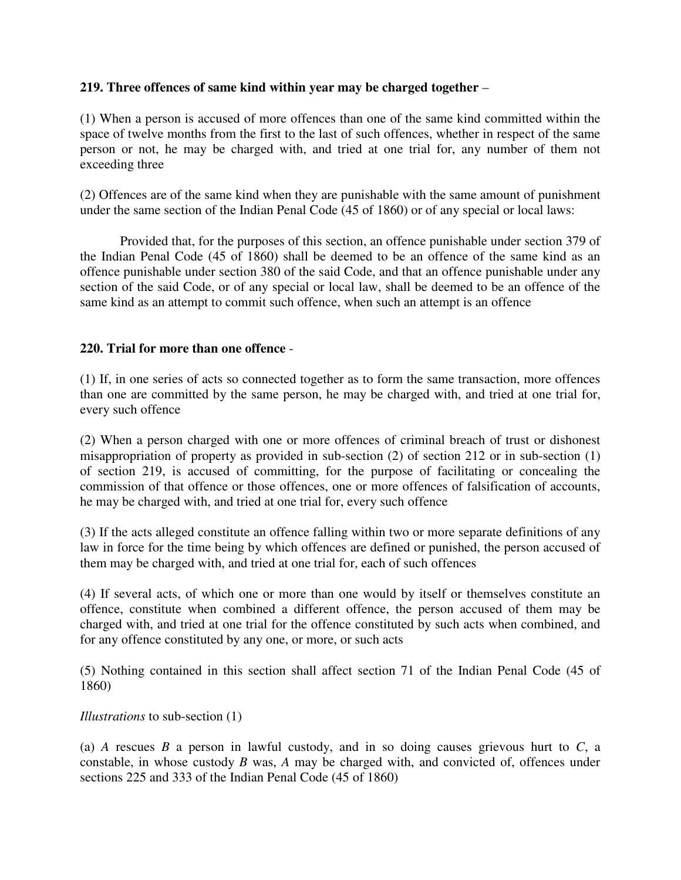### **219. Three offences of same kind within year may be charged together** –

(1) When a person is accused of more offences than one of the same kind committed within the space of twelve months from the first to the last of such offences, whether in respect of the same person or not, he may be charged with, and tried at one trial for, any number of them not exceeding three

(2) Offences are of the same kind when they are punishable with the same amount of punishment under the same section of the Indian Penal Code (45 of 1860) or of any special or local laws:

Provided that, for the purposes of this section, an offence punishable under section 379 of the Indian Penal Code (45 of 1860) shall be deemed to be an offence of the same kind as an offence punishable under section 380 of the said Code, and that an offence punishable under any section of the said Code, or of any special or local law, shall be deemed to be an offence of the same kind as an attempt to commit such offence, when such an attempt is an offence

## **220. Trial for more than one offence** -

(1) If, in one series of acts so connected together as to form the same transaction, more offences than one are committed by the same person, he may be charged with, and tried at one trial for, every such offence

(2) When a person charged with one or more offences of criminal breach of trust or dishonest misappropriation of property as provided in sub-section (2) of section 212 or in sub-section (1) of section 219, is accused of committing, for the purpose of facilitating or concealing the commission of that offence or those offences, one or more offences of falsification of accounts, he may be charged with, and tried at one trial for, every such offence

(3) If the acts alleged constitute an offence falling within two or more separate definitions of any law in force for the time being by which offences are defined or punished, the person accused of them may be charged with, and tried at one trial for, each of such offences

(4) If several acts, of which one or more than one would by itself or themselves constitute an offence, constitute when combined a different offence, the person accused of them may be charged with, and tried at one trial for the offence constituted by such acts when combined, and for any offence constituted by any one, or more, or such acts

(5) Nothing contained in this section shall affect section 71 of the Indian Penal Code (45 of 1860)

*Illustrations* to sub-section (1)

(a) *A* rescues *B* a person in lawful custody, and in so doing causes grievous hurt to *C*, a constable, in whose custody *B* was, *A* may be charged with, and convicted of, offences under sections 225 and 333 of the Indian Penal Code (45 of 1860)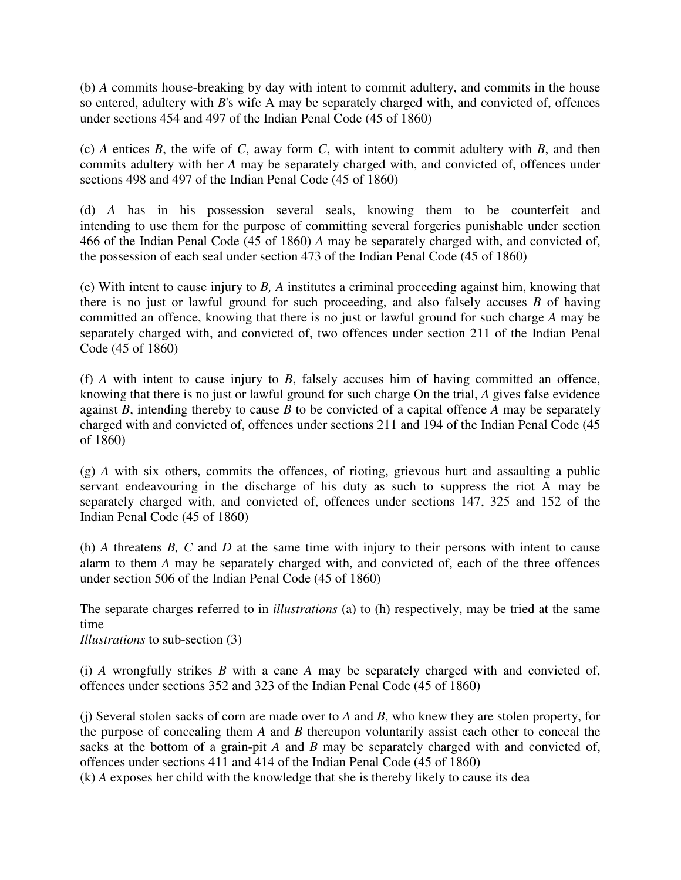(b) *A* commits house-breaking by day with intent to commit adultery, and commits in the house so entered, adultery with *B*'s wife A may be separately charged with, and convicted of, offences under sections 454 and 497 of the Indian Penal Code (45 of 1860)

(c) *A* entices *B*, the wife of *C*, away form *C*, with intent to commit adultery with *B*, and then commits adultery with her *A* may be separately charged with, and convicted of, offences under sections 498 and 497 of the Indian Penal Code (45 of 1860)

(d) *A* has in his possession several seals, knowing them to be counterfeit and intending to use them for the purpose of committing several forgeries punishable under section 466 of the Indian Penal Code (45 of 1860) *A* may be separately charged with, and convicted of, the possession of each seal under section 473 of the Indian Penal Code (45 of 1860)

(e) With intent to cause injury to *B, A* institutes a criminal proceeding against him, knowing that there is no just or lawful ground for such proceeding, and also falsely accuses *B* of having committed an offence, knowing that there is no just or lawful ground for such charge *A* may be separately charged with, and convicted of, two offences under section 211 of the Indian Penal Code (45 of 1860)

(f) *A* with intent to cause injury to *B*, falsely accuses him of having committed an offence, knowing that there is no just or lawful ground for such charge On the trial, *A* gives false evidence against *B*, intending thereby to cause *B* to be convicted of a capital offence *A* may be separately charged with and convicted of, offences under sections 211 and 194 of the Indian Penal Code (45 of 1860)

(g) *A* with six others, commits the offences, of rioting, grievous hurt and assaulting a public servant endeavouring in the discharge of his duty as such to suppress the riot A may be separately charged with, and convicted of, offences under sections 147, 325 and 152 of the Indian Penal Code (45 of 1860)

(h) *A* threatens *B, C* and *D* at the same time with injury to their persons with intent to cause alarm to them *A* may be separately charged with, and convicted of, each of the three offences under section 506 of the Indian Penal Code (45 of 1860)

The separate charges referred to in *illustrations* (a) to (h) respectively, may be tried at the same time

*Illustrations* to sub-section (3)

(i) *A* wrongfully strikes *B* with a cane *A* may be separately charged with and convicted of, offences under sections 352 and 323 of the Indian Penal Code (45 of 1860)

(j) Several stolen sacks of corn are made over to *A* and *B*, who knew they are stolen property, for the purpose of concealing them *A* and *B* thereupon voluntarily assist each other to conceal the sacks at the bottom of a grain-pit *A* and *B* may be separately charged with and convicted of, offences under sections 411 and 414 of the Indian Penal Code (45 of 1860)

(k) *A* exposes her child with the knowledge that she is thereby likely to cause its dea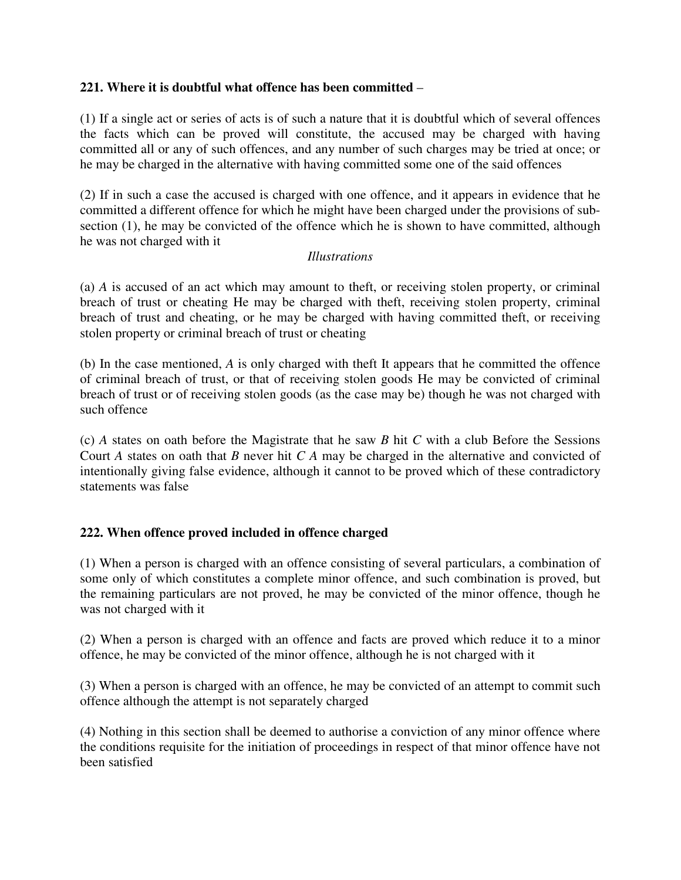### **221. Where it is doubtful what offence has been committed** –

(1) If a single act or series of acts is of such a nature that it is doubtful which of several offences the facts which can be proved will constitute, the accused may be charged with having committed all or any of such offences, and any number of such charges may be tried at once; or he may be charged in the alternative with having committed some one of the said offences

(2) If in such a case the accused is charged with one offence, and it appears in evidence that he committed a different offence for which he might have been charged under the provisions of subsection (1), he may be convicted of the offence which he is shown to have committed, although he was not charged with it

#### *Illustrations*

(a) *A* is accused of an act which may amount to theft, or receiving stolen property, or criminal breach of trust or cheating He may be charged with theft, receiving stolen property, criminal breach of trust and cheating, or he may be charged with having committed theft, or receiving stolen property or criminal breach of trust or cheating

(b) In the case mentioned, *A* is only charged with theft It appears that he committed the offence of criminal breach of trust, or that of receiving stolen goods He may be convicted of criminal breach of trust or of receiving stolen goods (as the case may be) though he was not charged with such offence

(c) *A* states on oath before the Magistrate that he saw *B* hit *C* with a club Before the Sessions Court *A* states on oath that *B* never hit *C A* may be charged in the alternative and convicted of intentionally giving false evidence, although it cannot to be proved which of these contradictory statements was false

# **222. When offence proved included in offence charged**

(1) When a person is charged with an offence consisting of several particulars, a combination of some only of which constitutes a complete minor offence, and such combination is proved, but the remaining particulars are not proved, he may be convicted of the minor offence, though he was not charged with it

(2) When a person is charged with an offence and facts are proved which reduce it to a minor offence, he may be convicted of the minor offence, although he is not charged with it

(3) When a person is charged with an offence, he may be convicted of an attempt to commit such offence although the attempt is not separately charged

(4) Nothing in this section shall be deemed to authorise a conviction of any minor offence where the conditions requisite for the initiation of proceedings in respect of that minor offence have not been satisfied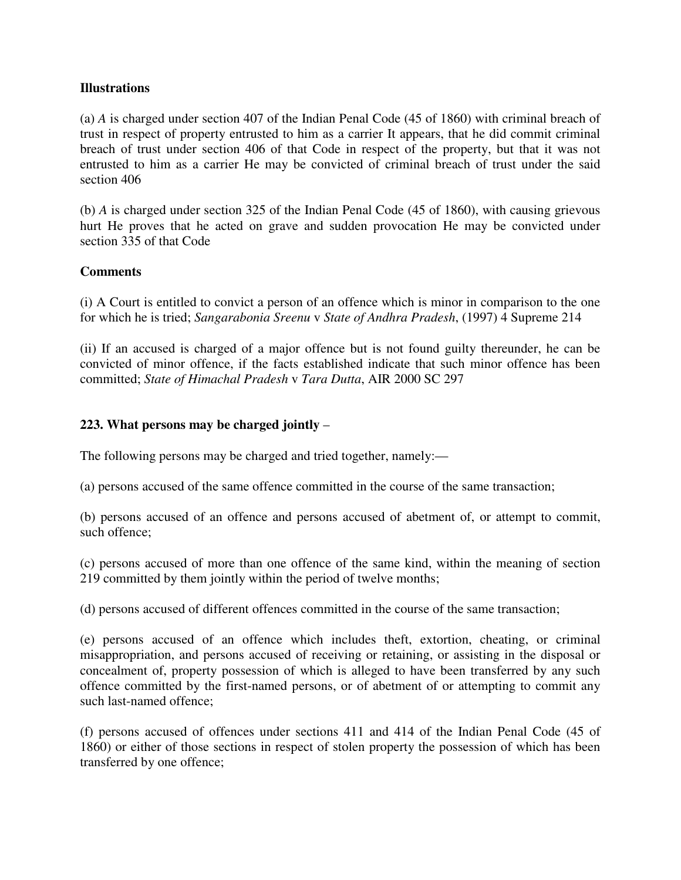## **Illustrations**

(a) *A* is charged under section 407 of the Indian Penal Code (45 of 1860) with criminal breach of trust in respect of property entrusted to him as a carrier It appears, that he did commit criminal breach of trust under section 406 of that Code in respect of the property, but that it was not entrusted to him as a carrier He may be convicted of criminal breach of trust under the said section 406

(b) *A* is charged under section 325 of the Indian Penal Code (45 of 1860), with causing grievous hurt He proves that he acted on grave and sudden provocation He may be convicted under section 335 of that Code

## **Comments**

(i) A Court is entitled to convict a person of an offence which is minor in comparison to the one for which he is tried; *Sangarabonia Sreenu* v *State of Andhra Pradesh*, (1997) 4 Supreme 214

(ii) If an accused is charged of a major offence but is not found guilty thereunder, he can be convicted of minor offence, if the facts established indicate that such minor offence has been committed; *State of Himachal Pradesh* v *Tara Dutta*, AIR 2000 SC 297

## **223. What persons may be charged jointly** –

The following persons may be charged and tried together, namely:—

(a) persons accused of the same offence committed in the course of the same transaction;

(b) persons accused of an offence and persons accused of abetment of, or attempt to commit, such offence;

(c) persons accused of more than one offence of the same kind, within the meaning of section 219 committed by them jointly within the period of twelve months;

(d) persons accused of different offences committed in the course of the same transaction;

(e) persons accused of an offence which includes theft, extortion, cheating, or criminal misappropriation, and persons accused of receiving or retaining, or assisting in the disposal or concealment of, property possession of which is alleged to have been transferred by any such offence committed by the first-named persons, or of abetment of or attempting to commit any such last-named offence;

(f) persons accused of offences under sections 411 and 414 of the Indian Penal Code (45 of 1860) or either of those sections in respect of stolen property the possession of which has been transferred by one offence;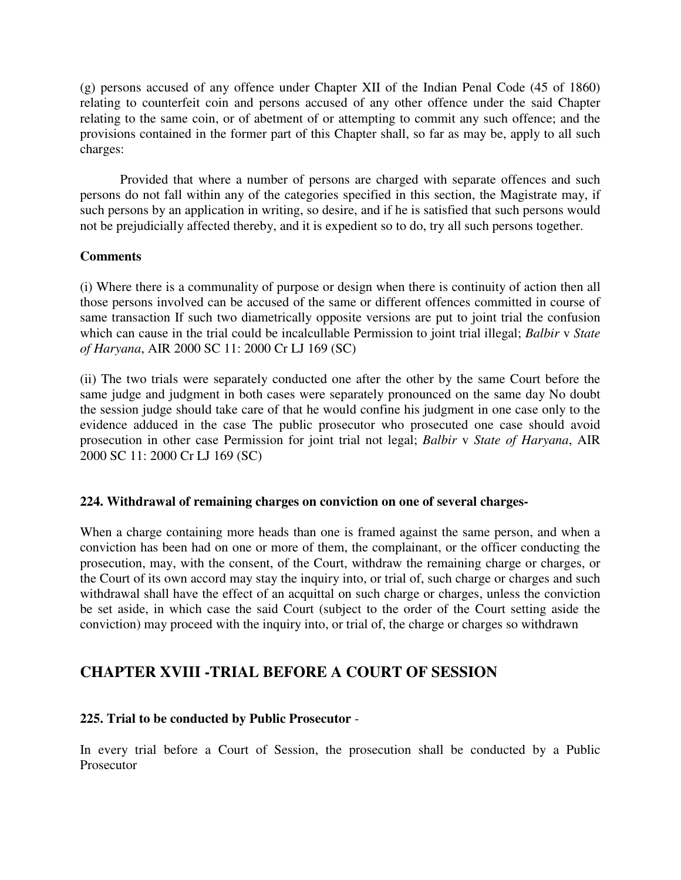(g) persons accused of any offence under Chapter XII of the Indian Penal Code (45 of 1860) relating to counterfeit coin and persons accused of any other offence under the said Chapter relating to the same coin, or of abetment of or attempting to commit any such offence; and the provisions contained in the former part of this Chapter shall, so far as may be, apply to all such charges:

Provided that where a number of persons are charged with separate offences and such persons do not fall within any of the categories specified in this section, the Magistrate may, if such persons by an application in writing, so desire, and if he is satisfied that such persons would not be prejudicially affected thereby, and it is expedient so to do, try all such persons together.

# **Comments**

(i) Where there is a communality of purpose or design when there is continuity of action then all those persons involved can be accused of the same or different offences committed in course of same transaction If such two diametrically opposite versions are put to joint trial the confusion which can cause in the trial could be incalcullable Permission to joint trial illegal; *Balbir* v *State of Haryana*, AIR 2000 SC 11: 2000 Cr LJ 169 (SC)

(ii) The two trials were separately conducted one after the other by the same Court before the same judge and judgment in both cases were separately pronounced on the same day No doubt the session judge should take care of that he would confine his judgment in one case only to the evidence adduced in the case The public prosecutor who prosecuted one case should avoid prosecution in other case Permission for joint trial not legal; *Balbir* v *State of Haryana*, AIR 2000 SC 11: 2000 Cr LJ 169 (SC)

# **224. Withdrawal of remaining charges on conviction on one of several charges-**

When a charge containing more heads than one is framed against the same person, and when a conviction has been had on one or more of them, the complainant, or the officer conducting the prosecution, may, with the consent, of the Court, withdraw the remaining charge or charges, or the Court of its own accord may stay the inquiry into, or trial of, such charge or charges and such withdrawal shall have the effect of an acquittal on such charge or charges, unless the conviction be set aside, in which case the said Court (subject to the order of the Court setting aside the conviction) may proceed with the inquiry into, or trial of, the charge or charges so withdrawn

# **CHAPTER XVIII -TRIAL BEFORE A COURT OF SESSION**

# **225. Trial to be conducted by Public Prosecutor** -

In every trial before a Court of Session, the prosecution shall be conducted by a Public Prosecutor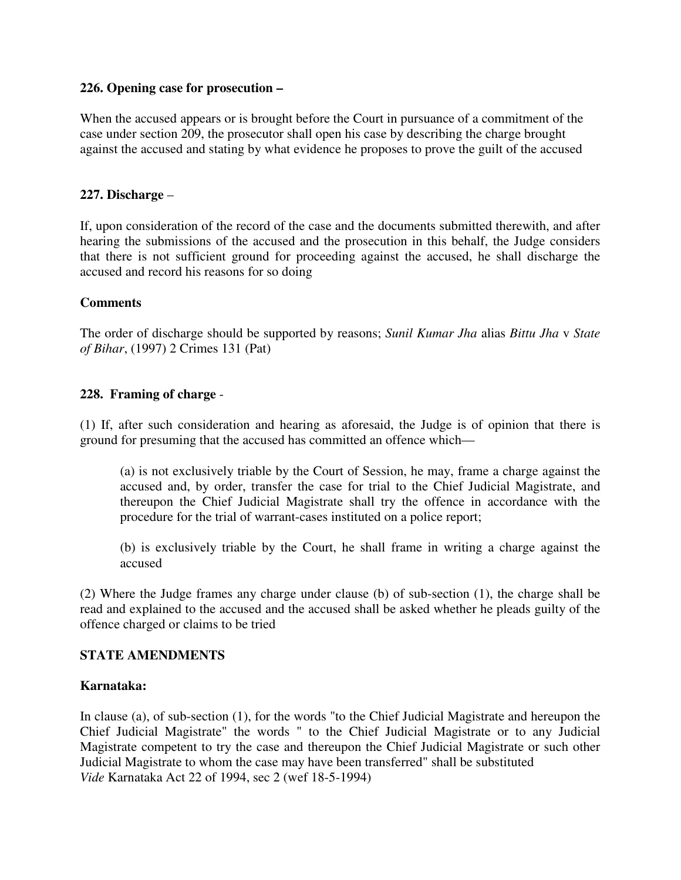#### **226. Opening case for prosecution –**

When the accused appears or is brought before the Court in pursuance of a commitment of the case under section 209, the prosecutor shall open his case by describing the charge brought against the accused and stating by what evidence he proposes to prove the guilt of the accused

#### **227. Discharge** –

If, upon consideration of the record of the case and the documents submitted therewith, and after hearing the submissions of the accused and the prosecution in this behalf, the Judge considers that there is not sufficient ground for proceeding against the accused, he shall discharge the accused and record his reasons for so doing

## **Comments**

The order of discharge should be supported by reasons; *Sunil Kumar Jha* alias *Bittu Jha* v *State of Bihar*, (1997) 2 Crimes 131 (Pat)

#### **228. Framing of charge** -

(1) If, after such consideration and hearing as aforesaid, the Judge is of opinion that there is ground for presuming that the accused has committed an offence which—

(a) is not exclusively triable by the Court of Session, he may, frame a charge against the accused and, by order, transfer the case for trial to the Chief Judicial Magistrate, and thereupon the Chief Judicial Magistrate shall try the offence in accordance with the procedure for the trial of warrant-cases instituted on a police report;

(b) is exclusively triable by the Court, he shall frame in writing a charge against the accused

(2) Where the Judge frames any charge under clause (b) of sub-section (1), the charge shall be read and explained to the accused and the accused shall be asked whether he pleads guilty of the offence charged or claims to be tried

#### **STATE AMENDMENTS**

### **Karnataka:**

In clause (a), of sub-section (1), for the words "to the Chief Judicial Magistrate and hereupon the Chief Judicial Magistrate" the words " to the Chief Judicial Magistrate or to any Judicial Magistrate competent to try the case and thereupon the Chief Judicial Magistrate or such other Judicial Magistrate to whom the case may have been transferred" shall be substituted *Vide* Karnataka Act 22 of 1994, sec 2 (wef 18-5-1994)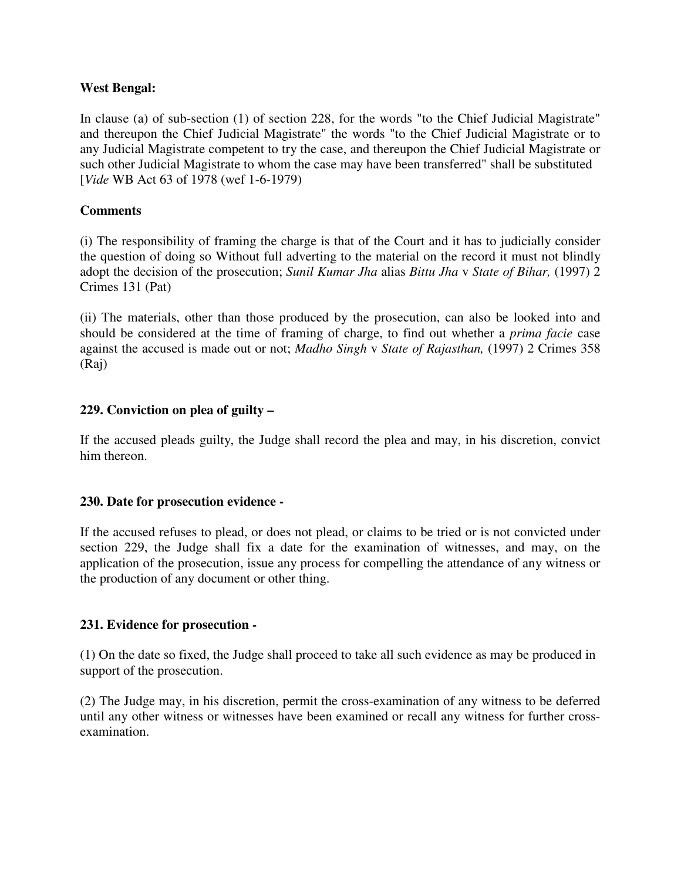## **West Bengal:**

In clause (a) of sub-section (1) of section 228, for the words "to the Chief Judicial Magistrate" and thereupon the Chief Judicial Magistrate" the words "to the Chief Judicial Magistrate or to any Judicial Magistrate competent to try the case, and thereupon the Chief Judicial Magistrate or such other Judicial Magistrate to whom the case may have been transferred" shall be substituted [*Vide* WB Act 63 of 1978 (wef 1-6-1979)

## **Comments**

(i) The responsibility of framing the charge is that of the Court and it has to judicially consider the question of doing so Without full adverting to the material on the record it must not blindly adopt the decision of the prosecution; *Sunil Kumar Jha* alias *Bittu Jha* v *State of Bihar,* (1997) 2 Crimes 131 (Pat)

(ii) The materials, other than those produced by the prosecution, can also be looked into and should be considered at the time of framing of charge, to find out whether a *prima facie* case against the accused is made out or not; *Madho Singh* v *State of Rajasthan,* (1997) 2 Crimes 358 (Raj)

## **229. Conviction on plea of guilty –**

If the accused pleads guilty, the Judge shall record the plea and may, in his discretion, convict him thereon.

#### **230. Date for prosecution evidence -**

If the accused refuses to plead, or does not plead, or claims to be tried or is not convicted under section 229, the Judge shall fix a date for the examination of witnesses, and may, on the application of the prosecution, issue any process for compelling the attendance of any witness or the production of any document or other thing.

#### **231. Evidence for prosecution -**

(1) On the date so fixed, the Judge shall proceed to take all such evidence as may be produced in support of the prosecution.

(2) The Judge may, in his discretion, permit the cross-examination of any witness to be deferred until any other witness or witnesses have been examined or recall any witness for further crossexamination.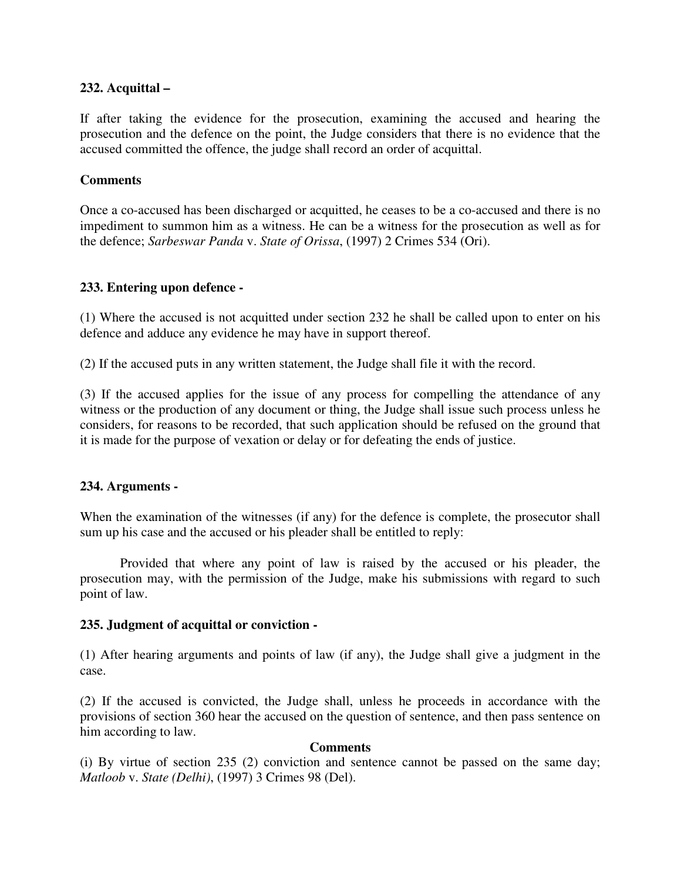#### **232. Acquittal –**

If after taking the evidence for the prosecution, examining the accused and hearing the prosecution and the defence on the point, the Judge considers that there is no evidence that the accused committed the offence, the judge shall record an order of acquittal.

#### **Comments**

Once a co-accused has been discharged or acquitted, he ceases to be a co-accused and there is no impediment to summon him as a witness. He can be a witness for the prosecution as well as for the defence; *Sarbeswar Panda* v. *State of Orissa*, (1997) 2 Crimes 534 (Ori).

#### **233. Entering upon defence -**

(1) Where the accused is not acquitted under section 232 he shall be called upon to enter on his defence and adduce any evidence he may have in support thereof.

(2) If the accused puts in any written statement, the Judge shall file it with the record.

(3) If the accused applies for the issue of any process for compelling the attendance of any witness or the production of any document or thing, the Judge shall issue such process unless he considers, for reasons to be recorded, that such application should be refused on the ground that it is made for the purpose of vexation or delay or for defeating the ends of justice.

#### **234. Arguments -**

When the examination of the witnesses (if any) for the defence is complete, the prosecutor shall sum up his case and the accused or his pleader shall be entitled to reply:

Provided that where any point of law is raised by the accused or his pleader, the prosecution may, with the permission of the Judge, make his submissions with regard to such point of law.

#### **235. Judgment of acquittal or conviction -**

(1) After hearing arguments and points of law (if any), the Judge shall give a judgment in the case.

(2) If the accused is convicted, the Judge shall, unless he proceeds in accordance with the provisions of section 360 hear the accused on the question of sentence, and then pass sentence on him according to law.

#### **Comments**

(i) By virtue of section 235 (2) conviction and sentence cannot be passed on the same day; *Matloob* v. *State (Delhi)*, (1997) 3 Crimes 98 (Del).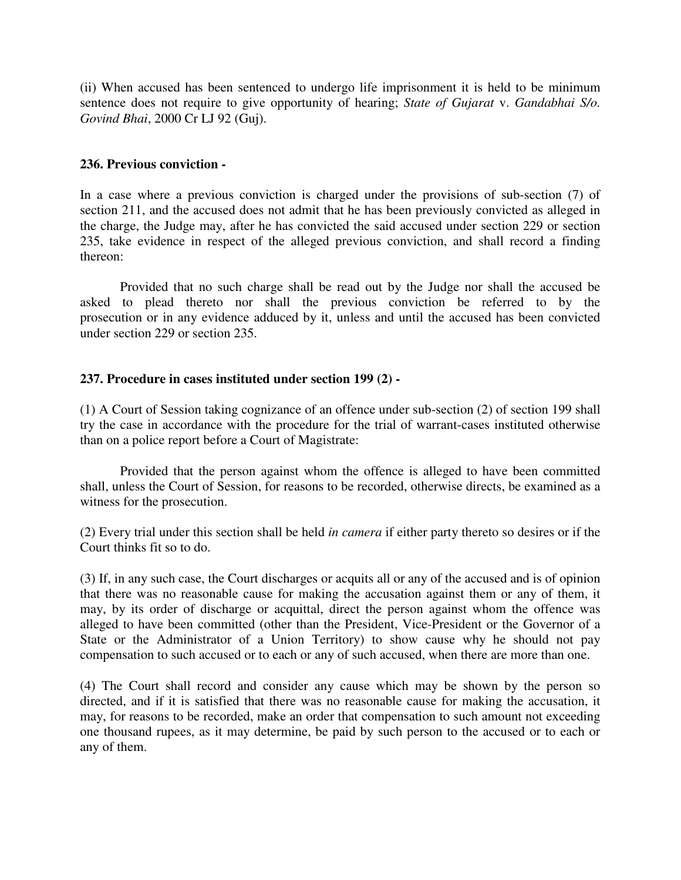(ii) When accused has been sentenced to undergo life imprisonment it is held to be minimum sentence does not require to give opportunity of hearing; *State of Gujarat* v. *Gandabhai S/o. Govind Bhai*, 2000 Cr LJ 92 (Guj).

#### **236. Previous conviction -**

In a case where a previous conviction is charged under the provisions of sub-section (7) of section 211, and the accused does not admit that he has been previously convicted as alleged in the charge, the Judge may, after he has convicted the said accused under section 229 or section 235, take evidence in respect of the alleged previous conviction, and shall record a finding thereon:

Provided that no such charge shall be read out by the Judge nor shall the accused be asked to plead thereto nor shall the previous conviction be referred to by the prosecution or in any evidence adduced by it, unless and until the accused has been convicted under section 229 or section 235.

## **237. Procedure in cases instituted under section 199 (2) -**

(1) A Court of Session taking cognizance of an offence under sub-section (2) of section 199 shall try the case in accordance with the procedure for the trial of warrant-cases instituted otherwise than on a police report before a Court of Magistrate:

Provided that the person against whom the offence is alleged to have been committed shall, unless the Court of Session, for reasons to be recorded, otherwise directs, be examined as a witness for the prosecution.

(2) Every trial under this section shall be held *in camera* if either party thereto so desires or if the Court thinks fit so to do.

(3) If, in any such case, the Court discharges or acquits all or any of the accused and is of opinion that there was no reasonable cause for making the accusation against them or any of them, it may, by its order of discharge or acquittal, direct the person against whom the offence was alleged to have been committed (other than the President, Vice-President or the Governor of a State or the Administrator of a Union Territory) to show cause why he should not pay compensation to such accused or to each or any of such accused, when there are more than one.

(4) The Court shall record and consider any cause which may be shown by the person so directed, and if it is satisfied that there was no reasonable cause for making the accusation, it may, for reasons to be recorded, make an order that compensation to such amount not exceeding one thousand rupees, as it may determine, be paid by such person to the accused or to each or any of them.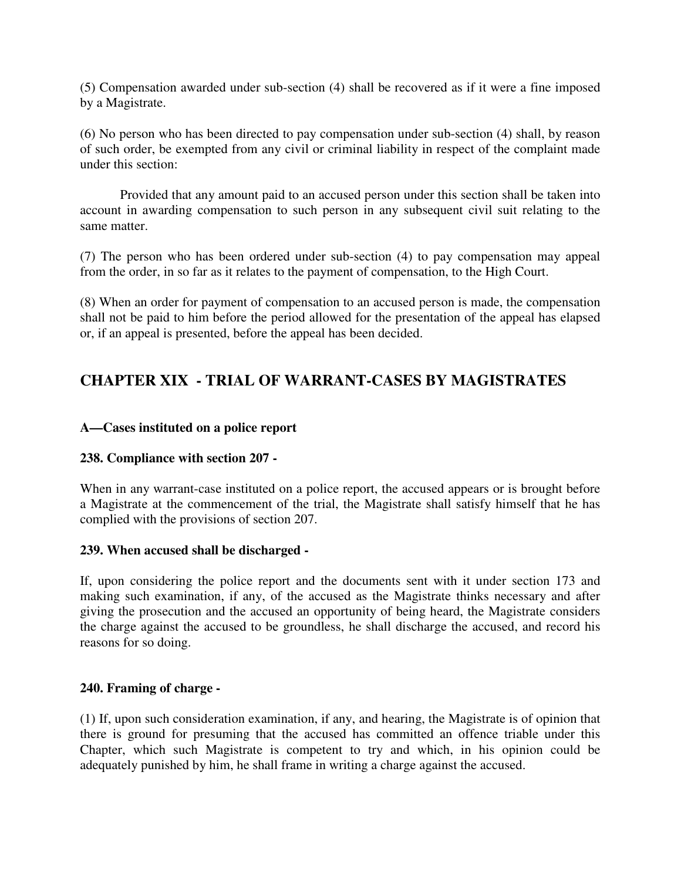(5) Compensation awarded under sub-section (4) shall be recovered as if it were a fine imposed by a Magistrate.

(6) No person who has been directed to pay compensation under sub-section (4) shall, by reason of such order, be exempted from any civil or criminal liability in respect of the complaint made under this section:

Provided that any amount paid to an accused person under this section shall be taken into account in awarding compensation to such person in any subsequent civil suit relating to the same matter.

(7) The person who has been ordered under sub-section (4) to pay compensation may appeal from the order, in so far as it relates to the payment of compensation, to the High Court.

(8) When an order for payment of compensation to an accused person is made, the compensation shall not be paid to him before the period allowed for the presentation of the appeal has elapsed or, if an appeal is presented, before the appeal has been decided.

# **CHAPTER XIX - TRIAL OF WARRANT-CASES BY MAGISTRATES**

## **A—Cases instituted on a police report**

# **238. Compliance with section 207 -**

When in any warrant-case instituted on a police report, the accused appears or is brought before a Magistrate at the commencement of the trial, the Magistrate shall satisfy himself that he has complied with the provisions of section 207.

#### **239. When accused shall be discharged -**

If, upon considering the police report and the documents sent with it under section 173 and making such examination, if any, of the accused as the Magistrate thinks necessary and after giving the prosecution and the accused an opportunity of being heard, the Magistrate considers the charge against the accused to be groundless, he shall discharge the accused, and record his reasons for so doing.

#### **240. Framing of charge -**

(1) If, upon such consideration examination, if any, and hearing, the Magistrate is of opinion that there is ground for presuming that the accused has committed an offence triable under this Chapter, which such Magistrate is competent to try and which, in his opinion could be adequately punished by him, he shall frame in writing a charge against the accused.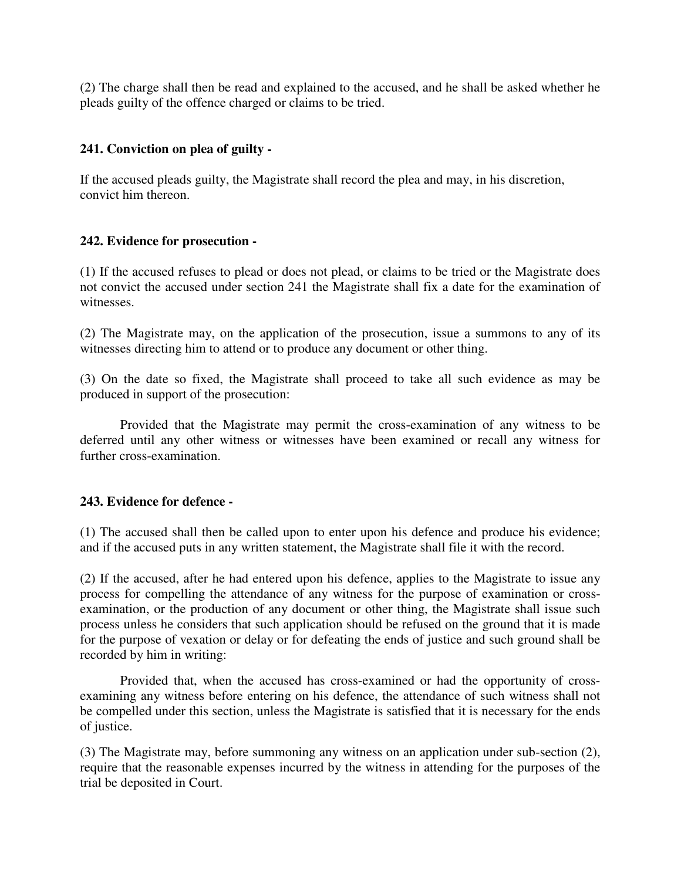(2) The charge shall then be read and explained to the accused, and he shall be asked whether he pleads guilty of the offence charged or claims to be tried.

# **241. Conviction on plea of guilty -**

If the accused pleads guilty, the Magistrate shall record the plea and may, in his discretion, convict him thereon.

# **242. Evidence for prosecution -**

(1) If the accused refuses to plead or does not plead, or claims to be tried or the Magistrate does not convict the accused under section 241 the Magistrate shall fix a date for the examination of witnesses.

(2) The Magistrate may, on the application of the prosecution, issue a summons to any of its witnesses directing him to attend or to produce any document or other thing.

(3) On the date so fixed, the Magistrate shall proceed to take all such evidence as may be produced in support of the prosecution:

Provided that the Magistrate may permit the cross-examination of any witness to be deferred until any other witness or witnesses have been examined or recall any witness for further cross-examination.

# **243. Evidence for defence -**

(1) The accused shall then be called upon to enter upon his defence and produce his evidence; and if the accused puts in any written statement, the Magistrate shall file it with the record.

(2) If the accused, after he had entered upon his defence, applies to the Magistrate to issue any process for compelling the attendance of any witness for the purpose of examination or crossexamination, or the production of any document or other thing, the Magistrate shall issue such process unless he considers that such application should be refused on the ground that it is made for the purpose of vexation or delay or for defeating the ends of justice and such ground shall be recorded by him in writing:

Provided that, when the accused has cross-examined or had the opportunity of crossexamining any witness before entering on his defence, the attendance of such witness shall not be compelled under this section, unless the Magistrate is satisfied that it is necessary for the ends of justice.

(3) The Magistrate may, before summoning any witness on an application under sub-section (2), require that the reasonable expenses incurred by the witness in attending for the purposes of the trial be deposited in Court.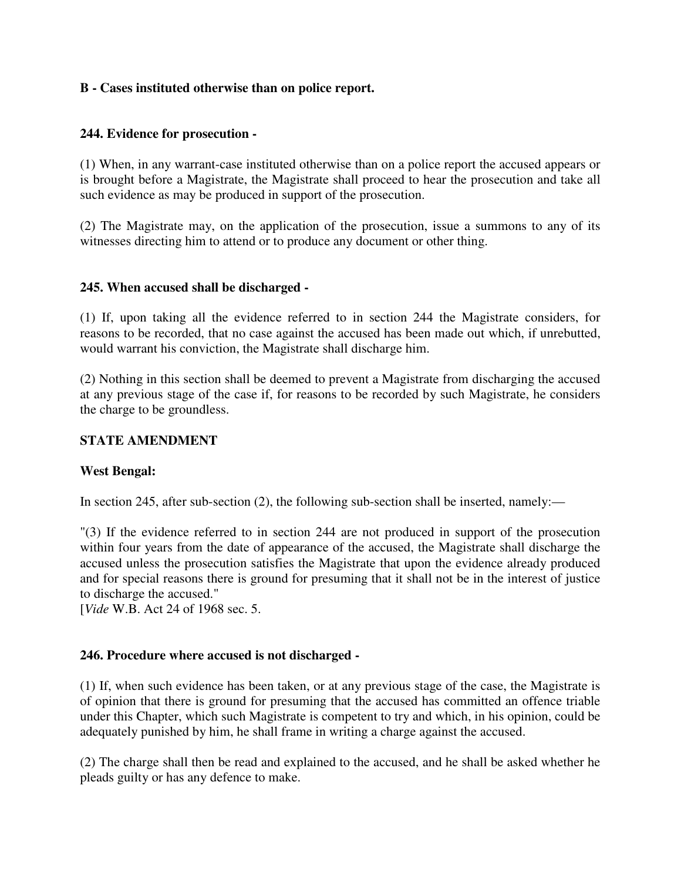## **B - Cases instituted otherwise than on police report.**

### **244. Evidence for prosecution -**

(1) When, in any warrant-case instituted otherwise than on a police report the accused appears or is brought before a Magistrate, the Magistrate shall proceed to hear the prosecution and take all such evidence as may be produced in support of the prosecution.

(2) The Magistrate may, on the application of the prosecution, issue a summons to any of its witnesses directing him to attend or to produce any document or other thing.

#### **245. When accused shall be discharged -**

(1) If, upon taking all the evidence referred to in section 244 the Magistrate considers, for reasons to be recorded, that no case against the accused has been made out which, if unrebutted, would warrant his conviction, the Magistrate shall discharge him.

(2) Nothing in this section shall be deemed to prevent a Magistrate from discharging the accused at any previous stage of the case if, for reasons to be recorded by such Magistrate, he considers the charge to be groundless.

#### **STATE AMENDMENT**

#### **West Bengal:**

In section 245, after sub-section (2), the following sub-section shall be inserted, namely:—

"(3) If the evidence referred to in section 244 are not produced in support of the prosecution within four years from the date of appearance of the accused, the Magistrate shall discharge the accused unless the prosecution satisfies the Magistrate that upon the evidence already produced and for special reasons there is ground for presuming that it shall not be in the interest of justice to discharge the accused."

[*Vide* W.B. Act 24 of 1968 sec. 5.

#### **246. Procedure where accused is not discharged -**

(1) If, when such evidence has been taken, or at any previous stage of the case, the Magistrate is of opinion that there is ground for presuming that the accused has committed an offence triable under this Chapter, which such Magistrate is competent to try and which, in his opinion, could be adequately punished by him, he shall frame in writing a charge against the accused.

(2) The charge shall then be read and explained to the accused, and he shall be asked whether he pleads guilty or has any defence to make.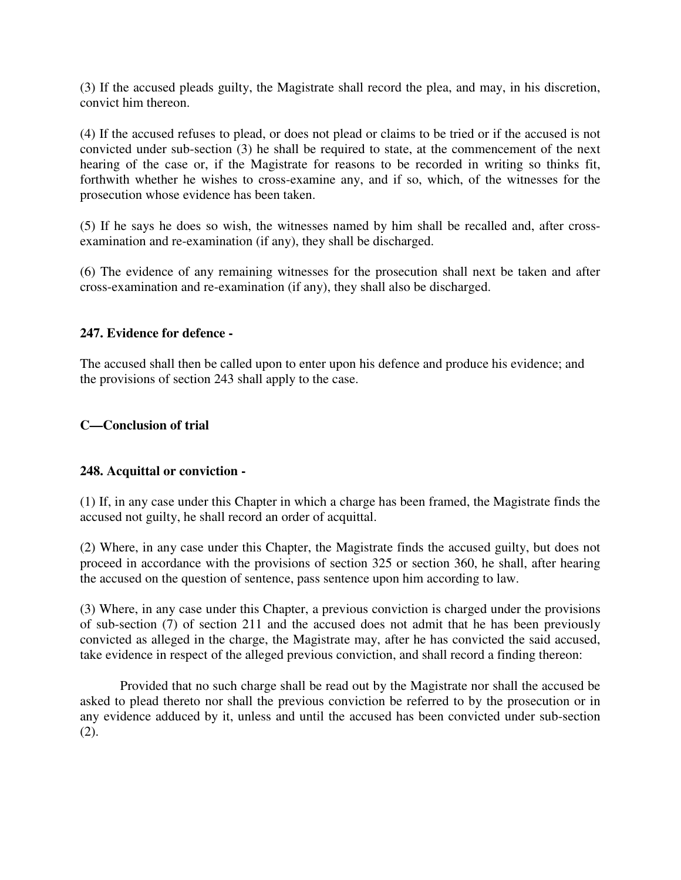(3) If the accused pleads guilty, the Magistrate shall record the plea, and may, in his discretion, convict him thereon.

(4) If the accused refuses to plead, or does not plead or claims to be tried or if the accused is not convicted under sub-section (3) he shall be required to state, at the commencement of the next hearing of the case or, if the Magistrate for reasons to be recorded in writing so thinks fit, forthwith whether he wishes to cross-examine any, and if so, which, of the witnesses for the prosecution whose evidence has been taken.

(5) If he says he does so wish, the witnesses named by him shall be recalled and, after crossexamination and re-examination (if any), they shall be discharged.

(6) The evidence of any remaining witnesses for the prosecution shall next be taken and after cross-examination and re-examination (if any), they shall also be discharged.

## **247. Evidence for defence -**

The accused shall then be called upon to enter upon his defence and produce his evidence; and the provisions of section 243 shall apply to the case.

## **C—Conclusion of trial**

#### **248. Acquittal or conviction -**

(1) If, in any case under this Chapter in which a charge has been framed, the Magistrate finds the accused not guilty, he shall record an order of acquittal.

(2) Where, in any case under this Chapter, the Magistrate finds the accused guilty, but does not proceed in accordance with the provisions of section 325 or section 360, he shall, after hearing the accused on the question of sentence, pass sentence upon him according to law.

(3) Where, in any case under this Chapter, a previous conviction is charged under the provisions of sub-section (7) of section 211 and the accused does not admit that he has been previously convicted as alleged in the charge, the Magistrate may, after he has convicted the said accused, take evidence in respect of the alleged previous conviction, and shall record a finding thereon:

Provided that no such charge shall be read out by the Magistrate nor shall the accused be asked to plead thereto nor shall the previous conviction be referred to by the prosecution or in any evidence adduced by it, unless and until the accused has been convicted under sub-section (2).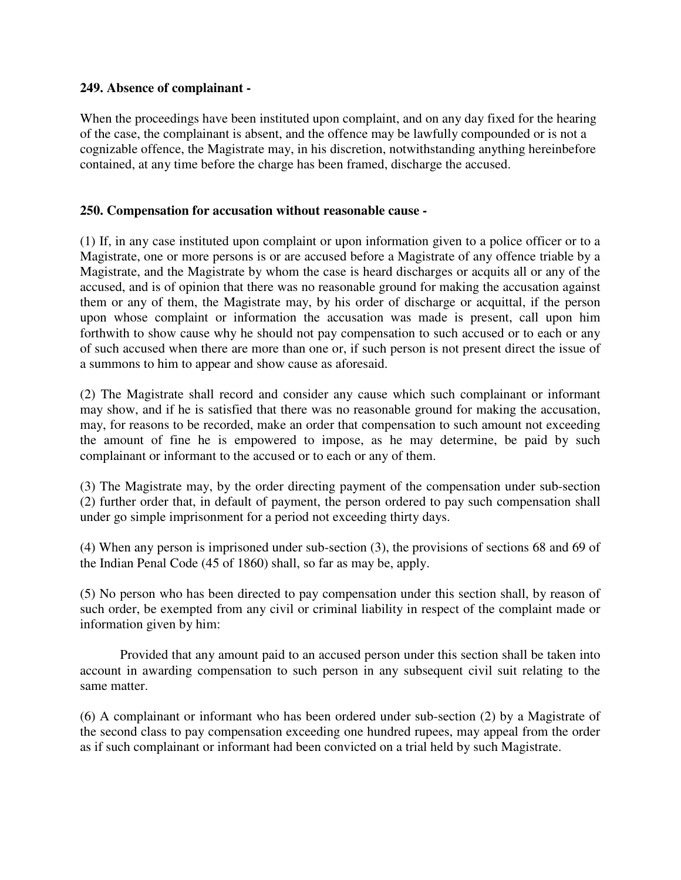#### **249. Absence of complainant -**

When the proceedings have been instituted upon complaint, and on any day fixed for the hearing of the case, the complainant is absent, and the offence may be lawfully compounded or is not a cognizable offence, the Magistrate may, in his discretion, notwithstanding anything hereinbefore contained, at any time before the charge has been framed, discharge the accused.

#### **250. Compensation for accusation without reasonable cause -**

(1) If, in any case instituted upon complaint or upon information given to a police officer or to a Magistrate, one or more persons is or are accused before a Magistrate of any offence triable by a Magistrate, and the Magistrate by whom the case is heard discharges or acquits all or any of the accused, and is of opinion that there was no reasonable ground for making the accusation against them or any of them, the Magistrate may, by his order of discharge or acquittal, if the person upon whose complaint or information the accusation was made is present, call upon him forthwith to show cause why he should not pay compensation to such accused or to each or any of such accused when there are more than one or, if such person is not present direct the issue of a summons to him to appear and show cause as aforesaid.

(2) The Magistrate shall record and consider any cause which such complainant or informant may show, and if he is satisfied that there was no reasonable ground for making the accusation, may, for reasons to be recorded, make an order that compensation to such amount not exceeding the amount of fine he is empowered to impose, as he may determine, be paid by such complainant or informant to the accused or to each or any of them.

(3) The Magistrate may, by the order directing payment of the compensation under sub-section (2) further order that, in default of payment, the person ordered to pay such compensation shall under go simple imprisonment for a period not exceeding thirty days.

(4) When any person is imprisoned under sub-section (3), the provisions of sections 68 and 69 of the Indian Penal Code (45 of 1860) shall, so far as may be, apply.

(5) No person who has been directed to pay compensation under this section shall, by reason of such order, be exempted from any civil or criminal liability in respect of the complaint made or information given by him:

Provided that any amount paid to an accused person under this section shall be taken into account in awarding compensation to such person in any subsequent civil suit relating to the same matter.

(6) A complainant or informant who has been ordered under sub-section (2) by a Magistrate of the second class to pay compensation exceeding one hundred rupees, may appeal from the order as if such complainant or informant had been convicted on a trial held by such Magistrate.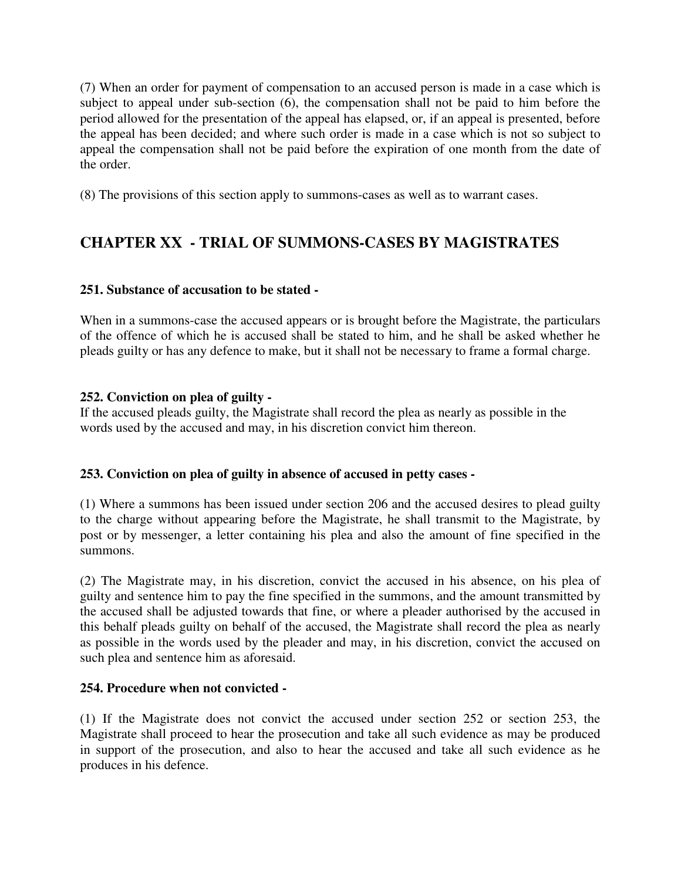(7) When an order for payment of compensation to an accused person is made in a case which is subject to appeal under sub-section (6), the compensation shall not be paid to him before the period allowed for the presentation of the appeal has elapsed, or, if an appeal is presented, before the appeal has been decided; and where such order is made in a case which is not so subject to appeal the compensation shall not be paid before the expiration of one month from the date of the order.

(8) The provisions of this section apply to summons-cases as well as to warrant cases.

# **CHAPTER XX - TRIAL OF SUMMONS-CASES BY MAGISTRATES**

# **251. Substance of accusation to be stated -**

When in a summons-case the accused appears or is brought before the Magistrate, the particulars of the offence of which he is accused shall be stated to him, and he shall be asked whether he pleads guilty or has any defence to make, but it shall not be necessary to frame a formal charge.

## **252. Conviction on plea of guilty -**

If the accused pleads guilty, the Magistrate shall record the plea as nearly as possible in the words used by the accused and may, in his discretion convict him thereon.

# **253. Conviction on plea of guilty in absence of accused in petty cases -**

(1) Where a summons has been issued under section 206 and the accused desires to plead guilty to the charge without appearing before the Magistrate, he shall transmit to the Magistrate, by post or by messenger, a letter containing his plea and also the amount of fine specified in the summons.

(2) The Magistrate may, in his discretion, convict the accused in his absence, on his plea of guilty and sentence him to pay the fine specified in the summons, and the amount transmitted by the accused shall be adjusted towards that fine, or where a pleader authorised by the accused in this behalf pleads guilty on behalf of the accused, the Magistrate shall record the plea as nearly as possible in the words used by the pleader and may, in his discretion, convict the accused on such plea and sentence him as aforesaid.

#### **254. Procedure when not convicted -**

(1) If the Magistrate does not convict the accused under section 252 or section 253, the Magistrate shall proceed to hear the prosecution and take all such evidence as may be produced in support of the prosecution, and also to hear the accused and take all such evidence as he produces in his defence.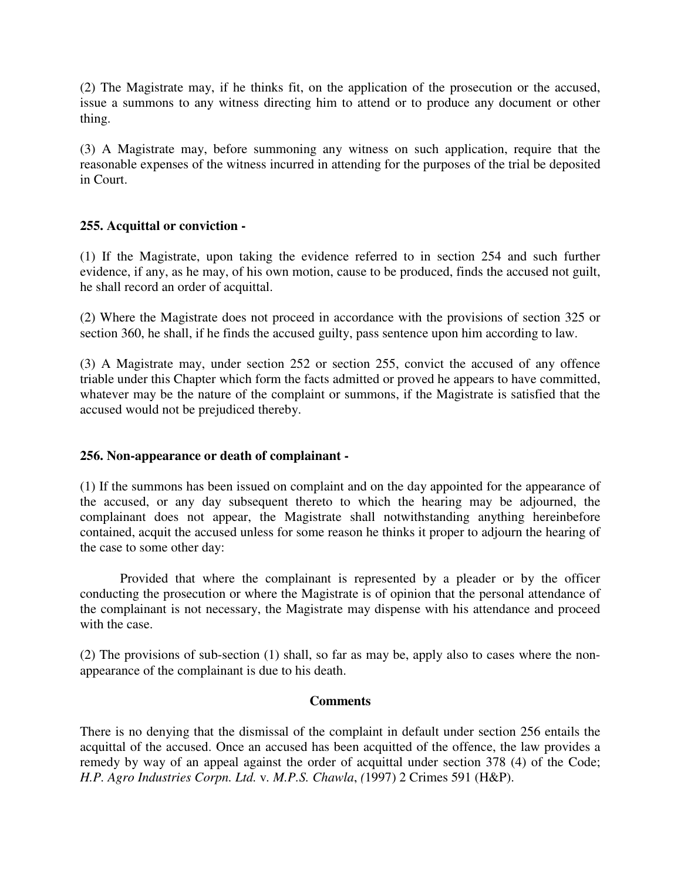(2) The Magistrate may, if he thinks fit, on the application of the prosecution or the accused, issue a summons to any witness directing him to attend or to produce any document or other thing.

(3) A Magistrate may, before summoning any witness on such application, require that the reasonable expenses of the witness incurred in attending for the purposes of the trial be deposited in Court.

# **255. Acquittal or conviction -**

(1) If the Magistrate, upon taking the evidence referred to in section 254 and such further evidence, if any, as he may, of his own motion, cause to be produced, finds the accused not guilt, he shall record an order of acquittal.

(2) Where the Magistrate does not proceed in accordance with the provisions of section 325 or section 360, he shall, if he finds the accused guilty, pass sentence upon him according to law.

(3) A Magistrate may, under section 252 or section 255, convict the accused of any offence triable under this Chapter which form the facts admitted or proved he appears to have committed, whatever may be the nature of the complaint or summons, if the Magistrate is satisfied that the accused would not be prejudiced thereby.

#### **256. Non-appearance or death of complainant -**

(1) If the summons has been issued on complaint and on the day appointed for the appearance of the accused, or any day subsequent thereto to which the hearing may be adjourned, the complainant does not appear, the Magistrate shall notwithstanding anything hereinbefore contained, acquit the accused unless for some reason he thinks it proper to adjourn the hearing of the case to some other day:

Provided that where the complainant is represented by a pleader or by the officer conducting the prosecution or where the Magistrate is of opinion that the personal attendance of the complainant is not necessary, the Magistrate may dispense with his attendance and proceed with the case.

(2) The provisions of sub-section (1) shall, so far as may be, apply also to cases where the nonappearance of the complainant is due to his death.

#### **Comments**

There is no denying that the dismissal of the complaint in default under section 256 entails the acquittal of the accused. Once an accused has been acquitted of the offence, the law provides a remedy by way of an appeal against the order of acquittal under section 378 (4) of the Code; *H.P. Agro Industries Corpn. Ltd.* v*. M.P.S. Chawla*, *(*1997) 2 Crimes 591 (H&P).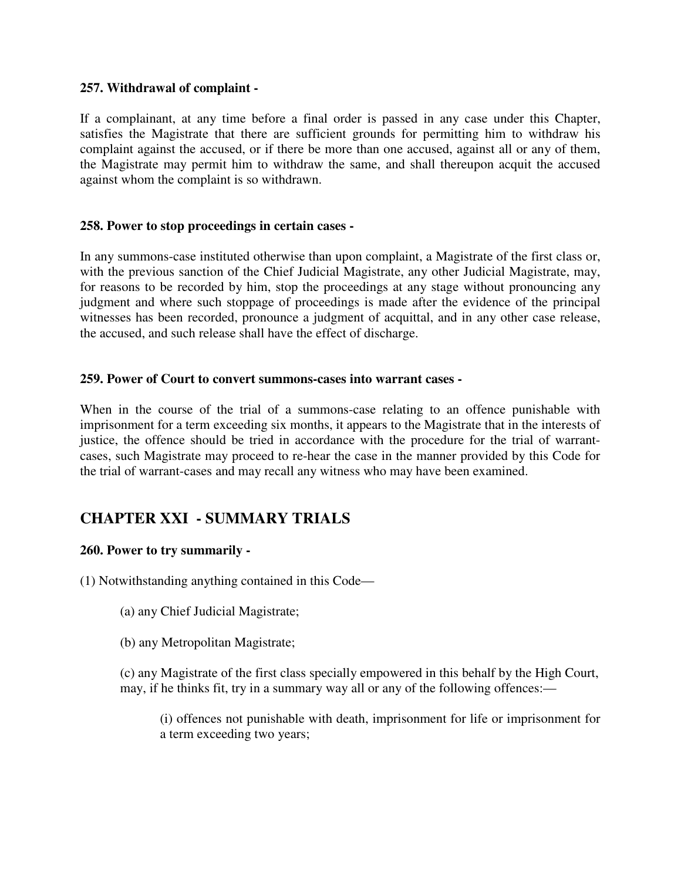#### **257. Withdrawal of complaint -**

If a complainant, at any time before a final order is passed in any case under this Chapter, satisfies the Magistrate that there are sufficient grounds for permitting him to withdraw his complaint against the accused, or if there be more than one accused, against all or any of them, the Magistrate may permit him to withdraw the same, and shall thereupon acquit the accused against whom the complaint is so withdrawn.

#### **258. Power to stop proceedings in certain cases -**

In any summons-case instituted otherwise than upon complaint, a Magistrate of the first class or, with the previous sanction of the Chief Judicial Magistrate, any other Judicial Magistrate, may, for reasons to be recorded by him, stop the proceedings at any stage without pronouncing any judgment and where such stoppage of proceedings is made after the evidence of the principal witnesses has been recorded, pronounce a judgment of acquittal, and in any other case release, the accused, and such release shall have the effect of discharge.

#### **259. Power of Court to convert summons-cases into warrant cases -**

When in the course of the trial of a summons-case relating to an offence punishable with imprisonment for a term exceeding six months, it appears to the Magistrate that in the interests of justice, the offence should be tried in accordance with the procedure for the trial of warrantcases, such Magistrate may proceed to re-hear the case in the manner provided by this Code for the trial of warrant-cases and may recall any witness who may have been examined.

# **CHAPTER XXI - SUMMARY TRIALS**

#### **260. Power to try summarily -**

(1) Notwithstanding anything contained in this Code—

- (a) any Chief Judicial Magistrate;
- (b) any Metropolitan Magistrate;
- (c) any Magistrate of the first class specially empowered in this behalf by the High Court, may, if he thinks fit, try in a summary way all or any of the following offences:—

(i) offences not punishable with death, imprisonment for life or imprisonment for a term exceeding two years;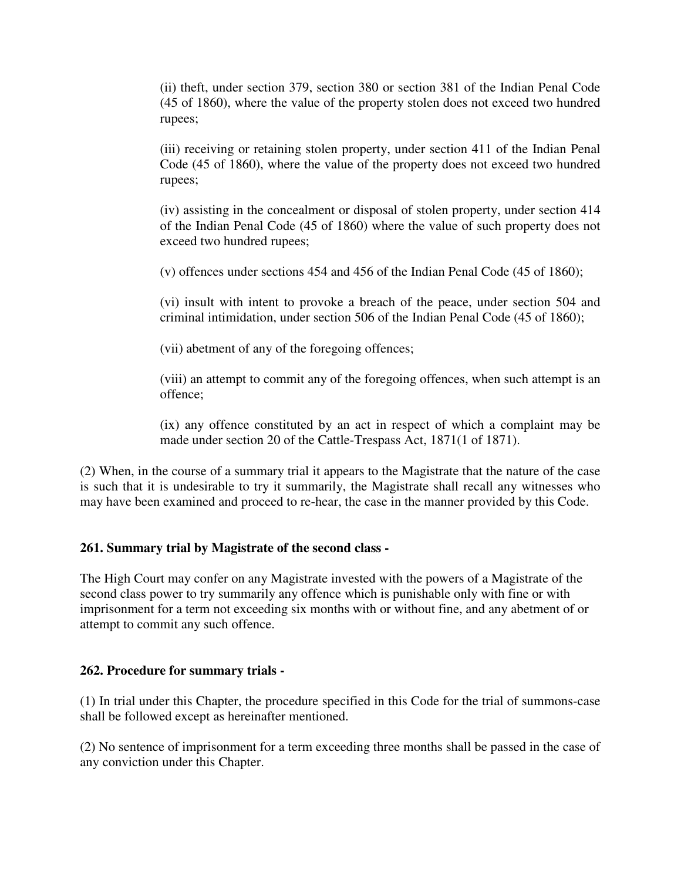(ii) theft, under section 379, section 380 or section 381 of the Indian Penal Code (45 of 1860), where the value of the property stolen does not exceed two hundred rupees;

(iii) receiving or retaining stolen property, under section 411 of the Indian Penal Code (45 of 1860), where the value of the property does not exceed two hundred rupees;

(iv) assisting in the concealment or disposal of stolen property, under section 414 of the Indian Penal Code (45 of 1860) where the value of such property does not exceed two hundred rupees;

(v) offences under sections 454 and 456 of the Indian Penal Code (45 of 1860);

(vi) insult with intent to provoke a breach of the peace, under section 504 and criminal intimidation, under section 506 of the Indian Penal Code (45 of 1860);

(vii) abetment of any of the foregoing offences;

(viii) an attempt to commit any of the foregoing offences, when such attempt is an offence;

(ix) any offence constituted by an act in respect of which a complaint may be made under section 20 of the Cattle-Trespass Act, 1871(1 of 1871).

(2) When, in the course of a summary trial it appears to the Magistrate that the nature of the case is such that it is undesirable to try it summarily, the Magistrate shall recall any witnesses who may have been examined and proceed to re-hear, the case in the manner provided by this Code.

#### **261. Summary trial by Magistrate of the second class -**

The High Court may confer on any Magistrate invested with the powers of a Magistrate of the second class power to try summarily any offence which is punishable only with fine or with imprisonment for a term not exceeding six months with or without fine, and any abetment of or attempt to commit any such offence.

#### **262. Procedure for summary trials -**

(1) In trial under this Chapter, the procedure specified in this Code for the trial of summons-case shall be followed except as hereinafter mentioned.

(2) No sentence of imprisonment for a term exceeding three months shall be passed in the case of any conviction under this Chapter.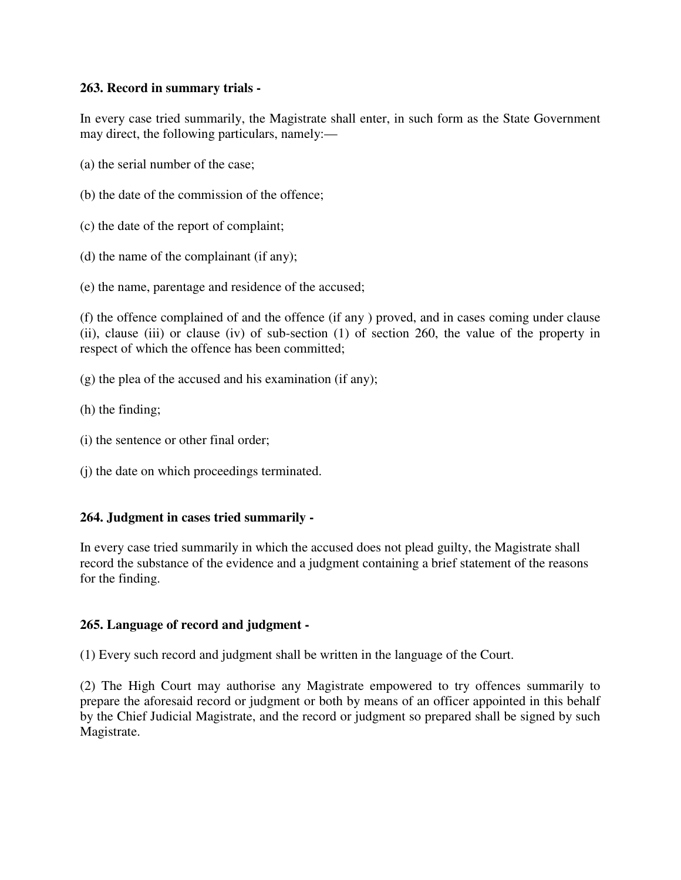## **263. Record in summary trials -**

In every case tried summarily, the Magistrate shall enter, in such form as the State Government may direct, the following particulars, namely:—

- (a) the serial number of the case;
- (b) the date of the commission of the offence;
- (c) the date of the report of complaint;
- (d) the name of the complainant (if any);
- (e) the name, parentage and residence of the accused;

(f) the offence complained of and the offence (if any ) proved, and in cases coming under clause (ii), clause (iii) or clause (iv) of sub-section (1) of section 260, the value of the property in respect of which the offence has been committed;

- (g) the plea of the accused and his examination (if any);
- (h) the finding;
- (i) the sentence or other final order;
- (j) the date on which proceedings terminated.

#### **264. Judgment in cases tried summarily -**

In every case tried summarily in which the accused does not plead guilty, the Magistrate shall record the substance of the evidence and a judgment containing a brief statement of the reasons for the finding.

#### **265. Language of record and judgment -**

(1) Every such record and judgment shall be written in the language of the Court.

(2) The High Court may authorise any Magistrate empowered to try offences summarily to prepare the aforesaid record or judgment or both by means of an officer appointed in this behalf by the Chief Judicial Magistrate, and the record or judgment so prepared shall be signed by such Magistrate.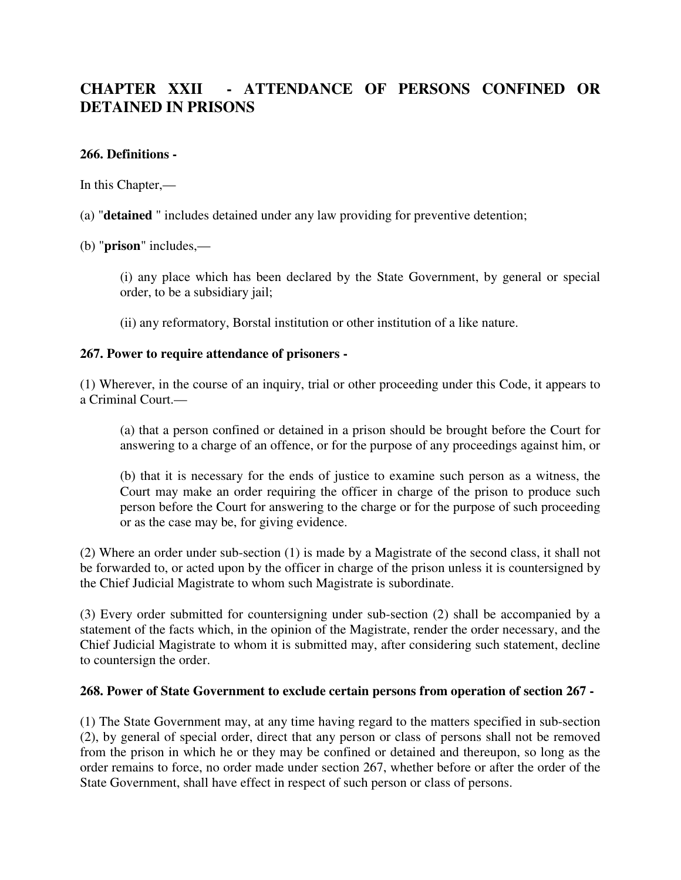# **CHAPTER XXII - ATTENDANCE OF PERSONS CONFINED OR DETAINED IN PRISONS**

### **266. Definitions -**

In this Chapter,—

(a) "**detained** " includes detained under any law providing for preventive detention;

(b) "**prison**" includes,—

(i) any place which has been declared by the State Government, by general or special order, to be a subsidiary jail;

(ii) any reformatory, Borstal institution or other institution of a like nature.

#### **267. Power to require attendance of prisoners -**

(1) Wherever, in the course of an inquiry, trial or other proceeding under this Code, it appears to a Criminal Court.—

(a) that a person confined or detained in a prison should be brought before the Court for answering to a charge of an offence, or for the purpose of any proceedings against him, or

(b) that it is necessary for the ends of justice to examine such person as a witness, the Court may make an order requiring the officer in charge of the prison to produce such person before the Court for answering to the charge or for the purpose of such proceeding or as the case may be, for giving evidence.

(2) Where an order under sub-section (1) is made by a Magistrate of the second class, it shall not be forwarded to, or acted upon by the officer in charge of the prison unless it is countersigned by the Chief Judicial Magistrate to whom such Magistrate is subordinate.

(3) Every order submitted for countersigning under sub-section (2) shall be accompanied by a statement of the facts which, in the opinion of the Magistrate, render the order necessary, and the Chief Judicial Magistrate to whom it is submitted may, after considering such statement, decline to countersign the order.

#### **268. Power of State Government to exclude certain persons from operation of section 267 -**

(1) The State Government may, at any time having regard to the matters specified in sub-section (2), by general of special order, direct that any person or class of persons shall not be removed from the prison in which he or they may be confined or detained and thereupon, so long as the order remains to force, no order made under section 267, whether before or after the order of the State Government, shall have effect in respect of such person or class of persons.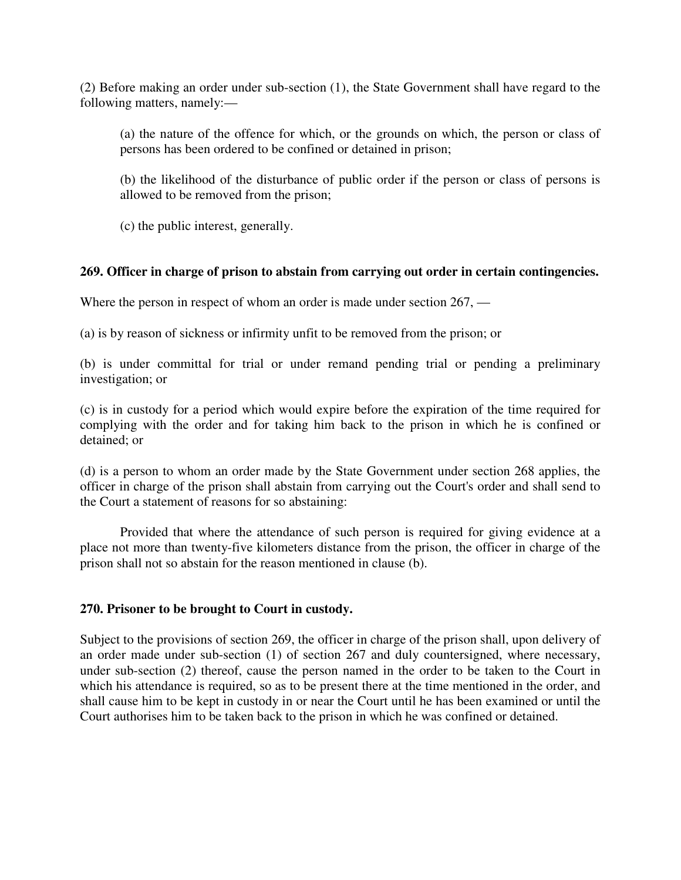(2) Before making an order under sub-section (1), the State Government shall have regard to the following matters, namely:—

(a) the nature of the offence for which, or the grounds on which, the person or class of persons has been ordered to be confined or detained in prison;

(b) the likelihood of the disturbance of public order if the person or class of persons is allowed to be removed from the prison;

(c) the public interest, generally.

## **269. Officer in charge of prison to abstain from carrying out order in certain contingencies.**

Where the person in respect of whom an order is made under section 267, —

(a) is by reason of sickness or infirmity unfit to be removed from the prison; or

(b) is under committal for trial or under remand pending trial or pending a preliminary investigation; or

(c) is in custody for a period which would expire before the expiration of the time required for complying with the order and for taking him back to the prison in which he is confined or detained; or

(d) is a person to whom an order made by the State Government under section 268 applies, the officer in charge of the prison shall abstain from carrying out the Court's order and shall send to the Court a statement of reasons for so abstaining:

Provided that where the attendance of such person is required for giving evidence at a place not more than twenty-five kilometers distance from the prison, the officer in charge of the prison shall not so abstain for the reason mentioned in clause (b).

#### **270. Prisoner to be brought to Court in custody.**

Subject to the provisions of section 269, the officer in charge of the prison shall, upon delivery of an order made under sub-section (1) of section 267 and duly countersigned, where necessary, under sub-section (2) thereof, cause the person named in the order to be taken to the Court in which his attendance is required, so as to be present there at the time mentioned in the order, and shall cause him to be kept in custody in or near the Court until he has been examined or until the Court authorises him to be taken back to the prison in which he was confined or detained.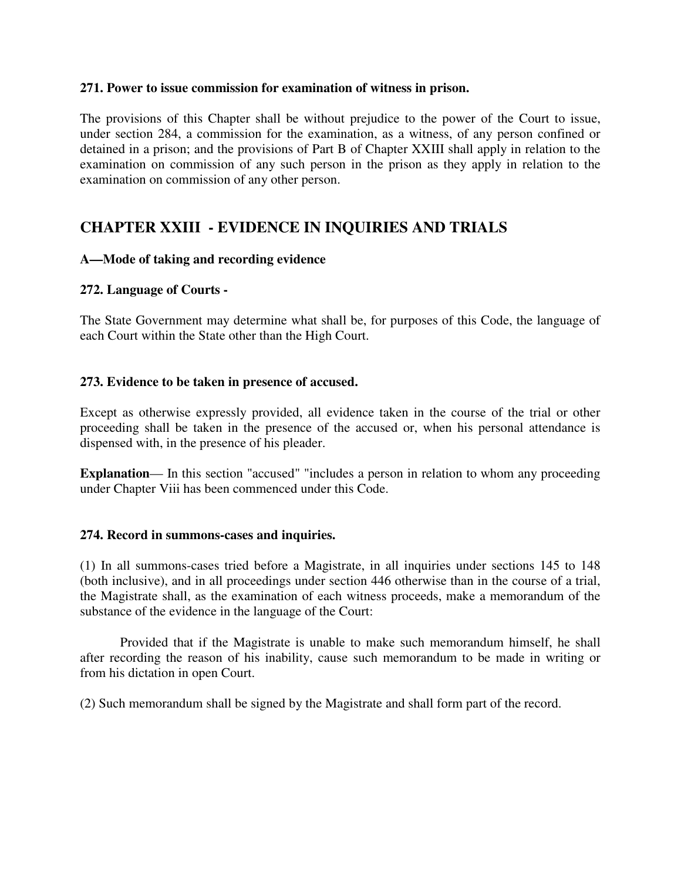#### **271. Power to issue commission for examination of witness in prison.**

The provisions of this Chapter shall be without prejudice to the power of the Court to issue, under section 284, a commission for the examination, as a witness, of any person confined or detained in a prison; and the provisions of Part B of Chapter XXIII shall apply in relation to the examination on commission of any such person in the prison as they apply in relation to the examination on commission of any other person.

# **CHAPTER XXIII - EVIDENCE IN INQUIRIES AND TRIALS**

## **A—Mode of taking and recording evidence**

## **272. Language of Courts -**

The State Government may determine what shall be, for purposes of this Code, the language of each Court within the State other than the High Court.

#### **273. Evidence to be taken in presence of accused.**

Except as otherwise expressly provided, all evidence taken in the course of the trial or other proceeding shall be taken in the presence of the accused or, when his personal attendance is dispensed with, in the presence of his pleader.

**Explanation—** In this section "accused" "includes a person in relation to whom any proceeding under Chapter Viii has been commenced under this Code.

#### **274. Record in summons-cases and inquiries.**

(1) In all summons-cases tried before a Magistrate, in all inquiries under sections 145 to 148 (both inclusive), and in all proceedings under section 446 otherwise than in the course of a trial, the Magistrate shall, as the examination of each witness proceeds, make a memorandum of the substance of the evidence in the language of the Court:

Provided that if the Magistrate is unable to make such memorandum himself, he shall after recording the reason of his inability, cause such memorandum to be made in writing or from his dictation in open Court.

(2) Such memorandum shall be signed by the Magistrate and shall form part of the record.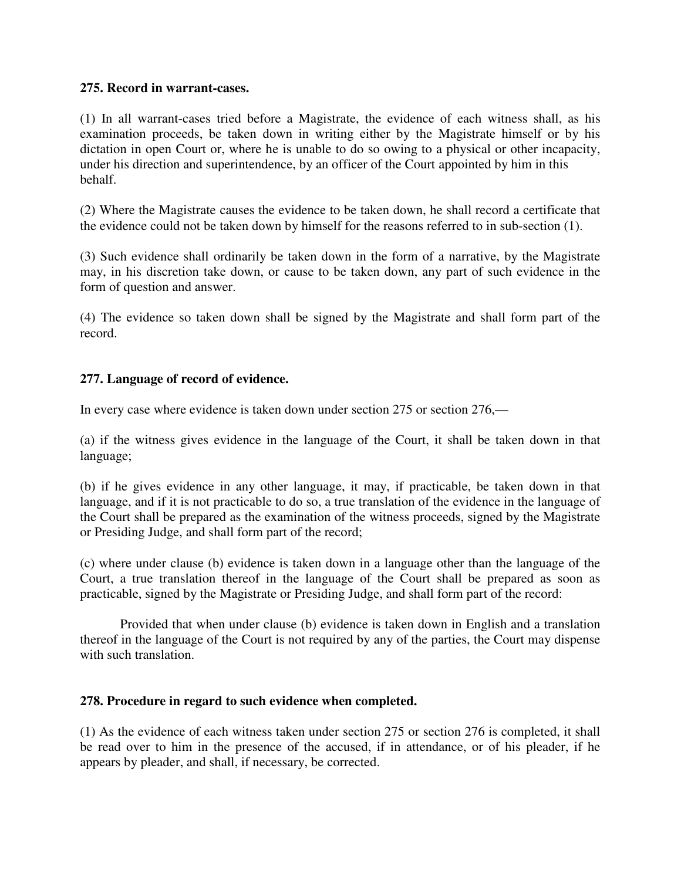#### **275. Record in warrant-cases.**

(1) In all warrant-cases tried before a Magistrate, the evidence of each witness shall, as his examination proceeds, be taken down in writing either by the Magistrate himself or by his dictation in open Court or, where he is unable to do so owing to a physical or other incapacity, under his direction and superintendence, by an officer of the Court appointed by him in this behalf.

(2) Where the Magistrate causes the evidence to be taken down, he shall record a certificate that the evidence could not be taken down by himself for the reasons referred to in sub-section (1).

(3) Such evidence shall ordinarily be taken down in the form of a narrative, by the Magistrate may, in his discretion take down, or cause to be taken down, any part of such evidence in the form of question and answer.

(4) The evidence so taken down shall be signed by the Magistrate and shall form part of the record.

## **277. Language of record of evidence.**

In every case where evidence is taken down under section 275 or section 276,—

(a) if the witness gives evidence in the language of the Court, it shall be taken down in that language;

(b) if he gives evidence in any other language, it may, if practicable, be taken down in that language, and if it is not practicable to do so, a true translation of the evidence in the language of the Court shall be prepared as the examination of the witness proceeds, signed by the Magistrate or Presiding Judge, and shall form part of the record;

(c) where under clause (b) evidence is taken down in a language other than the language of the Court, a true translation thereof in the language of the Court shall be prepared as soon as practicable, signed by the Magistrate or Presiding Judge, and shall form part of the record:

Provided that when under clause (b) evidence is taken down in English and a translation thereof in the language of the Court is not required by any of the parties, the Court may dispense with such translation.

#### **278. Procedure in regard to such evidence when completed.**

(1) As the evidence of each witness taken under section 275 or section 276 is completed, it shall be read over to him in the presence of the accused, if in attendance, or of his pleader, if he appears by pleader, and shall, if necessary, be corrected.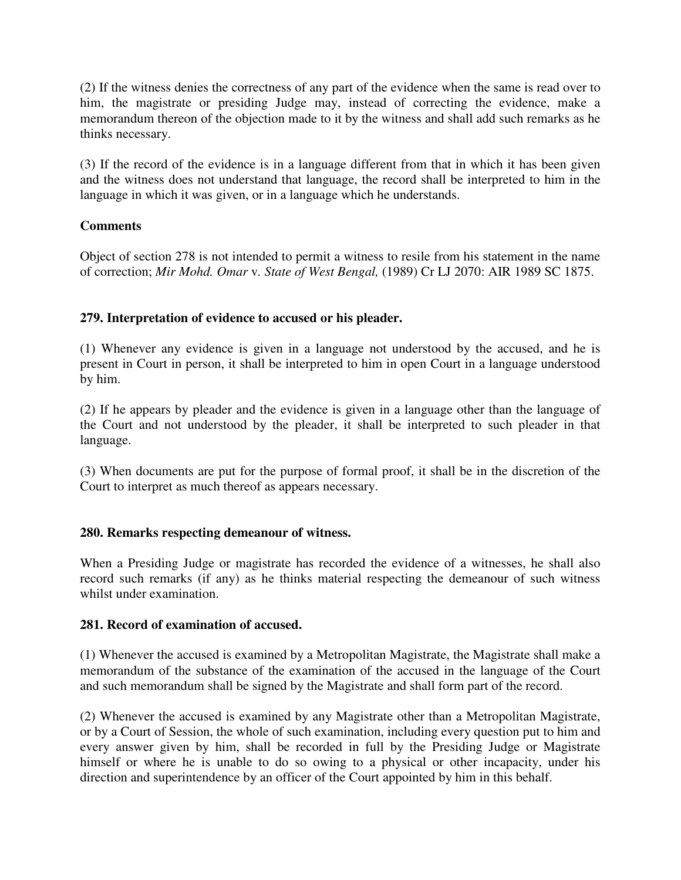(2) If the witness denies the correctness of any part of the evidence when the same is read over to him, the magistrate or presiding Judge may, instead of correcting the evidence, make a memorandum thereon of the objection made to it by the witness and shall add such remarks as he thinks necessary.

(3) If the record of the evidence is in a language different from that in which it has been given and the witness does not understand that language, the record shall be interpreted to him in the language in which it was given, or in a language which he understands.

# **Comments**

Object of section 278 is not intended to permit a witness to resile from his statement in the name of correction; *Mir Mohd. Omar* v*. State of West Bengal,* (1989) Cr LJ 2070: AIR 1989 SC 1875.

# **279. Interpretation of evidence to accused or his pleader.**

(1) Whenever any evidence is given in a language not understood by the accused, and he is present in Court in person, it shall be interpreted to him in open Court in a language understood by him.

(2) If he appears by pleader and the evidence is given in a language other than the language of the Court and not understood by the pleader, it shall be interpreted to such pleader in that language.

(3) When documents are put for the purpose of formal proof, it shall be in the discretion of the Court to interpret as much thereof as appears necessary.

# **280. Remarks respecting demeanour of witness.**

When a Presiding Judge or magistrate has recorded the evidence of a witnesses, he shall also record such remarks (if any) as he thinks material respecting the demeanour of such witness whilst under examination.

# **281. Record of examination of accused.**

(1) Whenever the accused is examined by a Metropolitan Magistrate, the Magistrate shall make a memorandum of the substance of the examination of the accused in the language of the Court and such memorandum shall be signed by the Magistrate and shall form part of the record.

(2) Whenever the accused is examined by any Magistrate other than a Metropolitan Magistrate, or by a Court of Session, the whole of such examination, including every question put to him and every answer given by him, shall be recorded in full by the Presiding Judge or Magistrate himself or where he is unable to do so owing to a physical or other incapacity, under his direction and superintendence by an officer of the Court appointed by him in this behalf.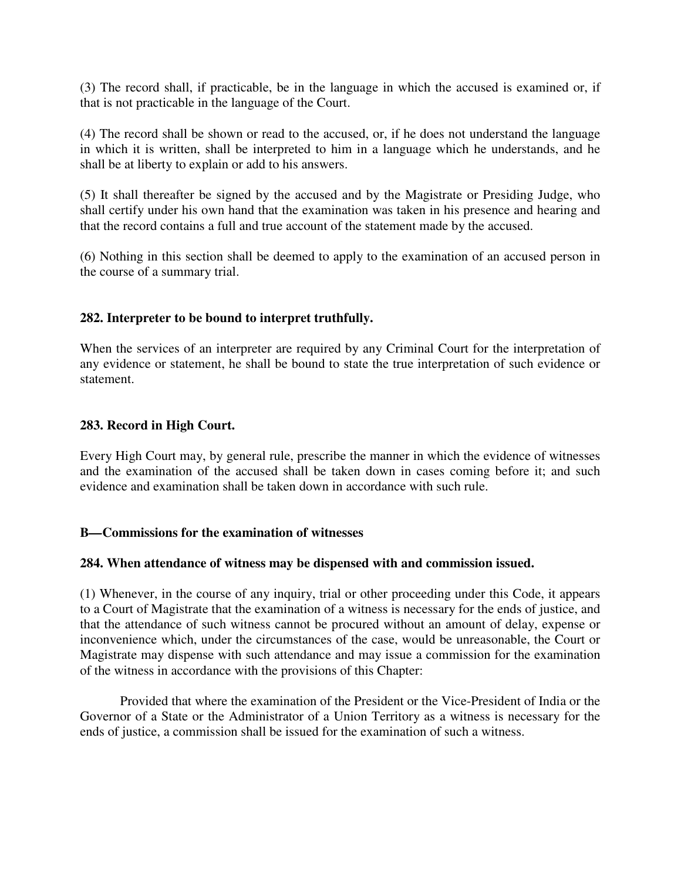(3) The record shall, if practicable, be in the language in which the accused is examined or, if that is not practicable in the language of the Court.

(4) The record shall be shown or read to the accused, or, if he does not understand the language in which it is written, shall be interpreted to him in a language which he understands, and he shall be at liberty to explain or add to his answers.

(5) It shall thereafter be signed by the accused and by the Magistrate or Presiding Judge, who shall certify under his own hand that the examination was taken in his presence and hearing and that the record contains a full and true account of the statement made by the accused.

(6) Nothing in this section shall be deemed to apply to the examination of an accused person in the course of a summary trial.

## **282. Interpreter to be bound to interpret truthfully.**

When the services of an interpreter are required by any Criminal Court for the interpretation of any evidence or statement, he shall be bound to state the true interpretation of such evidence or statement.

## **283. Record in High Court.**

Every High Court may, by general rule, prescribe the manner in which the evidence of witnesses and the examination of the accused shall be taken down in cases coming before it; and such evidence and examination shall be taken down in accordance with such rule.

#### **B***—***Commissions for the examination of witnesses**

#### **284. When attendance of witness may be dispensed with and commission issued.**

(1) Whenever, in the course of any inquiry, trial or other proceeding under this Code, it appears to a Court of Magistrate that the examination of a witness is necessary for the ends of justice, and that the attendance of such witness cannot be procured without an amount of delay, expense or inconvenience which, under the circumstances of the case, would be unreasonable, the Court or Magistrate may dispense with such attendance and may issue a commission for the examination of the witness in accordance with the provisions of this Chapter:

Provided that where the examination of the President or the Vice-President of India or the Governor of a State or the Administrator of a Union Territory as a witness is necessary for the ends of justice, a commission shall be issued for the examination of such a witness.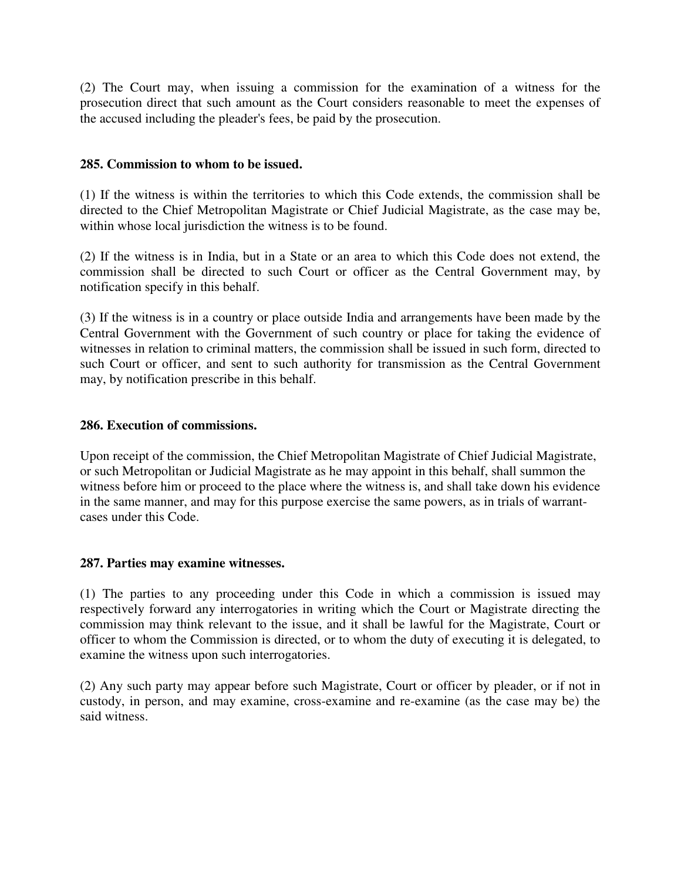(2) The Court may, when issuing a commission for the examination of a witness for the prosecution direct that such amount as the Court considers reasonable to meet the expenses of the accused including the pleader's fees, be paid by the prosecution.

## **285. Commission to whom to be issued.**

(1) If the witness is within the territories to which this Code extends, the commission shall be directed to the Chief Metropolitan Magistrate or Chief Judicial Magistrate, as the case may be, within whose local jurisdiction the witness is to be found.

(2) If the witness is in India, but in a State or an area to which this Code does not extend, the commission shall be directed to such Court or officer as the Central Government may, by notification specify in this behalf.

(3) If the witness is in a country or place outside India and arrangements have been made by the Central Government with the Government of such country or place for taking the evidence of witnesses in relation to criminal matters, the commission shall be issued in such form, directed to such Court or officer, and sent to such authority for transmission as the Central Government may, by notification prescribe in this behalf.

#### **286. Execution of commissions.**

Upon receipt of the commission, the Chief Metropolitan Magistrate of Chief Judicial Magistrate, or such Metropolitan or Judicial Magistrate as he may appoint in this behalf, shall summon the witness before him or proceed to the place where the witness is, and shall take down his evidence in the same manner, and may for this purpose exercise the same powers, as in trials of warrantcases under this Code.

#### **287. Parties may examine witnesses.**

(1) The parties to any proceeding under this Code in which a commission is issued may respectively forward any interrogatories in writing which the Court or Magistrate directing the commission may think relevant to the issue, and it shall be lawful for the Magistrate, Court or officer to whom the Commission is directed, or to whom the duty of executing it is delegated, to examine the witness upon such interrogatories.

(2) Any such party may appear before such Magistrate, Court or officer by pleader, or if not in custody, in person, and may examine, cross-examine and re-examine (as the case may be) the said witness.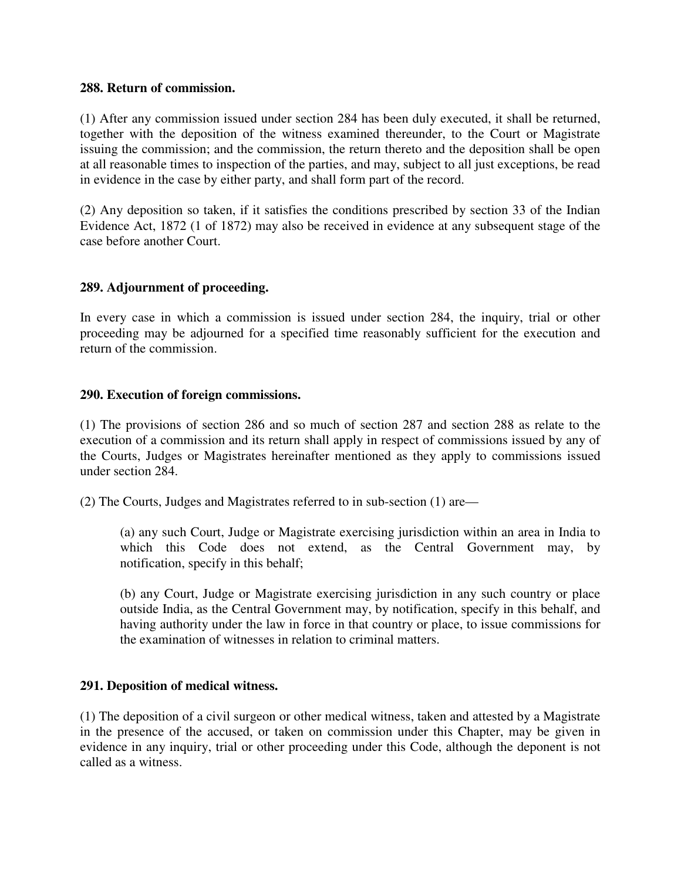#### **288. Return of commission.**

(1) After any commission issued under section 284 has been duly executed, it shall be returned, together with the deposition of the witness examined thereunder, to the Court or Magistrate issuing the commission; and the commission, the return thereto and the deposition shall be open at all reasonable times to inspection of the parties, and may, subject to all just exceptions, be read in evidence in the case by either party, and shall form part of the record.

(2) Any deposition so taken, if it satisfies the conditions prescribed by section 33 of the Indian Evidence Act, 1872 (1 of 1872) may also be received in evidence at any subsequent stage of the case before another Court.

## **289. Adjournment of proceeding.**

In every case in which a commission is issued under section 284, the inquiry, trial or other proceeding may be adjourned for a specified time reasonably sufficient for the execution and return of the commission.

#### **290. Execution of foreign commissions.**

(1) The provisions of section 286 and so much of section 287 and section 288 as relate to the execution of a commission and its return shall apply in respect of commissions issued by any of the Courts, Judges or Magistrates hereinafter mentioned as they apply to commissions issued under section 284.

(2) The Courts, Judges and Magistrates referred to in sub-section (1) are—

(a) any such Court, Judge or Magistrate exercising jurisdiction within an area in India to which this Code does not extend, as the Central Government may, by notification, specify in this behalf;

(b) any Court, Judge or Magistrate exercising jurisdiction in any such country or place outside India, as the Central Government may, by notification, specify in this behalf, and having authority under the law in force in that country or place, to issue commissions for the examination of witnesses in relation to criminal matters.

#### **291. Deposition of medical witness.**

(1) The deposition of a civil surgeon or other medical witness, taken and attested by a Magistrate in the presence of the accused, or taken on commission under this Chapter, may be given in evidence in any inquiry, trial or other proceeding under this Code, although the deponent is not called as a witness.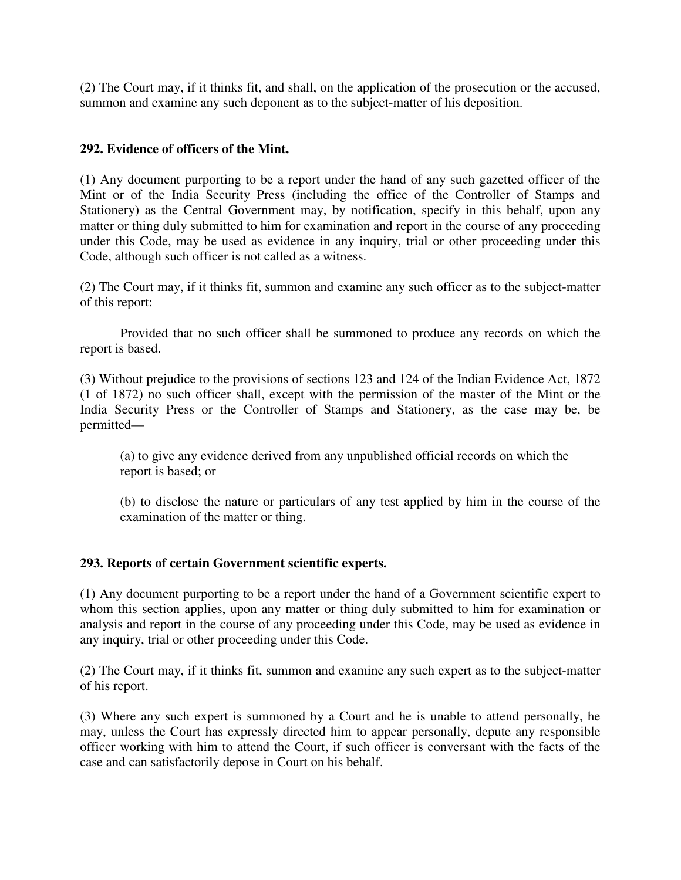(2) The Court may, if it thinks fit, and shall, on the application of the prosecution or the accused, summon and examine any such deponent as to the subject-matter of his deposition.

## **292. Evidence of officers of the Mint.**

(1) Any document purporting to be a report under the hand of any such gazetted officer of the Mint or of the India Security Press (including the office of the Controller of Stamps and Stationery) as the Central Government may, by notification, specify in this behalf, upon any matter or thing duly submitted to him for examination and report in the course of any proceeding under this Code, may be used as evidence in any inquiry, trial or other proceeding under this Code, although such officer is not called as a witness.

(2) The Court may, if it thinks fit, summon and examine any such officer as to the subject-matter of this report:

Provided that no such officer shall be summoned to produce any records on which the report is based.

(3) Without prejudice to the provisions of sections 123 and 124 of the Indian Evidence Act, 1872 (1 of 1872) no such officer shall, except with the permission of the master of the Mint or the India Security Press or the Controller of Stamps and Stationery, as the case may be, be permitted—

(a) to give any evidence derived from any unpublished official records on which the report is based; or

(b) to disclose the nature or particulars of any test applied by him in the course of the examination of the matter or thing.

#### **293. Reports of certain Government scientific experts.**

(1) Any document purporting to be a report under the hand of a Government scientific expert to whom this section applies, upon any matter or thing duly submitted to him for examination or analysis and report in the course of any proceeding under this Code, may be used as evidence in any inquiry, trial or other proceeding under this Code.

(2) The Court may, if it thinks fit, summon and examine any such expert as to the subject-matter of his report.

(3) Where any such expert is summoned by a Court and he is unable to attend personally, he may, unless the Court has expressly directed him to appear personally, depute any responsible officer working with him to attend the Court, if such officer is conversant with the facts of the case and can satisfactorily depose in Court on his behalf.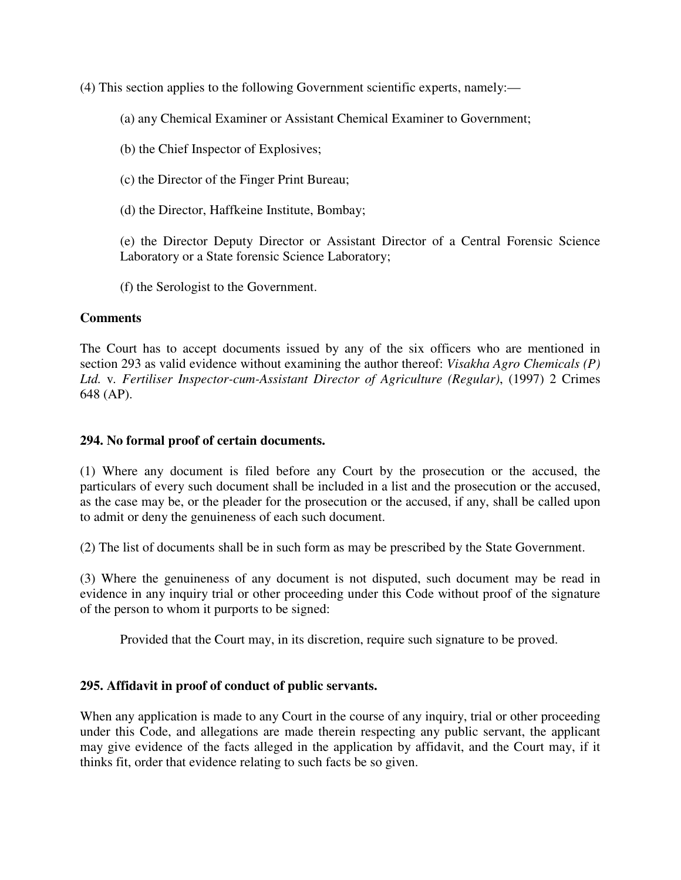(4) This section applies to the following Government scientific experts, namely:—

- (a) any Chemical Examiner or Assistant Chemical Examiner to Government;
- (b) the Chief Inspector of Explosives;
- (c) the Director of the Finger Print Bureau;
- (d) the Director, Haffkeine Institute, Bombay;

(e) the Director Deputy Director or Assistant Director of a Central Forensic Science Laboratory or a State forensic Science Laboratory;

(f) the Serologist to the Government.

### **Comments**

The Court has to accept documents issued by any of the six officers who are mentioned in section 293 as valid evidence without examining the author thereof: *Visakha Agro Chemicals (P) Ltd.* v*. Fertiliser Inspector-cum-Assistant Director of Agriculture (Regular)*, (1997) 2 Crimes 648 (AP).

### **294. No formal proof of certain documents.**

(1) Where any document is filed before any Court by the prosecution or the accused, the particulars of every such document shall be included in a list and the prosecution or the accused, as the case may be, or the pleader for the prosecution or the accused, if any, shall be called upon to admit or deny the genuineness of each such document.

(2) The list of documents shall be in such form as may be prescribed by the State Government.

(3) Where the genuineness of any document is not disputed, such document may be read in evidence in any inquiry trial or other proceeding under this Code without proof of the signature of the person to whom it purports to be signed:

Provided that the Court may, in its discretion, require such signature to be proved.

### **295. Affidavit in proof of conduct of public servants.**

When any application is made to any Court in the course of any inquiry, trial or other proceeding under this Code, and allegations are made therein respecting any public servant, the applicant may give evidence of the facts alleged in the application by affidavit, and the Court may, if it thinks fit, order that evidence relating to such facts be so given.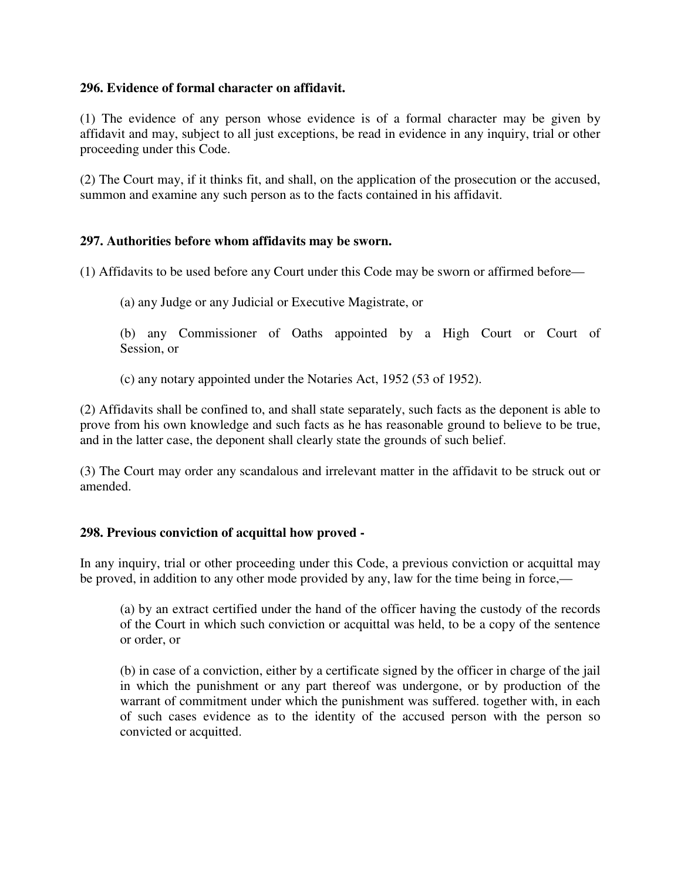### **296. Evidence of formal character on affidavit.**

(1) The evidence of any person whose evidence is of a formal character may be given by affidavit and may, subject to all just exceptions, be read in evidence in any inquiry, trial or other proceeding under this Code.

(2) The Court may, if it thinks fit, and shall, on the application of the prosecution or the accused, summon and examine any such person as to the facts contained in his affidavit.

## **297. Authorities before whom affidavits may be sworn.**

(1) Affidavits to be used before any Court under this Code may be sworn or affirmed before—

(a) any Judge or any Judicial or Executive Magistrate, or

(b) any Commissioner of Oaths appointed by a High Court or Court of Session, or

(c) any notary appointed under the Notaries Act, 1952 (53 of 1952).

(2) Affidavits shall be confined to, and shall state separately, such facts as the deponent is able to prove from his own knowledge and such facts as he has reasonable ground to believe to be true, and in the latter case, the deponent shall clearly state the grounds of such belief.

(3) The Court may order any scandalous and irrelevant matter in the affidavit to be struck out or amended.

### **298. Previous conviction of acquittal how proved -**

In any inquiry, trial or other proceeding under this Code, a previous conviction or acquittal may be proved, in addition to any other mode provided by any, law for the time being in force,—

(a) by an extract certified under the hand of the officer having the custody of the records of the Court in which such conviction or acquittal was held, to be a copy of the sentence or order, or

(b) in case of a conviction, either by a certificate signed by the officer in charge of the jail in which the punishment or any part thereof was undergone, or by production of the warrant of commitment under which the punishment was suffered. together with, in each of such cases evidence as to the identity of the accused person with the person so convicted or acquitted.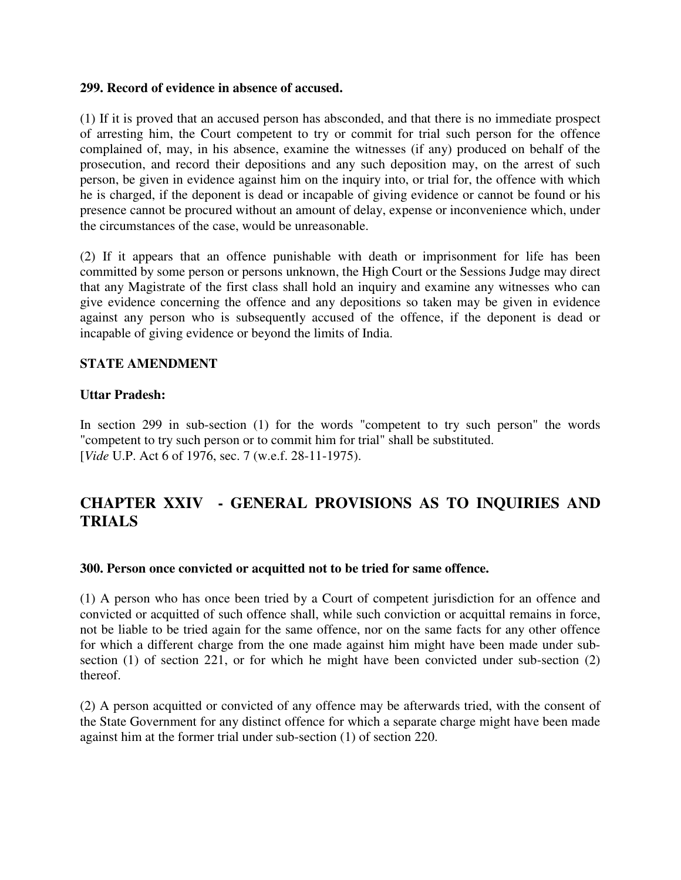### **299. Record of evidence in absence of accused.**

(1) If it is proved that an accused person has absconded, and that there is no immediate prospect of arresting him, the Court competent to try or commit for trial such person for the offence complained of, may, in his absence, examine the witnesses (if any) produced on behalf of the prosecution, and record their depositions and any such deposition may, on the arrest of such person, be given in evidence against him on the inquiry into, or trial for, the offence with which he is charged, if the deponent is dead or incapable of giving evidence or cannot be found or his presence cannot be procured without an amount of delay, expense or inconvenience which, under the circumstances of the case, would be unreasonable.

(2) If it appears that an offence punishable with death or imprisonment for life has been committed by some person or persons unknown, the High Court or the Sessions Judge may direct that any Magistrate of the first class shall hold an inquiry and examine any witnesses who can give evidence concerning the offence and any depositions so taken may be given in evidence against any person who is subsequently accused of the offence, if the deponent is dead or incapable of giving evidence or beyond the limits of India.

## **STATE AMENDMENT**

## **Uttar Pradesh:**

In section 299 in sub-section (1) for the words "competent to try such person" the words "competent to try such person or to commit him for trial" shall be substituted. [*Vide* U.P. Act 6 of 1976, sec. 7 (w.e.f. 28-11-1975).

# **CHAPTER XXIV - GENERAL PROVISIONS AS TO INQUIRIES AND TRIALS**

### **300. Person once convicted or acquitted not to be tried for same offence.**

(1) A person who has once been tried by a Court of competent jurisdiction for an offence and convicted or acquitted of such offence shall, while such conviction or acquittal remains in force, not be liable to be tried again for the same offence, nor on the same facts for any other offence for which a different charge from the one made against him might have been made under subsection (1) of section 221, or for which he might have been convicted under sub-section (2) thereof.

(2) A person acquitted or convicted of any offence may be afterwards tried, with the consent of the State Government for any distinct offence for which a separate charge might have been made against him at the former trial under sub-section (1) of section 220.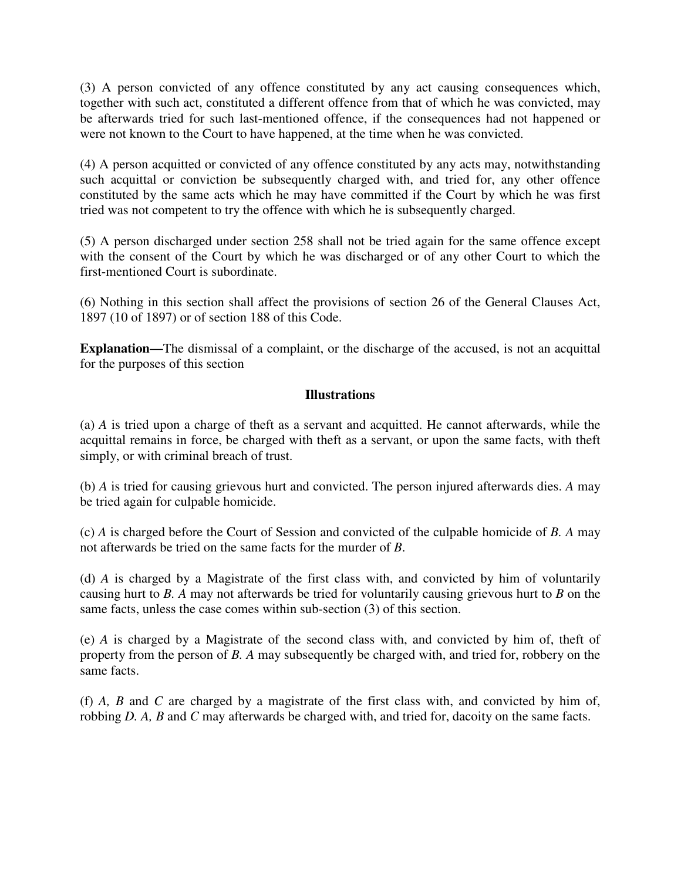(3) A person convicted of any offence constituted by any act causing consequences which, together with such act, constituted a different offence from that of which he was convicted, may be afterwards tried for such last-mentioned offence, if the consequences had not happened or were not known to the Court to have happened, at the time when he was convicted.

(4) A person acquitted or convicted of any offence constituted by any acts may, notwithstanding such acquittal or conviction be subsequently charged with, and tried for, any other offence constituted by the same acts which he may have committed if the Court by which he was first tried was not competent to try the offence with which he is subsequently charged.

(5) A person discharged under section 258 shall not be tried again for the same offence except with the consent of the Court by which he was discharged or of any other Court to which the first-mentioned Court is subordinate.

(6) Nothing in this section shall affect the provisions of section 26 of the General Clauses Act, 1897 (10 of 1897) or of section 188 of this Code.

**Explanation—**The dismissal of a complaint, or the discharge of the accused, is not an acquittal for the purposes of this section

## **Illustrations**

(a) *A* is tried upon a charge of theft as a servant and acquitted. He cannot afterwards, while the acquittal remains in force, be charged with theft as a servant, or upon the same facts, with theft simply, or with criminal breach of trust.

(b) *A* is tried for causing grievous hurt and convicted. The person injured afterwards dies. *A* may be tried again for culpable homicide.

(c) *A* is charged before the Court of Session and convicted of the culpable homicide of *B. A* may not afterwards be tried on the same facts for the murder of *B*.

(d) *A* is charged by a Magistrate of the first class with, and convicted by him of voluntarily causing hurt to *B. A* may not afterwards be tried for voluntarily causing grievous hurt to *B* on the same facts, unless the case comes within sub-section (3) of this section.

(e) *A* is charged by a Magistrate of the second class with, and convicted by him of, theft of property from the person of *B. A* may subsequently be charged with, and tried for, robbery on the same facts.

(f) *A, B* and *C* are charged by a magistrate of the first class with, and convicted by him of, robbing *D. A, B* and *C* may afterwards be charged with, and tried for, dacoity on the same facts.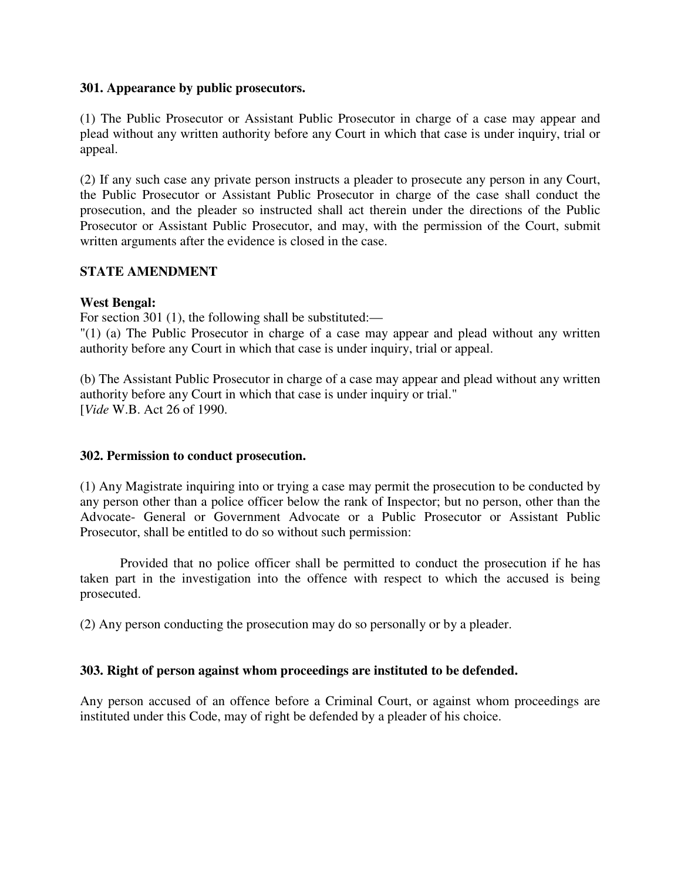### **301. Appearance by public prosecutors.**

(1) The Public Prosecutor or Assistant Public Prosecutor in charge of a case may appear and plead without any written authority before any Court in which that case is under inquiry, trial or appeal.

(2) If any such case any private person instructs a pleader to prosecute any person in any Court, the Public Prosecutor or Assistant Public Prosecutor in charge of the case shall conduct the prosecution, and the pleader so instructed shall act therein under the directions of the Public Prosecutor or Assistant Public Prosecutor, and may, with the permission of the Court, submit written arguments after the evidence is closed in the case.

### **STATE AMENDMENT**

### **West Bengal:**

For section 301 (1), the following shall be substituted:—

"(1) (a) The Public Prosecutor in charge of a case may appear and plead without any written authority before any Court in which that case is under inquiry, trial or appeal.

(b) The Assistant Public Prosecutor in charge of a case may appear and plead without any written authority before any Court in which that case is under inquiry or trial." [*Vide* W.B. Act 26 of 1990.

### **302. Permission to conduct prosecution.**

(1) Any Magistrate inquiring into or trying a case may permit the prosecution to be conducted by any person other than a police officer below the rank of Inspector; but no person, other than the Advocate- General or Government Advocate or a Public Prosecutor or Assistant Public Prosecutor, shall be entitled to do so without such permission:

Provided that no police officer shall be permitted to conduct the prosecution if he has taken part in the investigation into the offence with respect to which the accused is being prosecuted.

(2) Any person conducting the prosecution may do so personally or by a pleader.

### **303. Right of person against whom proceedings are instituted to be defended.**

Any person accused of an offence before a Criminal Court, or against whom proceedings are instituted under this Code, may of right be defended by a pleader of his choice.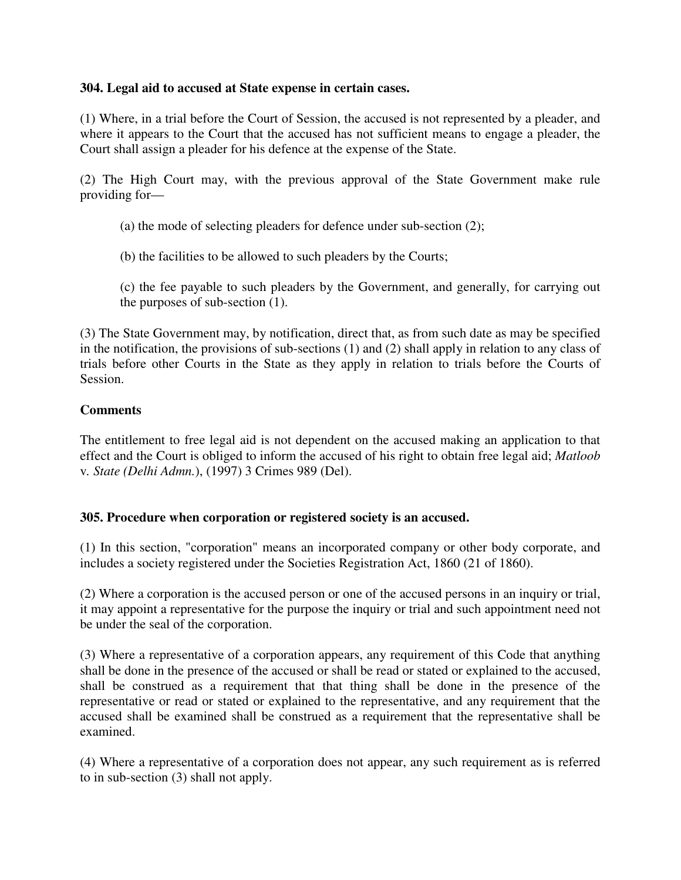## **304. Legal aid to accused at State expense in certain cases.**

(1) Where, in a trial before the Court of Session, the accused is not represented by a pleader, and where it appears to the Court that the accused has not sufficient means to engage a pleader, the Court shall assign a pleader for his defence at the expense of the State.

(2) The High Court may, with the previous approval of the State Government make rule providing for—

- (a) the mode of selecting pleaders for defence under sub-section (2);
- (b) the facilities to be allowed to such pleaders by the Courts;
- (c) the fee payable to such pleaders by the Government, and generally, for carrying out the purposes of sub-section (1).

(3) The State Government may, by notification, direct that, as from such date as may be specified in the notification, the provisions of sub-sections (1) and (2) shall apply in relation to any class of trials before other Courts in the State as they apply in relation to trials before the Courts of Session.

## **Comments**

The entitlement to free legal aid is not dependent on the accused making an application to that effect and the Court is obliged to inform the accused of his right to obtain free legal aid; *Matloob*  v*. State (Delhi Admn.*), (1997) 3 Crimes 989 (Del).

### **305. Procedure when corporation or registered society is an accused.**

(1) In this section, "corporation" means an incorporated company or other body corporate, and includes a society registered under the Societies Registration Act, 1860 (21 of 1860).

(2) Where a corporation is the accused person or one of the accused persons in an inquiry or trial, it may appoint a representative for the purpose the inquiry or trial and such appointment need not be under the seal of the corporation.

(3) Where a representative of a corporation appears, any requirement of this Code that anything shall be done in the presence of the accused or shall be read or stated or explained to the accused, shall be construed as a requirement that that thing shall be done in the presence of the representative or read or stated or explained to the representative, and any requirement that the accused shall be examined shall be construed as a requirement that the representative shall be examined.

(4) Where a representative of a corporation does not appear, any such requirement as is referred to in sub-section (3) shall not apply.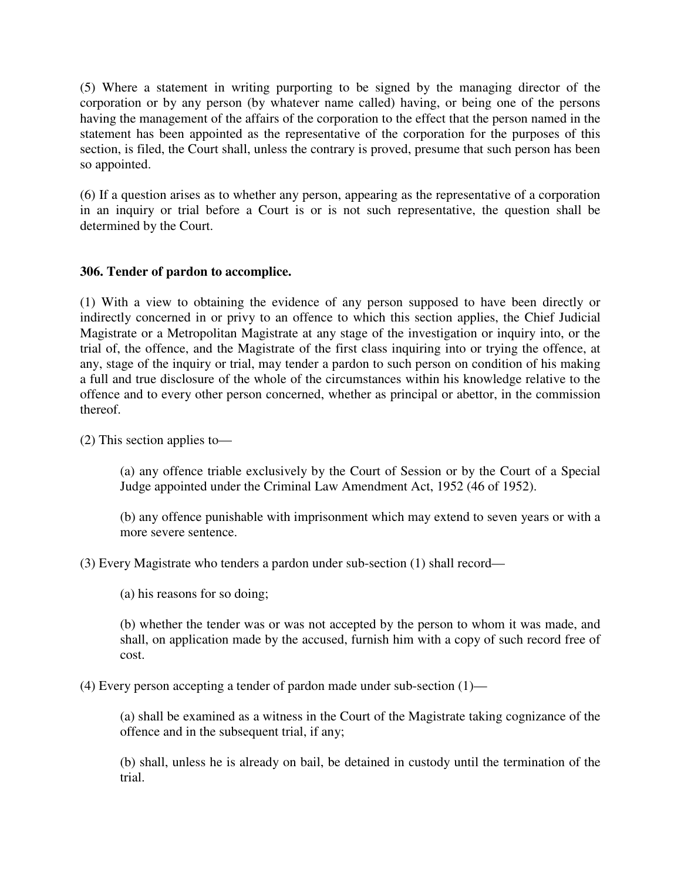(5) Where a statement in writing purporting to be signed by the managing director of the corporation or by any person (by whatever name called) having, or being one of the persons having the management of the affairs of the corporation to the effect that the person named in the statement has been appointed as the representative of the corporation for the purposes of this section, is filed, the Court shall, unless the contrary is proved, presume that such person has been so appointed.

(6) If a question arises as to whether any person, appearing as the representative of a corporation in an inquiry or trial before a Court is or is not such representative, the question shall be determined by the Court.

## **306. Tender of pardon to accomplice.**

(1) With a view to obtaining the evidence of any person supposed to have been directly or indirectly concerned in or privy to an offence to which this section applies, the Chief Judicial Magistrate or a Metropolitan Magistrate at any stage of the investigation or inquiry into, or the trial of, the offence, and the Magistrate of the first class inquiring into or trying the offence, at any, stage of the inquiry or trial, may tender a pardon to such person on condition of his making a full and true disclosure of the whole of the circumstances within his knowledge relative to the offence and to every other person concerned, whether as principal or abettor, in the commission thereof.

(2) This section applies to—

(a) any offence triable exclusively by the Court of Session or by the Court of a Special Judge appointed under the Criminal Law Amendment Act, 1952 (46 of 1952).

(b) any offence punishable with imprisonment which may extend to seven years or with a more severe sentence.

(3) Every Magistrate who tenders a pardon under sub-section (1) shall record—

(a) his reasons for so doing;

(b) whether the tender was or was not accepted by the person to whom it was made, and shall, on application made by the accused, furnish him with a copy of such record free of cost.

(4) Every person accepting a tender of pardon made under sub-section (1)—

(a) shall be examined as a witness in the Court of the Magistrate taking cognizance of the offence and in the subsequent trial, if any;

(b) shall, unless he is already on bail, be detained in custody until the termination of the trial.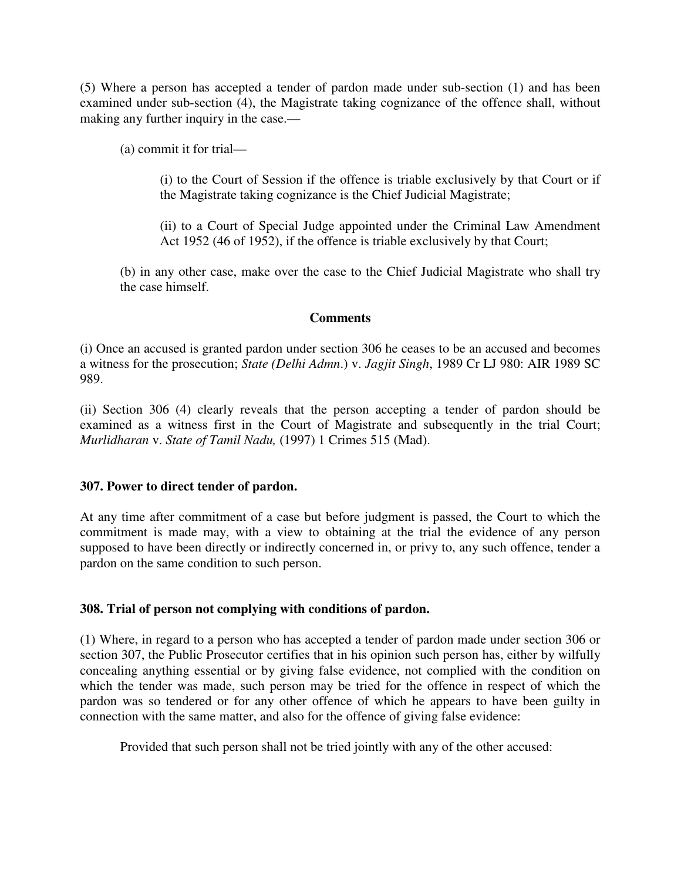(5) Where a person has accepted a tender of pardon made under sub-section (1) and has been examined under sub-section (4), the Magistrate taking cognizance of the offence shall, without making any further inquiry in the case.—

(a) commit it for trial—

(i) to the Court of Session if the offence is triable exclusively by that Court or if the Magistrate taking cognizance is the Chief Judicial Magistrate;

(ii) to a Court of Special Judge appointed under the Criminal Law Amendment Act 1952 (46 of 1952), if the offence is triable exclusively by that Court;

(b) in any other case, make over the case to the Chief Judicial Magistrate who shall try the case himself.

### **Comments**

(i) Once an accused is granted pardon under section 306 he ceases to be an accused and becomes a witness for the prosecution; *State (Delhi Admn*.) v. *Jagjit Singh*, 1989 Cr LJ 980: AIR 1989 SC 989.

(ii) Section 306 (4) clearly reveals that the person accepting a tender of pardon should be examined as a witness first in the Court of Magistrate and subsequently in the trial Court; *Murlidharan* v. *State of Tamil Nadu,* (1997) 1 Crimes 515 (Mad).

### **307. Power to direct tender of pardon.**

At any time after commitment of a case but before judgment is passed, the Court to which the commitment is made may, with a view to obtaining at the trial the evidence of any person supposed to have been directly or indirectly concerned in, or privy to, any such offence, tender a pardon on the same condition to such person.

### **308. Trial of person not complying with conditions of pardon.**

(1) Where, in regard to a person who has accepted a tender of pardon made under section 306 or section 307, the Public Prosecutor certifies that in his opinion such person has, either by wilfully concealing anything essential or by giving false evidence, not complied with the condition on which the tender was made, such person may be tried for the offence in respect of which the pardon was so tendered or for any other offence of which he appears to have been guilty in connection with the same matter, and also for the offence of giving false evidence:

Provided that such person shall not be tried jointly with any of the other accused: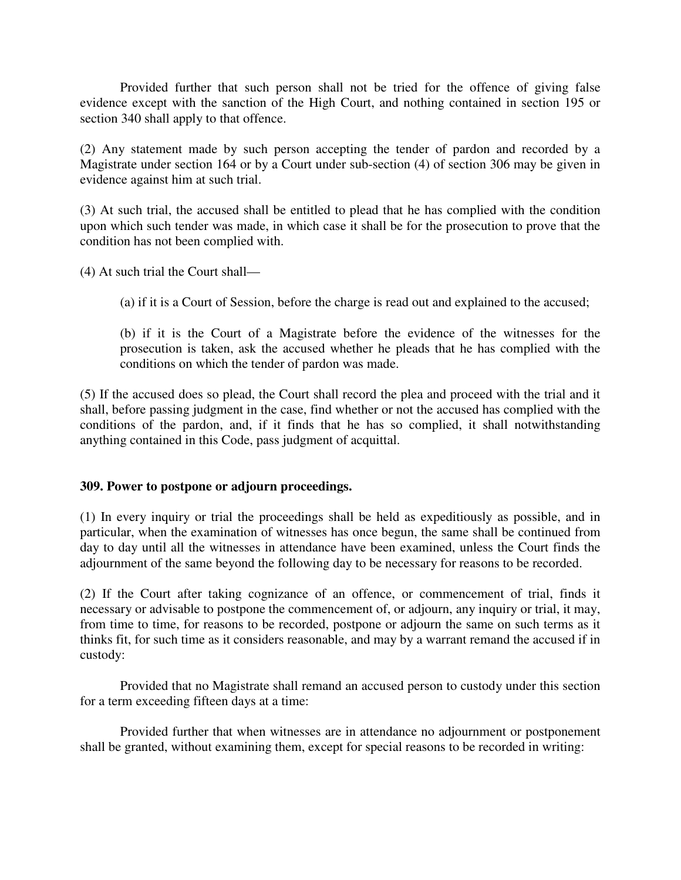Provided further that such person shall not be tried for the offence of giving false evidence except with the sanction of the High Court, and nothing contained in section 195 or section 340 shall apply to that offence.

(2) Any statement made by such person accepting the tender of pardon and recorded by a Magistrate under section 164 or by a Court under sub-section (4) of section 306 may be given in evidence against him at such trial.

(3) At such trial, the accused shall be entitled to plead that he has complied with the condition upon which such tender was made, in which case it shall be for the prosecution to prove that the condition has not been complied with.

(4) At such trial the Court shall—

(a) if it is a Court of Session, before the charge is read out and explained to the accused;

(b) if it is the Court of a Magistrate before the evidence of the witnesses for the prosecution is taken, ask the accused whether he pleads that he has complied with the conditions on which the tender of pardon was made.

(5) If the accused does so plead, the Court shall record the plea and proceed with the trial and it shall, before passing judgment in the case, find whether or not the accused has complied with the conditions of the pardon, and, if it finds that he has so complied, it shall notwithstanding anything contained in this Code, pass judgment of acquittal.

### **309. Power to postpone or adjourn proceedings.**

(1) In every inquiry or trial the proceedings shall be held as expeditiously as possible, and in particular, when the examination of witnesses has once begun, the same shall be continued from day to day until all the witnesses in attendance have been examined, unless the Court finds the adjournment of the same beyond the following day to be necessary for reasons to be recorded.

(2) If the Court after taking cognizance of an offence, or commencement of trial, finds it necessary or advisable to postpone the commencement of, or adjourn, any inquiry or trial, it may, from time to time, for reasons to be recorded, postpone or adjourn the same on such terms as it thinks fit, for such time as it considers reasonable, and may by a warrant remand the accused if in custody:

Provided that no Magistrate shall remand an accused person to custody under this section for a term exceeding fifteen days at a time:

Provided further that when witnesses are in attendance no adjournment or postponement shall be granted, without examining them, except for special reasons to be recorded in writing: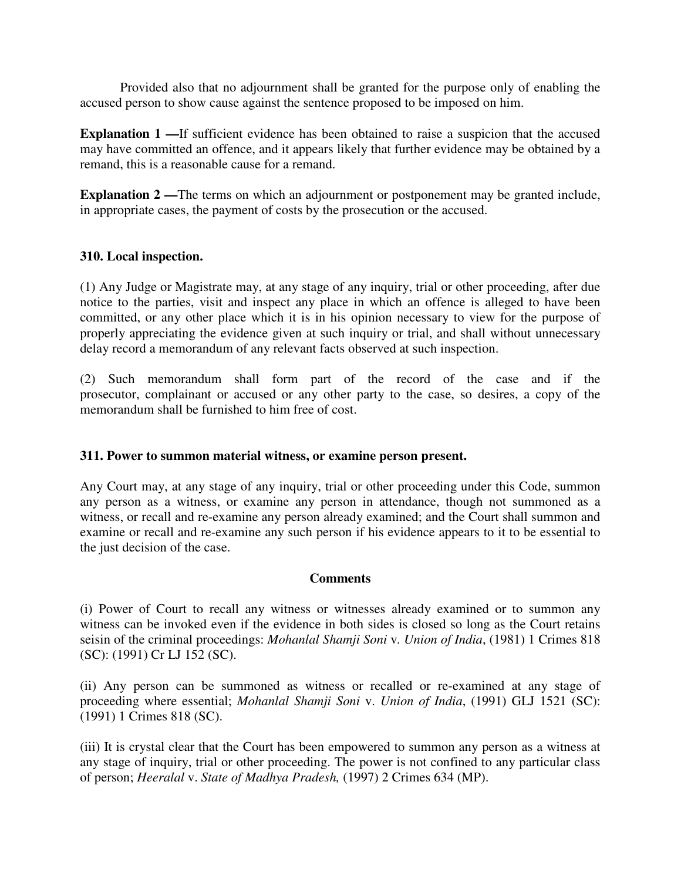Provided also that no adjournment shall be granted for the purpose only of enabling the accused person to show cause against the sentence proposed to be imposed on him.

**Explanation 1** —If sufficient evidence has been obtained to raise a suspicion that the accused may have committed an offence, and it appears likely that further evidence may be obtained by a remand, this is a reasonable cause for a remand.

**Explanation 2 —**The terms on which an adjournment or postponement may be granted include, in appropriate cases, the payment of costs by the prosecution or the accused.

## **310. Local inspection.**

(1) Any Judge or Magistrate may, at any stage of any inquiry, trial or other proceeding, after due notice to the parties, visit and inspect any place in which an offence is alleged to have been committed, or any other place which it is in his opinion necessary to view for the purpose of properly appreciating the evidence given at such inquiry or trial, and shall without unnecessary delay record a memorandum of any relevant facts observed at such inspection.

(2) Such memorandum shall form part of the record of the case and if the prosecutor, complainant or accused or any other party to the case, so desires, a copy of the memorandum shall be furnished to him free of cost.

### **311. Power to summon material witness, or examine person present.**

Any Court may, at any stage of any inquiry, trial or other proceeding under this Code, summon any person as a witness, or examine any person in attendance, though not summoned as a witness, or recall and re-examine any person already examined; and the Court shall summon and examine or recall and re-examine any such person if his evidence appears to it to be essential to the just decision of the case.

#### **Comments**

(i) Power of Court to recall any witness or witnesses already examined or to summon any witness can be invoked even if the evidence in both sides is closed so long as the Court retains seisin of the criminal proceedings: *Mohanlal Shamji Soni* v*. Union of India*, (1981) 1 Crimes 818 (SC): (1991) Cr LJ 152 (SC).

(ii) Any person can be summoned as witness or recalled or re-examined at any stage of proceeding where essential; *Mohanlal Shamji Soni* v. *Union of India*, (1991) GLJ 1521 (SC): (1991) 1 Crimes 818 (SC).

(iii) It is crystal clear that the Court has been empowered to summon any person as a witness at any stage of inquiry, trial or other proceeding. The power is not confined to any particular class of person; *Heeralal* v. *State of Madhya Pradesh,* (1997) 2 Crimes 634 (MP).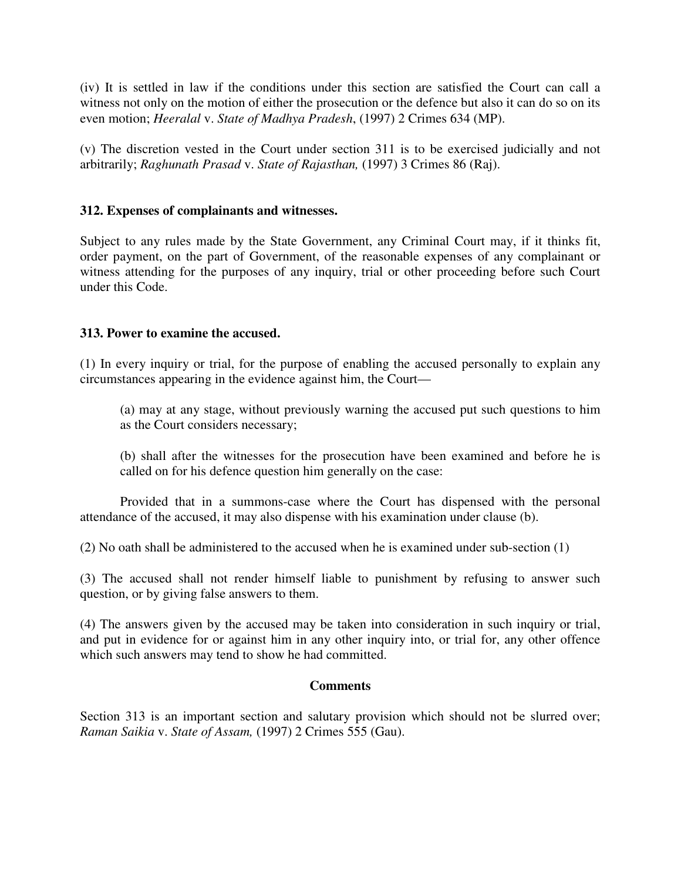(iv) It is settled in law if the conditions under this section are satisfied the Court can call a witness not only on the motion of either the prosecution or the defence but also it can do so on its even motion; *Heeralal* v. *State of Madhya Pradesh*, (1997) 2 Crimes 634 (MP).

(v) The discretion vested in the Court under section 311 is to be exercised judicially and not arbitrarily; *Raghunath Prasad* v. *State of Rajasthan,* (1997) 3 Crimes 86 (Raj).

## **312. Expenses of complainants and witnesses.**

Subject to any rules made by the State Government, any Criminal Court may, if it thinks fit, order payment, on the part of Government, of the reasonable expenses of any complainant or witness attending for the purposes of any inquiry, trial or other proceeding before such Court under this Code.

### **313. Power to examine the accused.**

(1) In every inquiry or trial, for the purpose of enabling the accused personally to explain any circumstances appearing in the evidence against him, the Court—

(a) may at any stage, without previously warning the accused put such questions to him as the Court considers necessary;

(b) shall after the witnesses for the prosecution have been examined and before he is called on for his defence question him generally on the case:

Provided that in a summons-case where the Court has dispensed with the personal attendance of the accused, it may also dispense with his examination under clause (b).

(2) No oath shall be administered to the accused when he is examined under sub-section (1)

(3) The accused shall not render himself liable to punishment by refusing to answer such question, or by giving false answers to them.

(4) The answers given by the accused may be taken into consideration in such inquiry or trial, and put in evidence for or against him in any other inquiry into, or trial for, any other offence which such answers may tend to show he had committed.

### **Comments**

Section 313 is an important section and salutary provision which should not be slurred over; *Raman Saikia* v. *State of Assam,* (1997) 2 Crimes 555 (Gau).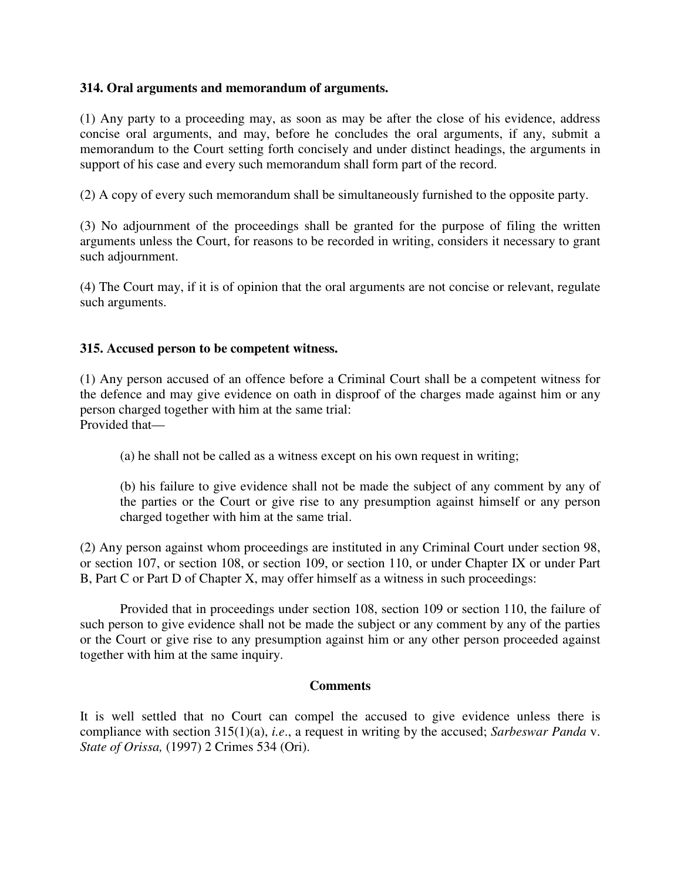### **314. Oral arguments and memorandum of arguments.**

(1) Any party to a proceeding may, as soon as may be after the close of his evidence, address concise oral arguments, and may, before he concludes the oral arguments, if any, submit a memorandum to the Court setting forth concisely and under distinct headings, the arguments in support of his case and every such memorandum shall form part of the record.

(2) A copy of every such memorandum shall be simultaneously furnished to the opposite party.

(3) No adjournment of the proceedings shall be granted for the purpose of filing the written arguments unless the Court, for reasons to be recorded in writing, considers it necessary to grant such adjournment.

(4) The Court may, if it is of opinion that the oral arguments are not concise or relevant, regulate such arguments.

### **315. Accused person to be competent witness.**

(1) Any person accused of an offence before a Criminal Court shall be a competent witness for the defence and may give evidence on oath in disproof of the charges made against him or any person charged together with him at the same trial: Provided that—

(a) he shall not be called as a witness except on his own request in writing;

(b) his failure to give evidence shall not be made the subject of any comment by any of the parties or the Court or give rise to any presumption against himself or any person charged together with him at the same trial.

(2) Any person against whom proceedings are instituted in any Criminal Court under section 98, or section 107, or section 108, or section 109, or section 110, or under Chapter IX or under Part B, Part C or Part D of Chapter X, may offer himself as a witness in such proceedings:

Provided that in proceedings under section 108, section 109 or section 110, the failure of such person to give evidence shall not be made the subject or any comment by any of the parties or the Court or give rise to any presumption against him or any other person proceeded against together with him at the same inquiry.

#### **Comments**

It is well settled that no Court can compel the accused to give evidence unless there is compliance with section 315(1)(a), *i.e*., a request in writing by the accused; *Sarbeswar Panda* v. *State of Orissa,* (1997) 2 Crimes 534 (Ori).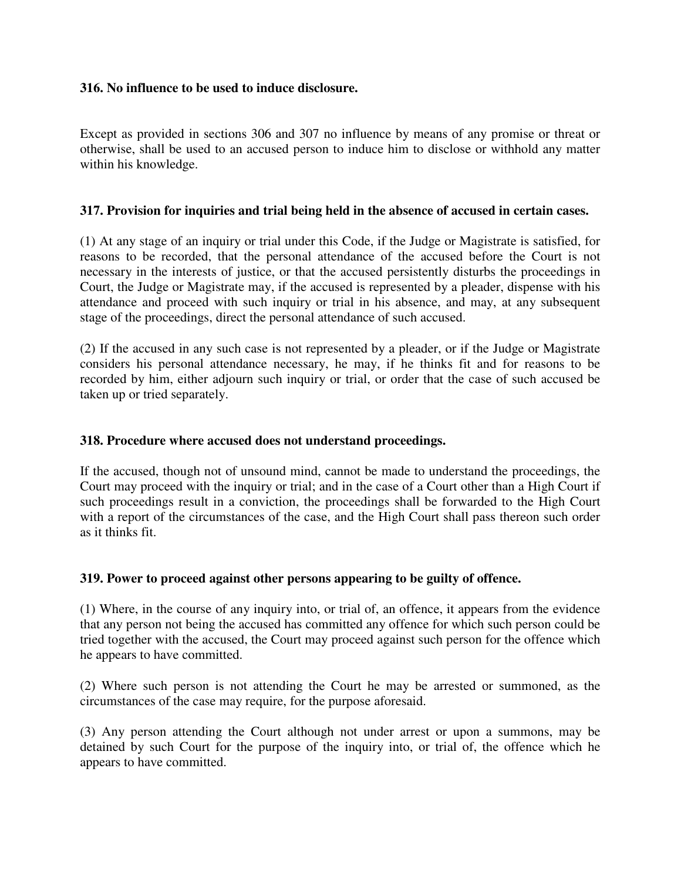### **316. No influence to be used to induce disclosure.**

Except as provided in sections 306 and 307 no influence by means of any promise or threat or otherwise, shall be used to an accused person to induce him to disclose or withhold any matter within his knowledge.

### **317. Provision for inquiries and trial being held in the absence of accused in certain cases.**

(1) At any stage of an inquiry or trial under this Code, if the Judge or Magistrate is satisfied, for reasons to be recorded, that the personal attendance of the accused before the Court is not necessary in the interests of justice, or that the accused persistently disturbs the proceedings in Court, the Judge or Magistrate may, if the accused is represented by a pleader, dispense with his attendance and proceed with such inquiry or trial in his absence, and may, at any subsequent stage of the proceedings, direct the personal attendance of such accused.

(2) If the accused in any such case is not represented by a pleader, or if the Judge or Magistrate considers his personal attendance necessary, he may, if he thinks fit and for reasons to be recorded by him, either adjourn such inquiry or trial, or order that the case of such accused be taken up or tried separately.

### **318. Procedure where accused does not understand proceedings.**

If the accused, though not of unsound mind, cannot be made to understand the proceedings, the Court may proceed with the inquiry or trial; and in the case of a Court other than a High Court if such proceedings result in a conviction, the proceedings shall be forwarded to the High Court with a report of the circumstances of the case, and the High Court shall pass thereon such order as it thinks fit.

### **319. Power to proceed against other persons appearing to be guilty of offence.**

(1) Where, in the course of any inquiry into, or trial of, an offence, it appears from the evidence that any person not being the accused has committed any offence for which such person could be tried together with the accused, the Court may proceed against such person for the offence which he appears to have committed.

(2) Where such person is not attending the Court he may be arrested or summoned, as the circumstances of the case may require, for the purpose aforesaid.

(3) Any person attending the Court although not under arrest or upon a summons, may be detained by such Court for the purpose of the inquiry into, or trial of, the offence which he appears to have committed.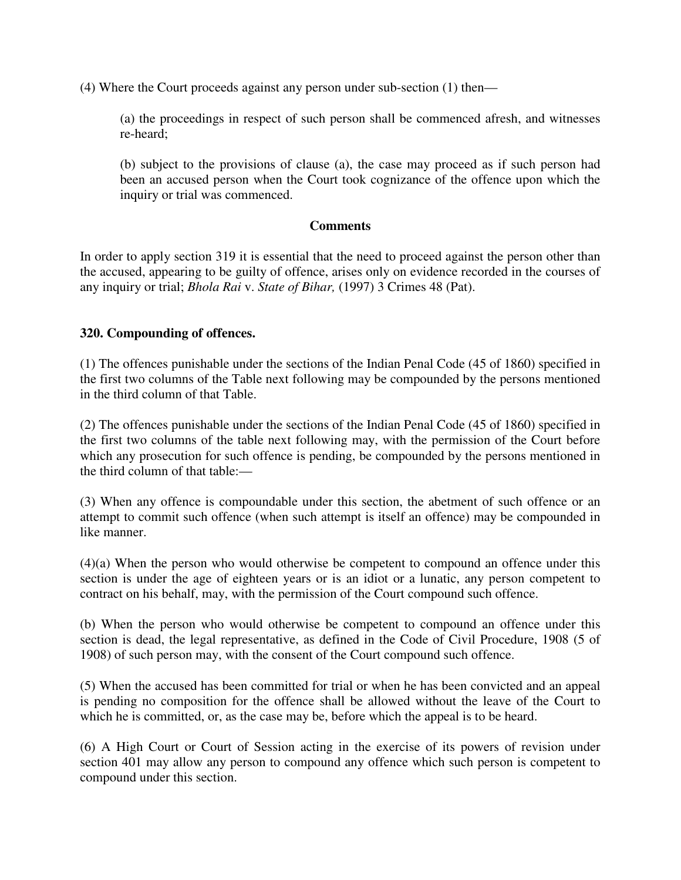(4) Where the Court proceeds against any person under sub-section (1) then—

(a) the proceedings in respect of such person shall be commenced afresh, and witnesses re-heard;

(b) subject to the provisions of clause (a), the case may proceed as if such person had been an accused person when the Court took cognizance of the offence upon which the inquiry or trial was commenced.

## **Comments**

In order to apply section 319 it is essential that the need to proceed against the person other than the accused, appearing to be guilty of offence, arises only on evidence recorded in the courses of any inquiry or trial; *Bhola Rai* v. *State of Bihar,* (1997) 3 Crimes 48 (Pat).

### **320. Compounding of offences.**

(1) The offences punishable under the sections of the Indian Penal Code (45 of 1860) specified in the first two columns of the Table next following may be compounded by the persons mentioned in the third column of that Table.

(2) The offences punishable under the sections of the Indian Penal Code (45 of 1860) specified in the first two columns of the table next following may, with the permission of the Court before which any prosecution for such offence is pending, be compounded by the persons mentioned in the third column of that table:—

(3) When any offence is compoundable under this section, the abetment of such offence or an attempt to commit such offence (when such attempt is itself an offence) may be compounded in like manner.

(4)(a) When the person who would otherwise be competent to compound an offence under this section is under the age of eighteen years or is an idiot or a lunatic, any person competent to contract on his behalf, may, with the permission of the Court compound such offence.

(b) When the person who would otherwise be competent to compound an offence under this section is dead, the legal representative, as defined in the Code of Civil Procedure, 1908 (5 of 1908) of such person may, with the consent of the Court compound such offence.

(5) When the accused has been committed for trial or when he has been convicted and an appeal is pending no composition for the offence shall be allowed without the leave of the Court to which he is committed, or, as the case may be, before which the appeal is to be heard.

(6) A High Court or Court of Session acting in the exercise of its powers of revision under section 401 may allow any person to compound any offence which such person is competent to compound under this section.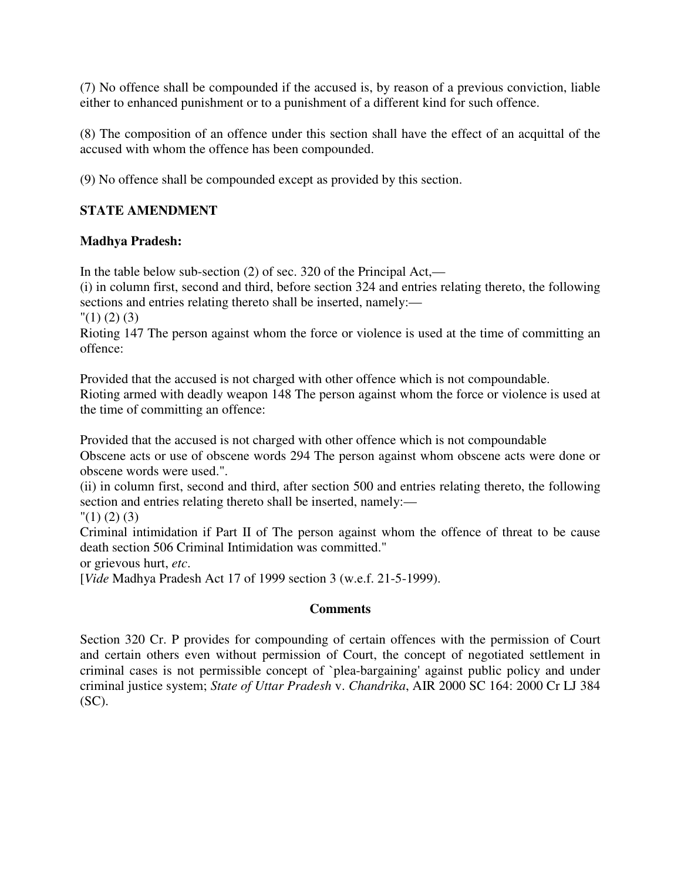(7) No offence shall be compounded if the accused is, by reason of a previous conviction, liable either to enhanced punishment or to a punishment of a different kind for such offence.

(8) The composition of an offence under this section shall have the effect of an acquittal of the accused with whom the offence has been compounded.

(9) No offence shall be compounded except as provided by this section.

## **STATE AMENDMENT**

## **Madhya Pradesh:**

In the table below sub-section (2) of sec. 320 of the Principal Act,—

(i) in column first, second and third, before section 324 and entries relating thereto, the following sections and entries relating thereto shall be inserted, namely:—

 $''(1)$  (2) (3)

Rioting 147 The person against whom the force or violence is used at the time of committing an offence:

Provided that the accused is not charged with other offence which is not compoundable. Rioting armed with deadly weapon 148 The person against whom the force or violence is used at the time of committing an offence:

Provided that the accused is not charged with other offence which is not compoundable Obscene acts or use of obscene words 294 The person against whom obscene acts were done or obscene words were used.".

(ii) in column first, second and third, after section 500 and entries relating thereto, the following section and entries relating thereto shall be inserted, namely:—

 $"(1) (2) (3)$ 

Criminal intimidation if Part II of The person against whom the offence of threat to be cause death section 506 Criminal Intimidation was committed."

or grievous hurt, *etc*.

[*Vide* Madhya Pradesh Act 17 of 1999 section 3 (w.e.f. 21-5-1999).

### **Comments**

Section 320 Cr. P provides for compounding of certain offences with the permission of Court and certain others even without permission of Court, the concept of negotiated settlement in criminal cases is not permissible concept of `plea-bargaining' against public policy and under criminal justice system; *State of Uttar Pradesh* v. *Chandrika*, AIR 2000 SC 164: 2000 Cr LJ 384 (SC).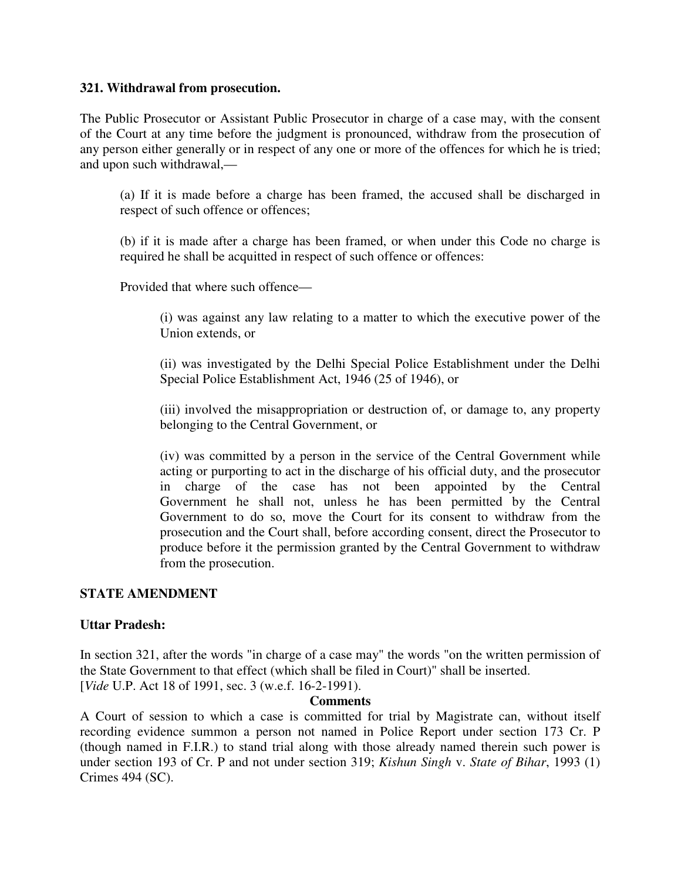### **321. Withdrawal from prosecution.**

The Public Prosecutor or Assistant Public Prosecutor in charge of a case may, with the consent of the Court at any time before the judgment is pronounced, withdraw from the prosecution of any person either generally or in respect of any one or more of the offences for which he is tried; and upon such withdrawal,—

(a) If it is made before a charge has been framed, the accused shall be discharged in respect of such offence or offences;

(b) if it is made after a charge has been framed, or when under this Code no charge is required he shall be acquitted in respect of such offence or offences:

Provided that where such offence—

(i) was against any law relating to a matter to which the executive power of the Union extends, or

(ii) was investigated by the Delhi Special Police Establishment under the Delhi Special Police Establishment Act, 1946 (25 of 1946), or

(iii) involved the misappropriation or destruction of, or damage to, any property belonging to the Central Government, or

(iv) was committed by a person in the service of the Central Government while acting or purporting to act in the discharge of his official duty, and the prosecutor in charge of the case has not been appointed by the Central Government he shall not, unless he has been permitted by the Central Government to do so, move the Court for its consent to withdraw from the prosecution and the Court shall, before according consent, direct the Prosecutor to produce before it the permission granted by the Central Government to withdraw from the prosecution.

### **STATE AMENDMENT**

### **Uttar Pradesh:**

In section 321, after the words "in charge of a case may" the words "on the written permission of the State Government to that effect (which shall be filed in Court)" shall be inserted. [*Vide* U.P. Act 18 of 1991, sec. 3 (w.e.f. 16-2-1991).

#### **Comments**

A Court of session to which a case is committed for trial by Magistrate can, without itself recording evidence summon a person not named in Police Report under section 173 Cr. P (though named in F.I.R.) to stand trial along with those already named therein such power is under section 193 of Cr. P and not under section 319; *Kishun Singh* v. *State of Bihar*, 1993 (1) Crimes 494 (SC).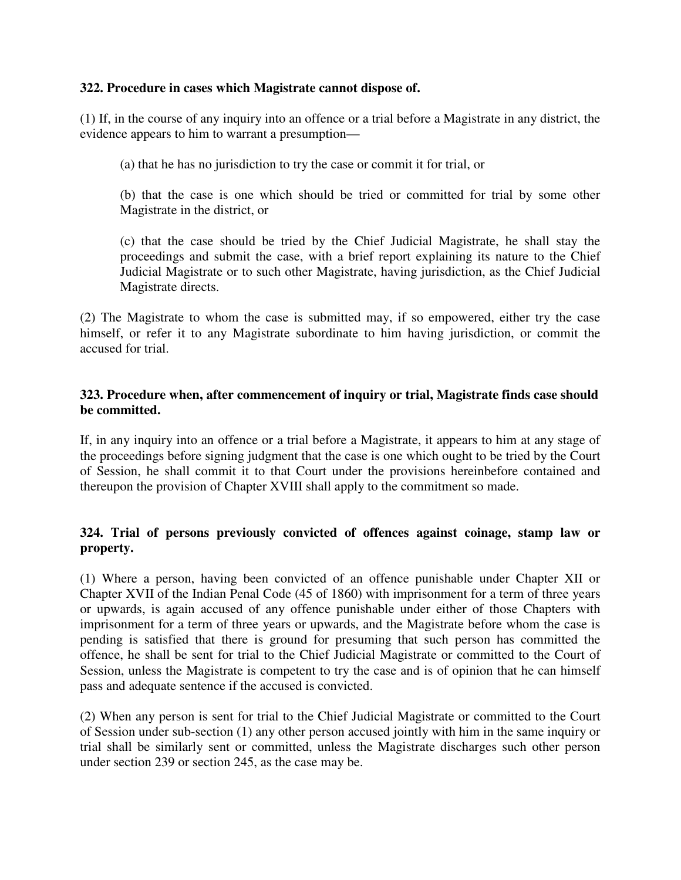### **322. Procedure in cases which Magistrate cannot dispose of.**

(1) If, in the course of any inquiry into an offence or a trial before a Magistrate in any district, the evidence appears to him to warrant a presumption—

(a) that he has no jurisdiction to try the case or commit it for trial, or

(b) that the case is one which should be tried or committed for trial by some other Magistrate in the district, or

(c) that the case should be tried by the Chief Judicial Magistrate, he shall stay the proceedings and submit the case, with a brief report explaining its nature to the Chief Judicial Magistrate or to such other Magistrate, having jurisdiction, as the Chief Judicial Magistrate directs.

(2) The Magistrate to whom the case is submitted may, if so empowered, either try the case himself, or refer it to any Magistrate subordinate to him having jurisdiction, or commit the accused for trial.

## **323. Procedure when, after commencement of inquiry or trial, Magistrate finds case should be committed.**

If, in any inquiry into an offence or a trial before a Magistrate, it appears to him at any stage of the proceedings before signing judgment that the case is one which ought to be tried by the Court of Session, he shall commit it to that Court under the provisions hereinbefore contained and thereupon the provision of Chapter XVIII shall apply to the commitment so made.

# **324. Trial of persons previously convicted of offences against coinage, stamp law or property.**

(1) Where a person, having been convicted of an offence punishable under Chapter XII or Chapter XVII of the Indian Penal Code (45 of 1860) with imprisonment for a term of three years or upwards, is again accused of any offence punishable under either of those Chapters with imprisonment for a term of three years or upwards, and the Magistrate before whom the case is pending is satisfied that there is ground for presuming that such person has committed the offence, he shall be sent for trial to the Chief Judicial Magistrate or committed to the Court of Session, unless the Magistrate is competent to try the case and is of opinion that he can himself pass and adequate sentence if the accused is convicted.

(2) When any person is sent for trial to the Chief Judicial Magistrate or committed to the Court of Session under sub-section (1) any other person accused jointly with him in the same inquiry or trial shall be similarly sent or committed, unless the Magistrate discharges such other person under section 239 or section 245, as the case may be.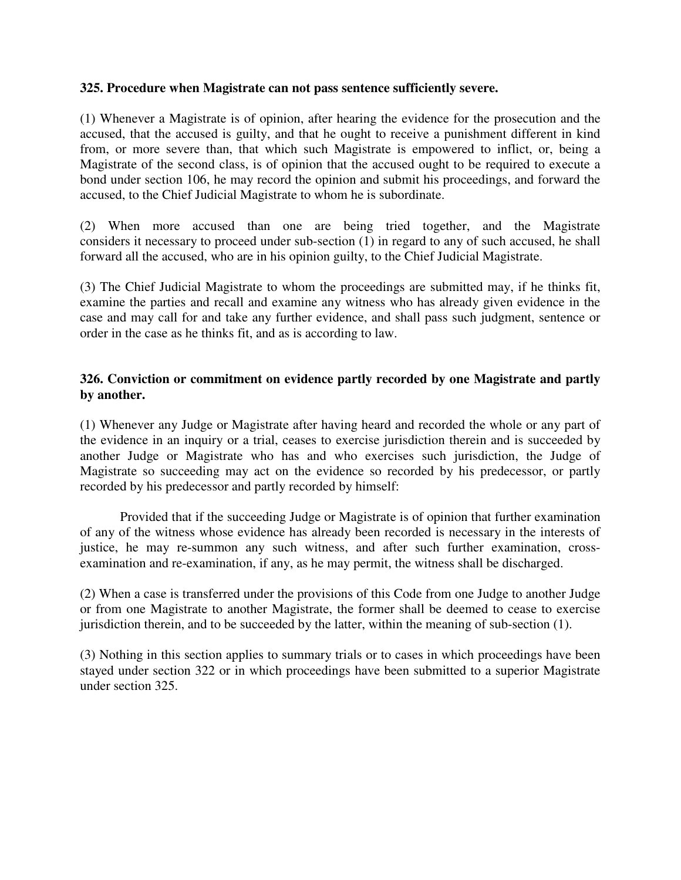### **325. Procedure when Magistrate can not pass sentence sufficiently severe.**

(1) Whenever a Magistrate is of opinion, after hearing the evidence for the prosecution and the accused, that the accused is guilty, and that he ought to receive a punishment different in kind from, or more severe than, that which such Magistrate is empowered to inflict, or, being a Magistrate of the second class, is of opinion that the accused ought to be required to execute a bond under section 106, he may record the opinion and submit his proceedings, and forward the accused, to the Chief Judicial Magistrate to whom he is subordinate.

(2) When more accused than one are being tried together, and the Magistrate considers it necessary to proceed under sub-section  $(1)$  in regard to any of such accused, he shall forward all the accused, who are in his opinion guilty, to the Chief Judicial Magistrate.

(3) The Chief Judicial Magistrate to whom the proceedings are submitted may, if he thinks fit, examine the parties and recall and examine any witness who has already given evidence in the case and may call for and take any further evidence, and shall pass such judgment, sentence or order in the case as he thinks fit, and as is according to law.

## **326. Conviction or commitment on evidence partly recorded by one Magistrate and partly by another.**

(1) Whenever any Judge or Magistrate after having heard and recorded the whole or any part of the evidence in an inquiry or a trial, ceases to exercise jurisdiction therein and is succeeded by another Judge or Magistrate who has and who exercises such jurisdiction, the Judge of Magistrate so succeeding may act on the evidence so recorded by his predecessor, or partly recorded by his predecessor and partly recorded by himself:

Provided that if the succeeding Judge or Magistrate is of opinion that further examination of any of the witness whose evidence has already been recorded is necessary in the interests of justice, he may re-summon any such witness, and after such further examination, crossexamination and re-examination, if any, as he may permit, the witness shall be discharged.

(2) When a case is transferred under the provisions of this Code from one Judge to another Judge or from one Magistrate to another Magistrate, the former shall be deemed to cease to exercise jurisdiction therein, and to be succeeded by the latter, within the meaning of sub-section (1).

(3) Nothing in this section applies to summary trials or to cases in which proceedings have been stayed under section 322 or in which proceedings have been submitted to a superior Magistrate under section 325.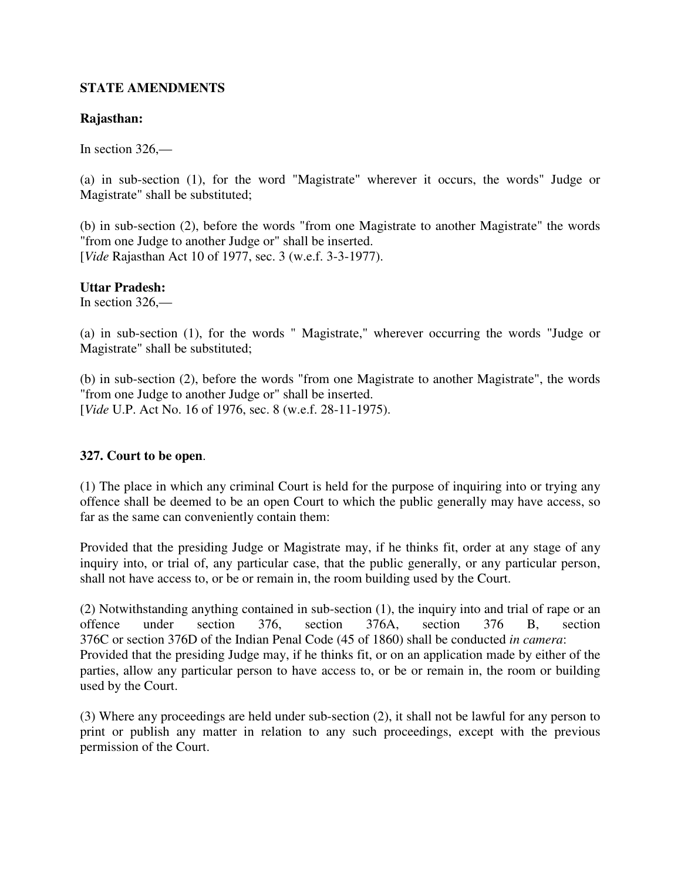## **STATE AMENDMENTS**

## **Rajasthan:**

In section 326,—

(a) in sub-section (1), for the word "Magistrate" wherever it occurs, the words" Judge or Magistrate" shall be substituted;

(b) in sub-section (2), before the words "from one Magistrate to another Magistrate" the words "from one Judge to another Judge or" shall be inserted. [*Vide* Rajasthan Act 10 of 1977, sec. 3 (w.e.f. 3-3-1977).

## **Uttar Pradesh:**

In section 326,—

(a) in sub-section (1), for the words " Magistrate," wherever occurring the words "Judge or Magistrate" shall be substituted;

(b) in sub-section (2), before the words "from one Magistrate to another Magistrate", the words "from one Judge to another Judge or" shall be inserted. [*Vide* U.P. Act No. 16 of 1976, sec. 8 (w.e.f. 28-11-1975).

## **327. Court to be open**.

(1) The place in which any criminal Court is held for the purpose of inquiring into or trying any offence shall be deemed to be an open Court to which the public generally may have access, so far as the same can conveniently contain them:

Provided that the presiding Judge or Magistrate may, if he thinks fit, order at any stage of any inquiry into, or trial of, any particular case, that the public generally, or any particular person, shall not have access to, or be or remain in, the room building used by the Court.

(2) Notwithstanding anything contained in sub-section (1), the inquiry into and trial of rape or an offence under section 376. section 376. Section 376 B. section offence under section 376, section 376A, section 376 B, section 376C or section 376D of the Indian Penal Code (45 of 1860) shall be conducted *in camera*: Provided that the presiding Judge may, if he thinks fit, or on an application made by either of the parties, allow any particular person to have access to, or be or remain in, the room or building used by the Court.

(3) Where any proceedings are held under sub-section (2), it shall not be lawful for any person to print or publish any matter in relation to any such proceedings, except with the previous permission of the Court.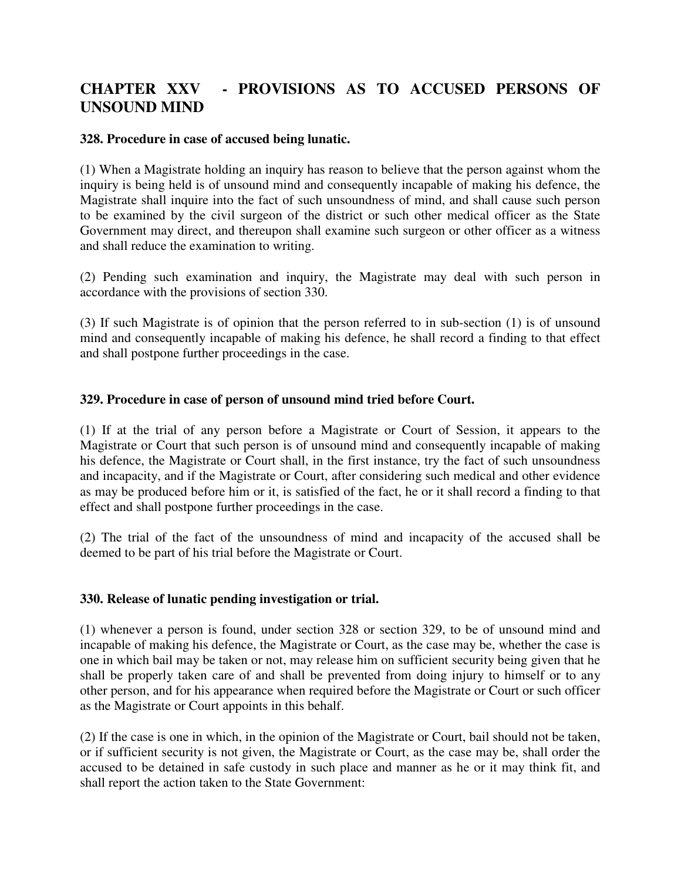# **CHAPTER XXV - PROVISIONS AS TO ACCUSED PERSONS OF UNSOUND MIND**

### **328. Procedure in case of accused being lunatic.**

(1) When a Magistrate holding an inquiry has reason to believe that the person against whom the inquiry is being held is of unsound mind and consequently incapable of making his defence, the Magistrate shall inquire into the fact of such unsoundness of mind, and shall cause such person to be examined by the civil surgeon of the district or such other medical officer as the State Government may direct, and thereupon shall examine such surgeon or other officer as a witness and shall reduce the examination to writing.

(2) Pending such examination and inquiry, the Magistrate may deal with such person in accordance with the provisions of section 330.

(3) If such Magistrate is of opinion that the person referred to in sub-section (1) is of unsound mind and consequently incapable of making his defence, he shall record a finding to that effect and shall postpone further proceedings in the case.

## **329. Procedure in case of person of unsound mind tried before Court.**

(1) If at the trial of any person before a Magistrate or Court of Session, it appears to the Magistrate or Court that such person is of unsound mind and consequently incapable of making his defence, the Magistrate or Court shall, in the first instance, try the fact of such unsoundness and incapacity, and if the Magistrate or Court, after considering such medical and other evidence as may be produced before him or it, is satisfied of the fact, he or it shall record a finding to that effect and shall postpone further proceedings in the case.

(2) The trial of the fact of the unsoundness of mind and incapacity of the accused shall be deemed to be part of his trial before the Magistrate or Court.

### **330. Release of lunatic pending investigation or trial.**

(1) whenever a person is found, under section 328 or section 329, to be of unsound mind and incapable of making his defence, the Magistrate or Court, as the case may be, whether the case is one in which bail may be taken or not, may release him on sufficient security being given that he shall be properly taken care of and shall be prevented from doing injury to himself or to any other person, and for his appearance when required before the Magistrate or Court or such officer as the Magistrate or Court appoints in this behalf.

(2) If the case is one in which, in the opinion of the Magistrate or Court, bail should not be taken, or if sufficient security is not given, the Magistrate or Court, as the case may be, shall order the accused to be detained in safe custody in such place and manner as he or it may think fit, and shall report the action taken to the State Government: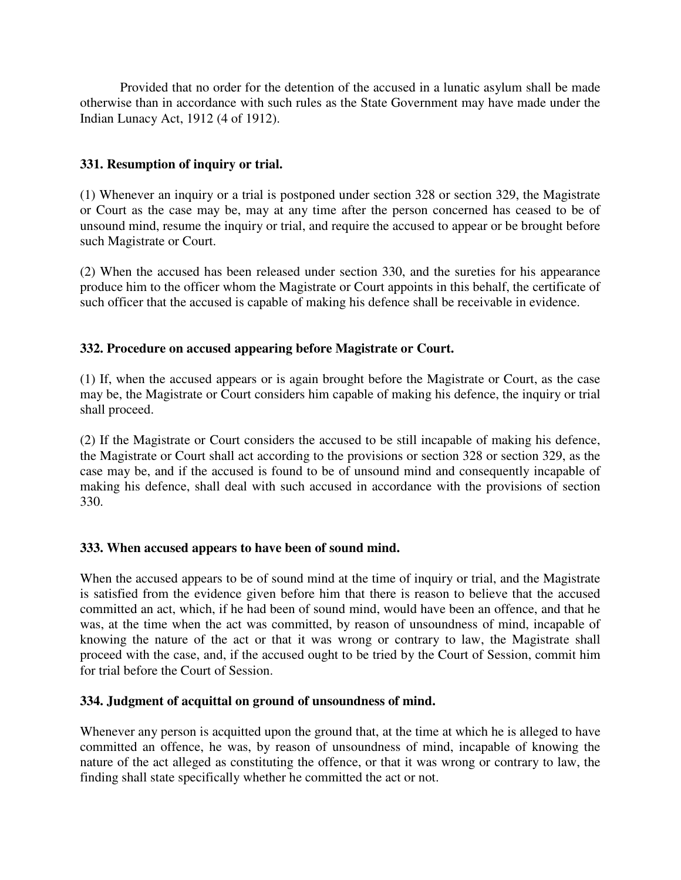Provided that no order for the detention of the accused in a lunatic asylum shall be made otherwise than in accordance with such rules as the State Government may have made under the Indian Lunacy Act, 1912 (4 of 1912).

## **331. Resumption of inquiry or trial.**

(1) Whenever an inquiry or a trial is postponed under section 328 or section 329, the Magistrate or Court as the case may be, may at any time after the person concerned has ceased to be of unsound mind, resume the inquiry or trial, and require the accused to appear or be brought before such Magistrate or Court.

(2) When the accused has been released under section 330, and the sureties for his appearance produce him to the officer whom the Magistrate or Court appoints in this behalf, the certificate of such officer that the accused is capable of making his defence shall be receivable in evidence.

# **332. Procedure on accused appearing before Magistrate or Court.**

(1) If, when the accused appears or is again brought before the Magistrate or Court, as the case may be, the Magistrate or Court considers him capable of making his defence, the inquiry or trial shall proceed.

(2) If the Magistrate or Court considers the accused to be still incapable of making his defence, the Magistrate or Court shall act according to the provisions or section 328 or section 329, as the case may be, and if the accused is found to be of unsound mind and consequently incapable of making his defence, shall deal with such accused in accordance with the provisions of section 330.

## **333. When accused appears to have been of sound mind.**

When the accused appears to be of sound mind at the time of inquiry or trial, and the Magistrate is satisfied from the evidence given before him that there is reason to believe that the accused committed an act, which, if he had been of sound mind, would have been an offence, and that he was, at the time when the act was committed, by reason of unsoundness of mind, incapable of knowing the nature of the act or that it was wrong or contrary to law, the Magistrate shall proceed with the case, and, if the accused ought to be tried by the Court of Session, commit him for trial before the Court of Session.

## **334. Judgment of acquittal on ground of unsoundness of mind.**

Whenever any person is acquitted upon the ground that, at the time at which he is alleged to have committed an offence, he was, by reason of unsoundness of mind, incapable of knowing the nature of the act alleged as constituting the offence, or that it was wrong or contrary to law, the finding shall state specifically whether he committed the act or not.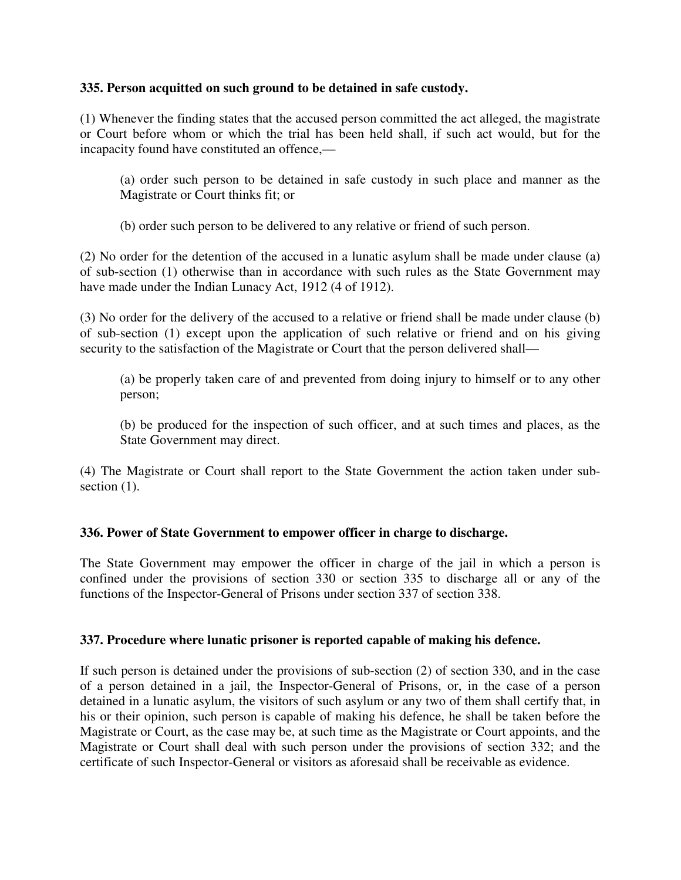## **335. Person acquitted on such ground to be detained in safe custody.**

(1) Whenever the finding states that the accused person committed the act alleged, the magistrate or Court before whom or which the trial has been held shall, if such act would, but for the incapacity found have constituted an offence,—

(a) order such person to be detained in safe custody in such place and manner as the Magistrate or Court thinks fit; or

(b) order such person to be delivered to any relative or friend of such person.

(2) No order for the detention of the accused in a lunatic asylum shall be made under clause (a) of sub-section (1) otherwise than in accordance with such rules as the State Government may have made under the Indian Lunacy Act, 1912 (4 of 1912).

(3) No order for the delivery of the accused to a relative or friend shall be made under clause (b) of sub-section (1) except upon the application of such relative or friend and on his giving security to the satisfaction of the Magistrate or Court that the person delivered shall—

(a) be properly taken care of and prevented from doing injury to himself or to any other person;

(b) be produced for the inspection of such officer, and at such times and places, as the State Government may direct.

(4) The Magistrate or Court shall report to the State Government the action taken under subsection  $(1)$ .

## **336. Power of State Government to empower officer in charge to discharge.**

The State Government may empower the officer in charge of the jail in which a person is confined under the provisions of section 330 or section 335 to discharge all or any of the functions of the Inspector-General of Prisons under section 337 of section 338.

## **337. Procedure where lunatic prisoner is reported capable of making his defence.**

If such person is detained under the provisions of sub-section (2) of section 330, and in the case of a person detained in a jail, the Inspector-General of Prisons, or, in the case of a person detained in a lunatic asylum, the visitors of such asylum or any two of them shall certify that, in his or their opinion, such person is capable of making his defence, he shall be taken before the Magistrate or Court, as the case may be, at such time as the Magistrate or Court appoints, and the Magistrate or Court shall deal with such person under the provisions of section 332; and the certificate of such Inspector-General or visitors as aforesaid shall be receivable as evidence.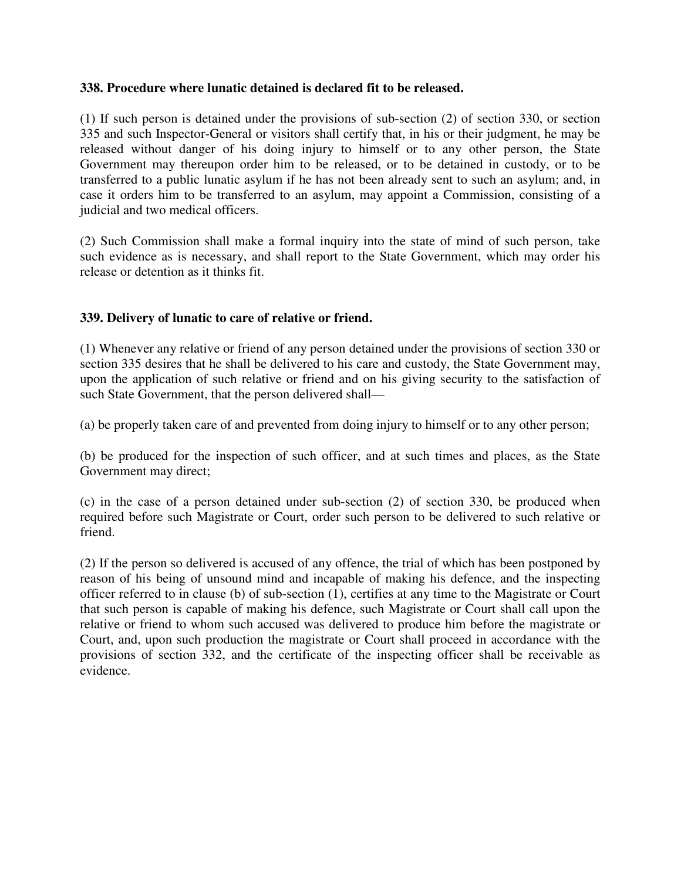### **338. Procedure where lunatic detained is declared fit to be released.**

(1) If such person is detained under the provisions of sub-section (2) of section 330, or section 335 and such Inspector-General or visitors shall certify that, in his or their judgment, he may be released without danger of his doing injury to himself or to any other person, the State Government may thereupon order him to be released, or to be detained in custody, or to be transferred to a public lunatic asylum if he has not been already sent to such an asylum; and, in case it orders him to be transferred to an asylum, may appoint a Commission, consisting of a judicial and two medical officers.

(2) Such Commission shall make a formal inquiry into the state of mind of such person, take such evidence as is necessary, and shall report to the State Government, which may order his release or detention as it thinks fit.

# **339. Delivery of lunatic to care of relative or friend.**

(1) Whenever any relative or friend of any person detained under the provisions of section 330 or section 335 desires that he shall be delivered to his care and custody, the State Government may, upon the application of such relative or friend and on his giving security to the satisfaction of such State Government, that the person delivered shall—

(a) be properly taken care of and prevented from doing injury to himself or to any other person;

(b) be produced for the inspection of such officer, and at such times and places, as the State Government may direct;

(c) in the case of a person detained under sub-section (2) of section 330, be produced when required before such Magistrate or Court, order such person to be delivered to such relative or friend.

(2) If the person so delivered is accused of any offence, the trial of which has been postponed by reason of his being of unsound mind and incapable of making his defence, and the inspecting officer referred to in clause (b) of sub-section (1), certifies at any time to the Magistrate or Court that such person is capable of making his defence, such Magistrate or Court shall call upon the relative or friend to whom such accused was delivered to produce him before the magistrate or Court, and, upon such production the magistrate or Court shall proceed in accordance with the provisions of section 332, and the certificate of the inspecting officer shall be receivable as evidence.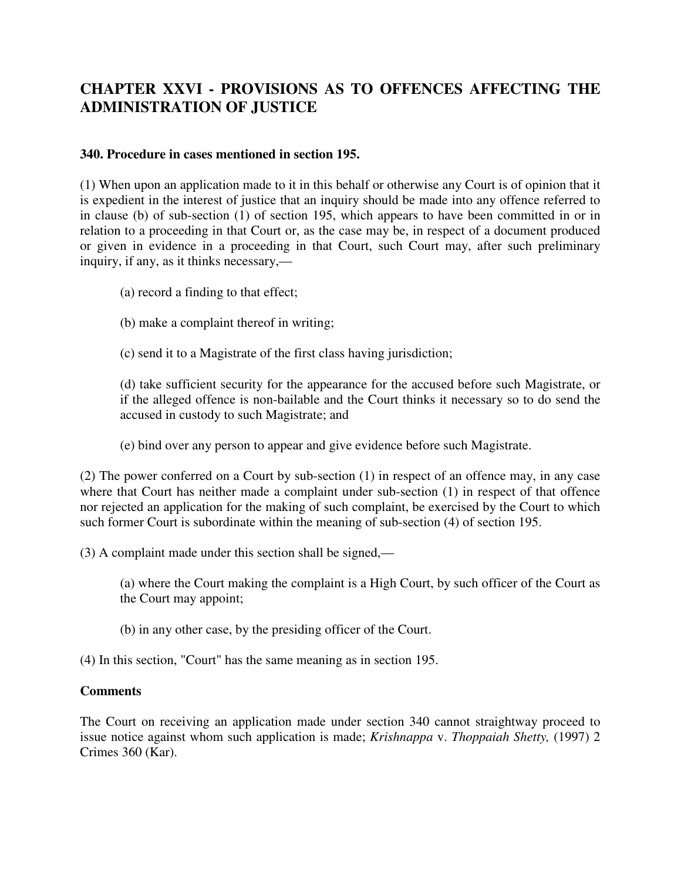# **CHAPTER XXVI - PROVISIONS AS TO OFFENCES AFFECTING THE ADMINISTRATION OF JUSTICE**

### **340. Procedure in cases mentioned in section 195.**

(1) When upon an application made to it in this behalf or otherwise any Court is of opinion that it is expedient in the interest of justice that an inquiry should be made into any offence referred to in clause (b) of sub-section (1) of section 195, which appears to have been committed in or in relation to a proceeding in that Court or, as the case may be, in respect of a document produced or given in evidence in a proceeding in that Court, such Court may, after such preliminary inquiry, if any, as it thinks necessary,—

- (a) record a finding to that effect;
- (b) make a complaint thereof in writing;
- (c) send it to a Magistrate of the first class having jurisdiction;

(d) take sufficient security for the appearance for the accused before such Magistrate, or if the alleged offence is non-bailable and the Court thinks it necessary so to do send the accused in custody to such Magistrate; and

(e) bind over any person to appear and give evidence before such Magistrate.

(2) The power conferred on a Court by sub-section (1) in respect of an offence may, in any case where that Court has neither made a complaint under sub-section  $(1)$  in respect of that offence nor rejected an application for the making of such complaint, be exercised by the Court to which such former Court is subordinate within the meaning of sub-section (4) of section 195.

(3) A complaint made under this section shall be signed,—

(a) where the Court making the complaint is a High Court, by such officer of the Court as the Court may appoint;

- (b) in any other case, by the presiding officer of the Court.
- (4) In this section, "Court" has the same meaning as in section 195.

### **Comments**

The Court on receiving an application made under section 340 cannot straightway proceed to issue notice against whom such application is made; *Krishnappa* v. *Thoppaiah Shetty,* (1997) 2 Crimes 360 (Kar).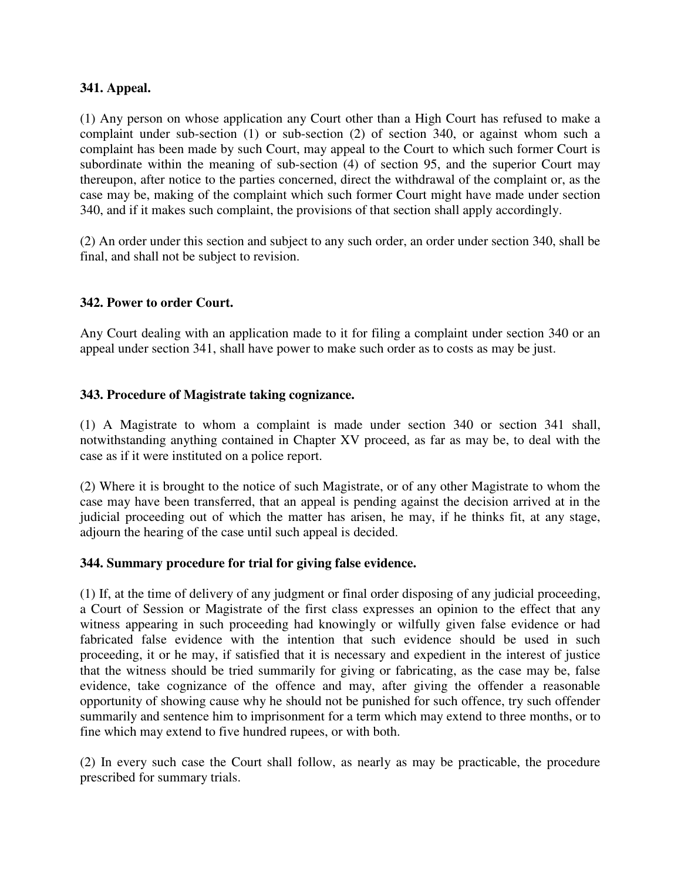### **341. Appeal.**

(1) Any person on whose application any Court other than a High Court has refused to make a complaint under sub-section (1) or sub-section (2) of section 340, or against whom such a complaint has been made by such Court, may appeal to the Court to which such former Court is subordinate within the meaning of sub-section (4) of section 95, and the superior Court may thereupon, after notice to the parties concerned, direct the withdrawal of the complaint or, as the case may be, making of the complaint which such former Court might have made under section 340, and if it makes such complaint, the provisions of that section shall apply accordingly.

(2) An order under this section and subject to any such order, an order under section 340, shall be final, and shall not be subject to revision.

## **342. Power to order Court.**

Any Court dealing with an application made to it for filing a complaint under section 340 or an appeal under section 341, shall have power to make such order as to costs as may be just.

## **343. Procedure of Magistrate taking cognizance.**

(1) A Magistrate to whom a complaint is made under section 340 or section 341 shall, notwithstanding anything contained in Chapter XV proceed, as far as may be, to deal with the case as if it were instituted on a police report.

(2) Where it is brought to the notice of such Magistrate, or of any other Magistrate to whom the case may have been transferred, that an appeal is pending against the decision arrived at in the judicial proceeding out of which the matter has arisen, he may, if he thinks fit, at any stage, adjourn the hearing of the case until such appeal is decided.

### **344. Summary procedure for trial for giving false evidence.**

(1) If, at the time of delivery of any judgment or final order disposing of any judicial proceeding, a Court of Session or Magistrate of the first class expresses an opinion to the effect that any witness appearing in such proceeding had knowingly or wilfully given false evidence or had fabricated false evidence with the intention that such evidence should be used in such proceeding, it or he may, if satisfied that it is necessary and expedient in the interest of justice that the witness should be tried summarily for giving or fabricating, as the case may be, false evidence, take cognizance of the offence and may, after giving the offender a reasonable opportunity of showing cause why he should not be punished for such offence, try such offender summarily and sentence him to imprisonment for a term which may extend to three months, or to fine which may extend to five hundred rupees, or with both.

(2) In every such case the Court shall follow, as nearly as may be practicable, the procedure prescribed for summary trials.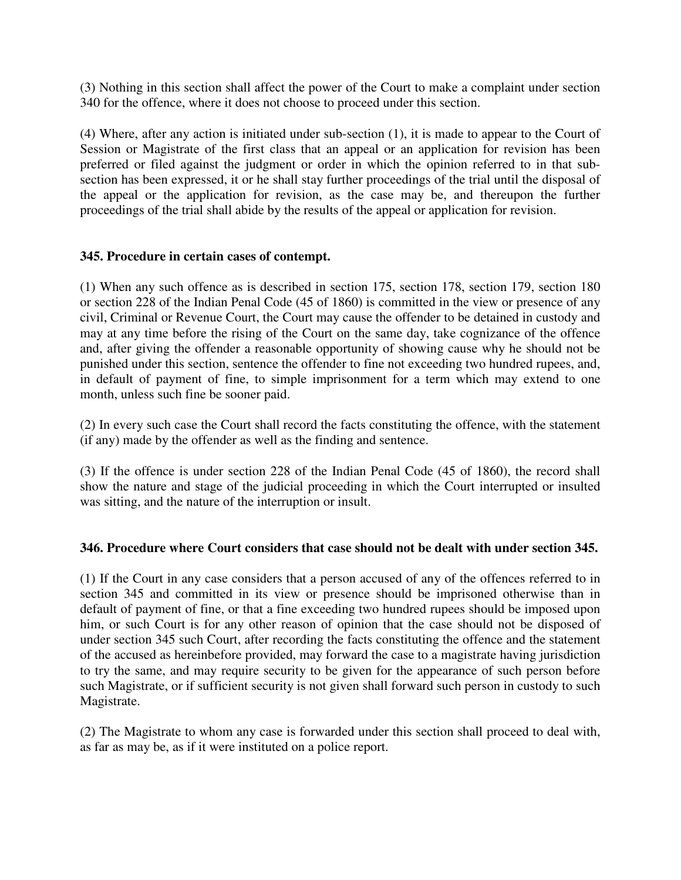(3) Nothing in this section shall affect the power of the Court to make a complaint under section 340 for the offence, where it does not choose to proceed under this section.

(4) Where, after any action is initiated under sub-section (1), it is made to appear to the Court of Session or Magistrate of the first class that an appeal or an application for revision has been preferred or filed against the judgment or order in which the opinion referred to in that subsection has been expressed, it or he shall stay further proceedings of the trial until the disposal of the appeal or the application for revision, as the case may be, and thereupon the further proceedings of the trial shall abide by the results of the appeal or application for revision.

## **345. Procedure in certain cases of contempt.**

(1) When any such offence as is described in section 175, section 178, section 179, section 180 or section 228 of the Indian Penal Code (45 of 1860) is committed in the view or presence of any civil, Criminal or Revenue Court, the Court may cause the offender to be detained in custody and may at any time before the rising of the Court on the same day, take cognizance of the offence and, after giving the offender a reasonable opportunity of showing cause why he should not be punished under this section, sentence the offender to fine not exceeding two hundred rupees, and, in default of payment of fine, to simple imprisonment for a term which may extend to one month, unless such fine be sooner paid.

(2) In every such case the Court shall record the facts constituting the offence, with the statement (if any) made by the offender as well as the finding and sentence.

(3) If the offence is under section 228 of the Indian Penal Code (45 of 1860), the record shall show the nature and stage of the judicial proceeding in which the Court interrupted or insulted was sitting, and the nature of the interruption or insult.

### **346. Procedure where Court considers that case should not be dealt with under section 345.**

(1) If the Court in any case considers that a person accused of any of the offences referred to in section 345 and committed in its view or presence should be imprisoned otherwise than in default of payment of fine, or that a fine exceeding two hundred rupees should be imposed upon him, or such Court is for any other reason of opinion that the case should not be disposed of under section 345 such Court, after recording the facts constituting the offence and the statement of the accused as hereinbefore provided, may forward the case to a magistrate having jurisdiction to try the same, and may require security to be given for the appearance of such person before such Magistrate, or if sufficient security is not given shall forward such person in custody to such Magistrate.

(2) The Magistrate to whom any case is forwarded under this section shall proceed to deal with, as far as may be, as if it were instituted on a police report.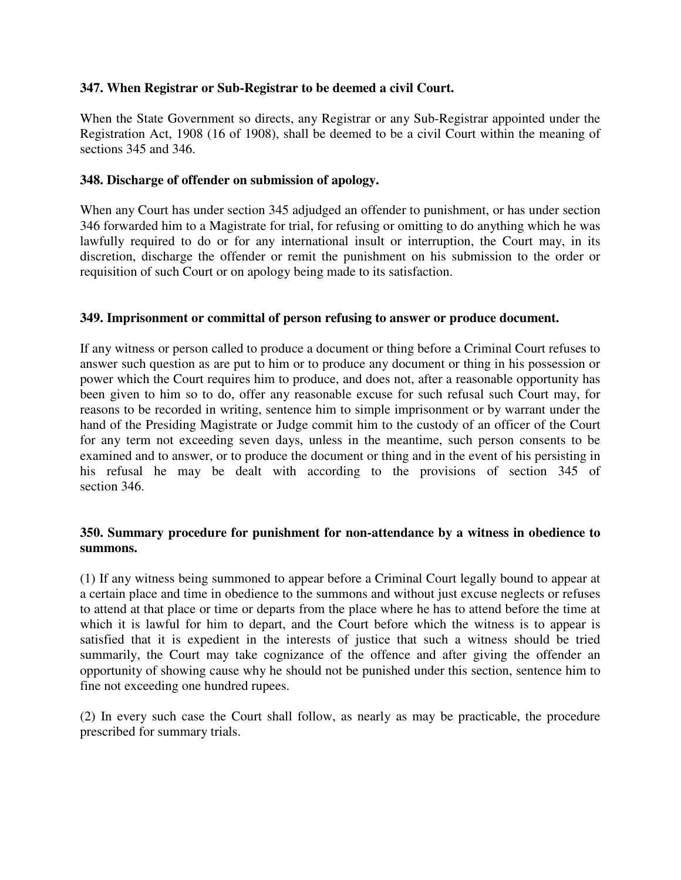### **347. When Registrar or Sub-Registrar to be deemed a civil Court.**

When the State Government so directs, any Registrar or any Sub-Registrar appointed under the Registration Act, 1908 (16 of 1908), shall be deemed to be a civil Court within the meaning of sections 345 and 346.

### **348. Discharge of offender on submission of apology.**

When any Court has under section 345 adjudged an offender to punishment, or has under section 346 forwarded him to a Magistrate for trial, for refusing or omitting to do anything which he was lawfully required to do or for any international insult or interruption, the Court may, in its discretion, discharge the offender or remit the punishment on his submission to the order or requisition of such Court or on apology being made to its satisfaction.

### **349. Imprisonment or committal of person refusing to answer or produce document.**

If any witness or person called to produce a document or thing before a Criminal Court refuses to answer such question as are put to him or to produce any document or thing in his possession or power which the Court requires him to produce, and does not, after a reasonable opportunity has been given to him so to do, offer any reasonable excuse for such refusal such Court may, for reasons to be recorded in writing, sentence him to simple imprisonment or by warrant under the hand of the Presiding Magistrate or Judge commit him to the custody of an officer of the Court for any term not exceeding seven days, unless in the meantime, such person consents to be examined and to answer, or to produce the document or thing and in the event of his persisting in his refusal he may be dealt with according to the provisions of section 345 of section 346.

## **350. Summary procedure for punishment for non-attendance by a witness in obedience to summons.**

(1) If any witness being summoned to appear before a Criminal Court legally bound to appear at a certain place and time in obedience to the summons and without just excuse neglects or refuses to attend at that place or time or departs from the place where he has to attend before the time at which it is lawful for him to depart, and the Court before which the witness is to appear is satisfied that it is expedient in the interests of justice that such a witness should be tried summarily, the Court may take cognizance of the offence and after giving the offender an opportunity of showing cause why he should not be punished under this section, sentence him to fine not exceeding one hundred rupees.

(2) In every such case the Court shall follow, as nearly as may be practicable, the procedure prescribed for summary trials.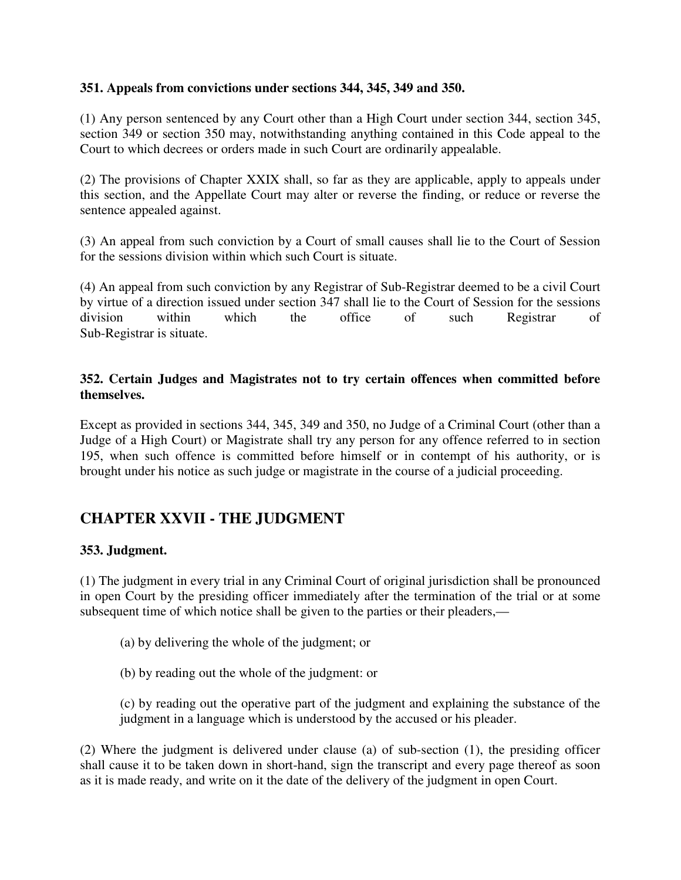## **351. Appeals from convictions under sections 344, 345, 349 and 350.**

(1) Any person sentenced by any Court other than a High Court under section 344, section 345, section 349 or section 350 may, notwithstanding anything contained in this Code appeal to the Court to which decrees or orders made in such Court are ordinarily appealable.

(2) The provisions of Chapter XXIX shall, so far as they are applicable, apply to appeals under this section, and the Appellate Court may alter or reverse the finding, or reduce or reverse the sentence appealed against.

(3) An appeal from such conviction by a Court of small causes shall lie to the Court of Session for the sessions division within which such Court is situate.

(4) An appeal from such conviction by any Registrar of Sub-Registrar deemed to be a civil Court by virtue of a direction issued under section 347 shall lie to the Court of Session for the sessions division within which the office of such Registrar of Sub-Registrar is situate.

## **352. Certain Judges and Magistrates not to try certain offences when committed before themselves.**

Except as provided in sections 344, 345, 349 and 350, no Judge of a Criminal Court (other than a Judge of a High Court) or Magistrate shall try any person for any offence referred to in section 195, when such offence is committed before himself or in contempt of his authority, or is brought under his notice as such judge or magistrate in the course of a judicial proceeding.

# **CHAPTER XXVII - THE JUDGMENT**

## **353. Judgment.**

(1) The judgment in every trial in any Criminal Court of original jurisdiction shall be pronounced in open Court by the presiding officer immediately after the termination of the trial or at some subsequent time of which notice shall be given to the parties or their pleaders,—

- (a) by delivering the whole of the judgment; or
- (b) by reading out the whole of the judgment: or

(c) by reading out the operative part of the judgment and explaining the substance of the judgment in a language which is understood by the accused or his pleader.

(2) Where the judgment is delivered under clause (a) of sub-section (1), the presiding officer shall cause it to be taken down in short-hand, sign the transcript and every page thereof as soon as it is made ready, and write on it the date of the delivery of the judgment in open Court.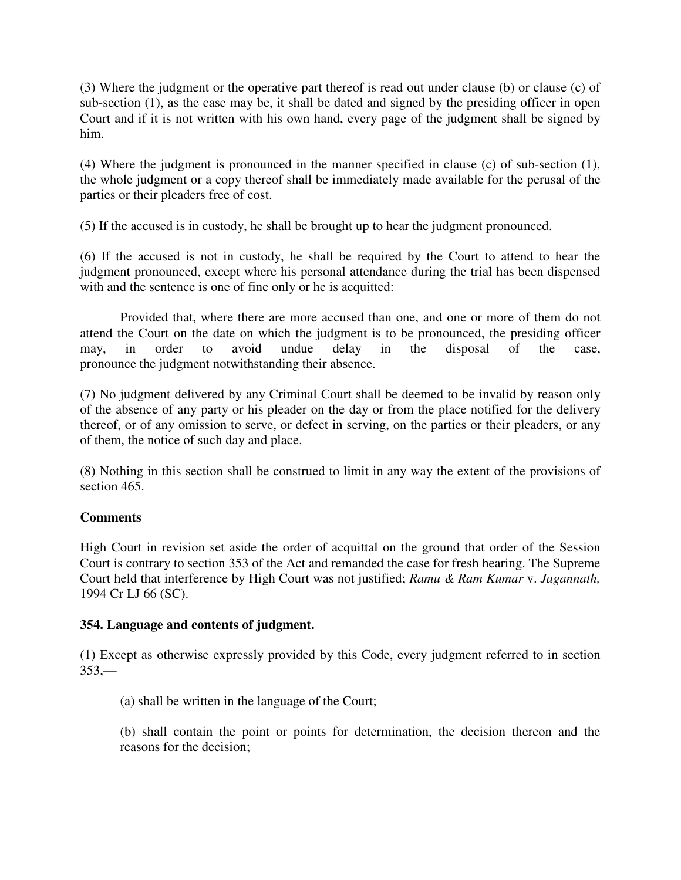(3) Where the judgment or the operative part thereof is read out under clause (b) or clause (c) of sub-section (1), as the case may be, it shall be dated and signed by the presiding officer in open Court and if it is not written with his own hand, every page of the judgment shall be signed by him.

(4) Where the judgment is pronounced in the manner specified in clause (c) of sub-section (1), the whole judgment or a copy thereof shall be immediately made available for the perusal of the parties or their pleaders free of cost.

(5) If the accused is in custody, he shall be brought up to hear the judgment pronounced.

(6) If the accused is not in custody, he shall be required by the Court to attend to hear the judgment pronounced, except where his personal attendance during the trial has been dispensed with and the sentence is one of fine only or he is acquitted:

Provided that, where there are more accused than one, and one or more of them do not attend the Court on the date on which the judgment is to be pronounced, the presiding officer may, in order to avoid undue delay in the disposal of the case, pronounce the judgment notwithstanding their absence.

(7) No judgment delivered by any Criminal Court shall be deemed to be invalid by reason only of the absence of any party or his pleader on the day or from the place notified for the delivery thereof, or of any omission to serve, or defect in serving, on the parties or their pleaders, or any of them, the notice of such day and place.

(8) Nothing in this section shall be construed to limit in any way the extent of the provisions of section 465.

## **Comments**

High Court in revision set aside the order of acquittal on the ground that order of the Session Court is contrary to section 353 of the Act and remanded the case for fresh hearing. The Supreme Court held that interference by High Court was not justified; *Ramu & Ram Kumar* v. *Jagannath,* 1994 Cr LJ 66 (SC).

## **354. Language and contents of judgment.**

(1) Except as otherwise expressly provided by this Code, every judgment referred to in section  $353 -$ 

(a) shall be written in the language of the Court;

(b) shall contain the point or points for determination, the decision thereon and the reasons for the decision;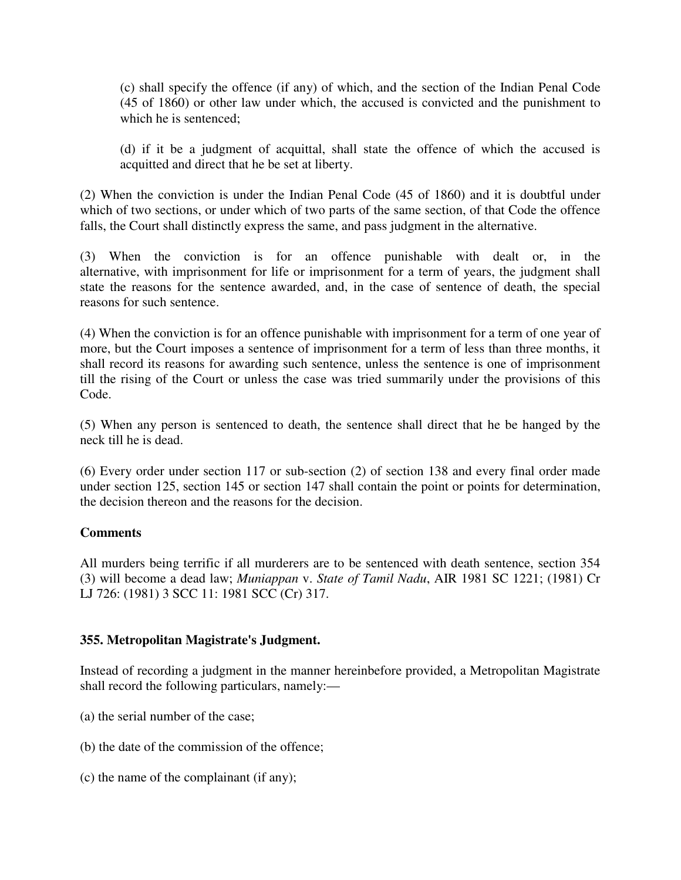(c) shall specify the offence (if any) of which, and the section of the Indian Penal Code (45 of 1860) or other law under which, the accused is convicted and the punishment to which he is sentenced;

(d) if it be a judgment of acquittal, shall state the offence of which the accused is acquitted and direct that he be set at liberty.

(2) When the conviction is under the Indian Penal Code (45 of 1860) and it is doubtful under which of two sections, or under which of two parts of the same section, of that Code the offence falls, the Court shall distinctly express the same, and pass judgment in the alternative.

(3) When the conviction is for an offence punishable with dealt or, in the alternative, with imprisonment for life or imprisonment for a term of years, the judgment shall state the reasons for the sentence awarded, and, in the case of sentence of death, the special reasons for such sentence.

(4) When the conviction is for an offence punishable with imprisonment for a term of one year of more, but the Court imposes a sentence of imprisonment for a term of less than three months, it shall record its reasons for awarding such sentence, unless the sentence is one of imprisonment till the rising of the Court or unless the case was tried summarily under the provisions of this Code.

(5) When any person is sentenced to death, the sentence shall direct that he be hanged by the neck till he is dead.

(6) Every order under section 117 or sub-section (2) of section 138 and every final order made under section 125, section 145 or section 147 shall contain the point or points for determination, the decision thereon and the reasons for the decision.

## **Comments**

All murders being terrific if all murderers are to be sentenced with death sentence, section 354 (3) will become a dead law; *Muniappan* v. *State of Tamil Nadu*, AIR 1981 SC 1221; (1981) Cr LJ 726: (1981) 3 SCC 11: 1981 SCC (Cr) 317.

## **355. Metropolitan Magistrate's Judgment.**

Instead of recording a judgment in the manner hereinbefore provided, a Metropolitan Magistrate shall record the following particulars, namely:—

- (a) the serial number of the case;
- (b) the date of the commission of the offence;
- (c) the name of the complainant (if any);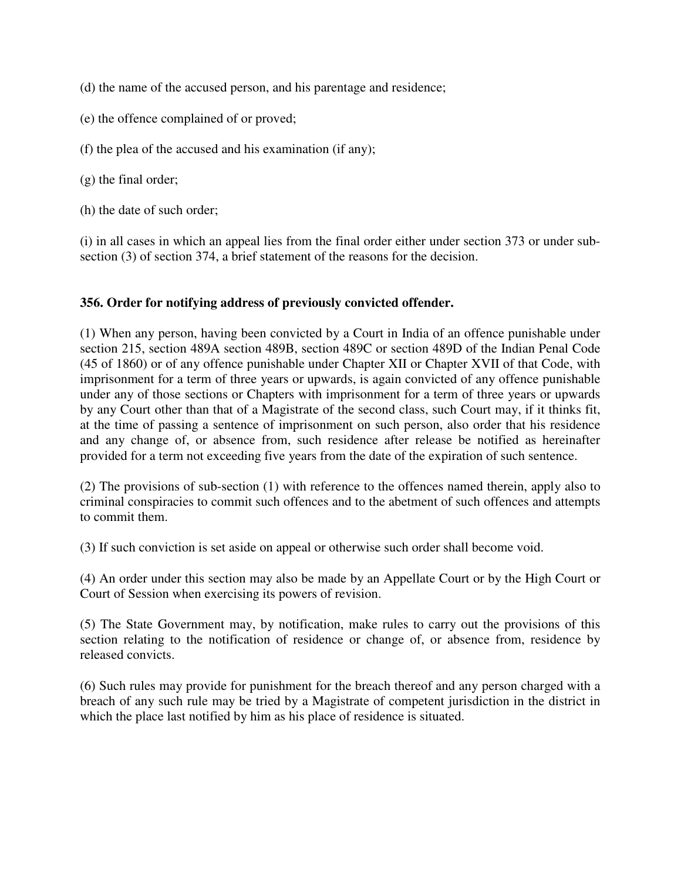- (d) the name of the accused person, and his parentage and residence;
- (e) the offence complained of or proved;
- (f) the plea of the accused and his examination (if any);
- (g) the final order;
- (h) the date of such order;

(i) in all cases in which an appeal lies from the final order either under section 373 or under subsection (3) of section 374, a brief statement of the reasons for the decision.

## **356. Order for notifying address of previously convicted offender.**

(1) When any person, having been convicted by a Court in India of an offence punishable under section 215, section 489A section 489B, section 489C or section 489D of the Indian Penal Code (45 of 1860) or of any offence punishable under Chapter XII or Chapter XVII of that Code, with imprisonment for a term of three years or upwards, is again convicted of any offence punishable under any of those sections or Chapters with imprisonment for a term of three years or upwards by any Court other than that of a Magistrate of the second class, such Court may, if it thinks fit, at the time of passing a sentence of imprisonment on such person, also order that his residence and any change of, or absence from, such residence after release be notified as hereinafter provided for a term not exceeding five years from the date of the expiration of such sentence.

(2) The provisions of sub-section (1) with reference to the offences named therein, apply also to criminal conspiracies to commit such offences and to the abetment of such offences and attempts to commit them.

(3) If such conviction is set aside on appeal or otherwise such order shall become void.

(4) An order under this section may also be made by an Appellate Court or by the High Court or Court of Session when exercising its powers of revision.

(5) The State Government may, by notification, make rules to carry out the provisions of this section relating to the notification of residence or change of, or absence from, residence by released convicts.

(6) Such rules may provide for punishment for the breach thereof and any person charged with a breach of any such rule may be tried by a Magistrate of competent jurisdiction in the district in which the place last notified by him as his place of residence is situated.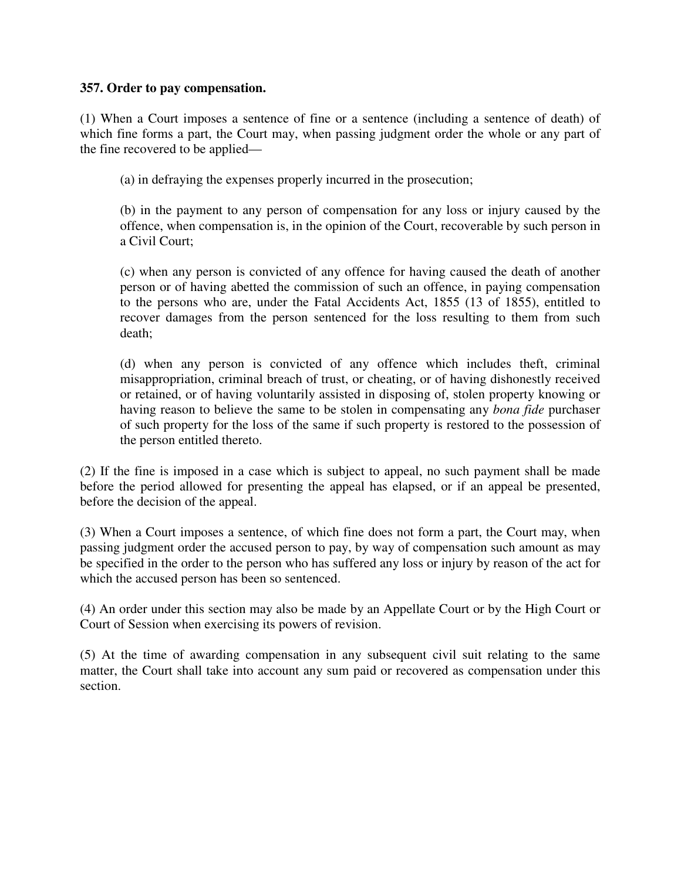### **357. Order to pay compensation.**

(1) When a Court imposes a sentence of fine or a sentence (including a sentence of death) of which fine forms a part, the Court may, when passing judgment order the whole or any part of the fine recovered to be applied—

(a) in defraying the expenses properly incurred in the prosecution;

(b) in the payment to any person of compensation for any loss or injury caused by the offence, when compensation is, in the opinion of the Court, recoverable by such person in a Civil Court;

(c) when any person is convicted of any offence for having caused the death of another person or of having abetted the commission of such an offence, in paying compensation to the persons who are, under the Fatal Accidents Act, 1855 (13 of 1855), entitled to recover damages from the person sentenced for the loss resulting to them from such death;

(d) when any person is convicted of any offence which includes theft, criminal misappropriation, criminal breach of trust, or cheating, or of having dishonestly received or retained, or of having voluntarily assisted in disposing of, stolen property knowing or having reason to believe the same to be stolen in compensating any *bona fide* purchaser of such property for the loss of the same if such property is restored to the possession of the person entitled thereto.

(2) If the fine is imposed in a case which is subject to appeal, no such payment shall be made before the period allowed for presenting the appeal has elapsed, or if an appeal be presented, before the decision of the appeal.

(3) When a Court imposes a sentence, of which fine does not form a part, the Court may, when passing judgment order the accused person to pay, by way of compensation such amount as may be specified in the order to the person who has suffered any loss or injury by reason of the act for which the accused person has been so sentenced.

(4) An order under this section may also be made by an Appellate Court or by the High Court or Court of Session when exercising its powers of revision.

(5) At the time of awarding compensation in any subsequent civil suit relating to the same matter, the Court shall take into account any sum paid or recovered as compensation under this section.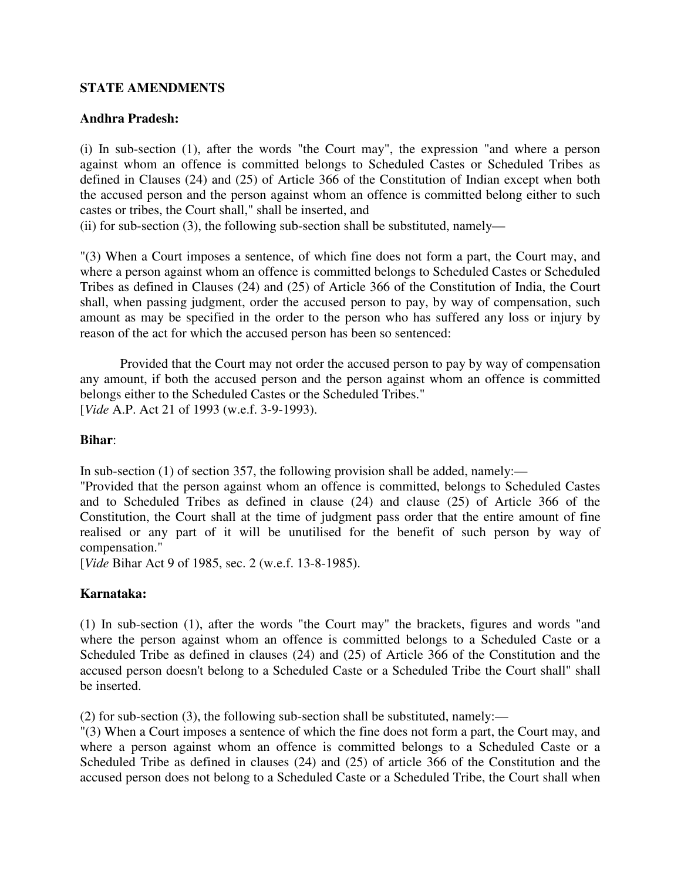## **STATE AMENDMENTS**

### **Andhra Pradesh:**

(i) In sub-section (1), after the words "the Court may", the expression "and where a person against whom an offence is committed belongs to Scheduled Castes or Scheduled Tribes as defined in Clauses (24) and (25) of Article 366 of the Constitution of Indian except when both the accused person and the person against whom an offence is committed belong either to such castes or tribes, the Court shall," shall be inserted, and

(ii) for sub-section (3), the following sub-section shall be substituted, namely—

"(3) When a Court imposes a sentence, of which fine does not form a part, the Court may, and where a person against whom an offence is committed belongs to Scheduled Castes or Scheduled Tribes as defined in Clauses (24) and (25) of Article 366 of the Constitution of India, the Court shall, when passing judgment, order the accused person to pay, by way of compensation, such amount as may be specified in the order to the person who has suffered any loss or injury by reason of the act for which the accused person has been so sentenced:

Provided that the Court may not order the accused person to pay by way of compensation any amount, if both the accused person and the person against whom an offence is committed belongs either to the Scheduled Castes or the Scheduled Tribes." [*Vide* A.P. Act 21 of 1993 (w.e.f. 3-9-1993).

### **Bihar**:

In sub-section (1) of section 357, the following provision shall be added, namely:—

"Provided that the person against whom an offence is committed, belongs to Scheduled Castes and to Scheduled Tribes as defined in clause (24) and clause (25) of Article 366 of the Constitution, the Court shall at the time of judgment pass order that the entire amount of fine realised or any part of it will be unutilised for the benefit of such person by way of compensation."

[*Vide* Bihar Act 9 of 1985, sec. 2 (w.e.f. 13-8-1985).

### **Karnataka:**

(1) In sub-section (1), after the words "the Court may" the brackets, figures and words "and where the person against whom an offence is committed belongs to a Scheduled Caste or a Scheduled Tribe as defined in clauses (24) and (25) of Article 366 of the Constitution and the accused person doesn't belong to a Scheduled Caste or a Scheduled Tribe the Court shall" shall be inserted.

(2) for sub-section (3), the following sub-section shall be substituted, namely:—

"(3) When a Court imposes a sentence of which the fine does not form a part, the Court may, and where a person against whom an offence is committed belongs to a Scheduled Caste or a Scheduled Tribe as defined in clauses (24) and (25) of article 366 of the Constitution and the accused person does not belong to a Scheduled Caste or a Scheduled Tribe, the Court shall when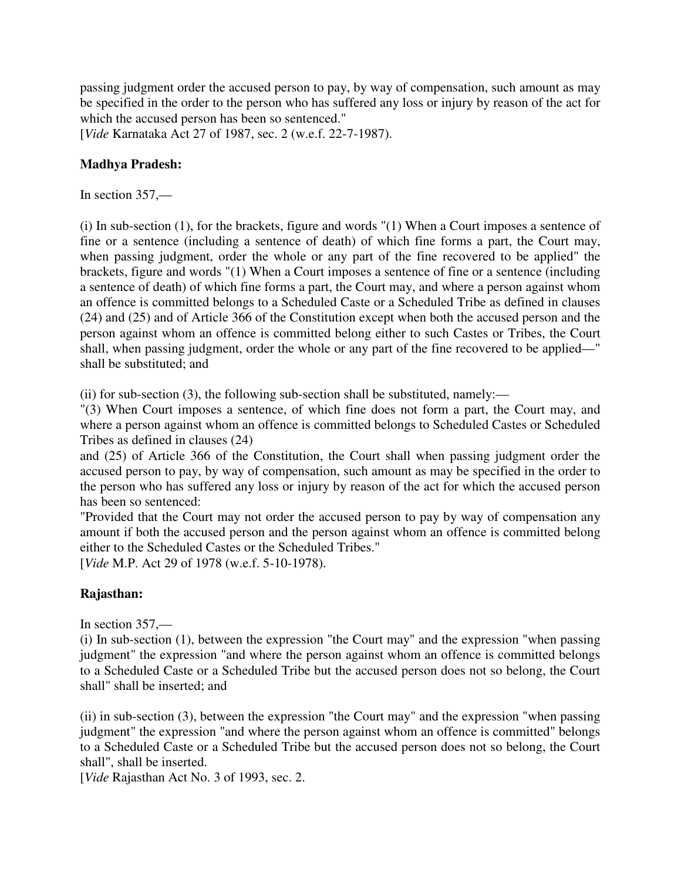passing judgment order the accused person to pay, by way of compensation, such amount as may be specified in the order to the person who has suffered any loss or injury by reason of the act for which the accused person has been so sentenced."

[*Vide* Karnataka Act 27 of 1987, sec. 2 (w.e.f. 22-7-1987).

## **Madhya Pradesh:**

In section 357,—

(i) In sub-section (1), for the brackets, figure and words "(1) When a Court imposes a sentence of fine or a sentence (including a sentence of death) of which fine forms a part, the Court may, when passing judgment, order the whole or any part of the fine recovered to be applied" the brackets, figure and words "(1) When a Court imposes a sentence of fine or a sentence (including a sentence of death) of which fine forms a part, the Court may, and where a person against whom an offence is committed belongs to a Scheduled Caste or a Scheduled Tribe as defined in clauses (24) and (25) and of Article 366 of the Constitution except when both the accused person and the person against whom an offence is committed belong either to such Castes or Tribes, the Court shall, when passing judgment, order the whole or any part of the fine recovered to be applied—" shall be substituted; and

(ii) for sub-section (3), the following sub-section shall be substituted, namely:—

"(3) When Court imposes a sentence, of which fine does not form a part, the Court may, and where a person against whom an offence is committed belongs to Scheduled Castes or Scheduled Tribes as defined in clauses (24)

and (25) of Article 366 of the Constitution, the Court shall when passing judgment order the accused person to pay, by way of compensation, such amount as may be specified in the order to the person who has suffered any loss or injury by reason of the act for which the accused person has been so sentenced:

"Provided that the Court may not order the accused person to pay by way of compensation any amount if both the accused person and the person against whom an offence is committed belong either to the Scheduled Castes or the Scheduled Tribes."

[*Vide* M.P. Act 29 of 1978 (w.e.f. 5-10-1978).

## **Rajasthan:**

In section 357,—

(i) In sub-section (1), between the expression "the Court may" and the expression "when passing judgment" the expression "and where the person against whom an offence is committed belongs to a Scheduled Caste or a Scheduled Tribe but the accused person does not so belong, the Court shall" shall be inserted; and

(ii) in sub-section (3), between the expression "the Court may" and the expression "when passing judgment" the expression "and where the person against whom an offence is committed" belongs to a Scheduled Caste or a Scheduled Tribe but the accused person does not so belong, the Court shall", shall be inserted.

[*Vide* Rajasthan Act No. 3 of 1993, sec. 2.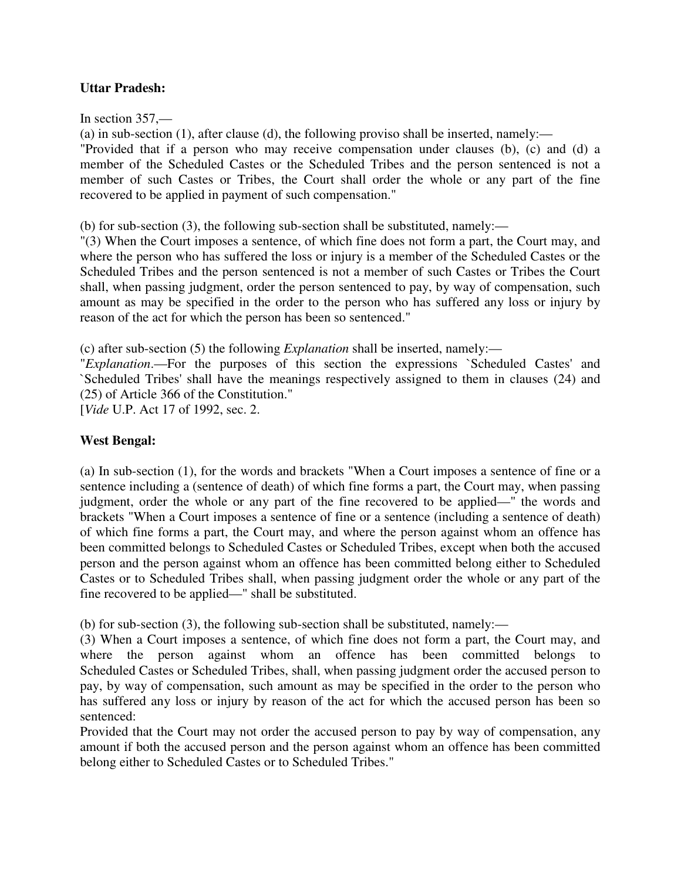## **Uttar Pradesh:**

In section 357,—

(a) in sub-section (1), after clause (d), the following proviso shall be inserted, namely:— "Provided that if a person who may receive compensation under clauses (b), (c) and (d) a member of the Scheduled Castes or the Scheduled Tribes and the person sentenced is not a member of such Castes or Tribes, the Court shall order the whole or any part of the fine recovered to be applied in payment of such compensation."

(b) for sub-section (3), the following sub-section shall be substituted, namely:—

"(3) When the Court imposes a sentence, of which fine does not form a part, the Court may, and where the person who has suffered the loss or injury is a member of the Scheduled Castes or the Scheduled Tribes and the person sentenced is not a member of such Castes or Tribes the Court shall, when passing judgment, order the person sentenced to pay, by way of compensation, such amount as may be specified in the order to the person who has suffered any loss or injury by reason of the act for which the person has been so sentenced."

(c) after sub-section (5) the following *Explanation* shall be inserted, namely:—

"*Explanation*.—For the purposes of this section the expressions `Scheduled Castes' and `Scheduled Tribes' shall have the meanings respectively assigned to them in clauses (24) and (25) of Article 366 of the Constitution."

[*Vide* U.P. Act 17 of 1992, sec. 2.

## **West Bengal:**

(a) In sub-section (1), for the words and brackets "When a Court imposes a sentence of fine or a sentence including a (sentence of death) of which fine forms a part, the Court may, when passing judgment, order the whole or any part of the fine recovered to be applied—" the words and brackets "When a Court imposes a sentence of fine or a sentence (including a sentence of death) of which fine forms a part, the Court may, and where the person against whom an offence has been committed belongs to Scheduled Castes or Scheduled Tribes, except when both the accused person and the person against whom an offence has been committed belong either to Scheduled Castes or to Scheduled Tribes shall, when passing judgment order the whole or any part of the fine recovered to be applied—" shall be substituted.

(b) for sub-section (3), the following sub-section shall be substituted, namely:—

(3) When a Court imposes a sentence, of which fine does not form a part, the Court may, and where the person against whom an offence has been committed belongs to Scheduled Castes or Scheduled Tribes, shall, when passing judgment order the accused person to pay, by way of compensation, such amount as may be specified in the order to the person who has suffered any loss or injury by reason of the act for which the accused person has been so sentenced:

Provided that the Court may not order the accused person to pay by way of compensation, any amount if both the accused person and the person against whom an offence has been committed belong either to Scheduled Castes or to Scheduled Tribes."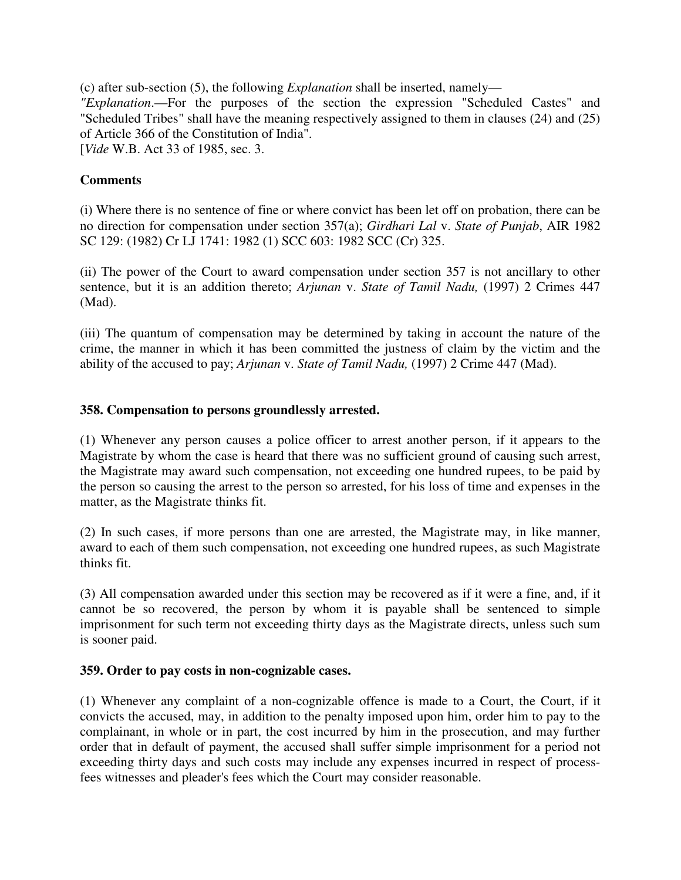(c) after sub-section (5), the following *Explanation* shall be inserted, namely— *"Explanation*.—For the purposes of the section the expression "Scheduled Castes" and "Scheduled Tribes" shall have the meaning respectively assigned to them in clauses (24) and (25) of Article 366 of the Constitution of India". [*Vide* W.B. Act 33 of 1985, sec. 3.

## **Comments**

(i) Where there is no sentence of fine or where convict has been let off on probation, there can be no direction for compensation under section 357(a); *Girdhari Lal* v. *State of Punjab*, AIR 1982 SC 129: (1982) Cr LJ 1741: 1982 (1) SCC 603: 1982 SCC (Cr) 325.

(ii) The power of the Court to award compensation under section 357 is not ancillary to other sentence, but it is an addition thereto; *Arjunan* v. *State of Tamil Nadu,* (1997) 2 Crimes 447 (Mad).

(iii) The quantum of compensation may be determined by taking in account the nature of the crime, the manner in which it has been committed the justness of claim by the victim and the ability of the accused to pay; *Arjunan* v. *State of Tamil Nadu,* (1997) 2 Crime 447 (Mad).

### **358. Compensation to persons groundlessly arrested.**

(1) Whenever any person causes a police officer to arrest another person, if it appears to the Magistrate by whom the case is heard that there was no sufficient ground of causing such arrest, the Magistrate may award such compensation, not exceeding one hundred rupees, to be paid by the person so causing the arrest to the person so arrested, for his loss of time and expenses in the matter, as the Magistrate thinks fit.

(2) In such cases, if more persons than one are arrested, the Magistrate may, in like manner, award to each of them such compensation, not exceeding one hundred rupees, as such Magistrate thinks fit.

(3) All compensation awarded under this section may be recovered as if it were a fine, and, if it cannot be so recovered, the person by whom it is payable shall be sentenced to simple imprisonment for such term not exceeding thirty days as the Magistrate directs, unless such sum is sooner paid.

### **359. Order to pay costs in non-cognizable cases.**

(1) Whenever any complaint of a non-cognizable offence is made to a Court, the Court, if it convicts the accused, may, in addition to the penalty imposed upon him, order him to pay to the complainant, in whole or in part, the cost incurred by him in the prosecution, and may further order that in default of payment, the accused shall suffer simple imprisonment for a period not exceeding thirty days and such costs may include any expenses incurred in respect of processfees witnesses and pleader's fees which the Court may consider reasonable.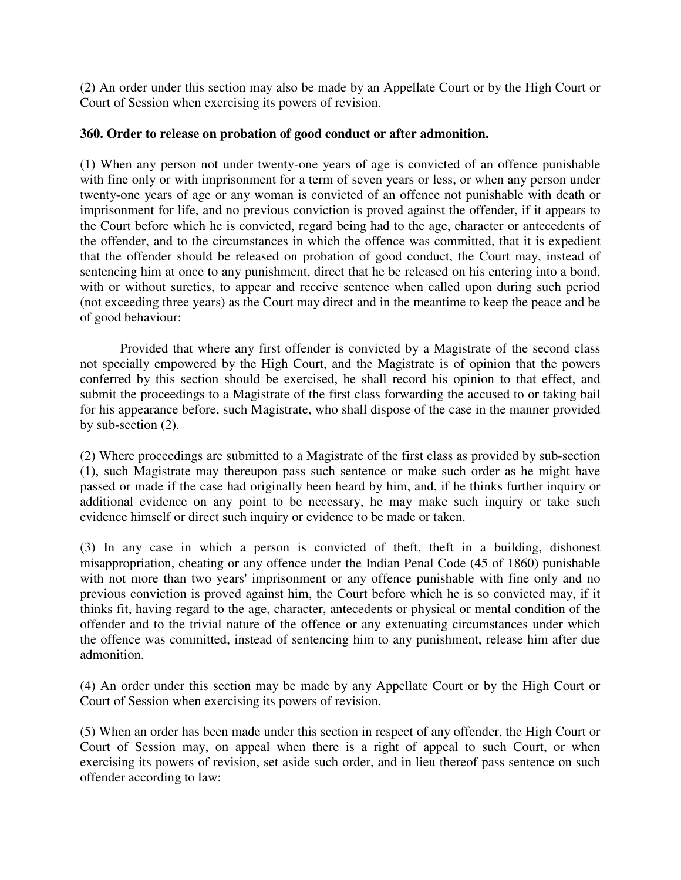(2) An order under this section may also be made by an Appellate Court or by the High Court or Court of Session when exercising its powers of revision.

#### **360. Order to release on probation of good conduct or after admonition.**

(1) When any person not under twenty-one years of age is convicted of an offence punishable with fine only or with imprisonment for a term of seven years or less, or when any person under twenty-one years of age or any woman is convicted of an offence not punishable with death or imprisonment for life, and no previous conviction is proved against the offender, if it appears to the Court before which he is convicted, regard being had to the age, character or antecedents of the offender, and to the circumstances in which the offence was committed, that it is expedient that the offender should be released on probation of good conduct, the Court may, instead of sentencing him at once to any punishment, direct that he be released on his entering into a bond, with or without sureties, to appear and receive sentence when called upon during such period (not exceeding three years) as the Court may direct and in the meantime to keep the peace and be of good behaviour:

Provided that where any first offender is convicted by a Magistrate of the second class not specially empowered by the High Court, and the Magistrate is of opinion that the powers conferred by this section should be exercised, he shall record his opinion to that effect, and submit the proceedings to a Magistrate of the first class forwarding the accused to or taking bail for his appearance before, such Magistrate, who shall dispose of the case in the manner provided by sub-section (2).

(2) Where proceedings are submitted to a Magistrate of the first class as provided by sub-section (1), such Magistrate may thereupon pass such sentence or make such order as he might have passed or made if the case had originally been heard by him, and, if he thinks further inquiry or additional evidence on any point to be necessary, he may make such inquiry or take such evidence himself or direct such inquiry or evidence to be made or taken.

(3) In any case in which a person is convicted of theft, theft in a building, dishonest misappropriation, cheating or any offence under the Indian Penal Code (45 of 1860) punishable with not more than two years' imprisonment or any offence punishable with fine only and no previous conviction is proved against him, the Court before which he is so convicted may, if it thinks fit, having regard to the age, character, antecedents or physical or mental condition of the offender and to the trivial nature of the offence or any extenuating circumstances under which the offence was committed, instead of sentencing him to any punishment, release him after due admonition.

(4) An order under this section may be made by any Appellate Court or by the High Court or Court of Session when exercising its powers of revision.

(5) When an order has been made under this section in respect of any offender, the High Court or Court of Session may, on appeal when there is a right of appeal to such Court, or when exercising its powers of revision, set aside such order, and in lieu thereof pass sentence on such offender according to law: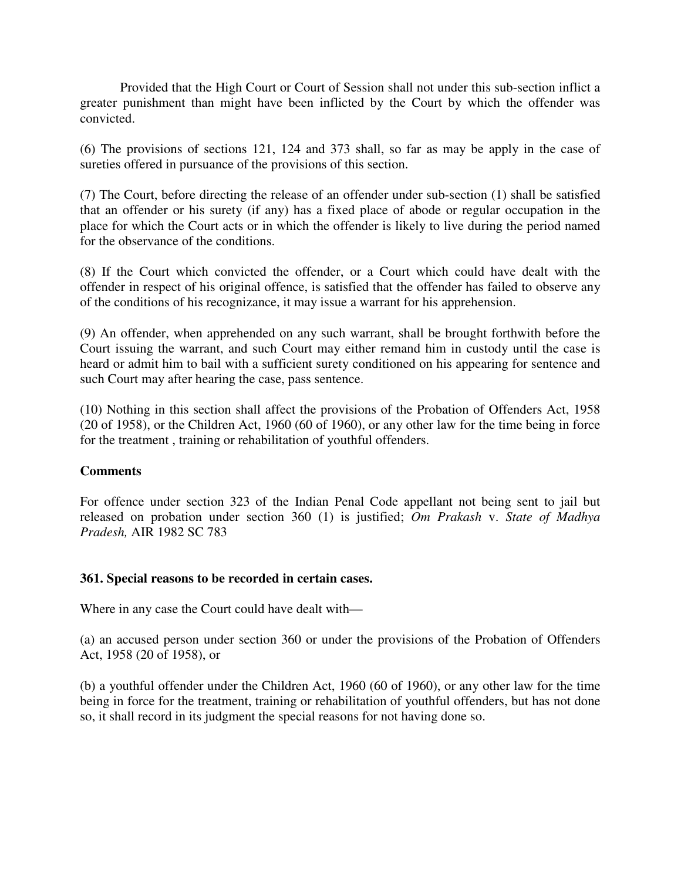Provided that the High Court or Court of Session shall not under this sub-section inflict a greater punishment than might have been inflicted by the Court by which the offender was convicted.

(6) The provisions of sections 121, 124 and 373 shall, so far as may be apply in the case of sureties offered in pursuance of the provisions of this section.

(7) The Court, before directing the release of an offender under sub-section (1) shall be satisfied that an offender or his surety (if any) has a fixed place of abode or regular occupation in the place for which the Court acts or in which the offender is likely to live during the period named for the observance of the conditions.

(8) If the Court which convicted the offender, or a Court which could have dealt with the offender in respect of his original offence, is satisfied that the offender has failed to observe any of the conditions of his recognizance, it may issue a warrant for his apprehension.

(9) An offender, when apprehended on any such warrant, shall be brought forthwith before the Court issuing the warrant, and such Court may either remand him in custody until the case is heard or admit him to bail with a sufficient surety conditioned on his appearing for sentence and such Court may after hearing the case, pass sentence.

(10) Nothing in this section shall affect the provisions of the Probation of Offenders Act, 1958 (20 of 1958), or the Children Act, 1960 (60 of 1960), or any other law for the time being in force for the treatment , training or rehabilitation of youthful offenders.

#### **Comments**

For offence under section 323 of the Indian Penal Code appellant not being sent to jail but released on probation under section 360 (1) is justified; *Om Prakash* v. *State of Madhya Pradesh,* AIR 1982 SC 783

#### **361. Special reasons to be recorded in certain cases.**

Where in any case the Court could have dealt with—

(a) an accused person under section 360 or under the provisions of the Probation of Offenders Act, 1958 (20 of 1958), or

(b) a youthful offender under the Children Act, 1960 (60 of 1960), or any other law for the time being in force for the treatment, training or rehabilitation of youthful offenders, but has not done so, it shall record in its judgment the special reasons for not having done so.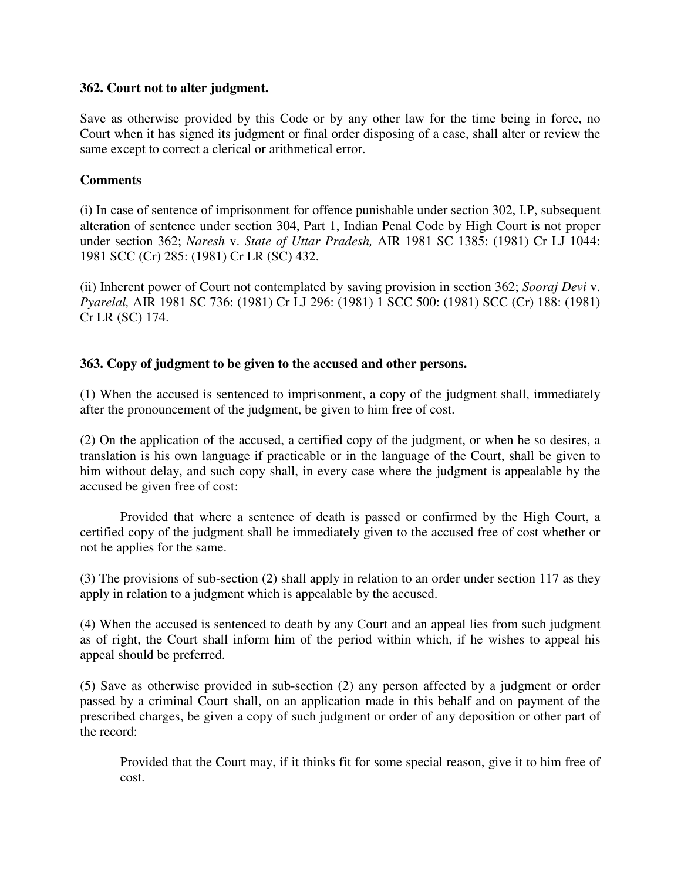#### **362. Court not to alter judgment.**

Save as otherwise provided by this Code or by any other law for the time being in force, no Court when it has signed its judgment or final order disposing of a case, shall alter or review the same except to correct a clerical or arithmetical error.

### **Comments**

(i) In case of sentence of imprisonment for offence punishable under section 302, I.P, subsequent alteration of sentence under section 304, Part 1, Indian Penal Code by High Court is not proper under section 362; *Naresh* v. *State of Uttar Pradesh,* AIR 1981 SC 1385: (1981) Cr LJ 1044: 1981 SCC (Cr) 285: (1981) Cr LR (SC) 432.

(ii) Inherent power of Court not contemplated by saving provision in section 362; *Sooraj Devi* v. *Pyarelal,* AIR 1981 SC 736: (1981) Cr LJ 296: (1981) 1 SCC 500: (1981) SCC (Cr) 188: (1981) Cr LR (SC) 174.

### **363. Copy of judgment to be given to the accused and other persons.**

(1) When the accused is sentenced to imprisonment, a copy of the judgment shall, immediately after the pronouncement of the judgment, be given to him free of cost.

(2) On the application of the accused, a certified copy of the judgment, or when he so desires, a translation is his own language if practicable or in the language of the Court, shall be given to him without delay, and such copy shall, in every case where the judgment is appealable by the accused be given free of cost:

Provided that where a sentence of death is passed or confirmed by the High Court, a certified copy of the judgment shall be immediately given to the accused free of cost whether or not he applies for the same.

(3) The provisions of sub-section (2) shall apply in relation to an order under section 117 as they apply in relation to a judgment which is appealable by the accused.

(4) When the accused is sentenced to death by any Court and an appeal lies from such judgment as of right, the Court shall inform him of the period within which, if he wishes to appeal his appeal should be preferred.

(5) Save as otherwise provided in sub-section (2) any person affected by a judgment or order passed by a criminal Court shall, on an application made in this behalf and on payment of the prescribed charges, be given a copy of such judgment or order of any deposition or other part of the record:

Provided that the Court may, if it thinks fit for some special reason, give it to him free of cost.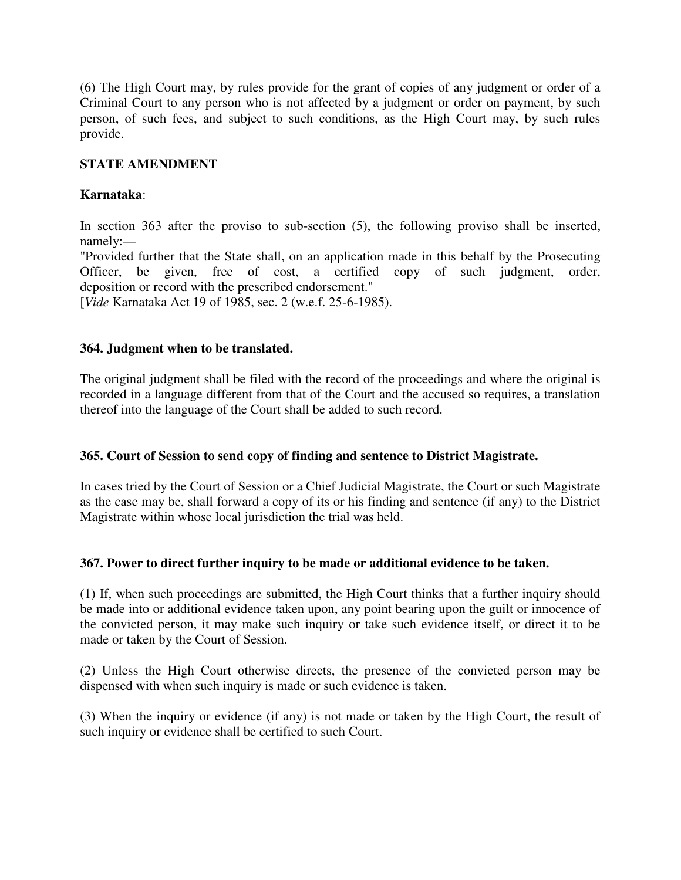(6) The High Court may, by rules provide for the grant of copies of any judgment or order of a Criminal Court to any person who is not affected by a judgment or order on payment, by such person, of such fees, and subject to such conditions, as the High Court may, by such rules provide.

### **STATE AMENDMENT**

### **Karnataka**:

In section 363 after the proviso to sub-section (5), the following proviso shall be inserted, namely:—

"Provided further that the State shall, on an application made in this behalf by the Prosecuting Officer, be given, free of cost, a certified copy of such judgment, order, deposition or record with the prescribed endorsement."

[*Vide* Karnataka Act 19 of 1985, sec. 2 (w.e.f. 25-6-1985).

### **364. Judgment when to be translated.**

The original judgment shall be filed with the record of the proceedings and where the original is recorded in a language different from that of the Court and the accused so requires, a translation thereof into the language of the Court shall be added to such record.

### **365. Court of Session to send copy of finding and sentence to District Magistrate.**

In cases tried by the Court of Session or a Chief Judicial Magistrate, the Court or such Magistrate as the case may be, shall forward a copy of its or his finding and sentence (if any) to the District Magistrate within whose local jurisdiction the trial was held.

### **367. Power to direct further inquiry to be made or additional evidence to be taken.**

(1) If, when such proceedings are submitted, the High Court thinks that a further inquiry should be made into or additional evidence taken upon, any point bearing upon the guilt or innocence of the convicted person, it may make such inquiry or take such evidence itself, or direct it to be made or taken by the Court of Session.

(2) Unless the High Court otherwise directs, the presence of the convicted person may be dispensed with when such inquiry is made or such evidence is taken.

(3) When the inquiry or evidence (if any) is not made or taken by the High Court, the result of such inquiry or evidence shall be certified to such Court.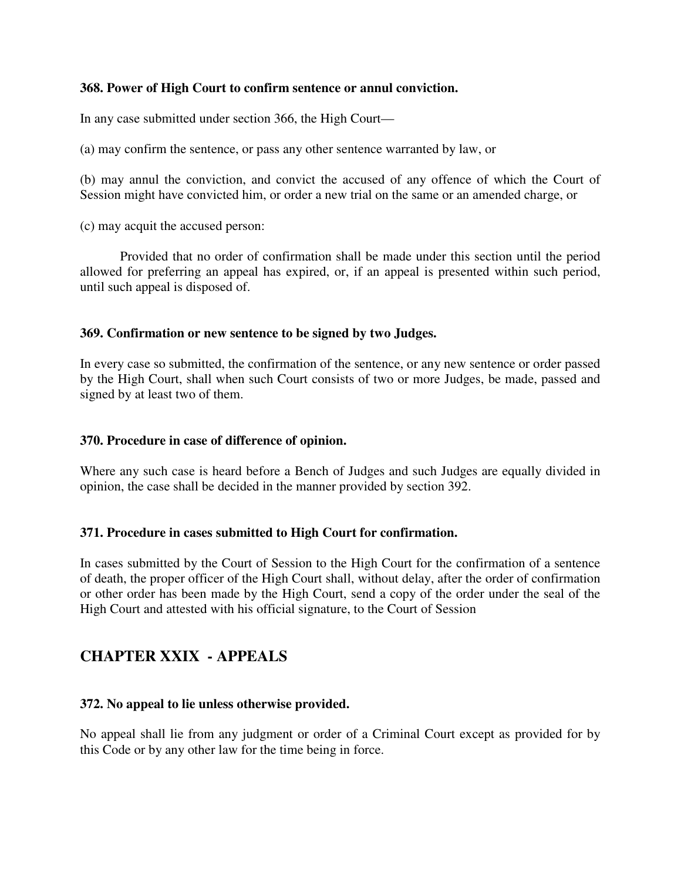#### **368. Power of High Court to confirm sentence or annul conviction.**

In any case submitted under section 366, the High Court—

(a) may confirm the sentence, or pass any other sentence warranted by law, or

(b) may annul the conviction, and convict the accused of any offence of which the Court of Session might have convicted him, or order a new trial on the same or an amended charge, or

(c) may acquit the accused person:

Provided that no order of confirmation shall be made under this section until the period allowed for preferring an appeal has expired, or, if an appeal is presented within such period, until such appeal is disposed of.

#### **369. Confirmation or new sentence to be signed by two Judges.**

In every case so submitted, the confirmation of the sentence, or any new sentence or order passed by the High Court, shall when such Court consists of two or more Judges, be made, passed and signed by at least two of them.

#### **370. Procedure in case of difference of opinion.**

Where any such case is heard before a Bench of Judges and such Judges are equally divided in opinion, the case shall be decided in the manner provided by section 392.

#### **371. Procedure in cases submitted to High Court for confirmation.**

In cases submitted by the Court of Session to the High Court for the confirmation of a sentence of death, the proper officer of the High Court shall, without delay, after the order of confirmation or other order has been made by the High Court, send a copy of the order under the seal of the High Court and attested with his official signature, to the Court of Session

## **CHAPTER XXIX - APPEALS**

#### **372. No appeal to lie unless otherwise provided.**

No appeal shall lie from any judgment or order of a Criminal Court except as provided for by this Code or by any other law for the time being in force.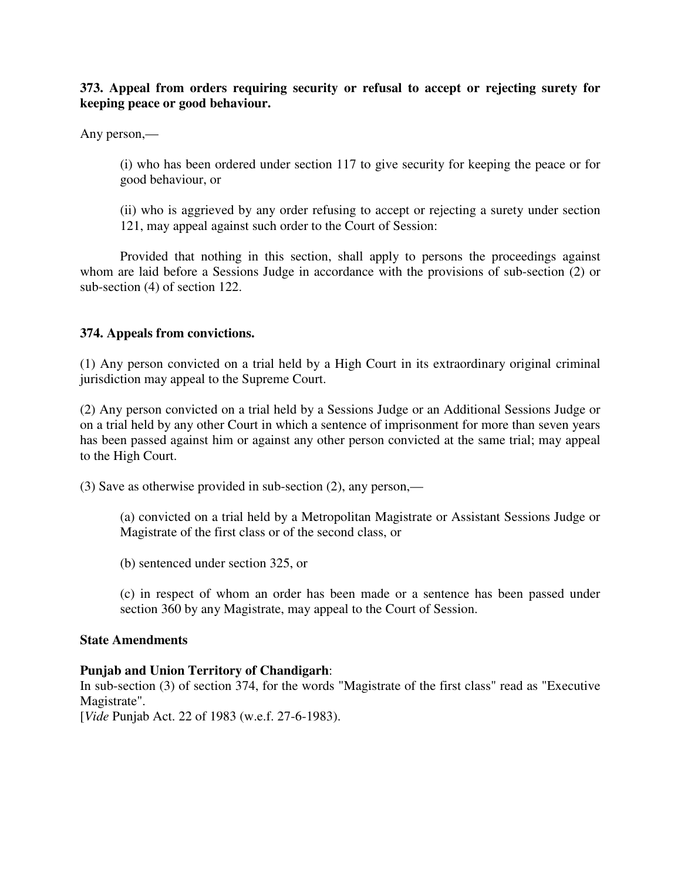**373. Appeal from orders requiring security or refusal to accept or rejecting surety for keeping peace or good behaviour.**

Any person,—

(i) who has been ordered under section 117 to give security for keeping the peace or for good behaviour, or

(ii) who is aggrieved by any order refusing to accept or rejecting a surety under section 121, may appeal against such order to the Court of Session:

Provided that nothing in this section, shall apply to persons the proceedings against whom are laid before a Sessions Judge in accordance with the provisions of sub-section (2) or sub-section (4) of section 122.

#### **374. Appeals from convictions.**

(1) Any person convicted on a trial held by a High Court in its extraordinary original criminal jurisdiction may appeal to the Supreme Court.

(2) Any person convicted on a trial held by a Sessions Judge or an Additional Sessions Judge or on a trial held by any other Court in which a sentence of imprisonment for more than seven years has been passed against him or against any other person convicted at the same trial; may appeal to the High Court.

(3) Save as otherwise provided in sub-section (2), any person,—

(a) convicted on a trial held by a Metropolitan Magistrate or Assistant Sessions Judge or Magistrate of the first class or of the second class, or

(b) sentenced under section 325, or

(c) in respect of whom an order has been made or a sentence has been passed under section 360 by any Magistrate, may appeal to the Court of Session.

#### **State Amendments**

#### **Punjab and Union Territory of Chandigarh**:

In sub-section (3) of section 374, for the words "Magistrate of the first class" read as "Executive Magistrate".

[*Vide* Punjab Act. 22 of 1983 (w.e.f. 27-6-1983).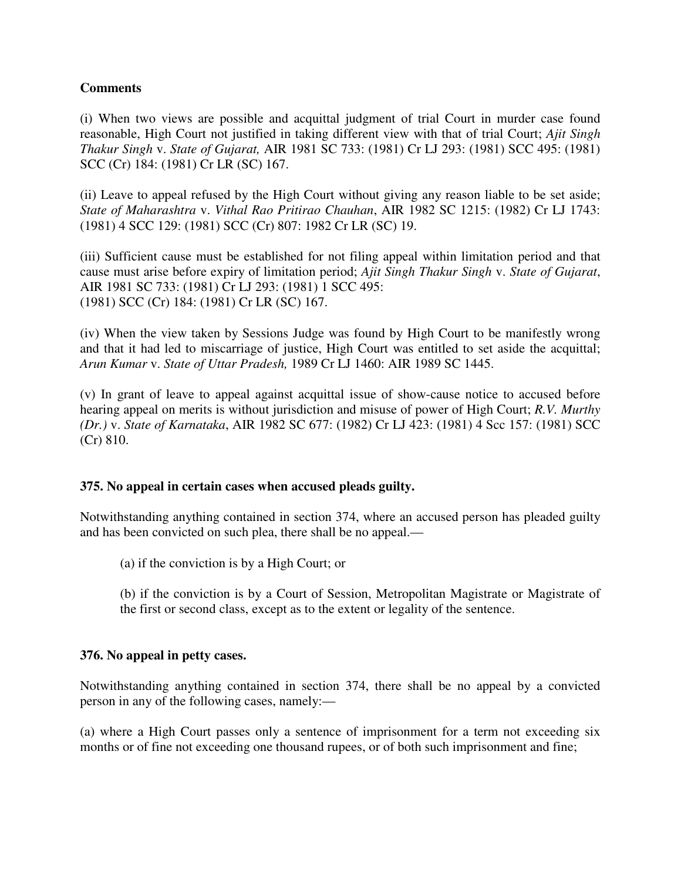### **Comments**

(i) When two views are possible and acquittal judgment of trial Court in murder case found reasonable, High Court not justified in taking different view with that of trial Court; *Ajit Singh Thakur Singh* v. *State of Gujarat,* AIR 1981 SC 733: (1981) Cr LJ 293: (1981) SCC 495: (1981) SCC (Cr) 184: (1981) Cr LR (SC) 167.

(ii) Leave to appeal refused by the High Court without giving any reason liable to be set aside; *State of Maharashtra* v. *Vithal Rao Pritirao Chauhan*, AIR 1982 SC 1215: (1982) Cr LJ 1743: (1981) 4 SCC 129: (1981) SCC (Cr) 807: 1982 Cr LR (SC) 19.

(iii) Sufficient cause must be established for not filing appeal within limitation period and that cause must arise before expiry of limitation period; *Ajit Singh Thakur Singh* v. *State of Gujarat*, AIR 1981 SC 733: (1981) Cr LJ 293: (1981) 1 SCC 495: (1981) SCC (Cr) 184: (1981) Cr LR (SC) 167.

(iv) When the view taken by Sessions Judge was found by High Court to be manifestly wrong and that it had led to miscarriage of justice, High Court was entitled to set aside the acquittal; *Arun Kumar* v. *State of Uttar Pradesh,* 1989 Cr LJ 1460: AIR 1989 SC 1445.

(v) In grant of leave to appeal against acquittal issue of show-cause notice to accused before hearing appeal on merits is without jurisdiction and misuse of power of High Court; *R.V. Murthy (Dr.)* v. *State of Karnataka*, AIR 1982 SC 677: (1982) Cr LJ 423: (1981) 4 Scc 157: (1981) SCC (Cr) 810.

#### **375. No appeal in certain cases when accused pleads guilty.**

Notwithstanding anything contained in section 374, where an accused person has pleaded guilty and has been convicted on such plea, there shall be no appeal.—

(a) if the conviction is by a High Court; or

(b) if the conviction is by a Court of Session, Metropolitan Magistrate or Magistrate of the first or second class, except as to the extent or legality of the sentence.

#### **376. No appeal in petty cases.**

Notwithstanding anything contained in section 374, there shall be no appeal by a convicted person in any of the following cases, namely:—

(a) where a High Court passes only a sentence of imprisonment for a term not exceeding six months or of fine not exceeding one thousand rupees, or of both such imprisonment and fine;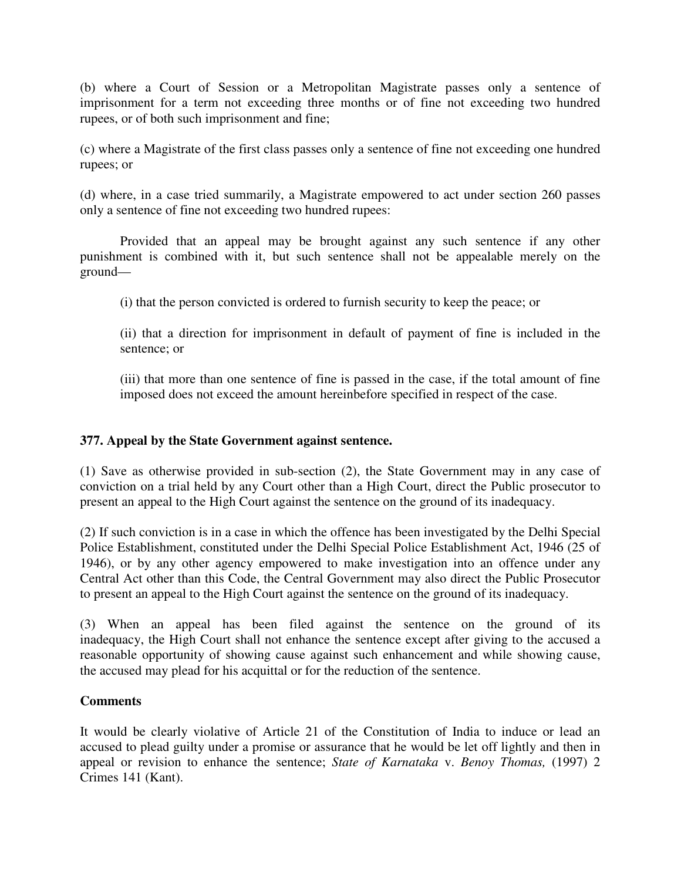(b) where a Court of Session or a Metropolitan Magistrate passes only a sentence of imprisonment for a term not exceeding three months or of fine not exceeding two hundred rupees, or of both such imprisonment and fine;

(c) where a Magistrate of the first class passes only a sentence of fine not exceeding one hundred rupees; or

(d) where, in a case tried summarily, a Magistrate empowered to act under section 260 passes only a sentence of fine not exceeding two hundred rupees:

Provided that an appeal may be brought against any such sentence if any other punishment is combined with it, but such sentence shall not be appealable merely on the ground—

(i) that the person convicted is ordered to furnish security to keep the peace; or

(ii) that a direction for imprisonment in default of payment of fine is included in the sentence; or

(iii) that more than one sentence of fine is passed in the case, if the total amount of fine imposed does not exceed the amount hereinbefore specified in respect of the case.

#### **377. Appeal by the State Government against sentence.**

(1) Save as otherwise provided in sub-section (2), the State Government may in any case of conviction on a trial held by any Court other than a High Court, direct the Public prosecutor to present an appeal to the High Court against the sentence on the ground of its inadequacy.

(2) If such conviction is in a case in which the offence has been investigated by the Delhi Special Police Establishment, constituted under the Delhi Special Police Establishment Act, 1946 (25 of 1946), or by any other agency empowered to make investigation into an offence under any Central Act other than this Code, the Central Government may also direct the Public Prosecutor to present an appeal to the High Court against the sentence on the ground of its inadequacy.

(3) When an appeal has been filed against the sentence on the ground of its inadequacy, the High Court shall not enhance the sentence except after giving to the accused a reasonable opportunity of showing cause against such enhancement and while showing cause, the accused may plead for his acquittal or for the reduction of the sentence.

#### **Comments**

It would be clearly violative of Article 21 of the Constitution of India to induce or lead an accused to plead guilty under a promise or assurance that he would be let off lightly and then in appeal or revision to enhance the sentence; *State of Karnataka* v. *Benoy Thomas,* (1997) 2 Crimes 141 (Kant).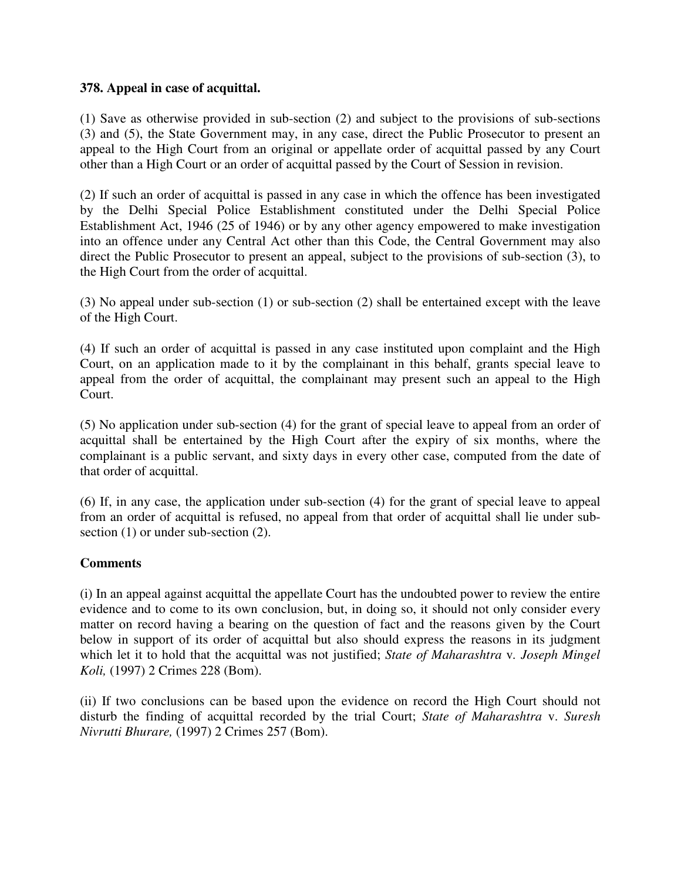#### **378. Appeal in case of acquittal.**

(1) Save as otherwise provided in sub-section (2) and subject to the provisions of sub-sections (3) and (5), the State Government may, in any case, direct the Public Prosecutor to present an appeal to the High Court from an original or appellate order of acquittal passed by any Court other than a High Court or an order of acquittal passed by the Court of Session in revision.

(2) If such an order of acquittal is passed in any case in which the offence has been investigated by the Delhi Special Police Establishment constituted under the Delhi Special Police Establishment Act, 1946 (25 of 1946) or by any other agency empowered to make investigation into an offence under any Central Act other than this Code, the Central Government may also direct the Public Prosecutor to present an appeal, subject to the provisions of sub-section (3), to the High Court from the order of acquittal.

(3) No appeal under sub-section (1) or sub-section (2) shall be entertained except with the leave of the High Court.

(4) If such an order of acquittal is passed in any case instituted upon complaint and the High Court, on an application made to it by the complainant in this behalf, grants special leave to appeal from the order of acquittal, the complainant may present such an appeal to the High Court.

(5) No application under sub-section (4) for the grant of special leave to appeal from an order of acquittal shall be entertained by the High Court after the expiry of six months, where the complainant is a public servant, and sixty days in every other case, computed from the date of that order of acquittal.

(6) If, in any case, the application under sub-section (4) for the grant of special leave to appeal from an order of acquittal is refused, no appeal from that order of acquittal shall lie under subsection (1) or under sub-section (2).

### **Comments**

(i) In an appeal against acquittal the appellate Court has the undoubted power to review the entire evidence and to come to its own conclusion, but, in doing so, it should not only consider every matter on record having a bearing on the question of fact and the reasons given by the Court below in support of its order of acquittal but also should express the reasons in its judgment which let it to hold that the acquittal was not justified; *State of Maharashtra* v*. Joseph Mingel Koli,* (1997) 2 Crimes 228 (Bom).

(ii) If two conclusions can be based upon the evidence on record the High Court should not disturb the finding of acquittal recorded by the trial Court; *State of Maharashtra* v. *Suresh Nivrutti Bhurare,* (1997) 2 Crimes 257 (Bom).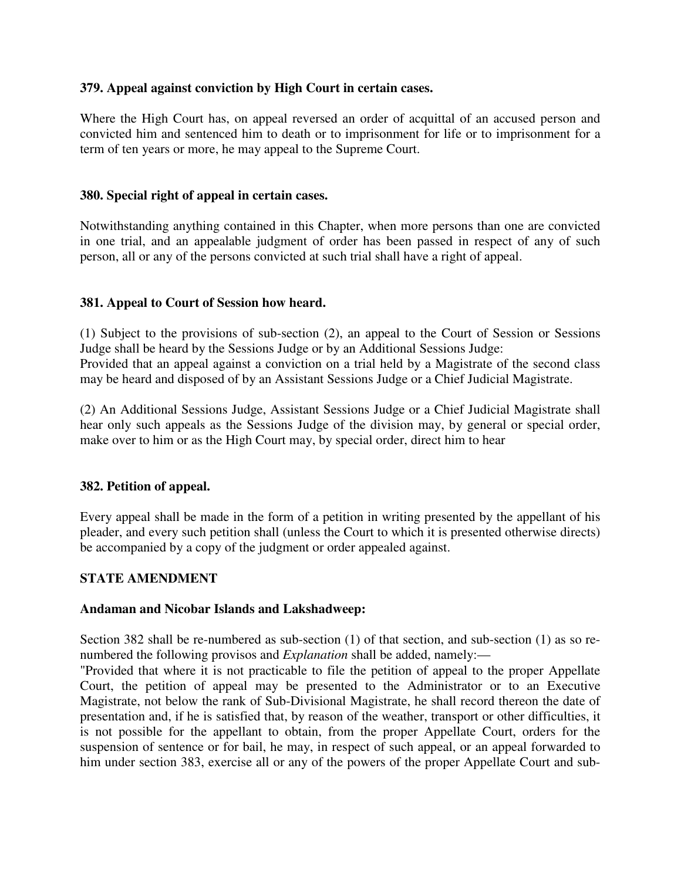### **379. Appeal against conviction by High Court in certain cases.**

Where the High Court has, on appeal reversed an order of acquittal of an accused person and convicted him and sentenced him to death or to imprisonment for life or to imprisonment for a term of ten years or more, he may appeal to the Supreme Court.

#### **380. Special right of appeal in certain cases.**

Notwithstanding anything contained in this Chapter, when more persons than one are convicted in one trial, and an appealable judgment of order has been passed in respect of any of such person, all or any of the persons convicted at such trial shall have a right of appeal.

### **381. Appeal to Court of Session how heard.**

(1) Subject to the provisions of sub-section (2), an appeal to the Court of Session or Sessions Judge shall be heard by the Sessions Judge or by an Additional Sessions Judge: Provided that an appeal against a conviction on a trial held by a Magistrate of the second class may be heard and disposed of by an Assistant Sessions Judge or a Chief Judicial Magistrate.

(2) An Additional Sessions Judge, Assistant Sessions Judge or a Chief Judicial Magistrate shall hear only such appeals as the Sessions Judge of the division may, by general or special order, make over to him or as the High Court may, by special order, direct him to hear

#### **382. Petition of appeal.**

Every appeal shall be made in the form of a petition in writing presented by the appellant of his pleader, and every such petition shall (unless the Court to which it is presented otherwise directs) be accompanied by a copy of the judgment or order appealed against.

### **STATE AMENDMENT**

#### **Andaman and Nicobar Islands and Lakshadweep:**

Section 382 shall be re-numbered as sub-section (1) of that section, and sub-section (1) as so renumbered the following provisos and *Explanation* shall be added, namely:—

"Provided that where it is not practicable to file the petition of appeal to the proper Appellate Court, the petition of appeal may be presented to the Administrator or to an Executive Magistrate, not below the rank of Sub-Divisional Magistrate, he shall record thereon the date of presentation and, if he is satisfied that, by reason of the weather, transport or other difficulties, it is not possible for the appellant to obtain, from the proper Appellate Court, orders for the suspension of sentence or for bail, he may, in respect of such appeal, or an appeal forwarded to him under section 383, exercise all or any of the powers of the proper Appellate Court and sub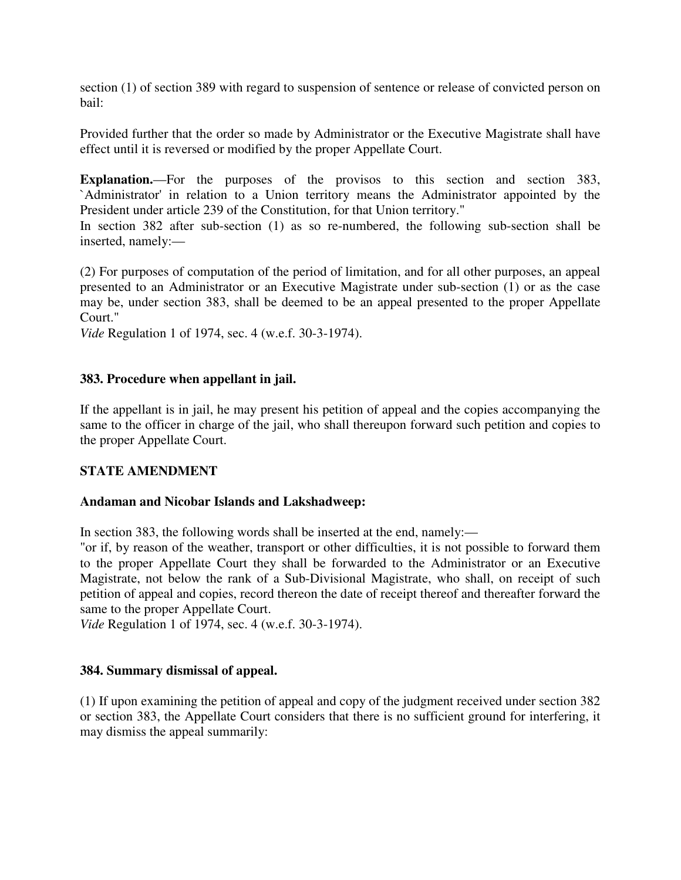section (1) of section 389 with regard to suspension of sentence or release of convicted person on bail:

Provided further that the order so made by Administrator or the Executive Magistrate shall have effect until it is reversed or modified by the proper Appellate Court.

**Explanation.**—For the purposes of the provisos to this section and section 383, `Administrator' in relation to a Union territory means the Administrator appointed by the President under article 239 of the Constitution, for that Union territory."

In section 382 after sub-section (1) as so re-numbered, the following sub-section shall be inserted, namely:—

(2) For purposes of computation of the period of limitation, and for all other purposes, an appeal presented to an Administrator or an Executive Magistrate under sub-section (1) or as the case may be, under section 383, shall be deemed to be an appeal presented to the proper Appellate Court."

*Vide* Regulation 1 of 1974, sec. 4 (w.e.f. 30-3-1974).

### **383. Procedure when appellant in jail.**

If the appellant is in jail, he may present his petition of appeal and the copies accompanying the same to the officer in charge of the jail, who shall thereupon forward such petition and copies to the proper Appellate Court.

### **STATE AMENDMENT**

#### **Andaman and Nicobar Islands and Lakshadweep:**

In section 383, the following words shall be inserted at the end, namely:—

"or if, by reason of the weather, transport or other difficulties, it is not possible to forward them to the proper Appellate Court they shall be forwarded to the Administrator or an Executive Magistrate, not below the rank of a Sub-Divisional Magistrate, who shall, on receipt of such petition of appeal and copies, record thereon the date of receipt thereof and thereafter forward the same to the proper Appellate Court.

*Vide* Regulation 1 of 1974, sec. 4 (w.e.f. 30-3-1974).

#### **384. Summary dismissal of appeal.**

(1) If upon examining the petition of appeal and copy of the judgment received under section 382 or section 383, the Appellate Court considers that there is no sufficient ground for interfering, it may dismiss the appeal summarily: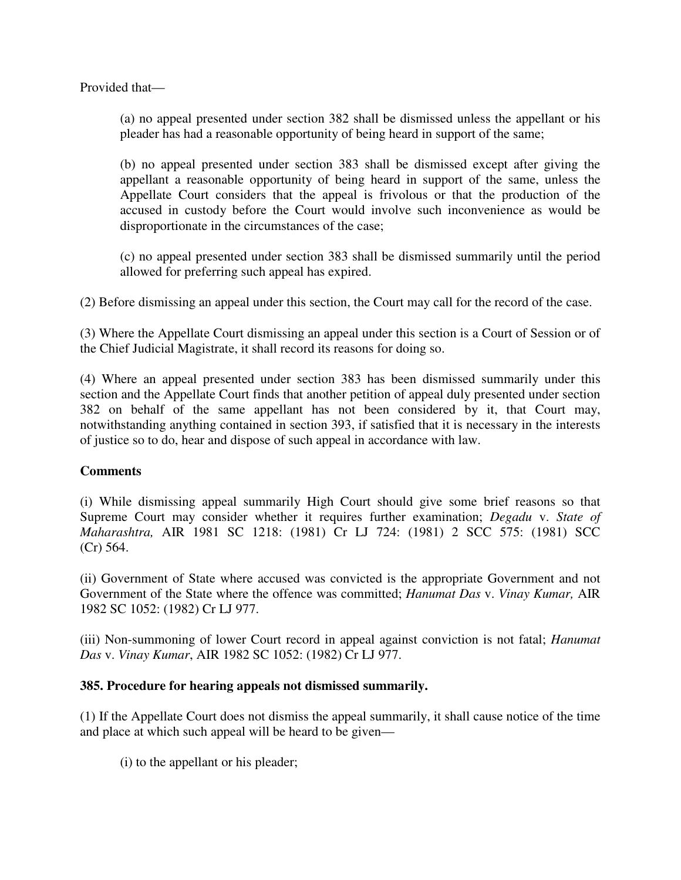Provided that—

(a) no appeal presented under section 382 shall be dismissed unless the appellant or his pleader has had a reasonable opportunity of being heard in support of the same;

(b) no appeal presented under section 383 shall be dismissed except after giving the appellant a reasonable opportunity of being heard in support of the same, unless the Appellate Court considers that the appeal is frivolous or that the production of the accused in custody before the Court would involve such inconvenience as would be disproportionate in the circumstances of the case;

(c) no appeal presented under section 383 shall be dismissed summarily until the period allowed for preferring such appeal has expired.

(2) Before dismissing an appeal under this section, the Court may call for the record of the case.

(3) Where the Appellate Court dismissing an appeal under this section is a Court of Session or of the Chief Judicial Magistrate, it shall record its reasons for doing so.

(4) Where an appeal presented under section 383 has been dismissed summarily under this section and the Appellate Court finds that another petition of appeal duly presented under section 382 on behalf of the same appellant has not been considered by it, that Court may, notwithstanding anything contained in section 393, if satisfied that it is necessary in the interests of justice so to do, hear and dispose of such appeal in accordance with law.

### **Comments**

(i) While dismissing appeal summarily High Court should give some brief reasons so that Supreme Court may consider whether it requires further examination; *Degadu* v. *State of Maharashtra,* AIR 1981 SC 1218: (1981) Cr LJ 724: (1981) 2 SCC 575: (1981) SCC (Cr) 564.

(ii) Government of State where accused was convicted is the appropriate Government and not Government of the State where the offence was committed; *Hanumat Das* v. *Vinay Kumar,* AIR 1982 SC 1052: (1982) Cr LJ 977.

(iii) Non-summoning of lower Court record in appeal against conviction is not fatal; *Hanumat Das* v. *Vinay Kumar*, AIR 1982 SC 1052: (1982) Cr LJ 977.

### **385. Procedure for hearing appeals not dismissed summarily.**

(1) If the Appellate Court does not dismiss the appeal summarily, it shall cause notice of the time and place at which such appeal will be heard to be given—

(i) to the appellant or his pleader;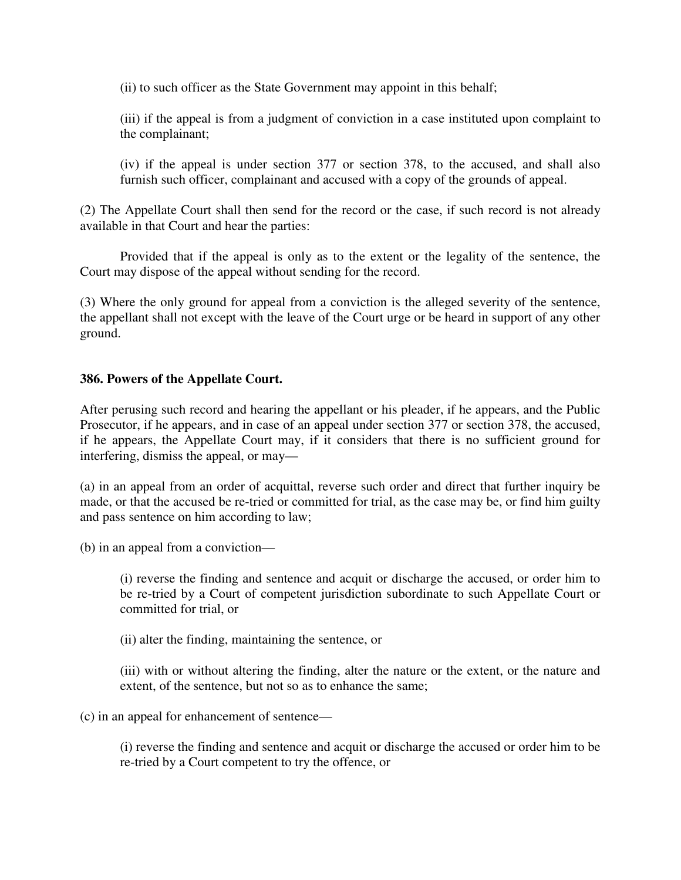(ii) to such officer as the State Government may appoint in this behalf;

(iii) if the appeal is from a judgment of conviction in a case instituted upon complaint to the complainant;

(iv) if the appeal is under section 377 or section 378, to the accused, and shall also furnish such officer, complainant and accused with a copy of the grounds of appeal.

(2) The Appellate Court shall then send for the record or the case, if such record is not already available in that Court and hear the parties:

Provided that if the appeal is only as to the extent or the legality of the sentence, the Court may dispose of the appeal without sending for the record.

(3) Where the only ground for appeal from a conviction is the alleged severity of the sentence, the appellant shall not except with the leave of the Court urge or be heard in support of any other ground.

### **386. Powers of the Appellate Court.**

After perusing such record and hearing the appellant or his pleader, if he appears, and the Public Prosecutor, if he appears, and in case of an appeal under section 377 or section 378, the accused, if he appears, the Appellate Court may, if it considers that there is no sufficient ground for interfering, dismiss the appeal, or may—

(a) in an appeal from an order of acquittal, reverse such order and direct that further inquiry be made, or that the accused be re-tried or committed for trial, as the case may be, or find him guilty and pass sentence on him according to law;

(b) in an appeal from a conviction—

(i) reverse the finding and sentence and acquit or discharge the accused, or order him to be re-tried by a Court of competent jurisdiction subordinate to such Appellate Court or committed for trial, or

(ii) alter the finding, maintaining the sentence, or

(iii) with or without altering the finding, alter the nature or the extent, or the nature and extent, of the sentence, but not so as to enhance the same;

(c) in an appeal for enhancement of sentence—

(i) reverse the finding and sentence and acquit or discharge the accused or order him to be re-tried by a Court competent to try the offence, or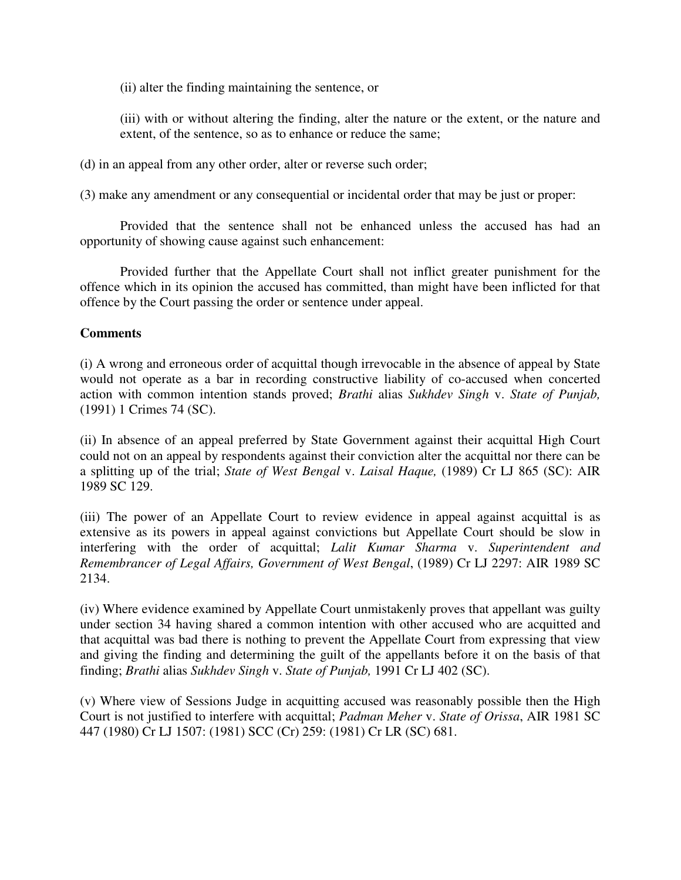(ii) alter the finding maintaining the sentence, or

(iii) with or without altering the finding, alter the nature or the extent, or the nature and extent, of the sentence, so as to enhance or reduce the same;

(d) in an appeal from any other order, alter or reverse such order;

(3) make any amendment or any consequential or incidental order that may be just or proper:

Provided that the sentence shall not be enhanced unless the accused has had an opportunity of showing cause against such enhancement:

Provided further that the Appellate Court shall not inflict greater punishment for the offence which in its opinion the accused has committed, than might have been inflicted for that offence by the Court passing the order or sentence under appeal.

#### **Comments**

(i) A wrong and erroneous order of acquittal though irrevocable in the absence of appeal by State would not operate as a bar in recording constructive liability of co-accused when concerted action with common intention stands proved; *Brathi* alias *Sukhdev Singh* v. *State of Punjab,*  (1991) 1 Crimes 74 (SC).

(ii) In absence of an appeal preferred by State Government against their acquittal High Court could not on an appeal by respondents against their conviction alter the acquittal nor there can be a splitting up of the trial; *State of West Bengal* v. *Laisal Haque,* (1989) Cr LJ 865 (SC): AIR 1989 SC 129.

(iii) The power of an Appellate Court to review evidence in appeal against acquittal is as extensive as its powers in appeal against convictions but Appellate Court should be slow in interfering with the order of acquittal; *Lalit Kumar Sharma* v. *Superintendent and Remembrancer of Legal Affairs, Government of West Bengal*, (1989) Cr LJ 2297: AIR 1989 SC 2134.

(iv) Where evidence examined by Appellate Court unmistakenly proves that appellant was guilty under section 34 having shared a common intention with other accused who are acquitted and that acquittal was bad there is nothing to prevent the Appellate Court from expressing that view and giving the finding and determining the guilt of the appellants before it on the basis of that finding; *Brathi* alias *Sukhdev Singh* v. *State of Punjab,* 1991 Cr LJ 402 (SC).

(v) Where view of Sessions Judge in acquitting accused was reasonably possible then the High Court is not justified to interfere with acquittal; *Padman Meher* v. *State of Orissa*, AIR 1981 SC 447 (1980) Cr LJ 1507: (1981) SCC (Cr) 259: (1981) Cr LR (SC) 681.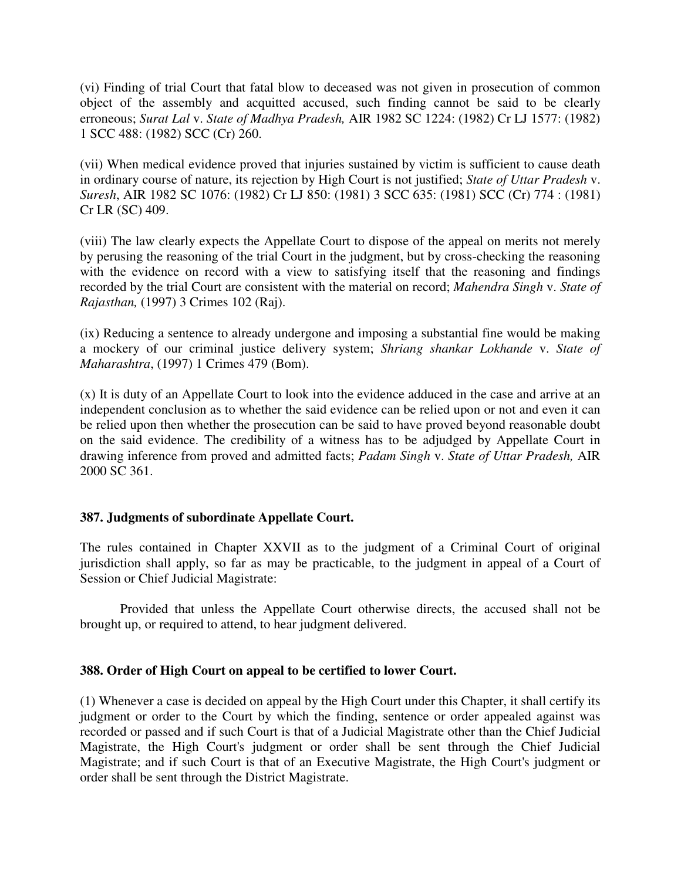(vi) Finding of trial Court that fatal blow to deceased was not given in prosecution of common object of the assembly and acquitted accused, such finding cannot be said to be clearly erroneous; *Surat Lal* v. *State of Madhya Pradesh,* AIR 1982 SC 1224: (1982) Cr LJ 1577: (1982) 1 SCC 488: (1982) SCC (Cr) 260.

(vii) When medical evidence proved that injuries sustained by victim is sufficient to cause death in ordinary course of nature, its rejection by High Court is not justified; *State of Uttar Pradesh* v. *Suresh*, AIR 1982 SC 1076: (1982) Cr LJ 850: (1981) 3 SCC 635: (1981) SCC (Cr) 774 : (1981) Cr LR (SC) 409.

(viii) The law clearly expects the Appellate Court to dispose of the appeal on merits not merely by perusing the reasoning of the trial Court in the judgment, but by cross-checking the reasoning with the evidence on record with a view to satisfying itself that the reasoning and findings recorded by the trial Court are consistent with the material on record; *Mahendra Singh* v. *State of Rajasthan,* (1997) 3 Crimes 102 (Raj).

(ix) Reducing a sentence to already undergone and imposing a substantial fine would be making a mockery of our criminal justice delivery system; *Shriang shankar Lokhande* v. *State of Maharashtra*, (1997) 1 Crimes 479 (Bom).

(x) It is duty of an Appellate Court to look into the evidence adduced in the case and arrive at an independent conclusion as to whether the said evidence can be relied upon or not and even it can be relied upon then whether the prosecution can be said to have proved beyond reasonable doubt on the said evidence. The credibility of a witness has to be adjudged by Appellate Court in drawing inference from proved and admitted facts; *Padam Singh* v. *State of Uttar Pradesh,* AIR 2000 SC 361.

#### **387. Judgments of subordinate Appellate Court.**

The rules contained in Chapter XXVII as to the judgment of a Criminal Court of original jurisdiction shall apply, so far as may be practicable, to the judgment in appeal of a Court of Session or Chief Judicial Magistrate:

Provided that unless the Appellate Court otherwise directs, the accused shall not be brought up, or required to attend, to hear judgment delivered.

#### **388. Order of High Court on appeal to be certified to lower Court.**

(1) Whenever a case is decided on appeal by the High Court under this Chapter, it shall certify its judgment or order to the Court by which the finding, sentence or order appealed against was recorded or passed and if such Court is that of a Judicial Magistrate other than the Chief Judicial Magistrate, the High Court's judgment or order shall be sent through the Chief Judicial Magistrate; and if such Court is that of an Executive Magistrate, the High Court's judgment or order shall be sent through the District Magistrate.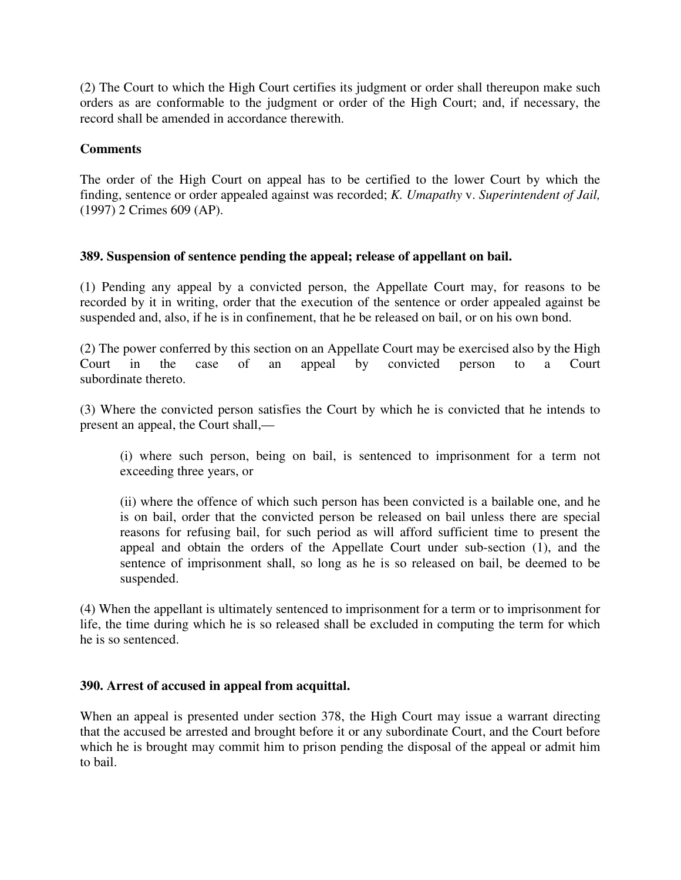(2) The Court to which the High Court certifies its judgment or order shall thereupon make such orders as are conformable to the judgment or order of the High Court; and, if necessary, the record shall be amended in accordance therewith.

### **Comments**

The order of the High Court on appeal has to be certified to the lower Court by which the finding, sentence or order appealed against was recorded; *K. Umapathy* v. *Superintendent of Jail,* (1997) 2 Crimes 609 (AP).

### **389. Suspension of sentence pending the appeal; release of appellant on bail.**

(1) Pending any appeal by a convicted person, the Appellate Court may, for reasons to be recorded by it in writing, order that the execution of the sentence or order appealed against be suspended and, also, if he is in confinement, that he be released on bail, or on his own bond.

(2) The power conferred by this section on an Appellate Court may be exercised also by the High Court in the case of an appeal by convicted person to a Court subordinate thereto.

(3) Where the convicted person satisfies the Court by which he is convicted that he intends to present an appeal, the Court shall,—

(i) where such person, being on bail, is sentenced to imprisonment for a term not exceeding three years, or

(ii) where the offence of which such person has been convicted is a bailable one, and he is on bail, order that the convicted person be released on bail unless there are special reasons for refusing bail, for such period as will afford sufficient time to present the appeal and obtain the orders of the Appellate Court under sub-section (1), and the sentence of imprisonment shall, so long as he is so released on bail, be deemed to be suspended.

(4) When the appellant is ultimately sentenced to imprisonment for a term or to imprisonment for life, the time during which he is so released shall be excluded in computing the term for which he is so sentenced.

### **390. Arrest of accused in appeal from acquittal.**

When an appeal is presented under section 378, the High Court may issue a warrant directing that the accused be arrested and brought before it or any subordinate Court, and the Court before which he is brought may commit him to prison pending the disposal of the appeal or admit him to bail.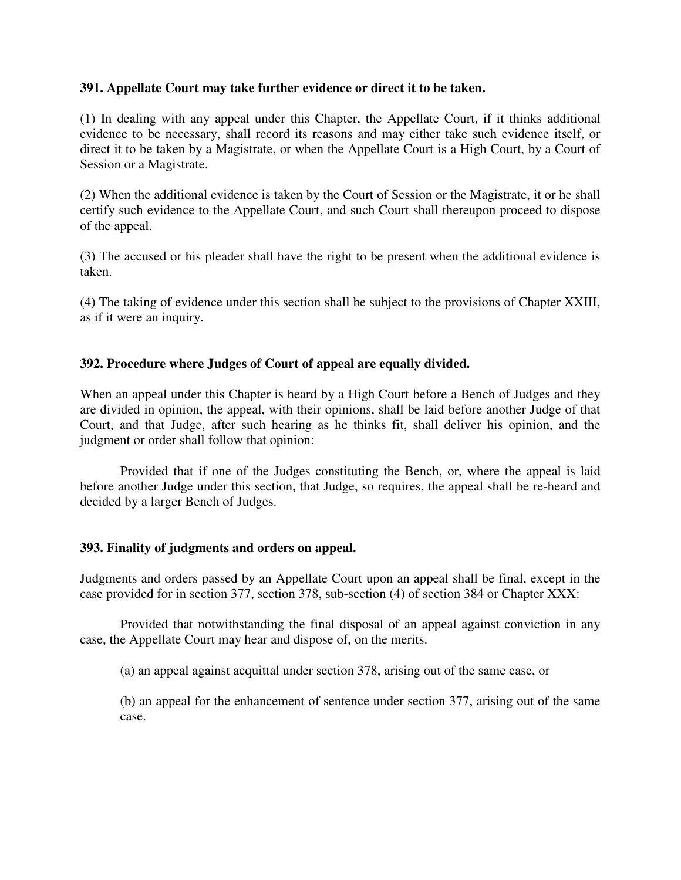#### **391. Appellate Court may take further evidence or direct it to be taken.**

(1) In dealing with any appeal under this Chapter, the Appellate Court, if it thinks additional evidence to be necessary, shall record its reasons and may either take such evidence itself, or direct it to be taken by a Magistrate, or when the Appellate Court is a High Court, by a Court of Session or a Magistrate.

(2) When the additional evidence is taken by the Court of Session or the Magistrate, it or he shall certify such evidence to the Appellate Court, and such Court shall thereupon proceed to dispose of the appeal.

(3) The accused or his pleader shall have the right to be present when the additional evidence is taken.

(4) The taking of evidence under this section shall be subject to the provisions of Chapter XXIII, as if it were an inquiry.

#### **392. Procedure where Judges of Court of appeal are equally divided.**

When an appeal under this Chapter is heard by a High Court before a Bench of Judges and they are divided in opinion, the appeal, with their opinions, shall be laid before another Judge of that Court, and that Judge, after such hearing as he thinks fit, shall deliver his opinion, and the judgment or order shall follow that opinion:

Provided that if one of the Judges constituting the Bench, or, where the appeal is laid before another Judge under this section, that Judge, so requires, the appeal shall be re-heard and decided by a larger Bench of Judges.

#### **393. Finality of judgments and orders on appeal.**

Judgments and orders passed by an Appellate Court upon an appeal shall be final, except in the case provided for in section 377, section 378, sub-section (4) of section 384 or Chapter XXX:

Provided that notwithstanding the final disposal of an appeal against conviction in any case, the Appellate Court may hear and dispose of, on the merits.

(a) an appeal against acquittal under section 378, arising out of the same case, or

(b) an appeal for the enhancement of sentence under section 377, arising out of the same case.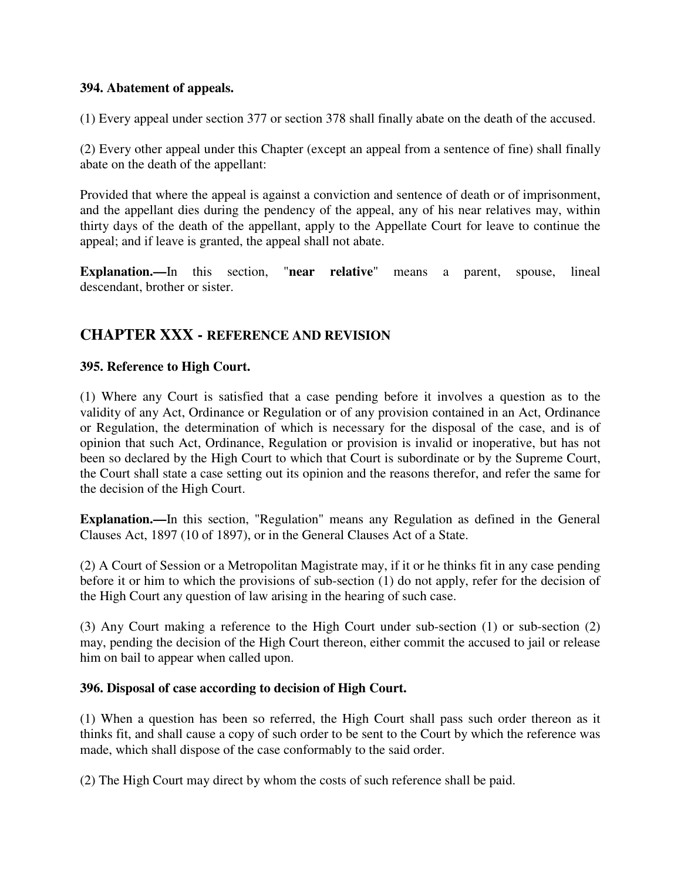#### **394. Abatement of appeals.**

(1) Every appeal under section 377 or section 378 shall finally abate on the death of the accused.

(2) Every other appeal under this Chapter (except an appeal from a sentence of fine) shall finally abate on the death of the appellant:

Provided that where the appeal is against a conviction and sentence of death or of imprisonment, and the appellant dies during the pendency of the appeal, any of his near relatives may, within thirty days of the death of the appellant, apply to the Appellate Court for leave to continue the appeal; and if leave is granted, the appeal shall not abate.

**Explanation.—**In this section, "**near relative**" means a parent, spouse, lineal descendant, brother or sister.

## **CHAPTER XXX - REFERENCE AND REVISION**

### **395. Reference to High Court.**

(1) Where any Court is satisfied that a case pending before it involves a question as to the validity of any Act, Ordinance or Regulation or of any provision contained in an Act, Ordinance or Regulation, the determination of which is necessary for the disposal of the case, and is of opinion that such Act, Ordinance, Regulation or provision is invalid or inoperative, but has not been so declared by the High Court to which that Court is subordinate or by the Supreme Court, the Court shall state a case setting out its opinion and the reasons therefor, and refer the same for the decision of the High Court.

**Explanation.—**In this section, "Regulation" means any Regulation as defined in the General Clauses Act, 1897 (10 of 1897), or in the General Clauses Act of a State.

(2) A Court of Session or a Metropolitan Magistrate may, if it or he thinks fit in any case pending before it or him to which the provisions of sub-section (1) do not apply, refer for the decision of the High Court any question of law arising in the hearing of such case.

(3) Any Court making a reference to the High Court under sub-section (1) or sub-section (2) may, pending the decision of the High Court thereon, either commit the accused to jail or release him on bail to appear when called upon.

#### **396. Disposal of case according to decision of High Court.**

(1) When a question has been so referred, the High Court shall pass such order thereon as it thinks fit, and shall cause a copy of such order to be sent to the Court by which the reference was made, which shall dispose of the case conformably to the said order.

(2) The High Court may direct by whom the costs of such reference shall be paid.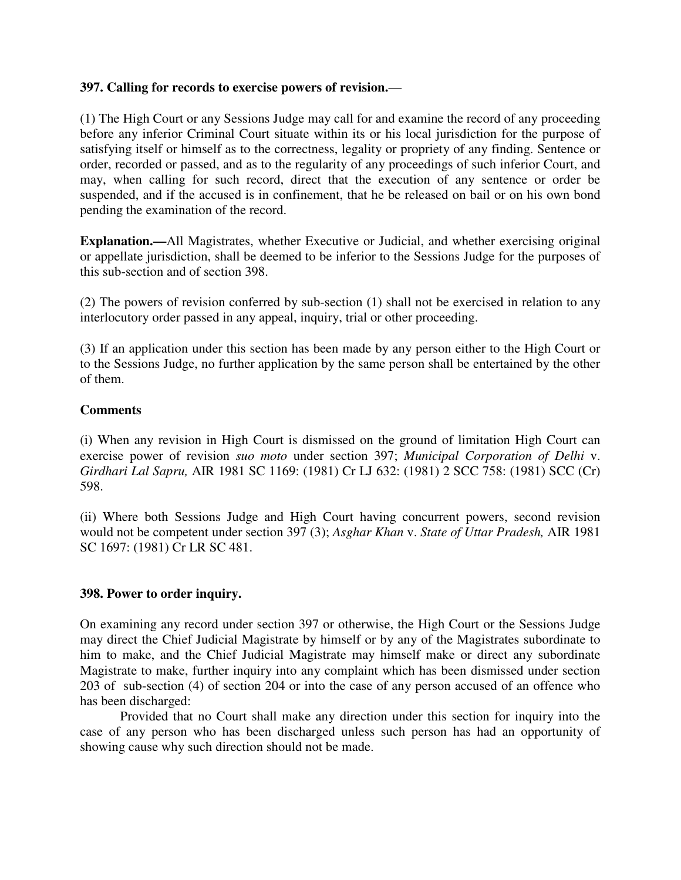#### **397. Calling for records to exercise powers of revision.**—

(1) The High Court or any Sessions Judge may call for and examine the record of any proceeding before any inferior Criminal Court situate within its or his local jurisdiction for the purpose of satisfying itself or himself as to the correctness, legality or propriety of any finding. Sentence or order, recorded or passed, and as to the regularity of any proceedings of such inferior Court, and may, when calling for such record, direct that the execution of any sentence or order be suspended, and if the accused is in confinement, that he be released on bail or on his own bond pending the examination of the record.

**Explanation.—**All Magistrates, whether Executive or Judicial, and whether exercising original or appellate jurisdiction, shall be deemed to be inferior to the Sessions Judge for the purposes of this sub-section and of section 398.

(2) The powers of revision conferred by sub-section (1) shall not be exercised in relation to any interlocutory order passed in any appeal, inquiry, trial or other proceeding.

(3) If an application under this section has been made by any person either to the High Court or to the Sessions Judge, no further application by the same person shall be entertained by the other of them.

#### **Comments**

(i) When any revision in High Court is dismissed on the ground of limitation High Court can exercise power of revision *suo moto* under section 397; *Municipal Corporation of Delhi* v. *Girdhari Lal Sapru,* AIR 1981 SC 1169: (1981) Cr LJ 632: (1981) 2 SCC 758: (1981) SCC (Cr) 598.

(ii) Where both Sessions Judge and High Court having concurrent powers, second revision would not be competent under section 397 (3); *Asghar Khan* v. *State of Uttar Pradesh,* AIR 1981 SC 1697: (1981) Cr LR SC 481.

#### **398. Power to order inquiry.**

On examining any record under section 397 or otherwise, the High Court or the Sessions Judge may direct the Chief Judicial Magistrate by himself or by any of the Magistrates subordinate to him to make, and the Chief Judicial Magistrate may himself make or direct any subordinate Magistrate to make, further inquiry into any complaint which has been dismissed under section 203 of sub-section (4) of section 204 or into the case of any person accused of an offence who has been discharged:

Provided that no Court shall make any direction under this section for inquiry into the case of any person who has been discharged unless such person has had an opportunity of showing cause why such direction should not be made.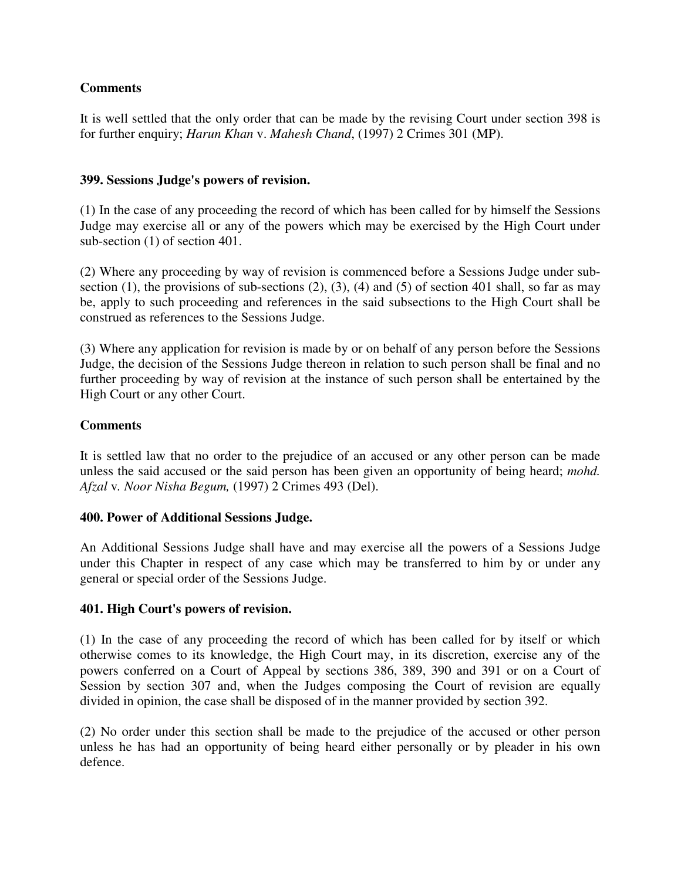### **Comments**

It is well settled that the only order that can be made by the revising Court under section 398 is for further enquiry; *Harun Khan* v. *Mahesh Chand*, (1997) 2 Crimes 301 (MP).

### **399. Sessions Judge's powers of revision.**

(1) In the case of any proceeding the record of which has been called for by himself the Sessions Judge may exercise all or any of the powers which may be exercised by the High Court under sub-section (1) of section 401.

(2) Where any proceeding by way of revision is commenced before a Sessions Judge under subsection (1), the provisions of sub-sections (2), (3), (4) and (5) of section 401 shall, so far as may be, apply to such proceeding and references in the said subsections to the High Court shall be construed as references to the Sessions Judge.

(3) Where any application for revision is made by or on behalf of any person before the Sessions Judge, the decision of the Sessions Judge thereon in relation to such person shall be final and no further proceeding by way of revision at the instance of such person shall be entertained by the High Court or any other Court.

### **Comments**

It is settled law that no order to the prejudice of an accused or any other person can be made unless the said accused or the said person has been given an opportunity of being heard; *mohd. Afzal* v*. Noor Nisha Begum,* (1997) 2 Crimes 493 (Del).

#### **400. Power of Additional Sessions Judge.**

An Additional Sessions Judge shall have and may exercise all the powers of a Sessions Judge under this Chapter in respect of any case which may be transferred to him by or under any general or special order of the Sessions Judge.

#### **401. High Court's powers of revision.**

(1) In the case of any proceeding the record of which has been called for by itself or which otherwise comes to its knowledge, the High Court may, in its discretion, exercise any of the powers conferred on a Court of Appeal by sections 386, 389, 390 and 391 or on a Court of Session by section 307 and, when the Judges composing the Court of revision are equally divided in opinion, the case shall be disposed of in the manner provided by section 392.

(2) No order under this section shall be made to the prejudice of the accused or other person unless he has had an opportunity of being heard either personally or by pleader in his own defence.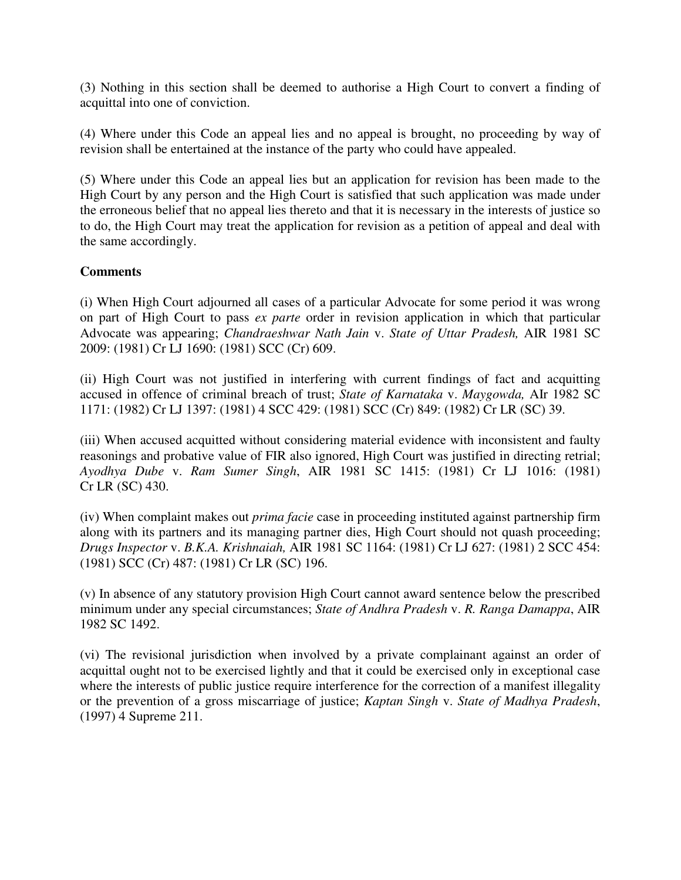(3) Nothing in this section shall be deemed to authorise a High Court to convert a finding of acquittal into one of conviction.

(4) Where under this Code an appeal lies and no appeal is brought, no proceeding by way of revision shall be entertained at the instance of the party who could have appealed.

(5) Where under this Code an appeal lies but an application for revision has been made to the High Court by any person and the High Court is satisfied that such application was made under the erroneous belief that no appeal lies thereto and that it is necessary in the interests of justice so to do, the High Court may treat the application for revision as a petition of appeal and deal with the same accordingly.

### **Comments**

(i) When High Court adjourned all cases of a particular Advocate for some period it was wrong on part of High Court to pass *ex parte* order in revision application in which that particular Advocate was appearing; *Chandraeshwar Nath Jain* v. *State of Uttar Pradesh,* AIR 1981 SC 2009: (1981) Cr LJ 1690: (1981) SCC (Cr) 609.

(ii) High Court was not justified in interfering with current findings of fact and acquitting accused in offence of criminal breach of trust; *State of Karnataka* v. *Maygowda,* AIr 1982 SC 1171: (1982) Cr LJ 1397: (1981) 4 SCC 429: (1981) SCC (Cr) 849: (1982) Cr LR (SC) 39.

(iii) When accused acquitted without considering material evidence with inconsistent and faulty reasonings and probative value of FIR also ignored, High Court was justified in directing retrial; *Ayodhya Dube* v. *Ram Sumer Singh*, AIR 1981 SC 1415: (1981) Cr LJ 1016: (1981) Cr LR (SC) 430.

(iv) When complaint makes out *prima facie* case in proceeding instituted against partnership firm along with its partners and its managing partner dies, High Court should not quash proceeding; *Drugs Inspector* v. *B.K.A. Krishnaiah,* AIR 1981 SC 1164: (1981) Cr LJ 627: (1981) 2 SCC 454: (1981) SCC (Cr) 487: (1981) Cr LR (SC) 196.

(v) In absence of any statutory provision High Court cannot award sentence below the prescribed minimum under any special circumstances; *State of Andhra Pradesh* v. *R. Ranga Damappa*, AIR 1982 SC 1492.

(vi) The revisional jurisdiction when involved by a private complainant against an order of acquittal ought not to be exercised lightly and that it could be exercised only in exceptional case where the interests of public justice require interference for the correction of a manifest illegality or the prevention of a gross miscarriage of justice; *Kaptan Singh* v. *State of Madhya Pradesh*, (1997) 4 Supreme 211.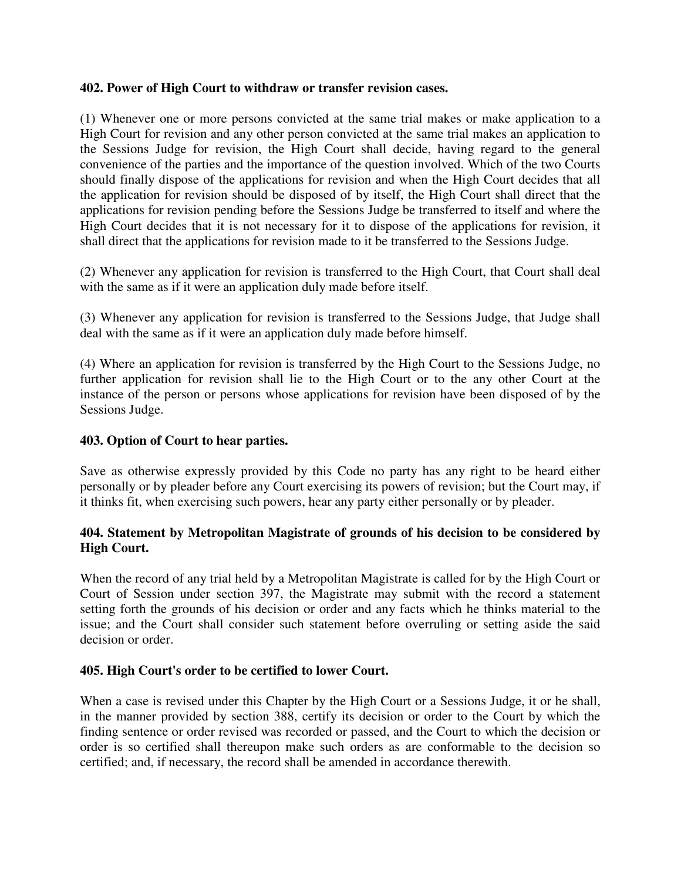#### **402. Power of High Court to withdraw or transfer revision cases.**

(1) Whenever one or more persons convicted at the same trial makes or make application to a High Court for revision and any other person convicted at the same trial makes an application to the Sessions Judge for revision, the High Court shall decide, having regard to the general convenience of the parties and the importance of the question involved. Which of the two Courts should finally dispose of the applications for revision and when the High Court decides that all the application for revision should be disposed of by itself, the High Court shall direct that the applications for revision pending before the Sessions Judge be transferred to itself and where the High Court decides that it is not necessary for it to dispose of the applications for revision, it shall direct that the applications for revision made to it be transferred to the Sessions Judge.

(2) Whenever any application for revision is transferred to the High Court, that Court shall deal with the same as if it were an application duly made before itself.

(3) Whenever any application for revision is transferred to the Sessions Judge, that Judge shall deal with the same as if it were an application duly made before himself.

(4) Where an application for revision is transferred by the High Court to the Sessions Judge, no further application for revision shall lie to the High Court or to the any other Court at the instance of the person or persons whose applications for revision have been disposed of by the Sessions Judge.

#### **403. Option of Court to hear parties.**

Save as otherwise expressly provided by this Code no party has any right to be heard either personally or by pleader before any Court exercising its powers of revision; but the Court may, if it thinks fit, when exercising such powers, hear any party either personally or by pleader.

### **404. Statement by Metropolitan Magistrate of grounds of his decision to be considered by High Court.**

When the record of any trial held by a Metropolitan Magistrate is called for by the High Court or Court of Session under section 397, the Magistrate may submit with the record a statement setting forth the grounds of his decision or order and any facts which he thinks material to the issue; and the Court shall consider such statement before overruling or setting aside the said decision or order.

#### **405. High Court's order to be certified to lower Court.**

When a case is revised under this Chapter by the High Court or a Sessions Judge, it or he shall, in the manner provided by section 388, certify its decision or order to the Court by which the finding sentence or order revised was recorded or passed, and the Court to which the decision or order is so certified shall thereupon make such orders as are conformable to the decision so certified; and, if necessary, the record shall be amended in accordance therewith.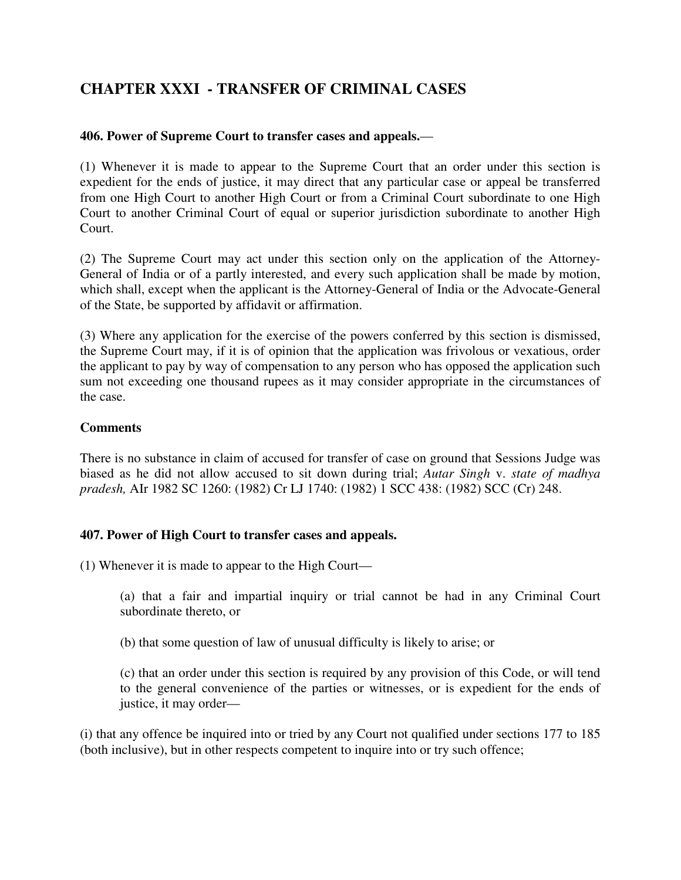# **CHAPTER XXXI - TRANSFER OF CRIMINAL CASES**

### **406. Power of Supreme Court to transfer cases and appeals.**—

(1) Whenever it is made to appear to the Supreme Court that an order under this section is expedient for the ends of justice, it may direct that any particular case or appeal be transferred from one High Court to another High Court or from a Criminal Court subordinate to one High Court to another Criminal Court of equal or superior jurisdiction subordinate to another High Court.

(2) The Supreme Court may act under this section only on the application of the Attorney-General of India or of a partly interested, and every such application shall be made by motion, which shall, except when the applicant is the Attorney-General of India or the Advocate-General of the State, be supported by affidavit or affirmation.

(3) Where any application for the exercise of the powers conferred by this section is dismissed, the Supreme Court may, if it is of opinion that the application was frivolous or vexatious, order the applicant to pay by way of compensation to any person who has opposed the application such sum not exceeding one thousand rupees as it may consider appropriate in the circumstances of the case.

### **Comments**

There is no substance in claim of accused for transfer of case on ground that Sessions Judge was biased as he did not allow accused to sit down during trial; *Autar Singh* v. *state of madhya pradesh,* AIr 1982 SC 1260: (1982) Cr LJ 1740: (1982) 1 SCC 438: (1982) SCC (Cr) 248.

### **407. Power of High Court to transfer cases and appeals.**

(1) Whenever it is made to appear to the High Court—

(a) that a fair and impartial inquiry or trial cannot be had in any Criminal Court subordinate thereto, or

(b) that some question of law of unusual difficulty is likely to arise; or

(c) that an order under this section is required by any provision of this Code, or will tend to the general convenience of the parties or witnesses, or is expedient for the ends of justice, it may order—

(i) that any offence be inquired into or tried by any Court not qualified under sections 177 to 185 (both inclusive), but in other respects competent to inquire into or try such offence;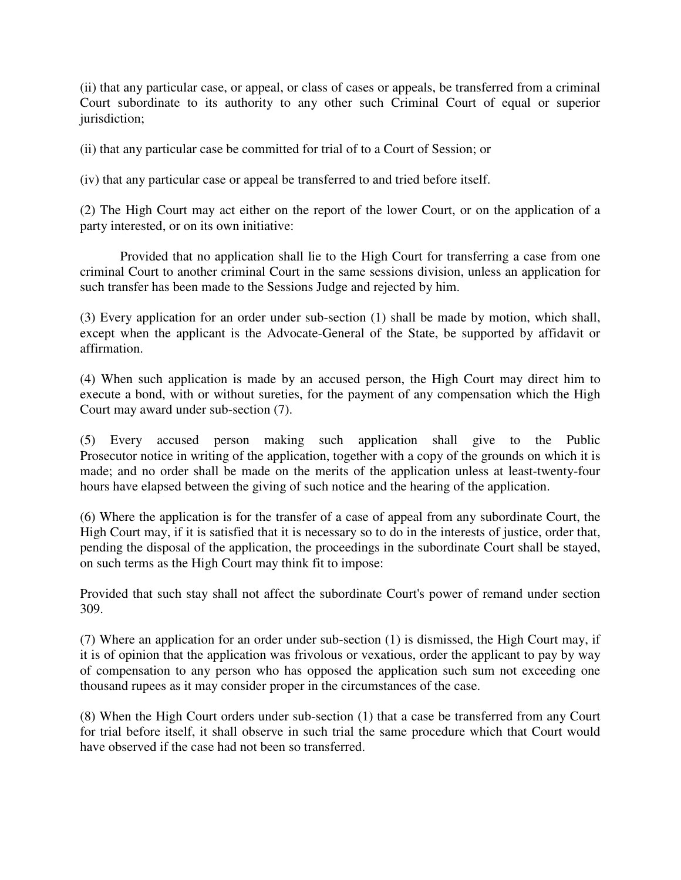(ii) that any particular case, or appeal, or class of cases or appeals, be transferred from a criminal Court subordinate to its authority to any other such Criminal Court of equal or superior jurisdiction;

(ii) that any particular case be committed for trial of to a Court of Session; or

(iv) that any particular case or appeal be transferred to and tried before itself.

(2) The High Court may act either on the report of the lower Court, or on the application of a party interested, or on its own initiative:

Provided that no application shall lie to the High Court for transferring a case from one criminal Court to another criminal Court in the same sessions division, unless an application for such transfer has been made to the Sessions Judge and rejected by him.

(3) Every application for an order under sub-section (1) shall be made by motion, which shall, except when the applicant is the Advocate-General of the State, be supported by affidavit or affirmation.

(4) When such application is made by an accused person, the High Court may direct him to execute a bond, with or without sureties, for the payment of any compensation which the High Court may award under sub-section (7).

(5) Every accused person making such application shall give to the Public Prosecutor notice in writing of the application, together with a copy of the grounds on which it is made; and no order shall be made on the merits of the application unless at least-twenty-four hours have elapsed between the giving of such notice and the hearing of the application.

(6) Where the application is for the transfer of a case of appeal from any subordinate Court, the High Court may, if it is satisfied that it is necessary so to do in the interests of justice, order that, pending the disposal of the application, the proceedings in the subordinate Court shall be stayed, on such terms as the High Court may think fit to impose:

Provided that such stay shall not affect the subordinate Court's power of remand under section 309.

(7) Where an application for an order under sub-section (1) is dismissed, the High Court may, if it is of opinion that the application was frivolous or vexatious, order the applicant to pay by way of compensation to any person who has opposed the application such sum not exceeding one thousand rupees as it may consider proper in the circumstances of the case.

(8) When the High Court orders under sub-section (1) that a case be transferred from any Court for trial before itself, it shall observe in such trial the same procedure which that Court would have observed if the case had not been so transferred.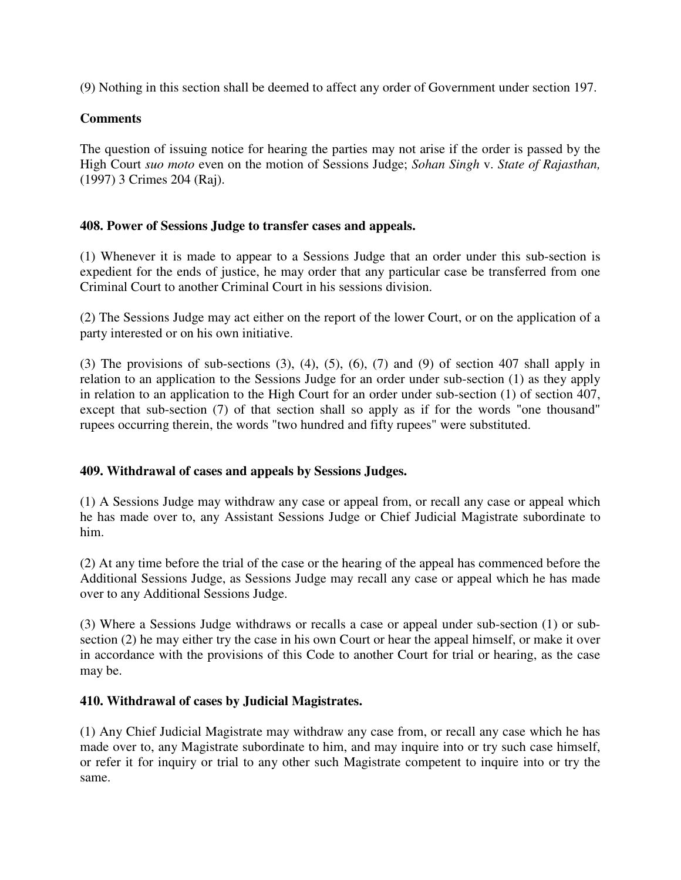(9) Nothing in this section shall be deemed to affect any order of Government under section 197.

### **Comments**

The question of issuing notice for hearing the parties may not arise if the order is passed by the High Court *suo moto* even on the motion of Sessions Judge; *Sohan Singh* v. *State of Rajasthan,*  (1997) 3 Crimes 204 (Raj).

### **408. Power of Sessions Judge to transfer cases and appeals.**

(1) Whenever it is made to appear to a Sessions Judge that an order under this sub-section is expedient for the ends of justice, he may order that any particular case be transferred from one Criminal Court to another Criminal Court in his sessions division.

(2) The Sessions Judge may act either on the report of the lower Court, or on the application of a party interested or on his own initiative.

(3) The provisions of sub-sections  $(3)$ ,  $(4)$ ,  $(5)$ ,  $(6)$ ,  $(7)$  and  $(9)$  of section 407 shall apply in relation to an application to the Sessions Judge for an order under sub-section (1) as they apply in relation to an application to the High Court for an order under sub-section (1) of section 407, except that sub-section (7) of that section shall so apply as if for the words "one thousand" rupees occurring therein, the words "two hundred and fifty rupees" were substituted.

### **409. Withdrawal of cases and appeals by Sessions Judges.**

(1) A Sessions Judge may withdraw any case or appeal from, or recall any case or appeal which he has made over to, any Assistant Sessions Judge or Chief Judicial Magistrate subordinate to him.

(2) At any time before the trial of the case or the hearing of the appeal has commenced before the Additional Sessions Judge, as Sessions Judge may recall any case or appeal which he has made over to any Additional Sessions Judge.

(3) Where a Sessions Judge withdraws or recalls a case or appeal under sub-section (1) or subsection (2) he may either try the case in his own Court or hear the appeal himself, or make it over in accordance with the provisions of this Code to another Court for trial or hearing, as the case may be.

#### **410. Withdrawal of cases by Judicial Magistrates.**

(1) Any Chief Judicial Magistrate may withdraw any case from, or recall any case which he has made over to, any Magistrate subordinate to him, and may inquire into or try such case himself, or refer it for inquiry or trial to any other such Magistrate competent to inquire into or try the same.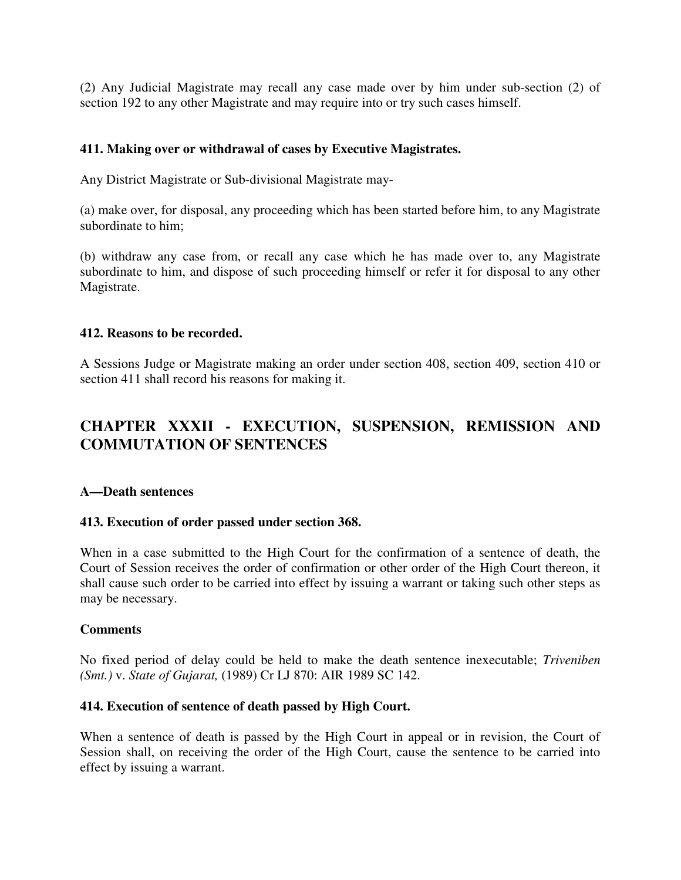(2) Any Judicial Magistrate may recall any case made over by him under sub-section (2) of section 192 to any other Magistrate and may require into or try such cases himself.

### **411. Making over or withdrawal of cases by Executive Magistrates.**

Any District Magistrate or Sub-divisional Magistrate may-

(a) make over, for disposal, any proceeding which has been started before him, to any Magistrate subordinate to him;

(b) withdraw any case from, or recall any case which he has made over to, any Magistrate subordinate to him, and dispose of such proceeding himself or refer it for disposal to any other Magistrate.

#### **412. Reasons to be recorded.**

A Sessions Judge or Magistrate making an order under section 408, section 409, section 410 or section 411 shall record his reasons for making it.

# **CHAPTER XXXII - EXECUTION, SUSPENSION, REMISSION AND COMMUTATION OF SENTENCES**

#### **A—Death sentences**

#### **413. Execution of order passed under section 368.**

When in a case submitted to the High Court for the confirmation of a sentence of death, the Court of Session receives the order of confirmation or other order of the High Court thereon, it shall cause such order to be carried into effect by issuing a warrant or taking such other steps as may be necessary.

#### **Comments**

No fixed period of delay could be held to make the death sentence inexecutable; *Triveniben (Smt.)* v. *State of Gujarat,* (1989) Cr LJ 870: AIR 1989 SC 142.

#### **414. Execution of sentence of death passed by High Court.**

When a sentence of death is passed by the High Court in appeal or in revision, the Court of Session shall, on receiving the order of the High Court, cause the sentence to be carried into effect by issuing a warrant.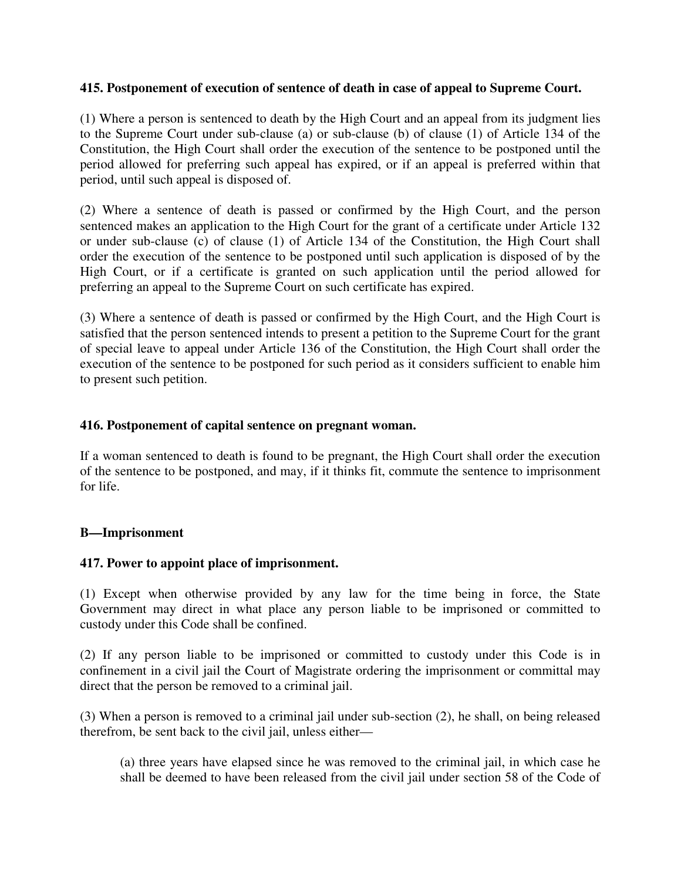#### **415. Postponement of execution of sentence of death in case of appeal to Supreme Court.**

(1) Where a person is sentenced to death by the High Court and an appeal from its judgment lies to the Supreme Court under sub-clause (a) or sub-clause (b) of clause (1) of Article 134 of the Constitution, the High Court shall order the execution of the sentence to be postponed until the period allowed for preferring such appeal has expired, or if an appeal is preferred within that period, until such appeal is disposed of.

(2) Where a sentence of death is passed or confirmed by the High Court, and the person sentenced makes an application to the High Court for the grant of a certificate under Article 132 or under sub-clause (c) of clause (1) of Article 134 of the Constitution, the High Court shall order the execution of the sentence to be postponed until such application is disposed of by the High Court, or if a certificate is granted on such application until the period allowed for preferring an appeal to the Supreme Court on such certificate has expired.

(3) Where a sentence of death is passed or confirmed by the High Court, and the High Court is satisfied that the person sentenced intends to present a petition to the Supreme Court for the grant of special leave to appeal under Article 136 of the Constitution, the High Court shall order the execution of the sentence to be postponed for such period as it considers sufficient to enable him to present such petition.

### **416. Postponement of capital sentence on pregnant woman.**

If a woman sentenced to death is found to be pregnant, the High Court shall order the execution of the sentence to be postponed, and may, if it thinks fit, commute the sentence to imprisonment for life.

### **B—Imprisonment**

#### **417. Power to appoint place of imprisonment.**

(1) Except when otherwise provided by any law for the time being in force, the State Government may direct in what place any person liable to be imprisoned or committed to custody under this Code shall be confined.

(2) If any person liable to be imprisoned or committed to custody under this Code is in confinement in a civil jail the Court of Magistrate ordering the imprisonment or committal may direct that the person be removed to a criminal jail.

(3) When a person is removed to a criminal jail under sub-section (2), he shall, on being released therefrom, be sent back to the civil jail, unless either—

(a) three years have elapsed since he was removed to the criminal jail, in which case he shall be deemed to have been released from the civil jail under section 58 of the Code of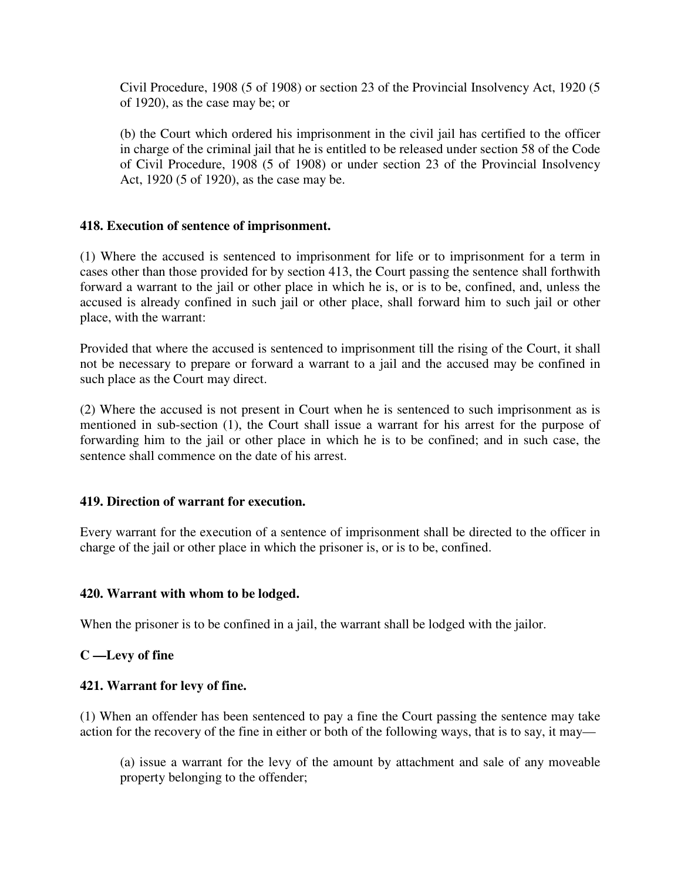Civil Procedure, 1908 (5 of 1908) or section 23 of the Provincial Insolvency Act, 1920 (5 of 1920), as the case may be; or

(b) the Court which ordered his imprisonment in the civil jail has certified to the officer in charge of the criminal jail that he is entitled to be released under section 58 of the Code of Civil Procedure, 1908 (5 of 1908) or under section 23 of the Provincial Insolvency Act, 1920 (5 of 1920), as the case may be.

#### **418. Execution of sentence of imprisonment.**

(1) Where the accused is sentenced to imprisonment for life or to imprisonment for a term in cases other than those provided for by section 413, the Court passing the sentence shall forthwith forward a warrant to the jail or other place in which he is, or is to be, confined, and, unless the accused is already confined in such jail or other place, shall forward him to such jail or other place, with the warrant:

Provided that where the accused is sentenced to imprisonment till the rising of the Court, it shall not be necessary to prepare or forward a warrant to a jail and the accused may be confined in such place as the Court may direct.

(2) Where the accused is not present in Court when he is sentenced to such imprisonment as is mentioned in sub-section (1), the Court shall issue a warrant for his arrest for the purpose of forwarding him to the jail or other place in which he is to be confined; and in such case, the sentence shall commence on the date of his arrest.

#### **419. Direction of warrant for execution.**

Every warrant for the execution of a sentence of imprisonment shall be directed to the officer in charge of the jail or other place in which the prisoner is, or is to be, confined.

#### **420. Warrant with whom to be lodged.**

When the prisoner is to be confined in a jail, the warrant shall be lodged with the jailor.

### **C —Levy of fine**

#### **421. Warrant for levy of fine.**

(1) When an offender has been sentenced to pay a fine the Court passing the sentence may take action for the recovery of the fine in either or both of the following ways, that is to say, it may—

(a) issue a warrant for the levy of the amount by attachment and sale of any moveable property belonging to the offender;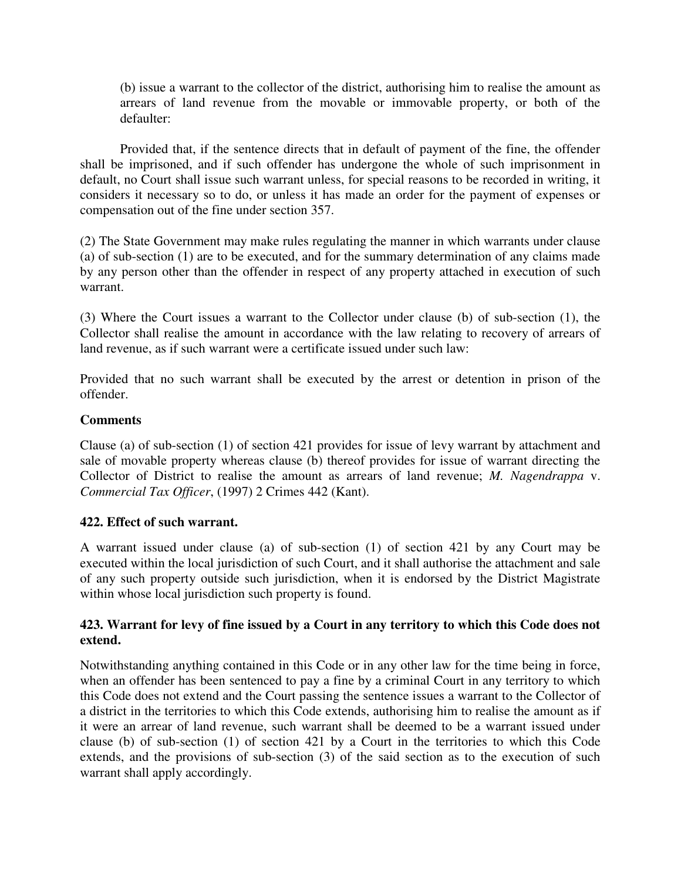(b) issue a warrant to the collector of the district, authorising him to realise the amount as arrears of land revenue from the movable or immovable property, or both of the defaulter:

Provided that, if the sentence directs that in default of payment of the fine, the offender shall be imprisoned, and if such offender has undergone the whole of such imprisonment in default, no Court shall issue such warrant unless, for special reasons to be recorded in writing, it considers it necessary so to do, or unless it has made an order for the payment of expenses or compensation out of the fine under section 357.

(2) The State Government may make rules regulating the manner in which warrants under clause (a) of sub-section (1) are to be executed, and for the summary determination of any claims made by any person other than the offender in respect of any property attached in execution of such warrant.

(3) Where the Court issues a warrant to the Collector under clause (b) of sub-section (1), the Collector shall realise the amount in accordance with the law relating to recovery of arrears of land revenue, as if such warrant were a certificate issued under such law:

Provided that no such warrant shall be executed by the arrest or detention in prison of the offender.

### **Comments**

Clause (a) of sub-section (1) of section 421 provides for issue of levy warrant by attachment and sale of movable property whereas clause (b) thereof provides for issue of warrant directing the Collector of District to realise the amount as arrears of land revenue; *M. Nagendrappa* v. *Commercial Tax Officer*, (1997) 2 Crimes 442 (Kant).

#### **422. Effect of such warrant.**

A warrant issued under clause (a) of sub-section (1) of section 421 by any Court may be executed within the local jurisdiction of such Court, and it shall authorise the attachment and sale of any such property outside such jurisdiction, when it is endorsed by the District Magistrate within whose local jurisdiction such property is found.

### **423. Warrant for levy of fine issued by a Court in any territory to which this Code does not extend.**

Notwithstanding anything contained in this Code or in any other law for the time being in force, when an offender has been sentenced to pay a fine by a criminal Court in any territory to which this Code does not extend and the Court passing the sentence issues a warrant to the Collector of a district in the territories to which this Code extends, authorising him to realise the amount as if it were an arrear of land revenue, such warrant shall be deemed to be a warrant issued under clause (b) of sub-section (1) of section 421 by a Court in the territories to which this Code extends, and the provisions of sub-section (3) of the said section as to the execution of such warrant shall apply accordingly.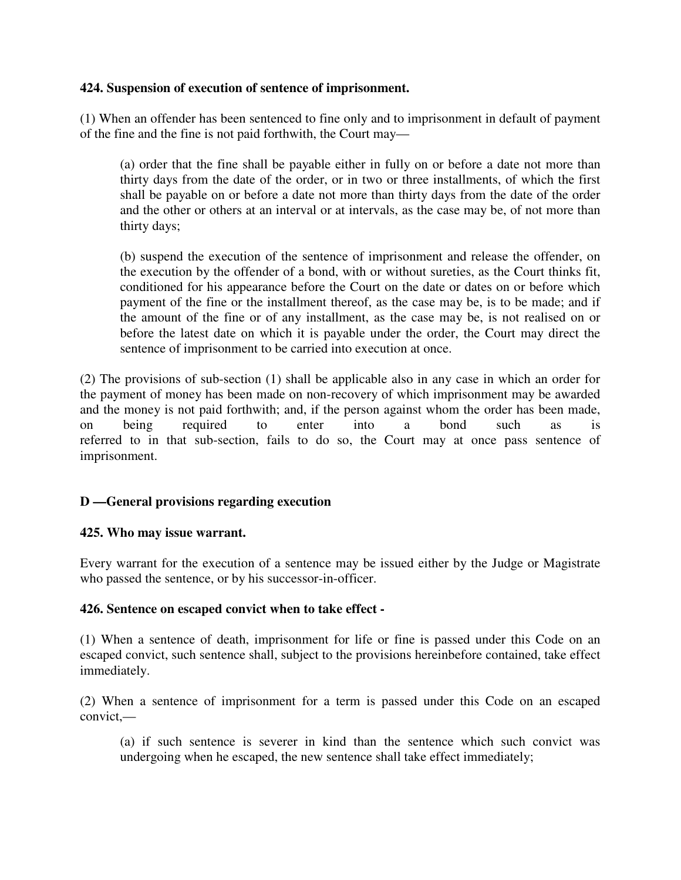#### **424. Suspension of execution of sentence of imprisonment.**

(1) When an offender has been sentenced to fine only and to imprisonment in default of payment of the fine and the fine is not paid forthwith, the Court may—

(a) order that the fine shall be payable either in fully on or before a date not more than thirty days from the date of the order, or in two or three installments, of which the first shall be payable on or before a date not more than thirty days from the date of the order and the other or others at an interval or at intervals, as the case may be, of not more than thirty days;

(b) suspend the execution of the sentence of imprisonment and release the offender, on the execution by the offender of a bond, with or without sureties, as the Court thinks fit, conditioned for his appearance before the Court on the date or dates on or before which payment of the fine or the installment thereof, as the case may be, is to be made; and if the amount of the fine or of any installment, as the case may be, is not realised on or before the latest date on which it is payable under the order, the Court may direct the sentence of imprisonment to be carried into execution at once.

(2) The provisions of sub-section (1) shall be applicable also in any case in which an order for the payment of money has been made on non-recovery of which imprisonment may be awarded and the money is not paid forthwith; and, if the person against whom the order has been made, on being required to enter into a bond such as is referred to in that sub-section, fails to do so, the Court may at once pass sentence of imprisonment.

### **D —General provisions regarding execution**

### **425. Who may issue warrant.**

Every warrant for the execution of a sentence may be issued either by the Judge or Magistrate who passed the sentence, or by his successor-in-officer.

### **426. Sentence on escaped convict when to take effect -**

(1) When a sentence of death, imprisonment for life or fine is passed under this Code on an escaped convict, such sentence shall, subject to the provisions hereinbefore contained, take effect immediately.

(2) When a sentence of imprisonment for a term is passed under this Code on an escaped convict,—

(a) if such sentence is severer in kind than the sentence which such convict was undergoing when he escaped, the new sentence shall take effect immediately;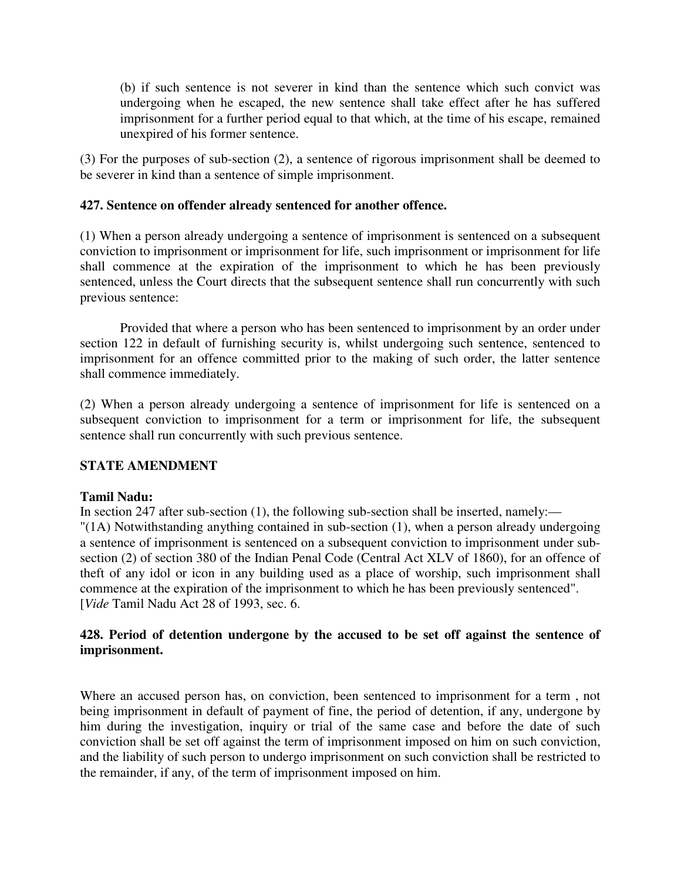(b) if such sentence is not severer in kind than the sentence which such convict was undergoing when he escaped, the new sentence shall take effect after he has suffered imprisonment for a further period equal to that which, at the time of his escape, remained unexpired of his former sentence.

(3) For the purposes of sub-section (2), a sentence of rigorous imprisonment shall be deemed to be severer in kind than a sentence of simple imprisonment.

#### **427. Sentence on offender already sentenced for another offence.**

(1) When a person already undergoing a sentence of imprisonment is sentenced on a subsequent conviction to imprisonment or imprisonment for life, such imprisonment or imprisonment for life shall commence at the expiration of the imprisonment to which he has been previously sentenced, unless the Court directs that the subsequent sentence shall run concurrently with such previous sentence:

Provided that where a person who has been sentenced to imprisonment by an order under section 122 in default of furnishing security is, whilst undergoing such sentence, sentenced to imprisonment for an offence committed prior to the making of such order, the latter sentence shall commence immediately.

(2) When a person already undergoing a sentence of imprisonment for life is sentenced on a subsequent conviction to imprisonment for a term or imprisonment for life, the subsequent sentence shall run concurrently with such previous sentence.

#### **STATE AMENDMENT**

#### **Tamil Nadu:**

In section 247 after sub-section (1), the following sub-section shall be inserted, namely:—

"(1A) Notwithstanding anything contained in sub-section (1), when a person already undergoing a sentence of imprisonment is sentenced on a subsequent conviction to imprisonment under subsection (2) of section 380 of the Indian Penal Code (Central Act XLV of 1860), for an offence of theft of any idol or icon in any building used as a place of worship, such imprisonment shall commence at the expiration of the imprisonment to which he has been previously sentenced". [*Vide* Tamil Nadu Act 28 of 1993, sec. 6.

### **428. Period of detention undergone by the accused to be set off against the sentence of imprisonment.**

Where an accused person has, on conviction, been sentenced to imprisonment for a term , not being imprisonment in default of payment of fine, the period of detention, if any, undergone by him during the investigation, inquiry or trial of the same case and before the date of such conviction shall be set off against the term of imprisonment imposed on him on such conviction, and the liability of such person to undergo imprisonment on such conviction shall be restricted to the remainder, if any, of the term of imprisonment imposed on him.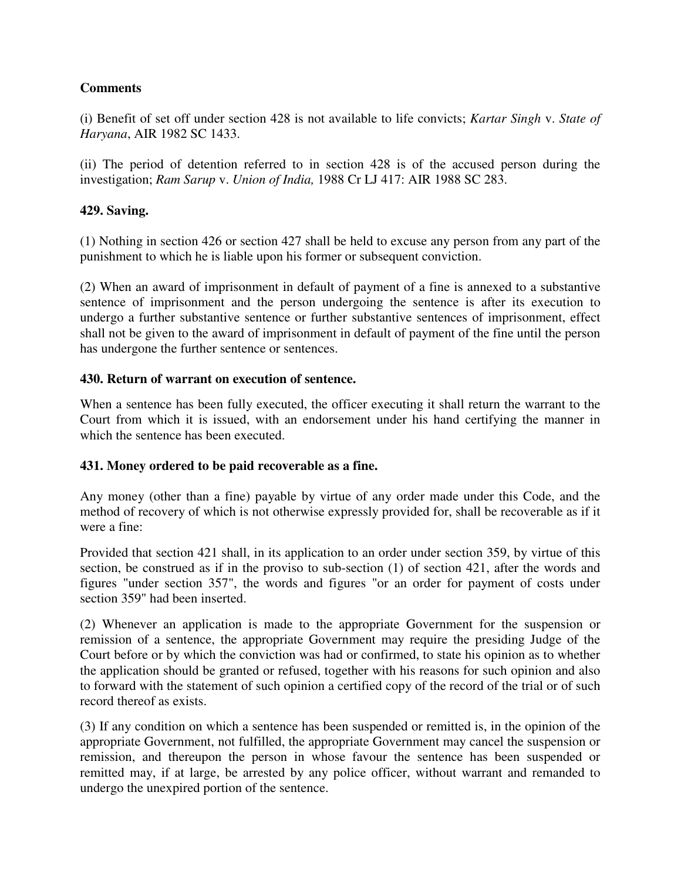### **Comments**

(i) Benefit of set off under section 428 is not available to life convicts; *Kartar Singh* v. *State of Haryana*, AIR 1982 SC 1433.

(ii) The period of detention referred to in section 428 is of the accused person during the investigation; *Ram Sarup* v. *Union of India,* 1988 Cr LJ 417: AIR 1988 SC 283.

### **429. Saving.**

(1) Nothing in section 426 or section 427 shall be held to excuse any person from any part of the punishment to which he is liable upon his former or subsequent conviction.

(2) When an award of imprisonment in default of payment of a fine is annexed to a substantive sentence of imprisonment and the person undergoing the sentence is after its execution to undergo a further substantive sentence or further substantive sentences of imprisonment, effect shall not be given to the award of imprisonment in default of payment of the fine until the person has undergone the further sentence or sentences.

#### **430. Return of warrant on execution of sentence.**

When a sentence has been fully executed, the officer executing it shall return the warrant to the Court from which it is issued, with an endorsement under his hand certifying the manner in which the sentence has been executed.

#### **431. Money ordered to be paid recoverable as a fine.**

Any money (other than a fine) payable by virtue of any order made under this Code, and the method of recovery of which is not otherwise expressly provided for, shall be recoverable as if it were a fine:

Provided that section 421 shall, in its application to an order under section 359, by virtue of this section, be construed as if in the proviso to sub-section (1) of section 421, after the words and figures "under section 357", the words and figures "or an order for payment of costs under section 359" had been inserted.

(2) Whenever an application is made to the appropriate Government for the suspension or remission of a sentence, the appropriate Government may require the presiding Judge of the Court before or by which the conviction was had or confirmed, to state his opinion as to whether the application should be granted or refused, together with his reasons for such opinion and also to forward with the statement of such opinion a certified copy of the record of the trial or of such record thereof as exists.

(3) If any condition on which a sentence has been suspended or remitted is, in the opinion of the appropriate Government, not fulfilled, the appropriate Government may cancel the suspension or remission, and thereupon the person in whose favour the sentence has been suspended or remitted may, if at large, be arrested by any police officer, without warrant and remanded to undergo the unexpired portion of the sentence.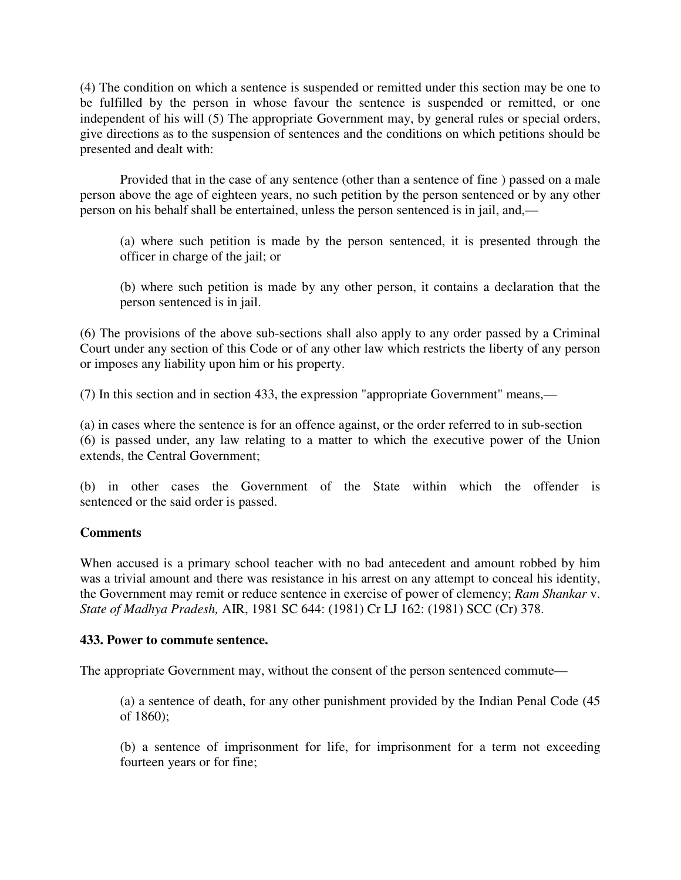(4) The condition on which a sentence is suspended or remitted under this section may be one to be fulfilled by the person in whose favour the sentence is suspended or remitted, or one independent of his will (5) The appropriate Government may, by general rules or special orders, give directions as to the suspension of sentences and the conditions on which petitions should be presented and dealt with:

Provided that in the case of any sentence (other than a sentence of fine ) passed on a male person above the age of eighteen years, no such petition by the person sentenced or by any other person on his behalf shall be entertained, unless the person sentenced is in jail, and,—

(a) where such petition is made by the person sentenced, it is presented through the officer in charge of the jail; or

(b) where such petition is made by any other person, it contains a declaration that the person sentenced is in jail.

(6) The provisions of the above sub-sections shall also apply to any order passed by a Criminal Court under any section of this Code or of any other law which restricts the liberty of any person or imposes any liability upon him or his property.

(7) In this section and in section 433, the expression "appropriate Government" means,—

(a) in cases where the sentence is for an offence against, or the order referred to in sub-section (6) is passed under, any law relating to a matter to which the executive power of the Union extends, the Central Government;

(b) in other cases the Government of the State within which the offender is sentenced or the said order is passed.

### **Comments**

When accused is a primary school teacher with no bad antecedent and amount robbed by him was a trivial amount and there was resistance in his arrest on any attempt to conceal his identity, the Government may remit or reduce sentence in exercise of power of clemency; *Ram Shankar* v. *State of Madhya Pradesh,* AIR, 1981 SC 644: (1981) Cr LJ 162: (1981) SCC (Cr) 378.

### **433. Power to commute sentence.**

The appropriate Government may, without the consent of the person sentenced commute—

(a) a sentence of death, for any other punishment provided by the Indian Penal Code (45 of 1860);

(b) a sentence of imprisonment for life, for imprisonment for a term not exceeding fourteen years or for fine;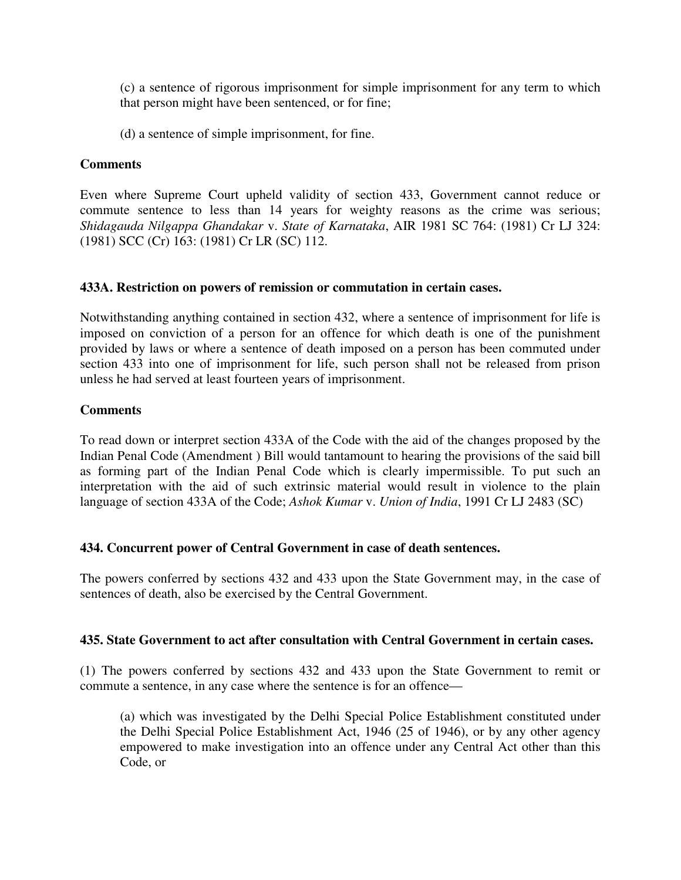(c) a sentence of rigorous imprisonment for simple imprisonment for any term to which that person might have been sentenced, or for fine;

(d) a sentence of simple imprisonment, for fine.

### **Comments**

Even where Supreme Court upheld validity of section 433, Government cannot reduce or commute sentence to less than 14 years for weighty reasons as the crime was serious; *Shidagauda Nilgappa Ghandakar* v. *State of Karnataka*, AIR 1981 SC 764: (1981) Cr LJ 324: (1981) SCC (Cr) 163: (1981) Cr LR (SC) 112.

#### **433A. Restriction on powers of remission or commutation in certain cases.**

Notwithstanding anything contained in section 432, where a sentence of imprisonment for life is imposed on conviction of a person for an offence for which death is one of the punishment provided by laws or where a sentence of death imposed on a person has been commuted under section 433 into one of imprisonment for life, such person shall not be released from prison unless he had served at least fourteen years of imprisonment.

#### **Comments**

To read down or interpret section 433A of the Code with the aid of the changes proposed by the Indian Penal Code (Amendment ) Bill would tantamount to hearing the provisions of the said bill as forming part of the Indian Penal Code which is clearly impermissible. To put such an interpretation with the aid of such extrinsic material would result in violence to the plain language of section 433A of the Code; *Ashok Kumar* v. *Union of India*, 1991 Cr LJ 2483 (SC)

#### **434. Concurrent power of Central Government in case of death sentences.**

The powers conferred by sections 432 and 433 upon the State Government may, in the case of sentences of death, also be exercised by the Central Government.

#### **435. State Government to act after consultation with Central Government in certain cases.**

(1) The powers conferred by sections 432 and 433 upon the State Government to remit or commute a sentence, in any case where the sentence is for an offence—

(a) which was investigated by the Delhi Special Police Establishment constituted under the Delhi Special Police Establishment Act, 1946 (25 of 1946), or by any other agency empowered to make investigation into an offence under any Central Act other than this Code, or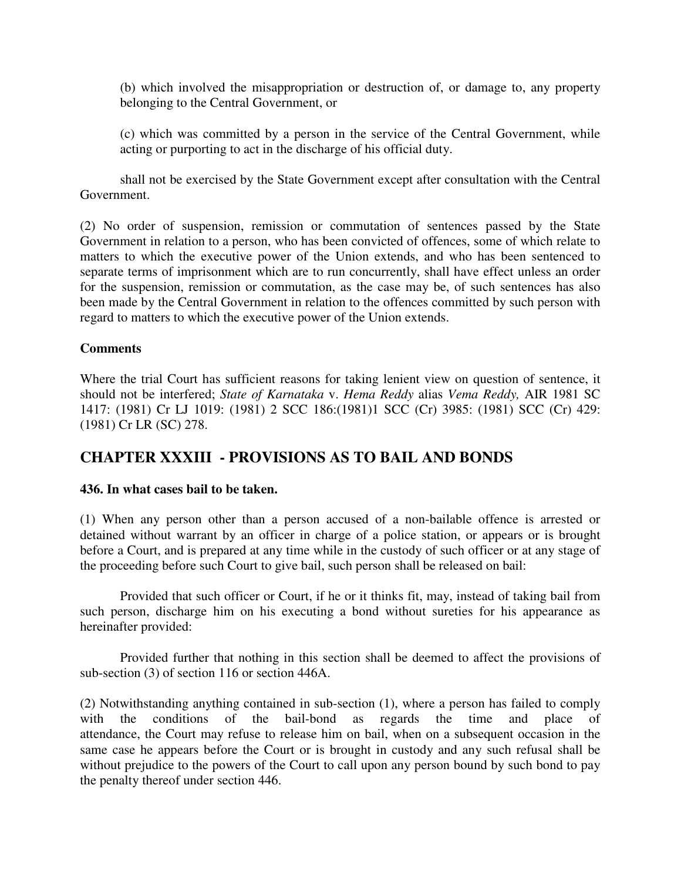(b) which involved the misappropriation or destruction of, or damage to, any property belonging to the Central Government, or

(c) which was committed by a person in the service of the Central Government, while acting or purporting to act in the discharge of his official duty.

shall not be exercised by the State Government except after consultation with the Central Government.

(2) No order of suspension, remission or commutation of sentences passed by the State Government in relation to a person, who has been convicted of offences, some of which relate to matters to which the executive power of the Union extends, and who has been sentenced to separate terms of imprisonment which are to run concurrently, shall have effect unless an order for the suspension, remission or commutation, as the case may be, of such sentences has also been made by the Central Government in relation to the offences committed by such person with regard to matters to which the executive power of the Union extends.

### **Comments**

Where the trial Court has sufficient reasons for taking lenient view on question of sentence, it should not be interfered; *State of Karnataka* v. *Hema Reddy* alias *Vema Reddy,* AIR 1981 SC 1417: (1981) Cr LJ 1019: (1981) 2 SCC 186:(1981)1 SCC (Cr) 3985: (1981) SCC (Cr) 429: (1981) Cr LR (SC) 278.

# **CHAPTER XXXIII - PROVISIONS AS TO BAIL AND BONDS**

#### **436. In what cases bail to be taken.**

(1) When any person other than a person accused of a non-bailable offence is arrested or detained without warrant by an officer in charge of a police station, or appears or is brought before a Court, and is prepared at any time while in the custody of such officer or at any stage of the proceeding before such Court to give bail, such person shall be released on bail:

Provided that such officer or Court, if he or it thinks fit, may, instead of taking bail from such person, discharge him on his executing a bond without sureties for his appearance as hereinafter provided:

Provided further that nothing in this section shall be deemed to affect the provisions of sub-section (3) of section 116 or section 446A.

(2) Notwithstanding anything contained in sub-section (1), where a person has failed to comply with the conditions of the bail-bond as regards the time and place attendance, the Court may refuse to release him on bail, when on a subsequent occasion in the same case he appears before the Court or is brought in custody and any such refusal shall be without prejudice to the powers of the Court to call upon any person bound by such bond to pay the penalty thereof under section 446.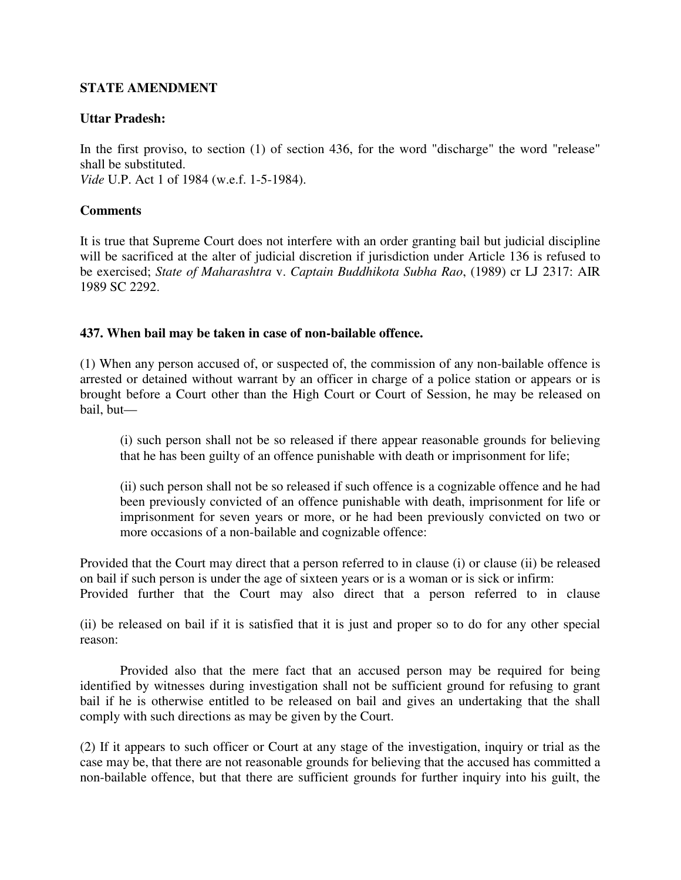### **STATE AMENDMENT**

### **Uttar Pradesh:**

In the first proviso, to section (1) of section 436, for the word "discharge" the word "release" shall be substituted. *Vide* U.P. Act 1 of 1984 (w.e.f. 1-5-1984).

### **Comments**

It is true that Supreme Court does not interfere with an order granting bail but judicial discipline will be sacrificed at the alter of judicial discretion if jurisdiction under Article 136 is refused to be exercised; *State of Maharashtra* v. *Captain Buddhikota Subha Rao*, (1989) cr LJ 2317: AIR 1989 SC 2292.

#### **437. When bail may be taken in case of non-bailable offence.**

(1) When any person accused of, or suspected of, the commission of any non-bailable offence is arrested or detained without warrant by an officer in charge of a police station or appears or is brought before a Court other than the High Court or Court of Session, he may be released on bail, but—

(i) such person shall not be so released if there appear reasonable grounds for believing that he has been guilty of an offence punishable with death or imprisonment for life;

(ii) such person shall not be so released if such offence is a cognizable offence and he had been previously convicted of an offence punishable with death, imprisonment for life or imprisonment for seven years or more, or he had been previously convicted on two or more occasions of a non-bailable and cognizable offence:

Provided that the Court may direct that a person referred to in clause (i) or clause (ii) be released on bail if such person is under the age of sixteen years or is a woman or is sick or infirm: Provided further that the Court may also direct that a person referred to in clause

(ii) be released on bail if it is satisfied that it is just and proper so to do for any other special reason:

Provided also that the mere fact that an accused person may be required for being identified by witnesses during investigation shall not be sufficient ground for refusing to grant bail if he is otherwise entitled to be released on bail and gives an undertaking that the shall comply with such directions as may be given by the Court.

(2) If it appears to such officer or Court at any stage of the investigation, inquiry or trial as the case may be, that there are not reasonable grounds for believing that the accused has committed a non-bailable offence, but that there are sufficient grounds for further inquiry into his guilt, the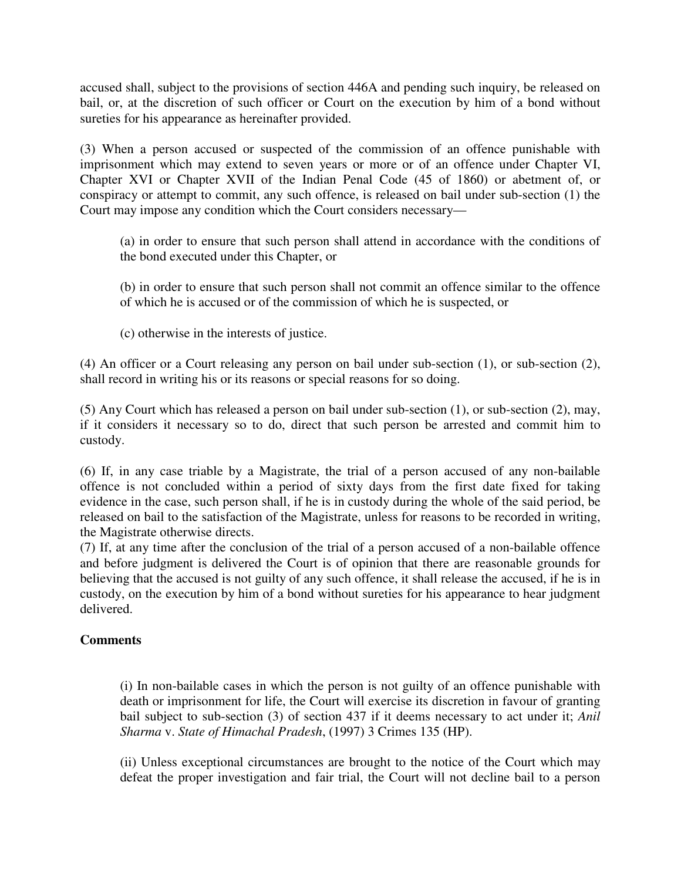accused shall, subject to the provisions of section 446A and pending such inquiry, be released on bail, or, at the discretion of such officer or Court on the execution by him of a bond without sureties for his appearance as hereinafter provided.

(3) When a person accused or suspected of the commission of an offence punishable with imprisonment which may extend to seven years or more or of an offence under Chapter VI, Chapter XVI or Chapter XVII of the Indian Penal Code (45 of 1860) or abetment of, or conspiracy or attempt to commit, any such offence, is released on bail under sub-section (1) the Court may impose any condition which the Court considers necessary—

(a) in order to ensure that such person shall attend in accordance with the conditions of the bond executed under this Chapter, or

(b) in order to ensure that such person shall not commit an offence similar to the offence of which he is accused or of the commission of which he is suspected, or

(c) otherwise in the interests of justice.

(4) An officer or a Court releasing any person on bail under sub-section (1), or sub-section (2), shall record in writing his or its reasons or special reasons for so doing.

(5) Any Court which has released a person on bail under sub-section (1), or sub-section (2), may, if it considers it necessary so to do, direct that such person be arrested and commit him to custody.

(6) If, in any case triable by a Magistrate, the trial of a person accused of any non-bailable offence is not concluded within a period of sixty days from the first date fixed for taking evidence in the case, such person shall, if he is in custody during the whole of the said period, be released on bail to the satisfaction of the Magistrate, unless for reasons to be recorded in writing, the Magistrate otherwise directs.

(7) If, at any time after the conclusion of the trial of a person accused of a non-bailable offence and before judgment is delivered the Court is of opinion that there are reasonable grounds for believing that the accused is not guilty of any such offence, it shall release the accused, if he is in custody, on the execution by him of a bond without sureties for his appearance to hear judgment delivered.

# **Comments**

(i) In non-bailable cases in which the person is not guilty of an offence punishable with death or imprisonment for life, the Court will exercise its discretion in favour of granting bail subject to sub-section (3) of section 437 if it deems necessary to act under it; *Anil Sharma* v. *State of Himachal Pradesh*, (1997) 3 Crimes 135 (HP).

(ii) Unless exceptional circumstances are brought to the notice of the Court which may defeat the proper investigation and fair trial, the Court will not decline bail to a person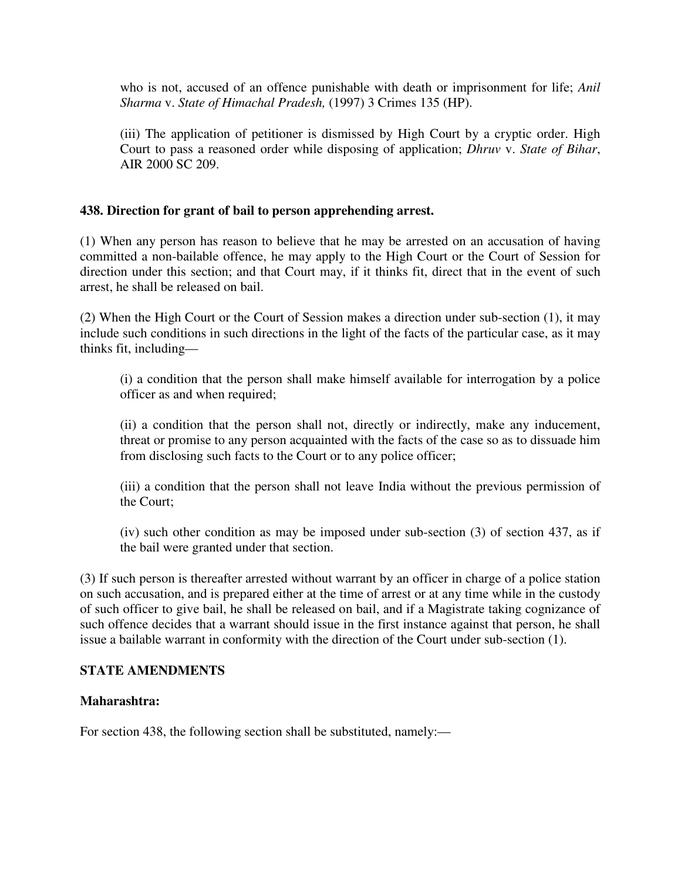who is not, accused of an offence punishable with death or imprisonment for life; *Anil Sharma* v. *State of Himachal Pradesh,* (1997) 3 Crimes 135 (HP).

(iii) The application of petitioner is dismissed by High Court by a cryptic order. High Court to pass a reasoned order while disposing of application; *Dhruv* v. *State of Bihar*, AIR 2000 SC 209.

## **438. Direction for grant of bail to person apprehending arrest.**

(1) When any person has reason to believe that he may be arrested on an accusation of having committed a non-bailable offence, he may apply to the High Court or the Court of Session for direction under this section; and that Court may, if it thinks fit, direct that in the event of such arrest, he shall be released on bail.

(2) When the High Court or the Court of Session makes a direction under sub-section (1), it may include such conditions in such directions in the light of the facts of the particular case, as it may thinks fit, including—

(i) a condition that the person shall make himself available for interrogation by a police officer as and when required;

(ii) a condition that the person shall not, directly or indirectly, make any inducement, threat or promise to any person acquainted with the facts of the case so as to dissuade him from disclosing such facts to the Court or to any police officer;

(iii) a condition that the person shall not leave India without the previous permission of the Court;

(iv) such other condition as may be imposed under sub-section (3) of section 437, as if the bail were granted under that section.

(3) If such person is thereafter arrested without warrant by an officer in charge of a police station on such accusation, and is prepared either at the time of arrest or at any time while in the custody of such officer to give bail, he shall be released on bail, and if a Magistrate taking cognizance of such offence decides that a warrant should issue in the first instance against that person, he shall issue a bailable warrant in conformity with the direction of the Court under sub-section (1).

#### **STATE AMENDMENTS**

#### **Maharashtra:**

For section 438, the following section shall be substituted, namely:—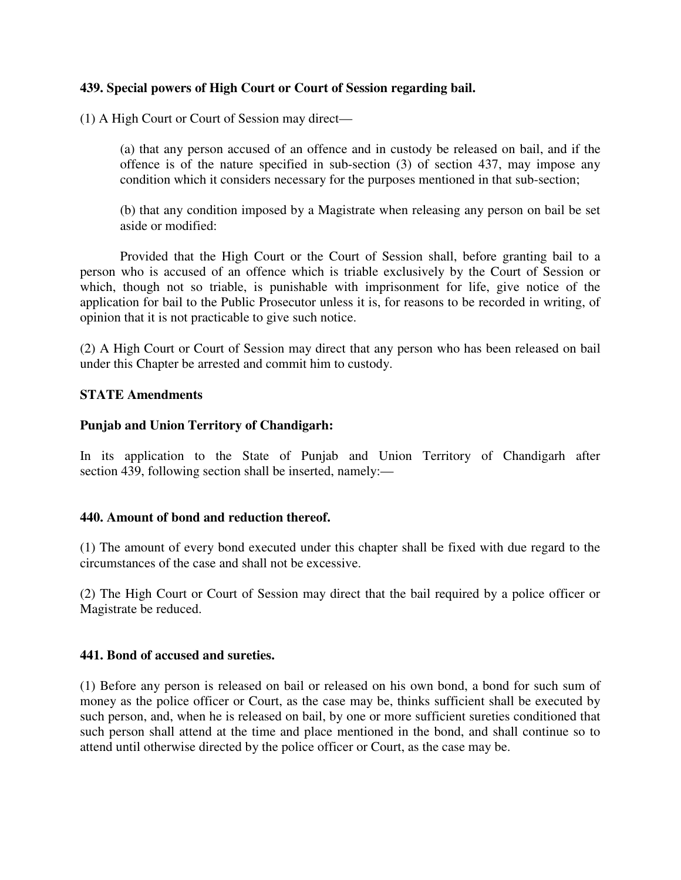# **439. Special powers of High Court or Court of Session regarding bail.**

(1) A High Court or Court of Session may direct—

(a) that any person accused of an offence and in custody be released on bail, and if the offence is of the nature specified in sub-section (3) of section 437, may impose any condition which it considers necessary for the purposes mentioned in that sub-section;

(b) that any condition imposed by a Magistrate when releasing any person on bail be set aside or modified:

Provided that the High Court or the Court of Session shall, before granting bail to a person who is accused of an offence which is triable exclusively by the Court of Session or which, though not so triable, is punishable with imprisonment for life, give notice of the application for bail to the Public Prosecutor unless it is, for reasons to be recorded in writing, of opinion that it is not practicable to give such notice.

(2) A High Court or Court of Session may direct that any person who has been released on bail under this Chapter be arrested and commit him to custody.

#### **STATE Amendments**

#### **Punjab and Union Territory of Chandigarh:**

In its application to the State of Punjab and Union Territory of Chandigarh after section 439, following section shall be inserted, namely:—

#### **440. Amount of bond and reduction thereof.**

(1) The amount of every bond executed under this chapter shall be fixed with due regard to the circumstances of the case and shall not be excessive.

(2) The High Court or Court of Session may direct that the bail required by a police officer or Magistrate be reduced.

#### **441. Bond of accused and sureties.**

(1) Before any person is released on bail or released on his own bond, a bond for such sum of money as the police officer or Court, as the case may be, thinks sufficient shall be executed by such person, and, when he is released on bail, by one or more sufficient sureties conditioned that such person shall attend at the time and place mentioned in the bond, and shall continue so to attend until otherwise directed by the police officer or Court, as the case may be.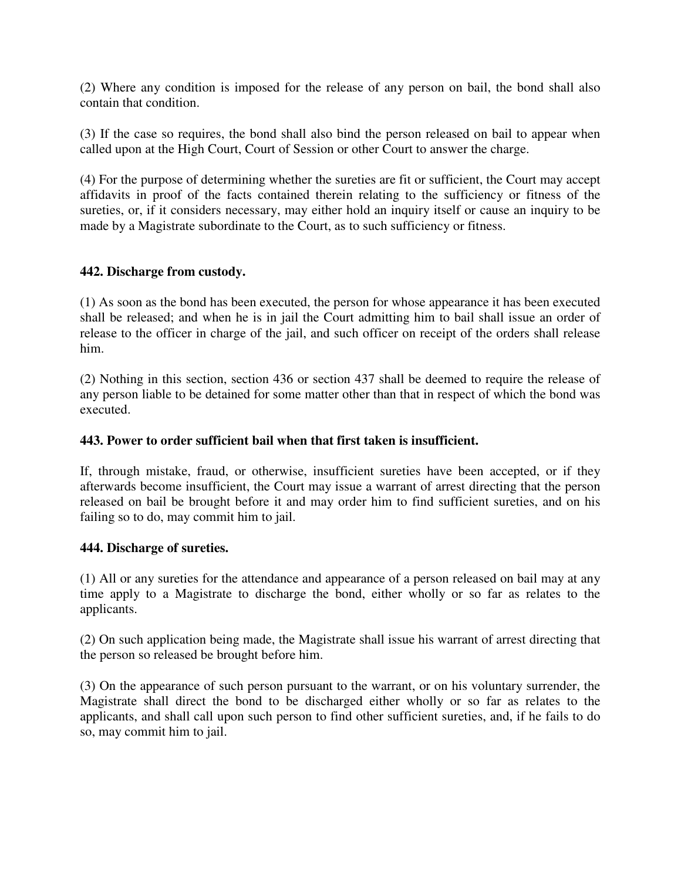(2) Where any condition is imposed for the release of any person on bail, the bond shall also contain that condition.

(3) If the case so requires, the bond shall also bind the person released on bail to appear when called upon at the High Court, Court of Session or other Court to answer the charge.

(4) For the purpose of determining whether the sureties are fit or sufficient, the Court may accept affidavits in proof of the facts contained therein relating to the sufficiency or fitness of the sureties, or, if it considers necessary, may either hold an inquiry itself or cause an inquiry to be made by a Magistrate subordinate to the Court, as to such sufficiency or fitness.

# **442. Discharge from custody.**

(1) As soon as the bond has been executed, the person for whose appearance it has been executed shall be released; and when he is in jail the Court admitting him to bail shall issue an order of release to the officer in charge of the jail, and such officer on receipt of the orders shall release him.

(2) Nothing in this section, section 436 or section 437 shall be deemed to require the release of any person liable to be detained for some matter other than that in respect of which the bond was executed.

#### **443. Power to order sufficient bail when that first taken is insufficient.**

If, through mistake, fraud, or otherwise, insufficient sureties have been accepted, or if they afterwards become insufficient, the Court may issue a warrant of arrest directing that the person released on bail be brought before it and may order him to find sufficient sureties, and on his failing so to do, may commit him to jail.

#### **444. Discharge of sureties.**

(1) All or any sureties for the attendance and appearance of a person released on bail may at any time apply to a Magistrate to discharge the bond, either wholly or so far as relates to the applicants.

(2) On such application being made, the Magistrate shall issue his warrant of arrest directing that the person so released be brought before him.

(3) On the appearance of such person pursuant to the warrant, or on his voluntary surrender, the Magistrate shall direct the bond to be discharged either wholly or so far as relates to the applicants, and shall call upon such person to find other sufficient sureties, and, if he fails to do so, may commit him to jail.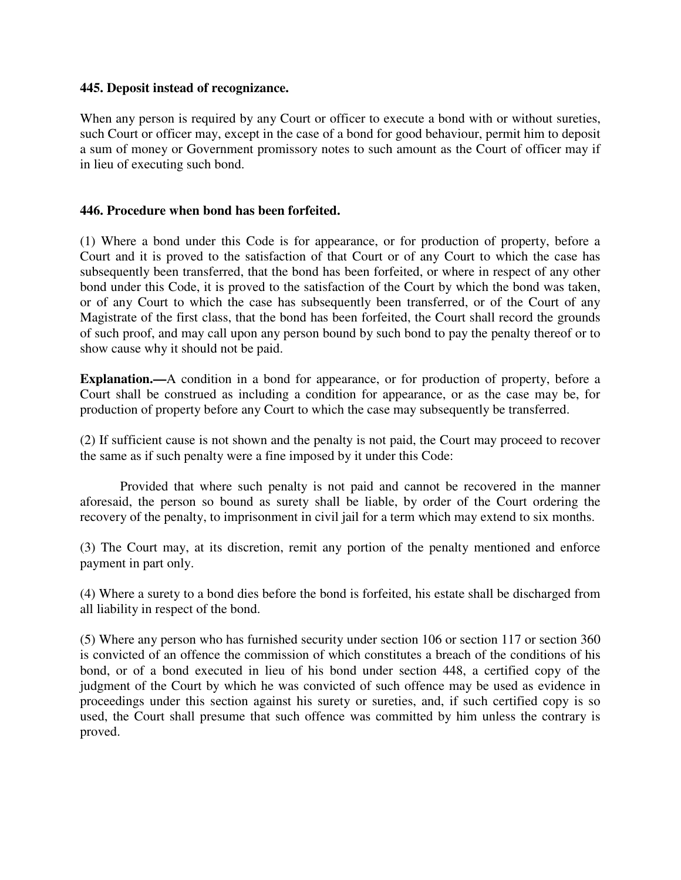#### **445. Deposit instead of recognizance.**

When any person is required by any Court or officer to execute a bond with or without sureties, such Court or officer may, except in the case of a bond for good behaviour, permit him to deposit a sum of money or Government promissory notes to such amount as the Court of officer may if in lieu of executing such bond.

## **446. Procedure when bond has been forfeited.**

(1) Where a bond under this Code is for appearance, or for production of property, before a Court and it is proved to the satisfaction of that Court or of any Court to which the case has subsequently been transferred, that the bond has been forfeited, or where in respect of any other bond under this Code, it is proved to the satisfaction of the Court by which the bond was taken, or of any Court to which the case has subsequently been transferred, or of the Court of any Magistrate of the first class, that the bond has been forfeited, the Court shall record the grounds of such proof, and may call upon any person bound by such bond to pay the penalty thereof or to show cause why it should not be paid.

**Explanation.—**A condition in a bond for appearance, or for production of property, before a Court shall be construed as including a condition for appearance, or as the case may be, for production of property before any Court to which the case may subsequently be transferred.

(2) If sufficient cause is not shown and the penalty is not paid, the Court may proceed to recover the same as if such penalty were a fine imposed by it under this Code:

Provided that where such penalty is not paid and cannot be recovered in the manner aforesaid, the person so bound as surety shall be liable, by order of the Court ordering the recovery of the penalty, to imprisonment in civil jail for a term which may extend to six months.

(3) The Court may, at its discretion, remit any portion of the penalty mentioned and enforce payment in part only.

(4) Where a surety to a bond dies before the bond is forfeited, his estate shall be discharged from all liability in respect of the bond.

(5) Where any person who has furnished security under section 106 or section 117 or section 360 is convicted of an offence the commission of which constitutes a breach of the conditions of his bond, or of a bond executed in lieu of his bond under section 448, a certified copy of the judgment of the Court by which he was convicted of such offence may be used as evidence in proceedings under this section against his surety or sureties, and, if such certified copy is so used, the Court shall presume that such offence was committed by him unless the contrary is proved.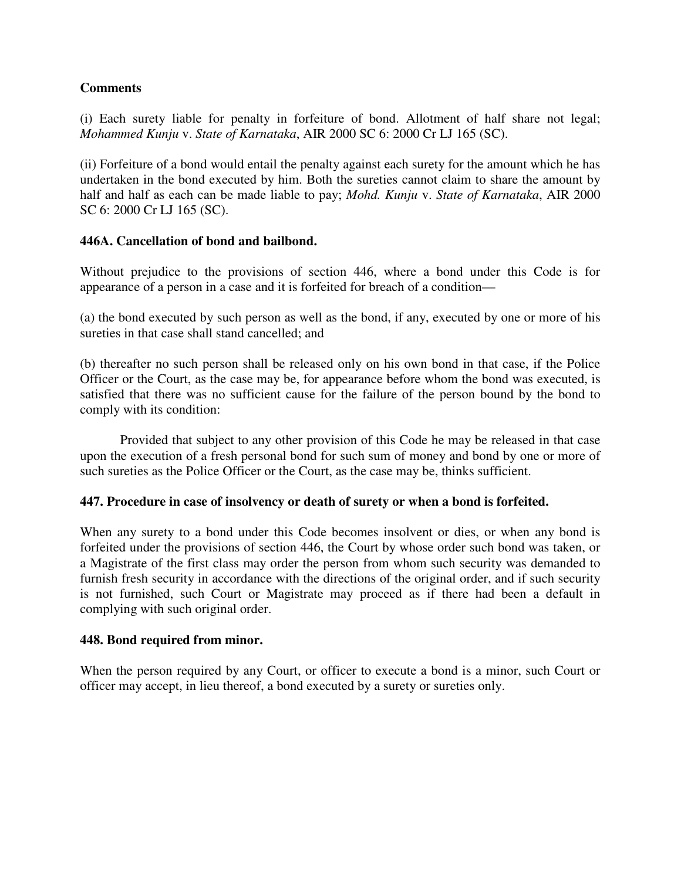# **Comments**

(i) Each surety liable for penalty in forfeiture of bond. Allotment of half share not legal; *Mohammed Kunju* v. *State of Karnataka*, AIR 2000 SC 6: 2000 Cr LJ 165 (SC).

(ii) Forfeiture of a bond would entail the penalty against each surety for the amount which he has undertaken in the bond executed by him. Both the sureties cannot claim to share the amount by half and half as each can be made liable to pay; *Mohd. Kunju* v. *State of Karnataka*, AIR 2000 SC 6: 2000 Cr LJ 165 (SC).

# **446A. Cancellation of bond and bailbond.**

Without prejudice to the provisions of section 446, where a bond under this Code is for appearance of a person in a case and it is forfeited for breach of a condition—

(a) the bond executed by such person as well as the bond, if any, executed by one or more of his sureties in that case shall stand cancelled; and

(b) thereafter no such person shall be released only on his own bond in that case, if the Police Officer or the Court, as the case may be, for appearance before whom the bond was executed, is satisfied that there was no sufficient cause for the failure of the person bound by the bond to comply with its condition:

Provided that subject to any other provision of this Code he may be released in that case upon the execution of a fresh personal bond for such sum of money and bond by one or more of such sureties as the Police Officer or the Court, as the case may be, thinks sufficient.

#### **447. Procedure in case of insolvency or death of surety or when a bond is forfeited.**

When any surety to a bond under this Code becomes insolvent or dies, or when any bond is forfeited under the provisions of section 446, the Court by whose order such bond was taken, or a Magistrate of the first class may order the person from whom such security was demanded to furnish fresh security in accordance with the directions of the original order, and if such security is not furnished, such Court or Magistrate may proceed as if there had been a default in complying with such original order.

#### **448. Bond required from minor.**

When the person required by any Court, or officer to execute a bond is a minor, such Court or officer may accept, in lieu thereof, a bond executed by a surety or sureties only.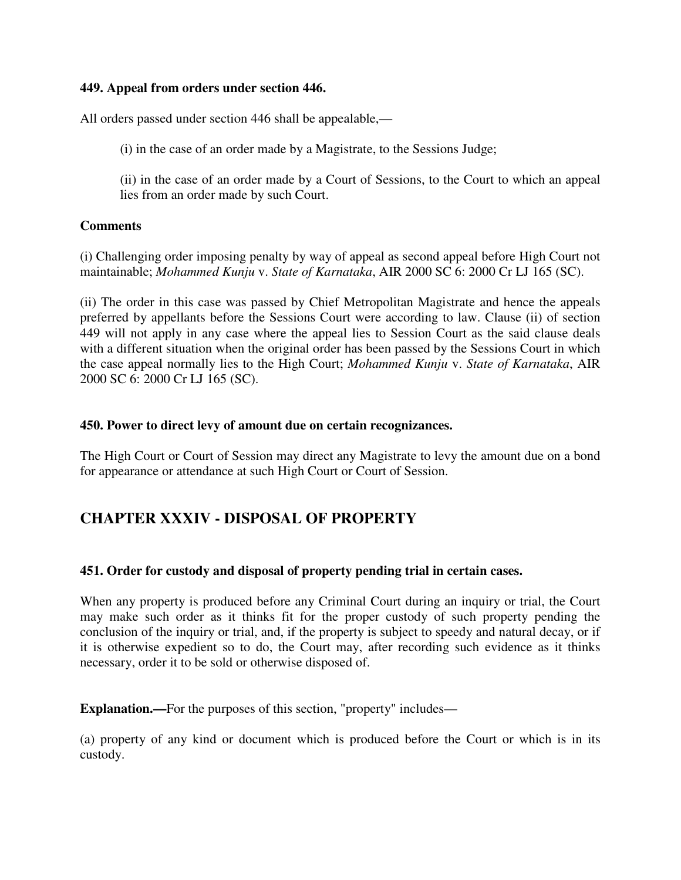#### **449. Appeal from orders under section 446.**

All orders passed under section 446 shall be appealable,—

(i) in the case of an order made by a Magistrate, to the Sessions Judge;

(ii) in the case of an order made by a Court of Sessions, to the Court to which an appeal lies from an order made by such Court.

#### **Comments**

(i) Challenging order imposing penalty by way of appeal as second appeal before High Court not maintainable; *Mohammed Kunju* v. *State of Karnataka*, AIR 2000 SC 6: 2000 Cr LJ 165 (SC).

(ii) The order in this case was passed by Chief Metropolitan Magistrate and hence the appeals preferred by appellants before the Sessions Court were according to law. Clause (ii) of section 449 will not apply in any case where the appeal lies to Session Court as the said clause deals with a different situation when the original order has been passed by the Sessions Court in which the case appeal normally lies to the High Court; *Mohammed Kunju* v. *State of Karnataka*, AIR 2000 SC 6: 2000 Cr LJ 165 (SC).

#### **450. Power to direct levy of amount due on certain recognizances.**

The High Court or Court of Session may direct any Magistrate to levy the amount due on a bond for appearance or attendance at such High Court or Court of Session.

# **CHAPTER XXXIV - DISPOSAL OF PROPERTY**

# **451. Order for custody and disposal of property pending trial in certain cases.**

When any property is produced before any Criminal Court during an inquiry or trial, the Court may make such order as it thinks fit for the proper custody of such property pending the conclusion of the inquiry or trial, and, if the property is subject to speedy and natural decay, or if it is otherwise expedient so to do, the Court may, after recording such evidence as it thinks necessary, order it to be sold or otherwise disposed of.

**Explanation.—**For the purposes of this section, "property" includes—

(a) property of any kind or document which is produced before the Court or which is in its custody.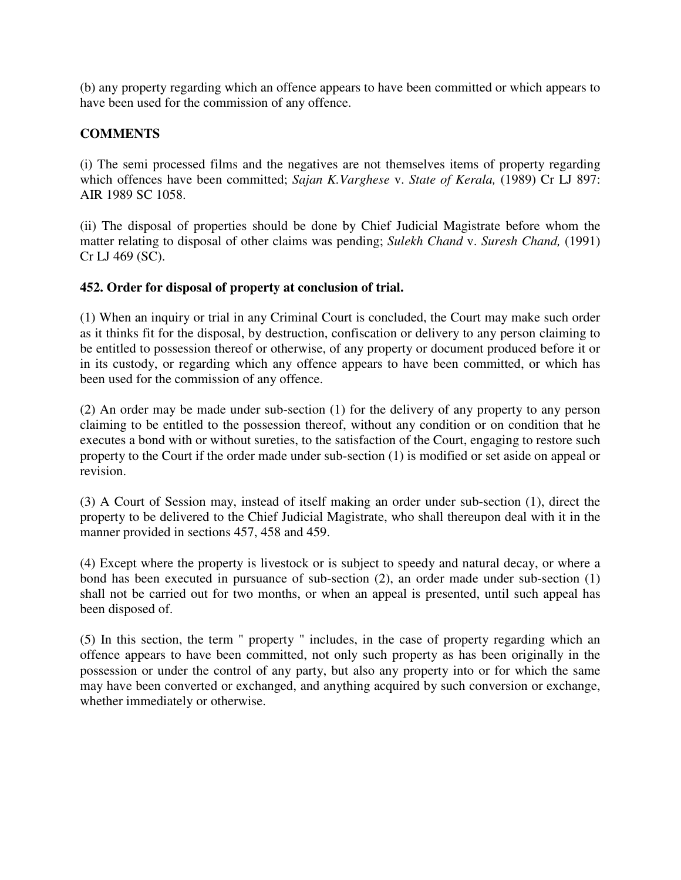(b) any property regarding which an offence appears to have been committed or which appears to have been used for the commission of any offence.

# **COMMENTS**

(i) The semi processed films and the negatives are not themselves items of property regarding which offences have been committed; *Sajan K.Varghese* v. *State of Kerala,* (1989) Cr LJ 897: AIR 1989 SC 1058.

(ii) The disposal of properties should be done by Chief Judicial Magistrate before whom the matter relating to disposal of other claims was pending; *Sulekh Chand* v. *Suresh Chand,* (1991) Cr LJ 469 (SC).

# **452. Order for disposal of property at conclusion of trial.**

(1) When an inquiry or trial in any Criminal Court is concluded, the Court may make such order as it thinks fit for the disposal, by destruction, confiscation or delivery to any person claiming to be entitled to possession thereof or otherwise, of any property or document produced before it or in its custody, or regarding which any offence appears to have been committed, or which has been used for the commission of any offence.

(2) An order may be made under sub-section (1) for the delivery of any property to any person claiming to be entitled to the possession thereof, without any condition or on condition that he executes a bond with or without sureties, to the satisfaction of the Court, engaging to restore such property to the Court if the order made under sub-section (1) is modified or set aside on appeal or revision.

(3) A Court of Session may, instead of itself making an order under sub-section (1), direct the property to be delivered to the Chief Judicial Magistrate, who shall thereupon deal with it in the manner provided in sections 457, 458 and 459.

(4) Except where the property is livestock or is subject to speedy and natural decay, or where a bond has been executed in pursuance of sub-section (2), an order made under sub-section (1) shall not be carried out for two months, or when an appeal is presented, until such appeal has been disposed of.

(5) In this section, the term " property " includes, in the case of property regarding which an offence appears to have been committed, not only such property as has been originally in the possession or under the control of any party, but also any property into or for which the same may have been converted or exchanged, and anything acquired by such conversion or exchange, whether immediately or otherwise.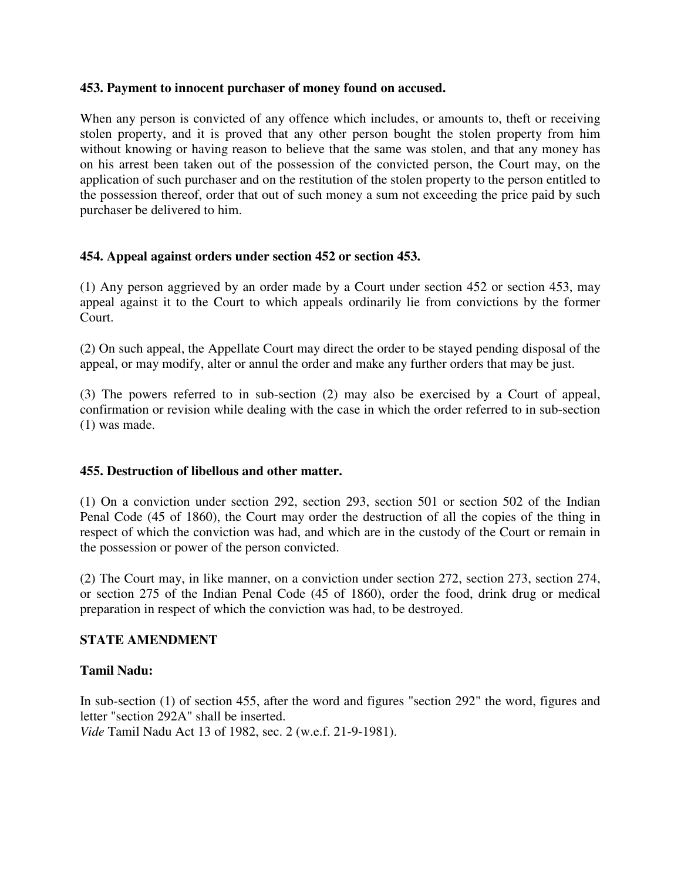#### **453. Payment to innocent purchaser of money found on accused.**

When any person is convicted of any offence which includes, or amounts to, theft or receiving stolen property, and it is proved that any other person bought the stolen property from him without knowing or having reason to believe that the same was stolen, and that any money has on his arrest been taken out of the possession of the convicted person, the Court may, on the application of such purchaser and on the restitution of the stolen property to the person entitled to the possession thereof, order that out of such money a sum not exceeding the price paid by such purchaser be delivered to him.

# **454. Appeal against orders under section 452 or section 453.**

(1) Any person aggrieved by an order made by a Court under section 452 or section 453, may appeal against it to the Court to which appeals ordinarily lie from convictions by the former Court.

(2) On such appeal, the Appellate Court may direct the order to be stayed pending disposal of the appeal, or may modify, alter or annul the order and make any further orders that may be just.

(3) The powers referred to in sub-section (2) may also be exercised by a Court of appeal, confirmation or revision while dealing with the case in which the order referred to in sub-section (1) was made.

#### **455. Destruction of libellous and other matter.**

(1) On a conviction under section 292, section 293, section 501 or section 502 of the Indian Penal Code (45 of 1860), the Court may order the destruction of all the copies of the thing in respect of which the conviction was had, and which are in the custody of the Court or remain in the possession or power of the person convicted.

(2) The Court may, in like manner, on a conviction under section 272, section 273, section 274, or section 275 of the Indian Penal Code (45 of 1860), order the food, drink drug or medical preparation in respect of which the conviction was had, to be destroyed.

#### **STATE AMENDMENT**

#### **Tamil Nadu:**

In sub-section (1) of section 455, after the word and figures "section 292" the word, figures and letter "section 292A" shall be inserted. *Vide* Tamil Nadu Act 13 of 1982, sec. 2 (w.e.f. 21-9-1981).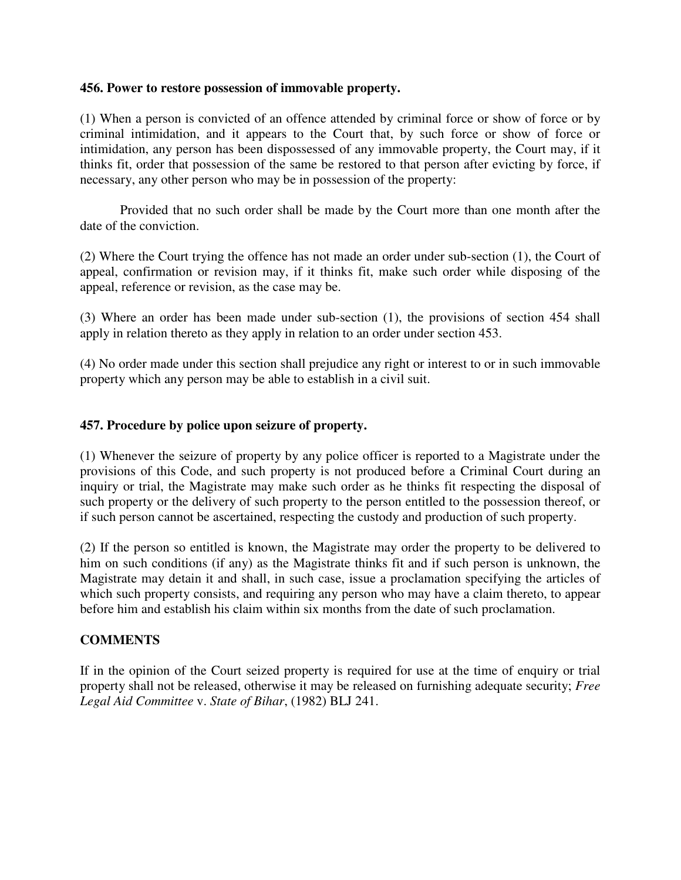#### **456. Power to restore possession of immovable property.**

(1) When a person is convicted of an offence attended by criminal force or show of force or by criminal intimidation, and it appears to the Court that, by such force or show of force or intimidation, any person has been dispossessed of any immovable property, the Court may, if it thinks fit, order that possession of the same be restored to that person after evicting by force, if necessary, any other person who may be in possession of the property:

Provided that no such order shall be made by the Court more than one month after the date of the conviction.

(2) Where the Court trying the offence has not made an order under sub-section (1), the Court of appeal, confirmation or revision may, if it thinks fit, make such order while disposing of the appeal, reference or revision, as the case may be.

(3) Where an order has been made under sub-section (1), the provisions of section 454 shall apply in relation thereto as they apply in relation to an order under section 453.

(4) No order made under this section shall prejudice any right or interest to or in such immovable property which any person may be able to establish in a civil suit.

# **457. Procedure by police upon seizure of property.**

(1) Whenever the seizure of property by any police officer is reported to a Magistrate under the provisions of this Code, and such property is not produced before a Criminal Court during an inquiry or trial, the Magistrate may make such order as he thinks fit respecting the disposal of such property or the delivery of such property to the person entitled to the possession thereof, or if such person cannot be ascertained, respecting the custody and production of such property.

(2) If the person so entitled is known, the Magistrate may order the property to be delivered to him on such conditions (if any) as the Magistrate thinks fit and if such person is unknown, the Magistrate may detain it and shall, in such case, issue a proclamation specifying the articles of which such property consists, and requiring any person who may have a claim thereto, to appear before him and establish his claim within six months from the date of such proclamation.

# **COMMENTS**

If in the opinion of the Court seized property is required for use at the time of enquiry or trial property shall not be released, otherwise it may be released on furnishing adequate security; *Free Legal Aid Committee* v. *State of Bihar*, (1982) BLJ 241.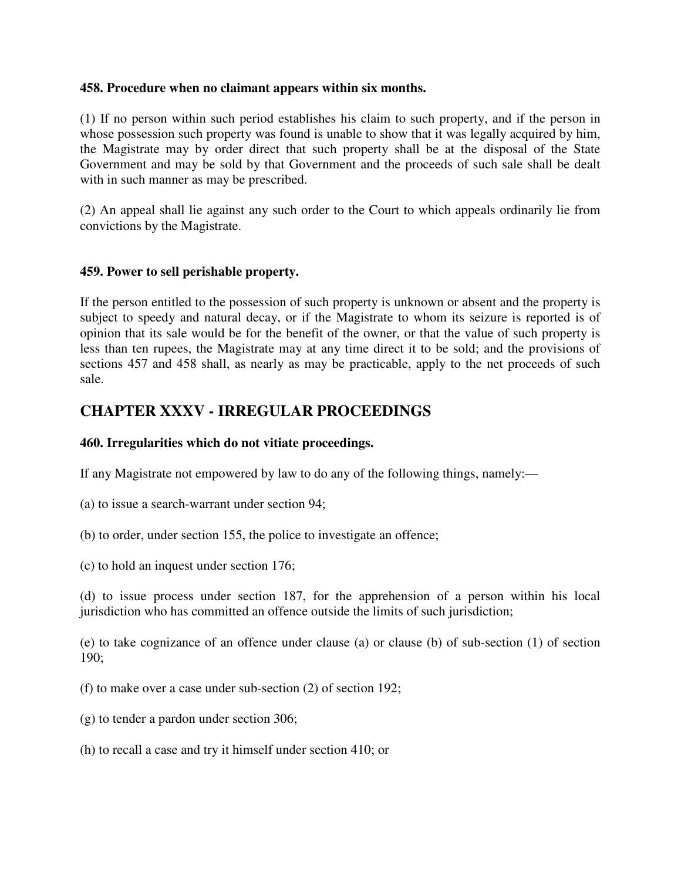#### **458. Procedure when no claimant appears within six months.**

(1) If no person within such period establishes his claim to such property, and if the person in whose possession such property was found is unable to show that it was legally acquired by him, the Magistrate may by order direct that such property shall be at the disposal of the State Government and may be sold by that Government and the proceeds of such sale shall be dealt with in such manner as may be prescribed.

(2) An appeal shall lie against any such order to the Court to which appeals ordinarily lie from convictions by the Magistrate.

# **459. Power to sell perishable property.**

If the person entitled to the possession of such property is unknown or absent and the property is subject to speedy and natural decay, or if the Magistrate to whom its seizure is reported is of opinion that its sale would be for the benefit of the owner, or that the value of such property is less than ten rupees, the Magistrate may at any time direct it to be sold; and the provisions of sections 457 and 458 shall, as nearly as may be practicable, apply to the net proceeds of such sale.

# **CHAPTER XXXV - IRREGULAR PROCEEDINGS**

## **460. Irregularities which do not vitiate proceedings.**

If any Magistrate not empowered by law to do any of the following things, namely:—

(a) to issue a search-warrant under section 94;

- (b) to order, under section 155, the police to investigate an offence;
- (c) to hold an inquest under section 176;

(d) to issue process under section 187, for the apprehension of a person within his local jurisdiction who has committed an offence outside the limits of such jurisdiction;

(e) to take cognizance of an offence under clause (a) or clause (b) of sub-section (1) of section 190;

(f) to make over a case under sub-section (2) of section 192;

- (g) to tender a pardon under section 306;
- (h) to recall a case and try it himself under section 410; or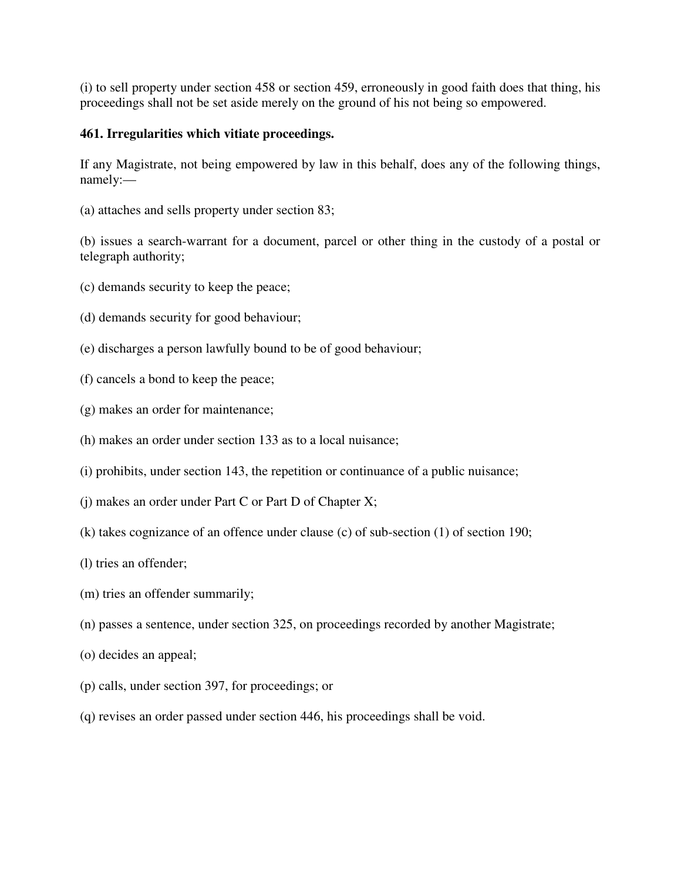(i) to sell property under section 458 or section 459, erroneously in good faith does that thing, his proceedings shall not be set aside merely on the ground of his not being so empowered.

# **461. Irregularities which vitiate proceedings.**

If any Magistrate, not being empowered by law in this behalf, does any of the following things, namely:—

(a) attaches and sells property under section 83;

(b) issues a search-warrant for a document, parcel or other thing in the custody of a postal or telegraph authority;

- (c) demands security to keep the peace;
- (d) demands security for good behaviour;
- (e) discharges a person lawfully bound to be of good behaviour;
- (f) cancels a bond to keep the peace;
- (g) makes an order for maintenance;
- (h) makes an order under section 133 as to a local nuisance;
- (i) prohibits, under section 143, the repetition or continuance of a public nuisance;
- (j) makes an order under Part C or Part D of Chapter X;
- (k) takes cognizance of an offence under clause (c) of sub-section (1) of section 190;
- (l) tries an offender;
- (m) tries an offender summarily;
- (n) passes a sentence, under section 325, on proceedings recorded by another Magistrate;
- (o) decides an appeal;
- (p) calls, under section 397, for proceedings; or
- (q) revises an order passed under section 446, his proceedings shall be void.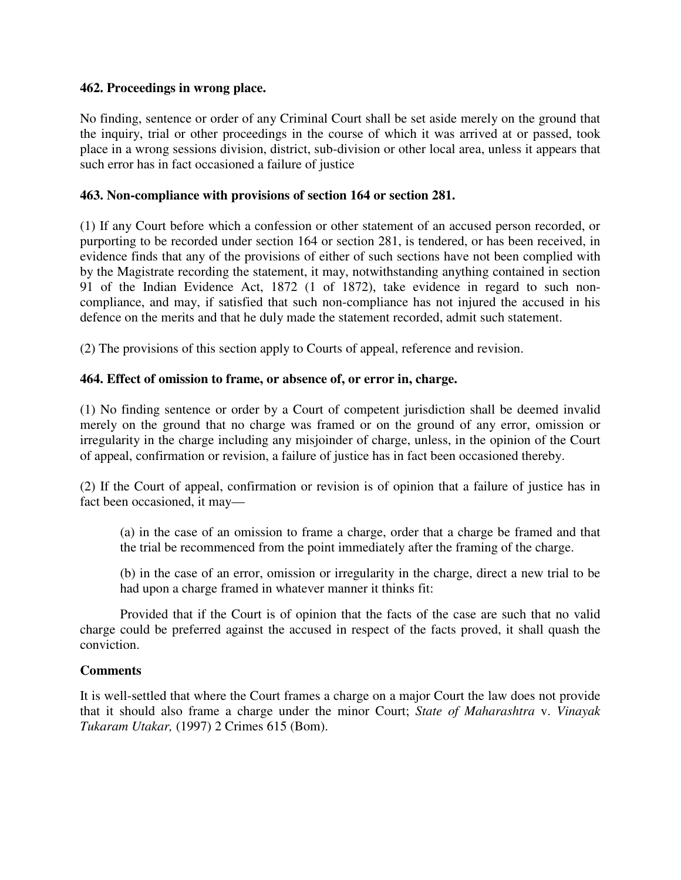#### **462. Proceedings in wrong place.**

No finding, sentence or order of any Criminal Court shall be set aside merely on the ground that the inquiry, trial or other proceedings in the course of which it was arrived at or passed, took place in a wrong sessions division, district, sub-division or other local area, unless it appears that such error has in fact occasioned a failure of justice

#### **463. Non-compliance with provisions of section 164 or section 281.**

(1) If any Court before which a confession or other statement of an accused person recorded, or purporting to be recorded under section 164 or section 281, is tendered, or has been received, in evidence finds that any of the provisions of either of such sections have not been complied with by the Magistrate recording the statement, it may, notwithstanding anything contained in section 91 of the Indian Evidence Act, 1872 (1 of 1872), take evidence in regard to such noncompliance, and may, if satisfied that such non-compliance has not injured the accused in his defence on the merits and that he duly made the statement recorded, admit such statement.

(2) The provisions of this section apply to Courts of appeal, reference and revision.

#### **464. Effect of omission to frame, or absence of, or error in, charge.**

(1) No finding sentence or order by a Court of competent jurisdiction shall be deemed invalid merely on the ground that no charge was framed or on the ground of any error, omission or irregularity in the charge including any misjoinder of charge, unless, in the opinion of the Court of appeal, confirmation or revision, a failure of justice has in fact been occasioned thereby.

(2) If the Court of appeal, confirmation or revision is of opinion that a failure of justice has in fact been occasioned, it may—

(a) in the case of an omission to frame a charge, order that a charge be framed and that the trial be recommenced from the point immediately after the framing of the charge.

(b) in the case of an error, omission or irregularity in the charge, direct a new trial to be had upon a charge framed in whatever manner it thinks fit:

Provided that if the Court is of opinion that the facts of the case are such that no valid charge could be preferred against the accused in respect of the facts proved, it shall quash the conviction.

#### **Comments**

It is well-settled that where the Court frames a charge on a major Court the law does not provide that it should also frame a charge under the minor Court; *State of Maharashtra* v. *Vinayak Tukaram Utakar,* (1997) 2 Crimes 615 (Bom).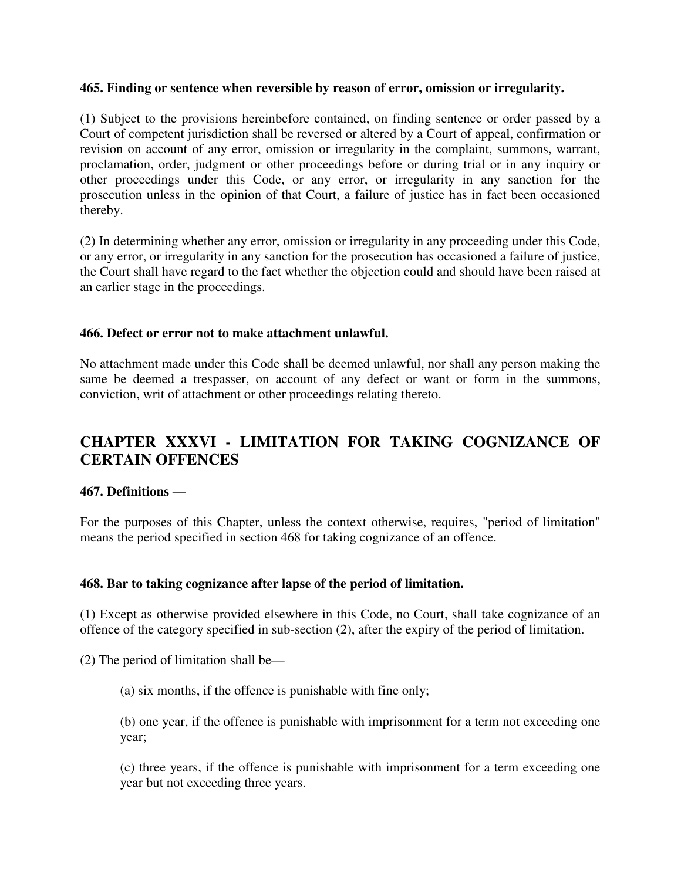#### **465. Finding or sentence when reversible by reason of error, omission or irregularity.**

(1) Subject to the provisions hereinbefore contained, on finding sentence or order passed by a Court of competent jurisdiction shall be reversed or altered by a Court of appeal, confirmation or revision on account of any error, omission or irregularity in the complaint, summons, warrant, proclamation, order, judgment or other proceedings before or during trial or in any inquiry or other proceedings under this Code, or any error, or irregularity in any sanction for the prosecution unless in the opinion of that Court, a failure of justice has in fact been occasioned thereby.

(2) In determining whether any error, omission or irregularity in any proceeding under this Code, or any error, or irregularity in any sanction for the prosecution has occasioned a failure of justice, the Court shall have regard to the fact whether the objection could and should have been raised at an earlier stage in the proceedings.

#### **466. Defect or error not to make attachment unlawful.**

No attachment made under this Code shall be deemed unlawful, nor shall any person making the same be deemed a trespasser, on account of any defect or want or form in the summons, conviction, writ of attachment or other proceedings relating thereto.

# **CHAPTER XXXVI - LIMITATION FOR TAKING COGNIZANCE OF CERTAIN OFFENCES**

#### **467. Definitions** —

For the purposes of this Chapter, unless the context otherwise, requires, "period of limitation" means the period specified in section 468 for taking cognizance of an offence.

#### **468. Bar to taking cognizance after lapse of the period of limitation.**

(1) Except as otherwise provided elsewhere in this Code, no Court, shall take cognizance of an offence of the category specified in sub-section (2), after the expiry of the period of limitation.

(2) The period of limitation shall be—

(a) six months, if the offence is punishable with fine only;

(b) one year, if the offence is punishable with imprisonment for a term not exceeding one year;

(c) three years, if the offence is punishable with imprisonment for a term exceeding one year but not exceeding three years.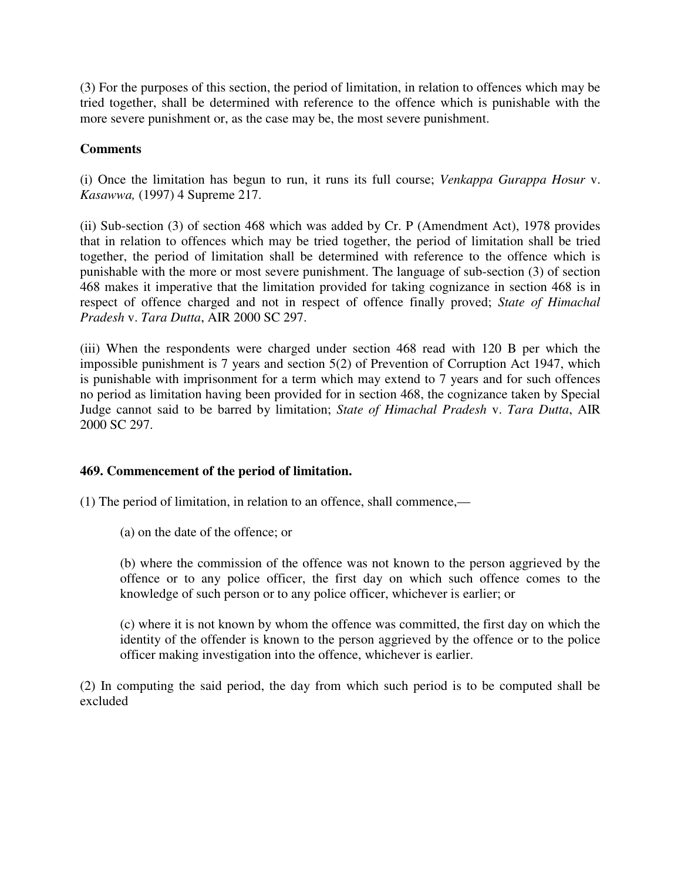(3) For the purposes of this section, the period of limitation, in relation to offences which may be tried together, shall be determined with reference to the offence which is punishable with the more severe punishment or, as the case may be, the most severe punishment.

# **Comments**

(i) Once the limitation has begun to run, it runs its full course; *Venkappa Gurappa Ho*s*ur* v. *Kasawwa,* (1997) 4 Supreme 217.

(ii) Sub-section (3) of section 468 which was added by Cr. P (Amendment Act), 1978 provides that in relation to offences which may be tried together, the period of limitation shall be tried together, the period of limitation shall be determined with reference to the offence which is punishable with the more or most severe punishment. The language of sub-section (3) of section 468 makes it imperative that the limitation provided for taking cognizance in section 468 is in respect of offence charged and not in respect of offence finally proved; *State of Himachal Pradesh* v. *Tara Dutta*, AIR 2000 SC 297.

(iii) When the respondents were charged under section 468 read with 120 B per which the impossible punishment is 7 years and section 5(2) of Prevention of Corruption Act 1947, which is punishable with imprisonment for a term which may extend to 7 years and for such offences no period as limitation having been provided for in section 468, the cognizance taken by Special Judge cannot said to be barred by limitation; *State of Himachal Pradesh* v. *Tara Dutta*, AIR 2000 SC 297.

#### **469. Commencement of the period of limitation.**

(1) The period of limitation, in relation to an offence, shall commence,—

(a) on the date of the offence; or

(b) where the commission of the offence was not known to the person aggrieved by the offence or to any police officer, the first day on which such offence comes to the knowledge of such person or to any police officer, whichever is earlier; or

(c) where it is not known by whom the offence was committed, the first day on which the identity of the offender is known to the person aggrieved by the offence or to the police officer making investigation into the offence, whichever is earlier.

(2) In computing the said period, the day from which such period is to be computed shall be excluded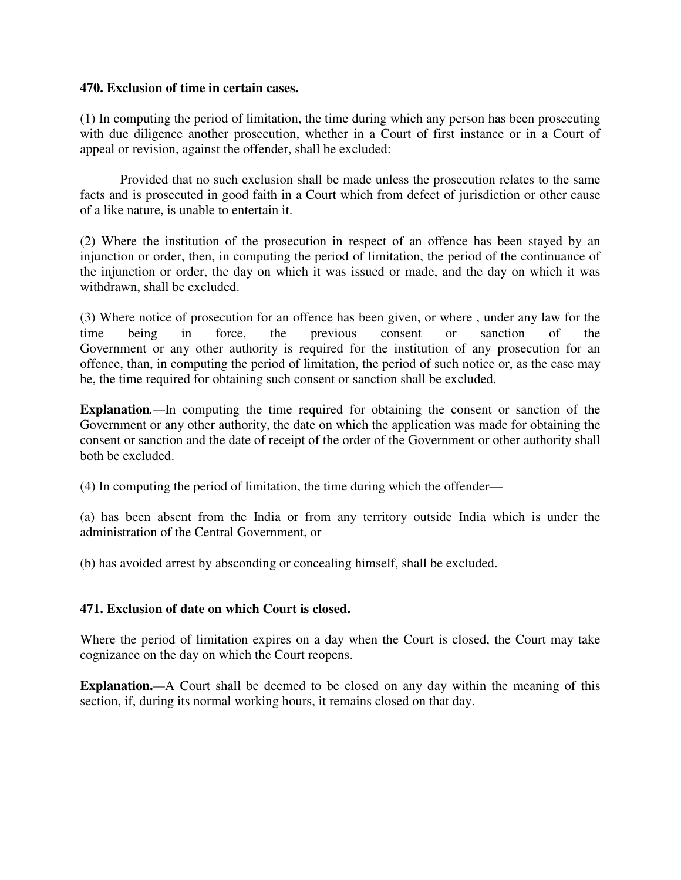#### **470. Exclusion of time in certain cases.**

(1) In computing the period of limitation, the time during which any person has been prosecuting with due diligence another prosecution, whether in a Court of first instance or in a Court of appeal or revision, against the offender, shall be excluded:

Provided that no such exclusion shall be made unless the prosecution relates to the same facts and is prosecuted in good faith in a Court which from defect of jurisdiction or other cause of a like nature, is unable to entertain it.

(2) Where the institution of the prosecution in respect of an offence has been stayed by an injunction or order, then, in computing the period of limitation, the period of the continuance of the injunction or order, the day on which it was issued or made, and the day on which it was withdrawn, shall be excluded.

(3) Where notice of prosecution for an offence has been given, or where , under any law for the time being in force, the previous consent or sanction of the Government or any other authority is required for the institution of any prosecution for an offence, than, in computing the period of limitation, the period of such notice or, as the case may be, the time required for obtaining such consent or sanction shall be excluded.

**Explanation***.—*In computing the time required for obtaining the consent or sanction of the Government or any other authority, the date on which the application was made for obtaining the consent or sanction and the date of receipt of the order of the Government or other authority shall both be excluded.

(4) In computing the period of limitation, the time during which the offender—

(a) has been absent from the India or from any territory outside India which is under the administration of the Central Government, or

(b) has avoided arrest by absconding or concealing himself, shall be excluded.

#### **471. Exclusion of date on which Court is closed.**

Where the period of limitation expires on a day when the Court is closed, the Court may take cognizance on the day on which the Court reopens.

**Explanation.***—*A Court shall be deemed to be closed on any day within the meaning of this section, if, during its normal working hours, it remains closed on that day.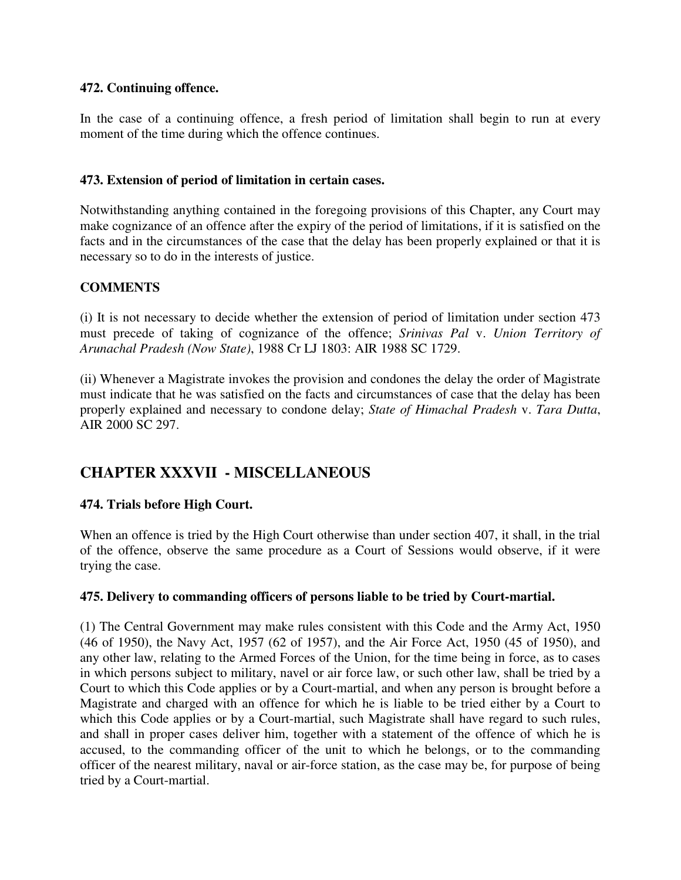# **472. Continuing offence.**

In the case of a continuing offence, a fresh period of limitation shall begin to run at every moment of the time during which the offence continues.

# **473. Extension of period of limitation in certain cases.**

Notwithstanding anything contained in the foregoing provisions of this Chapter, any Court may make cognizance of an offence after the expiry of the period of limitations, if it is satisfied on the facts and in the circumstances of the case that the delay has been properly explained or that it is necessary so to do in the interests of justice.

# **COMMENTS**

(i) It is not necessary to decide whether the extension of period of limitation under section 473 must precede of taking of cognizance of the offence; *Srinivas Pal* v. *Union Territory of Arunachal Pradesh (Now State)*, 1988 Cr LJ 1803: AIR 1988 SC 1729.

(ii) Whenever a Magistrate invokes the provision and condones the delay the order of Magistrate must indicate that he was satisfied on the facts and circumstances of case that the delay has been properly explained and necessary to condone delay; *State of Himachal Pradesh* v. *Tara Dutta*, AIR 2000 SC 297.

# **CHAPTER XXXVII - MISCELLANEOUS**

#### **474. Trials before High Court.**

When an offence is tried by the High Court otherwise than under section 407, it shall, in the trial of the offence, observe the same procedure as a Court of Sessions would observe, if it were trying the case.

#### **475. Delivery to commanding officers of persons liable to be tried by Court-martial.**

(1) The Central Government may make rules consistent with this Code and the Army Act, 1950 (46 of 1950), the Navy Act, 1957 (62 of 1957), and the Air Force Act, 1950 (45 of 1950), and any other law, relating to the Armed Forces of the Union, for the time being in force, as to cases in which persons subject to military, navel or air force law, or such other law, shall be tried by a Court to which this Code applies or by a Court-martial, and when any person is brought before a Magistrate and charged with an offence for which he is liable to be tried either by a Court to which this Code applies or by a Court-martial, such Magistrate shall have regard to such rules, and shall in proper cases deliver him, together with a statement of the offence of which he is accused, to the commanding officer of the unit to which he belongs, or to the commanding officer of the nearest military, naval or air-force station, as the case may be, for purpose of being tried by a Court-martial.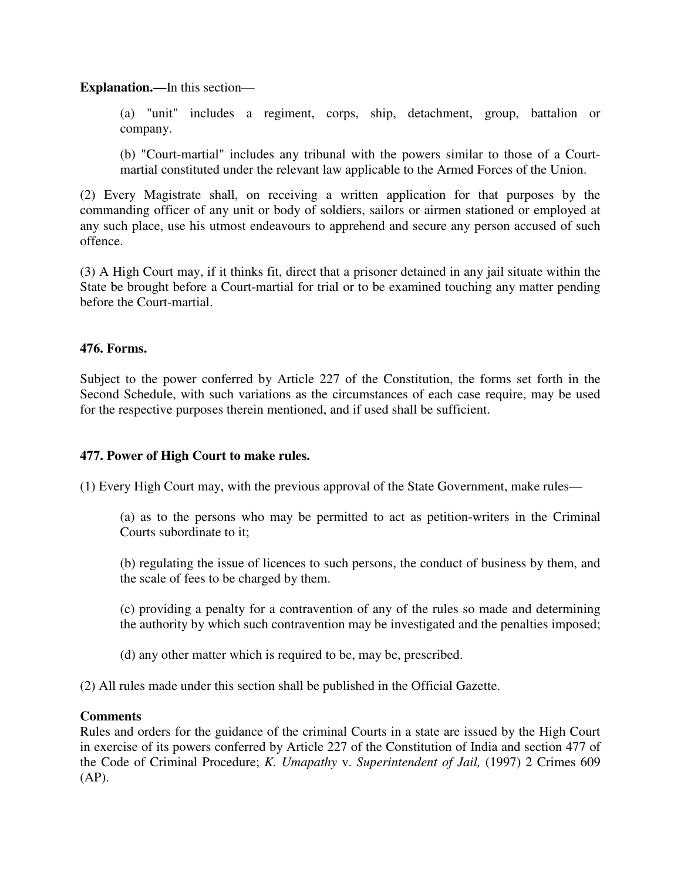**Explanation.—**In this section—

(a) "unit" includes a regiment, corps, ship, detachment, group, battalion or company.

(b) "Court-martial" includes any tribunal with the powers similar to those of a Courtmartial constituted under the relevant law applicable to the Armed Forces of the Union.

(2) Every Magistrate shall, on receiving a written application for that purposes by the commanding officer of any unit or body of soldiers, sailors or airmen stationed or employed at any such place, use his utmost endeavours to apprehend and secure any person accused of such offence.

(3) A High Court may, if it thinks fit, direct that a prisoner detained in any jail situate within the State be brought before a Court-martial for trial or to be examined touching any matter pending before the Court-martial.

#### **476. Forms.**

Subject to the power conferred by Article 227 of the Constitution, the forms set forth in the Second Schedule, with such variations as the circumstances of each case require, may be used for the respective purposes therein mentioned, and if used shall be sufficient.

#### **477. Power of High Court to make rules.**

(1) Every High Court may, with the previous approval of the State Government, make rules—

(a) as to the persons who may be permitted to act as petition-writers in the Criminal Courts subordinate to it;

(b) regulating the issue of licences to such persons, the conduct of business by them, and the scale of fees to be charged by them.

(c) providing a penalty for a contravention of any of the rules so made and determining the authority by which such contravention may be investigated and the penalties imposed;

(d) any other matter which is required to be, may be, prescribed.

(2) All rules made under this section shall be published in the Official Gazette.

#### **Comments**

Rules and orders for the guidance of the criminal Courts in a state are issued by the High Court in exercise of its powers conferred by Article 227 of the Constitution of India and section 477 of the Code of Criminal Procedure; *K. Umapathy* v. *Superintendent of Jail,* (1997) 2 Crimes 609 (AP).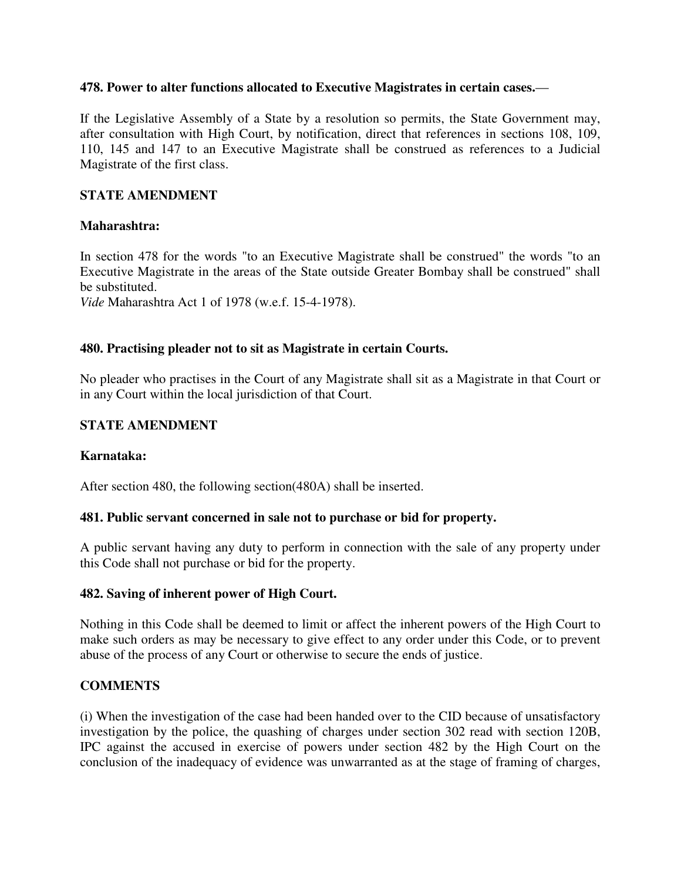#### **478. Power to alter functions allocated to Executive Magistrates in certain cases.**—

If the Legislative Assembly of a State by a resolution so permits, the State Government may, after consultation with High Court, by notification, direct that references in sections 108, 109, 110, 145 and 147 to an Executive Magistrate shall be construed as references to a Judicial Magistrate of the first class.

# **STATE AMENDMENT**

### **Maharashtra:**

In section 478 for the words "to an Executive Magistrate shall be construed" the words "to an Executive Magistrate in the areas of the State outside Greater Bombay shall be construed" shall be substituted.

*Vide* Maharashtra Act 1 of 1978 (w.e.f. 15-4-1978).

#### **480. Practising pleader not to sit as Magistrate in certain Courts.**

No pleader who practises in the Court of any Magistrate shall sit as a Magistrate in that Court or in any Court within the local jurisdiction of that Court.

# **STATE AMENDMENT**

#### **Karnataka:**

After section 480, the following section(480A) shall be inserted.

#### **481. Public servant concerned in sale not to purchase or bid for property.**

A public servant having any duty to perform in connection with the sale of any property under this Code shall not purchase or bid for the property.

#### **482. Saving of inherent power of High Court.**

Nothing in this Code shall be deemed to limit or affect the inherent powers of the High Court to make such orders as may be necessary to give effect to any order under this Code, or to prevent abuse of the process of any Court or otherwise to secure the ends of justice.

# **COMMENTS**

(i) When the investigation of the case had been handed over to the CID because of unsatisfactory investigation by the police, the quashing of charges under section 302 read with section 120B, IPC against the accused in exercise of powers under section 482 by the High Court on the conclusion of the inadequacy of evidence was unwarranted as at the stage of framing of charges,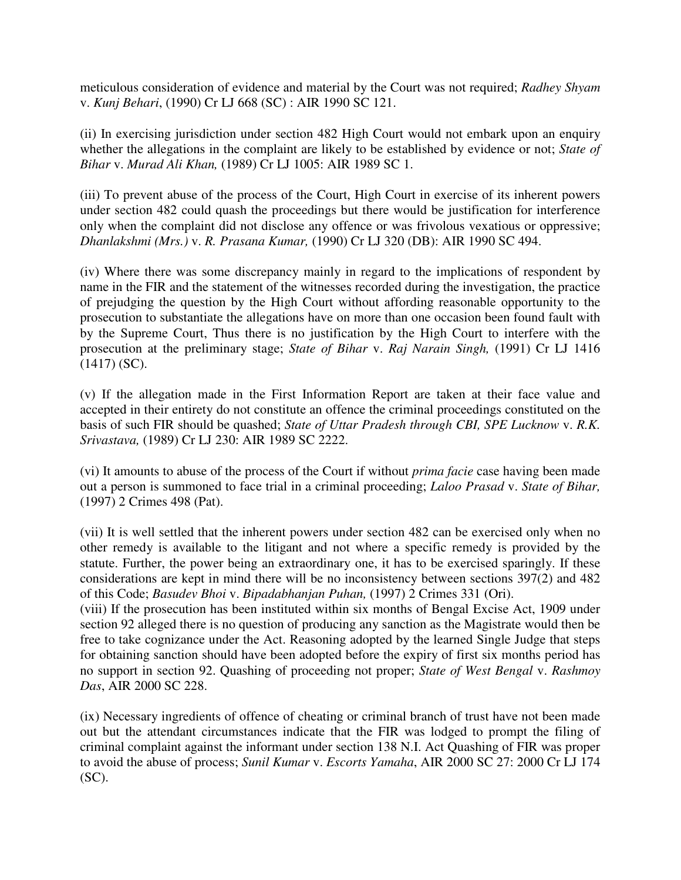meticulous consideration of evidence and material by the Court was not required; *Radhey Shyam* v. *Kunj Behari*, (1990) Cr LJ 668 (SC) : AIR 1990 SC 121.

(ii) In exercising jurisdiction under section 482 High Court would not embark upon an enquiry whether the allegations in the complaint are likely to be established by evidence or not; *State of Bihar* v. *Murad Ali Khan,* (1989) Cr LJ 1005: AIR 1989 SC 1.

(iii) To prevent abuse of the process of the Court, High Court in exercise of its inherent powers under section 482 could quash the proceedings but there would be justification for interference only when the complaint did not disclose any offence or was frivolous vexatious or oppressive; *Dhanlakshmi (Mrs.)* v. *R. Prasana Kumar,* (1990) Cr LJ 320 (DB): AIR 1990 SC 494.

(iv) Where there was some discrepancy mainly in regard to the implications of respondent by name in the FIR and the statement of the witnesses recorded during the investigation, the practice of prejudging the question by the High Court without affording reasonable opportunity to the prosecution to substantiate the allegations have on more than one occasion been found fault with by the Supreme Court, Thus there is no justification by the High Court to interfere with the prosecution at the preliminary stage; *State of Bihar* v. *Raj Narain Singh,* (1991) Cr LJ 1416  $(1417)$  (SC).

(v) If the allegation made in the First Information Report are taken at their face value and accepted in their entirety do not constitute an offence the criminal proceedings constituted on the basis of such FIR should be quashed; *State of Uttar Pradesh through CBI, SPE Lucknow* v. *R.K. Srivastava,* (1989) Cr LJ 230: AIR 1989 SC 2222.

(vi) It amounts to abuse of the process of the Court if without *prima facie* case having been made out a person is summoned to face trial in a criminal proceeding; *Laloo Prasad* v. *State of Bihar,* (1997) 2 Crimes 498 (Pat).

(vii) It is well settled that the inherent powers under section 482 can be exercised only when no other remedy is available to the litigant and not where a specific remedy is provided by the statute. Further, the power being an extraordinary one, it has to be exercised sparingly. If these considerations are kept in mind there will be no inconsistency between sections 397(2) and 482 of this Code; *Basudev Bhoi* v. *Bipadabhanjan Puhan,* (1997) 2 Crimes 331 (Ori).

(viii) If the prosecution has been instituted within six months of Bengal Excise Act, 1909 under section 92 alleged there is no question of producing any sanction as the Magistrate would then be free to take cognizance under the Act. Reasoning adopted by the learned Single Judge that steps for obtaining sanction should have been adopted before the expiry of first six months period has no support in section 92. Quashing of proceeding not proper; *State of West Bengal* v. *Rashmoy Das*, AIR 2000 SC 228.

(ix) Necessary ingredients of offence of cheating or criminal branch of trust have not been made out but the attendant circumstances indicate that the FIR was lodged to prompt the filing of criminal complaint against the informant under section 138 N.I. Act Quashing of FIR was proper to avoid the abuse of process; *Sunil Kumar* v. *Escorts Yamaha*, AIR 2000 SC 27: 2000 Cr LJ 174  $(SC)$ .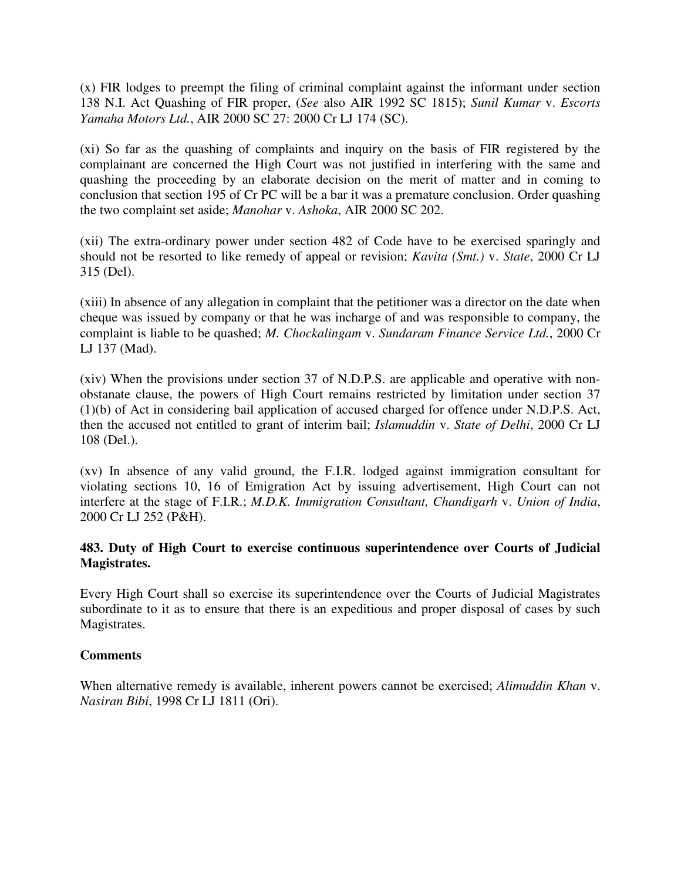(x) FIR lodges to preempt the filing of criminal complaint against the informant under section 138 N.I. Act Quashing of FIR proper, (*See* also AIR 1992 SC 1815); *Sunil Kumar* v. *Escorts Yamaha Motors Ltd.*, AIR 2000 SC 27: 2000 Cr LJ 174 (SC).

(xi) So far as the quashing of complaints and inquiry on the basis of FIR registered by the complainant are concerned the High Court was not justified in interfering with the same and quashing the proceeding by an elaborate decision on the merit of matter and in coming to conclusion that section 195 of Cr PC will be a bar it was a premature conclusion. Order quashing the two complaint set aside; *Manohar* v. *Ashoka*, AIR 2000 SC 202.

(xii) The extra-ordinary power under section 482 of Code have to be exercised sparingly and should not be resorted to like remedy of appeal or revision; *Kavita (Smt.)* v. *State*, 2000 Cr LJ 315 (Del).

(xiii) In absence of any allegation in complaint that the petitioner was a director on the date when cheque was issued by company or that he was incharge of and was responsible to company, the complaint is liable to be quashed; *M. Chockalingam* v. *Sundaram Finance Service Ltd.*, 2000 Cr LJ 137 (Mad).

(xiv) When the provisions under section 37 of N.D.P.S. are applicable and operative with nonobstanate clause, the powers of High Court remains restricted by limitation under section 37 (1)(b) of Act in considering bail application of accused charged for offence under N.D.P.S. Act, then the accused not entitled to grant of interim bail; *Islamuddin* v. *State of Delhi*, 2000 Cr LJ 108 (Del.).

(xv) In absence of any valid ground, the F.I.R. lodged against immigration consultant for violating sections 10, 16 of Emigration Act by issuing advertisement, High Court can not interfere at the stage of F.I.R.; *M.D.K. Immigration Consultant, Chandigarh* v. *Union of India*, 2000 Cr LJ 252 (P&H).

# **483. Duty of High Court to exercise continuous superintendence over Courts of Judicial Magistrates.**

Every High Court shall so exercise its superintendence over the Courts of Judicial Magistrates subordinate to it as to ensure that there is an expeditious and proper disposal of cases by such Magistrates.

# **Comments**

When alternative remedy is available, inherent powers cannot be exercised; *Alimuddin Khan* v. *Nasiran Bibi*, 1998 Cr LJ 1811 (Ori).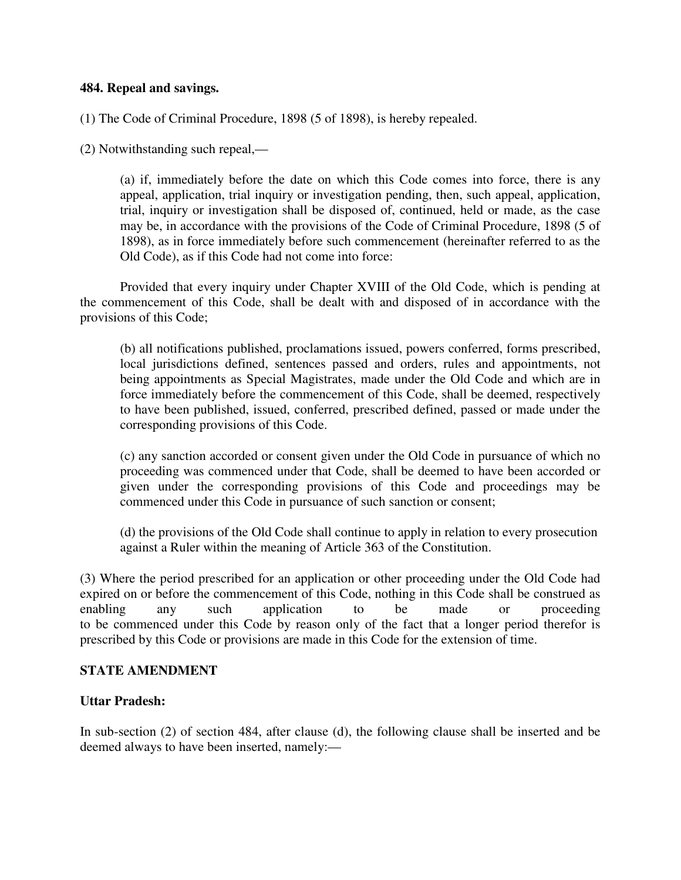#### **484. Repeal and savings.**

(1) The Code of Criminal Procedure, 1898 (5 of 1898), is hereby repealed.

(2) Notwithstanding such repeal,—

(a) if, immediately before the date on which this Code comes into force, there is any appeal, application, trial inquiry or investigation pending, then, such appeal, application, trial, inquiry or investigation shall be disposed of, continued, held or made, as the case may be, in accordance with the provisions of the Code of Criminal Procedure, 1898 (5 of 1898), as in force immediately before such commencement (hereinafter referred to as the Old Code), as if this Code had not come into force:

Provided that every inquiry under Chapter XVIII of the Old Code, which is pending at the commencement of this Code, shall be dealt with and disposed of in accordance with the provisions of this Code;

(b) all notifications published, proclamations issued, powers conferred, forms prescribed, local jurisdictions defined, sentences passed and orders, rules and appointments, not being appointments as Special Magistrates, made under the Old Code and which are in force immediately before the commencement of this Code, shall be deemed, respectively to have been published, issued, conferred, prescribed defined, passed or made under the corresponding provisions of this Code.

(c) any sanction accorded or consent given under the Old Code in pursuance of which no proceeding was commenced under that Code, shall be deemed to have been accorded or given under the corresponding provisions of this Code and proceedings may be commenced under this Code in pursuance of such sanction or consent;

(d) the provisions of the Old Code shall continue to apply in relation to every prosecution against a Ruler within the meaning of Article 363 of the Constitution.

(3) Where the period prescribed for an application or other proceeding under the Old Code had expired on or before the commencement of this Code, nothing in this Code shall be construed as enabling any such application to be made or proceeding to be commenced under this Code by reason only of the fact that a longer period therefor is prescribed by this Code or provisions are made in this Code for the extension of time.

#### **STATE AMENDMENT**

#### **Uttar Pradesh:**

In sub-section (2) of section 484, after clause (d), the following clause shall be inserted and be deemed always to have been inserted, namely:—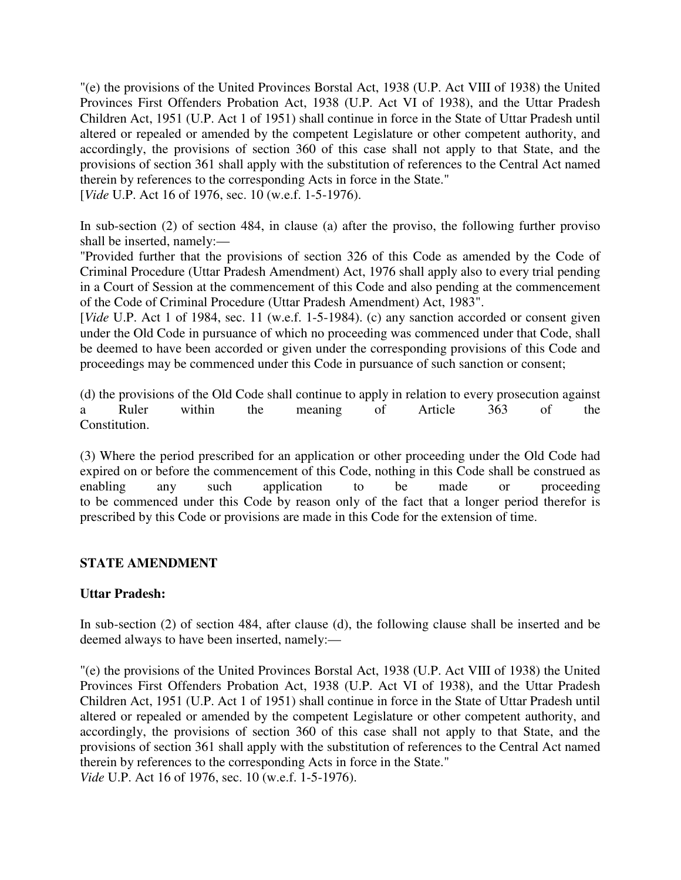"(e) the provisions of the United Provinces Borstal Act, 1938 (U.P. Act VIII of 1938) the United Provinces First Offenders Probation Act, 1938 (U.P. Act VI of 1938), and the Uttar Pradesh Children Act, 1951 (U.P. Act 1 of 1951) shall continue in force in the State of Uttar Pradesh until altered or repealed or amended by the competent Legislature or other competent authority, and accordingly, the provisions of section 360 of this case shall not apply to that State, and the provisions of section 361 shall apply with the substitution of references to the Central Act named therein by references to the corresponding Acts in force in the State."

[*Vide* U.P. Act 16 of 1976, sec. 10 (w.e.f. 1-5-1976).

In sub-section (2) of section 484, in clause (a) after the proviso, the following further proviso shall be inserted, namely:—

"Provided further that the provisions of section 326 of this Code as amended by the Code of Criminal Procedure (Uttar Pradesh Amendment) Act, 1976 shall apply also to every trial pending in a Court of Session at the commencement of this Code and also pending at the commencement of the Code of Criminal Procedure (Uttar Pradesh Amendment) Act, 1983".

[*Vide* U.P. Act 1 of 1984, sec. 11 (w.e.f. 1-5-1984). (c) any sanction accorded or consent given under the Old Code in pursuance of which no proceeding was commenced under that Code, shall be deemed to have been accorded or given under the corresponding provisions of this Code and proceedings may be commenced under this Code in pursuance of such sanction or consent;

(d) the provisions of the Old Code shall continue to apply in relation to every prosecution against a Ruler within the meaning of Article 363 of the Constitution.

(3) Where the period prescribed for an application or other proceeding under the Old Code had expired on or before the commencement of this Code, nothing in this Code shall be construed as enabling any such application to be made or proceeding to be commenced under this Code by reason only of the fact that a longer period therefor is prescribed by this Code or provisions are made in this Code for the extension of time.

# **STATE AMENDMENT**

#### **Uttar Pradesh:**

In sub-section (2) of section 484, after clause (d), the following clause shall be inserted and be deemed always to have been inserted, namely:—

"(e) the provisions of the United Provinces Borstal Act, 1938 (U.P. Act VIII of 1938) the United Provinces First Offenders Probation Act, 1938 (U.P. Act VI of 1938), and the Uttar Pradesh Children Act, 1951 (U.P. Act 1 of 1951) shall continue in force in the State of Uttar Pradesh until altered or repealed or amended by the competent Legislature or other competent authority, and accordingly, the provisions of section 360 of this case shall not apply to that State, and the provisions of section 361 shall apply with the substitution of references to the Central Act named therein by references to the corresponding Acts in force in the State." *Vide* U.P. Act 16 of 1976, sec. 10 (w.e.f. 1-5-1976).